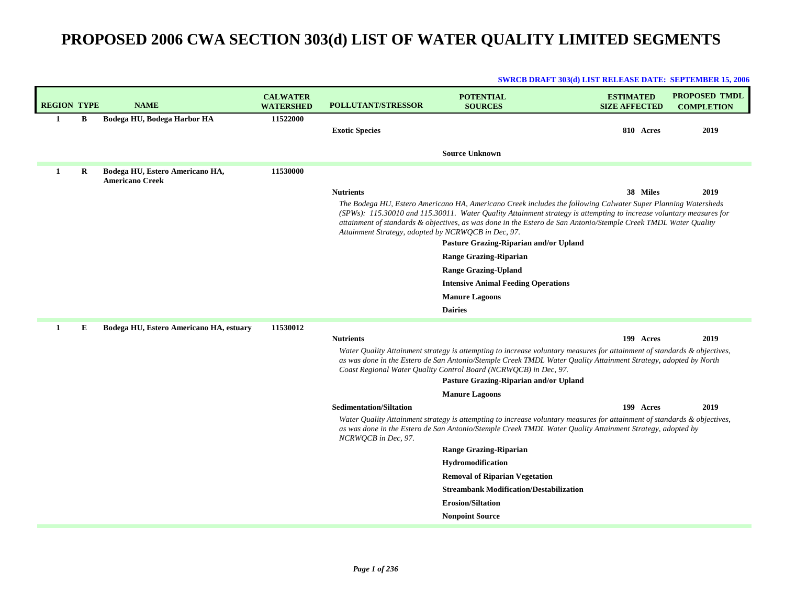| <b>REGION TYPE</b> |   | <b>NAME</b>                                               | <b>CALWATER</b><br><b>WATERSHED</b> | <b>POLLUTANT/STRESSOR</b>                           | <b>POTENTIAL</b><br><b>SOURCES</b>                                                                                                                                                                                                                                                                                                                                                                                                                                                                                                                              | <b>ESTIMATED</b><br><b>SIZE AFFECTED</b> | <b>PROPOSED TMDL</b><br><b>COMPLETION</b> |
|--------------------|---|-----------------------------------------------------------|-------------------------------------|-----------------------------------------------------|-----------------------------------------------------------------------------------------------------------------------------------------------------------------------------------------------------------------------------------------------------------------------------------------------------------------------------------------------------------------------------------------------------------------------------------------------------------------------------------------------------------------------------------------------------------------|------------------------------------------|-------------------------------------------|
| 1                  | B | Bodega HU, Bodega Harbor HA                               | 11522000                            | <b>Exotic Species</b>                               |                                                                                                                                                                                                                                                                                                                                                                                                                                                                                                                                                                 | 810 Acres                                | 2019                                      |
|                    |   |                                                           |                                     |                                                     | <b>Source Unknown</b>                                                                                                                                                                                                                                                                                                                                                                                                                                                                                                                                           |                                          |                                           |
| 1                  | R | Bodega HU, Estero Americano HA,<br><b>Americano Creek</b> | 11530000                            |                                                     |                                                                                                                                                                                                                                                                                                                                                                                                                                                                                                                                                                 |                                          |                                           |
|                    |   |                                                           |                                     | <b>Nutrients</b>                                    |                                                                                                                                                                                                                                                                                                                                                                                                                                                                                                                                                                 | 38 Miles                                 | 2019                                      |
|                    |   |                                                           |                                     | Attainment Strategy, adopted by NCRWQCB in Dec, 97. | The Bodega HU, Estero Americano HA, Americano Creek includes the following Calwater Super Planning Watersheds<br>$(SPWs): 115.30010$ and $115.30011$ . Water Quality Attainment strategy is attempting to increase voluntary measures for<br>attainment of standards & objectives, as was done in the Estero de San Antonio/Stemple Creek TMDL Water Quality<br>Pasture Grazing-Riparian and/or Upland<br><b>Range Grazing-Riparian</b><br><b>Range Grazing-Upland</b><br><b>Intensive Animal Feeding Operations</b><br><b>Manure Lagoons</b><br><b>Dairies</b> |                                          |                                           |
| 1                  | E | Bodega HU, Estero Americano HA, estuary                   | 11530012                            |                                                     |                                                                                                                                                                                                                                                                                                                                                                                                                                                                                                                                                                 |                                          |                                           |
|                    |   |                                                           |                                     | <b>Nutrients</b>                                    |                                                                                                                                                                                                                                                                                                                                                                                                                                                                                                                                                                 | 199 Acres                                | 2019                                      |
|                    |   |                                                           |                                     |                                                     | Water Quality Attainment strategy is attempting to increase voluntary measures for attainment of standards & objectives,<br>as was done in the Estero de San Antonio/Stemple Creek TMDL Water Quality Attainment Strategy, adopted by North<br>Coast Regional Water Quality Control Board (NCRWQCB) in Dec, 97.                                                                                                                                                                                                                                                 |                                          |                                           |
|                    |   |                                                           |                                     |                                                     | Pasture Grazing-Riparian and/or Upland                                                                                                                                                                                                                                                                                                                                                                                                                                                                                                                          |                                          |                                           |
|                    |   |                                                           |                                     |                                                     | <b>Manure Lagoons</b>                                                                                                                                                                                                                                                                                                                                                                                                                                                                                                                                           |                                          |                                           |
|                    |   |                                                           |                                     | <b>Sedimentation/Siltation</b>                      |                                                                                                                                                                                                                                                                                                                                                                                                                                                                                                                                                                 | 199 Acres                                | 2019                                      |
|                    |   |                                                           |                                     | NCRWQCB in Dec, 97.                                 | Water Quality Attainment strategy is attempting to increase voluntary measures for attainment of standards & objectives,<br>as was done in the Estero de San Antonio/Stemple Creek TMDL Water Quality Attainment Strategy, adopted by                                                                                                                                                                                                                                                                                                                           |                                          |                                           |
|                    |   |                                                           |                                     |                                                     | <b>Range Grazing-Riparian</b>                                                                                                                                                                                                                                                                                                                                                                                                                                                                                                                                   |                                          |                                           |
|                    |   |                                                           |                                     |                                                     | <b>Hydromodification</b>                                                                                                                                                                                                                                                                                                                                                                                                                                                                                                                                        |                                          |                                           |
|                    |   |                                                           |                                     |                                                     | <b>Removal of Riparian Vegetation</b>                                                                                                                                                                                                                                                                                                                                                                                                                                                                                                                           |                                          |                                           |
|                    |   |                                                           |                                     |                                                     | <b>Streambank Modification/Destabilization</b>                                                                                                                                                                                                                                                                                                                                                                                                                                                                                                                  |                                          |                                           |
|                    |   |                                                           |                                     |                                                     | <b>Erosion/Siltation</b>                                                                                                                                                                                                                                                                                                                                                                                                                                                                                                                                        |                                          |                                           |
|                    |   |                                                           |                                     |                                                     | <b>Nonpoint Source</b>                                                                                                                                                                                                                                                                                                                                                                                                                                                                                                                                          |                                          |                                           |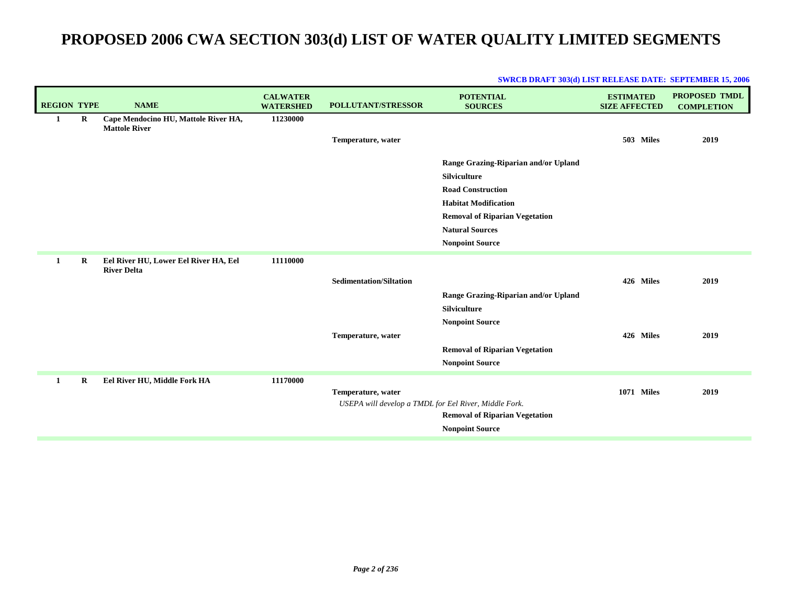| <b>REGION TYPE</b> |          | <b>NAME</b>                                                  | <b>CALWATER</b><br><b>WATERSHED</b> | <b>POLLUTANT/STRESSOR</b>                             | <b>POTENTIAL</b><br><b>SOURCES</b>                              | <b>ESTIMATED</b><br><b>SIZE AFFECTED</b> | <b>PROPOSED TMDL</b><br><b>COMPLETION</b> |
|--------------------|----------|--------------------------------------------------------------|-------------------------------------|-------------------------------------------------------|-----------------------------------------------------------------|------------------------------------------|-------------------------------------------|
| 1                  | R        | Cape Mendocino HU, Mattole River HA,<br><b>Mattole River</b> | 11230000                            |                                                       |                                                                 |                                          |                                           |
|                    |          |                                                              |                                     | Temperature, water                                    |                                                                 | 503 Miles                                | 2019                                      |
|                    |          |                                                              |                                     |                                                       | Range Grazing-Riparian and/or Upland                            |                                          |                                           |
|                    |          |                                                              |                                     |                                                       | <b>Silviculture</b>                                             |                                          |                                           |
|                    |          |                                                              |                                     |                                                       | <b>Road Construction</b>                                        |                                          |                                           |
|                    |          |                                                              |                                     |                                                       | <b>Habitat Modification</b>                                     |                                          |                                           |
|                    |          |                                                              |                                     |                                                       | <b>Removal of Riparian Vegetation</b>                           |                                          |                                           |
|                    |          |                                                              |                                     |                                                       | <b>Natural Sources</b><br><b>Nonpoint Source</b>                |                                          |                                           |
|                    |          |                                                              |                                     |                                                       |                                                                 |                                          |                                           |
| 1                  | R        | Eel River HU, Lower Eel River HA, Eel<br><b>River Delta</b>  | 11110000                            |                                                       |                                                                 |                                          |                                           |
|                    |          |                                                              |                                     | <b>Sedimentation/Siltation</b>                        |                                                                 | 426 Miles                                | 2019                                      |
|                    |          |                                                              |                                     |                                                       | Range Grazing-Riparian and/or Upland                            |                                          |                                           |
|                    |          |                                                              |                                     |                                                       | <b>Silviculture</b>                                             |                                          |                                           |
|                    |          |                                                              |                                     |                                                       | <b>Nonpoint Source</b>                                          |                                          |                                           |
|                    |          |                                                              |                                     | Temperature, water                                    |                                                                 | 426 Miles                                | 2019                                      |
|                    |          |                                                              |                                     |                                                       | <b>Removal of Riparian Vegetation</b><br><b>Nonpoint Source</b> |                                          |                                           |
|                    |          |                                                              |                                     |                                                       |                                                                 |                                          |                                           |
| 1                  | $\bf{R}$ | Eel River HU, Middle Fork HA                                 | 11170000                            | Temperature, water                                    |                                                                 | 1071 Miles                               | 2019                                      |
|                    |          |                                                              |                                     | USEPA will develop a TMDL for Eel River, Middle Fork. |                                                                 |                                          |                                           |
|                    |          |                                                              |                                     |                                                       | <b>Removal of Riparian Vegetation</b>                           |                                          |                                           |
|                    |          |                                                              |                                     |                                                       | <b>Nonpoint Source</b>                                          |                                          |                                           |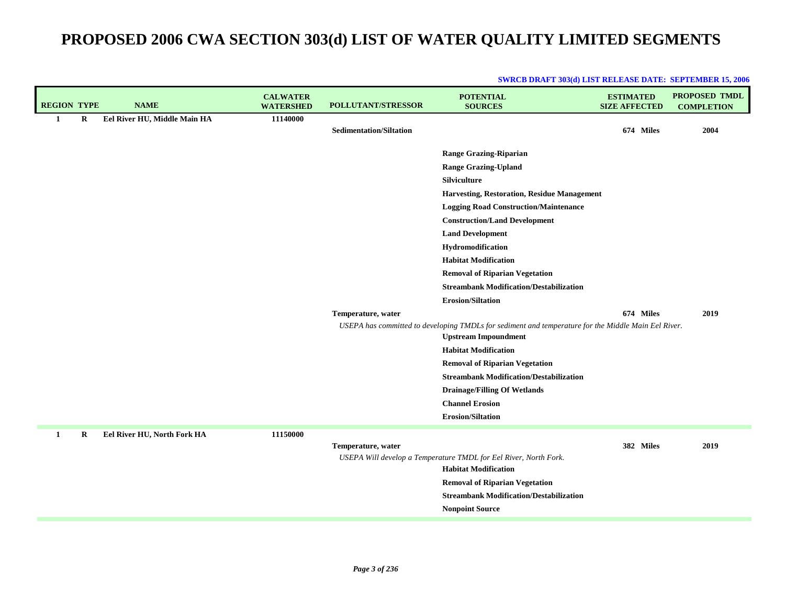| <b>REGION TYPE</b> |         | <b>NAME</b>                  | <b>CALWATER</b><br><b>WATERSHED</b> | POLLUTANT/STRESSOR             | <b>POTENTIAL</b><br><b>SOURCES</b>                                                                                                                                                                                                                                                                                                                                                                                                      | <b>ESTIMATED</b><br><b>SIZE AFFECTED</b> | <b>PROPOSED TMDL</b><br><b>COMPLETION</b> |
|--------------------|---------|------------------------------|-------------------------------------|--------------------------------|-----------------------------------------------------------------------------------------------------------------------------------------------------------------------------------------------------------------------------------------------------------------------------------------------------------------------------------------------------------------------------------------------------------------------------------------|------------------------------------------|-------------------------------------------|
| $\mathbf{1}$       | R       | Eel River HU, Middle Main HA | 11140000                            | <b>Sedimentation/Siltation</b> |                                                                                                                                                                                                                                                                                                                                                                                                                                         | 674 Miles                                | 2004                                      |
|                    |         |                              |                                     |                                | <b>Range Grazing-Riparian</b><br><b>Range Grazing-Upland</b><br><b>Silviculture</b><br>Harvesting, Restoration, Residue Management<br><b>Logging Road Construction/Maintenance</b><br><b>Construction/Land Development</b><br><b>Land Development</b><br>Hydromodification<br><b>Habitat Modification</b><br><b>Removal of Riparian Vegetation</b>                                                                                      |                                          |                                           |
|                    |         |                              |                                     | Temperature, water             | <b>Streambank Modification/Destabilization</b><br><b>Erosion/Siltation</b><br>USEPA has committed to developing TMDLs for sediment and temperature for the Middle Main Eel River.<br><b>Upstream Impoundment</b><br><b>Habitat Modification</b><br><b>Removal of Riparian Vegetation</b><br><b>Streambank Modification/Destabilization</b><br><b>Drainage/Filling Of Wetlands</b><br><b>Channel Erosion</b><br><b>Erosion/Siltation</b> | 674 Miles                                | 2019                                      |
| $\mathbf{1}$       | $\bf R$ | Eel River HU, North Fork HA  | 11150000                            | Temperature, water             | USEPA Will develop a Temperature TMDL for Eel River, North Fork.<br><b>Habitat Modification</b><br><b>Removal of Riparian Vegetation</b><br><b>Streambank Modification/Destabilization</b><br><b>Nonpoint Source</b>                                                                                                                                                                                                                    | 382 Miles                                | 2019                                      |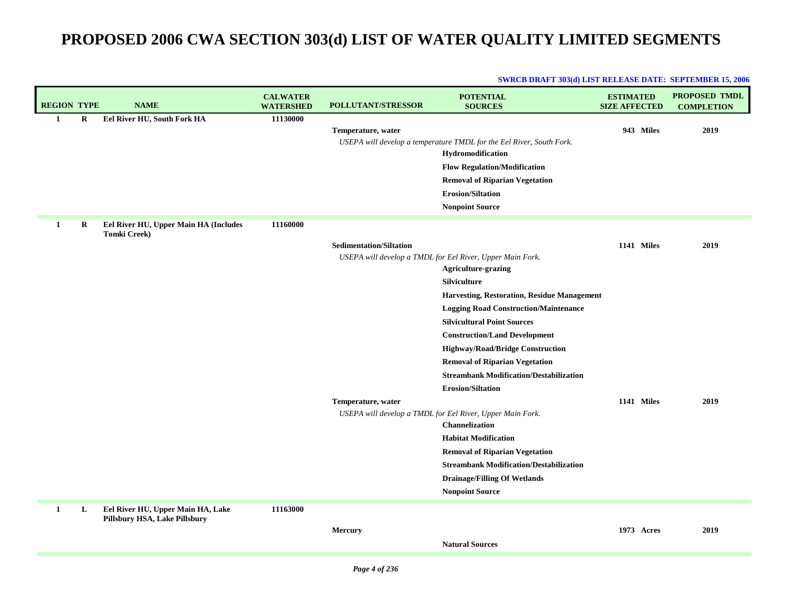| <b>REGION TYPE</b> |             | <b>NAME</b>                                                        | <b>CALWATER</b><br><b>WATERSHED</b> | <b>POLLUTANT/STRESSOR</b>      | <b>POTENTIAL</b><br><b>SOURCES</b>                                                                 | <b>ESTIMATED</b><br><b>SIZE AFFECTED</b> | PROPOSED TMDL<br><b>COMPLETION</b> |
|--------------------|-------------|--------------------------------------------------------------------|-------------------------------------|--------------------------------|----------------------------------------------------------------------------------------------------|------------------------------------------|------------------------------------|
| 1                  | $\mathbf R$ | Eel River HU, South Fork HA                                        | 11130000                            |                                |                                                                                                    |                                          |                                    |
|                    |             |                                                                    |                                     | Temperature, water             |                                                                                                    | 943 Miles                                | 2019                               |
|                    |             |                                                                    |                                     |                                | USEPA will develop a temperature TMDL for the Eel River, South Fork.<br>Hydromodification          |                                          |                                    |
|                    |             |                                                                    |                                     |                                | <b>Flow Regulation/Modification</b>                                                                |                                          |                                    |
|                    |             |                                                                    |                                     |                                | <b>Removal of Riparian Vegetation</b>                                                              |                                          |                                    |
|                    |             |                                                                    |                                     |                                | <b>Erosion/Siltation</b>                                                                           |                                          |                                    |
|                    |             |                                                                    |                                     |                                | <b>Nonpoint Source</b>                                                                             |                                          |                                    |
| $\mathbf{1}$       | R           | Eel River HU, Upper Main HA (Includes<br><b>Tomki Creek)</b>       | 11160000                            |                                |                                                                                                    |                                          |                                    |
|                    |             |                                                                    |                                     | <b>Sedimentation/Siltation</b> |                                                                                                    | 1141 Miles                               | 2019                               |
|                    |             |                                                                    |                                     |                                | USEPA will develop a TMDL for Eel River, Upper Main Fork.                                          |                                          |                                    |
|                    |             |                                                                    |                                     |                                | <b>Agriculture-grazing</b>                                                                         |                                          |                                    |
|                    |             |                                                                    |                                     |                                | Silviculture                                                                                       |                                          |                                    |
|                    |             |                                                                    |                                     |                                | <b>Harvesting, Restoration, Residue Management</b><br><b>Logging Road Construction/Maintenance</b> |                                          |                                    |
|                    |             |                                                                    |                                     |                                | <b>Silvicultural Point Sources</b>                                                                 |                                          |                                    |
|                    |             |                                                                    |                                     |                                | <b>Construction/Land Development</b>                                                               |                                          |                                    |
|                    |             |                                                                    |                                     |                                | Highway/Road/Bridge Construction                                                                   |                                          |                                    |
|                    |             |                                                                    |                                     |                                | <b>Removal of Riparian Vegetation</b>                                                              |                                          |                                    |
|                    |             |                                                                    |                                     |                                | <b>Streambank Modification/Destabilization</b>                                                     |                                          |                                    |
|                    |             |                                                                    |                                     |                                | <b>Erosion/Siltation</b>                                                                           |                                          |                                    |
|                    |             |                                                                    |                                     | Temperature, water             |                                                                                                    | 1141 Miles                               | 2019                               |
|                    |             |                                                                    |                                     |                                | USEPA will develop a TMDL for Eel River, Upper Main Fork.                                          |                                          |                                    |
|                    |             |                                                                    |                                     |                                | <b>Channelization</b>                                                                              |                                          |                                    |
|                    |             |                                                                    |                                     |                                | <b>Habitat Modification</b>                                                                        |                                          |                                    |
|                    |             |                                                                    |                                     |                                | <b>Removal of Riparian Vegetation</b>                                                              |                                          |                                    |
|                    |             |                                                                    |                                     |                                | <b>Streambank Modification/Destabilization</b>                                                     |                                          |                                    |
|                    |             |                                                                    |                                     |                                | <b>Drainage/Filling Of Wetlands</b>                                                                |                                          |                                    |
|                    |             |                                                                    |                                     |                                | <b>Nonpoint Source</b>                                                                             |                                          |                                    |
| $\mathbf{1}$       | L           | Eel River HU, Upper Main HA, Lake<br>Pillsbury HSA, Lake Pillsbury | 11163000                            |                                |                                                                                                    |                                          |                                    |
|                    |             |                                                                    |                                     | Mercury                        |                                                                                                    | 1973 Acres                               | 2019                               |
|                    |             |                                                                    |                                     |                                | <b>Natural Sources</b>                                                                             |                                          |                                    |
|                    |             |                                                                    |                                     |                                |                                                                                                    |                                          |                                    |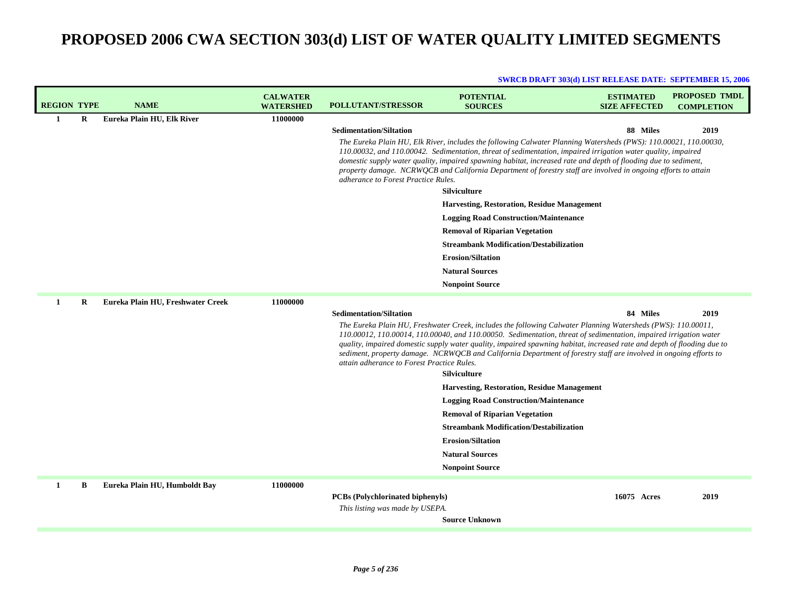| <b>REGION TYPE</b> |          | <b>NAME</b>                       | <b>CALWATER</b><br><b>WATERSHED</b> | <b>POLLUTANT/STRESSOR</b>                  | <b>POTENTIAL</b><br><b>SOURCES</b>                                                                                                                                                                                                                                                                                                                                                                                                                                                                       | <b>ESTIMATED</b><br><b>SIZE AFFECTED</b> | <b>PROPOSED TMDL</b><br><b>COMPLETION</b> |
|--------------------|----------|-----------------------------------|-------------------------------------|--------------------------------------------|----------------------------------------------------------------------------------------------------------------------------------------------------------------------------------------------------------------------------------------------------------------------------------------------------------------------------------------------------------------------------------------------------------------------------------------------------------------------------------------------------------|------------------------------------------|-------------------------------------------|
| 1                  | R        | Eureka Plain HU, Elk River        | 11000000                            |                                            |                                                                                                                                                                                                                                                                                                                                                                                                                                                                                                          |                                          |                                           |
|                    |          |                                   |                                     | <b>Sedimentation/Siltation</b>             |                                                                                                                                                                                                                                                                                                                                                                                                                                                                                                          | 88 Miles                                 | 2019                                      |
|                    |          |                                   |                                     | adherance to Forest Practice Rules.        | The Eureka Plain HU, Elk River, includes the following Calwater Planning Watersheds (PWS): 110.00021, 110.00030,<br>110.00032, and 110.00042. Sedimentation, threat of sedimentation, impaired irrigation water quality, impaired<br>domestic supply water quality, impaired spawning habitat, increased rate and depth of flooding due to sediment,<br>property damage. NCRWQCB and California Department of forestry staff are involved in ongoing efforts to attain                                   |                                          |                                           |
|                    |          |                                   |                                     |                                            | <b>Silviculture</b>                                                                                                                                                                                                                                                                                                                                                                                                                                                                                      |                                          |                                           |
|                    |          |                                   |                                     |                                            | <b>Harvesting, Restoration, Residue Management</b>                                                                                                                                                                                                                                                                                                                                                                                                                                                       |                                          |                                           |
|                    |          |                                   |                                     |                                            | <b>Logging Road Construction/Maintenance</b>                                                                                                                                                                                                                                                                                                                                                                                                                                                             |                                          |                                           |
|                    |          |                                   |                                     |                                            | <b>Removal of Riparian Vegetation</b>                                                                                                                                                                                                                                                                                                                                                                                                                                                                    |                                          |                                           |
|                    |          |                                   |                                     |                                            | <b>Streambank Modification/Destabilization</b>                                                                                                                                                                                                                                                                                                                                                                                                                                                           |                                          |                                           |
|                    |          |                                   |                                     |                                            | <b>Erosion/Siltation</b>                                                                                                                                                                                                                                                                                                                                                                                                                                                                                 |                                          |                                           |
|                    |          |                                   |                                     |                                            | <b>Natural Sources</b>                                                                                                                                                                                                                                                                                                                                                                                                                                                                                   |                                          |                                           |
|                    |          |                                   |                                     |                                            | <b>Nonpoint Source</b>                                                                                                                                                                                                                                                                                                                                                                                                                                                                                   |                                          |                                           |
| $\mathbf{1}$       | $\bf{R}$ | Eureka Plain HU, Freshwater Creek | 11000000                            |                                            |                                                                                                                                                                                                                                                                                                                                                                                                                                                                                                          |                                          |                                           |
|                    |          |                                   |                                     | <b>Sedimentation/Siltation</b>             |                                                                                                                                                                                                                                                                                                                                                                                                                                                                                                          | 84 Miles                                 | 2019                                      |
|                    |          |                                   |                                     | attain adherance to Forest Practice Rules. | The Eureka Plain HU, Freshwater Creek, includes the following Calwater Planning Watersheds (PWS): 110.00011,<br>110.00012, 110.00014, 110.00040, and 110.00050. Sedimentation, threat of sedimentation, impaired irrigation water<br>quality, impaired domestic supply water quality, impaired spawning habitat, increased rate and depth of flooding due to<br>sediment, property damage. NCRWQCB and California Department of forestry staff are involved in ongoing efforts to<br><b>Silviculture</b> |                                          |                                           |
|                    |          |                                   |                                     |                                            | <b>Harvesting, Restoration, Residue Management</b>                                                                                                                                                                                                                                                                                                                                                                                                                                                       |                                          |                                           |
|                    |          |                                   |                                     |                                            | <b>Logging Road Construction/Maintenance</b>                                                                                                                                                                                                                                                                                                                                                                                                                                                             |                                          |                                           |
|                    |          |                                   |                                     |                                            | <b>Removal of Riparian Vegetation</b>                                                                                                                                                                                                                                                                                                                                                                                                                                                                    |                                          |                                           |
|                    |          |                                   |                                     |                                            | <b>Streambank Modification/Destabilization</b>                                                                                                                                                                                                                                                                                                                                                                                                                                                           |                                          |                                           |
|                    |          |                                   |                                     |                                            | <b>Erosion/Siltation</b>                                                                                                                                                                                                                                                                                                                                                                                                                                                                                 |                                          |                                           |
|                    |          |                                   |                                     |                                            | <b>Natural Sources</b>                                                                                                                                                                                                                                                                                                                                                                                                                                                                                   |                                          |                                           |
|                    |          |                                   |                                     |                                            | <b>Nonpoint Source</b>                                                                                                                                                                                                                                                                                                                                                                                                                                                                                   |                                          |                                           |
| $\mathbf{1}$       | В        | Eureka Plain HU, Humboldt Bay     | 11000000                            |                                            |                                                                                                                                                                                                                                                                                                                                                                                                                                                                                                          |                                          |                                           |
|                    |          |                                   |                                     | <b>PCBs</b> (Polychlorinated biphenyls)    |                                                                                                                                                                                                                                                                                                                                                                                                                                                                                                          | 16075 Acres                              | 2019                                      |
|                    |          |                                   |                                     | This listing was made by USEPA.            |                                                                                                                                                                                                                                                                                                                                                                                                                                                                                                          |                                          |                                           |
|                    |          |                                   |                                     |                                            | <b>Source Unknown</b>                                                                                                                                                                                                                                                                                                                                                                                                                                                                                    |                                          |                                           |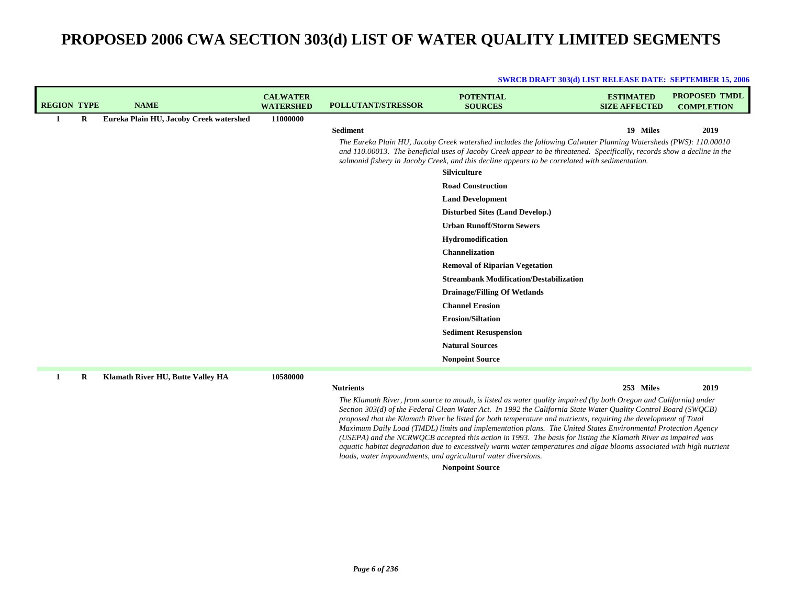| <b>REGION TYPE</b> |         | <b>NAME</b>                             | <b>CALWATER</b><br><b>WATERSHED</b> | <b>POLLUTANT/STRESSOR</b> | <b>POTENTIAL</b><br><b>SOURCES</b>                                                                                                                                                                                                                                                                                                                             | <b>ESTIMATED</b><br><b>SIZE AFFECTED</b> | <b>PROPOSED TMDL</b><br><b>COMPLETION</b> |
|--------------------|---------|-----------------------------------------|-------------------------------------|---------------------------|----------------------------------------------------------------------------------------------------------------------------------------------------------------------------------------------------------------------------------------------------------------------------------------------------------------------------------------------------------------|------------------------------------------|-------------------------------------------|
| 1                  | $\bf R$ | Eureka Plain HU, Jacoby Creek watershed | 11000000                            |                           |                                                                                                                                                                                                                                                                                                                                                                |                                          |                                           |
|                    |         |                                         |                                     | <b>Sediment</b>           |                                                                                                                                                                                                                                                                                                                                                                | 19 Miles                                 | 2019                                      |
|                    |         |                                         |                                     |                           | The Eureka Plain HU, Jacoby Creek watershed includes the following Calwater Planning Watersheds (PWS): 110.00010<br>and 110.00013. The beneficial uses of Jacoby Creek appear to be threatened. Specifically, records show a decline in the<br>salmonid fishery in Jacoby Creek, and this decline appears to be correlated with sedimentation.<br>Silviculture |                                          |                                           |
|                    |         |                                         |                                     |                           | <b>Road Construction</b>                                                                                                                                                                                                                                                                                                                                       |                                          |                                           |
|                    |         |                                         |                                     |                           | <b>Land Development</b>                                                                                                                                                                                                                                                                                                                                        |                                          |                                           |
|                    |         |                                         |                                     |                           | <b>Disturbed Sites (Land Develop.)</b>                                                                                                                                                                                                                                                                                                                         |                                          |                                           |
|                    |         |                                         |                                     |                           | <b>Urban Runoff/Storm Sewers</b>                                                                                                                                                                                                                                                                                                                               |                                          |                                           |
|                    |         |                                         |                                     |                           | Hydromodification                                                                                                                                                                                                                                                                                                                                              |                                          |                                           |
|                    |         |                                         |                                     |                           | <b>Channelization</b>                                                                                                                                                                                                                                                                                                                                          |                                          |                                           |
|                    |         |                                         |                                     |                           | <b>Removal of Riparian Vegetation</b>                                                                                                                                                                                                                                                                                                                          |                                          |                                           |
|                    |         |                                         |                                     |                           | <b>Streambank Modification/Destabilization</b>                                                                                                                                                                                                                                                                                                                 |                                          |                                           |
|                    |         |                                         |                                     |                           | <b>Drainage/Filling Of Wetlands</b>                                                                                                                                                                                                                                                                                                                            |                                          |                                           |
|                    |         |                                         |                                     |                           | <b>Channel Erosion</b>                                                                                                                                                                                                                                                                                                                                         |                                          |                                           |
|                    |         |                                         |                                     |                           | <b>Erosion/Siltation</b>                                                                                                                                                                                                                                                                                                                                       |                                          |                                           |
|                    |         |                                         |                                     |                           | <b>Sediment Resuspension</b>                                                                                                                                                                                                                                                                                                                                   |                                          |                                           |
|                    |         |                                         |                                     |                           | <b>Natural Sources</b>                                                                                                                                                                                                                                                                                                                                         |                                          |                                           |
|                    |         |                                         |                                     |                           | <b>Nonpoint Source</b>                                                                                                                                                                                                                                                                                                                                         |                                          |                                           |
| 1                  | $\bf R$ | Klamath River HU, Butte Valley HA       | 10580000                            |                           |                                                                                                                                                                                                                                                                                                                                                                |                                          |                                           |
|                    |         |                                         |                                     | <b>Nutrients</b>          |                                                                                                                                                                                                                                                                                                                                                                | 253 Miles                                | 2019                                      |

#### **SWRCB DRAFT 303(d) LIST RELEASE DATE: SEPTEMBER 15, 2006**

 **2019 Miles**

The Klamath River, from source to mouth, is listed as water quality impaired (by both Oregon and California) under Section 303(d) of the Federal Clean Water Act. In 1992 the California State Water Quality Control Board (SWQCB) proposed that the Klamath River be listed for both temperature and nutrients, requiring the development of Total *Maximum Daily Load (TMDL) limits and implementation plans. The United States Environmental Protection Agency* (USEPA) and the NCRWQCB accepted this action in 1993. The basis for listing the Klamath River as impaired was aquatic habitat degradation due to excessively warm water temperatures and algae blooms associated with high nutrient *loads, water impoundments, and agricultural water diversions.*

### **Nonpoint Source**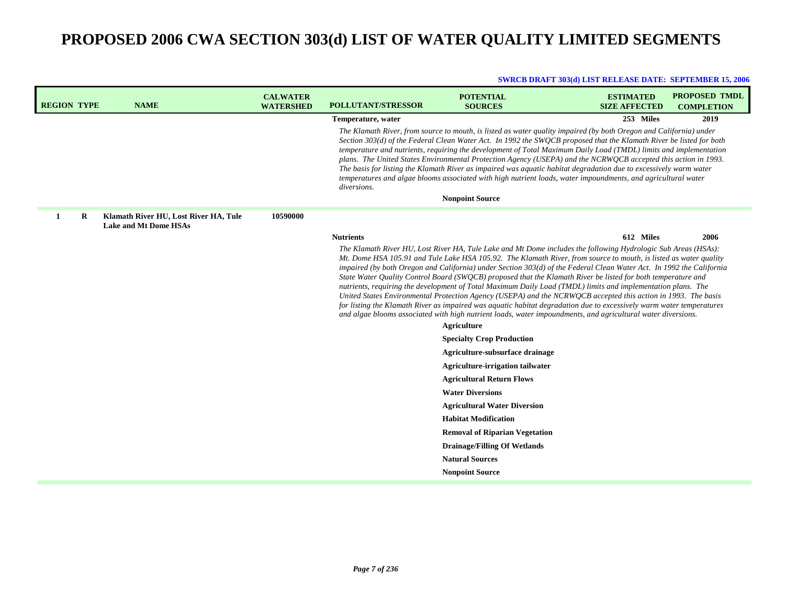| <b>REGION TYPE</b> | <b>NAME</b>                                                           | <b>CALWATER</b><br><b>WATERSHED</b> | <b>POLLUTANT/STRESSOR</b>         | <b>POTENTIAL</b><br><b>SOURCES</b>                                                                                                                                                                                                                                                                                                                                                                                                                                                                                                                                                                                                                                                                                                                                                                                                                                                                                                                                  | <b>ESTIMATED</b><br><b>SIZE AFFECTED</b> | <b>PROPOSED TMDL</b><br><b>COMPLETION</b> |
|--------------------|-----------------------------------------------------------------------|-------------------------------------|-----------------------------------|---------------------------------------------------------------------------------------------------------------------------------------------------------------------------------------------------------------------------------------------------------------------------------------------------------------------------------------------------------------------------------------------------------------------------------------------------------------------------------------------------------------------------------------------------------------------------------------------------------------------------------------------------------------------------------------------------------------------------------------------------------------------------------------------------------------------------------------------------------------------------------------------------------------------------------------------------------------------|------------------------------------------|-------------------------------------------|
|                    |                                                                       |                                     | Temperature, water<br>diversions. | The Klamath River, from source to mouth, is listed as water quality impaired (by both Oregon and California) under<br>Section 303(d) of the Federal Clean Water Act. In 1992 the SWQCB proposed that the Klamath River be listed for both<br>temperature and nutrients, requiring the development of Total Maximum Daily Load (TMDL) limits and implementation<br>plans. The United States Environmental Protection Agency (USEPA) and the NCRWOCB accepted this action in 1993.<br>The basis for listing the Klamath River as impaired was aquatic habitat degradation due to excessively warm water<br>temperatures and algae blooms associated with high nutrient loads, water impoundments, and agricultural water                                                                                                                                                                                                                                              | 253 Miles                                | 2019                                      |
|                    |                                                                       |                                     |                                   | <b>Nonpoint Source</b>                                                                                                                                                                                                                                                                                                                                                                                                                                                                                                                                                                                                                                                                                                                                                                                                                                                                                                                                              |                                          |                                           |
| 1<br>R             | Klamath River HU, Lost River HA, Tule<br><b>Lake and Mt Dome HSAs</b> | 10590000                            |                                   |                                                                                                                                                                                                                                                                                                                                                                                                                                                                                                                                                                                                                                                                                                                                                                                                                                                                                                                                                                     |                                          |                                           |
|                    |                                                                       |                                     | <b>Nutrients</b>                  |                                                                                                                                                                                                                                                                                                                                                                                                                                                                                                                                                                                                                                                                                                                                                                                                                                                                                                                                                                     | 612 Miles                                | 2006                                      |
|                    |                                                                       |                                     |                                   | The Klamath River HU, Lost River HA, Tule Lake and Mt Dome includes the following Hydrologic Sub Areas (HSAs):<br>Mt. Dome HSA 105.91 and Tule Lake HSA 105.92. The Klamath River, from source to mouth, is listed as water quality<br>impaired (by both Oregon and California) under Section 303(d) of the Federal Clean Water Act. In 1992 the California<br>State Water Quality Control Board (SWQCB) proposed that the Klamath River be listed for both temperature and<br>nutrients, requiring the development of Total Maximum Daily Load (TMDL) limits and implementation plans. The<br>United States Environmental Protection Agency (USEPA) and the NCRWQCB accepted this action in 1993. The basis<br>for listing the Klamath River as impaired was aquatic habitat degradation due to excessively warm water temperatures<br>and algae blooms associated with high nutrient loads, water impoundments, and agricultural water diversions.<br>Agriculture |                                          |                                           |
|                    |                                                                       |                                     |                                   | <b>Specialty Crop Production</b>                                                                                                                                                                                                                                                                                                                                                                                                                                                                                                                                                                                                                                                                                                                                                                                                                                                                                                                                    |                                          |                                           |
|                    |                                                                       |                                     |                                   | Agriculture-subsurface drainage                                                                                                                                                                                                                                                                                                                                                                                                                                                                                                                                                                                                                                                                                                                                                                                                                                                                                                                                     |                                          |                                           |
|                    |                                                                       |                                     |                                   | <b>Agriculture-irrigation tailwater</b><br><b>Agricultural Return Flows</b>                                                                                                                                                                                                                                                                                                                                                                                                                                                                                                                                                                                                                                                                                                                                                                                                                                                                                         |                                          |                                           |
|                    |                                                                       |                                     |                                   | <b>Water Diversions</b>                                                                                                                                                                                                                                                                                                                                                                                                                                                                                                                                                                                                                                                                                                                                                                                                                                                                                                                                             |                                          |                                           |
|                    |                                                                       |                                     |                                   | <b>Agricultural Water Diversion</b>                                                                                                                                                                                                                                                                                                                                                                                                                                                                                                                                                                                                                                                                                                                                                                                                                                                                                                                                 |                                          |                                           |
|                    |                                                                       |                                     |                                   | <b>Habitat Modification</b>                                                                                                                                                                                                                                                                                                                                                                                                                                                                                                                                                                                                                                                                                                                                                                                                                                                                                                                                         |                                          |                                           |
|                    |                                                                       |                                     |                                   | <b>Removal of Riparian Vegetation</b>                                                                                                                                                                                                                                                                                                                                                                                                                                                                                                                                                                                                                                                                                                                                                                                                                                                                                                                               |                                          |                                           |
|                    |                                                                       |                                     |                                   | <b>Drainage/Filling Of Wetlands</b>                                                                                                                                                                                                                                                                                                                                                                                                                                                                                                                                                                                                                                                                                                                                                                                                                                                                                                                                 |                                          |                                           |
|                    |                                                                       |                                     |                                   | <b>Natural Sources</b>                                                                                                                                                                                                                                                                                                                                                                                                                                                                                                                                                                                                                                                                                                                                                                                                                                                                                                                                              |                                          |                                           |
|                    |                                                                       |                                     |                                   | <b>Nonpoint Source</b>                                                                                                                                                                                                                                                                                                                                                                                                                                                                                                                                                                                                                                                                                                                                                                                                                                                                                                                                              |                                          |                                           |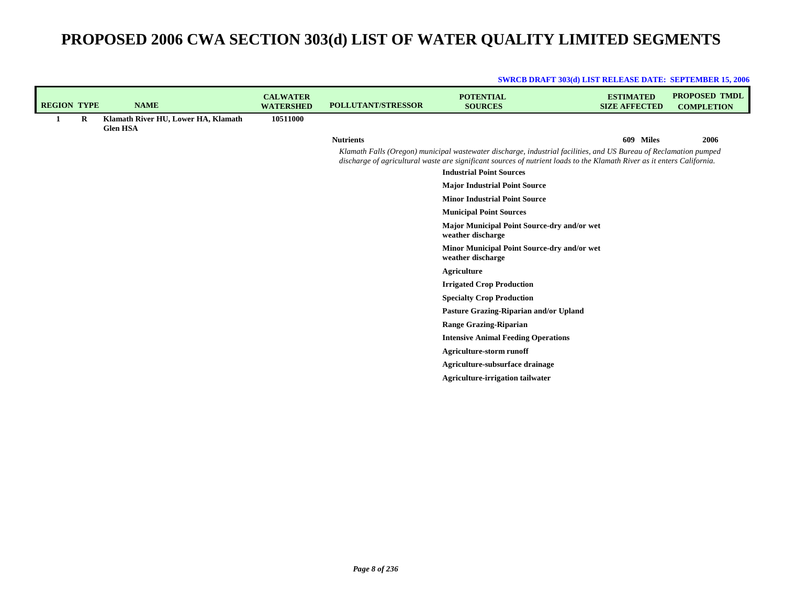|                    |   |                                                        |                                     |                           | <b>SWRCB DRAFT 303(d) LIST RELEASE DATE: SEPTEMBER 15, 2006</b>                                                                                                                                                                              |                                          |                                           |
|--------------------|---|--------------------------------------------------------|-------------------------------------|---------------------------|----------------------------------------------------------------------------------------------------------------------------------------------------------------------------------------------------------------------------------------------|------------------------------------------|-------------------------------------------|
| <b>REGION TYPE</b> |   | <b>NAME</b>                                            | <b>CALWATER</b><br><b>WATERSHED</b> | <b>POLLUTANT/STRESSOR</b> | <b>POTENTIAL</b><br><b>SOURCES</b>                                                                                                                                                                                                           | <b>ESTIMATED</b><br><b>SIZE AFFECTED</b> | <b>PROPOSED TMDL</b><br><b>COMPLETION</b> |
| 1                  | R | Klamath River HU, Lower HA, Klamath<br><b>Glen HSA</b> | 10511000                            |                           |                                                                                                                                                                                                                                              |                                          |                                           |
|                    |   |                                                        |                                     | <b>Nutrients</b>          |                                                                                                                                                                                                                                              | 609 Miles                                | 2006                                      |
|                    |   |                                                        |                                     |                           | Klamath Falls (Oregon) municipal wastewater discharge, industrial facilities, and US Bureau of Reclamation pumped<br>discharge of agricultural waste are significant sources of nutrient loads to the Klamath River as it enters California. |                                          |                                           |
|                    |   |                                                        |                                     |                           | <b>Industrial Point Sources</b>                                                                                                                                                                                                              |                                          |                                           |
|                    |   |                                                        |                                     |                           | <b>Major Industrial Point Source</b>                                                                                                                                                                                                         |                                          |                                           |
|                    |   |                                                        |                                     |                           | <b>Minor Industrial Point Source</b>                                                                                                                                                                                                         |                                          |                                           |
|                    |   |                                                        |                                     |                           | <b>Municipal Point Sources</b>                                                                                                                                                                                                               |                                          |                                           |
|                    |   |                                                        |                                     |                           | Major Municipal Point Source-dry and/or wet<br>weather discharge                                                                                                                                                                             |                                          |                                           |
|                    |   |                                                        |                                     |                           | Minor Municipal Point Source-dry and/or wet<br>weather discharge                                                                                                                                                                             |                                          |                                           |
|                    |   |                                                        |                                     |                           | <b>Agriculture</b>                                                                                                                                                                                                                           |                                          |                                           |
|                    |   |                                                        |                                     |                           | <b>Irrigated Crop Production</b>                                                                                                                                                                                                             |                                          |                                           |
|                    |   |                                                        |                                     |                           | <b>Specialty Crop Production</b>                                                                                                                                                                                                             |                                          |                                           |
|                    |   |                                                        |                                     |                           | Pasture Grazing-Riparian and/or Upland                                                                                                                                                                                                       |                                          |                                           |
|                    |   |                                                        |                                     |                           | <b>Range Grazing-Riparian</b>                                                                                                                                                                                                                |                                          |                                           |
|                    |   |                                                        |                                     |                           | <b>Intensive Animal Feeding Operations</b>                                                                                                                                                                                                   |                                          |                                           |
|                    |   |                                                        |                                     |                           | <b>Agriculture-storm runoff</b>                                                                                                                                                                                                              |                                          |                                           |
|                    |   |                                                        |                                     |                           | Agriculture-subsurface drainage                                                                                                                                                                                                              |                                          |                                           |
|                    |   |                                                        |                                     |                           | <b>Agriculture-irrigation tailwater</b>                                                                                                                                                                                                      |                                          |                                           |
|                    |   |                                                        |                                     |                           |                                                                                                                                                                                                                                              |                                          |                                           |
|                    |   |                                                        |                                     |                           |                                                                                                                                                                                                                                              |                                          |                                           |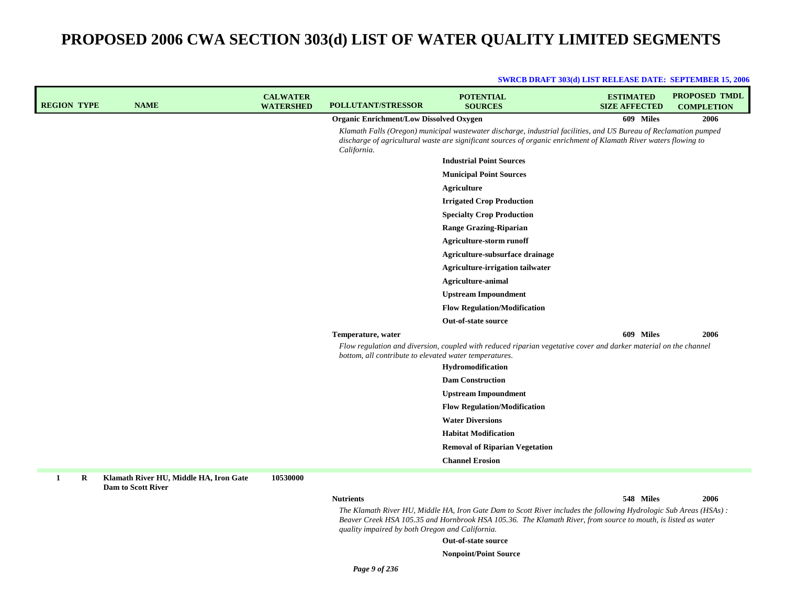#### **SWRCB DRAFT 303(d) LIST RELEASE DATE: SEPTEMBER 15, 2006**

| <b>REGION TYPE</b> |         | <b>NAME</b>                                                  | <b>CALWATER</b><br><b>WATERSHED</b> | <b>POLLUTANT/STRESSOR</b>                              | <b>POTENTIAL</b><br><b>SOURCES</b>                                                                                                                                                                                                    | <b>ESTIMATED</b><br><b>SIZE AFFECTED</b> | <b>PROPOSED TMDL</b><br><b>COMPLETION</b> |
|--------------------|---------|--------------------------------------------------------------|-------------------------------------|--------------------------------------------------------|---------------------------------------------------------------------------------------------------------------------------------------------------------------------------------------------------------------------------------------|------------------------------------------|-------------------------------------------|
|                    |         |                                                              |                                     | <b>Organic Enrichment/Low Dissolved Oxygen</b>         |                                                                                                                                                                                                                                       | 609 Miles                                | 2006                                      |
|                    |         |                                                              |                                     | California.                                            | Klamath Falls (Oregon) municipal wastewater discharge, industrial facilities, and US Bureau of Reclamation pumped<br>discharge of agricultural waste are significant sources of organic enrichment of Klamath River waters flowing to |                                          |                                           |
|                    |         |                                                              |                                     |                                                        | <b>Industrial Point Sources</b>                                                                                                                                                                                                       |                                          |                                           |
|                    |         |                                                              |                                     |                                                        | <b>Municipal Point Sources</b>                                                                                                                                                                                                        |                                          |                                           |
|                    |         |                                                              |                                     |                                                        | <b>Agriculture</b>                                                                                                                                                                                                                    |                                          |                                           |
|                    |         |                                                              |                                     |                                                        | <b>Irrigated Crop Production</b>                                                                                                                                                                                                      |                                          |                                           |
|                    |         |                                                              |                                     |                                                        | <b>Specialty Crop Production</b>                                                                                                                                                                                                      |                                          |                                           |
|                    |         |                                                              |                                     |                                                        | <b>Range Grazing-Riparian</b>                                                                                                                                                                                                         |                                          |                                           |
|                    |         |                                                              |                                     |                                                        | Agriculture-storm runoff                                                                                                                                                                                                              |                                          |                                           |
|                    |         |                                                              |                                     |                                                        | Agriculture-subsurface drainage                                                                                                                                                                                                       |                                          |                                           |
|                    |         |                                                              |                                     |                                                        | Agriculture-irrigation tailwater                                                                                                                                                                                                      |                                          |                                           |
|                    |         |                                                              |                                     |                                                        | <b>Agriculture-animal</b>                                                                                                                                                                                                             |                                          |                                           |
|                    |         |                                                              |                                     |                                                        | <b>Upstream Impoundment</b>                                                                                                                                                                                                           |                                          |                                           |
|                    |         |                                                              |                                     |                                                        | <b>Flow Regulation/Modification</b>                                                                                                                                                                                                   |                                          |                                           |
|                    |         |                                                              |                                     |                                                        | Out-of-state source                                                                                                                                                                                                                   |                                          |                                           |
|                    |         |                                                              |                                     | Temperature, water                                     |                                                                                                                                                                                                                                       | 609 Miles                                | 2006                                      |
|                    |         |                                                              |                                     | bottom, all contribute to elevated water temperatures. | Flow regulation and diversion, coupled with reduced riparian vegetative cover and darker material on the channel                                                                                                                      |                                          |                                           |
|                    |         |                                                              |                                     |                                                        | Hydromodification                                                                                                                                                                                                                     |                                          |                                           |
|                    |         |                                                              |                                     |                                                        | <b>Dam Construction</b>                                                                                                                                                                                                               |                                          |                                           |
|                    |         |                                                              |                                     |                                                        | <b>Upstream Impoundment</b>                                                                                                                                                                                                           |                                          |                                           |
|                    |         |                                                              |                                     |                                                        | <b>Flow Regulation/Modification</b>                                                                                                                                                                                                   |                                          |                                           |
|                    |         |                                                              |                                     |                                                        | <b>Water Diversions</b>                                                                                                                                                                                                               |                                          |                                           |
|                    |         |                                                              |                                     |                                                        | <b>Habitat Modification</b>                                                                                                                                                                                                           |                                          |                                           |
|                    |         |                                                              |                                     |                                                        | <b>Removal of Riparian Vegetation</b>                                                                                                                                                                                                 |                                          |                                           |
|                    |         |                                                              |                                     |                                                        | <b>Channel Erosion</b>                                                                                                                                                                                                                |                                          |                                           |
| $\mathbf{1}$       | $\bf R$ | Klamath River HU, Middle HA, Iron Gate<br>Dam to Scott River | 10530000                            |                                                        |                                                                                                                                                                                                                                       |                                          |                                           |
|                    |         |                                                              |                                     | <b>Nutrients</b>                                       |                                                                                                                                                                                                                                       | 548 Miles                                | 2006                                      |
|                    |         |                                                              |                                     |                                                        | The Klamath River HII Middle HA. Iron Gate Dam to Scott River includes the following Hydrologic Sub Areas (HSAs)                                                                                                                      |                                          |                                           |

The Klamath River HU, Middle HA, Iron Gate Dam to Scott River includes the following Hydrologic Sub Areas (HSAs) :<br>Beaver Creek HSA 105.35 and Hornbrook HSA 105.36. The Klamath River, from source to mouth, is listed as wa *quality impaired by both Oregon and California.*

#### **Out-of-state source**

**Nonpoint/Point Source**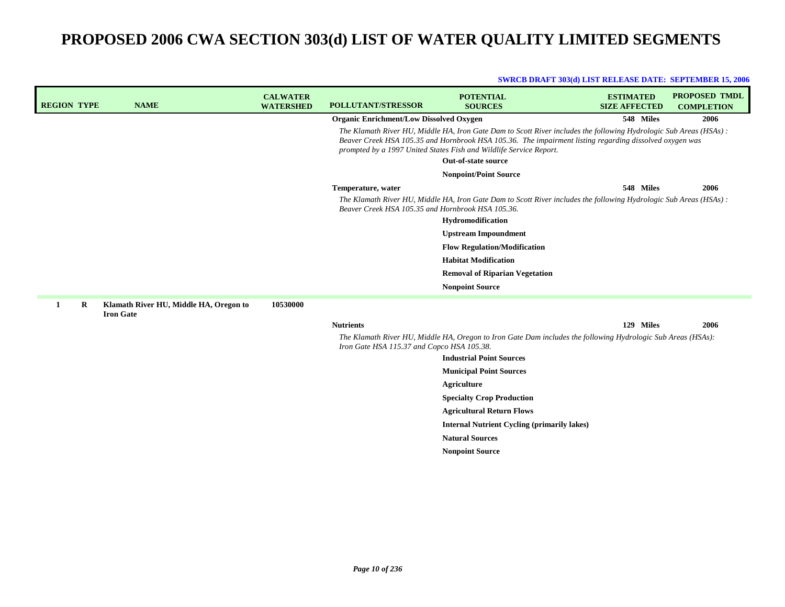| <b>REGION TYPE</b>      | <b>NAME</b>                                                | <b>CALWATER</b><br><b>WATERSHED</b> | <b>POLLUTANT/STRESSOR</b>                         | <b>POTENTIAL</b><br><b>SOURCES</b>                                                                                                                                                                                                                                                                 | <b>ESTIMATED</b><br><b>SIZE AFFECTED</b> | <b>PROPOSED TMDL</b><br><b>COMPLETION</b> |
|-------------------------|------------------------------------------------------------|-------------------------------------|---------------------------------------------------|----------------------------------------------------------------------------------------------------------------------------------------------------------------------------------------------------------------------------------------------------------------------------------------------------|------------------------------------------|-------------------------------------------|
|                         |                                                            |                                     | <b>Organic Enrichment/Low Dissolved Oxygen</b>    |                                                                                                                                                                                                                                                                                                    | 548 Miles                                | 2006                                      |
|                         |                                                            |                                     |                                                   | The Klamath River HU, Middle HA, Iron Gate Dam to Scott River includes the following Hydrologic Sub Areas (HSAs):<br>Beaver Creek HSA 105.35 and Hornbrook HSA 105.36. The impairment listing regarding dissolved oxygen was<br>prompted by a 1997 United States Fish and Wildlife Service Report. |                                          |                                           |
|                         |                                                            |                                     |                                                   | Out-of-state source                                                                                                                                                                                                                                                                                |                                          |                                           |
|                         |                                                            |                                     |                                                   | <b>Nonpoint/Point Source</b>                                                                                                                                                                                                                                                                       |                                          |                                           |
|                         |                                                            |                                     | Temperature, water                                |                                                                                                                                                                                                                                                                                                    | 548 Miles                                | 2006                                      |
|                         |                                                            |                                     | Beaver Creek HSA 105.35 and Hornbrook HSA 105.36. | The Klamath River HU, Middle HA, Iron Gate Dam to Scott River includes the following Hydrologic Sub Areas (HSAs):                                                                                                                                                                                  |                                          |                                           |
|                         |                                                            |                                     |                                                   | Hydromodification                                                                                                                                                                                                                                                                                  |                                          |                                           |
|                         |                                                            |                                     |                                                   | <b>Upstream Impoundment</b>                                                                                                                                                                                                                                                                        |                                          |                                           |
|                         |                                                            |                                     |                                                   | <b>Flow Regulation/Modification</b>                                                                                                                                                                                                                                                                |                                          |                                           |
|                         |                                                            |                                     |                                                   | <b>Habitat Modification</b>                                                                                                                                                                                                                                                                        |                                          |                                           |
|                         |                                                            |                                     |                                                   | <b>Removal of Riparian Vegetation</b>                                                                                                                                                                                                                                                              |                                          |                                           |
|                         |                                                            |                                     |                                                   | <b>Nonpoint Source</b>                                                                                                                                                                                                                                                                             |                                          |                                           |
| $\mathbf{1}$<br>$\bf R$ | Klamath River HU, Middle HA, Oregon to<br><b>Iron Gate</b> | 10530000                            |                                                   |                                                                                                                                                                                                                                                                                                    |                                          |                                           |
|                         |                                                            |                                     | <b>Nutrients</b>                                  |                                                                                                                                                                                                                                                                                                    | 129 Miles                                | 2006                                      |
|                         |                                                            |                                     | Iron Gate HSA 115.37 and Copco HSA 105.38.        | The Klamath River HU, Middle HA, Oregon to Iron Gate Dam includes the following Hydrologic Sub Areas (HSAs):                                                                                                                                                                                       |                                          |                                           |
|                         |                                                            |                                     |                                                   | <b>Industrial Point Sources</b>                                                                                                                                                                                                                                                                    |                                          |                                           |
|                         |                                                            |                                     |                                                   | <b>Municipal Point Sources</b>                                                                                                                                                                                                                                                                     |                                          |                                           |
|                         |                                                            |                                     |                                                   | Agriculture                                                                                                                                                                                                                                                                                        |                                          |                                           |
|                         |                                                            |                                     |                                                   | <b>Specialty Crop Production</b>                                                                                                                                                                                                                                                                   |                                          |                                           |
|                         |                                                            |                                     |                                                   | <b>Agricultural Return Flows</b>                                                                                                                                                                                                                                                                   |                                          |                                           |
|                         |                                                            |                                     |                                                   | <b>Internal Nutrient Cycling (primarily lakes)</b>                                                                                                                                                                                                                                                 |                                          |                                           |
|                         |                                                            |                                     |                                                   | <b>Natural Sources</b>                                                                                                                                                                                                                                                                             |                                          |                                           |
|                         |                                                            |                                     |                                                   | <b>Nonpoint Source</b>                                                                                                                                                                                                                                                                             |                                          |                                           |
|                         |                                                            |                                     |                                                   |                                                                                                                                                                                                                                                                                                    |                                          |                                           |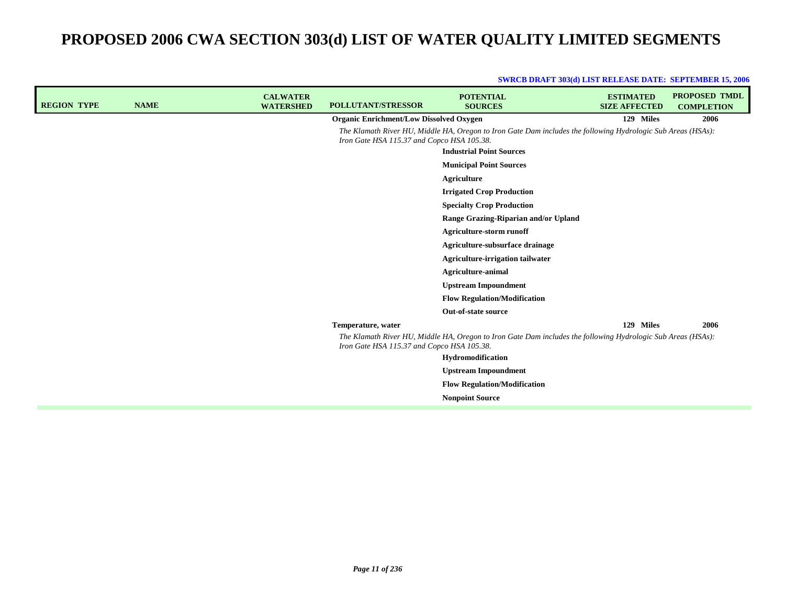|  | <b>SWRCB DRAFT 303(d) LIST RELEASE DATE: SEPTEMBER 15, 2006</b> |  |
|--|-----------------------------------------------------------------|--|
|--|-----------------------------------------------------------------|--|

| <b>REGION TYPE</b> | <b>NAME</b> | <b>CALWATER</b><br><b>WATERSHED</b> | <b>POLLUTANT/STRESSOR</b>                      | <b>POTENTIAL</b><br><b>SOURCES</b>                                                                           | <b>ESTIMATED</b><br><b>SIZE AFFECTED</b> | <b>PROPOSED TMDL</b><br><b>COMPLETION</b> |
|--------------------|-------------|-------------------------------------|------------------------------------------------|--------------------------------------------------------------------------------------------------------------|------------------------------------------|-------------------------------------------|
|                    |             |                                     | <b>Organic Enrichment/Low Dissolved Oxygen</b> |                                                                                                              | 129 Miles                                | 2006                                      |
|                    |             |                                     | Iron Gate HSA 115.37 and Copco HSA 105.38.     | The Klamath River HU, Middle HA, Oregon to Iron Gate Dam includes the following Hydrologic Sub Areas (HSAs): |                                          |                                           |
|                    |             |                                     |                                                | <b>Industrial Point Sources</b>                                                                              |                                          |                                           |
|                    |             |                                     |                                                | <b>Municipal Point Sources</b>                                                                               |                                          |                                           |
|                    |             |                                     |                                                | Agriculture                                                                                                  |                                          |                                           |
|                    |             |                                     |                                                | <b>Irrigated Crop Production</b>                                                                             |                                          |                                           |
|                    |             |                                     |                                                | <b>Specialty Crop Production</b>                                                                             |                                          |                                           |
|                    |             |                                     |                                                | Range Grazing-Riparian and/or Upland                                                                         |                                          |                                           |
|                    |             |                                     |                                                | <b>Agriculture-storm runoff</b>                                                                              |                                          |                                           |
|                    |             |                                     |                                                | Agriculture-subsurface drainage                                                                              |                                          |                                           |
|                    |             |                                     |                                                | <b>Agriculture-irrigation tailwater</b>                                                                      |                                          |                                           |
|                    |             |                                     |                                                | <b>Agriculture-animal</b>                                                                                    |                                          |                                           |
|                    |             |                                     |                                                | <b>Upstream Impoundment</b>                                                                                  |                                          |                                           |
|                    |             |                                     |                                                | <b>Flow Regulation/Modification</b>                                                                          |                                          |                                           |
|                    |             |                                     |                                                | Out-of-state source                                                                                          |                                          |                                           |
|                    |             |                                     | Temperature, water                             |                                                                                                              | 129 Miles                                | 2006                                      |
|                    |             |                                     | Iron Gate HSA 115.37 and Copco HSA 105.38.     | The Klamath River HU, Middle HA, Oregon to Iron Gate Dam includes the following Hydrologic Sub Areas (HSAs): |                                          |                                           |
|                    |             |                                     |                                                | Hydromodification                                                                                            |                                          |                                           |
|                    |             |                                     |                                                | <b>Upstream Impoundment</b>                                                                                  |                                          |                                           |
|                    |             |                                     |                                                | <b>Flow Regulation/Modification</b>                                                                          |                                          |                                           |
|                    |             |                                     |                                                | <b>Nonpoint Source</b>                                                                                       |                                          |                                           |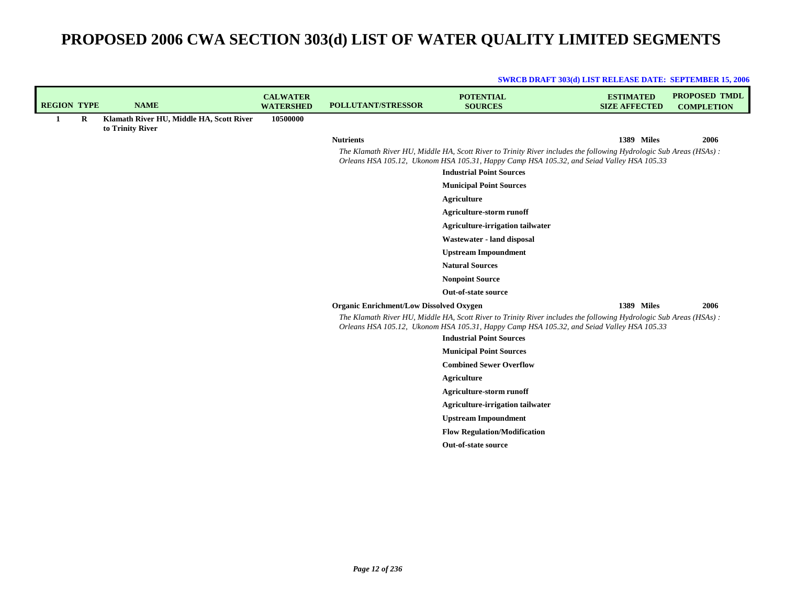|                    |   |                                                              |                                     |                                                | <b>SWRCB DRAFT 303(d) LIST RELEASE DATE: SEPTEMBER 15, 2006</b>                                                                                                                                                |                                          |                                    |
|--------------------|---|--------------------------------------------------------------|-------------------------------------|------------------------------------------------|----------------------------------------------------------------------------------------------------------------------------------------------------------------------------------------------------------------|------------------------------------------|------------------------------------|
| <b>REGION TYPE</b> |   | <b>NAME</b>                                                  | <b>CALWATER</b><br><b>WATERSHED</b> | <b>POLLUTANT/STRESSOR</b>                      | <b>POTENTIAL</b><br><b>SOURCES</b>                                                                                                                                                                             | <b>ESTIMATED</b><br><b>SIZE AFFECTED</b> | PROPOSED TMDL<br><b>COMPLETION</b> |
| 1                  | R | Klamath River HU, Middle HA, Scott River<br>to Trinity River | 10500000                            |                                                |                                                                                                                                                                                                                |                                          |                                    |
|                    |   |                                                              |                                     | <b>Nutrients</b>                               |                                                                                                                                                                                                                | 1389 Miles                               | 2006                               |
|                    |   |                                                              |                                     |                                                | The Klamath River HU, Middle HA, Scott River to Trinity River includes the following Hydrologic Sub Areas (HSAs):<br>Orleans HSA 105.12, Ukonom HSA 105.31, Happy Camp HSA 105.32, and Seiad Valley HSA 105.33 |                                          |                                    |
|                    |   |                                                              |                                     |                                                | <b>Industrial Point Sources</b>                                                                                                                                                                                |                                          |                                    |
|                    |   |                                                              |                                     |                                                | <b>Municipal Point Sources</b>                                                                                                                                                                                 |                                          |                                    |
|                    |   |                                                              |                                     |                                                | <b>Agriculture</b>                                                                                                                                                                                             |                                          |                                    |
|                    |   |                                                              |                                     |                                                | <b>Agriculture-storm runoff</b>                                                                                                                                                                                |                                          |                                    |
|                    |   |                                                              |                                     |                                                | Agriculture-irrigation tailwater                                                                                                                                                                               |                                          |                                    |
|                    |   |                                                              |                                     |                                                | Wastewater - land disposal                                                                                                                                                                                     |                                          |                                    |
|                    |   |                                                              |                                     |                                                | <b>Upstream Impoundment</b>                                                                                                                                                                                    |                                          |                                    |
|                    |   |                                                              |                                     |                                                | <b>Natural Sources</b>                                                                                                                                                                                         |                                          |                                    |
|                    |   |                                                              |                                     |                                                | <b>Nonpoint Source</b>                                                                                                                                                                                         |                                          |                                    |
|                    |   |                                                              |                                     |                                                | Out-of-state source                                                                                                                                                                                            |                                          |                                    |
|                    |   |                                                              |                                     | <b>Organic Enrichment/Low Dissolved Oxygen</b> |                                                                                                                                                                                                                | 1389 Miles                               | 2006                               |
|                    |   |                                                              |                                     |                                                | The Klamath River HU, Middle HA, Scott River to Trinity River includes the following Hydrologic Sub Areas (HSAs):<br>Orleans HSA 105.12, Ukonom HSA 105.31, Happy Camp HSA 105.32, and Seiad Valley HSA 105.33 |                                          |                                    |
|                    |   |                                                              |                                     |                                                | <b>Industrial Point Sources</b>                                                                                                                                                                                |                                          |                                    |
|                    |   |                                                              |                                     |                                                | <b>Municipal Point Sources</b>                                                                                                                                                                                 |                                          |                                    |
|                    |   |                                                              |                                     |                                                | <b>Combined Sewer Overflow</b>                                                                                                                                                                                 |                                          |                                    |
|                    |   |                                                              |                                     |                                                | <b>Agriculture</b>                                                                                                                                                                                             |                                          |                                    |
|                    |   |                                                              |                                     |                                                | <b>Agriculture-storm runoff</b>                                                                                                                                                                                |                                          |                                    |
|                    |   |                                                              |                                     |                                                | <b>Agriculture-irrigation tailwater</b>                                                                                                                                                                        |                                          |                                    |
|                    |   |                                                              |                                     |                                                | <b>Upstream Impoundment</b>                                                                                                                                                                                    |                                          |                                    |
|                    |   |                                                              |                                     |                                                | <b>Flow Regulation/Modification</b>                                                                                                                                                                            |                                          |                                    |
|                    |   |                                                              |                                     |                                                | Out-of-state source                                                                                                                                                                                            |                                          |                                    |
|                    |   |                                                              |                                     |                                                |                                                                                                                                                                                                                |                                          |                                    |
|                    |   |                                                              |                                     |                                                |                                                                                                                                                                                                                |                                          |                                    |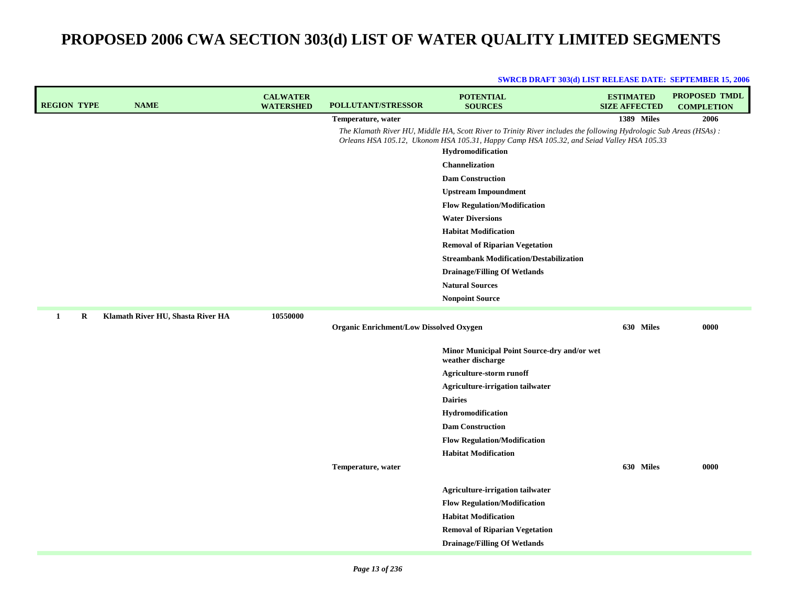| <b>REGION TYPE</b> |   | <b>NAME</b>                       | <b>CALWATER</b><br><b>WATERSHED</b> | POLLUTANT/STRESSOR                             | <b>POTENTIAL</b><br><b>SOURCES</b>                                                                                                                                                                                                  | <b>ESTIMATED</b><br><b>SIZE AFFECTED</b> | <b>PROPOSED TMDL</b><br><b>COMPLETION</b> |
|--------------------|---|-----------------------------------|-------------------------------------|------------------------------------------------|-------------------------------------------------------------------------------------------------------------------------------------------------------------------------------------------------------------------------------------|------------------------------------------|-------------------------------------------|
|                    |   |                                   |                                     | Temperature, water                             |                                                                                                                                                                                                                                     | 1389 Miles                               | 2006                                      |
|                    |   |                                   |                                     |                                                | The Klamath River HU, Middle HA, Scott River to Trinity River includes the following Hydrologic Sub Areas (HSAs):<br>Orleans HSA 105.12, Ukonom HSA 105.31, Happy Camp HSA 105.32, and Seiad Valley HSA 105.33<br>Hydromodification |                                          |                                           |
|                    |   |                                   |                                     |                                                | Channelization                                                                                                                                                                                                                      |                                          |                                           |
|                    |   |                                   |                                     |                                                | <b>Dam Construction</b>                                                                                                                                                                                                             |                                          |                                           |
|                    |   |                                   |                                     |                                                | <b>Upstream Impoundment</b>                                                                                                                                                                                                         |                                          |                                           |
|                    |   |                                   |                                     |                                                | <b>Flow Regulation/Modification</b>                                                                                                                                                                                                 |                                          |                                           |
|                    |   |                                   |                                     |                                                | <b>Water Diversions</b>                                                                                                                                                                                                             |                                          |                                           |
|                    |   |                                   |                                     |                                                | <b>Habitat Modification</b>                                                                                                                                                                                                         |                                          |                                           |
|                    |   |                                   |                                     |                                                | <b>Removal of Riparian Vegetation</b>                                                                                                                                                                                               |                                          |                                           |
|                    |   |                                   |                                     |                                                | <b>Streambank Modification/Destabilization</b>                                                                                                                                                                                      |                                          |                                           |
|                    |   |                                   |                                     |                                                | <b>Drainage/Filling Of Wetlands</b>                                                                                                                                                                                                 |                                          |                                           |
|                    |   |                                   |                                     |                                                | <b>Natural Sources</b>                                                                                                                                                                                                              |                                          |                                           |
|                    |   |                                   |                                     |                                                | <b>Nonpoint Source</b>                                                                                                                                                                                                              |                                          |                                           |
| 1                  | R | Klamath River HU, Shasta River HA | 10550000                            |                                                |                                                                                                                                                                                                                                     |                                          |                                           |
|                    |   |                                   |                                     | <b>Organic Enrichment/Low Dissolved Oxygen</b> |                                                                                                                                                                                                                                     | 630 Miles                                | 0000                                      |
|                    |   |                                   |                                     |                                                | Minor Municipal Point Source-dry and/or wet<br>weather discharge                                                                                                                                                                    |                                          |                                           |
|                    |   |                                   |                                     |                                                | Agriculture-storm runoff                                                                                                                                                                                                            |                                          |                                           |
|                    |   |                                   |                                     |                                                | Agriculture-irrigation tailwater                                                                                                                                                                                                    |                                          |                                           |
|                    |   |                                   |                                     |                                                | <b>Dairies</b>                                                                                                                                                                                                                      |                                          |                                           |
|                    |   |                                   |                                     |                                                | Hydromodification                                                                                                                                                                                                                   |                                          |                                           |
|                    |   |                                   |                                     |                                                | <b>Dam Construction</b>                                                                                                                                                                                                             |                                          |                                           |
|                    |   |                                   |                                     |                                                | <b>Flow Regulation/Modification</b>                                                                                                                                                                                                 |                                          |                                           |
|                    |   |                                   |                                     |                                                | <b>Habitat Modification</b>                                                                                                                                                                                                         |                                          |                                           |
|                    |   |                                   |                                     | Temperature, water                             |                                                                                                                                                                                                                                     | 630 Miles                                | 0000                                      |
|                    |   |                                   |                                     |                                                | Agriculture-irrigation tailwater                                                                                                                                                                                                    |                                          |                                           |
|                    |   |                                   |                                     |                                                | <b>Flow Regulation/Modification</b>                                                                                                                                                                                                 |                                          |                                           |
|                    |   |                                   |                                     |                                                | <b>Habitat Modification</b>                                                                                                                                                                                                         |                                          |                                           |
|                    |   |                                   |                                     |                                                | <b>Removal of Riparian Vegetation</b>                                                                                                                                                                                               |                                          |                                           |
|                    |   |                                   |                                     |                                                | <b>Drainage/Filling Of Wetlands</b>                                                                                                                                                                                                 |                                          |                                           |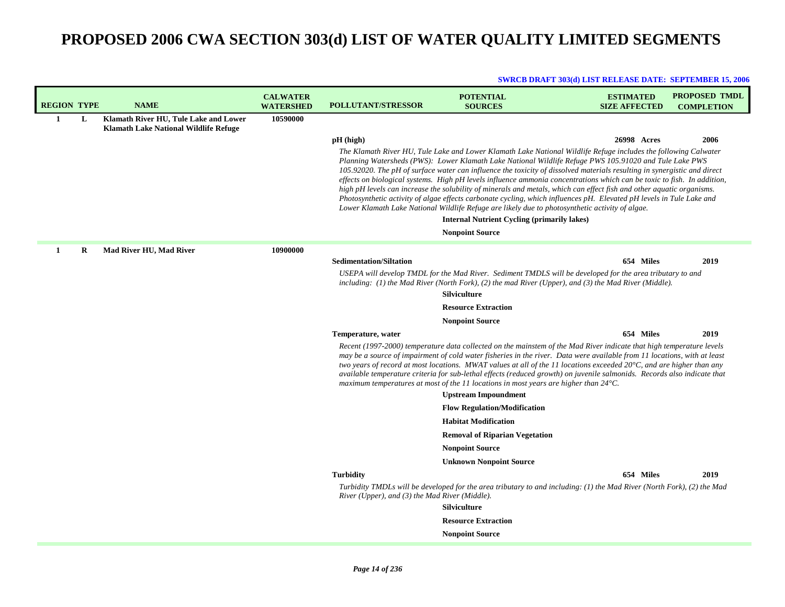|                    |   |                                                                                       |                                     |                                                                    | <b>SWRCB DRAFT 303(d) LIST RELEASE DATE: SEPTEMBER 15, 2006</b>                                                                                                                                                                                                                                                                                                                                                                                                                                                                                                                                                                                                                                                                                                                                                                      |                                          |                                           |
|--------------------|---|---------------------------------------------------------------------------------------|-------------------------------------|--------------------------------------------------------------------|--------------------------------------------------------------------------------------------------------------------------------------------------------------------------------------------------------------------------------------------------------------------------------------------------------------------------------------------------------------------------------------------------------------------------------------------------------------------------------------------------------------------------------------------------------------------------------------------------------------------------------------------------------------------------------------------------------------------------------------------------------------------------------------------------------------------------------------|------------------------------------------|-------------------------------------------|
| <b>REGION TYPE</b> |   | <b>NAME</b>                                                                           | <b>CALWATER</b><br><b>WATERSHED</b> | <b>POLLUTANT/STRESSOR</b>                                          | <b>POTENTIAL</b><br><b>SOURCES</b>                                                                                                                                                                                                                                                                                                                                                                                                                                                                                                                                                                                                                                                                                                                                                                                                   | <b>ESTIMATED</b><br><b>SIZE AFFECTED</b> | <b>PROPOSED TMDL</b><br><b>COMPLETION</b> |
| 1                  | L | Klamath River HU, Tule Lake and Lower<br><b>Klamath Lake National Wildlife Refuge</b> | 10590000                            |                                                                    |                                                                                                                                                                                                                                                                                                                                                                                                                                                                                                                                                                                                                                                                                                                                                                                                                                      |                                          |                                           |
|                    |   |                                                                                       |                                     | $pH$ (high)                                                        |                                                                                                                                                                                                                                                                                                                                                                                                                                                                                                                                                                                                                                                                                                                                                                                                                                      | 26998 Acres                              | 2006                                      |
|                    |   |                                                                                       |                                     |                                                                    | The Klamath River HU, Tule Lake and Lower Klamath Lake National Wildlife Refuge includes the following Calwater<br>Planning Watersheds (PWS): Lower Klamath Lake National Wildlife Refuge PWS 105.91020 and Tule Lake PWS<br>105.92020. The pH of surface water can influence the toxicity of dissolved materials resulting in synergistic and direct<br>effects on biological systems. High pH levels influence ammonia concentrations which can be toxic to fish. In addition,<br>high pH levels can increase the solubility of minerals and metals, which can effect fish and other aquatic organisms.<br>Photosynthetic activity of algae effects carbonate cycling, which influences pH. Elevated pH levels in Tule Lake and<br>Lower Klamath Lake National Wildlife Refuge are likely due to photosynthetic activity of algae. |                                          |                                           |
|                    |   |                                                                                       |                                     |                                                                    | <b>Internal Nutrient Cycling (primarily lakes)</b>                                                                                                                                                                                                                                                                                                                                                                                                                                                                                                                                                                                                                                                                                                                                                                                   |                                          |                                           |
|                    |   |                                                                                       |                                     |                                                                    | <b>Nonpoint Source</b>                                                                                                                                                                                                                                                                                                                                                                                                                                                                                                                                                                                                                                                                                                                                                                                                               |                                          |                                           |
| 1                  | R | <b>Mad River HU, Mad River</b>                                                        | 10900000                            |                                                                    |                                                                                                                                                                                                                                                                                                                                                                                                                                                                                                                                                                                                                                                                                                                                                                                                                                      |                                          |                                           |
|                    |   |                                                                                       |                                     | <b>Sedimentation/Siltation</b>                                     |                                                                                                                                                                                                                                                                                                                                                                                                                                                                                                                                                                                                                                                                                                                                                                                                                                      | 654 Miles                                | 2019                                      |
|                    |   |                                                                                       |                                     |                                                                    | USEPA will develop TMDL for the Mad River. Sediment TMDLS will be developed for the area tributary to and<br>including: $(1)$ the Mad River (North Fork), $(2)$ the mad River (Upper), and $(3)$ the Mad River (Middle).                                                                                                                                                                                                                                                                                                                                                                                                                                                                                                                                                                                                             |                                          |                                           |
|                    |   |                                                                                       |                                     |                                                                    | <b>Silviculture</b>                                                                                                                                                                                                                                                                                                                                                                                                                                                                                                                                                                                                                                                                                                                                                                                                                  |                                          |                                           |
|                    |   |                                                                                       |                                     |                                                                    | <b>Resource Extraction</b>                                                                                                                                                                                                                                                                                                                                                                                                                                                                                                                                                                                                                                                                                                                                                                                                           |                                          |                                           |
|                    |   |                                                                                       |                                     |                                                                    | <b>Nonpoint Source</b>                                                                                                                                                                                                                                                                                                                                                                                                                                                                                                                                                                                                                                                                                                                                                                                                               |                                          |                                           |
|                    |   |                                                                                       |                                     | Temperature, water                                                 |                                                                                                                                                                                                                                                                                                                                                                                                                                                                                                                                                                                                                                                                                                                                                                                                                                      | 654 Miles                                | 2019                                      |
|                    |   |                                                                                       |                                     |                                                                    | Recent (1997-2000) temperature data collected on the mainstem of the Mad River indicate that high temperature levels<br>may be a source of impairment of cold water fisheries in the river. Data were available from 11 locations, with at least<br>two years of record at most locations. MWAT values at all of the 11 locations exceeded 20°C, and are higher than any<br>available temperature criteria for sub-lethal effects (reduced growth) on juvenile salmonids. Records also indicate that<br>maximum temperatures at most of the 11 locations in most years are higher than $24^{\circ}$ C.                                                                                                                                                                                                                               |                                          |                                           |
|                    |   |                                                                                       |                                     |                                                                    | <b>Upstream Impoundment</b>                                                                                                                                                                                                                                                                                                                                                                                                                                                                                                                                                                                                                                                                                                                                                                                                          |                                          |                                           |
|                    |   |                                                                                       |                                     |                                                                    | <b>Flow Regulation/Modification</b>                                                                                                                                                                                                                                                                                                                                                                                                                                                                                                                                                                                                                                                                                                                                                                                                  |                                          |                                           |
|                    |   |                                                                                       |                                     |                                                                    | <b>Habitat Modification</b>                                                                                                                                                                                                                                                                                                                                                                                                                                                                                                                                                                                                                                                                                                                                                                                                          |                                          |                                           |
|                    |   |                                                                                       |                                     |                                                                    | <b>Removal of Riparian Vegetation</b>                                                                                                                                                                                                                                                                                                                                                                                                                                                                                                                                                                                                                                                                                                                                                                                                |                                          |                                           |
|                    |   |                                                                                       |                                     |                                                                    | <b>Nonpoint Source</b>                                                                                                                                                                                                                                                                                                                                                                                                                                                                                                                                                                                                                                                                                                                                                                                                               |                                          |                                           |
|                    |   |                                                                                       |                                     |                                                                    | <b>Unknown Nonpoint Source</b>                                                                                                                                                                                                                                                                                                                                                                                                                                                                                                                                                                                                                                                                                                                                                                                                       |                                          |                                           |
|                    |   |                                                                                       |                                     | <b>Turbidity</b><br>River (Upper), and (3) the Mad River (Middle). | Turbidity TMDLs will be developed for the area tributary to and including: (1) the Mad River (North Fork), (2) the Mad<br><b>Silviculture</b>                                                                                                                                                                                                                                                                                                                                                                                                                                                                                                                                                                                                                                                                                        | 654 Miles                                | 2019                                      |
|                    |   |                                                                                       |                                     |                                                                    | <b>Resource Extraction</b>                                                                                                                                                                                                                                                                                                                                                                                                                                                                                                                                                                                                                                                                                                                                                                                                           |                                          |                                           |
|                    |   |                                                                                       |                                     |                                                                    | <b>Nonpoint Source</b>                                                                                                                                                                                                                                                                                                                                                                                                                                                                                                                                                                                                                                                                                                                                                                                                               |                                          |                                           |
|                    |   |                                                                                       |                                     |                                                                    |                                                                                                                                                                                                                                                                                                                                                                                                                                                                                                                                                                                                                                                                                                                                                                                                                                      |                                          |                                           |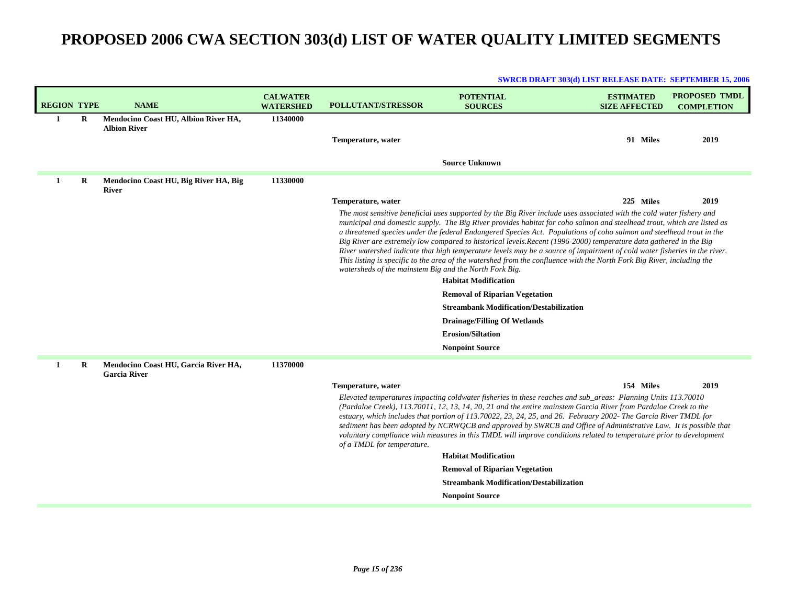| <b>REGION TYPE</b> |   | <b>NAME</b>                                                 | <b>CALWATER</b><br><b>WATERSHED</b> | <b>POLLUTANT/STRESSOR</b>                              | <b>POTENTIAL</b><br><b>SOURCES</b>                                                                                                                                                                                                                                                                                                                                                                                                                                                                                                                                                                                                                                                                                                                                                                                                                                                                                                                                          | <b>ESTIMATED</b><br><b>SIZE AFFECTED</b> | <b>PROPOSED TMDL</b><br><b>COMPLETION</b> |
|--------------------|---|-------------------------------------------------------------|-------------------------------------|--------------------------------------------------------|-----------------------------------------------------------------------------------------------------------------------------------------------------------------------------------------------------------------------------------------------------------------------------------------------------------------------------------------------------------------------------------------------------------------------------------------------------------------------------------------------------------------------------------------------------------------------------------------------------------------------------------------------------------------------------------------------------------------------------------------------------------------------------------------------------------------------------------------------------------------------------------------------------------------------------------------------------------------------------|------------------------------------------|-------------------------------------------|
| 1                  | R | Mendocino Coast HU, Albion River HA,<br><b>Albion River</b> | 11340000                            |                                                        |                                                                                                                                                                                                                                                                                                                                                                                                                                                                                                                                                                                                                                                                                                                                                                                                                                                                                                                                                                             |                                          |                                           |
|                    |   |                                                             |                                     | Temperature, water                                     |                                                                                                                                                                                                                                                                                                                                                                                                                                                                                                                                                                                                                                                                                                                                                                                                                                                                                                                                                                             | 91 Miles                                 | 2019                                      |
|                    |   |                                                             |                                     |                                                        |                                                                                                                                                                                                                                                                                                                                                                                                                                                                                                                                                                                                                                                                                                                                                                                                                                                                                                                                                                             |                                          |                                           |
|                    |   |                                                             |                                     |                                                        | <b>Source Unknown</b>                                                                                                                                                                                                                                                                                                                                                                                                                                                                                                                                                                                                                                                                                                                                                                                                                                                                                                                                                       |                                          |                                           |
| 1                  | R | Mendocino Coast HU, Big River HA, Big<br><b>River</b>       | 11330000                            |                                                        |                                                                                                                                                                                                                                                                                                                                                                                                                                                                                                                                                                                                                                                                                                                                                                                                                                                                                                                                                                             |                                          |                                           |
|                    |   |                                                             |                                     | Temperature, water                                     |                                                                                                                                                                                                                                                                                                                                                                                                                                                                                                                                                                                                                                                                                                                                                                                                                                                                                                                                                                             | 225 Miles                                | 2019                                      |
|                    |   |                                                             |                                     | watersheds of the mainstem Big and the North Fork Big. | The most sensitive beneficial uses supported by the Big River include uses associated with the cold water fishery and<br>municipal and domestic supply. The Big River provides habitat for coho salmon and steelhead trout, which are listed as<br>a threatened species under the federal Endangered Species Act. Populations of coho salmon and steelhead trout in the<br>Big River are extremely low compared to historical levels. Recent (1996-2000) temperature data gathered in the Big<br>River watershed indicate that high temperature levels may be a source of impairment of cold water fisheries in the river.<br>This listing is specific to the area of the watershed from the confluence with the North Fork Big River, including the<br><b>Habitat Modification</b><br><b>Removal of Riparian Vegetation</b><br><b>Streambank Modification/Destabilization</b><br><b>Drainage/Filling Of Wetlands</b><br><b>Erosion/Siltation</b><br><b>Nonpoint Source</b> |                                          |                                           |
| 1                  | R | Mendocino Coast HU, Garcia River HA,                        | 11370000                            |                                                        |                                                                                                                                                                                                                                                                                                                                                                                                                                                                                                                                                                                                                                                                                                                                                                                                                                                                                                                                                                             |                                          |                                           |
|                    |   | <b>Garcia River</b>                                         |                                     | Temperature, water                                     |                                                                                                                                                                                                                                                                                                                                                                                                                                                                                                                                                                                                                                                                                                                                                                                                                                                                                                                                                                             | 154 Miles                                | 2019                                      |
|                    |   |                                                             |                                     | of a TMDL for temperature.                             | Elevated temperatures impacting coldwater fisheries in these reaches and sub_areas: Planning Units 113.70010<br>(Pardaloe Creek), 113.70011, 12, 13, 14, 20, 21 and the entire mainstem Garcia River from Pardaloe Creek to the<br>estuary, which includes that portion of 113.70022, 23, 24, 25, and 26. February 2002- The Garcia River TMDL for<br>sediment has been adopted by NCRWQCB and approved by SWRCB and Office of Administrative Law. It is possible that<br>voluntary compliance with measures in this TMDL will improve conditions related to temperature prior to development                                                                                                                                                                                                                                                                                                                                                                               |                                          |                                           |
|                    |   |                                                             |                                     |                                                        | <b>Habitat Modification</b>                                                                                                                                                                                                                                                                                                                                                                                                                                                                                                                                                                                                                                                                                                                                                                                                                                                                                                                                                 |                                          |                                           |
|                    |   |                                                             |                                     |                                                        | <b>Removal of Riparian Vegetation</b>                                                                                                                                                                                                                                                                                                                                                                                                                                                                                                                                                                                                                                                                                                                                                                                                                                                                                                                                       |                                          |                                           |
|                    |   |                                                             |                                     |                                                        | <b>Streambank Modification/Destabilization</b>                                                                                                                                                                                                                                                                                                                                                                                                                                                                                                                                                                                                                                                                                                                                                                                                                                                                                                                              |                                          |                                           |
|                    |   |                                                             |                                     |                                                        | <b>Nonpoint Source</b>                                                                                                                                                                                                                                                                                                                                                                                                                                                                                                                                                                                                                                                                                                                                                                                                                                                                                                                                                      |                                          |                                           |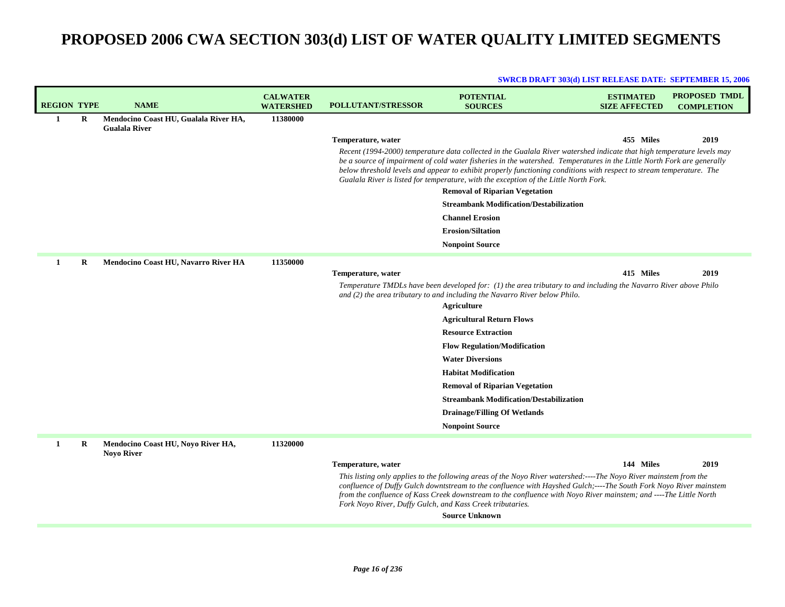|                    |          |                                                               |                                     |                                                           | <b>SWRCB DRAFT 303(d) LIST RELEASE DATE: SEPTEMBER 15, 2006</b>                                                                                                                                                                                                                                                                                                                                                                                                    |                                          |                                           |
|--------------------|----------|---------------------------------------------------------------|-------------------------------------|-----------------------------------------------------------|--------------------------------------------------------------------------------------------------------------------------------------------------------------------------------------------------------------------------------------------------------------------------------------------------------------------------------------------------------------------------------------------------------------------------------------------------------------------|------------------------------------------|-------------------------------------------|
| <b>REGION TYPE</b> |          | <b>NAME</b>                                                   | <b>CALWATER</b><br><b>WATERSHED</b> | <b>POLLUTANT/STRESSOR</b>                                 | <b>POTENTIAL</b><br><b>SOURCES</b>                                                                                                                                                                                                                                                                                                                                                                                                                                 | <b>ESTIMATED</b><br><b>SIZE AFFECTED</b> | <b>PROPOSED TMDL</b><br><b>COMPLETION</b> |
| 1                  | R        | Mendocino Coast HU, Gualala River HA,<br><b>Gualala River</b> | 11380000                            |                                                           |                                                                                                                                                                                                                                                                                                                                                                                                                                                                    |                                          |                                           |
|                    |          |                                                               |                                     | Temperature, water                                        |                                                                                                                                                                                                                                                                                                                                                                                                                                                                    | 455 Miles                                | 2019                                      |
|                    |          |                                                               |                                     |                                                           | Recent (1994-2000) temperature data collected in the Gualala River watershed indicate that high temperature levels may<br>be a source of impairment of cold water fisheries in the watershed. Temperatures in the Little North Fork are generally<br>below threshold levels and appear to exhibit properly functioning conditions with respect to stream temperature. The<br>Gualala River is listed for temperature, with the exception of the Little North Fork. |                                          |                                           |
|                    |          |                                                               |                                     |                                                           | <b>Removal of Riparian Vegetation</b>                                                                                                                                                                                                                                                                                                                                                                                                                              |                                          |                                           |
|                    |          |                                                               |                                     |                                                           | <b>Streambank Modification/Destabilization</b>                                                                                                                                                                                                                                                                                                                                                                                                                     |                                          |                                           |
|                    |          |                                                               |                                     |                                                           | <b>Channel Erosion</b>                                                                                                                                                                                                                                                                                                                                                                                                                                             |                                          |                                           |
|                    |          |                                                               |                                     |                                                           | <b>Erosion/Siltation</b>                                                                                                                                                                                                                                                                                                                                                                                                                                           |                                          |                                           |
|                    |          |                                                               |                                     |                                                           | <b>Nonpoint Source</b>                                                                                                                                                                                                                                                                                                                                                                                                                                             |                                          |                                           |
| 1                  | $\bf{R}$ | Mendocino Coast HU, Navarro River HA                          | 11350000                            |                                                           |                                                                                                                                                                                                                                                                                                                                                                                                                                                                    |                                          |                                           |
|                    |          |                                                               |                                     | Temperature, water                                        |                                                                                                                                                                                                                                                                                                                                                                                                                                                                    | 415 Miles                                | 2019                                      |
|                    |          |                                                               |                                     |                                                           | Temperature TMDLs have been developed for: (1) the area tributary to and including the Navarro River above Philo<br>and $(2)$ the area tributary to and including the Navarro River below Philo.                                                                                                                                                                                                                                                                   |                                          |                                           |
|                    |          |                                                               |                                     |                                                           | <b>Agriculture</b>                                                                                                                                                                                                                                                                                                                                                                                                                                                 |                                          |                                           |
|                    |          |                                                               |                                     |                                                           | <b>Agricultural Return Flows</b>                                                                                                                                                                                                                                                                                                                                                                                                                                   |                                          |                                           |
|                    |          |                                                               |                                     |                                                           | <b>Resource Extraction</b>                                                                                                                                                                                                                                                                                                                                                                                                                                         |                                          |                                           |
|                    |          |                                                               |                                     |                                                           | <b>Flow Regulation/Modification</b>                                                                                                                                                                                                                                                                                                                                                                                                                                |                                          |                                           |
|                    |          |                                                               |                                     |                                                           | <b>Water Diversions</b>                                                                                                                                                                                                                                                                                                                                                                                                                                            |                                          |                                           |
|                    |          |                                                               |                                     |                                                           | <b>Habitat Modification</b>                                                                                                                                                                                                                                                                                                                                                                                                                                        |                                          |                                           |
|                    |          |                                                               |                                     |                                                           | <b>Removal of Riparian Vegetation</b>                                                                                                                                                                                                                                                                                                                                                                                                                              |                                          |                                           |
|                    |          |                                                               |                                     |                                                           | <b>Streambank Modification/Destabilization</b>                                                                                                                                                                                                                                                                                                                                                                                                                     |                                          |                                           |
|                    |          |                                                               |                                     |                                                           | <b>Drainage/Filling Of Wetlands</b>                                                                                                                                                                                                                                                                                                                                                                                                                                |                                          |                                           |
|                    |          |                                                               |                                     |                                                           | <b>Nonpoint Source</b>                                                                                                                                                                                                                                                                                                                                                                                                                                             |                                          |                                           |
| 1                  | R        | Mendocino Coast HU, Noyo River HA,<br><b>Noyo River</b>       | 11320000                            |                                                           |                                                                                                                                                                                                                                                                                                                                                                                                                                                                    |                                          |                                           |
|                    |          |                                                               |                                     | Temperature, water                                        |                                                                                                                                                                                                                                                                                                                                                                                                                                                                    | 144 Miles                                | 2019                                      |
|                    |          |                                                               |                                     | Fork Noyo River, Duffy Gulch, and Kass Creek tributaries. | This listing only applies to the following areas of the Noyo River watershed:----The Noyo River mainstem from the<br>confluence of Duffy Gulch downtstream to the confluence with Hayshed Gulch;----The South Fork Noyo River mainstem<br>from the confluence of Kass Creek downstream to the confluence with Noyo River mainstem; and ----The Little North                                                                                                        |                                          |                                           |
|                    |          |                                                               |                                     |                                                           | <b>Source Unknown</b>                                                                                                                                                                                                                                                                                                                                                                                                                                              |                                          |                                           |
|                    |          |                                                               |                                     |                                                           |                                                                                                                                                                                                                                                                                                                                                                                                                                                                    |                                          |                                           |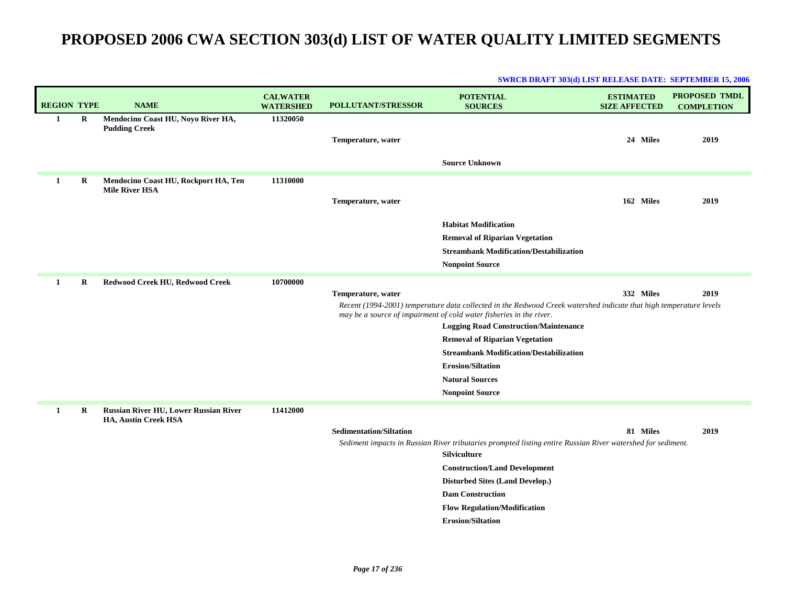| <b>REGION TYPE</b> |         | <b>NAME</b>                                                          | <b>CALWATER</b><br><b>WATERSHED</b> | POLLUTANT/STRESSOR             | <b>POTENTIAL</b><br><b>SOURCES</b>                                                                                                                                                                                                                                                                                                                                                                                   | <b>ESTIMATED</b><br><b>SIZE AFFECTED</b> | <b>PROPOSED TMDL</b><br><b>COMPLETION</b> |
|--------------------|---------|----------------------------------------------------------------------|-------------------------------------|--------------------------------|----------------------------------------------------------------------------------------------------------------------------------------------------------------------------------------------------------------------------------------------------------------------------------------------------------------------------------------------------------------------------------------------------------------------|------------------------------------------|-------------------------------------------|
| 1                  | $\bf R$ | Mendocino Coast HU, Noyo River HA,<br><b>Pudding Creek</b>           | 11320050                            | Temperature, water             | <b>Source Unknown</b>                                                                                                                                                                                                                                                                                                                                                                                                | 24 Miles                                 | 2019                                      |
| 1                  | $\bf R$ | Mendocino Coast HU, Rockport HA, Ten<br><b>Mile River HSA</b>        | 11310000                            | Temperature, water             | <b>Habitat Modification</b><br><b>Removal of Riparian Vegetation</b><br><b>Streambank Modification/Destabilization</b><br><b>Nonpoint Source</b>                                                                                                                                                                                                                                                                     | 162 Miles                                | 2019                                      |
| 1                  | R       | Redwood Creek HU, Redwood Creek                                      | 10700000                            | Temperature, water             | Recent (1994-2001) temperature data collected in the Redwood Creek watershed indicate that high temperature levels<br>may be a source of impairment of cold water fisheries in the river.<br><b>Logging Road Construction/Maintenance</b><br><b>Removal of Riparian Vegetation</b><br><b>Streambank Modification/Destabilization</b><br><b>Erosion/Siltation</b><br><b>Natural Sources</b><br><b>Nonpoint Source</b> | 332 Miles                                | 2019                                      |
| 1                  | $\bf R$ | <b>Russian River HU, Lower Russian River</b><br>HA, Austin Creek HSA | 11412000                            | <b>Sedimentation/Siltation</b> | Sediment impacts in Russian River tributaries prompted listing entire Russian River watershed for sediment.<br>Silviculture<br><b>Construction/Land Development</b><br><b>Disturbed Sites (Land Develop.)</b><br><b>Dam Construction</b><br><b>Flow Regulation/Modification</b><br><b>Erosion/Siltation</b>                                                                                                          | 81 Miles                                 | 2019                                      |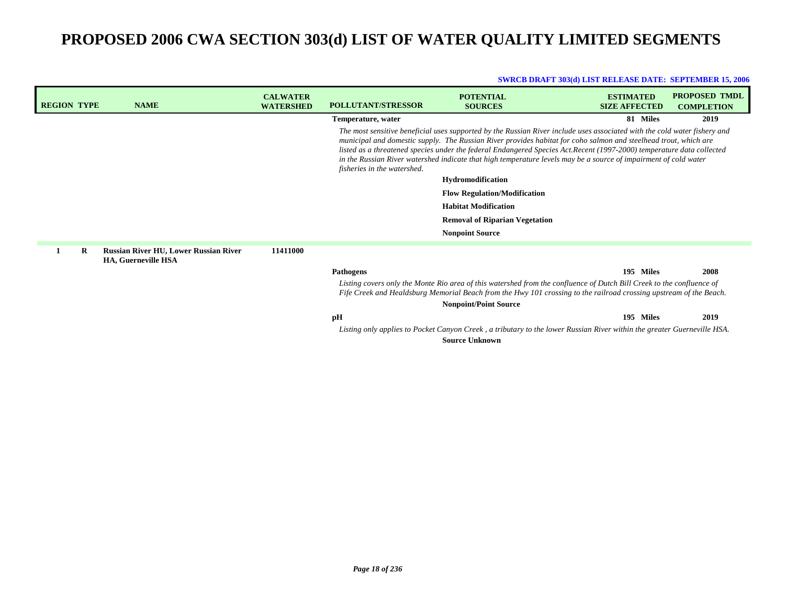| <b>REGION TYPE</b> | <b>NAME</b>                                                                | <b>CALWATER</b><br><b>WATERSHED</b> | <b>POLLUTANT/STRESSOR</b>   | <b>POTENTIAL</b><br><b>SOURCES</b>                                                                                                                                                                                                                                                                                                                                                                                                                                                         | <b>ESTIMATED</b><br><b>SIZE AFFECTED</b> | <b>PROPOSED TMDL</b><br><b>COMPLETION</b> |
|--------------------|----------------------------------------------------------------------------|-------------------------------------|-----------------------------|--------------------------------------------------------------------------------------------------------------------------------------------------------------------------------------------------------------------------------------------------------------------------------------------------------------------------------------------------------------------------------------------------------------------------------------------------------------------------------------------|------------------------------------------|-------------------------------------------|
|                    |                                                                            |                                     | Temperature, water          |                                                                                                                                                                                                                                                                                                                                                                                                                                                                                            | 81 Miles                                 | 2019                                      |
|                    |                                                                            |                                     | fisheries in the watershed. | The most sensitive beneficial uses supported by the Russian River include uses associated with the cold water fishery and<br>municipal and domestic supply. The Russian River provides habitat for coho salmon and steelhead trout, which are<br>listed as a threatened species under the federal Endangered Species Act.Recent (1997-2000) temperature data collected<br>in the Russian River watershed indicate that high temperature levels may be a source of impairment of cold water |                                          |                                           |
|                    |                                                                            |                                     |                             | <b>Hydromodification</b>                                                                                                                                                                                                                                                                                                                                                                                                                                                                   |                                          |                                           |
|                    |                                                                            |                                     |                             | <b>Flow Regulation/Modification</b>                                                                                                                                                                                                                                                                                                                                                                                                                                                        |                                          |                                           |
|                    |                                                                            |                                     |                             | <b>Habitat Modification</b>                                                                                                                                                                                                                                                                                                                                                                                                                                                                |                                          |                                           |
|                    |                                                                            |                                     |                             | <b>Removal of Riparian Vegetation</b>                                                                                                                                                                                                                                                                                                                                                                                                                                                      |                                          |                                           |
|                    |                                                                            |                                     |                             | <b>Nonpoint Source</b>                                                                                                                                                                                                                                                                                                                                                                                                                                                                     |                                          |                                           |
| R                  | <b>Russian River HU, Lower Russian River</b><br><b>HA, Guerneville HSA</b> | 11411000                            |                             |                                                                                                                                                                                                                                                                                                                                                                                                                                                                                            |                                          |                                           |
|                    |                                                                            |                                     | <b>Pathogens</b>            |                                                                                                                                                                                                                                                                                                                                                                                                                                                                                            | 195 Miles                                | 2008                                      |
|                    |                                                                            |                                     |                             | Listing covers only the Monte Rio area of this watershed from the confluence of Dutch Bill Creek to the confluence of<br>Fife Creek and Healdsburg Memorial Beach from the Hwy 101 crossing to the railroad crossing upstream of the Beach.                                                                                                                                                                                                                                                |                                          |                                           |
|                    |                                                                            |                                     |                             | <b>Nonpoint/Point Source</b>                                                                                                                                                                                                                                                                                                                                                                                                                                                               |                                          |                                           |
|                    |                                                                            |                                     | pH                          |                                                                                                                                                                                                                                                                                                                                                                                                                                                                                            | 195 Miles                                | 2019                                      |
|                    |                                                                            |                                     |                             | Listing only applies to Pocket Canyon Creek, a tributary to the lower Russian River within the greater Guerneville HSA.<br><b>Source Unknown</b>                                                                                                                                                                                                                                                                                                                                           |                                          |                                           |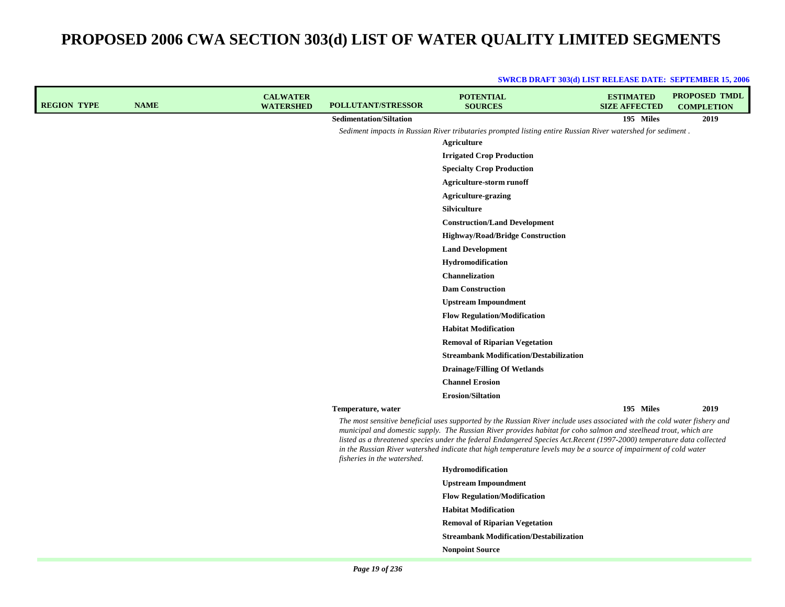| <b>REGION TYPE</b> | <b>NAME</b> | <b>CALWATER</b><br><b>WATERSHED</b> | POLLUTANT/STRESSOR             | <b>POTENTIAL</b><br><b>SOURCES</b>                                                                                                                                                                                                                                                                                                                                                                                                                                                         | <b>ESTIMATED</b><br><b>SIZE AFFECTED</b> | <b>PROPOSED TMDL</b><br><b>COMPLETION</b> |
|--------------------|-------------|-------------------------------------|--------------------------------|--------------------------------------------------------------------------------------------------------------------------------------------------------------------------------------------------------------------------------------------------------------------------------------------------------------------------------------------------------------------------------------------------------------------------------------------------------------------------------------------|------------------------------------------|-------------------------------------------|
|                    |             |                                     | <b>Sedimentation/Siltation</b> |                                                                                                                                                                                                                                                                                                                                                                                                                                                                                            | 195 Miles                                | 2019                                      |
|                    |             |                                     |                                | Sediment impacts in Russian River tributaries prompted listing entire Russian River watershed for sediment.                                                                                                                                                                                                                                                                                                                                                                                |                                          |                                           |
|                    |             |                                     |                                | Agriculture                                                                                                                                                                                                                                                                                                                                                                                                                                                                                |                                          |                                           |
|                    |             |                                     |                                | <b>Irrigated Crop Production</b>                                                                                                                                                                                                                                                                                                                                                                                                                                                           |                                          |                                           |
|                    |             |                                     |                                | <b>Specialty Crop Production</b>                                                                                                                                                                                                                                                                                                                                                                                                                                                           |                                          |                                           |
|                    |             |                                     |                                | Agriculture-storm runoff                                                                                                                                                                                                                                                                                                                                                                                                                                                                   |                                          |                                           |
|                    |             |                                     |                                | <b>Agriculture-grazing</b>                                                                                                                                                                                                                                                                                                                                                                                                                                                                 |                                          |                                           |
|                    |             |                                     |                                | Silviculture                                                                                                                                                                                                                                                                                                                                                                                                                                                                               |                                          |                                           |
|                    |             |                                     |                                | <b>Construction/Land Development</b>                                                                                                                                                                                                                                                                                                                                                                                                                                                       |                                          |                                           |
|                    |             |                                     |                                | <b>Highway/Road/Bridge Construction</b>                                                                                                                                                                                                                                                                                                                                                                                                                                                    |                                          |                                           |
|                    |             |                                     |                                | <b>Land Development</b>                                                                                                                                                                                                                                                                                                                                                                                                                                                                    |                                          |                                           |
|                    |             |                                     |                                | Hydromodification                                                                                                                                                                                                                                                                                                                                                                                                                                                                          |                                          |                                           |
|                    |             |                                     |                                | <b>Channelization</b>                                                                                                                                                                                                                                                                                                                                                                                                                                                                      |                                          |                                           |
|                    |             |                                     |                                | <b>Dam Construction</b>                                                                                                                                                                                                                                                                                                                                                                                                                                                                    |                                          |                                           |
|                    |             |                                     |                                | <b>Upstream Impoundment</b>                                                                                                                                                                                                                                                                                                                                                                                                                                                                |                                          |                                           |
|                    |             |                                     |                                | <b>Flow Regulation/Modification</b>                                                                                                                                                                                                                                                                                                                                                                                                                                                        |                                          |                                           |
|                    |             |                                     |                                | <b>Habitat Modification</b>                                                                                                                                                                                                                                                                                                                                                                                                                                                                |                                          |                                           |
|                    |             |                                     |                                | <b>Removal of Riparian Vegetation</b>                                                                                                                                                                                                                                                                                                                                                                                                                                                      |                                          |                                           |
|                    |             |                                     |                                | <b>Streambank Modification/Destabilization</b>                                                                                                                                                                                                                                                                                                                                                                                                                                             |                                          |                                           |
|                    |             |                                     |                                | <b>Drainage/Filling Of Wetlands</b>                                                                                                                                                                                                                                                                                                                                                                                                                                                        |                                          |                                           |
|                    |             |                                     |                                | <b>Channel Erosion</b>                                                                                                                                                                                                                                                                                                                                                                                                                                                                     |                                          |                                           |
|                    |             |                                     |                                | <b>Erosion/Siltation</b>                                                                                                                                                                                                                                                                                                                                                                                                                                                                   |                                          |                                           |
|                    |             |                                     | Temperature, water             |                                                                                                                                                                                                                                                                                                                                                                                                                                                                                            | 195 Miles                                | 2019                                      |
|                    |             |                                     | fisheries in the watershed.    | The most sensitive beneficial uses supported by the Russian River include uses associated with the cold water fishery and<br>municipal and domestic supply. The Russian River provides habitat for coho salmon and steelhead trout, which are<br>listed as a threatened species under the federal Endangered Species Act.Recent (1997-2000) temperature data collected<br>in the Russian River watershed indicate that high temperature levels may be a source of impairment of cold water |                                          |                                           |

| <b>Hydromodification</b>                       |
|------------------------------------------------|
| <b>Upstream Impoundment</b>                    |
| <b>Flow Regulation/Modification</b>            |
| Habitat Modification                           |
| <b>Removal of Riparian Vegetation</b>          |
| <b>Streambank Modification/Destabilization</b> |
| <b>Nonpoint Source</b>                         |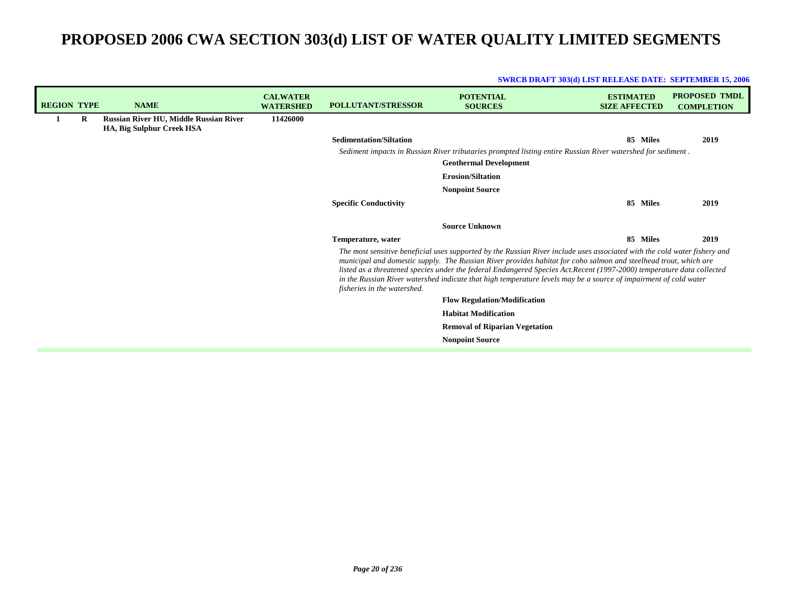| <b>REGION TYPE</b> |   | <b>NAME</b>                                                         | <b>CALWATER</b><br><b>WATERSHED</b> | <b>POLLUTANT/STRESSOR</b>                                                                                                                                                                                                                                                                                                                                                                                                                                                                                                  | <b>POTENTIAL</b><br><b>SOURCES</b>                                                                          | <b>ESTIMATED</b><br><b>SIZE AFFECTED</b> | <b>PROPOSED TMDL</b><br><b>COMPLETION</b> |
|--------------------|---|---------------------------------------------------------------------|-------------------------------------|----------------------------------------------------------------------------------------------------------------------------------------------------------------------------------------------------------------------------------------------------------------------------------------------------------------------------------------------------------------------------------------------------------------------------------------------------------------------------------------------------------------------------|-------------------------------------------------------------------------------------------------------------|------------------------------------------|-------------------------------------------|
|                    | R | Russian River HU, Middle Russian River<br>HA, Big Sulphur Creek HSA | 11426000                            |                                                                                                                                                                                                                                                                                                                                                                                                                                                                                                                            |                                                                                                             |                                          |                                           |
|                    |   |                                                                     |                                     | <b>Sedimentation/Siltation</b>                                                                                                                                                                                                                                                                                                                                                                                                                                                                                             |                                                                                                             | 85<br><b>Miles</b>                       | 2019                                      |
|                    |   |                                                                     |                                     |                                                                                                                                                                                                                                                                                                                                                                                                                                                                                                                            | Sediment impacts in Russian River tributaries prompted listing entire Russian River watershed for sediment. |                                          |                                           |
|                    |   |                                                                     |                                     |                                                                                                                                                                                                                                                                                                                                                                                                                                                                                                                            | <b>Geothermal Development</b>                                                                               |                                          |                                           |
|                    |   |                                                                     |                                     |                                                                                                                                                                                                                                                                                                                                                                                                                                                                                                                            | <b>Erosion/Siltation</b>                                                                                    |                                          |                                           |
|                    |   |                                                                     |                                     |                                                                                                                                                                                                                                                                                                                                                                                                                                                                                                                            | <b>Nonpoint Source</b>                                                                                      |                                          |                                           |
|                    |   |                                                                     |                                     | <b>Specific Conductivity</b>                                                                                                                                                                                                                                                                                                                                                                                                                                                                                               |                                                                                                             | 85<br><b>Miles</b>                       | 2019                                      |
|                    |   |                                                                     |                                     |                                                                                                                                                                                                                                                                                                                                                                                                                                                                                                                            | <b>Source Unknown</b>                                                                                       |                                          |                                           |
|                    |   |                                                                     |                                     | Temperature, water                                                                                                                                                                                                                                                                                                                                                                                                                                                                                                         |                                                                                                             | 85 Miles                                 | 2019                                      |
|                    |   |                                                                     |                                     | The most sensitive beneficial uses supported by the Russian River include uses associated with the cold water fishery and<br>municipal and domestic supply. The Russian River provides habitat for coho salmon and steelhead trout, which are<br>listed as a threatened species under the federal Endangered Species Act. Recent (1997-2000) temperature data collected<br>in the Russian River watershed indicate that high temperature levels may be a source of impairment of cold water<br>fisheries in the watershed. |                                                                                                             |                                          |                                           |
|                    |   |                                                                     |                                     |                                                                                                                                                                                                                                                                                                                                                                                                                                                                                                                            | <b>Flow Regulation/Modification</b>                                                                         |                                          |                                           |
|                    |   |                                                                     |                                     |                                                                                                                                                                                                                                                                                                                                                                                                                                                                                                                            | <b>Habitat Modification</b>                                                                                 |                                          |                                           |
|                    |   |                                                                     |                                     |                                                                                                                                                                                                                                                                                                                                                                                                                                                                                                                            | <b>Removal of Riparian Vegetation</b>                                                                       |                                          |                                           |
|                    |   |                                                                     |                                     |                                                                                                                                                                                                                                                                                                                                                                                                                                                                                                                            | <b>Nonpoint Source</b>                                                                                      |                                          |                                           |
|                    |   |                                                                     |                                     |                                                                                                                                                                                                                                                                                                                                                                                                                                                                                                                            |                                                                                                             |                                          |                                           |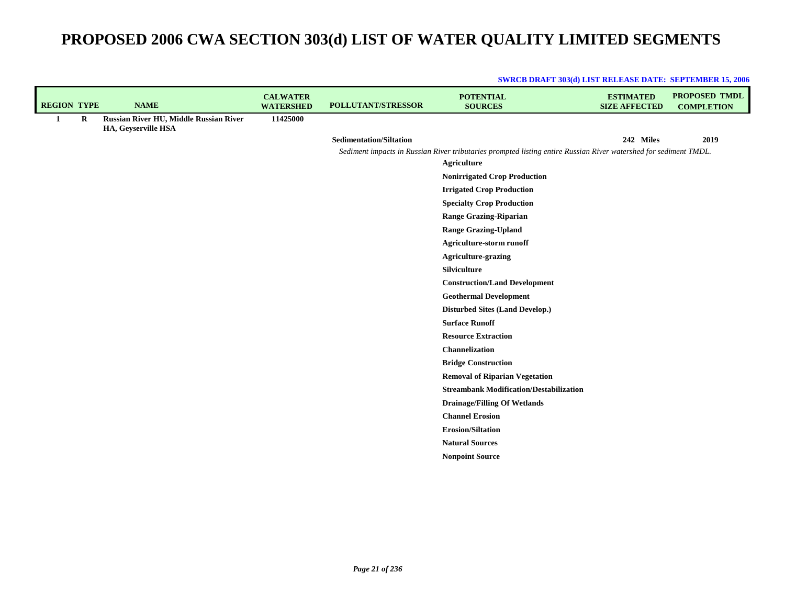| <b>REGION TYPE</b> |         | <b>NAME</b>                                                   | <b>CALWATER</b><br><b>WATERSHED</b> | POLLUTANT/STRESSOR             | <b>POTENTIAL</b><br><b>SOURCES</b>                                                                                                     | <b>ESTIMATED</b><br><b>SIZE AFFECTED</b> | <b>PROPOSED TMDL</b><br><b>COMPLETION</b> |
|--------------------|---------|---------------------------------------------------------------|-------------------------------------|--------------------------------|----------------------------------------------------------------------------------------------------------------------------------------|------------------------------------------|-------------------------------------------|
| 1                  | $\bf R$ | Russian River HU, Middle Russian River<br>HA, Geyserville HSA | 11425000                            |                                |                                                                                                                                        |                                          |                                           |
|                    |         |                                                               |                                     | <b>Sedimentation/Siltation</b> |                                                                                                                                        | 242 Miles                                | 2019                                      |
|                    |         |                                                               |                                     |                                | Sediment impacts in Russian River tributaries prompted listing entire Russian River watershed for sediment TMDL.<br><b>Agriculture</b> |                                          |                                           |
|                    |         |                                                               |                                     |                                | <b>Nonirrigated Crop Production</b>                                                                                                    |                                          |                                           |
|                    |         |                                                               |                                     |                                | <b>Irrigated Crop Production</b>                                                                                                       |                                          |                                           |
|                    |         |                                                               |                                     |                                | <b>Specialty Crop Production</b>                                                                                                       |                                          |                                           |
|                    |         |                                                               |                                     |                                | <b>Range Grazing-Riparian</b>                                                                                                          |                                          |                                           |
|                    |         |                                                               |                                     |                                | <b>Range Grazing-Upland</b>                                                                                                            |                                          |                                           |
|                    |         |                                                               |                                     |                                | Agriculture-storm runoff                                                                                                               |                                          |                                           |
|                    |         |                                                               |                                     |                                | <b>Agriculture-grazing</b>                                                                                                             |                                          |                                           |
|                    |         |                                                               |                                     |                                | Silviculture                                                                                                                           |                                          |                                           |
|                    |         |                                                               |                                     |                                | <b>Construction/Land Development</b>                                                                                                   |                                          |                                           |
|                    |         |                                                               |                                     |                                | <b>Geothermal Development</b>                                                                                                          |                                          |                                           |
|                    |         |                                                               |                                     |                                | <b>Disturbed Sites (Land Develop.)</b>                                                                                                 |                                          |                                           |
|                    |         |                                                               |                                     |                                | <b>Surface Runoff</b>                                                                                                                  |                                          |                                           |
|                    |         |                                                               |                                     |                                | <b>Resource Extraction</b>                                                                                                             |                                          |                                           |
|                    |         |                                                               |                                     |                                | Channelization                                                                                                                         |                                          |                                           |
|                    |         |                                                               |                                     |                                | <b>Bridge Construction</b>                                                                                                             |                                          |                                           |
|                    |         |                                                               |                                     |                                | <b>Removal of Riparian Vegetation</b>                                                                                                  |                                          |                                           |
|                    |         |                                                               |                                     |                                | <b>Streambank Modification/Destabilization</b>                                                                                         |                                          |                                           |
|                    |         |                                                               |                                     |                                | <b>Drainage/Filling Of Wetlands</b>                                                                                                    |                                          |                                           |
|                    |         |                                                               |                                     |                                | <b>Channel Erosion</b>                                                                                                                 |                                          |                                           |
|                    |         |                                                               |                                     |                                | <b>Erosion/Siltation</b>                                                                                                               |                                          |                                           |
|                    |         |                                                               |                                     |                                | <b>Natural Sources</b>                                                                                                                 |                                          |                                           |
|                    |         |                                                               |                                     |                                | <b>Nonpoint Source</b>                                                                                                                 |                                          |                                           |
|                    |         |                                                               |                                     |                                |                                                                                                                                        |                                          |                                           |
|                    |         |                                                               |                                     |                                |                                                                                                                                        |                                          |                                           |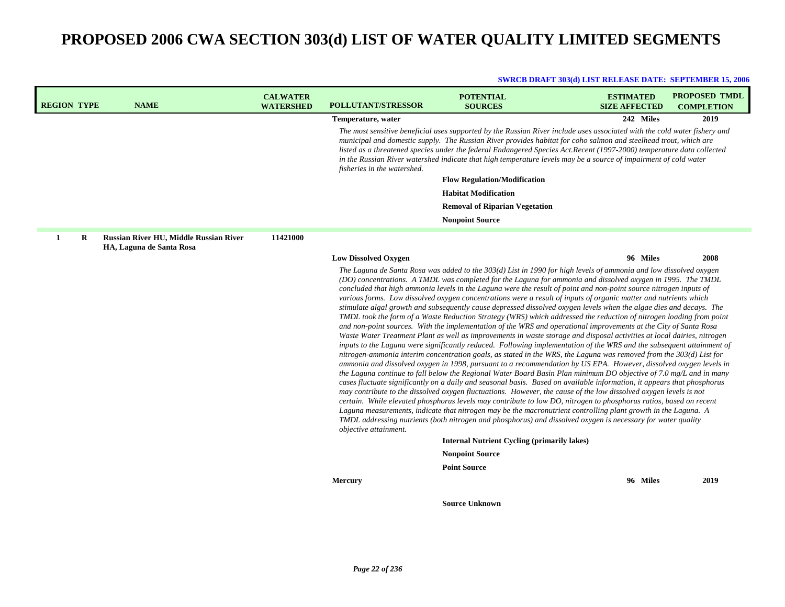| <b>REGION TYPE</b> | <b>NAME</b>                                                        | <b>CALWATER</b><br><b>WATERSHED</b> | <b>POLLUTANT/STRESSOR</b>   | <b>POTENTIAL</b><br><b>SOURCES</b>                                                                                                                                                                                                                                                                                                                                                                                                                                                                                                                                                                                                                                                                                                                                                                                                                                                                                                                                                                                                                                                                                                                                                                                                                                                                                                                                                                                                                                                                                                                                                                                                                                                                                                                                                                                                                                                                                                                   | <b>ESTIMATED</b><br><b>SIZE AFFECTED</b> | <b>PROPOSED TMDL</b><br><b>COMPLETION</b> |
|--------------------|--------------------------------------------------------------------|-------------------------------------|-----------------------------|------------------------------------------------------------------------------------------------------------------------------------------------------------------------------------------------------------------------------------------------------------------------------------------------------------------------------------------------------------------------------------------------------------------------------------------------------------------------------------------------------------------------------------------------------------------------------------------------------------------------------------------------------------------------------------------------------------------------------------------------------------------------------------------------------------------------------------------------------------------------------------------------------------------------------------------------------------------------------------------------------------------------------------------------------------------------------------------------------------------------------------------------------------------------------------------------------------------------------------------------------------------------------------------------------------------------------------------------------------------------------------------------------------------------------------------------------------------------------------------------------------------------------------------------------------------------------------------------------------------------------------------------------------------------------------------------------------------------------------------------------------------------------------------------------------------------------------------------------------------------------------------------------------------------------------------------------|------------------------------------------|-------------------------------------------|
|                    |                                                                    |                                     | Temperature, water          |                                                                                                                                                                                                                                                                                                                                                                                                                                                                                                                                                                                                                                                                                                                                                                                                                                                                                                                                                                                                                                                                                                                                                                                                                                                                                                                                                                                                                                                                                                                                                                                                                                                                                                                                                                                                                                                                                                                                                      | 242 Miles                                | 2019                                      |
|                    |                                                                    |                                     | fisheries in the watershed. | The most sensitive beneficial uses supported by the Russian River include uses associated with the cold water fishery and<br>municipal and domestic supply. The Russian River provides habitat for coho salmon and steelhead trout, which are<br>listed as a threatened species under the federal Endangered Species Act. Recent (1997-2000) temperature data collected<br>in the Russian River watershed indicate that high temperature levels may be a source of impairment of cold water                                                                                                                                                                                                                                                                                                                                                                                                                                                                                                                                                                                                                                                                                                                                                                                                                                                                                                                                                                                                                                                                                                                                                                                                                                                                                                                                                                                                                                                          |                                          |                                           |
|                    |                                                                    |                                     |                             | <b>Flow Regulation/Modification</b>                                                                                                                                                                                                                                                                                                                                                                                                                                                                                                                                                                                                                                                                                                                                                                                                                                                                                                                                                                                                                                                                                                                                                                                                                                                                                                                                                                                                                                                                                                                                                                                                                                                                                                                                                                                                                                                                                                                  |                                          |                                           |
|                    |                                                                    |                                     |                             | <b>Habitat Modification</b>                                                                                                                                                                                                                                                                                                                                                                                                                                                                                                                                                                                                                                                                                                                                                                                                                                                                                                                                                                                                                                                                                                                                                                                                                                                                                                                                                                                                                                                                                                                                                                                                                                                                                                                                                                                                                                                                                                                          |                                          |                                           |
|                    |                                                                    |                                     |                             | <b>Removal of Riparian Vegetation</b>                                                                                                                                                                                                                                                                                                                                                                                                                                                                                                                                                                                                                                                                                                                                                                                                                                                                                                                                                                                                                                                                                                                                                                                                                                                                                                                                                                                                                                                                                                                                                                                                                                                                                                                                                                                                                                                                                                                |                                          |                                           |
|                    |                                                                    |                                     |                             | <b>Nonpoint Source</b>                                                                                                                                                                                                                                                                                                                                                                                                                                                                                                                                                                                                                                                                                                                                                                                                                                                                                                                                                                                                                                                                                                                                                                                                                                                                                                                                                                                                                                                                                                                                                                                                                                                                                                                                                                                                                                                                                                                               |                                          |                                           |
| 1<br>R             | Russian River HU, Middle Russian River<br>HA, Laguna de Santa Rosa | 11421000                            |                             |                                                                                                                                                                                                                                                                                                                                                                                                                                                                                                                                                                                                                                                                                                                                                                                                                                                                                                                                                                                                                                                                                                                                                                                                                                                                                                                                                                                                                                                                                                                                                                                                                                                                                                                                                                                                                                                                                                                                                      |                                          |                                           |
|                    |                                                                    |                                     | <b>Low Dissolved Oxygen</b> |                                                                                                                                                                                                                                                                                                                                                                                                                                                                                                                                                                                                                                                                                                                                                                                                                                                                                                                                                                                                                                                                                                                                                                                                                                                                                                                                                                                                                                                                                                                                                                                                                                                                                                                                                                                                                                                                                                                                                      | 96 Miles                                 | 2008                                      |
|                    |                                                                    |                                     | objective attainment.       | (DO) concentrations. A TMDL was completed for the Laguna for ammonia and dissolved oxygen in 1995. The TMDL<br>concluded that high ammonia levels in the Laguna were the result of point and non-point source nitrogen inputs of<br>various forms. Low dissolved oxygen concentrations were a result of inputs of organic matter and nutrients which<br>stimulate algal growth and subsequently cause depressed dissolved oxygen levels when the algae dies and decays. The<br>TMDL took the form of a Waste Reduction Strategy (WRS) which addressed the reduction of nitrogen loading from point<br>and non-point sources. With the implementation of the WRS and operational improvements at the City of Santa Rosa<br>Waste Water Treatment Plant as well as improvements in waste storage and disposal activities at local dairies, nitrogen<br>inputs to the Laguna were significantly reduced. Following implementation of the WRS and the subsequent attainment of<br>nitrogen-ammonia interim concentration goals, as stated in the WRS, the Laguna was removed from the 303(d) List for<br>ammonia and dissolved oxygen in 1998, pursuant to a recommendation by US EPA. However, dissolved oxygen levels in<br>the Laguna continue to fall below the Regional Water Board Basin Plan minimum DO objective of 7.0 mg/L and in many<br>cases fluctuate significantly on a daily and seasonal basis. Based on available information, it appears that phosphorus<br>may contribute to the dissolved oxygen fluctuations. However, the cause of the low dissolved oxygen levels is not<br>certain. While elevated phosphorus levels may contribute to low DO, nitrogen to phosphorus ratios, based on recent<br>Laguna measurements, indicate that nitrogen may be the macronutrient controlling plant growth in the Laguna. A<br>TMDL addressing nutrients (both nitrogen and phosphorus) and dissolved oxygen is necessary for water quality |                                          |                                           |
|                    |                                                                    |                                     |                             | <b>Internal Nutrient Cycling (primarily lakes)</b>                                                                                                                                                                                                                                                                                                                                                                                                                                                                                                                                                                                                                                                                                                                                                                                                                                                                                                                                                                                                                                                                                                                                                                                                                                                                                                                                                                                                                                                                                                                                                                                                                                                                                                                                                                                                                                                                                                   |                                          |                                           |
|                    |                                                                    |                                     |                             | <b>Nonpoint Source</b>                                                                                                                                                                                                                                                                                                                                                                                                                                                                                                                                                                                                                                                                                                                                                                                                                                                                                                                                                                                                                                                                                                                                                                                                                                                                                                                                                                                                                                                                                                                                                                                                                                                                                                                                                                                                                                                                                                                               |                                          |                                           |
|                    |                                                                    |                                     |                             | <b>Point Source</b>                                                                                                                                                                                                                                                                                                                                                                                                                                                                                                                                                                                                                                                                                                                                                                                                                                                                                                                                                                                                                                                                                                                                                                                                                                                                                                                                                                                                                                                                                                                                                                                                                                                                                                                                                                                                                                                                                                                                  |                                          |                                           |
|                    |                                                                    |                                     | Mercury                     |                                                                                                                                                                                                                                                                                                                                                                                                                                                                                                                                                                                                                                                                                                                                                                                                                                                                                                                                                                                                                                                                                                                                                                                                                                                                                                                                                                                                                                                                                                                                                                                                                                                                                                                                                                                                                                                                                                                                                      | 96 Miles                                 | 2019                                      |
|                    |                                                                    |                                     |                             | <b>Source Unknown</b>                                                                                                                                                                                                                                                                                                                                                                                                                                                                                                                                                                                                                                                                                                                                                                                                                                                                                                                                                                                                                                                                                                                                                                                                                                                                                                                                                                                                                                                                                                                                                                                                                                                                                                                                                                                                                                                                                                                                |                                          |                                           |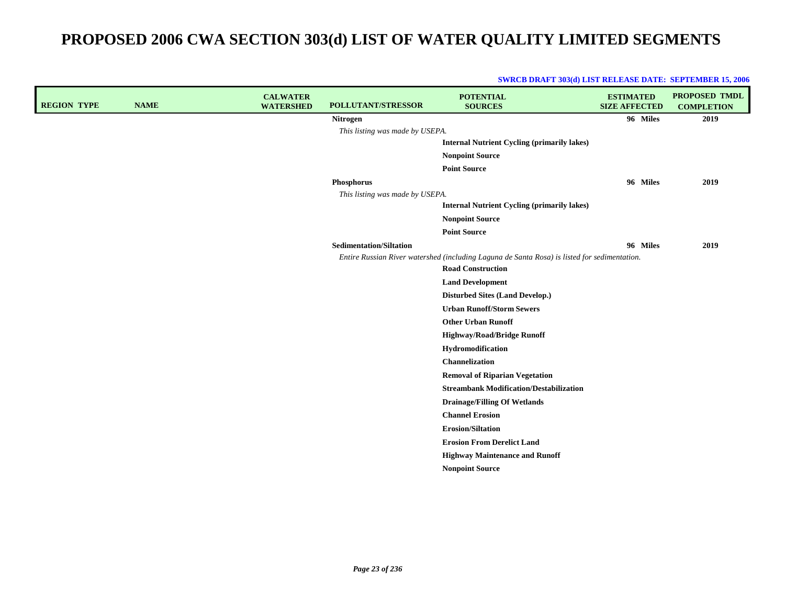|  | <b>SWRCB DRAFT 303(d) LIST RELEASE DATE: SEPTEMBER 15, 2006</b> |  |
|--|-----------------------------------------------------------------|--|
|--|-----------------------------------------------------------------|--|

| <b>REGION TYPE</b> | <b>NAME</b> | <b>CALWATER</b><br><b>WATERSHED</b> | POLLUTANT/STRESSOR              | <b>POTENTIAL</b><br><b>SOURCES</b>                                                                                       | <b>ESTIMATED</b><br><b>SIZE AFFECTED</b> | <b>PROPOSED TMDL</b><br><b>COMPLETION</b> |
|--------------------|-------------|-------------------------------------|---------------------------------|--------------------------------------------------------------------------------------------------------------------------|------------------------------------------|-------------------------------------------|
|                    |             |                                     | <b>Nitrogen</b>                 |                                                                                                                          | 96 Miles                                 | 2019                                      |
|                    |             |                                     | This listing was made by USEPA. |                                                                                                                          |                                          |                                           |
|                    |             |                                     |                                 | <b>Internal Nutrient Cycling (primarily lakes)</b>                                                                       |                                          |                                           |
|                    |             |                                     |                                 | <b>Nonpoint Source</b>                                                                                                   |                                          |                                           |
|                    |             |                                     |                                 | <b>Point Source</b>                                                                                                      |                                          |                                           |
|                    |             |                                     | Phosphorus                      |                                                                                                                          | 96 Miles                                 | 2019                                      |
|                    |             |                                     | This listing was made by USEPA. |                                                                                                                          |                                          |                                           |
|                    |             |                                     |                                 | <b>Internal Nutrient Cycling (primarily lakes)</b>                                                                       |                                          |                                           |
|                    |             |                                     |                                 | <b>Nonpoint Source</b>                                                                                                   |                                          |                                           |
|                    |             |                                     |                                 | <b>Point Source</b>                                                                                                      |                                          |                                           |
|                    |             |                                     | <b>Sedimentation/Siltation</b>  |                                                                                                                          | 96 Miles                                 | 2019                                      |
|                    |             |                                     |                                 | Entire Russian River watershed (including Laguna de Santa Rosa) is listed for sedimentation.<br><b>Road Construction</b> |                                          |                                           |
|                    |             |                                     |                                 | <b>Land Development</b>                                                                                                  |                                          |                                           |
|                    |             |                                     |                                 | <b>Disturbed Sites (Land Develop.)</b>                                                                                   |                                          |                                           |
|                    |             |                                     |                                 | <b>Urban Runoff/Storm Sewers</b>                                                                                         |                                          |                                           |
|                    |             |                                     |                                 | <b>Other Urban Runoff</b>                                                                                                |                                          |                                           |
|                    |             |                                     |                                 | <b>Highway/Road/Bridge Runoff</b>                                                                                        |                                          |                                           |
|                    |             |                                     |                                 | Hydromodification                                                                                                        |                                          |                                           |
|                    |             |                                     |                                 | Channelization                                                                                                           |                                          |                                           |
|                    |             |                                     |                                 | <b>Removal of Riparian Vegetation</b>                                                                                    |                                          |                                           |
|                    |             |                                     |                                 | <b>Streambank Modification/Destabilization</b>                                                                           |                                          |                                           |
|                    |             |                                     |                                 | <b>Drainage/Filling Of Wetlands</b>                                                                                      |                                          |                                           |
|                    |             |                                     |                                 | <b>Channel Erosion</b>                                                                                                   |                                          |                                           |
|                    |             |                                     |                                 | <b>Erosion/Siltation</b>                                                                                                 |                                          |                                           |
|                    |             |                                     |                                 | <b>Erosion From Derelict Land</b>                                                                                        |                                          |                                           |
|                    |             |                                     |                                 | <b>Highway Maintenance and Runoff</b>                                                                                    |                                          |                                           |
|                    |             |                                     |                                 | <b>Nonpoint Source</b>                                                                                                   |                                          |                                           |
|                    |             |                                     |                                 |                                                                                                                          |                                          |                                           |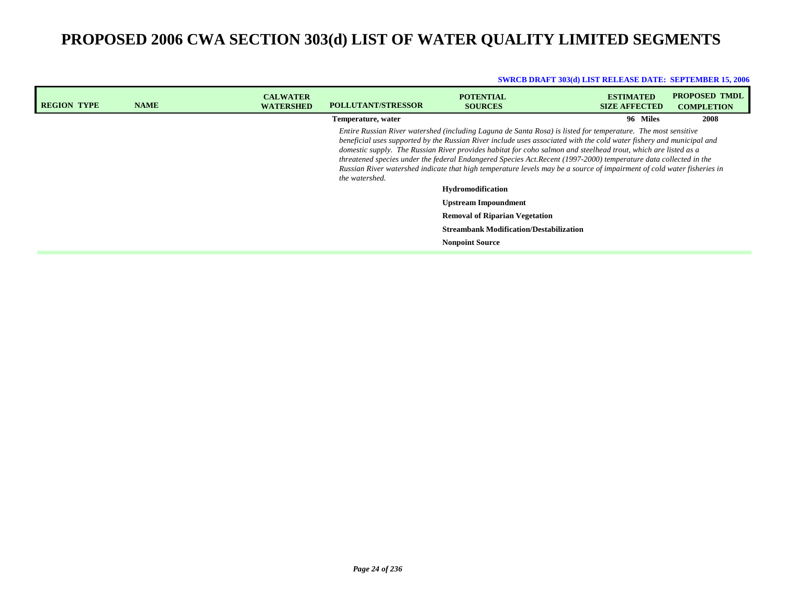|                                                                                                                                                                                                                                                                                                                                                                                                                                                                                                                                                                                                                         | 2008 |
|-------------------------------------------------------------------------------------------------------------------------------------------------------------------------------------------------------------------------------------------------------------------------------------------------------------------------------------------------------------------------------------------------------------------------------------------------------------------------------------------------------------------------------------------------------------------------------------------------------------------------|------|
| 96 Miles<br>Temperature, water                                                                                                                                                                                                                                                                                                                                                                                                                                                                                                                                                                                          |      |
| Entire Russian River watershed (including Laguna de Santa Rosa) is listed for temperature. The most sensitive<br>beneficial uses supported by the Russian River include uses associated with the cold water fishery and municipal and<br>domestic supply. The Russian River provides habitat for coho salmon and steelhead trout, which are listed as a<br>threatened species under the federal Endangered Species Act.Recent (1997-2000) temperature data collected in the<br>Russian River watershed indicate that high temperature levels may be a source of impairment of cold water fisheries in<br>the watershed. |      |
| <b>Hydromodification</b>                                                                                                                                                                                                                                                                                                                                                                                                                                                                                                                                                                                                |      |
| <b>Upstream Impoundment</b>                                                                                                                                                                                                                                                                                                                                                                                                                                                                                                                                                                                             |      |
| <b>Removal of Riparian Vegetation</b>                                                                                                                                                                                                                                                                                                                                                                                                                                                                                                                                                                                   |      |
| <b>Streambank Modification/Destabilization</b>                                                                                                                                                                                                                                                                                                                                                                                                                                                                                                                                                                          |      |
| <b>Nonpoint Source</b>                                                                                                                                                                                                                                                                                                                                                                                                                                                                                                                                                                                                  |      |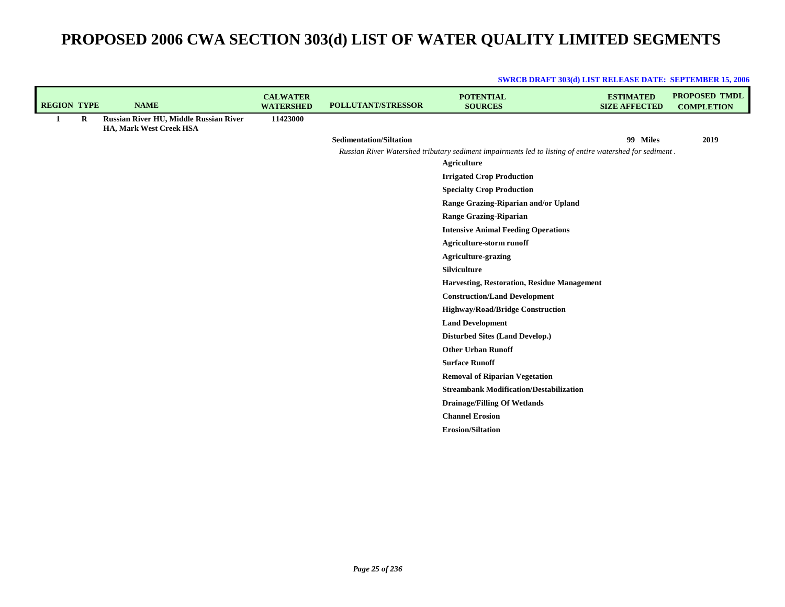| <b>REGION TYPE</b> |   | <b>NAME</b>                                                              | <b>CALWATER</b><br><b>WATERSHED</b> | <b>POLLUTANT/STRESSOR</b>      | <b>POTENTIAL</b><br><b>SOURCES</b>                                                                      | <b>ESTIMATED</b><br><b>SIZE AFFECTED</b> | <b>PROPOSED TMDL</b><br><b>COMPLETION</b> |
|--------------------|---|--------------------------------------------------------------------------|-------------------------------------|--------------------------------|---------------------------------------------------------------------------------------------------------|------------------------------------------|-------------------------------------------|
| 1                  | R | <b>Russian River HU, Middle Russian River</b><br>HA, Mark West Creek HSA | 11423000                            |                                |                                                                                                         |                                          |                                           |
|                    |   |                                                                          |                                     | <b>Sedimentation/Siltation</b> |                                                                                                         | 99 Miles                                 | 2019                                      |
|                    |   |                                                                          |                                     |                                | Russian River Watershed tributary sediment impairments led to listing of entire watershed for sediment. |                                          |                                           |
|                    |   |                                                                          |                                     |                                | <b>Agriculture</b>                                                                                      |                                          |                                           |
|                    |   |                                                                          |                                     |                                | <b>Irrigated Crop Production</b>                                                                        |                                          |                                           |
|                    |   |                                                                          |                                     |                                | <b>Specialty Crop Production</b>                                                                        |                                          |                                           |
|                    |   |                                                                          |                                     |                                | Range Grazing-Riparian and/or Upland                                                                    |                                          |                                           |
|                    |   |                                                                          |                                     |                                | <b>Range Grazing-Riparian</b>                                                                           |                                          |                                           |
|                    |   |                                                                          |                                     |                                | <b>Intensive Animal Feeding Operations</b>                                                              |                                          |                                           |
|                    |   |                                                                          |                                     |                                | Agriculture-storm runoff                                                                                |                                          |                                           |
|                    |   |                                                                          |                                     |                                | <b>Agriculture-grazing</b>                                                                              |                                          |                                           |
|                    |   |                                                                          |                                     |                                | Silviculture                                                                                            |                                          |                                           |
|                    |   |                                                                          |                                     |                                | <b>Harvesting, Restoration, Residue Management</b>                                                      |                                          |                                           |
|                    |   |                                                                          |                                     |                                | <b>Construction/Land Development</b>                                                                    |                                          |                                           |
|                    |   |                                                                          |                                     |                                | <b>Highway/Road/Bridge Construction</b>                                                                 |                                          |                                           |
|                    |   |                                                                          |                                     |                                | <b>Land Development</b>                                                                                 |                                          |                                           |
|                    |   |                                                                          |                                     |                                | <b>Disturbed Sites (Land Develop.)</b>                                                                  |                                          |                                           |
|                    |   |                                                                          |                                     |                                | <b>Other Urban Runoff</b>                                                                               |                                          |                                           |
|                    |   |                                                                          |                                     |                                | <b>Surface Runoff</b>                                                                                   |                                          |                                           |
|                    |   |                                                                          |                                     |                                | <b>Removal of Riparian Vegetation</b>                                                                   |                                          |                                           |
|                    |   |                                                                          |                                     |                                | <b>Streambank Modification/Destabilization</b>                                                          |                                          |                                           |
|                    |   |                                                                          |                                     |                                | <b>Drainage/Filling Of Wetlands</b>                                                                     |                                          |                                           |
|                    |   |                                                                          |                                     |                                | <b>Channel Erosion</b>                                                                                  |                                          |                                           |
|                    |   |                                                                          |                                     |                                | <b>Erosion/Siltation</b>                                                                                |                                          |                                           |
|                    |   |                                                                          |                                     |                                |                                                                                                         |                                          |                                           |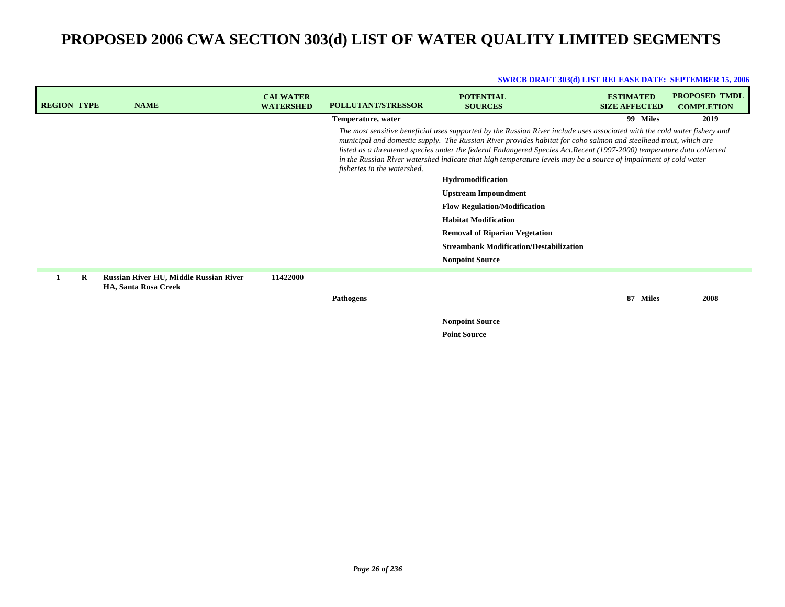| <b>REGION TYPE</b> |         | <b>NAME</b>                                                           | <b>CALWATER</b><br><b>WATERSHED</b> | <b>POLLUTANT/STRESSOR</b>   | <b>POTENTIAL</b><br><b>SOURCES</b>                                                                                                                                                                                                                                                                                                                                                                                                                                                         | <b>ESTIMATED</b><br><b>SIZE AFFECTED</b> | <b>PROPOSED TMDL</b><br><b>COMPLETION</b> |
|--------------------|---------|-----------------------------------------------------------------------|-------------------------------------|-----------------------------|--------------------------------------------------------------------------------------------------------------------------------------------------------------------------------------------------------------------------------------------------------------------------------------------------------------------------------------------------------------------------------------------------------------------------------------------------------------------------------------------|------------------------------------------|-------------------------------------------|
|                    |         |                                                                       |                                     | Temperature, water          |                                                                                                                                                                                                                                                                                                                                                                                                                                                                                            | 99 Miles                                 | 2019                                      |
|                    |         |                                                                       |                                     | fisheries in the watershed. | The most sensitive beneficial uses supported by the Russian River include uses associated with the cold water fishery and<br>municipal and domestic supply. The Russian River provides habitat for coho salmon and steelhead trout, which are<br>listed as a threatened species under the federal Endangered Species Act.Recent (1997-2000) temperature data collected<br>in the Russian River watershed indicate that high temperature levels may be a source of impairment of cold water |                                          |                                           |
|                    |         |                                                                       |                                     |                             | Hydromodification                                                                                                                                                                                                                                                                                                                                                                                                                                                                          |                                          |                                           |
|                    |         |                                                                       |                                     |                             | <b>Upstream Impoundment</b>                                                                                                                                                                                                                                                                                                                                                                                                                                                                |                                          |                                           |
|                    |         |                                                                       |                                     |                             | <b>Flow Regulation/Modification</b>                                                                                                                                                                                                                                                                                                                                                                                                                                                        |                                          |                                           |
|                    |         |                                                                       |                                     |                             | <b>Habitat Modification</b>                                                                                                                                                                                                                                                                                                                                                                                                                                                                |                                          |                                           |
|                    |         |                                                                       |                                     |                             | <b>Removal of Riparian Vegetation</b>                                                                                                                                                                                                                                                                                                                                                                                                                                                      |                                          |                                           |
|                    |         |                                                                       |                                     |                             | <b>Streambank Modification/Destabilization</b>                                                                                                                                                                                                                                                                                                                                                                                                                                             |                                          |                                           |
|                    |         |                                                                       |                                     |                             | <b>Nonpoint Source</b>                                                                                                                                                                                                                                                                                                                                                                                                                                                                     |                                          |                                           |
|                    | $\bf R$ | Russian River HU, Middle Russian River<br><b>HA, Santa Rosa Creek</b> | 11422000                            | Pathogens                   |                                                                                                                                                                                                                                                                                                                                                                                                                                                                                            | 87<br><b>Miles</b>                       | 2008                                      |
|                    |         |                                                                       |                                     |                             | <b>Nonpoint Source</b><br><b>Point Source</b>                                                                                                                                                                                                                                                                                                                                                                                                                                              |                                          |                                           |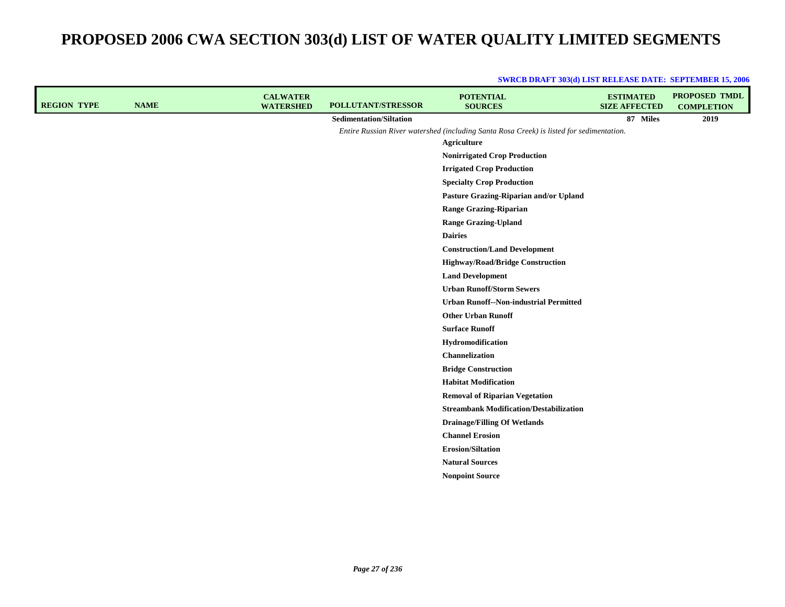| <b>REGION TYPE</b> | <b>NAME</b> | <b>CALWATER</b><br><b>WATERSHED</b> | <b>POLLUTANT/STRESSOR</b> | <b>POTENTIAL</b><br><b>SOURCES</b>                                                       | <b>ESTIMATED</b><br><b>SIZE AFFECTED</b> | <b>PROPOSED TMDL</b><br><b>COMPLETION</b> |
|--------------------|-------------|-------------------------------------|---------------------------|------------------------------------------------------------------------------------------|------------------------------------------|-------------------------------------------|
|                    |             |                                     | Sedimentation/Siltation   |                                                                                          | 87 Miles                                 | 2019                                      |
|                    |             |                                     |                           | Entire Russian River watershed (including Santa Rosa Creek) is listed for sedimentation. |                                          |                                           |
|                    |             |                                     |                           | <b>Agriculture</b>                                                                       |                                          |                                           |
|                    |             |                                     |                           | <b>Nonirrigated Crop Production</b>                                                      |                                          |                                           |
|                    |             |                                     |                           | <b>Irrigated Crop Production</b>                                                         |                                          |                                           |
|                    |             |                                     |                           | <b>Specialty Crop Production</b>                                                         |                                          |                                           |
|                    |             |                                     |                           | Pasture Grazing-Riparian and/or Upland                                                   |                                          |                                           |
|                    |             |                                     |                           | <b>Range Grazing-Riparian</b>                                                            |                                          |                                           |
|                    |             |                                     |                           | <b>Range Grazing-Upland</b>                                                              |                                          |                                           |
|                    |             |                                     |                           | <b>Dairies</b>                                                                           |                                          |                                           |
|                    |             |                                     |                           | <b>Construction/Land Development</b>                                                     |                                          |                                           |
|                    |             |                                     |                           | <b>Highway/Road/Bridge Construction</b>                                                  |                                          |                                           |
|                    |             |                                     |                           | <b>Land Development</b>                                                                  |                                          |                                           |
|                    |             |                                     |                           | <b>Urban Runoff/Storm Sewers</b>                                                         |                                          |                                           |
|                    |             |                                     |                           | <b>Urban Runoff--Non-industrial Permitted</b>                                            |                                          |                                           |
|                    |             |                                     |                           | <b>Other Urban Runoff</b>                                                                |                                          |                                           |
|                    |             |                                     |                           | <b>Surface Runoff</b>                                                                    |                                          |                                           |
|                    |             |                                     |                           | Hydromodification                                                                        |                                          |                                           |
|                    |             |                                     |                           | Channelization                                                                           |                                          |                                           |
|                    |             |                                     |                           | <b>Bridge Construction</b>                                                               |                                          |                                           |
|                    |             |                                     |                           | <b>Habitat Modification</b>                                                              |                                          |                                           |
|                    |             |                                     |                           | <b>Removal of Riparian Vegetation</b>                                                    |                                          |                                           |
|                    |             |                                     |                           | <b>Streambank Modification/Destabilization</b>                                           |                                          |                                           |
|                    |             |                                     |                           | <b>Drainage/Filling Of Wetlands</b>                                                      |                                          |                                           |
|                    |             |                                     |                           | <b>Channel Erosion</b>                                                                   |                                          |                                           |
|                    |             |                                     |                           | <b>Erosion/Siltation</b>                                                                 |                                          |                                           |
|                    |             |                                     |                           | <b>Natural Sources</b>                                                                   |                                          |                                           |
|                    |             |                                     |                           | <b>Nonpoint Source</b>                                                                   |                                          |                                           |
|                    |             |                                     |                           |                                                                                          |                                          |                                           |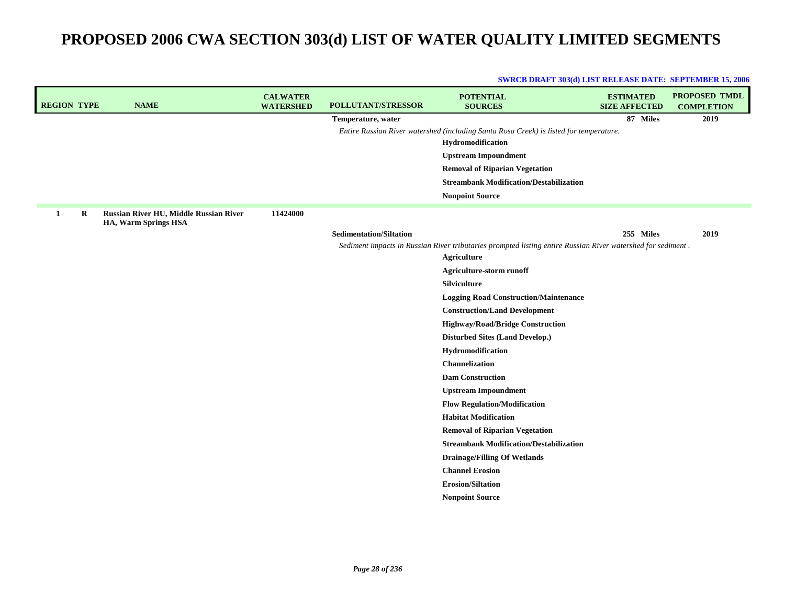| <b>REGION TYPE</b> | <b>NAME</b>                                                    | <b>CALWATER</b><br><b>WATERSHED</b> | POLLUTANT/STRESSOR             | <b>POTENTIAL</b><br><b>SOURCES</b>                                                                          | <b>ESTIMATED</b><br><b>SIZE AFFECTED</b> | <b>PROPOSED TMDL</b><br><b>COMPLETION</b> |
|--------------------|----------------------------------------------------------------|-------------------------------------|--------------------------------|-------------------------------------------------------------------------------------------------------------|------------------------------------------|-------------------------------------------|
|                    |                                                                |                                     | Temperature, water             |                                                                                                             | 87 Miles                                 | 2019                                      |
|                    |                                                                |                                     |                                | Entire Russian River watershed (including Santa Rosa Creek) is listed for temperature.                      |                                          |                                           |
|                    |                                                                |                                     |                                | Hydromodification                                                                                           |                                          |                                           |
|                    |                                                                |                                     |                                | <b>Upstream Impoundment</b>                                                                                 |                                          |                                           |
|                    |                                                                |                                     |                                | <b>Removal of Riparian Vegetation</b>                                                                       |                                          |                                           |
|                    |                                                                |                                     |                                | <b>Streambank Modification/Destabilization</b>                                                              |                                          |                                           |
|                    |                                                                |                                     |                                | <b>Nonpoint Source</b>                                                                                      |                                          |                                           |
| R<br>1             | Russian River HU, Middle Russian River<br>HA, Warm Springs HSA | 11424000                            |                                |                                                                                                             |                                          |                                           |
|                    |                                                                |                                     | <b>Sedimentation/Siltation</b> |                                                                                                             | 255 Miles                                | 2019                                      |
|                    |                                                                |                                     |                                | Sediment impacts in Russian River tributaries prompted listing entire Russian River watershed for sediment. |                                          |                                           |
|                    |                                                                |                                     |                                | <b>Agriculture</b>                                                                                          |                                          |                                           |
|                    |                                                                |                                     |                                | Agriculture-storm runoff                                                                                    |                                          |                                           |
|                    |                                                                |                                     |                                | <b>Silviculture</b>                                                                                         |                                          |                                           |
|                    |                                                                |                                     |                                | <b>Logging Road Construction/Maintenance</b>                                                                |                                          |                                           |
|                    |                                                                |                                     |                                | <b>Construction/Land Development</b>                                                                        |                                          |                                           |
|                    |                                                                |                                     |                                | <b>Highway/Road/Bridge Construction</b>                                                                     |                                          |                                           |
|                    |                                                                |                                     |                                | <b>Disturbed Sites (Land Develop.)</b>                                                                      |                                          |                                           |
|                    |                                                                |                                     |                                | Hydromodification                                                                                           |                                          |                                           |
|                    |                                                                |                                     |                                | <b>Channelization</b>                                                                                       |                                          |                                           |
|                    |                                                                |                                     |                                | <b>Dam Construction</b>                                                                                     |                                          |                                           |
|                    |                                                                |                                     |                                | <b>Upstream Impoundment</b>                                                                                 |                                          |                                           |
|                    |                                                                |                                     |                                | <b>Flow Regulation/Modification</b>                                                                         |                                          |                                           |
|                    |                                                                |                                     |                                | <b>Habitat Modification</b>                                                                                 |                                          |                                           |
|                    |                                                                |                                     |                                | <b>Removal of Riparian Vegetation</b>                                                                       |                                          |                                           |
|                    |                                                                |                                     |                                | <b>Streambank Modification/Destabilization</b>                                                              |                                          |                                           |
|                    |                                                                |                                     |                                | <b>Drainage/Filling Of Wetlands</b>                                                                         |                                          |                                           |
|                    |                                                                |                                     |                                | <b>Channel Erosion</b>                                                                                      |                                          |                                           |
|                    |                                                                |                                     |                                | <b>Erosion/Siltation</b>                                                                                    |                                          |                                           |
|                    |                                                                |                                     |                                | <b>Nonpoint Source</b>                                                                                      |                                          |                                           |
|                    |                                                                |                                     |                                |                                                                                                             |                                          |                                           |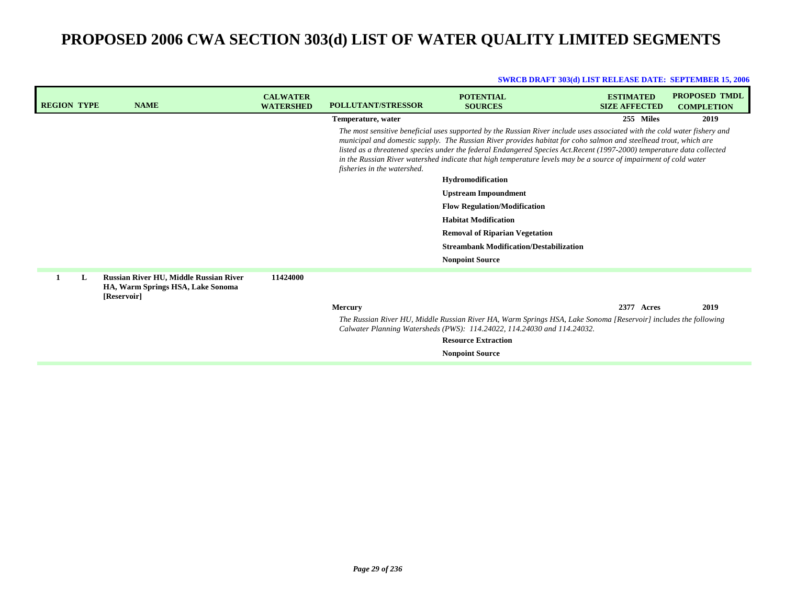| <b>REGION TYPE</b> | <b>NAME</b>                                                                                | <b>CALWATER</b><br><b>WATERSHED</b> | <b>POLLUTANT/STRESSOR</b>   | <b>POTENTIAL</b><br><b>SOURCES</b>                                                                                                                                                                                                                                                                                                                                                                                                                                                         | <b>ESTIMATED</b><br><b>SIZE AFFECTED</b> | <b>PROPOSED TMDL</b><br><b>COMPLETION</b> |
|--------------------|--------------------------------------------------------------------------------------------|-------------------------------------|-----------------------------|--------------------------------------------------------------------------------------------------------------------------------------------------------------------------------------------------------------------------------------------------------------------------------------------------------------------------------------------------------------------------------------------------------------------------------------------------------------------------------------------|------------------------------------------|-------------------------------------------|
|                    |                                                                                            |                                     | Temperature, water          |                                                                                                                                                                                                                                                                                                                                                                                                                                                                                            | 255 Miles                                | 2019                                      |
|                    |                                                                                            |                                     | fisheries in the watershed. | The most sensitive beneficial uses supported by the Russian River include uses associated with the cold water fishery and<br>municipal and domestic supply. The Russian River provides habitat for coho salmon and steelhead trout, which are<br>listed as a threatened species under the federal Endangered Species Act.Recent (1997-2000) temperature data collected<br>in the Russian River watershed indicate that high temperature levels may be a source of impairment of cold water |                                          |                                           |
|                    |                                                                                            |                                     |                             | Hydromodification                                                                                                                                                                                                                                                                                                                                                                                                                                                                          |                                          |                                           |
|                    |                                                                                            |                                     |                             | <b>Upstream Impoundment</b>                                                                                                                                                                                                                                                                                                                                                                                                                                                                |                                          |                                           |
|                    |                                                                                            |                                     |                             | <b>Flow Regulation/Modification</b>                                                                                                                                                                                                                                                                                                                                                                                                                                                        |                                          |                                           |
|                    |                                                                                            |                                     |                             | <b>Habitat Modification</b>                                                                                                                                                                                                                                                                                                                                                                                                                                                                |                                          |                                           |
|                    |                                                                                            |                                     |                             | <b>Removal of Riparian Vegetation</b>                                                                                                                                                                                                                                                                                                                                                                                                                                                      |                                          |                                           |
|                    |                                                                                            |                                     |                             | <b>Streambank Modification/Destabilization</b>                                                                                                                                                                                                                                                                                                                                                                                                                                             |                                          |                                           |
|                    |                                                                                            |                                     |                             | <b>Nonpoint Source</b>                                                                                                                                                                                                                                                                                                                                                                                                                                                                     |                                          |                                           |
| L                  | Russian River HU, Middle Russian River<br>HA, Warm Springs HSA, Lake Sonoma<br>[Reservoir] | 11424000                            |                             |                                                                                                                                                                                                                                                                                                                                                                                                                                                                                            |                                          |                                           |
|                    |                                                                                            |                                     | Mercury                     |                                                                                                                                                                                                                                                                                                                                                                                                                                                                                            | 2377 Acres                               | 2019                                      |
|                    |                                                                                            |                                     |                             | The Russian River HU, Middle Russian River HA, Warm Springs HSA, Lake Sonoma [Reservoir] includes the following<br>Calwater Planning Watersheds (PWS): 114.24022, 114.24030 and 114.24032.                                                                                                                                                                                                                                                                                                 |                                          |                                           |
|                    |                                                                                            |                                     |                             | <b>Resource Extraction</b>                                                                                                                                                                                                                                                                                                                                                                                                                                                                 |                                          |                                           |
|                    |                                                                                            |                                     |                             | <b>Nonpoint Source</b>                                                                                                                                                                                                                                                                                                                                                                                                                                                                     |                                          |                                           |
|                    |                                                                                            |                                     |                             |                                                                                                                                                                                                                                                                                                                                                                                                                                                                                            |                                          |                                           |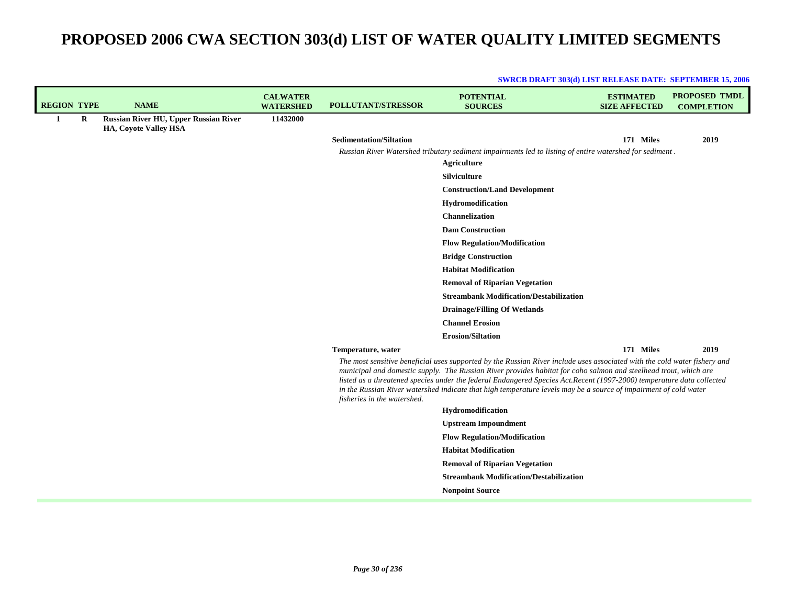| <b>REGION TYPE</b> |   | <b>NAME</b>                                                           | <b>CALWATER</b><br><b>WATERSHED</b> | <b>POLLUTANT/STRESSOR</b>      | <b>POTENTIAL</b><br><b>SOURCES</b>                                                                                                                                                                                                                                                                                                                                                                                                                                                         | <b>ESTIMATED</b><br><b>SIZE AFFECTED</b> | <b>PROPOSED TMDL</b><br><b>COMPLETION</b> |
|--------------------|---|-----------------------------------------------------------------------|-------------------------------------|--------------------------------|--------------------------------------------------------------------------------------------------------------------------------------------------------------------------------------------------------------------------------------------------------------------------------------------------------------------------------------------------------------------------------------------------------------------------------------------------------------------------------------------|------------------------------------------|-------------------------------------------|
| 1                  | R | Russian River HU, Upper Russian River<br><b>HA, Coyote Valley HSA</b> | 11432000                            |                                |                                                                                                                                                                                                                                                                                                                                                                                                                                                                                            |                                          |                                           |
|                    |   |                                                                       |                                     | <b>Sedimentation/Siltation</b> |                                                                                                                                                                                                                                                                                                                                                                                                                                                                                            | 171 Miles                                | 2019                                      |
|                    |   |                                                                       |                                     |                                | Russian River Watershed tributary sediment impairments led to listing of entire watershed for sediment.                                                                                                                                                                                                                                                                                                                                                                                    |                                          |                                           |
|                    |   |                                                                       |                                     |                                | <b>Agriculture</b>                                                                                                                                                                                                                                                                                                                                                                                                                                                                         |                                          |                                           |
|                    |   |                                                                       |                                     |                                | <b>Silviculture</b>                                                                                                                                                                                                                                                                                                                                                                                                                                                                        |                                          |                                           |
|                    |   |                                                                       |                                     |                                | <b>Construction/Land Development</b>                                                                                                                                                                                                                                                                                                                                                                                                                                                       |                                          |                                           |
|                    |   |                                                                       |                                     |                                | Hydromodification                                                                                                                                                                                                                                                                                                                                                                                                                                                                          |                                          |                                           |
|                    |   |                                                                       |                                     |                                | <b>Channelization</b>                                                                                                                                                                                                                                                                                                                                                                                                                                                                      |                                          |                                           |
|                    |   |                                                                       |                                     |                                | <b>Dam Construction</b>                                                                                                                                                                                                                                                                                                                                                                                                                                                                    |                                          |                                           |
|                    |   |                                                                       |                                     |                                | <b>Flow Regulation/Modification</b>                                                                                                                                                                                                                                                                                                                                                                                                                                                        |                                          |                                           |
|                    |   |                                                                       |                                     |                                | <b>Bridge Construction</b>                                                                                                                                                                                                                                                                                                                                                                                                                                                                 |                                          |                                           |
|                    |   |                                                                       |                                     |                                | <b>Habitat Modification</b>                                                                                                                                                                                                                                                                                                                                                                                                                                                                |                                          |                                           |
|                    |   |                                                                       |                                     |                                | <b>Removal of Riparian Vegetation</b>                                                                                                                                                                                                                                                                                                                                                                                                                                                      |                                          |                                           |
|                    |   |                                                                       |                                     |                                | <b>Streambank Modification/Destabilization</b>                                                                                                                                                                                                                                                                                                                                                                                                                                             |                                          |                                           |
|                    |   |                                                                       |                                     |                                | <b>Drainage/Filling Of Wetlands</b>                                                                                                                                                                                                                                                                                                                                                                                                                                                        |                                          |                                           |
|                    |   |                                                                       |                                     |                                | <b>Channel Erosion</b>                                                                                                                                                                                                                                                                                                                                                                                                                                                                     |                                          |                                           |
|                    |   |                                                                       |                                     |                                | <b>Erosion/Siltation</b>                                                                                                                                                                                                                                                                                                                                                                                                                                                                   |                                          |                                           |
|                    |   |                                                                       |                                     | Temperature, water             |                                                                                                                                                                                                                                                                                                                                                                                                                                                                                            | 171 Miles                                | 2019                                      |
|                    |   |                                                                       |                                     | fisheries in the watershed.    | The most sensitive beneficial uses supported by the Russian River include uses associated with the cold water fishery and<br>municipal and domestic supply. The Russian River provides habitat for coho salmon and steelhead trout, which are<br>listed as a threatened species under the federal Endangered Species Act.Recent (1997-2000) temperature data collected<br>in the Russian River watershed indicate that high temperature levels may be a source of impairment of cold water |                                          |                                           |
|                    |   |                                                                       |                                     |                                | Hydromodification                                                                                                                                                                                                                                                                                                                                                                                                                                                                          |                                          |                                           |
|                    |   |                                                                       |                                     |                                | <b>Upstream Impoundment</b>                                                                                                                                                                                                                                                                                                                                                                                                                                                                |                                          |                                           |
|                    |   |                                                                       |                                     |                                | <b>Flow Regulation/Modification</b>                                                                                                                                                                                                                                                                                                                                                                                                                                                        |                                          |                                           |
|                    |   |                                                                       |                                     |                                | <b>Habitat Modification</b>                                                                                                                                                                                                                                                                                                                                                                                                                                                                |                                          |                                           |
|                    |   |                                                                       |                                     |                                | <b>Removal of Riparian Vegetation</b>                                                                                                                                                                                                                                                                                                                                                                                                                                                      |                                          |                                           |
|                    |   |                                                                       |                                     |                                | <b>Streambank Modification/Destabilization</b>                                                                                                                                                                                                                                                                                                                                                                                                                                             |                                          |                                           |
|                    |   |                                                                       |                                     |                                | <b>Nonpoint Source</b>                                                                                                                                                                                                                                                                                                                                                                                                                                                                     |                                          |                                           |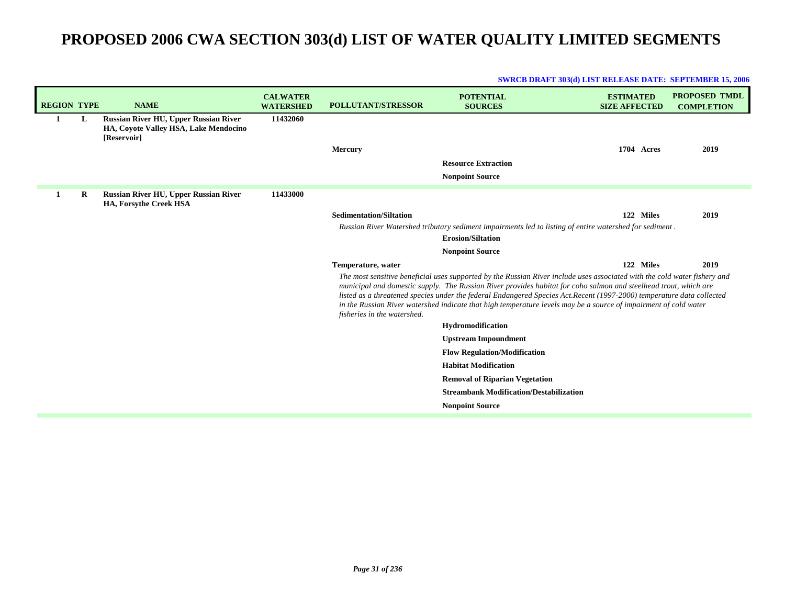| <b>REGION TYPE</b> |   | <b>NAME</b>                                                                                          | <b>CALWATER</b><br><b>WATERSHED</b> | <b>POLLUTANT/STRESSOR</b>      | <b>POTENTIAL</b><br><b>SOURCES</b>                                                                                                                                                                                                                                                                                                                                                                                                                                                         | <b>ESTIMATED</b><br><b>SIZE AFFECTED</b> | <b>PROPOSED TMDL</b><br><b>COMPLETION</b> |
|--------------------|---|------------------------------------------------------------------------------------------------------|-------------------------------------|--------------------------------|--------------------------------------------------------------------------------------------------------------------------------------------------------------------------------------------------------------------------------------------------------------------------------------------------------------------------------------------------------------------------------------------------------------------------------------------------------------------------------------------|------------------------------------------|-------------------------------------------|
| 1                  | L | <b>Russian River HU, Upper Russian River</b><br>HA, Coyote Valley HSA, Lake Mendocino<br>[Reservoir] | 11432060                            |                                |                                                                                                                                                                                                                                                                                                                                                                                                                                                                                            |                                          |                                           |
|                    |   |                                                                                                      |                                     | Mercury                        |                                                                                                                                                                                                                                                                                                                                                                                                                                                                                            | 1704 Acres                               | 2019                                      |
|                    |   |                                                                                                      |                                     |                                | <b>Resource Extraction</b>                                                                                                                                                                                                                                                                                                                                                                                                                                                                 |                                          |                                           |
|                    |   |                                                                                                      |                                     |                                | <b>Nonpoint Source</b>                                                                                                                                                                                                                                                                                                                                                                                                                                                                     |                                          |                                           |
|                    | R | <b>Russian River HU, Upper Russian River</b><br><b>HA, Forsythe Creek HSA</b>                        | 11433000                            |                                |                                                                                                                                                                                                                                                                                                                                                                                                                                                                                            |                                          |                                           |
|                    |   |                                                                                                      |                                     | <b>Sedimentation/Siltation</b> |                                                                                                                                                                                                                                                                                                                                                                                                                                                                                            | 122 Miles                                | 2019                                      |
|                    |   |                                                                                                      |                                     |                                | Russian River Watershed tributary sediment impairments led to listing of entire watershed for sediment.                                                                                                                                                                                                                                                                                                                                                                                    |                                          |                                           |
|                    |   |                                                                                                      |                                     |                                | <b>Erosion/Siltation</b>                                                                                                                                                                                                                                                                                                                                                                                                                                                                   |                                          |                                           |
|                    |   |                                                                                                      |                                     |                                | <b>Nonpoint Source</b>                                                                                                                                                                                                                                                                                                                                                                                                                                                                     |                                          |                                           |
|                    |   |                                                                                                      |                                     | Temperature, water             |                                                                                                                                                                                                                                                                                                                                                                                                                                                                                            | 122 Miles                                | 2019                                      |
|                    |   |                                                                                                      |                                     | fisheries in the watershed.    | The most sensitive beneficial uses supported by the Russian River include uses associated with the cold water fishery and<br>municipal and domestic supply. The Russian River provides habitat for coho salmon and steelhead trout, which are<br>listed as a threatened species under the federal Endangered Species Act.Recent (1997-2000) temperature data collected<br>in the Russian River watershed indicate that high temperature levels may be a source of impairment of cold water |                                          |                                           |
|                    |   |                                                                                                      |                                     |                                | Hydromodification                                                                                                                                                                                                                                                                                                                                                                                                                                                                          |                                          |                                           |
|                    |   |                                                                                                      |                                     |                                | <b>Upstream Impoundment</b>                                                                                                                                                                                                                                                                                                                                                                                                                                                                |                                          |                                           |
|                    |   |                                                                                                      |                                     |                                | <b>Flow Regulation/Modification</b>                                                                                                                                                                                                                                                                                                                                                                                                                                                        |                                          |                                           |
|                    |   |                                                                                                      |                                     |                                | <b>Habitat Modification</b>                                                                                                                                                                                                                                                                                                                                                                                                                                                                |                                          |                                           |
|                    |   |                                                                                                      |                                     |                                | <b>Removal of Riparian Vegetation</b>                                                                                                                                                                                                                                                                                                                                                                                                                                                      |                                          |                                           |
|                    |   |                                                                                                      |                                     |                                | <b>Streambank Modification/Destabilization</b>                                                                                                                                                                                                                                                                                                                                                                                                                                             |                                          |                                           |
|                    |   |                                                                                                      |                                     |                                | <b>Nonpoint Source</b>                                                                                                                                                                                                                                                                                                                                                                                                                                                                     |                                          |                                           |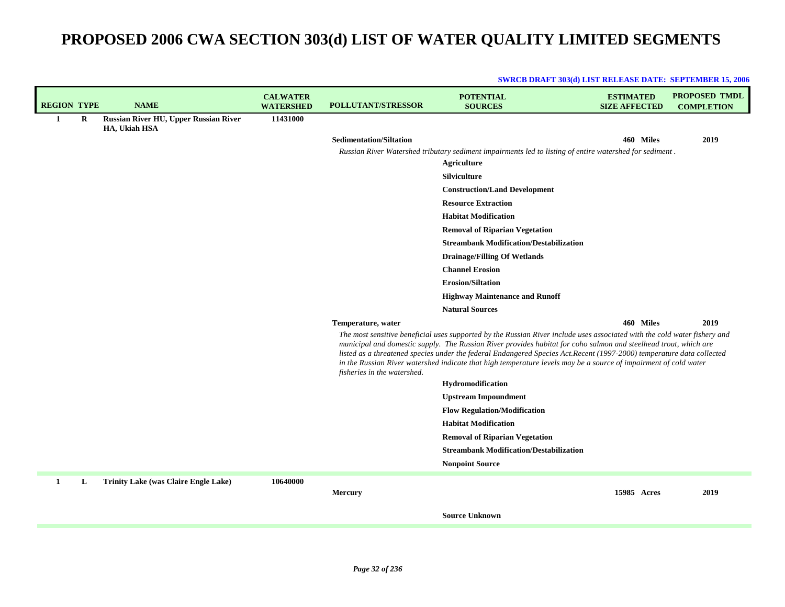|                    |         |                                                               |                                     |                                | <b>SWRCB DRAFT 303(d) LIST RELEASE DATE: SEPTEMBER 15, 2006</b>                                                                                                                                                                                                                                                                                                                                                                                                                            |                                          |                                           |
|--------------------|---------|---------------------------------------------------------------|-------------------------------------|--------------------------------|--------------------------------------------------------------------------------------------------------------------------------------------------------------------------------------------------------------------------------------------------------------------------------------------------------------------------------------------------------------------------------------------------------------------------------------------------------------------------------------------|------------------------------------------|-------------------------------------------|
| <b>REGION TYPE</b> |         | <b>NAME</b>                                                   | <b>CALWATER</b><br><b>WATERSHED</b> | <b>POLLUTANT/STRESSOR</b>      | <b>POTENTIAL</b><br><b>SOURCES</b>                                                                                                                                                                                                                                                                                                                                                                                                                                                         | <b>ESTIMATED</b><br><b>SIZE AFFECTED</b> | <b>PROPOSED TMDL</b><br><b>COMPLETION</b> |
| 1                  | $\bf R$ | <b>Russian River HU, Upper Russian River</b><br>HA, Ukiah HSA | 11431000                            |                                |                                                                                                                                                                                                                                                                                                                                                                                                                                                                                            |                                          |                                           |
|                    |         |                                                               |                                     | <b>Sedimentation/Siltation</b> |                                                                                                                                                                                                                                                                                                                                                                                                                                                                                            | 460 Miles                                | 2019                                      |
|                    |         |                                                               |                                     |                                | Russian River Watershed tributary sediment impairments led to listing of entire watershed for sediment.                                                                                                                                                                                                                                                                                                                                                                                    |                                          |                                           |
|                    |         |                                                               |                                     |                                | <b>Agriculture</b>                                                                                                                                                                                                                                                                                                                                                                                                                                                                         |                                          |                                           |
|                    |         |                                                               |                                     |                                | Silviculture                                                                                                                                                                                                                                                                                                                                                                                                                                                                               |                                          |                                           |
|                    |         |                                                               |                                     |                                | <b>Construction/Land Development</b>                                                                                                                                                                                                                                                                                                                                                                                                                                                       |                                          |                                           |
|                    |         |                                                               |                                     |                                | <b>Resource Extraction</b>                                                                                                                                                                                                                                                                                                                                                                                                                                                                 |                                          |                                           |
|                    |         |                                                               |                                     |                                | <b>Habitat Modification</b>                                                                                                                                                                                                                                                                                                                                                                                                                                                                |                                          |                                           |
|                    |         |                                                               |                                     |                                | <b>Removal of Riparian Vegetation</b>                                                                                                                                                                                                                                                                                                                                                                                                                                                      |                                          |                                           |
|                    |         |                                                               |                                     |                                | <b>Streambank Modification/Destabilization</b>                                                                                                                                                                                                                                                                                                                                                                                                                                             |                                          |                                           |
|                    |         |                                                               |                                     |                                | <b>Drainage/Filling Of Wetlands</b>                                                                                                                                                                                                                                                                                                                                                                                                                                                        |                                          |                                           |
|                    |         |                                                               |                                     |                                | <b>Channel Erosion</b>                                                                                                                                                                                                                                                                                                                                                                                                                                                                     |                                          |                                           |
|                    |         |                                                               |                                     |                                | <b>Erosion/Siltation</b>                                                                                                                                                                                                                                                                                                                                                                                                                                                                   |                                          |                                           |
|                    |         |                                                               |                                     |                                | <b>Highway Maintenance and Runoff</b>                                                                                                                                                                                                                                                                                                                                                                                                                                                      |                                          |                                           |
|                    |         |                                                               |                                     |                                | <b>Natural Sources</b>                                                                                                                                                                                                                                                                                                                                                                                                                                                                     |                                          |                                           |
|                    |         |                                                               |                                     | Temperature, water             |                                                                                                                                                                                                                                                                                                                                                                                                                                                                                            | 460 Miles                                | 2019                                      |
|                    |         |                                                               |                                     | fisheries in the watershed.    | The most sensitive beneficial uses supported by the Russian River include uses associated with the cold water fishery and<br>municipal and domestic supply. The Russian River provides habitat for coho salmon and steelhead trout, which are<br>listed as a threatened species under the federal Endangered Species Act.Recent (1997-2000) temperature data collected<br>in the Russian River watershed indicate that high temperature levels may be a source of impairment of cold water |                                          |                                           |
|                    |         |                                                               |                                     |                                | Hydromodification                                                                                                                                                                                                                                                                                                                                                                                                                                                                          |                                          |                                           |
|                    |         |                                                               |                                     |                                | <b>Upstream Impoundment</b>                                                                                                                                                                                                                                                                                                                                                                                                                                                                |                                          |                                           |
|                    |         |                                                               |                                     |                                | <b>Flow Regulation/Modification</b>                                                                                                                                                                                                                                                                                                                                                                                                                                                        |                                          |                                           |
|                    |         |                                                               |                                     |                                | <b>Habitat Modification</b>                                                                                                                                                                                                                                                                                                                                                                                                                                                                |                                          |                                           |
|                    |         |                                                               |                                     |                                | <b>Removal of Riparian Vegetation</b>                                                                                                                                                                                                                                                                                                                                                                                                                                                      |                                          |                                           |
|                    |         |                                                               |                                     |                                | <b>Streambank Modification/Destabilization</b>                                                                                                                                                                                                                                                                                                                                                                                                                                             |                                          |                                           |
|                    |         |                                                               |                                     |                                | <b>Nonpoint Source</b>                                                                                                                                                                                                                                                                                                                                                                                                                                                                     |                                          |                                           |
| $\mathbf{1}$       | L       | <b>Trinity Lake (was Claire Engle Lake)</b>                   | 10640000                            | <b>Mercury</b>                 |                                                                                                                                                                                                                                                                                                                                                                                                                                                                                            | 15985 Acres                              | 2019                                      |
|                    |         |                                                               |                                     |                                | <b>Source Unknown</b>                                                                                                                                                                                                                                                                                                                                                                                                                                                                      |                                          |                                           |
|                    |         |                                                               |                                     |                                |                                                                                                                                                                                                                                                                                                                                                                                                                                                                                            |                                          |                                           |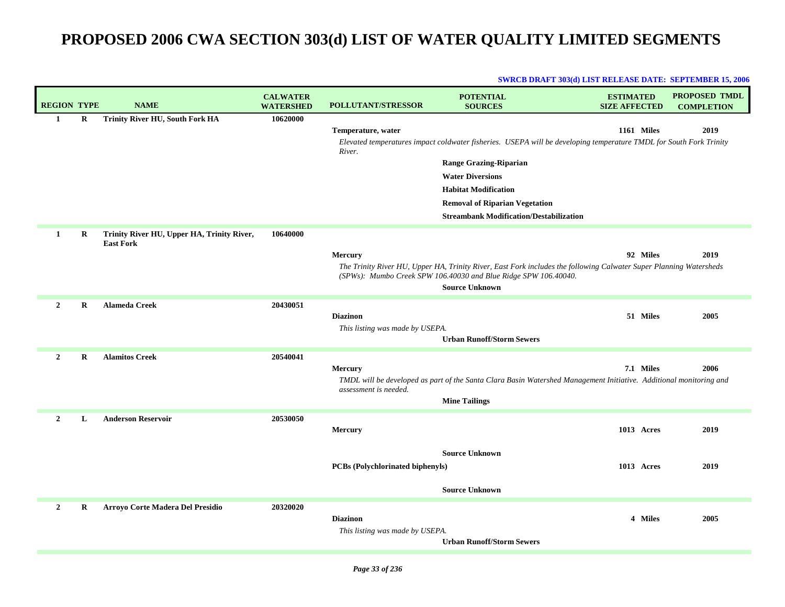| <b>REGION TYPE</b> |         | <b>NAME</b>                                                    | <b>CALWATER</b><br><b>WATERSHED</b> | <b>POLLUTANT/STRESSOR</b>                          | <b>POTENTIAL</b><br><b>SOURCES</b>                                                                                                                                                                             | <b>ESTIMATED</b><br><b>SIZE AFFECTED</b> | <b>PROPOSED TMDL</b><br><b>COMPLETION</b> |
|--------------------|---------|----------------------------------------------------------------|-------------------------------------|----------------------------------------------------|----------------------------------------------------------------------------------------------------------------------------------------------------------------------------------------------------------------|------------------------------------------|-------------------------------------------|
| 1                  | R       | <b>Trinity River HU, South Fork HA</b>                         | 10620000                            | Temperature, water<br>River.                       | Elevated temperatures impact coldwater fisheries. USEPA will be developing temperature TMDL for South Fork Trinity                                                                                             | 1161 Miles                               | 2019                                      |
|                    |         |                                                                |                                     |                                                    | <b>Range Grazing-Riparian</b><br><b>Water Diversions</b><br><b>Habitat Modification</b><br><b>Removal of Riparian Vegetation</b><br><b>Streambank Modification/Destabilization</b>                             |                                          |                                           |
| 1                  | R       | Trinity River HU, Upper HA, Trinity River,<br><b>East Fork</b> | 10640000                            | <b>Mercury</b>                                     | The Trinity River HU, Upper HA, Trinity River, East Fork includes the following Calwater Super Planning Watersheds<br>(SPWs): Mumbo Creek SPW 106.40030 and Blue Ridge SPW 106.40040.<br><b>Source Unknown</b> | 92 Miles                                 | 2019                                      |
| $\mathbf{2}$       | R       | <b>Alameda Creek</b>                                           | 20430051                            | <b>Diazinon</b><br>This listing was made by USEPA. | <b>Urban Runoff/Storm Sewers</b>                                                                                                                                                                               | 51 Miles                                 | 2005                                      |
| $\overline{2}$     | $\bf R$ | <b>Alamitos Creek</b>                                          | 20540041                            | <b>Mercury</b><br>assessment is needed.            | TMDL will be developed as part of the Santa Clara Basin Watershed Management Initiative. Additional monitoring and<br><b>Mine Tailings</b>                                                                     | 7.1 Miles                                | 2006                                      |
| $\overline{2}$     | L       | <b>Anderson Reservoir</b>                                      | 20530050                            | <b>Mercury</b>                                     |                                                                                                                                                                                                                | 1013 Acres                               | 2019                                      |
|                    |         |                                                                |                                     | <b>PCBs</b> (Polychlorinated biphenyls)            | <b>Source Unknown</b><br><b>Source Unknown</b>                                                                                                                                                                 | 1013 Acres                               | 2019                                      |
| $\overline{2}$     | R       | Arroyo Corte Madera Del Presidio                               | 20320020                            | <b>Diazinon</b><br>This listing was made by USEPA. | <b>Urban Runoff/Storm Sewers</b>                                                                                                                                                                               | 4 Miles                                  | 2005                                      |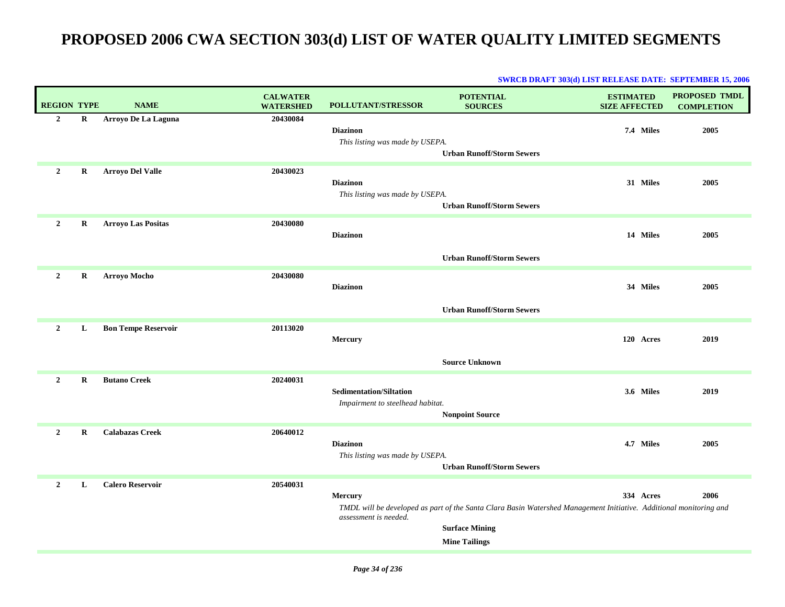| <b>REGION TYPE</b> |          | <b>NAME</b>                | <b>CALWATER</b><br><b>WATERSHED</b> | <b>POLLUTANT/STRESSOR</b>                                          | <b>POTENTIAL</b><br><b>SOURCES</b>                                                                                                                                  | <b>ESTIMATED</b><br><b>SIZE AFFECTED</b> | <b>PROPOSED TMDL</b><br><b>COMPLETION</b> |
|--------------------|----------|----------------------------|-------------------------------------|--------------------------------------------------------------------|---------------------------------------------------------------------------------------------------------------------------------------------------------------------|------------------------------------------|-------------------------------------------|
| $\mathbf{2}$       | $\bf R$  | Arroyo De La Laguna        | 20430084                            | <b>Diazinon</b><br>This listing was made by USEPA.                 | <b>Urban Runoff/Storm Sewers</b>                                                                                                                                    | 7.4 Miles                                | 2005                                      |
| $\overline{2}$     | R        | <b>Arroyo Del Valle</b>    | 20430023                            | <b>Diazinon</b><br>This listing was made by USEPA.                 | <b>Urban Runoff/Storm Sewers</b>                                                                                                                                    | 31 Miles                                 | 2005                                      |
| $\overline{2}$     | R        | <b>Arroyo Las Positas</b>  | 20430080                            | <b>Diazinon</b>                                                    | <b>Urban Runoff/Storm Sewers</b>                                                                                                                                    | 14 Miles                                 | 2005                                      |
| $\mathbf{2}$       | $\bf{R}$ | <b>Arroyo Mocho</b>        | 20430080                            | <b>Diazinon</b>                                                    | <b>Urban Runoff/Storm Sewers</b>                                                                                                                                    | 34 Miles                                 | 2005                                      |
| $\mathbf{2}$       | L        | <b>Bon Tempe Reservoir</b> | 20113020                            | Mercury                                                            | <b>Source Unknown</b>                                                                                                                                               | 120 Acres                                | 2019                                      |
| $\overline{2}$     | R        | <b>Butano Creek</b>        | 20240031                            | <b>Sedimentation/Siltation</b><br>Impairment to steelhead habitat. | <b>Nonpoint Source</b>                                                                                                                                              | 3.6 Miles                                | 2019                                      |
| $\overline{2}$     | $\bf R$  | <b>Calabazas Creek</b>     | 20640012                            | <b>Diazinon</b><br>This listing was made by USEPA.                 | <b>Urban Runoff/Storm Sewers</b>                                                                                                                                    | 4.7 Miles                                | 2005                                      |
| $\overline{2}$     | L        | <b>Calero Reservoir</b>    | 20540031                            | <b>Mercury</b><br>assessment is needed.                            | TMDL will be developed as part of the Santa Clara Basin Watershed Management Initiative. Additional monitoring and<br><b>Surface Mining</b><br><b>Mine Tailings</b> | 334 Acres                                | 2006                                      |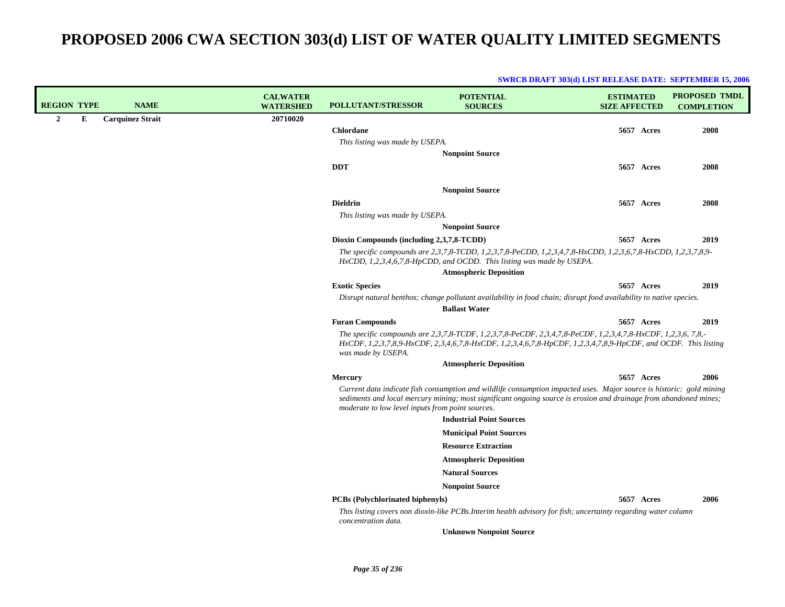| <b>REGION TYPE</b> |   | <b>NAME</b>             | <b>CALWATER</b><br><b>WATERSHED</b> | <b>POLLUTANT/STRESSOR</b>                                                                                                                                                                                                                                                                     | <b>POTENTIAL</b><br><b>SOURCES</b>                                                                                                                                                                                            | <b>ESTIMATED</b><br><b>SIZE AFFECTED</b> |                   | <b>PROPOSED TMDL</b><br><b>COMPLETION</b> |
|--------------------|---|-------------------------|-------------------------------------|-----------------------------------------------------------------------------------------------------------------------------------------------------------------------------------------------------------------------------------------------------------------------------------------------|-------------------------------------------------------------------------------------------------------------------------------------------------------------------------------------------------------------------------------|------------------------------------------|-------------------|-------------------------------------------|
| $\overline{2}$     | E | <b>Carquinez Strait</b> | 20710020                            |                                                                                                                                                                                                                                                                                               |                                                                                                                                                                                                                               |                                          |                   |                                           |
|                    |   |                         |                                     | <b>Chlordane</b>                                                                                                                                                                                                                                                                              |                                                                                                                                                                                                                               |                                          | 5657 Acres        | 2008                                      |
|                    |   |                         |                                     | This listing was made by USEPA.                                                                                                                                                                                                                                                               |                                                                                                                                                                                                                               |                                          |                   |                                           |
|                    |   |                         |                                     |                                                                                                                                                                                                                                                                                               | <b>Nonpoint Source</b>                                                                                                                                                                                                        |                                          |                   |                                           |
|                    |   |                         |                                     | <b>DDT</b>                                                                                                                                                                                                                                                                                    |                                                                                                                                                                                                                               |                                          | 5657 Acres        | 2008                                      |
|                    |   |                         |                                     |                                                                                                                                                                                                                                                                                               | <b>Nonpoint Source</b>                                                                                                                                                                                                        |                                          |                   |                                           |
|                    |   |                         |                                     | <b>Dieldrin</b>                                                                                                                                                                                                                                                                               |                                                                                                                                                                                                                               |                                          | 5657 Acres        | 2008                                      |
|                    |   |                         |                                     | This listing was made by USEPA.                                                                                                                                                                                                                                                               |                                                                                                                                                                                                                               |                                          |                   |                                           |
|                    |   |                         |                                     |                                                                                                                                                                                                                                                                                               | <b>Nonpoint Source</b>                                                                                                                                                                                                        |                                          |                   |                                           |
|                    |   |                         |                                     | Dioxin Compounds (including 2,3,7,8-TCDD)                                                                                                                                                                                                                                                     |                                                                                                                                                                                                                               |                                          | 5657 Acres        | 2019                                      |
|                    |   |                         |                                     |                                                                                                                                                                                                                                                                                               | The specific compounds are 2,3,7,8-TCDD, 1,2,3,7,8-PeCDD, 1,2,3,4,7,8-HxCDD, 1,2,3,6,7,8-HxCDD, 1,2,3,7,8,9-<br>HxCDD, 1,2,3,4,6,7,8-HpCDD, and OCDD. This listing was made by USEPA.                                         |                                          |                   |                                           |
|                    |   |                         |                                     |                                                                                                                                                                                                                                                                                               | <b>Atmospheric Deposition</b>                                                                                                                                                                                                 |                                          |                   |                                           |
|                    |   |                         |                                     | <b>Exotic Species</b>                                                                                                                                                                                                                                                                         |                                                                                                                                                                                                                               |                                          | 5657 Acres        | 2019                                      |
|                    |   |                         |                                     |                                                                                                                                                                                                                                                                                               | Disrupt natural benthos; change pollutant availability in food chain; disrupt food availability to native species.<br><b>Ballast Water</b>                                                                                    |                                          |                   |                                           |
|                    |   |                         |                                     | <b>Furan Compounds</b>                                                                                                                                                                                                                                                                        |                                                                                                                                                                                                                               |                                          | 5657 Acres        | 2019                                      |
|                    |   |                         |                                     | was made by USEPA.                                                                                                                                                                                                                                                                            | The specific compounds are 2,3,7,8-TCDF, 1,2,3,7,8-PeCDF, 2,3,4,7,8-PeCDF, 1,2,3,4,7,8-HxCDF, 1,2,3,6, 7,8,-<br>HxCDF, 1,2,3,7,8,9-HxCDF, 2,3,4,6,7,8-HxCDF, 1,2,3,4,6,7,8-HpCDF, 1,2,3,4,7,8,9-HpCDF, and OCDF. This listing |                                          |                   |                                           |
|                    |   |                         |                                     |                                                                                                                                                                                                                                                                                               | <b>Atmospheric Deposition</b>                                                                                                                                                                                                 |                                          |                   |                                           |
|                    |   |                         |                                     | <b>Mercury</b>                                                                                                                                                                                                                                                                                |                                                                                                                                                                                                                               |                                          | 5657 Acres        | 2006                                      |
|                    |   |                         |                                     | Current data indicate fish consumption and wildlife consumption impacted uses. Major source is historic: gold mining<br>sediments and local mercury mining; most significant ongoing source is erosion and drainage from abandoned mines;<br>moderate to low level inputs from point sources. |                                                                                                                                                                                                                               |                                          |                   |                                           |
|                    |   |                         |                                     |                                                                                                                                                                                                                                                                                               | <b>Industrial Point Sources</b>                                                                                                                                                                                               |                                          |                   |                                           |
|                    |   |                         |                                     |                                                                                                                                                                                                                                                                                               | <b>Municipal Point Sources</b>                                                                                                                                                                                                |                                          |                   |                                           |
|                    |   |                         |                                     |                                                                                                                                                                                                                                                                                               | <b>Resource Extraction</b>                                                                                                                                                                                                    |                                          |                   |                                           |
|                    |   |                         |                                     |                                                                                                                                                                                                                                                                                               | <b>Atmospheric Deposition</b>                                                                                                                                                                                                 |                                          |                   |                                           |
|                    |   |                         |                                     |                                                                                                                                                                                                                                                                                               | <b>Natural Sources</b>                                                                                                                                                                                                        |                                          |                   |                                           |
|                    |   |                         |                                     |                                                                                                                                                                                                                                                                                               | <b>Nonpoint Source</b>                                                                                                                                                                                                        |                                          |                   |                                           |
|                    |   |                         |                                     | <b>PCBs</b> (Polychlorinated biphenyls)                                                                                                                                                                                                                                                       |                                                                                                                                                                                                                               |                                          | <b>5657 Acres</b> | 2006                                      |
|                    |   |                         |                                     | concentration data.                                                                                                                                                                                                                                                                           | This listing covers non dioxin-like PCBs.Interim health advisory for fish; uncertainty regarding water column                                                                                                                 |                                          |                   |                                           |
|                    |   |                         |                                     |                                                                                                                                                                                                                                                                                               | <b>Unknown Nonpoint Source</b>                                                                                                                                                                                                |                                          |                   |                                           |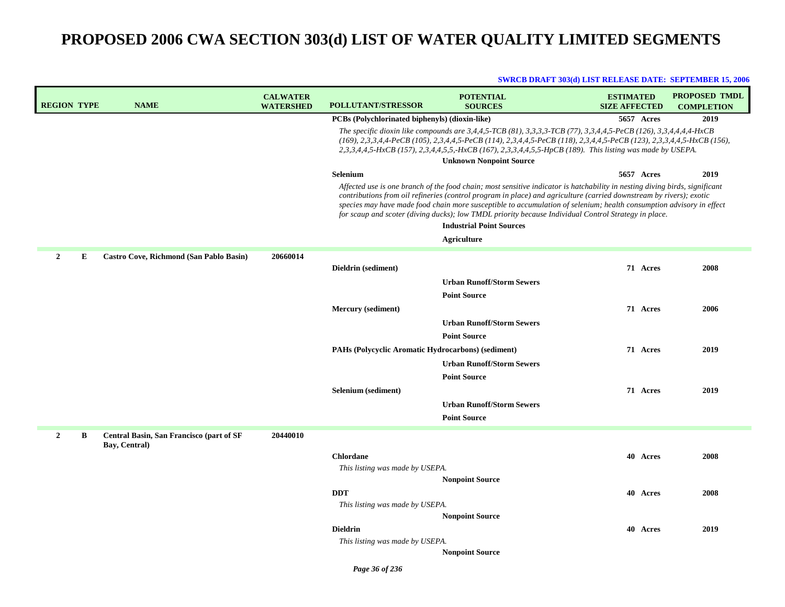| <b>REGION TYPE</b>  | <b>NAME</b>                                               | <b>CALWATER</b><br><b>WATERSHED</b> | <b>POLLUTANT/STRESSOR</b>                                                                                                                                                                                                                                                                                                                                                                                                                                                          | <b>POTENTIAL</b><br><b>SOURCES</b> | <b>ESTIMATED</b><br><b>SIZE AFFECTED</b> | <b>PROPOSED TMDL</b><br><b>COMPLETION</b> |
|---------------------|-----------------------------------------------------------|-------------------------------------|------------------------------------------------------------------------------------------------------------------------------------------------------------------------------------------------------------------------------------------------------------------------------------------------------------------------------------------------------------------------------------------------------------------------------------------------------------------------------------|------------------------------------|------------------------------------------|-------------------------------------------|
|                     |                                                           |                                     | PCBs (Polychlorinated biphenyls) (dioxin-like)                                                                                                                                                                                                                                                                                                                                                                                                                                     |                                    | 5657 Acres                               | 2019                                      |
|                     |                                                           |                                     | The specific dioxin like compounds are 3,4,4,5-TCB (81), 3,3,3,3-TCB (77), 3,3,4,4,5-PeCB (126), 3,3,4,4,4,4-HxCB<br>(169), 2,3,3,4,4-PeCB (105), 2,3,4,4,5-PeCB (114), 2,3,4,4,5-PeCB (118), 2,3,4,4,5-PeCB (123), 2,3,3,4,4,5-HxCB (156),<br>2,3,3,4,4,5-HxCB (157), 2,3,4,4,5,5,-HxCB (167), 2,3,3,4,4,5,5-HpCB (189). This listing was made by USEPA.                                                                                                                          |                                    |                                          |                                           |
|                     |                                                           |                                     |                                                                                                                                                                                                                                                                                                                                                                                                                                                                                    | <b>Unknown Nonpoint Source</b>     |                                          |                                           |
|                     |                                                           |                                     | <b>Selenium</b>                                                                                                                                                                                                                                                                                                                                                                                                                                                                    |                                    | 5657 Acres                               | 2019                                      |
|                     |                                                           |                                     | Affected use is one branch of the food chain; most sensitive indicator is hatchability in nesting diving birds, significant<br>contributions from oil refineries (control program in place) and agriculture (carried downstream by rivers); exotic<br>species may have made food chain more susceptible to accumulation of selenium; health consumption advisory in effect<br>for scaup and scoter (diving ducks); low TMDL priority because Individual Control Strategy in place. |                                    |                                          |                                           |
|                     |                                                           |                                     |                                                                                                                                                                                                                                                                                                                                                                                                                                                                                    | <b>Industrial Point Sources</b>    |                                          |                                           |
|                     |                                                           |                                     |                                                                                                                                                                                                                                                                                                                                                                                                                                                                                    | <b>Agriculture</b>                 |                                          |                                           |
| $\overline{2}$<br>E | Castro Cove, Richmond (San Pablo Basin)                   | 20660014                            |                                                                                                                                                                                                                                                                                                                                                                                                                                                                                    |                                    |                                          |                                           |
|                     |                                                           |                                     | Dieldrin (sediment)                                                                                                                                                                                                                                                                                                                                                                                                                                                                |                                    | 71 Acres                                 | 2008                                      |
|                     |                                                           |                                     |                                                                                                                                                                                                                                                                                                                                                                                                                                                                                    | <b>Urban Runoff/Storm Sewers</b>   |                                          |                                           |
|                     |                                                           |                                     |                                                                                                                                                                                                                                                                                                                                                                                                                                                                                    | <b>Point Source</b>                |                                          |                                           |
|                     |                                                           |                                     | Mercury (sediment)                                                                                                                                                                                                                                                                                                                                                                                                                                                                 |                                    | 71 Acres                                 | 2006                                      |
|                     |                                                           |                                     |                                                                                                                                                                                                                                                                                                                                                                                                                                                                                    | <b>Urban Runoff/Storm Sewers</b>   |                                          |                                           |
|                     |                                                           |                                     |                                                                                                                                                                                                                                                                                                                                                                                                                                                                                    | <b>Point Source</b>                |                                          |                                           |
|                     |                                                           |                                     | PAHs (Polycyclic Aromatic Hydrocarbons) (sediment)                                                                                                                                                                                                                                                                                                                                                                                                                                 |                                    | 71 Acres                                 | 2019                                      |
|                     |                                                           |                                     |                                                                                                                                                                                                                                                                                                                                                                                                                                                                                    | <b>Urban Runoff/Storm Sewers</b>   |                                          |                                           |
|                     |                                                           |                                     | Selenium (sediment)                                                                                                                                                                                                                                                                                                                                                                                                                                                                | <b>Point Source</b>                | 71 Acres                                 | 2019                                      |
|                     |                                                           |                                     |                                                                                                                                                                                                                                                                                                                                                                                                                                                                                    | <b>Urban Runoff/Storm Sewers</b>   |                                          |                                           |
|                     |                                                           |                                     |                                                                                                                                                                                                                                                                                                                                                                                                                                                                                    | <b>Point Source</b>                |                                          |                                           |
|                     |                                                           |                                     |                                                                                                                                                                                                                                                                                                                                                                                                                                                                                    |                                    |                                          |                                           |
| $\overline{2}$<br>B | Central Basin, San Francisco (part of SF<br>Bay, Central) | 20440010                            |                                                                                                                                                                                                                                                                                                                                                                                                                                                                                    |                                    |                                          |                                           |
|                     |                                                           |                                     | <b>Chlordane</b>                                                                                                                                                                                                                                                                                                                                                                                                                                                                   |                                    | 40 Acres                                 | 2008                                      |
|                     |                                                           |                                     | This listing was made by USEPA.                                                                                                                                                                                                                                                                                                                                                                                                                                                    |                                    |                                          |                                           |
|                     |                                                           |                                     |                                                                                                                                                                                                                                                                                                                                                                                                                                                                                    | <b>Nonpoint Source</b>             |                                          |                                           |
|                     |                                                           |                                     | <b>DDT</b>                                                                                                                                                                                                                                                                                                                                                                                                                                                                         |                                    | 40 Acres                                 | 2008                                      |
|                     |                                                           |                                     | This listing was made by USEPA.                                                                                                                                                                                                                                                                                                                                                                                                                                                    | <b>Nonpoint Source</b>             |                                          |                                           |
|                     |                                                           |                                     | <b>Dieldrin</b>                                                                                                                                                                                                                                                                                                                                                                                                                                                                    |                                    | 40 Acres                                 | 2019                                      |
|                     |                                                           |                                     | This listing was made by USEPA.                                                                                                                                                                                                                                                                                                                                                                                                                                                    |                                    |                                          |                                           |
|                     |                                                           |                                     |                                                                                                                                                                                                                                                                                                                                                                                                                                                                                    | <b>Nonpoint Source</b>             |                                          |                                           |
|                     |                                                           |                                     |                                                                                                                                                                                                                                                                                                                                                                                                                                                                                    |                                    |                                          |                                           |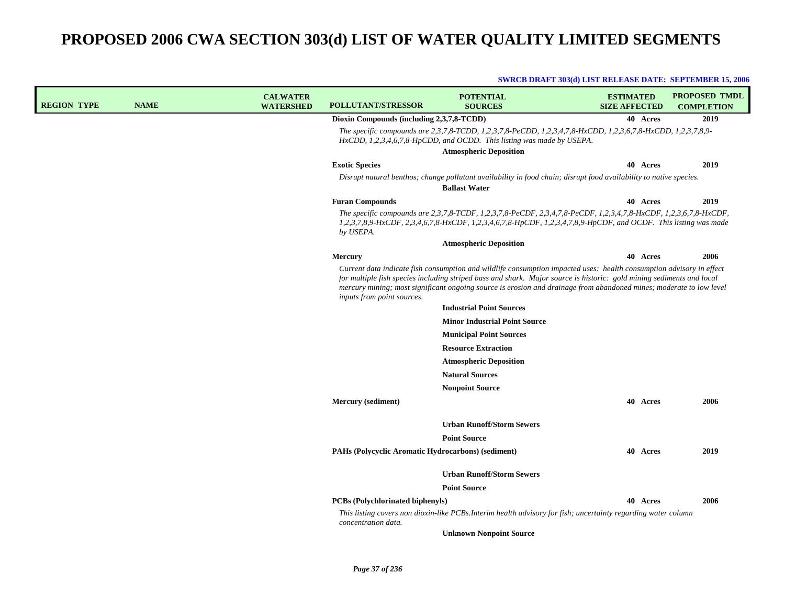| <b>REGION TYPE</b> | <b>NAME</b> | <b>CALWATER</b><br><b>WATERSHED</b> | <b>POLLUTANT/STRESSOR</b>                          | <b>POTENTIAL</b><br><b>SOURCES</b>                                                                                                                                                                                                                                                                                                                                   | <b>ESTIMATED</b><br><b>SIZE AFFECTED</b> |          | <b>PROPOSED TMDL</b><br><b>COMPLETION</b> |
|--------------------|-------------|-------------------------------------|----------------------------------------------------|----------------------------------------------------------------------------------------------------------------------------------------------------------------------------------------------------------------------------------------------------------------------------------------------------------------------------------------------------------------------|------------------------------------------|----------|-------------------------------------------|
|                    |             |                                     | Dioxin Compounds (including 2,3,7,8-TCDD)          |                                                                                                                                                                                                                                                                                                                                                                      |                                          | 40 Acres | 2019                                      |
|                    |             |                                     |                                                    | The specific compounds are 2,3,7,8-TCDD, 1,2,3,7,8-PeCDD, 1,2,3,4,7,8-HxCDD, 1,2,3,6,7,8-HxCDD, 1,2,3,7,8,9-<br>HxCDD, 1,2,3,4,6,7,8-HpCDD, and OCDD. This listing was made by USEPA.                                                                                                                                                                                |                                          |          |                                           |
|                    |             |                                     |                                                    | <b>Atmospheric Deposition</b>                                                                                                                                                                                                                                                                                                                                        |                                          |          |                                           |
|                    |             |                                     | <b>Exotic Species</b>                              |                                                                                                                                                                                                                                                                                                                                                                      |                                          | 40 Acres | 2019                                      |
|                    |             |                                     |                                                    | Disrupt natural benthos; change pollutant availability in food chain; disrupt food availability to native species.                                                                                                                                                                                                                                                   |                                          |          |                                           |
|                    |             |                                     |                                                    | <b>Ballast Water</b>                                                                                                                                                                                                                                                                                                                                                 |                                          |          |                                           |
|                    |             |                                     | <b>Furan Compounds</b>                             |                                                                                                                                                                                                                                                                                                                                                                      |                                          | 40 Acres | 2019                                      |
|                    |             |                                     | by USEPA.                                          | The specific compounds are 2,3,7,8-TCDF, 1,2,3,7,8-PeCDF, 2,3,4,7,8-PeCDF, 1,2,3,4,7,8-HxCDF, 1,2,3,6,7,8-HxCDF,<br>1,2,3,7,8,9-HxCDF, 2,3,4,6,7,8-HxCDF, 1,2,3,4,6,7,8-HpCDF, 1,2,3,4,7,8,9-HpCDF, and OCDF. This listing was made                                                                                                                                  |                                          |          |                                           |
|                    |             |                                     |                                                    | <b>Atmospheric Deposition</b>                                                                                                                                                                                                                                                                                                                                        |                                          |          |                                           |
|                    |             |                                     | <b>Mercury</b>                                     |                                                                                                                                                                                                                                                                                                                                                                      |                                          | 40 Acres | 2006                                      |
|                    |             |                                     | inputs from point sources.                         | Current data indicate fish consumption and wildlife consumption impacted uses: health consumption advisory in effect<br>for multiple fish species including striped bass and shark. Major source is historic: gold mining sediments and local<br>mercury mining; most significant ongoing source is erosion and drainage from abandoned mines; moderate to low level |                                          |          |                                           |
|                    |             |                                     |                                                    | <b>Industrial Point Sources</b>                                                                                                                                                                                                                                                                                                                                      |                                          |          |                                           |
|                    |             |                                     |                                                    | <b>Minor Industrial Point Source</b>                                                                                                                                                                                                                                                                                                                                 |                                          |          |                                           |
|                    |             |                                     |                                                    | <b>Municipal Point Sources</b>                                                                                                                                                                                                                                                                                                                                       |                                          |          |                                           |
|                    |             |                                     |                                                    | <b>Resource Extraction</b>                                                                                                                                                                                                                                                                                                                                           |                                          |          |                                           |
|                    |             |                                     |                                                    | <b>Atmospheric Deposition</b>                                                                                                                                                                                                                                                                                                                                        |                                          |          |                                           |
|                    |             |                                     |                                                    | <b>Natural Sources</b>                                                                                                                                                                                                                                                                                                                                               |                                          |          |                                           |
|                    |             |                                     |                                                    | <b>Nonpoint Source</b>                                                                                                                                                                                                                                                                                                                                               |                                          |          |                                           |
|                    |             |                                     | Mercury (sediment)                                 |                                                                                                                                                                                                                                                                                                                                                                      |                                          | 40 Acres | 2006                                      |
|                    |             |                                     |                                                    | <b>Urban Runoff/Storm Sewers</b>                                                                                                                                                                                                                                                                                                                                     |                                          |          |                                           |
|                    |             |                                     |                                                    | <b>Point Source</b>                                                                                                                                                                                                                                                                                                                                                  |                                          |          |                                           |
|                    |             |                                     | PAHs (Polycyclic Aromatic Hydrocarbons) (sediment) |                                                                                                                                                                                                                                                                                                                                                                      |                                          | 40 Acres | 2019                                      |
|                    |             |                                     |                                                    | <b>Urban Runoff/Storm Sewers</b>                                                                                                                                                                                                                                                                                                                                     |                                          |          |                                           |
|                    |             |                                     |                                                    | <b>Point Source</b>                                                                                                                                                                                                                                                                                                                                                  |                                          |          |                                           |
|                    |             |                                     | <b>PCBs</b> (Polychlorinated biphenyls)            |                                                                                                                                                                                                                                                                                                                                                                      |                                          | 40 Acres | 2006                                      |
|                    |             |                                     | concentration data.                                | This listing covers non dioxin-like PCBs. Interim health advisory for fish; uncertainty regarding water column                                                                                                                                                                                                                                                       |                                          |          |                                           |
|                    |             |                                     |                                                    | <b>Unknown Nonpoint Source</b>                                                                                                                                                                                                                                                                                                                                       |                                          |          |                                           |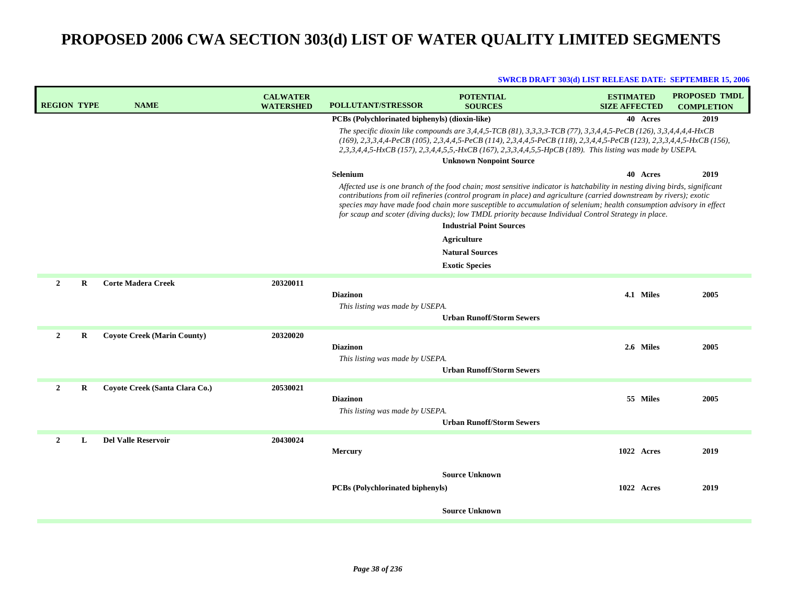| <b>REGION TYPE</b>         | <b>NAME</b>                        | <b>CALWATER</b><br><b>WATERSHED</b> | <b>POLLUTANT/STRESSOR</b>                             | <b>POTENTIAL</b><br><b>SOURCES</b>                                                                                                                                                                                                                                                                                                                                                                                                                                                 | <b>ESTIMATED</b><br><b>SIZE AFFECTED</b> | <b>PROPOSED TMDL</b><br><b>COMPLETION</b> |
|----------------------------|------------------------------------|-------------------------------------|-------------------------------------------------------|------------------------------------------------------------------------------------------------------------------------------------------------------------------------------------------------------------------------------------------------------------------------------------------------------------------------------------------------------------------------------------------------------------------------------------------------------------------------------------|------------------------------------------|-------------------------------------------|
|                            |                                    |                                     | <b>PCBs</b> (Polychlorinated biphenyls) (dioxin-like) |                                                                                                                                                                                                                                                                                                                                                                                                                                                                                    | 40 Acres                                 | 2019                                      |
|                            |                                    |                                     |                                                       | The specific dioxin like compounds are 3,4,4,5-TCB (81), 3,3,3,3-TCB (77), 3,3,4,4,5-PeCB (126), 3,3,4,4,4,4-HxCB<br>(169), 2,3,3,4,4-PeCB (105), 2,3,4,4,5-PeCB (114), 2,3,4,4,5-PeCB (118), 2,3,4,4,5-PeCB (123), 2,3,3,4,4,5-HxCB (156),<br>2,3,3,4,4,5-HxCB (157), 2,3,4,4,5,5,-HxCB (167), 2,3,3,4,4,5,5-HpCB (189). This listing was made by USEPA.                                                                                                                          |                                          |                                           |
|                            |                                    |                                     |                                                       | <b>Unknown Nonpoint Source</b>                                                                                                                                                                                                                                                                                                                                                                                                                                                     |                                          |                                           |
|                            |                                    |                                     | <b>Selenium</b>                                       |                                                                                                                                                                                                                                                                                                                                                                                                                                                                                    | 40 Acres                                 | 2019                                      |
|                            |                                    |                                     |                                                       | Affected use is one branch of the food chain; most sensitive indicator is hatchability in nesting diving birds, significant<br>contributions from oil refineries (control program in place) and agriculture (carried downstream by rivers); exotic<br>species may have made food chain more susceptible to accumulation of selenium; health consumption advisory in effect<br>for scaup and scoter (diving ducks); low TMDL priority because Individual Control Strategy in place. |                                          |                                           |
|                            |                                    |                                     |                                                       | <b>Industrial Point Sources</b>                                                                                                                                                                                                                                                                                                                                                                                                                                                    |                                          |                                           |
|                            |                                    |                                     |                                                       | Agriculture                                                                                                                                                                                                                                                                                                                                                                                                                                                                        |                                          |                                           |
|                            |                                    |                                     |                                                       | <b>Natural Sources</b>                                                                                                                                                                                                                                                                                                                                                                                                                                                             |                                          |                                           |
|                            |                                    |                                     |                                                       | <b>Exotic Species</b>                                                                                                                                                                                                                                                                                                                                                                                                                                                              |                                          |                                           |
| $\overline{2}$<br>$\bf{R}$ | <b>Corte Madera Creek</b>          | 20320011                            | <b>Diazinon</b><br>This listing was made by USEPA.    |                                                                                                                                                                                                                                                                                                                                                                                                                                                                                    | 4.1 Miles                                | 2005                                      |
|                            |                                    |                                     |                                                       | <b>Urban Runoff/Storm Sewers</b>                                                                                                                                                                                                                                                                                                                                                                                                                                                   |                                          |                                           |
| $\overline{2}$<br>R        | <b>Coyote Creek (Marin County)</b> | 20320020                            | <b>Diazinon</b><br>This listing was made by USEPA.    | <b>Urban Runoff/Storm Sewers</b>                                                                                                                                                                                                                                                                                                                                                                                                                                                   | 2.6 Miles                                | 2005                                      |
| $\overline{2}$<br>$\bf{R}$ | Coyote Creek (Santa Clara Co.)     | 20530021                            | <b>Diazinon</b>                                       |                                                                                                                                                                                                                                                                                                                                                                                                                                                                                    | 55 Miles                                 | 2005                                      |
|                            |                                    |                                     | This listing was made by USEPA.                       |                                                                                                                                                                                                                                                                                                                                                                                                                                                                                    |                                          |                                           |
|                            |                                    |                                     |                                                       | <b>Urban Runoff/Storm Sewers</b>                                                                                                                                                                                                                                                                                                                                                                                                                                                   |                                          |                                           |
| $\mathbf{2}$<br>L          | <b>Del Valle Reservoir</b>         | 20430024                            |                                                       |                                                                                                                                                                                                                                                                                                                                                                                                                                                                                    |                                          |                                           |
|                            |                                    |                                     | <b>Mercury</b>                                        |                                                                                                                                                                                                                                                                                                                                                                                                                                                                                    | 1022 Acres                               | 2019                                      |
|                            |                                    |                                     |                                                       |                                                                                                                                                                                                                                                                                                                                                                                                                                                                                    |                                          |                                           |
|                            |                                    |                                     |                                                       | <b>Source Unknown</b>                                                                                                                                                                                                                                                                                                                                                                                                                                                              |                                          |                                           |
|                            |                                    |                                     | <b>PCBs</b> (Polychlorinated biphenyls)               |                                                                                                                                                                                                                                                                                                                                                                                                                                                                                    | 1022 Acres                               | 2019                                      |
|                            |                                    |                                     |                                                       | <b>Source Unknown</b>                                                                                                                                                                                                                                                                                                                                                                                                                                                              |                                          |                                           |
|                            |                                    |                                     |                                                       |                                                                                                                                                                                                                                                                                                                                                                                                                                                                                    |                                          |                                           |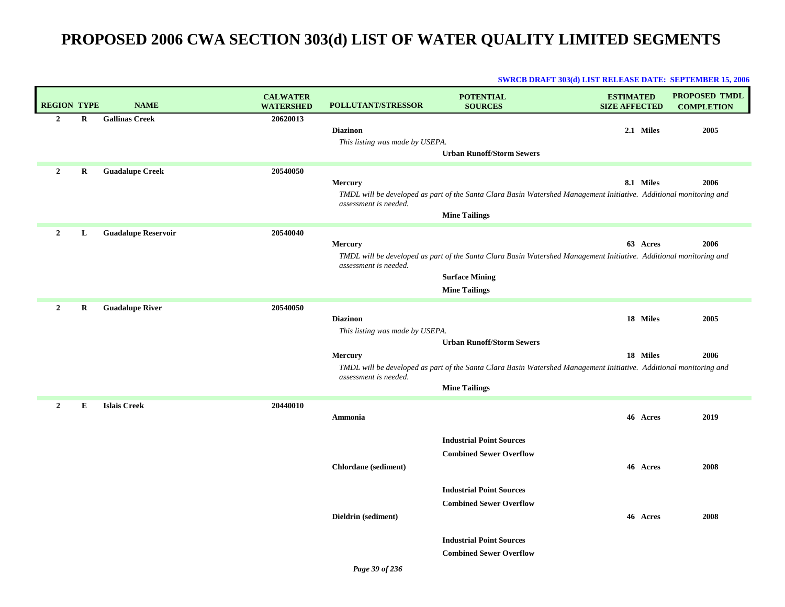| <b>REGION TYPE</b> |         | <b>NAME</b>                | <b>CALWATER</b><br><b>WATERSHED</b> | <b>POLLUTANT/STRESSOR</b>                                                              | <b>POTENTIAL</b><br><b>SOURCES</b>                                                                                                                                             | <b>ESTIMATED</b><br><b>SIZE AFFECTED</b> |                      | <b>PROPOSED TMDL</b><br><b>COMPLETION</b> |
|--------------------|---------|----------------------------|-------------------------------------|----------------------------------------------------------------------------------------|--------------------------------------------------------------------------------------------------------------------------------------------------------------------------------|------------------------------------------|----------------------|-------------------------------------------|
| $\overline{2}$     | $\bf R$ | <b>Gallinas Creek</b>      | 20620013                            | <b>Diazinon</b><br>This listing was made by USEPA.                                     | <b>Urban Runoff/Storm Sewers</b>                                                                                                                                               |                                          | 2.1 Miles            | 2005                                      |
| $\overline{2}$     | R       | <b>Guadalupe Creek</b>     | 20540050                            | <b>Mercury</b><br>assessment is needed.                                                | TMDL will be developed as part of the Santa Clara Basin Watershed Management Initiative. Additional monitoring and<br><b>Mine Tailings</b>                                     |                                          | 8.1 Miles            | 2006                                      |
| $\overline{2}$     | L       | <b>Guadalupe Reservoir</b> | 20540040                            | <b>Mercury</b><br>assessment is needed.                                                | TMDL will be developed as part of the Santa Clara Basin Watershed Management Initiative. Additional monitoring and<br><b>Surface Mining</b><br><b>Mine Tailings</b>            |                                          | 63 Acres             | 2006                                      |
| $\overline{2}$     | R       | <b>Guadalupe River</b>     | 20540050                            | <b>Diazinon</b><br>This listing was made by USEPA.<br>Mercury<br>assessment is needed. | <b>Urban Runoff/Storm Sewers</b><br>TMDL will be developed as part of the Santa Clara Basin Watershed Management Initiative. Additional monitoring and<br><b>Mine Tailings</b> |                                          | 18 Miles<br>18 Miles | 2005<br>2006                              |
| $\overline{2}$     | E       | <b>Islais Creek</b>        | 20440010                            | Ammonia<br>Chlordane (sediment)                                                        | <b>Industrial Point Sources</b><br><b>Combined Sewer Overflow</b>                                                                                                              |                                          | 46 Acres<br>46 Acres | 2019<br>2008                              |
|                    |         |                            |                                     | Dieldrin (sediment)                                                                    | <b>Industrial Point Sources</b><br><b>Combined Sewer Overflow</b><br><b>Industrial Point Sources</b><br><b>Combined Sewer Overflow</b>                                         |                                          | 46 Acres             | 2008                                      |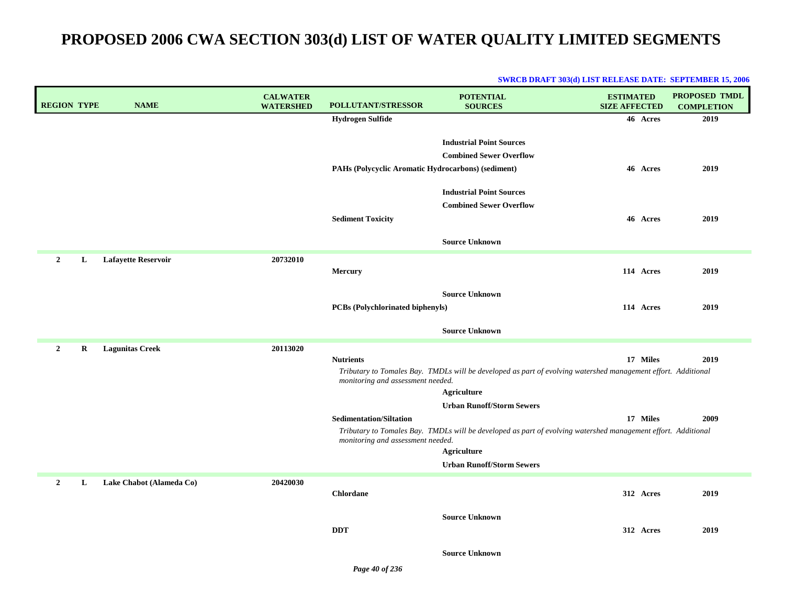| <b>REGION TYPE</b>            | <b>NAME</b>                | <b>CALWATER</b><br><b>WATERSHED</b> | POLLUTANT/STRESSOR                                 | <b>POTENTIAL</b><br><b>SOURCES</b>                                                                            | <b>ESTIMATED</b><br><b>SIZE AFFECTED</b> | <b>PROPOSED TMDL</b><br><b>COMPLETION</b> |
|-------------------------------|----------------------------|-------------------------------------|----------------------------------------------------|---------------------------------------------------------------------------------------------------------------|------------------------------------------|-------------------------------------------|
|                               |                            |                                     | <b>Hydrogen Sulfide</b>                            |                                                                                                               | 46 Acres                                 | 2019                                      |
|                               |                            |                                     |                                                    | <b>Industrial Point Sources</b><br><b>Combined Sewer Overflow</b>                                             |                                          |                                           |
|                               |                            |                                     | PAHs (Polycyclic Aromatic Hydrocarbons) (sediment) |                                                                                                               | 46 Acres                                 | 2019                                      |
|                               |                            |                                     |                                                    |                                                                                                               |                                          |                                           |
|                               |                            |                                     |                                                    | <b>Industrial Point Sources</b>                                                                               |                                          |                                           |
|                               |                            |                                     |                                                    | <b>Combined Sewer Overflow</b>                                                                                |                                          |                                           |
|                               |                            |                                     | <b>Sediment Toxicity</b>                           |                                                                                                               | 46 Acres                                 | 2019                                      |
|                               |                            |                                     |                                                    | <b>Source Unknown</b>                                                                                         |                                          |                                           |
| $\overline{2}$<br>L           | <b>Lafayette Reservoir</b> | 20732010                            |                                                    |                                                                                                               |                                          |                                           |
|                               |                            |                                     | Mercury                                            |                                                                                                               | 114 Acres                                | 2019                                      |
|                               |                            |                                     |                                                    | <b>Source Unknown</b>                                                                                         |                                          |                                           |
|                               |                            |                                     | PCBs (Polychlorinated biphenyls)                   |                                                                                                               | 114 Acres                                | 2019                                      |
|                               |                            |                                     |                                                    | <b>Source Unknown</b>                                                                                         |                                          |                                           |
| $\overline{2}$<br>$\mathbf R$ | <b>Lagunitas Creek</b>     | 20113020                            |                                                    |                                                                                                               |                                          |                                           |
|                               |                            |                                     | <b>Nutrients</b>                                   | Tributary to Tomales Bay. TMDLs will be developed as part of evolving watershed management effort. Additional | 17 Miles                                 | 2019                                      |
|                               |                            |                                     | monitoring and assessment needed.                  |                                                                                                               |                                          |                                           |
|                               |                            |                                     |                                                    | <b>Agriculture</b>                                                                                            |                                          |                                           |
|                               |                            |                                     |                                                    | <b>Urban Runoff/Storm Sewers</b>                                                                              |                                          |                                           |
|                               |                            |                                     | <b>Sedimentation/Siltation</b>                     | Tributary to Tomales Bay. TMDLs will be developed as part of evolving watershed management effort. Additional | 17 Miles                                 | 2009                                      |
|                               |                            |                                     | monitoring and assessment needed.                  |                                                                                                               |                                          |                                           |
|                               |                            |                                     |                                                    | <b>Agriculture</b><br><b>Urban Runoff/Storm Sewers</b>                                                        |                                          |                                           |
|                               |                            |                                     |                                                    |                                                                                                               |                                          |                                           |
| $\overline{2}$<br>L           | Lake Chabot (Alameda Co)   | 20420030                            | <b>Chlordane</b>                                   |                                                                                                               | 312 Acres                                | 2019                                      |
|                               |                            |                                     |                                                    |                                                                                                               |                                          |                                           |
|                               |                            |                                     |                                                    | <b>Source Unknown</b>                                                                                         |                                          |                                           |
|                               |                            |                                     | <b>DDT</b>                                         |                                                                                                               | 312 Acres                                | 2019                                      |
|                               |                            |                                     |                                                    | <b>Source Unknown</b>                                                                                         |                                          |                                           |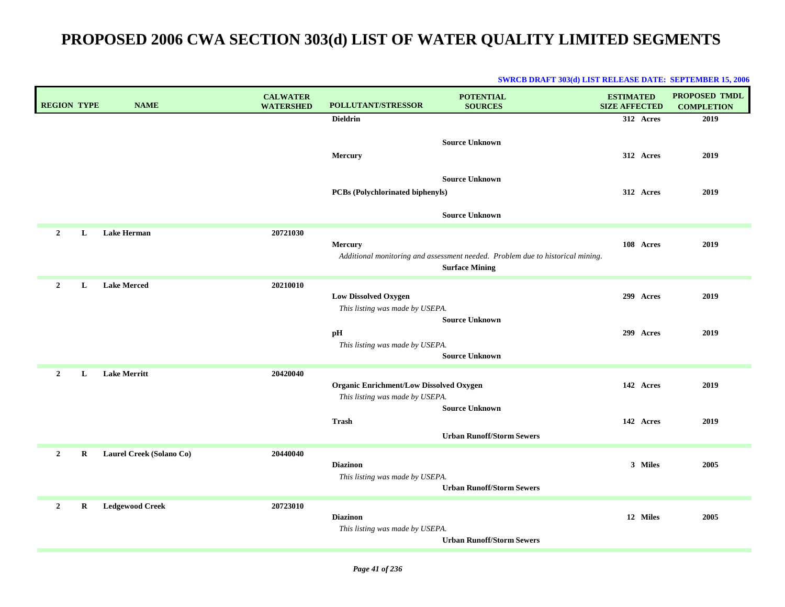| <b>REGION TYPE</b> |         | <b>NAME</b>              | <b>CALWATER</b><br><b>WATERSHED</b> | <b>POLLUTANT/STRESSOR</b>                                                         | <b>POTENTIAL</b><br><b>SOURCES</b>                                                                      | <b>ESTIMATED</b><br><b>SIZE AFFECTED</b> | PROPOSED TMDL<br><b>COMPLETION</b> |
|--------------------|---------|--------------------------|-------------------------------------|-----------------------------------------------------------------------------------|---------------------------------------------------------------------------------------------------------|------------------------------------------|------------------------------------|
|                    |         |                          |                                     | <b>Dieldrin</b>                                                                   |                                                                                                         | 312 Acres                                | 2019                               |
|                    |         |                          |                                     | <b>Mercury</b>                                                                    | <b>Source Unknown</b>                                                                                   | 312 Acres                                | 2019                               |
|                    |         |                          |                                     | PCBs (Polychlorinated biphenyls)                                                  | <b>Source Unknown</b><br><b>Source Unknown</b>                                                          | 312 Acres                                | 2019                               |
|                    |         |                          |                                     |                                                                                   |                                                                                                         |                                          |                                    |
| $\overline{2}$     | L       | <b>Lake Herman</b>       | 20721030                            | <b>Mercury</b>                                                                    | Additional monitoring and assessment needed. Problem due to historical mining.<br><b>Surface Mining</b> | 108 Acres                                | 2019                               |
| $\overline{2}$     | L       | <b>Lake Merced</b>       | 20210010                            | <b>Low Dissolved Oxygen</b><br>This listing was made by USEPA.                    |                                                                                                         | 299 Acres                                | 2019                               |
|                    |         |                          |                                     | pH<br>This listing was made by USEPA.                                             | <b>Source Unknown</b><br><b>Source Unknown</b>                                                          | 299 Acres                                | 2019                               |
| $\overline{2}$     | L       | <b>Lake Merritt</b>      | 20420040                            | <b>Organic Enrichment/Low Dissolved Oxygen</b><br>This listing was made by USEPA. |                                                                                                         | 142 Acres                                | 2019                               |
|                    |         |                          |                                     | Trash                                                                             | <b>Source Unknown</b><br><b>Urban Runoff/Storm Sewers</b>                                               | 142 Acres                                | 2019                               |
| $\overline{2}$     | $\bf R$ | Laurel Creek (Solano Co) | 20440040                            | <b>Diazinon</b><br>This listing was made by USEPA.                                | <b>Urban Runoff/Storm Sewers</b>                                                                        | 3 Miles                                  | 2005                               |
| $\overline{2}$     | $\bf R$ | <b>Ledgewood Creek</b>   | 20723010                            | <b>Diazinon</b><br>This listing was made by USEPA.                                | <b>Urban Runoff/Storm Sewers</b>                                                                        | 12 Miles                                 | 2005                               |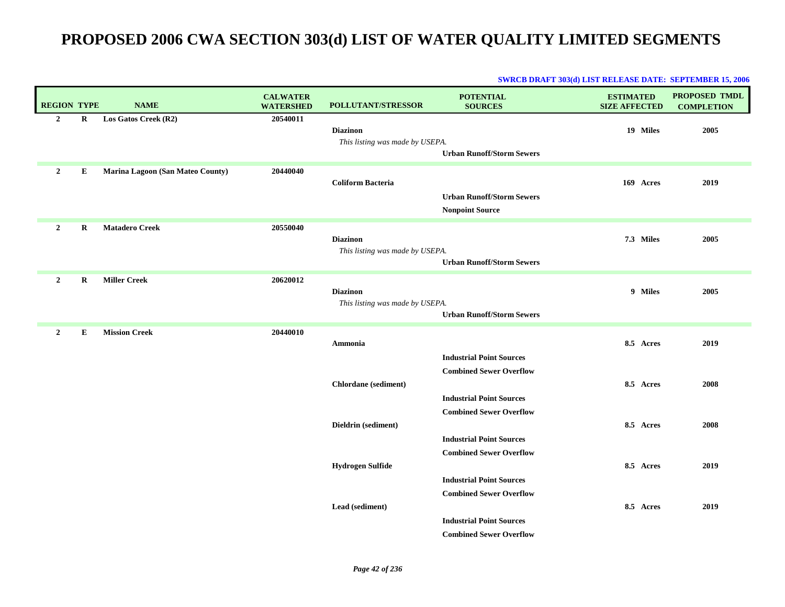| <b>REGION TYPE</b> |             | <b>NAME</b>                      | <b>CALWATER</b><br><b>WATERSHED</b> | POLLUTANT/STRESSOR                                 | <b>POTENTIAL</b><br><b>SOURCES</b> | <b>ESTIMATED</b><br><b>SIZE AFFECTED</b> | <b>PROPOSED TMDL</b><br><b>COMPLETION</b> |
|--------------------|-------------|----------------------------------|-------------------------------------|----------------------------------------------------|------------------------------------|------------------------------------------|-------------------------------------------|
| $\overline{2}$     | $\mathbf R$ | Los Gatos Creek (R2)             | 20540011                            |                                                    |                                    | 19 Miles                                 | 2005                                      |
|                    |             |                                  |                                     | <b>Diazinon</b><br>This listing was made by USEPA. |                                    |                                          |                                           |
|                    |             |                                  |                                     |                                                    | <b>Urban Runoff/Storm Sewers</b>   |                                          |                                           |
| $\overline{2}$     | ${\bf E}$   | Marina Lagoon (San Mateo County) | 20440040                            |                                                    |                                    |                                          |                                           |
|                    |             |                                  |                                     | <b>Coliform Bacteria</b>                           |                                    | 169 Acres                                | 2019                                      |
|                    |             |                                  |                                     |                                                    | <b>Urban Runoff/Storm Sewers</b>   |                                          |                                           |
|                    |             |                                  |                                     |                                                    | <b>Nonpoint Source</b>             |                                          |                                           |
| $\overline{2}$     | R           | <b>Matadero Creek</b>            | 20550040                            |                                                    |                                    |                                          |                                           |
|                    |             |                                  |                                     | <b>Diazinon</b>                                    |                                    | 7.3 Miles                                | 2005                                      |
|                    |             |                                  |                                     | This listing was made by USEPA.                    | <b>Urban Runoff/Storm Sewers</b>   |                                          |                                           |
|                    |             |                                  |                                     |                                                    |                                    |                                          |                                           |
| $\overline{2}$     | $\mathbf R$ | <b>Miller Creek</b>              | 20620012                            |                                                    |                                    |                                          |                                           |
|                    |             |                                  |                                     | <b>Diazinon</b>                                    |                                    | 9 Miles                                  | 2005                                      |
|                    |             |                                  |                                     | This listing was made by USEPA.                    | <b>Urban Runoff/Storm Sewers</b>   |                                          |                                           |
|                    |             |                                  |                                     |                                                    |                                    |                                          |                                           |
| $\overline{2}$     | ${\bf E}$   | <b>Mission Creek</b>             | 20440010                            | <b>Ammonia</b>                                     |                                    | 8.5 Acres                                | 2019                                      |
|                    |             |                                  |                                     |                                                    | <b>Industrial Point Sources</b>    |                                          |                                           |
|                    |             |                                  |                                     |                                                    | <b>Combined Sewer Overflow</b>     |                                          |                                           |
|                    |             |                                  |                                     | <b>Chlordane</b> (sediment)                        |                                    | 8.5 Acres                                | 2008                                      |
|                    |             |                                  |                                     |                                                    | <b>Industrial Point Sources</b>    |                                          |                                           |
|                    |             |                                  |                                     |                                                    | <b>Combined Sewer Overflow</b>     |                                          |                                           |
|                    |             |                                  |                                     | Dieldrin (sediment)                                |                                    | 8.5 Acres                                | 2008                                      |
|                    |             |                                  |                                     |                                                    | <b>Industrial Point Sources</b>    |                                          |                                           |
|                    |             |                                  |                                     |                                                    | <b>Combined Sewer Overflow</b>     |                                          |                                           |
|                    |             |                                  |                                     | <b>Hydrogen Sulfide</b>                            |                                    | 8.5 Acres                                | 2019                                      |
|                    |             |                                  |                                     |                                                    | <b>Industrial Point Sources</b>    |                                          |                                           |
|                    |             |                                  |                                     |                                                    | <b>Combined Sewer Overflow</b>     |                                          |                                           |
|                    |             |                                  |                                     | Lead (sediment)                                    |                                    | 8.5 Acres                                | 2019                                      |
|                    |             |                                  |                                     |                                                    | <b>Industrial Point Sources</b>    |                                          |                                           |
|                    |             |                                  |                                     |                                                    | <b>Combined Sewer Overflow</b>     |                                          |                                           |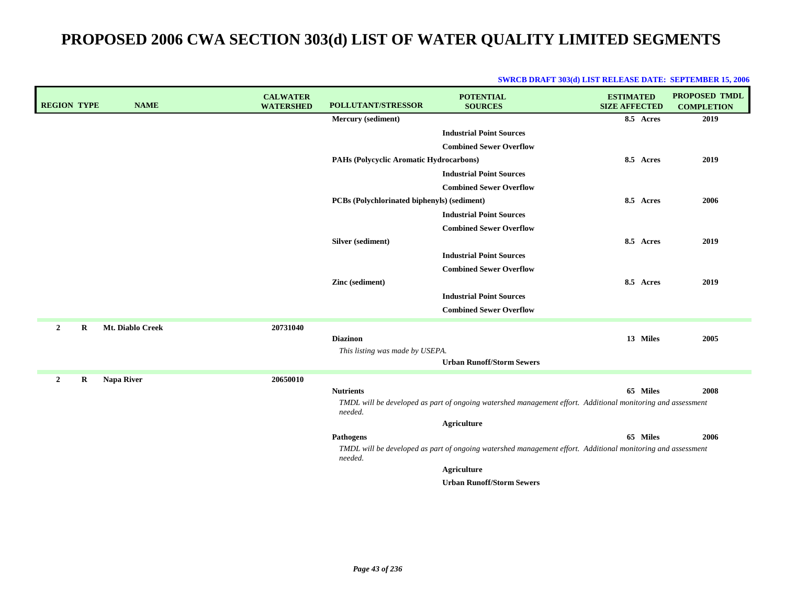|  | <b>SWRCB DRAFT 303(d) LIST RELEASE DATE: SEPTEMBER 15, 2006</b> |  |  |
|--|-----------------------------------------------------------------|--|--|
|--|-----------------------------------------------------------------|--|--|

| <b>REGION TYPE</b> |         | <b>NAME</b>      | <b>CALWATER</b><br><b>WATERSHED</b> | POLLUTANT/STRESSOR                          | <b>POTENTIAL</b><br><b>SOURCES</b>                                                                          | <b>ESTIMATED</b><br><b>SIZE AFFECTED</b> | <b>PROPOSED TMDL</b><br><b>COMPLETION</b> |
|--------------------|---------|------------------|-------------------------------------|---------------------------------------------|-------------------------------------------------------------------------------------------------------------|------------------------------------------|-------------------------------------------|
|                    |         |                  |                                     | Mercury (sediment)                          |                                                                                                             | 8.5 Acres                                | 2019                                      |
|                    |         |                  |                                     |                                             | <b>Industrial Point Sources</b>                                                                             |                                          |                                           |
|                    |         |                  |                                     |                                             | <b>Combined Sewer Overflow</b>                                                                              |                                          |                                           |
|                    |         |                  |                                     | PAHs (Polycyclic Aromatic Hydrocarbons)     |                                                                                                             | 8.5 Acres                                | 2019                                      |
|                    |         |                  |                                     |                                             | <b>Industrial Point Sources</b>                                                                             |                                          |                                           |
|                    |         |                  |                                     |                                             | <b>Combined Sewer Overflow</b>                                                                              |                                          |                                           |
|                    |         |                  |                                     | PCBs (Polychlorinated biphenyls) (sediment) |                                                                                                             | 8.5 Acres                                | 2006                                      |
|                    |         |                  |                                     |                                             | <b>Industrial Point Sources</b>                                                                             |                                          |                                           |
|                    |         |                  |                                     |                                             | <b>Combined Sewer Overflow</b>                                                                              |                                          |                                           |
|                    |         |                  |                                     | Silver (sediment)                           |                                                                                                             | 8.5 Acres                                | 2019                                      |
|                    |         |                  |                                     |                                             | <b>Industrial Point Sources</b>                                                                             |                                          |                                           |
|                    |         |                  |                                     |                                             | <b>Combined Sewer Overflow</b>                                                                              |                                          |                                           |
|                    |         |                  |                                     | Zinc (sediment)                             |                                                                                                             | 8.5 Acres                                | 2019                                      |
|                    |         |                  |                                     |                                             | <b>Industrial Point Sources</b>                                                                             |                                          |                                           |
|                    |         |                  |                                     |                                             | <b>Combined Sewer Overflow</b>                                                                              |                                          |                                           |
| $\overline{2}$     | $\bf R$ | Mt. Diablo Creek | 20731040                            |                                             |                                                                                                             |                                          |                                           |
|                    |         |                  |                                     | <b>Diazinon</b>                             |                                                                                                             | 13 Miles                                 | 2005                                      |
|                    |         |                  |                                     | This listing was made by USEPA.             |                                                                                                             |                                          |                                           |
|                    |         |                  |                                     |                                             | <b>Urban Runoff/Storm Sewers</b>                                                                            |                                          |                                           |
| $\overline{2}$     | R       | Napa River       | 20650010                            |                                             |                                                                                                             |                                          |                                           |
|                    |         |                  |                                     | <b>Nutrients</b>                            |                                                                                                             | 65 Miles                                 | 2008                                      |
|                    |         |                  |                                     | needed.                                     | TMDL will be developed as part of ongoing watershed management effort. Additional monitoring and assessment |                                          |                                           |
|                    |         |                  |                                     |                                             | <b>Agriculture</b>                                                                                          |                                          |                                           |
|                    |         |                  |                                     | Pathogens                                   |                                                                                                             | 65 Miles                                 | 2006                                      |
|                    |         |                  |                                     | needed.                                     | TMDL will be developed as part of ongoing watershed management effort. Additional monitoring and assessment |                                          |                                           |
|                    |         |                  |                                     |                                             | <b>Agriculture</b>                                                                                          |                                          |                                           |
|                    |         |                  |                                     |                                             | <b>Urban Runoff/Storm Sewers</b>                                                                            |                                          |                                           |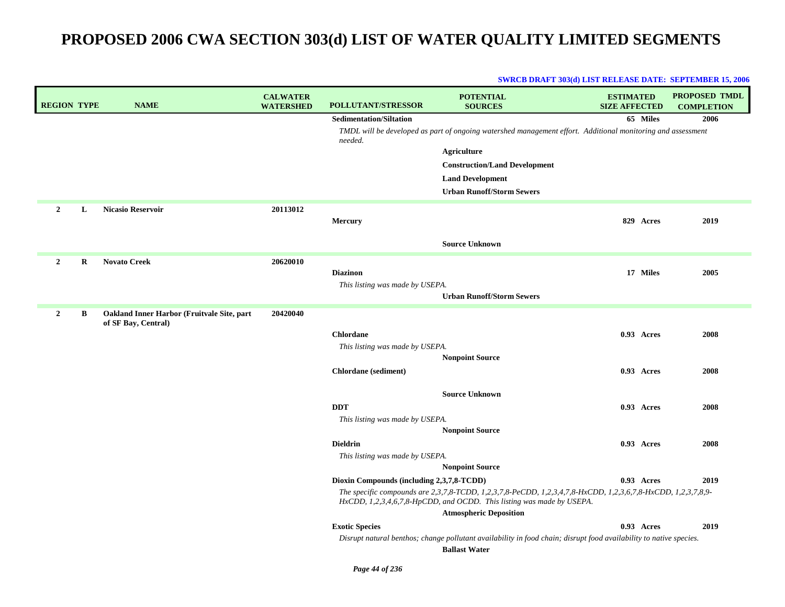| <b>REGION TYPE</b> |         | <b>NAME</b>                                | <b>CALWATER</b><br><b>WATERSHED</b> | POLLUTANT/STRESSOR                        | <b>POTENTIAL</b><br><b>SOURCES</b>                                                                                 | <b>ESTIMATED</b><br><b>SIZE AFFECTED</b> |            | <b>PROPOSED TMDL</b><br><b>COMPLETION</b> |
|--------------------|---------|--------------------------------------------|-------------------------------------|-------------------------------------------|--------------------------------------------------------------------------------------------------------------------|------------------------------------------|------------|-------------------------------------------|
|                    |         |                                            |                                     | <b>Sedimentation/Siltation</b>            |                                                                                                                    |                                          | 65 Miles   | 2006                                      |
|                    |         |                                            |                                     | needed.                                   | TMDL will be developed as part of ongoing watershed management effort. Additional monitoring and assessment        |                                          |            |                                           |
|                    |         |                                            |                                     |                                           | <b>Agriculture</b>                                                                                                 |                                          |            |                                           |
|                    |         |                                            |                                     |                                           | <b>Construction/Land Development</b>                                                                               |                                          |            |                                           |
|                    |         |                                            |                                     |                                           | <b>Land Development</b>                                                                                            |                                          |            |                                           |
|                    |         |                                            |                                     |                                           | <b>Urban Runoff/Storm Sewers</b>                                                                                   |                                          |            |                                           |
| $\overline{2}$     | L       | <b>Nicasio Reservoir</b>                   | 20113012                            |                                           |                                                                                                                    |                                          |            |                                           |
|                    |         |                                            |                                     | <b>Mercury</b>                            |                                                                                                                    |                                          | 829 Acres  | 2019                                      |
|                    |         |                                            |                                     |                                           |                                                                                                                    |                                          |            |                                           |
|                    |         |                                            |                                     |                                           | <b>Source Unknown</b>                                                                                              |                                          |            |                                           |
| $\overline{2}$     | $\bf R$ | <b>Novato Creek</b>                        | 20620010                            |                                           |                                                                                                                    |                                          |            |                                           |
|                    |         |                                            |                                     | <b>Diazinon</b>                           |                                                                                                                    |                                          | 17 Miles   | 2005                                      |
|                    |         |                                            |                                     | This listing was made by USEPA.           |                                                                                                                    |                                          |            |                                           |
|                    |         |                                            |                                     |                                           | <b>Urban Runoff/Storm Sewers</b>                                                                                   |                                          |            |                                           |
| $\overline{2}$     | B       | Oakland Inner Harbor (Fruitvale Site, part | 20420040                            |                                           |                                                                                                                    |                                          |            |                                           |
|                    |         | of SF Bay, Central)                        |                                     | <b>Chlordane</b>                          |                                                                                                                    |                                          | 0.93 Acres | 2008                                      |
|                    |         |                                            |                                     | This listing was made by USEPA.           |                                                                                                                    |                                          |            |                                           |
|                    |         |                                            |                                     |                                           | <b>Nonpoint Source</b>                                                                                             |                                          |            |                                           |
|                    |         |                                            |                                     | <b>Chlordane</b> (sediment)               |                                                                                                                    |                                          | 0.93 Acres | 2008                                      |
|                    |         |                                            |                                     |                                           |                                                                                                                    |                                          |            |                                           |
|                    |         |                                            |                                     |                                           | <b>Source Unknown</b>                                                                                              |                                          |            |                                           |
|                    |         |                                            |                                     | <b>DDT</b>                                |                                                                                                                    |                                          | 0.93 Acres | 2008                                      |
|                    |         |                                            |                                     | This listing was made by USEPA.           |                                                                                                                    |                                          |            |                                           |
|                    |         |                                            |                                     |                                           | <b>Nonpoint Source</b>                                                                                             |                                          |            |                                           |
|                    |         |                                            |                                     | <b>Dieldrin</b>                           |                                                                                                                    |                                          | 0.93 Acres | 2008                                      |
|                    |         |                                            |                                     | This listing was made by USEPA.           | <b>Nonpoint Source</b>                                                                                             |                                          |            |                                           |
|                    |         |                                            |                                     | Dioxin Compounds (including 2,3,7,8-TCDD) |                                                                                                                    |                                          | 0.93 Acres | 2019                                      |
|                    |         |                                            |                                     |                                           | The specific compounds are 2,3,7,8-TCDD, 1,2,3,7,8-PeCDD, 1,2,3,4,7,8-HxCDD, 1,2,3,6,7,8-HxCDD, 1,2,3,7,8,9-       |                                          |            |                                           |
|                    |         |                                            |                                     |                                           | HxCDD, 1,2,3,4,6,7,8-HpCDD, and OCDD. This listing was made by USEPA.                                              |                                          |            |                                           |
|                    |         |                                            |                                     |                                           | <b>Atmospheric Deposition</b>                                                                                      |                                          |            |                                           |
|                    |         |                                            |                                     | <b>Exotic Species</b>                     |                                                                                                                    |                                          | 0.93 Acres | 2019                                      |
|                    |         |                                            |                                     |                                           | Disrupt natural benthos; change pollutant availability in food chain; disrupt food availability to native species. |                                          |            |                                           |
|                    |         |                                            |                                     |                                           | <b>Ballast Water</b>                                                                                               |                                          |            |                                           |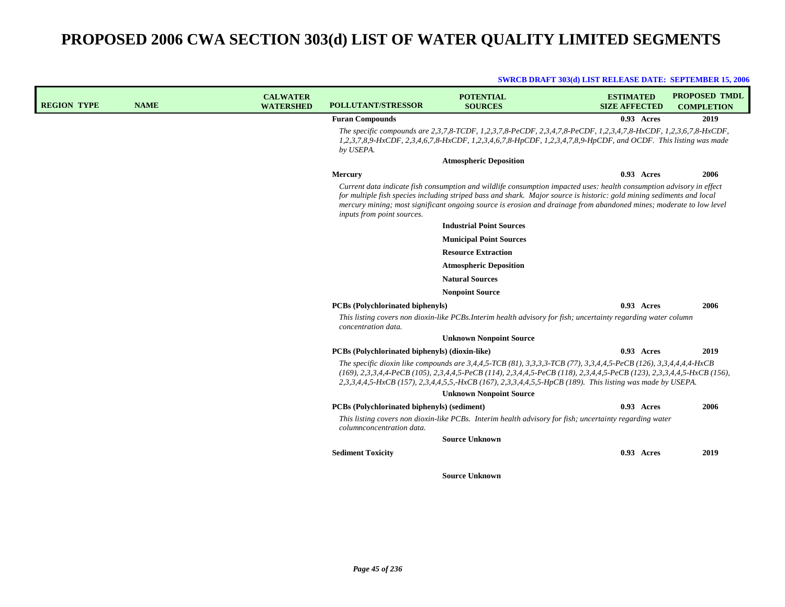| <b>REGION TYPE</b> | <b>NAME</b> | <b>CALWATER</b><br><b>WATERSHED</b> | <b>POLLUTANT/STRESSOR</b>                                                | <b>POTENTIAL</b><br><b>SOURCES</b>                                                                                                                                                                                                                                                                                                                                   | <b>ESTIMATED</b><br><b>SIZE AFFECTED</b> | <b>PROPOSED TMDL</b><br><b>COMPLETION</b> |
|--------------------|-------------|-------------------------------------|--------------------------------------------------------------------------|----------------------------------------------------------------------------------------------------------------------------------------------------------------------------------------------------------------------------------------------------------------------------------------------------------------------------------------------------------------------|------------------------------------------|-------------------------------------------|
|                    |             |                                     | <b>Furan Compounds</b>                                                   |                                                                                                                                                                                                                                                                                                                                                                      | 0.93 Acres                               | 2019                                      |
|                    |             |                                     | by USEPA.                                                                | The specific compounds are 2,3,7,8-TCDF, 1,2,3,7,8-PeCDF, 2,3,4,7,8-PeCDF, 1,2,3,4,7,8-HxCDF, 1,2,3,6,7,8-HxCDF,<br>1,2,3,7,8,9-HxCDF, 2,3,4,6,7,8-HxCDF, 1,2,3,4,6,7,8-HpCDF, 1,2,3,4,7,8,9-HpCDF, and OCDF. This listing was made                                                                                                                                  |                                          |                                           |
|                    |             |                                     |                                                                          | <b>Atmospheric Deposition</b>                                                                                                                                                                                                                                                                                                                                        |                                          |                                           |
|                    |             |                                     | Mercury                                                                  |                                                                                                                                                                                                                                                                                                                                                                      | 0.93 Acres                               | 2006                                      |
|                    |             |                                     | inputs from point sources.                                               | Current data indicate fish consumption and wildlife consumption impacted uses: health consumption advisory in effect<br>for multiple fish species including striped bass and shark. Major source is historic: gold mining sediments and local<br>mercury mining; most significant ongoing source is erosion and drainage from abandoned mines; moderate to low level |                                          |                                           |
|                    |             |                                     |                                                                          | <b>Industrial Point Sources</b>                                                                                                                                                                                                                                                                                                                                      |                                          |                                           |
|                    |             |                                     |                                                                          | <b>Municipal Point Sources</b>                                                                                                                                                                                                                                                                                                                                       |                                          |                                           |
|                    |             |                                     |                                                                          | <b>Resource Extraction</b>                                                                                                                                                                                                                                                                                                                                           |                                          |                                           |
|                    |             |                                     |                                                                          | <b>Atmospheric Deposition</b>                                                                                                                                                                                                                                                                                                                                        |                                          |                                           |
|                    |             |                                     |                                                                          | <b>Natural Sources</b>                                                                                                                                                                                                                                                                                                                                               |                                          |                                           |
|                    |             |                                     |                                                                          | <b>Nonpoint Source</b>                                                                                                                                                                                                                                                                                                                                               |                                          |                                           |
|                    |             |                                     | PCBs (Polychlorinated biphenyls)                                         |                                                                                                                                                                                                                                                                                                                                                                      | $0.93$ Acres                             | 2006                                      |
|                    |             |                                     | concentration data.                                                      | This listing covers non dioxin-like PCBs.Interim health advisory for fish; uncertainty regarding water column                                                                                                                                                                                                                                                        |                                          |                                           |
|                    |             |                                     |                                                                          | <b>Unknown Nonpoint Source</b>                                                                                                                                                                                                                                                                                                                                       |                                          |                                           |
|                    |             |                                     | PCBs (Polychlorinated biphenyls) (dioxin-like)                           |                                                                                                                                                                                                                                                                                                                                                                      | 0.93 Acres                               | 2019                                      |
|                    |             |                                     |                                                                          | The specific dioxin like compounds are 3,4,4,5-TCB (81), 3,3,3,3-TCB (77), 3,3,4,4,5-PeCB (126), 3,3,4,4,4,4-HxCB<br>(169), 2,3,3,4,4-PeCB (105), 2,3,4,4,5-PeCB (114), 2,3,4,4,5-PeCB (118), 2,3,4,4,5-PeCB (123), 2,3,3,4,4,5-HxCB (156),<br>2,3,3,4,4,5-HxCB (157), 2,3,4,4,5,5,-HxCB (167), 2,3,3,4,4,5,5-HpCB (189). This listing was made by USEPA.            |                                          |                                           |
|                    |             |                                     |                                                                          | <b>Unknown Nonpoint Source</b>                                                                                                                                                                                                                                                                                                                                       |                                          |                                           |
|                    |             |                                     | PCBs (Polychlorinated biphenyls) (sediment)<br>columnconcentration data. | This listing covers non dioxin-like PCBs. Interim health advisory for fish; uncertainty regarding water                                                                                                                                                                                                                                                              | $0.93$ Acres                             | 2006                                      |
|                    |             |                                     |                                                                          | <b>Source Unknown</b>                                                                                                                                                                                                                                                                                                                                                |                                          |                                           |
|                    |             |                                     | <b>Sediment Toxicity</b>                                                 |                                                                                                                                                                                                                                                                                                                                                                      | $0.93$ Acres                             | 2019                                      |
|                    |             |                                     |                                                                          | <b>Source Unknown</b>                                                                                                                                                                                                                                                                                                                                                |                                          |                                           |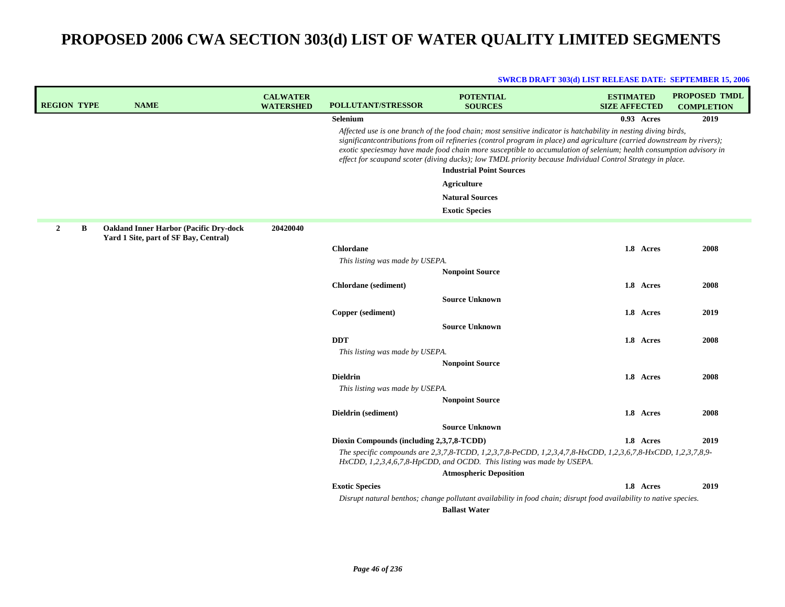| <b>REGION TYPE</b> | <b>NAME</b>                                                                            | <b>CALWATER</b><br><b>WATERSHED</b> | <b>POLLUTANT/STRESSOR</b>                 | <b>POTENTIAL</b><br><b>SOURCES</b>                                                                                                                                                                                                                                                                                                                                                                                                                                                                                  | <b>ESTIMATED</b><br><b>SIZE AFFECTED</b> |           | <b>PROPOSED TMDL</b><br><b>COMPLETION</b> |
|--------------------|----------------------------------------------------------------------------------------|-------------------------------------|-------------------------------------------|---------------------------------------------------------------------------------------------------------------------------------------------------------------------------------------------------------------------------------------------------------------------------------------------------------------------------------------------------------------------------------------------------------------------------------------------------------------------------------------------------------------------|------------------------------------------|-----------|-------------------------------------------|
|                    |                                                                                        |                                     | Selenium                                  |                                                                                                                                                                                                                                                                                                                                                                                                                                                                                                                     | 0.93 Acres                               |           | 2019                                      |
|                    |                                                                                        |                                     |                                           | Affected use is one branch of the food chain; most sensitive indicator is hatchability in nesting diving birds,<br>significant contributions from oil refineries (control program in place) and agriculture (carried downstream by rivers);<br>exotic speciesmay have made food chain more susceptible to accumulation of selenium; health consumption advisory in<br>effect for scaupand scoter (diving ducks); low TMDL priority because Individual Control Strategy in place.<br><b>Industrial Point Sources</b> |                                          |           |                                           |
|                    |                                                                                        |                                     |                                           | <b>Agriculture</b>                                                                                                                                                                                                                                                                                                                                                                                                                                                                                                  |                                          |           |                                           |
|                    |                                                                                        |                                     |                                           | <b>Natural Sources</b>                                                                                                                                                                                                                                                                                                                                                                                                                                                                                              |                                          |           |                                           |
|                    |                                                                                        |                                     |                                           | <b>Exotic Species</b>                                                                                                                                                                                                                                                                                                                                                                                                                                                                                               |                                          |           |                                           |
| $\mathbf{2}$<br>B  | <b>Oakland Inner Harbor (Pacific Dry-dock</b><br>Yard 1 Site, part of SF Bay, Central) | 20420040                            |                                           |                                                                                                                                                                                                                                                                                                                                                                                                                                                                                                                     |                                          |           |                                           |
|                    |                                                                                        |                                     | <b>Chlordane</b>                          |                                                                                                                                                                                                                                                                                                                                                                                                                                                                                                                     |                                          | 1.8 Acres | 2008                                      |
|                    |                                                                                        |                                     | This listing was made by USEPA.           |                                                                                                                                                                                                                                                                                                                                                                                                                                                                                                                     |                                          |           |                                           |
|                    |                                                                                        |                                     |                                           | <b>Nonpoint Source</b>                                                                                                                                                                                                                                                                                                                                                                                                                                                                                              |                                          |           |                                           |
|                    |                                                                                        |                                     | Chlordane (sediment)                      |                                                                                                                                                                                                                                                                                                                                                                                                                                                                                                                     |                                          | 1.8 Acres | 2008                                      |
|                    |                                                                                        |                                     |                                           | <b>Source Unknown</b>                                                                                                                                                                                                                                                                                                                                                                                                                                                                                               |                                          |           |                                           |
|                    |                                                                                        |                                     | Copper (sediment)                         |                                                                                                                                                                                                                                                                                                                                                                                                                                                                                                                     |                                          | 1.8 Acres | 2019                                      |
|                    |                                                                                        |                                     |                                           | <b>Source Unknown</b>                                                                                                                                                                                                                                                                                                                                                                                                                                                                                               |                                          |           |                                           |
|                    |                                                                                        |                                     | <b>DDT</b>                                |                                                                                                                                                                                                                                                                                                                                                                                                                                                                                                                     |                                          | 1.8 Acres | 2008                                      |
|                    |                                                                                        |                                     | This listing was made by USEPA.           |                                                                                                                                                                                                                                                                                                                                                                                                                                                                                                                     |                                          |           |                                           |
|                    |                                                                                        |                                     |                                           | <b>Nonpoint Source</b>                                                                                                                                                                                                                                                                                                                                                                                                                                                                                              |                                          |           |                                           |
|                    |                                                                                        |                                     | <b>Dieldrin</b>                           |                                                                                                                                                                                                                                                                                                                                                                                                                                                                                                                     |                                          | 1.8 Acres | 2008                                      |
|                    |                                                                                        |                                     | This listing was made by USEPA.           | <b>Nonpoint Source</b>                                                                                                                                                                                                                                                                                                                                                                                                                                                                                              |                                          |           |                                           |
|                    |                                                                                        |                                     | Dieldrin (sediment)                       |                                                                                                                                                                                                                                                                                                                                                                                                                                                                                                                     |                                          | 1.8 Acres | 2008                                      |
|                    |                                                                                        |                                     |                                           |                                                                                                                                                                                                                                                                                                                                                                                                                                                                                                                     |                                          |           |                                           |
|                    |                                                                                        |                                     |                                           | <b>Source Unknown</b>                                                                                                                                                                                                                                                                                                                                                                                                                                                                                               |                                          |           |                                           |
|                    |                                                                                        |                                     | Dioxin Compounds (including 2,3,7,8-TCDD) |                                                                                                                                                                                                                                                                                                                                                                                                                                                                                                                     |                                          | 1.8 Acres | 2019                                      |
|                    |                                                                                        |                                     |                                           | The specific compounds are 2,3,7,8-TCDD, 1,2,3,7,8-PeCDD, 1,2,3,4,7,8-HxCDD, 1,2,3,6,7,8-HxCDD, 1,2,3,7,8,9-<br>$HxCDD$ , 1,2,3,4,6,7,8-HpCDD, and OCDD. This listing was made by USEPA.                                                                                                                                                                                                                                                                                                                            |                                          |           |                                           |
|                    |                                                                                        |                                     |                                           | <b>Atmospheric Deposition</b>                                                                                                                                                                                                                                                                                                                                                                                                                                                                                       |                                          |           |                                           |
|                    |                                                                                        |                                     | <b>Exotic Species</b>                     | Disrupt natural benthos; change pollutant availability in food chain; disrupt food availability to native species.                                                                                                                                                                                                                                                                                                                                                                                                  |                                          | 1.8 Acres | 2019                                      |
|                    |                                                                                        |                                     |                                           | <b>Ballast Water</b>                                                                                                                                                                                                                                                                                                                                                                                                                                                                                                |                                          |           |                                           |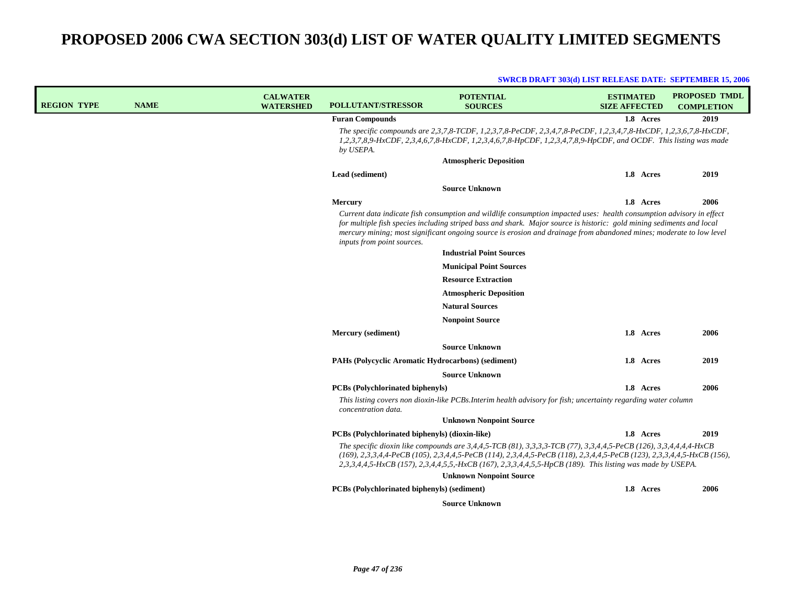| <b>REGION TYPE</b> | <b>NAME</b> | <b>CALWATER</b><br><b>WATERSHED</b> | POLLUTANT/STRESSOR                                 | <b>POTENTIAL</b><br><b>SOURCES</b>                                                                                                                                                                                                                                                                                                                                                                      | <b>ESTIMATED</b><br><b>SIZE AFFECTED</b> | <b>PROPOSED TMDL</b><br><b>COMPLETION</b> |
|--------------------|-------------|-------------------------------------|----------------------------------------------------|---------------------------------------------------------------------------------------------------------------------------------------------------------------------------------------------------------------------------------------------------------------------------------------------------------------------------------------------------------------------------------------------------------|------------------------------------------|-------------------------------------------|
|                    |             |                                     | <b>Furan Compounds</b>                             |                                                                                                                                                                                                                                                                                                                                                                                                         | 1.8 Acres                                | 2019                                      |
|                    |             |                                     | by USEPA.                                          | The specific compounds are 2,3,7,8-TCDF, 1,2,3,7,8-PeCDF, 2,3,4,7,8-PeCDF, 1,2,3,4,7,8-HxCDF, 1,2,3,6,7,8-HxCDF,<br>1,2,3,7,8,9-HxCDF, 2,3,4,6,7,8-HxCDF, 1,2,3,4,6,7,8-HpCDF, 1,2,3,4,7,8,9-HpCDF, and OCDF. This listing was made                                                                                                                                                                     |                                          |                                           |
|                    |             |                                     |                                                    | <b>Atmospheric Deposition</b>                                                                                                                                                                                                                                                                                                                                                                           |                                          |                                           |
|                    |             |                                     | Lead (sediment)                                    |                                                                                                                                                                                                                                                                                                                                                                                                         | 1.8 Acres                                | 2019                                      |
|                    |             |                                     |                                                    | <b>Source Unknown</b>                                                                                                                                                                                                                                                                                                                                                                                   |                                          |                                           |
|                    |             |                                     | <b>Mercury</b>                                     |                                                                                                                                                                                                                                                                                                                                                                                                         | 1.8 Acres                                | 2006                                      |
|                    |             |                                     | inputs from point sources.                         | Current data indicate fish consumption and wildlife consumption impacted uses: health consumption advisory in effect<br>for multiple fish species including striped bass and shark. Major source is historic: gold mining sediments and local<br>mercury mining; most significant ongoing source is erosion and drainage from abandoned mines; moderate to low level<br><b>Industrial Point Sources</b> |                                          |                                           |
|                    |             |                                     |                                                    |                                                                                                                                                                                                                                                                                                                                                                                                         |                                          |                                           |
|                    |             |                                     |                                                    | <b>Municipal Point Sources</b><br><b>Resource Extraction</b>                                                                                                                                                                                                                                                                                                                                            |                                          |                                           |
|                    |             |                                     |                                                    | <b>Atmospheric Deposition</b>                                                                                                                                                                                                                                                                                                                                                                           |                                          |                                           |
|                    |             |                                     |                                                    | <b>Natural Sources</b>                                                                                                                                                                                                                                                                                                                                                                                  |                                          |                                           |
|                    |             |                                     |                                                    | <b>Nonpoint Source</b>                                                                                                                                                                                                                                                                                                                                                                                  |                                          |                                           |
|                    |             |                                     | <b>Mercury</b> (sediment)                          |                                                                                                                                                                                                                                                                                                                                                                                                         | 1.8 Acres                                | 2006                                      |
|                    |             |                                     |                                                    | <b>Source Unknown</b>                                                                                                                                                                                                                                                                                                                                                                                   |                                          |                                           |
|                    |             |                                     | PAHs (Polycyclic Aromatic Hydrocarbons) (sediment) |                                                                                                                                                                                                                                                                                                                                                                                                         | 1.8 Acres                                | 2019                                      |
|                    |             |                                     |                                                    | <b>Source Unknown</b>                                                                                                                                                                                                                                                                                                                                                                                   |                                          |                                           |
|                    |             |                                     | <b>PCBs</b> (Polychlorinated biphenyls)            |                                                                                                                                                                                                                                                                                                                                                                                                         | 1.8 Acres                                | 2006                                      |
|                    |             |                                     | concentration data.                                | This listing covers non dioxin-like PCBs.Interim health advisory for fish; uncertainty regarding water column                                                                                                                                                                                                                                                                                           |                                          |                                           |
|                    |             |                                     |                                                    | <b>Unknown Nonpoint Source</b>                                                                                                                                                                                                                                                                                                                                                                          |                                          |                                           |
|                    |             |                                     | PCBs (Polychlorinated biphenyls) (dioxin-like)     |                                                                                                                                                                                                                                                                                                                                                                                                         | 1.8 Acres                                | 2019                                      |
|                    |             |                                     |                                                    | The specific dioxin like compounds are 3,4,4,5-TCB (81), 3,3,3,3-TCB (77), 3,3,4,4,5-PeCB (126), 3,3,4,4,4-HxCB<br>(169), 2,3,3,4,4-PeCB (105), 2,3,4,4,5-PeCB (114), 2,3,4,4,5-PeCB (118), 2,3,4,4,5-PeCB (123), 2,3,3,4,4,5-HxCB (156),<br>2,3,3,4,4,5-HxCB (157), 2,3,4,4,5,5,-HxCB (167), 2,3,3,4,4,5,5-HpCB (189). This listing was made by USEPA.                                                 |                                          |                                           |
|                    |             |                                     |                                                    | <b>Unknown Nonpoint Source</b>                                                                                                                                                                                                                                                                                                                                                                          |                                          |                                           |
|                    |             |                                     | <b>PCBs (Polychlorinated biphenyls) (sediment)</b> |                                                                                                                                                                                                                                                                                                                                                                                                         | 1.8 Acres                                | 2006                                      |
|                    |             |                                     |                                                    | <b>Source Unknown</b>                                                                                                                                                                                                                                                                                                                                                                                   |                                          |                                           |
|                    |             |                                     |                                                    |                                                                                                                                                                                                                                                                                                                                                                                                         |                                          |                                           |
|                    |             |                                     |                                                    |                                                                                                                                                                                                                                                                                                                                                                                                         |                                          |                                           |
|                    |             |                                     |                                                    |                                                                                                                                                                                                                                                                                                                                                                                                         |                                          |                                           |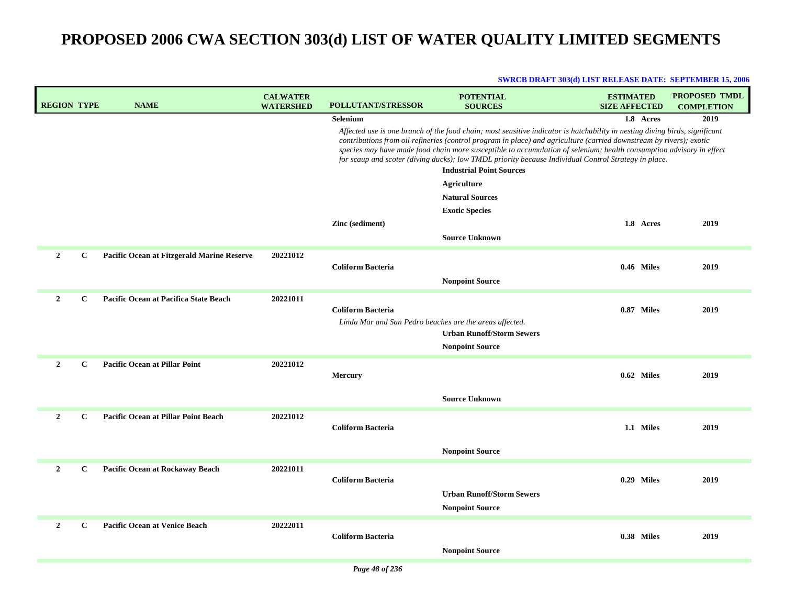| <b>REGION TYPE</b> |              | <b>NAME</b>                                | <b>CALWATER</b><br><b>WATERSHED</b> | <b>POLLUTANT/STRESSOR</b>                               | <b>POTENTIAL</b><br><b>SOURCES</b>                                                                                                                                                                                                                                                                                                                                                     | <b>ESTIMATED</b><br><b>SIZE AFFECTED</b> | <b>PROPOSED TMDL</b><br><b>COMPLETION</b> |
|--------------------|--------------|--------------------------------------------|-------------------------------------|---------------------------------------------------------|----------------------------------------------------------------------------------------------------------------------------------------------------------------------------------------------------------------------------------------------------------------------------------------------------------------------------------------------------------------------------------------|------------------------------------------|-------------------------------------------|
|                    |              |                                            |                                     | <b>Selenium</b>                                         | Affected use is one branch of the food chain; most sensitive indicator is hatchability in nesting diving birds, significant                                                                                                                                                                                                                                                            | 1.8 Acres                                | 2019                                      |
|                    |              |                                            |                                     |                                                         | contributions from oil refineries (control program in place) and agriculture (carried downstream by rivers); exotic<br>species may have made food chain more susceptible to accumulation of selenium; health consumption advisory in effect<br>for scaup and scoter (diving ducks); low TMDL priority because Individual Control Strategy in place.<br><b>Industrial Point Sources</b> |                                          |                                           |
|                    |              |                                            |                                     |                                                         | Agriculture                                                                                                                                                                                                                                                                                                                                                                            |                                          |                                           |
|                    |              |                                            |                                     |                                                         | <b>Natural Sources</b>                                                                                                                                                                                                                                                                                                                                                                 |                                          |                                           |
|                    |              |                                            |                                     |                                                         | <b>Exotic Species</b>                                                                                                                                                                                                                                                                                                                                                                  |                                          |                                           |
|                    |              |                                            |                                     | Zinc (sediment)                                         |                                                                                                                                                                                                                                                                                                                                                                                        | 1.8 Acres                                | 2019                                      |
|                    |              |                                            |                                     |                                                         | <b>Source Unknown</b>                                                                                                                                                                                                                                                                                                                                                                  |                                          |                                           |
| $\overline{2}$     | $\mathbf c$  | Pacific Ocean at Fitzgerald Marine Reserve | 20221012                            |                                                         |                                                                                                                                                                                                                                                                                                                                                                                        |                                          |                                           |
|                    |              |                                            |                                     | <b>Coliform Bacteria</b>                                |                                                                                                                                                                                                                                                                                                                                                                                        | 0.46 Miles                               | 2019                                      |
|                    |              |                                            |                                     |                                                         | <b>Nonpoint Source</b>                                                                                                                                                                                                                                                                                                                                                                 |                                          |                                           |
| $\overline{2}$     | $\mathbf c$  | Pacific Ocean at Pacifica State Beach      | 20221011                            |                                                         |                                                                                                                                                                                                                                                                                                                                                                                        |                                          |                                           |
|                    |              |                                            |                                     | <b>Coliform Bacteria</b>                                |                                                                                                                                                                                                                                                                                                                                                                                        | 0.87 Miles                               | 2019                                      |
|                    |              |                                            |                                     | Linda Mar and San Pedro beaches are the areas affected. | <b>Urban Runoff/Storm Sewers</b>                                                                                                                                                                                                                                                                                                                                                       |                                          |                                           |
|                    |              |                                            |                                     |                                                         | <b>Nonpoint Source</b>                                                                                                                                                                                                                                                                                                                                                                 |                                          |                                           |
| $\overline{2}$     | $\mathbf{C}$ | <b>Pacific Ocean at Pillar Point</b>       | 20221012                            |                                                         |                                                                                                                                                                                                                                                                                                                                                                                        |                                          |                                           |
|                    |              |                                            |                                     | Mercury                                                 |                                                                                                                                                                                                                                                                                                                                                                                        | 0.62 Miles                               | 2019                                      |
|                    |              |                                            |                                     |                                                         |                                                                                                                                                                                                                                                                                                                                                                                        |                                          |                                           |
|                    |              |                                            |                                     |                                                         | <b>Source Unknown</b>                                                                                                                                                                                                                                                                                                                                                                  |                                          |                                           |
| $\overline{2}$     | $\mathbf C$  | Pacific Ocean at Pillar Point Beach        | 20221012                            |                                                         |                                                                                                                                                                                                                                                                                                                                                                                        |                                          |                                           |
|                    |              |                                            |                                     | <b>Coliform Bacteria</b>                                |                                                                                                                                                                                                                                                                                                                                                                                        | 1.1 Miles                                | 2019                                      |
|                    |              |                                            |                                     |                                                         | <b>Nonpoint Source</b>                                                                                                                                                                                                                                                                                                                                                                 |                                          |                                           |
|                    |              |                                            |                                     |                                                         |                                                                                                                                                                                                                                                                                                                                                                                        |                                          |                                           |
| $\overline{2}$     | $\mathbf c$  | Pacific Ocean at Rockaway Beach            | 20221011                            | <b>Coliform Bacteria</b>                                |                                                                                                                                                                                                                                                                                                                                                                                        | 0.29 Miles                               | 2019                                      |
|                    |              |                                            |                                     |                                                         | <b>Urban Runoff/Storm Sewers</b>                                                                                                                                                                                                                                                                                                                                                       |                                          |                                           |
|                    |              |                                            |                                     |                                                         | <b>Nonpoint Source</b>                                                                                                                                                                                                                                                                                                                                                                 |                                          |                                           |
| $\overline{2}$     | C            | <b>Pacific Ocean at Venice Beach</b>       | 20222011                            |                                                         |                                                                                                                                                                                                                                                                                                                                                                                        |                                          |                                           |
|                    |              |                                            |                                     | <b>Coliform Bacteria</b>                                |                                                                                                                                                                                                                                                                                                                                                                                        | 0.38 Miles                               | 2019                                      |
|                    |              |                                            |                                     |                                                         | <b>Nonpoint Source</b>                                                                                                                                                                                                                                                                                                                                                                 |                                          |                                           |
|                    |              |                                            |                                     |                                                         |                                                                                                                                                                                                                                                                                                                                                                                        |                                          |                                           |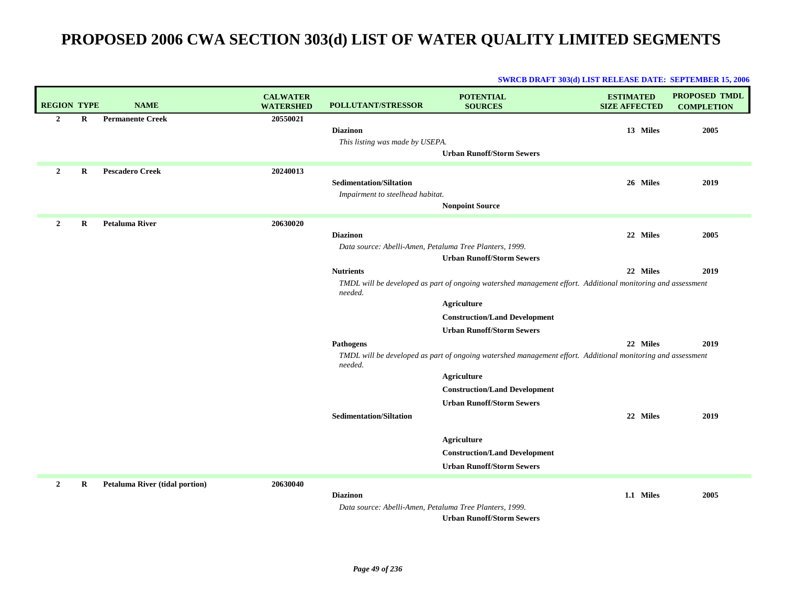| <b>REGION TYPE</b> |          | <b>NAME</b>                           | <b>CALWATER</b><br><b>WATERSHED</b> | <b>POLLUTANT/STRESSOR</b>                                                  | <b>POTENTIAL</b><br><b>SOURCES</b>                                                                          | <b>ESTIMATED</b><br><b>SIZE AFFECTED</b> | <b>PROPOSED TMDL</b><br><b>COMPLETION</b> |
|--------------------|----------|---------------------------------------|-------------------------------------|----------------------------------------------------------------------------|-------------------------------------------------------------------------------------------------------------|------------------------------------------|-------------------------------------------|
| $\overline{2}$     | R        | <b>Permanente Creek</b>               | 20550021                            |                                                                            |                                                                                                             |                                          |                                           |
|                    |          |                                       |                                     | <b>Diazinon</b>                                                            |                                                                                                             | 13 Miles                                 | 2005                                      |
|                    |          |                                       |                                     | This listing was made by USEPA.                                            | <b>Urban Runoff/Storm Sewers</b>                                                                            |                                          |                                           |
|                    |          |                                       |                                     |                                                                            |                                                                                                             |                                          |                                           |
| $\overline{2}$     | $\bf{R}$ | <b>Pescadero Creek</b>                | 20240013                            |                                                                            |                                                                                                             |                                          |                                           |
|                    |          |                                       |                                     | <b>Sedimentation/Siltation</b>                                             |                                                                                                             | 26 Miles                                 | 2019                                      |
|                    |          |                                       |                                     | Impairment to steelhead habitat.                                           | <b>Nonpoint Source</b>                                                                                      |                                          |                                           |
|                    |          |                                       |                                     |                                                                            |                                                                                                             |                                          |                                           |
| $\overline{2}$     | R        | <b>Petaluma River</b>                 | 20630020                            |                                                                            |                                                                                                             |                                          |                                           |
|                    |          |                                       |                                     | <b>Diazinon</b><br>Data source: Abelli-Amen, Petaluma Tree Planters, 1999. |                                                                                                             | 22 Miles                                 | 2005                                      |
|                    |          |                                       |                                     |                                                                            | <b>Urban Runoff/Storm Sewers</b>                                                                            |                                          |                                           |
|                    |          |                                       |                                     | <b>Nutrients</b>                                                           |                                                                                                             | 22 Miles                                 | 2019                                      |
|                    |          |                                       |                                     | needed.                                                                    | TMDL will be developed as part of ongoing watershed management effort. Additional monitoring and assessment |                                          |                                           |
|                    |          |                                       |                                     |                                                                            | <b>Agriculture</b>                                                                                          |                                          |                                           |
|                    |          |                                       |                                     |                                                                            | <b>Construction/Land Development</b>                                                                        |                                          |                                           |
|                    |          |                                       |                                     |                                                                            | <b>Urban Runoff/Storm Sewers</b>                                                                            |                                          |                                           |
|                    |          |                                       |                                     | Pathogens                                                                  |                                                                                                             | 22 Miles                                 | 2019                                      |
|                    |          |                                       |                                     | needed.                                                                    | TMDL will be developed as part of ongoing watershed management effort. Additional monitoring and assessment |                                          |                                           |
|                    |          |                                       |                                     |                                                                            | <b>Agriculture</b>                                                                                          |                                          |                                           |
|                    |          |                                       |                                     |                                                                            | <b>Construction/Land Development</b>                                                                        |                                          |                                           |
|                    |          |                                       |                                     |                                                                            | <b>Urban Runoff/Storm Sewers</b>                                                                            |                                          |                                           |
|                    |          |                                       |                                     | <b>Sedimentation/Siltation</b>                                             |                                                                                                             | 22 Miles                                 | 2019                                      |
|                    |          |                                       |                                     |                                                                            | <b>Agriculture</b>                                                                                          |                                          |                                           |
|                    |          |                                       |                                     |                                                                            | <b>Construction/Land Development</b>                                                                        |                                          |                                           |
|                    |          |                                       |                                     |                                                                            | <b>Urban Runoff/Storm Sewers</b>                                                                            |                                          |                                           |
| $\overline{2}$     | R        | <b>Petaluma River (tidal portion)</b> | 20630040                            |                                                                            |                                                                                                             |                                          |                                           |
|                    |          |                                       |                                     | <b>Diazinon</b>                                                            |                                                                                                             | 1.1 Miles                                | 2005                                      |
|                    |          |                                       |                                     | Data source: Abelli-Amen, Petaluma Tree Planters, 1999.                    |                                                                                                             |                                          |                                           |
|                    |          |                                       |                                     |                                                                            | <b>Urban Runoff/Storm Sewers</b>                                                                            |                                          |                                           |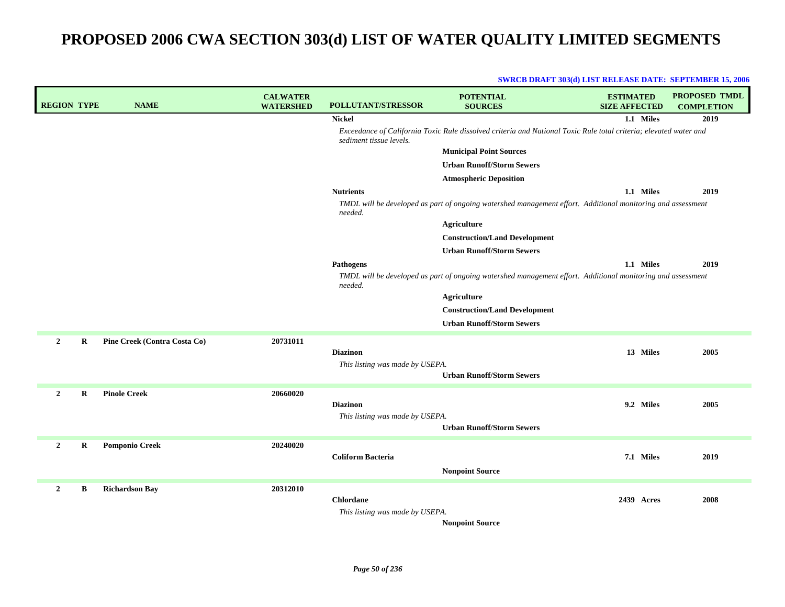| <b>REGION TYPE</b>         | <b>NAME</b>                  | <b>CALWATER</b><br><b>WATERSHED</b> | <b>POLLUTANT/STRESSOR</b>       | <b>POTENTIAL</b><br><b>SOURCES</b>                                                                                | <b>ESTIMATED</b><br><b>SIZE AFFECTED</b> | <b>PROPOSED TMDL</b><br><b>COMPLETION</b> |
|----------------------------|------------------------------|-------------------------------------|---------------------------------|-------------------------------------------------------------------------------------------------------------------|------------------------------------------|-------------------------------------------|
|                            |                              |                                     | <b>Nickel</b>                   |                                                                                                                   | 1.1 Miles                                | 2019                                      |
|                            |                              |                                     | sediment tissue levels.         | Exceedance of California Toxic Rule dissolved criteria and National Toxic Rule total criteria; elevated water and |                                          |                                           |
|                            |                              |                                     |                                 | <b>Municipal Point Sources</b>                                                                                    |                                          |                                           |
|                            |                              |                                     |                                 | <b>Urban Runoff/Storm Sewers</b>                                                                                  |                                          |                                           |
|                            |                              |                                     |                                 | <b>Atmospheric Deposition</b>                                                                                     |                                          |                                           |
|                            |                              |                                     | <b>Nutrients</b>                |                                                                                                                   | 1.1 Miles                                | 2019                                      |
|                            |                              |                                     | needed.                         | TMDL will be developed as part of ongoing watershed management effort. Additional monitoring and assessment       |                                          |                                           |
|                            |                              |                                     |                                 | <b>Agriculture</b>                                                                                                |                                          |                                           |
|                            |                              |                                     |                                 | <b>Construction/Land Development</b>                                                                              |                                          |                                           |
|                            |                              |                                     |                                 | <b>Urban Runoff/Storm Sewers</b>                                                                                  |                                          |                                           |
|                            |                              |                                     | <b>Pathogens</b>                |                                                                                                                   | 1.1 Miles                                | 2019                                      |
|                            |                              |                                     | needed.                         | TMDL will be developed as part of ongoing watershed management effort. Additional monitoring and assessment       |                                          |                                           |
|                            |                              |                                     |                                 | <b>Agriculture</b>                                                                                                |                                          |                                           |
|                            |                              |                                     |                                 | <b>Construction/Land Development</b>                                                                              |                                          |                                           |
|                            |                              |                                     |                                 | <b>Urban Runoff/Storm Sewers</b>                                                                                  |                                          |                                           |
| $\overline{2}$<br>R        | Pine Creek (Contra Costa Co) | 20731011                            |                                 |                                                                                                                   |                                          |                                           |
|                            |                              |                                     | <b>Diazinon</b>                 |                                                                                                                   | 13 Miles                                 | 2005                                      |
|                            |                              |                                     | This listing was made by USEPA. |                                                                                                                   |                                          |                                           |
|                            |                              |                                     |                                 | <b>Urban Runoff/Storm Sewers</b>                                                                                  |                                          |                                           |
| $\overline{2}$<br>$\bf{R}$ | <b>Pinole Creek</b>          | 20660020                            |                                 |                                                                                                                   |                                          |                                           |
|                            |                              |                                     | <b>Diazinon</b>                 |                                                                                                                   | 9.2 Miles                                | 2005                                      |
|                            |                              |                                     | This listing was made by USEPA. |                                                                                                                   |                                          |                                           |
|                            |                              |                                     |                                 | <b>Urban Runoff/Storm Sewers</b>                                                                                  |                                          |                                           |
| $\overline{2}$<br>R        | <b>Pomponio Creek</b>        | 20240020                            |                                 |                                                                                                                   |                                          |                                           |
|                            |                              |                                     | <b>Coliform Bacteria</b>        |                                                                                                                   | 7.1 Miles                                | 2019                                      |
|                            |                              |                                     |                                 | <b>Nonpoint Source</b>                                                                                            |                                          |                                           |
| $\overline{2}$<br>B        | <b>Richardson Bay</b>        | 20312010                            |                                 |                                                                                                                   |                                          |                                           |
|                            |                              |                                     | <b>Chlordane</b>                |                                                                                                                   | 2439 Acres                               | 2008                                      |
|                            |                              |                                     | This listing was made by USEPA. |                                                                                                                   |                                          |                                           |
|                            |                              |                                     |                                 | <b>Nonpoint Source</b>                                                                                            |                                          |                                           |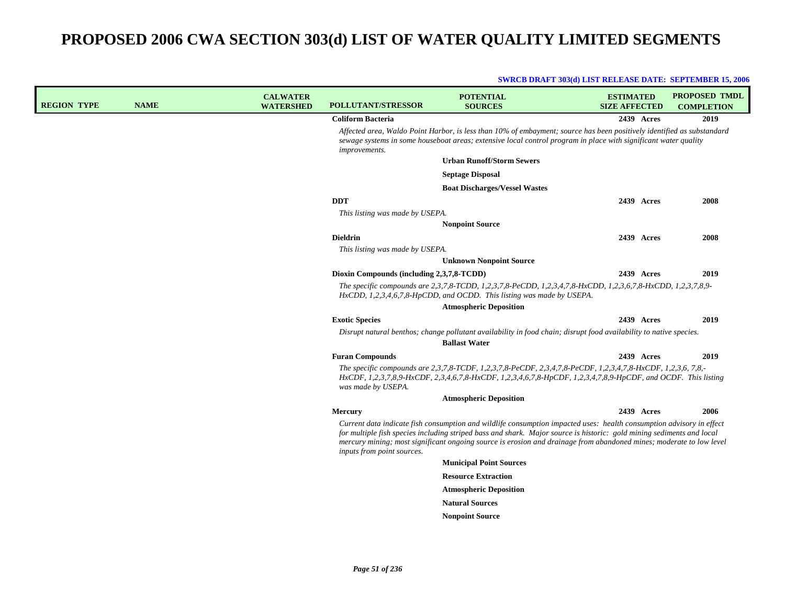| <b>REGION TYPE</b> | <b>NAME</b> | <b>CALWATER</b><br><b>WATERSHED</b> | <b>POLLUTANT/STRESSOR</b>                 | <b>POTENTIAL</b><br><b>SOURCES</b>                                                                                                                                                                                                                                                                                                                                   | <b>ESTIMATED</b><br><b>SIZE AFFECTED</b> | <b>PROPOSED TMDL</b><br><b>COMPLETION</b> |
|--------------------|-------------|-------------------------------------|-------------------------------------------|----------------------------------------------------------------------------------------------------------------------------------------------------------------------------------------------------------------------------------------------------------------------------------------------------------------------------------------------------------------------|------------------------------------------|-------------------------------------------|
|                    |             |                                     | <b>Coliform Bacteria</b>                  |                                                                                                                                                                                                                                                                                                                                                                      | 2439 Acres                               | 2019                                      |
|                    |             |                                     | <i>improvements.</i>                      | Affected area, Waldo Point Harbor, is less than 10% of embayment; source has been positively identified as substandard<br>sewage systems in some houseboat areas; extensive local control program in place with significant water quality                                                                                                                            |                                          |                                           |
|                    |             |                                     |                                           | <b>Urban Runoff/Storm Sewers</b>                                                                                                                                                                                                                                                                                                                                     |                                          |                                           |
|                    |             |                                     |                                           | <b>Septage Disposal</b>                                                                                                                                                                                                                                                                                                                                              |                                          |                                           |
|                    |             |                                     |                                           | <b>Boat Discharges/Vessel Wastes</b>                                                                                                                                                                                                                                                                                                                                 |                                          |                                           |
|                    |             |                                     | <b>DDT</b>                                |                                                                                                                                                                                                                                                                                                                                                                      | 2439 Acres                               | 2008                                      |
|                    |             |                                     | This listing was made by USEPA.           |                                                                                                                                                                                                                                                                                                                                                                      |                                          |                                           |
|                    |             |                                     |                                           | <b>Nonpoint Source</b>                                                                                                                                                                                                                                                                                                                                               |                                          |                                           |
|                    |             |                                     | <b>Dieldrin</b>                           |                                                                                                                                                                                                                                                                                                                                                                      | 2439 Acres                               | 2008                                      |
|                    |             |                                     | This listing was made by USEPA.           |                                                                                                                                                                                                                                                                                                                                                                      |                                          |                                           |
|                    |             |                                     |                                           | <b>Unknown Nonpoint Source</b>                                                                                                                                                                                                                                                                                                                                       |                                          |                                           |
|                    |             |                                     | Dioxin Compounds (including 2,3,7,8-TCDD) |                                                                                                                                                                                                                                                                                                                                                                      | 2439 Acres                               | 2019                                      |
|                    |             |                                     |                                           | The specific compounds are 2,3,7,8-TCDD, 1,2,3,7,8-PeCDD, 1,2,3,4,7,8-HxCDD, 1,2,3,6,7,8-HxCDD, 1,2,3,7,8,9-<br>HxCDD, 1,2,3,4,6,7,8-HpCDD, and OCDD. This listing was made by USEPA.                                                                                                                                                                                |                                          |                                           |
|                    |             |                                     |                                           | <b>Atmospheric Deposition</b>                                                                                                                                                                                                                                                                                                                                        |                                          |                                           |
|                    |             |                                     | <b>Exotic Species</b>                     |                                                                                                                                                                                                                                                                                                                                                                      | 2439 Acres                               | 2019                                      |
|                    |             |                                     |                                           | Disrupt natural benthos; change pollutant availability in food chain; disrupt food availability to native species.                                                                                                                                                                                                                                                   |                                          |                                           |
|                    |             |                                     |                                           | <b>Ballast Water</b>                                                                                                                                                                                                                                                                                                                                                 |                                          |                                           |
|                    |             |                                     | <b>Furan Compounds</b>                    |                                                                                                                                                                                                                                                                                                                                                                      | 2439 Acres                               | 2019                                      |
|                    |             |                                     | was made by USEPA.                        | The specific compounds are $2,3,7,8$ -TCDF, $1,2,3,7,8$ -PeCDF, $2,3,4,7,8$ -PeCDF, $1,2,3,4,7,8$ -HxCDF, $1,2,3,6,7,8$ -<br>HxCDF, 1,2,3,7,8,9-HxCDF, 2,3,4,6,7,8-HxCDF, 1,2,3,4,6,7,8-HpCDF, 1,2,3,4,7,8,9-HpCDF, and OCDF. This listing                                                                                                                           |                                          |                                           |
|                    |             |                                     |                                           | <b>Atmospheric Deposition</b>                                                                                                                                                                                                                                                                                                                                        |                                          |                                           |
|                    |             |                                     | Mercury                                   |                                                                                                                                                                                                                                                                                                                                                                      | 2439 Acres                               | 2006                                      |
|                    |             |                                     | inputs from point sources.                | Current data indicate fish consumption and wildlife consumption impacted uses: health consumption advisory in effect<br>for multiple fish species including striped bass and shark. Major source is historic: gold mining sediments and local<br>mercury mining; most significant ongoing source is erosion and drainage from abandoned mines; moderate to low level |                                          |                                           |
|                    |             |                                     |                                           | <b>Municipal Point Sources</b>                                                                                                                                                                                                                                                                                                                                       |                                          |                                           |
|                    |             |                                     |                                           | <b>Resource Extraction</b>                                                                                                                                                                                                                                                                                                                                           |                                          |                                           |
|                    |             |                                     |                                           | <b>Atmospheric Deposition</b>                                                                                                                                                                                                                                                                                                                                        |                                          |                                           |
|                    |             |                                     |                                           | <b>Natural Sources</b>                                                                                                                                                                                                                                                                                                                                               |                                          |                                           |
|                    |             |                                     |                                           | <b>Nonpoint Source</b>                                                                                                                                                                                                                                                                                                                                               |                                          |                                           |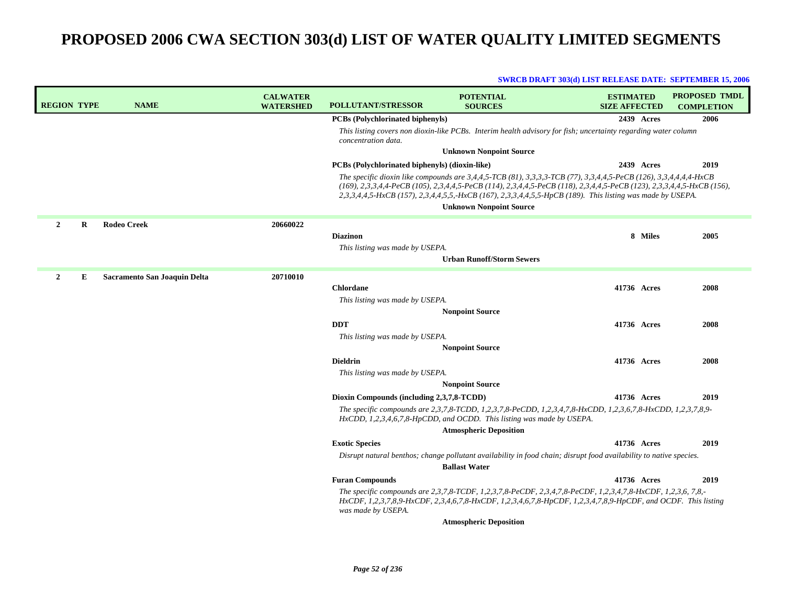| <b>REGION TYPE</b> |   | <b>NAME</b>                  | <b>CALWATER</b><br><b>WATERSHED</b> | <b>POLLUTANT/STRESSOR</b>                      | <b>POTENTIAL</b><br><b>SOURCES</b>                                                                                                                                                                                                                                                                                                                      | <b>ESTIMATED</b><br><b>SIZE AFFECTED</b> | <b>PROPOSED TMDL</b><br><b>COMPLETION</b> |
|--------------------|---|------------------------------|-------------------------------------|------------------------------------------------|---------------------------------------------------------------------------------------------------------------------------------------------------------------------------------------------------------------------------------------------------------------------------------------------------------------------------------------------------------|------------------------------------------|-------------------------------------------|
|                    |   |                              |                                     | PCBs (Polychlorinated biphenyls)               |                                                                                                                                                                                                                                                                                                                                                         | 2439 Acres                               | 2006                                      |
|                    |   |                              |                                     | concentration data.                            | This listing covers non dioxin-like PCBs. Interim health advisory for fish; uncertainty regarding water column                                                                                                                                                                                                                                          |                                          |                                           |
|                    |   |                              |                                     |                                                | <b>Unknown Nonpoint Source</b>                                                                                                                                                                                                                                                                                                                          |                                          |                                           |
|                    |   |                              |                                     | PCBs (Polychlorinated biphenyls) (dioxin-like) |                                                                                                                                                                                                                                                                                                                                                         | 2439 Acres                               | 2019                                      |
|                    |   |                              |                                     |                                                | The specific dioxin like compounds are 3,4,4,5-TCB (81), 3,3,3,3-TCB (77), 3,3,4,4,5-PeCB (126), 3,3,4,4,4-HxCB<br>(169), 2,3,3,4,4-PeCB (105), 2,3,4,4,5-PeCB (114), 2,3,4,4,5-PeCB (118), 2,3,4,4,5-PeCB (123), 2,3,3,4,4,5-HxCB (156),<br>2,3,3,4,4,5-HxCB (157), 2,3,4,4,5,5,-HxCB (167), 2,3,3,4,4,5,5-HpCB (189). This listing was made by USEPA. |                                          |                                           |
|                    |   |                              |                                     |                                                | <b>Unknown Nonpoint Source</b>                                                                                                                                                                                                                                                                                                                          |                                          |                                           |
| $\overline{2}$     | R | <b>Rodeo Creek</b>           | 20660022                            |                                                |                                                                                                                                                                                                                                                                                                                                                         |                                          |                                           |
|                    |   |                              |                                     | <b>Diazinon</b>                                |                                                                                                                                                                                                                                                                                                                                                         | 8 Miles                                  | 2005                                      |
|                    |   |                              |                                     | This listing was made by USEPA.                |                                                                                                                                                                                                                                                                                                                                                         |                                          |                                           |
|                    |   |                              |                                     |                                                | <b>Urban Runoff/Storm Sewers</b>                                                                                                                                                                                                                                                                                                                        |                                          |                                           |
| $\mathbf{2}$       | Е | Sacramento San Joaquin Delta | 20710010                            |                                                |                                                                                                                                                                                                                                                                                                                                                         |                                          |                                           |
|                    |   |                              |                                     | <b>Chlordane</b>                               |                                                                                                                                                                                                                                                                                                                                                         | 41736 Acres                              | 2008                                      |
|                    |   |                              |                                     | This listing was made by USEPA.                |                                                                                                                                                                                                                                                                                                                                                         |                                          |                                           |
|                    |   |                              |                                     |                                                | <b>Nonpoint Source</b>                                                                                                                                                                                                                                                                                                                                  |                                          |                                           |
|                    |   |                              |                                     | <b>DDT</b>                                     |                                                                                                                                                                                                                                                                                                                                                         | 41736 Acres                              | 2008                                      |
|                    |   |                              |                                     | This listing was made by USEPA.                |                                                                                                                                                                                                                                                                                                                                                         |                                          |                                           |
|                    |   |                              |                                     |                                                | <b>Nonpoint Source</b>                                                                                                                                                                                                                                                                                                                                  |                                          |                                           |
|                    |   |                              |                                     | <b>Dieldrin</b>                                |                                                                                                                                                                                                                                                                                                                                                         | 41736 Acres                              | 2008                                      |
|                    |   |                              |                                     | This listing was made by USEPA.                |                                                                                                                                                                                                                                                                                                                                                         |                                          |                                           |
|                    |   |                              |                                     |                                                | <b>Nonpoint Source</b>                                                                                                                                                                                                                                                                                                                                  |                                          |                                           |
|                    |   |                              |                                     | Dioxin Compounds (including 2,3,7,8-TCDD)      |                                                                                                                                                                                                                                                                                                                                                         | 41736 Acres                              | 2019                                      |
|                    |   |                              |                                     |                                                | The specific compounds are 2,3,7,8-TCDD, 1,2,3,7,8-PeCDD, 1,2,3,4,7,8-HxCDD, 1,2,3,6,7,8-HxCDD, 1,2,3,7,8,9-<br>HxCDD, 1,2,3,4,6,7,8-HpCDD, and OCDD. This listing was made by USEPA.<br><b>Atmospheric Deposition</b>                                                                                                                                  |                                          |                                           |
|                    |   |                              |                                     | <b>Exotic Species</b>                          |                                                                                                                                                                                                                                                                                                                                                         | 41736 Acres                              | 2019                                      |
|                    |   |                              |                                     |                                                | Disrupt natural benthos; change pollutant availability in food chain; disrupt food availability to native species.                                                                                                                                                                                                                                      |                                          |                                           |
|                    |   |                              |                                     |                                                | <b>Ballast Water</b>                                                                                                                                                                                                                                                                                                                                    |                                          |                                           |
|                    |   |                              |                                     | <b>Furan Compounds</b>                         |                                                                                                                                                                                                                                                                                                                                                         | 41736 Acres                              | 2019                                      |
|                    |   |                              |                                     | was made by USEPA.                             | The specific compounds are 2,3,7,8-TCDF, 1,2,3,7,8-PeCDF, 2,3,4,7,8-PeCDF, 1,2,3,4,7,8-HxCDF, 1,2,3,6, 7,8,-<br>HxCDF, 1,2,3,7,8,9-HxCDF, 2,3,4,6,7,8-HxCDF, 1,2,3,4,6,7,8-HpCDF, 1,2,3,4,7,8,9-HpCDF, and OCDF. This listing                                                                                                                           |                                          |                                           |
|                    |   |                              |                                     |                                                | <b>Atmospheric Deposition</b>                                                                                                                                                                                                                                                                                                                           |                                          |                                           |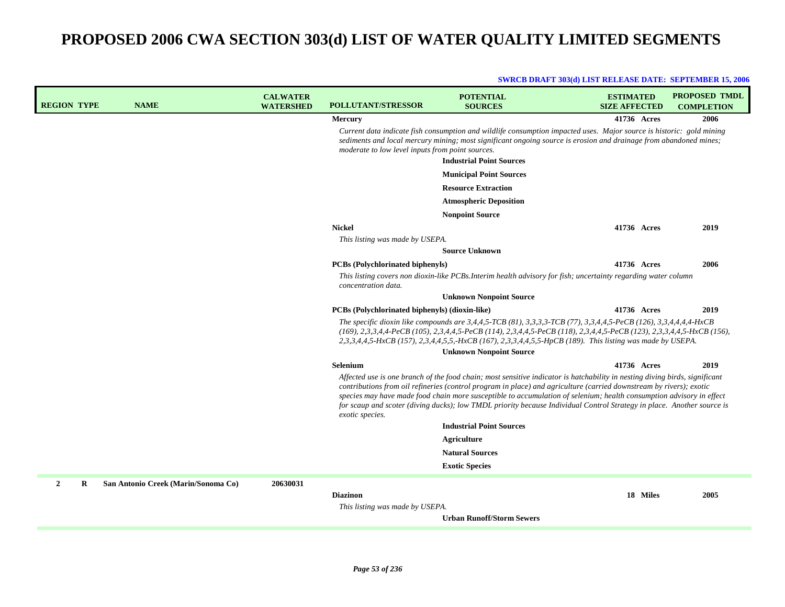| <b>REGION TYPE</b>       | <b>NAME</b>                         | <b>CALWATER</b><br><b>WATERSHED</b> | <b>POLLUTANT/STRESSOR</b>                          | <b>POTENTIAL</b><br><b>SOURCES</b>                                                                                                                                                                                                                                                                                                                                                                                                                                                                   | <b>ESTIMATED</b><br><b>SIZE AFFECTED</b> |          | <b>PROPOSED TMDL</b><br><b>COMPLETION</b> |
|--------------------------|-------------------------------------|-------------------------------------|----------------------------------------------------|------------------------------------------------------------------------------------------------------------------------------------------------------------------------------------------------------------------------------------------------------------------------------------------------------------------------------------------------------------------------------------------------------------------------------------------------------------------------------------------------------|------------------------------------------|----------|-------------------------------------------|
|                          |                                     |                                     | <b>Mercury</b>                                     |                                                                                                                                                                                                                                                                                                                                                                                                                                                                                                      | 41736 Acres                              |          | 2006                                      |
|                          |                                     |                                     | moderate to low level inputs from point sources.   | Current data indicate fish consumption and wildlife consumption impacted uses. Major source is historic: gold mining<br>sediments and local mercury mining; most significant ongoing source is erosion and drainage from abandoned mines;                                                                                                                                                                                                                                                            |                                          |          |                                           |
|                          |                                     |                                     |                                                    | <b>Industrial Point Sources</b>                                                                                                                                                                                                                                                                                                                                                                                                                                                                      |                                          |          |                                           |
|                          |                                     |                                     |                                                    | <b>Municipal Point Sources</b>                                                                                                                                                                                                                                                                                                                                                                                                                                                                       |                                          |          |                                           |
|                          |                                     |                                     |                                                    | <b>Resource Extraction</b>                                                                                                                                                                                                                                                                                                                                                                                                                                                                           |                                          |          |                                           |
|                          |                                     |                                     |                                                    | <b>Atmospheric Deposition</b>                                                                                                                                                                                                                                                                                                                                                                                                                                                                        |                                          |          |                                           |
|                          |                                     |                                     |                                                    | <b>Nonpoint Source</b>                                                                                                                                                                                                                                                                                                                                                                                                                                                                               |                                          |          |                                           |
|                          |                                     |                                     | <b>Nickel</b>                                      |                                                                                                                                                                                                                                                                                                                                                                                                                                                                                                      | 41736 Acres                              |          | 2019                                      |
|                          |                                     |                                     | This listing was made by USEPA.                    |                                                                                                                                                                                                                                                                                                                                                                                                                                                                                                      |                                          |          |                                           |
|                          |                                     |                                     |                                                    | <b>Source Unknown</b>                                                                                                                                                                                                                                                                                                                                                                                                                                                                                |                                          |          |                                           |
|                          |                                     |                                     | <b>PCBs</b> (Polychlorinated biphenyls)            |                                                                                                                                                                                                                                                                                                                                                                                                                                                                                                      | 41736 Acres                              |          | 2006                                      |
|                          |                                     |                                     | concentration data.                                | This listing covers non dioxin-like PCBs. Interim health advisory for fish; uncertainty regarding water column                                                                                                                                                                                                                                                                                                                                                                                       |                                          |          |                                           |
|                          |                                     |                                     |                                                    | <b>Unknown Nonpoint Source</b>                                                                                                                                                                                                                                                                                                                                                                                                                                                                       |                                          |          |                                           |
|                          |                                     |                                     | PCBs (Polychlorinated biphenyls) (dioxin-like)     |                                                                                                                                                                                                                                                                                                                                                                                                                                                                                                      | 41736 Acres                              |          | 2019                                      |
|                          |                                     |                                     |                                                    | The specific dioxin like compounds are 3,4,4,5-TCB (81), 3,3,3,3-TCB (77), 3,3,4,4,5-PeCB (126), 3,3,4,4,4,4-HxCB<br>(169), 2,3,3,4,4-PeCB (105), 2,3,4,4,5-PeCB (114), 2,3,4,4,5-PeCB (118), 2,3,4,4,5-PeCB (123), 2,3,3,4,4,5-HxCB (156),<br>2,3,3,4,4,5-HxCB (157), 2,3,4,4,5,5,-HxCB (167), 2,3,3,4,4,5,5-HpCB (189). This listing was made by USEPA.                                                                                                                                            |                                          |          |                                           |
|                          |                                     |                                     |                                                    | <b>Unknown Nonpoint Source</b>                                                                                                                                                                                                                                                                                                                                                                                                                                                                       |                                          |          |                                           |
|                          |                                     |                                     | <b>Selenium</b>                                    |                                                                                                                                                                                                                                                                                                                                                                                                                                                                                                      | 41736 Acres                              |          | 2019                                      |
|                          |                                     |                                     | exotic species.                                    | Affected use is one branch of the food chain; most sensitive indicator is hatchability in nesting diving birds, significant<br>contributions from oil refineries (control program in place) and agriculture (carried downstream by rivers); exotic<br>species may have made food chain more susceptible to accumulation of selenium; health consumption advisory in effect<br>for scaup and scoter (diving ducks); low TMDL priority because Individual Control Strategy in place. Another source is |                                          |          |                                           |
|                          |                                     |                                     |                                                    | <b>Industrial Point Sources</b>                                                                                                                                                                                                                                                                                                                                                                                                                                                                      |                                          |          |                                           |
|                          |                                     |                                     |                                                    | Agriculture                                                                                                                                                                                                                                                                                                                                                                                                                                                                                          |                                          |          |                                           |
|                          |                                     |                                     |                                                    | <b>Natural Sources</b>                                                                                                                                                                                                                                                                                                                                                                                                                                                                               |                                          |          |                                           |
|                          |                                     |                                     |                                                    | <b>Exotic Species</b>                                                                                                                                                                                                                                                                                                                                                                                                                                                                                |                                          |          |                                           |
| $\mathbf{2}$<br>$\bf{R}$ | San Antonio Creek (Marin/Sonoma Co) | 20630031                            | <b>Diazinon</b><br>This listing was made by USEPA. |                                                                                                                                                                                                                                                                                                                                                                                                                                                                                                      |                                          | 18 Miles | 2005                                      |
|                          |                                     |                                     |                                                    | <b>Urban Runoff/Storm Sewers</b>                                                                                                                                                                                                                                                                                                                                                                                                                                                                     |                                          |          |                                           |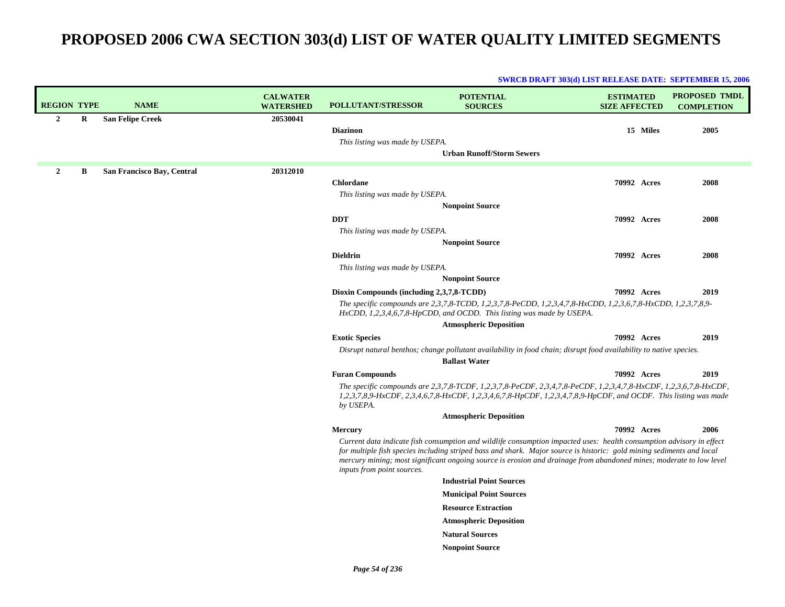| <b>REGION TYPE</b> |   | <b>NAME</b>                | <b>CALWATER</b><br><b>WATERSHED</b> | <b>POLLUTANT/STRESSOR</b>                 | <b>POTENTIAL</b><br><b>SOURCES</b>                                                                                                                                                                                                                                                                                                                                   | <b>ESTIMATED</b><br><b>SIZE AFFECTED</b> |          | <b>PROPOSED TMDL</b><br><b>COMPLETION</b> |
|--------------------|---|----------------------------|-------------------------------------|-------------------------------------------|----------------------------------------------------------------------------------------------------------------------------------------------------------------------------------------------------------------------------------------------------------------------------------------------------------------------------------------------------------------------|------------------------------------------|----------|-------------------------------------------|
| $\overline{2}$     | R | <b>San Felipe Creek</b>    | 20530041                            |                                           |                                                                                                                                                                                                                                                                                                                                                                      |                                          |          |                                           |
|                    |   |                            |                                     | <b>Diazinon</b>                           |                                                                                                                                                                                                                                                                                                                                                                      |                                          | 15 Miles | 2005                                      |
|                    |   |                            |                                     | This listing was made by USEPA.           |                                                                                                                                                                                                                                                                                                                                                                      |                                          |          |                                           |
|                    |   |                            |                                     |                                           | <b>Urban Runoff/Storm Sewers</b>                                                                                                                                                                                                                                                                                                                                     |                                          |          |                                           |
| $\overline{2}$     | В | San Francisco Bay, Central | 20312010                            |                                           |                                                                                                                                                                                                                                                                                                                                                                      |                                          |          |                                           |
|                    |   |                            |                                     | <b>Chlordane</b>                          |                                                                                                                                                                                                                                                                                                                                                                      | 70992 Acres                              |          | 2008                                      |
|                    |   |                            |                                     | This listing was made by USEPA.           |                                                                                                                                                                                                                                                                                                                                                                      |                                          |          |                                           |
|                    |   |                            |                                     | <b>DDT</b>                                | <b>Nonpoint Source</b>                                                                                                                                                                                                                                                                                                                                               |                                          |          |                                           |
|                    |   |                            |                                     | This listing was made by USEPA.           |                                                                                                                                                                                                                                                                                                                                                                      | 70992 Acres                              |          | 2008                                      |
|                    |   |                            |                                     |                                           | <b>Nonpoint Source</b>                                                                                                                                                                                                                                                                                                                                               |                                          |          |                                           |
|                    |   |                            |                                     | <b>Dieldrin</b>                           |                                                                                                                                                                                                                                                                                                                                                                      | 70992 Acres                              |          | 2008                                      |
|                    |   |                            |                                     | This listing was made by USEPA.           |                                                                                                                                                                                                                                                                                                                                                                      |                                          |          |                                           |
|                    |   |                            |                                     |                                           | <b>Nonpoint Source</b>                                                                                                                                                                                                                                                                                                                                               |                                          |          |                                           |
|                    |   |                            |                                     | Dioxin Compounds (including 2,3,7,8-TCDD) |                                                                                                                                                                                                                                                                                                                                                                      | 70992 Acres                              |          | 2019                                      |
|                    |   |                            |                                     |                                           | The specific compounds are 2,3,7,8-TCDD, 1,2,3,7,8-PeCDD, 1,2,3,4,7,8-HxCDD, 1,2,3,6,7,8-HxCDD, 1,2,3,7,8,9-<br>HxCDD, 1,2,3,4,6,7,8-HpCDD, and OCDD. This listing was made by USEPA.                                                                                                                                                                                |                                          |          |                                           |
|                    |   |                            |                                     |                                           | <b>Atmospheric Deposition</b>                                                                                                                                                                                                                                                                                                                                        |                                          |          |                                           |
|                    |   |                            |                                     | <b>Exotic Species</b>                     |                                                                                                                                                                                                                                                                                                                                                                      | 70992 Acres                              |          | 2019                                      |
|                    |   |                            |                                     |                                           | Disrupt natural benthos; change pollutant availability in food chain; disrupt food availability to native species.<br><b>Ballast Water</b>                                                                                                                                                                                                                           |                                          |          |                                           |
|                    |   |                            |                                     | <b>Furan Compounds</b>                    |                                                                                                                                                                                                                                                                                                                                                                      | 70992 Acres                              |          | 2019                                      |
|                    |   |                            |                                     | by USEPA.                                 | The specific compounds are 2,3,7,8-TCDF, 1,2,3,7,8-PeCDF, 2,3,4,7,8-PeCDF, 1,2,3,4,7,8-HxCDF, 1,2,3,6,7,8-HxCDF,<br>1,2,3,7,8,9-HxCDF, 2,3,4,6,7,8-HxCDF, 1,2,3,4,6,7,8-HpCDF, 1,2,3,4,7,8,9-HpCDF, and OCDF. This listing was made                                                                                                                                  |                                          |          |                                           |
|                    |   |                            |                                     |                                           | <b>Atmospheric Deposition</b>                                                                                                                                                                                                                                                                                                                                        |                                          |          |                                           |
|                    |   |                            |                                     | <b>Mercury</b>                            |                                                                                                                                                                                                                                                                                                                                                                      | 70992 Acres                              |          | 2006                                      |
|                    |   |                            |                                     | inputs from point sources.                | Current data indicate fish consumption and wildlife consumption impacted uses: health consumption advisory in effect<br>for multiple fish species including striped bass and shark. Major source is historic: gold mining sediments and local<br>mercury mining; most significant ongoing source is erosion and drainage from abandoned mines; moderate to low level |                                          |          |                                           |
|                    |   |                            |                                     |                                           | <b>Industrial Point Sources</b>                                                                                                                                                                                                                                                                                                                                      |                                          |          |                                           |
|                    |   |                            |                                     |                                           | <b>Municipal Point Sources</b>                                                                                                                                                                                                                                                                                                                                       |                                          |          |                                           |
|                    |   |                            |                                     |                                           | <b>Resource Extraction</b>                                                                                                                                                                                                                                                                                                                                           |                                          |          |                                           |
|                    |   |                            |                                     |                                           | <b>Atmospheric Deposition</b>                                                                                                                                                                                                                                                                                                                                        |                                          |          |                                           |
|                    |   |                            |                                     |                                           | <b>Natural Sources</b>                                                                                                                                                                                                                                                                                                                                               |                                          |          |                                           |
|                    |   |                            |                                     |                                           | <b>Nonpoint Source</b>                                                                                                                                                                                                                                                                                                                                               |                                          |          |                                           |
|                    |   |                            |                                     |                                           |                                                                                                                                                                                                                                                                                                                                                                      |                                          |          |                                           |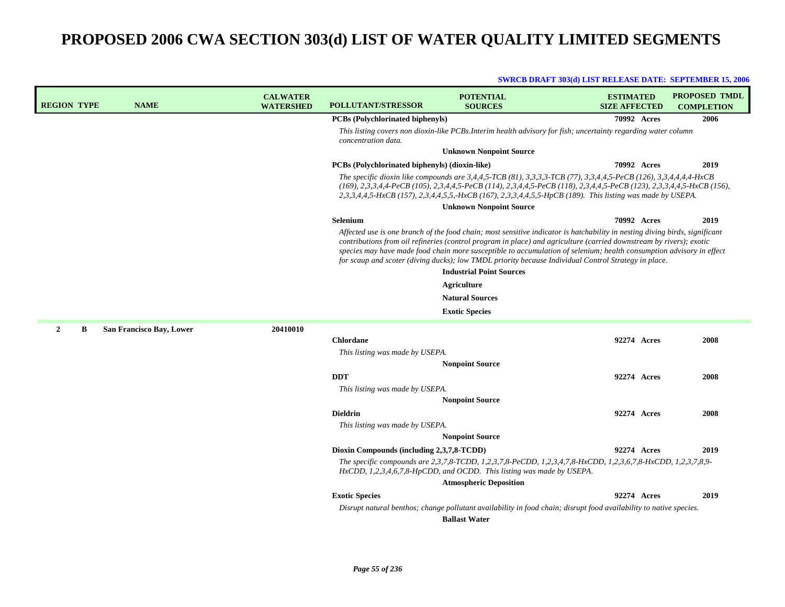| <b>REGION TYPE</b>  | <b>NAME</b>              | <b>CALWATER</b><br><b>WATERSHED</b> | <b>POLLUTANT/STRESSOR</b>                          | <b>POTENTIAL</b><br><b>SOURCES</b>                                                                                                                                                                                                                                                                                                                                                                                                                                                                                                                                                      | <b>ESTIMATED</b><br><b>SIZE AFFECTED</b> | <b>PROPOSED TMDL</b><br><b>COMPLETION</b> |
|---------------------|--------------------------|-------------------------------------|----------------------------------------------------|-----------------------------------------------------------------------------------------------------------------------------------------------------------------------------------------------------------------------------------------------------------------------------------------------------------------------------------------------------------------------------------------------------------------------------------------------------------------------------------------------------------------------------------------------------------------------------------------|------------------------------------------|-------------------------------------------|
|                     |                          |                                     | <b>PCBs</b> (Polychlorinated biphenyls)            |                                                                                                                                                                                                                                                                                                                                                                                                                                                                                                                                                                                         | 70992 Acres                              | 2006                                      |
|                     |                          |                                     | concentration data.                                | This listing covers non dioxin-like PCBs. Interim health advisory for fish; uncertainty regarding water column                                                                                                                                                                                                                                                                                                                                                                                                                                                                          |                                          |                                           |
|                     |                          |                                     |                                                    | <b>Unknown Nonpoint Source</b>                                                                                                                                                                                                                                                                                                                                                                                                                                                                                                                                                          |                                          |                                           |
|                     |                          |                                     | PCBs (Polychlorinated biphenyls) (dioxin-like)     |                                                                                                                                                                                                                                                                                                                                                                                                                                                                                                                                                                                         | 70992 Acres                              | 2019                                      |
|                     |                          |                                     |                                                    | The specific dioxin like compounds are 3,4,4,5-TCB (81), 3,3,3,3-TCB (77), 3,3,4,4,5-PeCB (126), 3,3,4,4,4,4-HxCB<br>(169), 2,3,3,4,4-PeCB (105), 2,3,4,4,5-PeCB (114), 2,3,4,4,5-PeCB (118), 2,3,4,4,5-PeCB (123), 2,3,3,4,4,5-HxCB (156),<br>2,3,3,4,4,5-HxCB (157), 2,3,4,4,5,5,-HxCB (167), 2,3,3,4,4,5,5-HpCB (189). This listing was made by USEPA.                                                                                                                                                                                                                               |                                          |                                           |
|                     |                          |                                     |                                                    | <b>Unknown Nonpoint Source</b>                                                                                                                                                                                                                                                                                                                                                                                                                                                                                                                                                          |                                          |                                           |
|                     |                          |                                     | Selenium                                           |                                                                                                                                                                                                                                                                                                                                                                                                                                                                                                                                                                                         | 70992 Acres                              | 2019                                      |
|                     |                          |                                     |                                                    | Affected use is one branch of the food chain; most sensitive indicator is hatchability in nesting diving birds, significant<br>contributions from oil refineries (control program in place) and agriculture (carried downstream by rivers); exotic<br>species may have made food chain more susceptible to accumulation of selenium; health consumption advisory in effect<br>for scaup and scoter (diving ducks); low TMDL priority because Individual Control Strategy in place.<br><b>Industrial Point Sources</b><br>Agriculture<br><b>Natural Sources</b><br><b>Exotic Species</b> |                                          |                                           |
| $\overline{2}$<br>B | San Francisco Bay, Lower | 20410010                            |                                                    |                                                                                                                                                                                                                                                                                                                                                                                                                                                                                                                                                                                         |                                          |                                           |
|                     |                          |                                     | <b>Chlordane</b>                                   |                                                                                                                                                                                                                                                                                                                                                                                                                                                                                                                                                                                         | 92274 Acres                              | 2008                                      |
|                     |                          |                                     | This listing was made by USEPA.                    |                                                                                                                                                                                                                                                                                                                                                                                                                                                                                                                                                                                         |                                          |                                           |
|                     |                          |                                     |                                                    | <b>Nonpoint Source</b>                                                                                                                                                                                                                                                                                                                                                                                                                                                                                                                                                                  |                                          |                                           |
|                     |                          |                                     | <b>DDT</b>                                         |                                                                                                                                                                                                                                                                                                                                                                                                                                                                                                                                                                                         | 92274 Acres                              | 2008                                      |
|                     |                          |                                     | This listing was made by USEPA.                    |                                                                                                                                                                                                                                                                                                                                                                                                                                                                                                                                                                                         |                                          |                                           |
|                     |                          |                                     |                                                    | <b>Nonpoint Source</b>                                                                                                                                                                                                                                                                                                                                                                                                                                                                                                                                                                  |                                          |                                           |
|                     |                          |                                     | <b>Dieldrin</b><br>This listing was made by USEPA. |                                                                                                                                                                                                                                                                                                                                                                                                                                                                                                                                                                                         | 92274 Acres                              | 2008                                      |
|                     |                          |                                     |                                                    | <b>Nonpoint Source</b>                                                                                                                                                                                                                                                                                                                                                                                                                                                                                                                                                                  |                                          |                                           |
|                     |                          |                                     | Dioxin Compounds (including 2,3,7,8-TCDD)          |                                                                                                                                                                                                                                                                                                                                                                                                                                                                                                                                                                                         | 92274 Acres                              | 2019                                      |
|                     |                          |                                     |                                                    | The specific compounds are 2,3,7,8-TCDD, 1,2,3,7,8-PeCDD, 1,2,3,4,7,8-HxCDD, 1,2,3,6,7,8-HxCDD, 1,2,3,7,8,9-<br>$HxCDD$ , 1,2,3,4,6,7,8-HpCDD, and OCDD. This listing was made by USEPA.<br><b>Atmospheric Deposition</b>                                                                                                                                                                                                                                                                                                                                                               |                                          |                                           |
|                     |                          |                                     | <b>Exotic Species</b>                              |                                                                                                                                                                                                                                                                                                                                                                                                                                                                                                                                                                                         | 92274 Acres                              | 2019                                      |
|                     |                          |                                     |                                                    | Disrupt natural benthos; change pollutant availability in food chain; disrupt food availability to native species.<br><b>Ballast Water</b>                                                                                                                                                                                                                                                                                                                                                                                                                                              |                                          |                                           |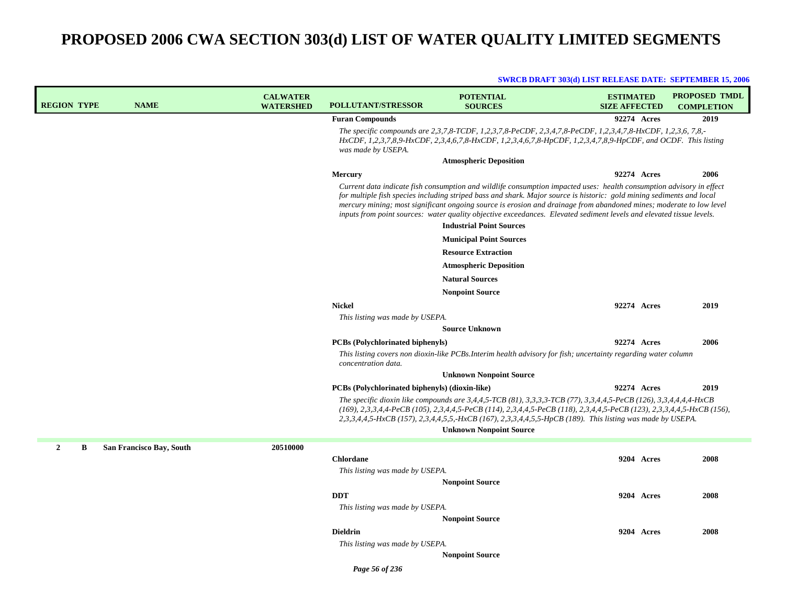#### **SWRCB DRAFT 303(d) LIST RELEASE DATE: SEPTEMBER 15, 2006**

| <b>REGION TYPE</b>  | <b>NAME</b>              | <b>CALWATER</b><br><b>WATERSHED</b> | <b>POLLUTANT/STRESSOR</b>                         | <b>POTENTIAL</b><br><b>SOURCES</b>                                                                                                                                                                                                                                                                                                                                                                                                                                                           | <b>ESTIMATED</b><br><b>SIZE AFFECTED</b> | <b>PROPOSED TMDL</b><br><b>COMPLETION</b> |
|---------------------|--------------------------|-------------------------------------|---------------------------------------------------|----------------------------------------------------------------------------------------------------------------------------------------------------------------------------------------------------------------------------------------------------------------------------------------------------------------------------------------------------------------------------------------------------------------------------------------------------------------------------------------------|------------------------------------------|-------------------------------------------|
|                     |                          |                                     | <b>Furan Compounds</b>                            |                                                                                                                                                                                                                                                                                                                                                                                                                                                                                              | 92274 Acres                              | 2019                                      |
|                     |                          |                                     | was made by USEPA.                                | The specific compounds are $2,3,7,8$ -TCDF, $1,2,3,7,8$ -PeCDF, $2,3,4,7,8$ -PeCDF, $1,2,3,4,7,8$ -HxCDF, $1,2,3,6,7,8$ -<br>HxCDF, 1,2,3,7,8,9-HxCDF, 2,3,4,6,7,8-HxCDF, 1,2,3,4,6,7,8-HpCDF, 1,2,3,4,7,8,9-HpCDF, and OCDF. This listing                                                                                                                                                                                                                                                   |                                          |                                           |
|                     |                          |                                     |                                                   | <b>Atmospheric Deposition</b>                                                                                                                                                                                                                                                                                                                                                                                                                                                                |                                          |                                           |
|                     |                          |                                     | Mercury                                           |                                                                                                                                                                                                                                                                                                                                                                                                                                                                                              | 92274 Acres                              | 2006                                      |
|                     |                          |                                     |                                                   | Current data indicate fish consumption and wildlife consumption impacted uses: health consumption advisory in effect<br>for multiple fish species including striped bass and shark. Major source is historic: gold mining sediments and local<br>mercury mining; most significant ongoing source is erosion and drainage from abandoned mines; moderate to low level<br>inputs from point sources: water quality objective exceedances. Elevated sediment levels and elevated tissue levels. |                                          |                                           |
|                     |                          |                                     |                                                   | <b>Industrial Point Sources</b>                                                                                                                                                                                                                                                                                                                                                                                                                                                              |                                          |                                           |
|                     |                          |                                     |                                                   | <b>Municipal Point Sources</b>                                                                                                                                                                                                                                                                                                                                                                                                                                                               |                                          |                                           |
|                     |                          |                                     |                                                   | <b>Resource Extraction</b>                                                                                                                                                                                                                                                                                                                                                                                                                                                                   |                                          |                                           |
|                     |                          |                                     |                                                   | <b>Atmospheric Deposition</b>                                                                                                                                                                                                                                                                                                                                                                                                                                                                |                                          |                                           |
|                     |                          |                                     |                                                   | <b>Natural Sources</b>                                                                                                                                                                                                                                                                                                                                                                                                                                                                       |                                          |                                           |
|                     |                          |                                     |                                                   | <b>Nonpoint Source</b>                                                                                                                                                                                                                                                                                                                                                                                                                                                                       |                                          |                                           |
|                     |                          |                                     | <b>Nickel</b>                                     |                                                                                                                                                                                                                                                                                                                                                                                                                                                                                              | 92274 Acres                              | 2019                                      |
|                     |                          |                                     | This listing was made by USEPA.                   |                                                                                                                                                                                                                                                                                                                                                                                                                                                                                              |                                          |                                           |
|                     |                          |                                     |                                                   | <b>Source Unknown</b>                                                                                                                                                                                                                                                                                                                                                                                                                                                                        |                                          |                                           |
|                     |                          |                                     | <b>PCBs</b> (Polychlorinated biphenyls)           |                                                                                                                                                                                                                                                                                                                                                                                                                                                                                              | 92274 Acres                              | 2006                                      |
|                     |                          |                                     | concentration data.                               | This listing covers non dioxin-like PCBs. Interim health advisory for fish; uncertainty regarding water column                                                                                                                                                                                                                                                                                                                                                                               |                                          |                                           |
|                     |                          |                                     |                                                   | <b>Unknown Nonpoint Source</b>                                                                                                                                                                                                                                                                                                                                                                                                                                                               |                                          |                                           |
|                     |                          |                                     | PCBs (Polychlorinated biphenyls) (dioxin-like)    |                                                                                                                                                                                                                                                                                                                                                                                                                                                                                              | 92274 Acres                              | 2019                                      |
|                     |                          |                                     |                                                   | The specific dioxin like compounds are 3,4,4,5-TCB (81), 3,3,3,3-TCB (77), 3,3,4,4,5-PeCB (126), 3,3,4,4,4,4-HxCB<br>(169), 2,3,3,4,4-PeCB (105), 2,3,4,4,5-PeCB (114), 2,3,4,4,5-PeCB (118), 2,3,4,4,5-PeCB (123), 2,3,3,4,4,5-HxCB (156),<br>2,3,3,4,4,5-HxCB (157), 2,3,4,4,5,5,-HxCB (167), 2,3,3,4,4,5,5-HpCB (189). This listing was made by USEPA.                                                                                                                                    |                                          |                                           |
|                     |                          |                                     |                                                   | <b>Unknown Nonpoint Source</b>                                                                                                                                                                                                                                                                                                                                                                                                                                                               |                                          |                                           |
| $\overline{2}$<br>B | San Francisco Bay, South | 20510000                            |                                                   |                                                                                                                                                                                                                                                                                                                                                                                                                                                                                              |                                          |                                           |
|                     |                          |                                     | <b>Chlordane</b>                                  |                                                                                                                                                                                                                                                                                                                                                                                                                                                                                              | 9204 Acres                               | 2008                                      |
|                     |                          |                                     | This listing was made by USEPA.                   |                                                                                                                                                                                                                                                                                                                                                                                                                                                                                              |                                          |                                           |
|                     |                          |                                     |                                                   | <b>Nonpoint Source</b>                                                                                                                                                                                                                                                                                                                                                                                                                                                                       |                                          |                                           |
|                     |                          |                                     | <b>DDT</b>                                        |                                                                                                                                                                                                                                                                                                                                                                                                                                                                                              | 9204 Acres                               | 2008                                      |
|                     |                          |                                     | This listing was made by USEPA.                   |                                                                                                                                                                                                                                                                                                                                                                                                                                                                                              |                                          |                                           |
|                     |                          |                                     |                                                   | <b>Nonpoint Source</b>                                                                                                                                                                                                                                                                                                                                                                                                                                                                       |                                          |                                           |
|                     |                          |                                     | <b>Dieldrin</b>                                   |                                                                                                                                                                                                                                                                                                                                                                                                                                                                                              | 9204 Acres                               | 2008                                      |
|                     |                          |                                     | This listing was made by USEPA.                   |                                                                                                                                                                                                                                                                                                                                                                                                                                                                                              |                                          |                                           |
|                     |                          |                                     | $D_{\text{max}}$ , $E \left( \frac{1}{2} \right)$ | <b>Nonpoint Source</b>                                                                                                                                                                                                                                                                                                                                                                                                                                                                       |                                          |                                           |

*Page 56 of 236*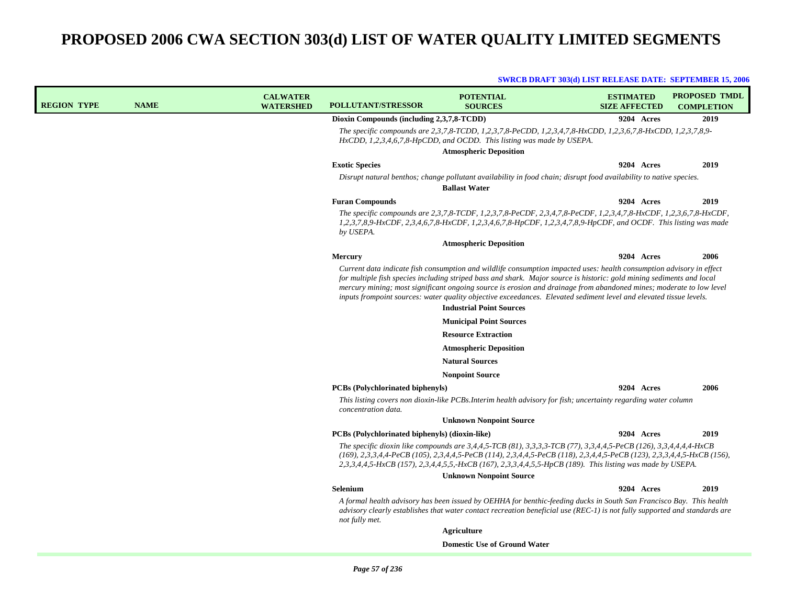| <b>REGION TYPE</b> | <b>NAME</b> | <b>CALWATER</b><br><b>WATERSHED</b> | <b>POLLUTANT/STRESSOR</b>                      | <b>POTENTIAL</b><br><b>SOURCES</b>                                                                                                                                                                                                                                                                                                                                                                                                                                                                                            | <b>ESTIMATED</b><br><b>SIZE AFFECTED</b> | <b>PROPOSED TMDL</b><br><b>COMPLETION</b> |
|--------------------|-------------|-------------------------------------|------------------------------------------------|-------------------------------------------------------------------------------------------------------------------------------------------------------------------------------------------------------------------------------------------------------------------------------------------------------------------------------------------------------------------------------------------------------------------------------------------------------------------------------------------------------------------------------|------------------------------------------|-------------------------------------------|
|                    |             |                                     | Dioxin Compounds (including 2,3,7,8-TCDD)      |                                                                                                                                                                                                                                                                                                                                                                                                                                                                                                                               | 9204 Acres                               | 2019                                      |
|                    |             |                                     |                                                | The specific compounds are 2,3,7,8-TCDD, 1,2,3,7,8-PeCDD, 1,2,3,4,7,8-HxCDD, 1,2,3,6,7,8-HxCDD, 1,2,3,7,8,9-<br>HxCDD, 1,2,3,4,6,7,8-HpCDD, and OCDD. This listing was made by USEPA.                                                                                                                                                                                                                                                                                                                                         |                                          |                                           |
|                    |             |                                     |                                                | <b>Atmospheric Deposition</b>                                                                                                                                                                                                                                                                                                                                                                                                                                                                                                 |                                          |                                           |
|                    |             |                                     | <b>Exotic Species</b>                          |                                                                                                                                                                                                                                                                                                                                                                                                                                                                                                                               | 9204 Acres                               | 2019                                      |
|                    |             |                                     |                                                | Disrupt natural benthos; change pollutant availability in food chain; disrupt food availability to native species.                                                                                                                                                                                                                                                                                                                                                                                                            |                                          |                                           |
|                    |             |                                     |                                                | <b>Ballast Water</b>                                                                                                                                                                                                                                                                                                                                                                                                                                                                                                          |                                          |                                           |
|                    |             |                                     | <b>Furan Compounds</b>                         |                                                                                                                                                                                                                                                                                                                                                                                                                                                                                                                               | 9204 Acres                               | 2019                                      |
|                    |             |                                     | by USEPA.                                      | The specific compounds are $2,3,7,8$ -TCDF, 1,2,3,7,8-PeCDF, 2,3,4,7,8-PeCDF, 1,2,3,4,7,8-HxCDF, 1,2,3,6,7,8-HxCDF,<br>1,2,3,7,8,9-HxCDF, 2,3,4,6,7,8-HxCDF, 1,2,3,4,6,7,8-HpCDF, 1,2,3,4,7,8,9-HpCDF, and OCDF. This listing was made                                                                                                                                                                                                                                                                                        |                                          |                                           |
|                    |             |                                     |                                                | <b>Atmospheric Deposition</b>                                                                                                                                                                                                                                                                                                                                                                                                                                                                                                 |                                          |                                           |
|                    |             |                                     | <b>Mercury</b>                                 |                                                                                                                                                                                                                                                                                                                                                                                                                                                                                                                               | 9204 Acres                               | 2006                                      |
|                    |             |                                     |                                                | Current data indicate fish consumption and wildlife consumption impacted uses: health consumption advisory in effect<br>for multiple fish species including striped bass and shark. Major source is historic: gold mining sediments and local<br>mercury mining; most significant ongoing source is erosion and drainage from abandoned mines; moderate to low level<br>inputs frompoint sources: water quality objective exceedances. Elevated sediment level and elevated tissue levels.<br><b>Industrial Point Sources</b> |                                          |                                           |
|                    |             |                                     |                                                | <b>Municipal Point Sources</b>                                                                                                                                                                                                                                                                                                                                                                                                                                                                                                |                                          |                                           |
|                    |             |                                     |                                                | <b>Resource Extraction</b>                                                                                                                                                                                                                                                                                                                                                                                                                                                                                                    |                                          |                                           |
|                    |             |                                     |                                                | <b>Atmospheric Deposition</b>                                                                                                                                                                                                                                                                                                                                                                                                                                                                                                 |                                          |                                           |
|                    |             |                                     |                                                | <b>Natural Sources</b>                                                                                                                                                                                                                                                                                                                                                                                                                                                                                                        |                                          |                                           |
|                    |             |                                     |                                                | <b>Nonpoint Source</b>                                                                                                                                                                                                                                                                                                                                                                                                                                                                                                        |                                          |                                           |
|                    |             |                                     | <b>PCBs (Polychlorinated biphenyls)</b>        |                                                                                                                                                                                                                                                                                                                                                                                                                                                                                                                               | 9204 Acres                               | 2006                                      |
|                    |             |                                     | concentration data.                            | This listing covers non dioxin-like PCBs.Interim health advisory for fish; uncertainty regarding water column                                                                                                                                                                                                                                                                                                                                                                                                                 |                                          |                                           |
|                    |             |                                     |                                                | <b>Unknown Nonpoint Source</b>                                                                                                                                                                                                                                                                                                                                                                                                                                                                                                |                                          |                                           |
|                    |             |                                     | PCBs (Polychlorinated biphenyls) (dioxin-like) |                                                                                                                                                                                                                                                                                                                                                                                                                                                                                                                               | 9204 Acres                               | 2019                                      |
|                    |             |                                     |                                                | The specific dioxin like compounds are 3,4,4,5-TCB (81), 3,3,3,3-TCB (77), 3,3,4,4,5-PeCB (126), 3,3,4,4,4,4-HxCB<br>$(169), 2,3,3,4,4$ -PeCB $(105), 2,3,4,4,5$ -PeCB $(114), 2,3,4,4,5$ -PeCB $(118), 2,3,4,4,5$ -PeCB $(123), 2,3,3,4,4,5$ -HxCB $(156),$<br>2,3,3,4,4,5-HxCB (157), 2,3,4,4,5,5,-HxCB (167), 2,3,3,4,4,5,5-HpCB (189). This listing was made by USEPA.                                                                                                                                                    |                                          |                                           |
|                    |             |                                     |                                                | <b>Unknown Nonpoint Source</b>                                                                                                                                                                                                                                                                                                                                                                                                                                                                                                |                                          |                                           |
|                    |             |                                     | Selenium                                       |                                                                                                                                                                                                                                                                                                                                                                                                                                                                                                                               | 9204 Acres                               | 2019                                      |
|                    |             |                                     | not fully met.                                 | A formal health advisory has been issued by OEHHA for benthic-feeding ducks in South San Francisco Bay. This health<br>advisory clearly establishes that water contact recreation beneficial use (REC-1) is not fully supported and standards are                                                                                                                                                                                                                                                                             |                                          |                                           |
|                    |             |                                     |                                                | Agriculture                                                                                                                                                                                                                                                                                                                                                                                                                                                                                                                   |                                          |                                           |
|                    |             |                                     |                                                | <b>Domestic Use of Ground Water</b>                                                                                                                                                                                                                                                                                                                                                                                                                                                                                           |                                          |                                           |
|                    |             |                                     |                                                |                                                                                                                                                                                                                                                                                                                                                                                                                                                                                                                               |                                          |                                           |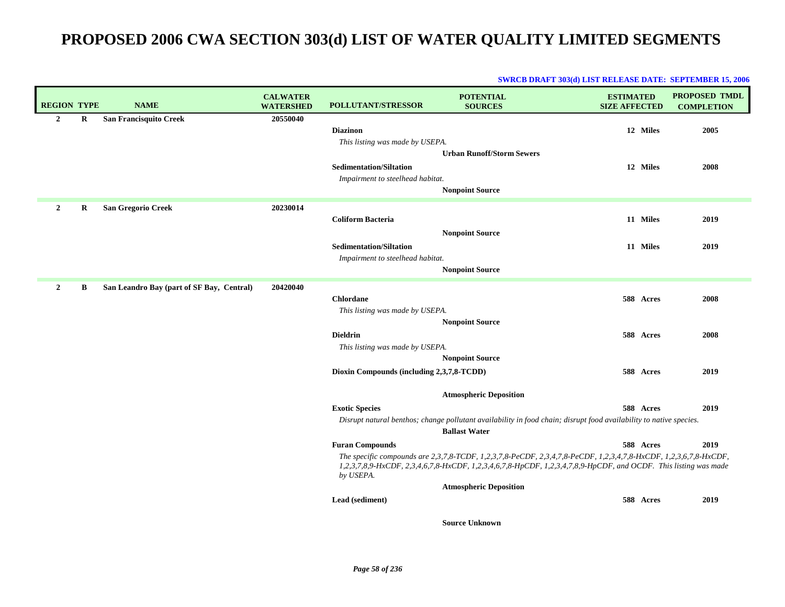| <b>REGION TYPE</b> |         | <b>NAME</b>                               | <b>CALWATER</b><br><b>WATERSHED</b> | <b>POLLUTANT/STRESSOR</b>                 | <b>POTENTIAL</b><br><b>SOURCES</b>                                                                                                                                                                                                  | <b>ESTIMATED</b><br><b>SIZE AFFECTED</b> |           | <b>PROPOSED TMDL</b><br><b>COMPLETION</b> |
|--------------------|---------|-------------------------------------------|-------------------------------------|-------------------------------------------|-------------------------------------------------------------------------------------------------------------------------------------------------------------------------------------------------------------------------------------|------------------------------------------|-----------|-------------------------------------------|
| $\overline{2}$     | $\bf R$ | San Francisquito Creek                    | 20550040                            |                                           |                                                                                                                                                                                                                                     |                                          |           |                                           |
|                    |         |                                           |                                     | <b>Diazinon</b>                           |                                                                                                                                                                                                                                     |                                          | 12 Miles  | 2005                                      |
|                    |         |                                           |                                     | This listing was made by USEPA.           |                                                                                                                                                                                                                                     |                                          |           |                                           |
|                    |         |                                           |                                     |                                           | <b>Urban Runoff/Storm Sewers</b>                                                                                                                                                                                                    |                                          |           |                                           |
|                    |         |                                           |                                     | <b>Sedimentation/Siltation</b>            |                                                                                                                                                                                                                                     |                                          | 12 Miles  | 2008                                      |
|                    |         |                                           |                                     | Impairment to steelhead habitat.          |                                                                                                                                                                                                                                     |                                          |           |                                           |
|                    |         |                                           |                                     |                                           | <b>Nonpoint Source</b>                                                                                                                                                                                                              |                                          |           |                                           |
| $\overline{2}$     | R       | <b>San Gregorio Creek</b>                 | 20230014                            |                                           |                                                                                                                                                                                                                                     |                                          |           |                                           |
|                    |         |                                           |                                     | <b>Coliform Bacteria</b>                  |                                                                                                                                                                                                                                     |                                          | 11 Miles  | 2019                                      |
|                    |         |                                           |                                     |                                           | <b>Nonpoint Source</b>                                                                                                                                                                                                              |                                          |           |                                           |
|                    |         |                                           |                                     | <b>Sedimentation/Siltation</b>            |                                                                                                                                                                                                                                     |                                          | 11 Miles  | 2019                                      |
|                    |         |                                           |                                     | Impairment to steelhead habitat.          |                                                                                                                                                                                                                                     |                                          |           |                                           |
|                    |         |                                           |                                     |                                           | <b>Nonpoint Source</b>                                                                                                                                                                                                              |                                          |           |                                           |
| $\mathbf{2}$       | В       | San Leandro Bay (part of SF Bay, Central) | 20420040                            |                                           |                                                                                                                                                                                                                                     |                                          |           |                                           |
|                    |         |                                           |                                     | <b>Chlordane</b>                          |                                                                                                                                                                                                                                     |                                          | 588 Acres | 2008                                      |
|                    |         |                                           |                                     | This listing was made by USEPA.           |                                                                                                                                                                                                                                     |                                          |           |                                           |
|                    |         |                                           |                                     |                                           | <b>Nonpoint Source</b>                                                                                                                                                                                                              |                                          |           |                                           |
|                    |         |                                           |                                     | <b>Dieldrin</b>                           |                                                                                                                                                                                                                                     |                                          | 588 Acres | 2008                                      |
|                    |         |                                           |                                     | This listing was made by USEPA.           |                                                                                                                                                                                                                                     |                                          |           |                                           |
|                    |         |                                           |                                     |                                           | <b>Nonpoint Source</b>                                                                                                                                                                                                              |                                          |           |                                           |
|                    |         |                                           |                                     | Dioxin Compounds (including 2,3,7,8-TCDD) |                                                                                                                                                                                                                                     |                                          | 588 Acres | 2019                                      |
|                    |         |                                           |                                     |                                           | <b>Atmospheric Deposition</b>                                                                                                                                                                                                       |                                          |           |                                           |
|                    |         |                                           |                                     | <b>Exotic Species</b>                     |                                                                                                                                                                                                                                     |                                          | 588 Acres | 2019                                      |
|                    |         |                                           |                                     |                                           | Disrupt natural benthos; change pollutant availability in food chain; disrupt food availability to native species.                                                                                                                  |                                          |           |                                           |
|                    |         |                                           |                                     |                                           | <b>Ballast Water</b>                                                                                                                                                                                                                |                                          |           |                                           |
|                    |         |                                           |                                     | <b>Furan Compounds</b>                    |                                                                                                                                                                                                                                     |                                          | 588 Acres | 2019                                      |
|                    |         |                                           |                                     | by USEPA.                                 | The specific compounds are 2,3,7,8-TCDF, 1,2,3,7,8-PeCDF, 2,3,4,7,8-PeCDF, 1,2,3,4,7,8-HxCDF, 1,2,3,6,7,8-HxCDF,<br>1,2,3,7,8,9-HxCDF, 2,3,4,6,7,8-HxCDF, 1,2,3,4,6,7,8-HpCDF, 1,2,3,4,7,8,9-HpCDF, and OCDF. This listing was made |                                          |           |                                           |
|                    |         |                                           |                                     |                                           | <b>Atmospheric Deposition</b>                                                                                                                                                                                                       |                                          |           |                                           |
|                    |         |                                           |                                     | Lead (sediment)                           |                                                                                                                                                                                                                                     |                                          | 588 Acres | 2019                                      |
|                    |         |                                           |                                     |                                           | <b>Source Unknown</b>                                                                                                                                                                                                               |                                          |           |                                           |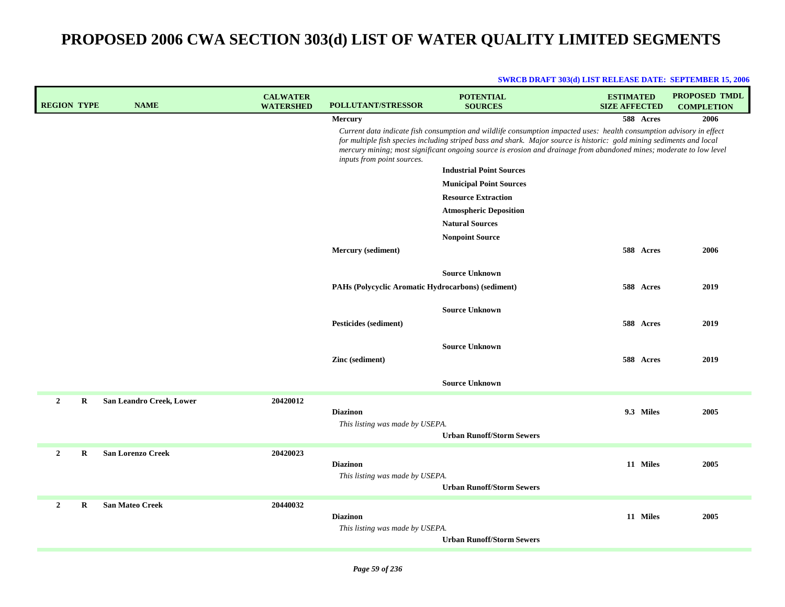| <b>REGION TYPE</b> |          | <b>NAME</b>              | <b>CALWATER</b><br><b>WATERSHED</b> | <b>POLLUTANT/STRESSOR</b>                          | <b>POTENTIAL</b><br><b>SOURCES</b>                                                                                                                                                                                                                                                                                                                                   | <b>ESTIMATED</b><br><b>SIZE AFFECTED</b> | <b>PROPOSED TMDL</b><br><b>COMPLETION</b> |
|--------------------|----------|--------------------------|-------------------------------------|----------------------------------------------------|----------------------------------------------------------------------------------------------------------------------------------------------------------------------------------------------------------------------------------------------------------------------------------------------------------------------------------------------------------------------|------------------------------------------|-------------------------------------------|
|                    |          |                          |                                     | Mercury<br>inputs from point sources.              | Current data indicate fish consumption and wildlife consumption impacted uses: health consumption advisory in effect<br>for multiple fish species including striped bass and shark. Major source is historic: gold mining sediments and local<br>mercury mining; most significant ongoing source is erosion and drainage from abandoned mines; moderate to low level | 588 Acres                                | 2006                                      |
|                    |          |                          |                                     |                                                    | <b>Industrial Point Sources</b><br><b>Municipal Point Sources</b><br><b>Resource Extraction</b><br><b>Atmospheric Deposition</b>                                                                                                                                                                                                                                     |                                          |                                           |
|                    |          |                          |                                     |                                                    | <b>Natural Sources</b><br><b>Nonpoint Source</b>                                                                                                                                                                                                                                                                                                                     |                                          |                                           |
|                    |          |                          |                                     | Mercury (sediment)                                 | <b>Source Unknown</b>                                                                                                                                                                                                                                                                                                                                                | 588 Acres                                | 2006                                      |
|                    |          |                          |                                     | PAHs (Polycyclic Aromatic Hydrocarbons) (sediment) |                                                                                                                                                                                                                                                                                                                                                                      | 588 Acres                                | 2019                                      |
|                    |          |                          |                                     | <b>Pesticides (sediment)</b>                       | <b>Source Unknown</b>                                                                                                                                                                                                                                                                                                                                                | 588 Acres                                | 2019                                      |
|                    |          |                          |                                     | Zinc (sediment)                                    | <b>Source Unknown</b><br><b>Source Unknown</b>                                                                                                                                                                                                                                                                                                                       | 588 Acres                                | 2019                                      |
| $\overline{2}$     | R        | San Leandro Creek, Lower | 20420012                            | <b>Diazinon</b><br>This listing was made by USEPA. | <b>Urban Runoff/Storm Sewers</b>                                                                                                                                                                                                                                                                                                                                     | 9.3 Miles                                | 2005                                      |
| $\overline{2}$     | $\bf{R}$ | <b>San Lorenzo Creek</b> | 20420023                            | <b>Diazinon</b><br>This listing was made by USEPA. | <b>Urban Runoff/Storm Sewers</b>                                                                                                                                                                                                                                                                                                                                     | 11 Miles                                 | 2005                                      |
| $\overline{2}$     | R        | <b>San Mateo Creek</b>   | 20440032                            | <b>Diazinon</b><br>This listing was made by USEPA. | <b>Urban Runoff/Storm Sewers</b>                                                                                                                                                                                                                                                                                                                                     | 11 Miles                                 | 2005                                      |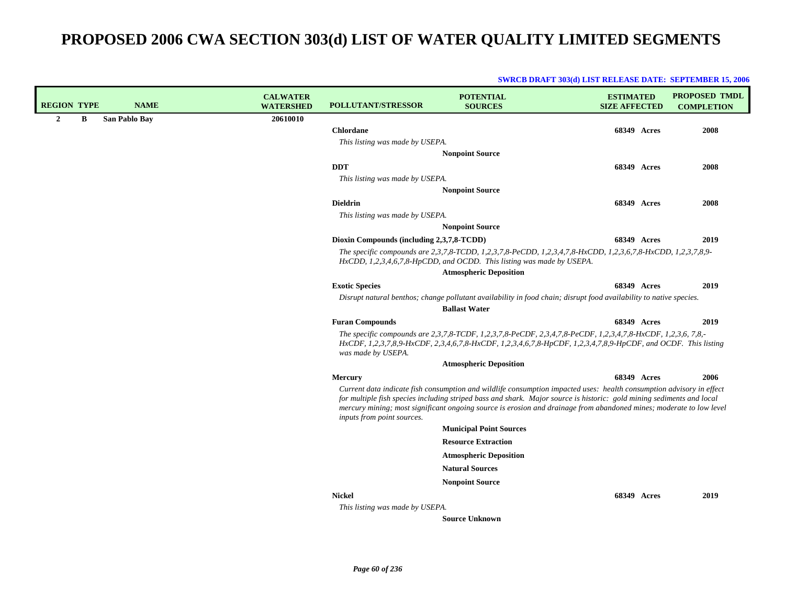| <b>REGION TYPE</b> |   | <b>NAME</b>   | <b>CALWATER</b><br><b>WATERSHED</b> | <b>POLLUTANT/STRESSOR</b>                 | <b>POTENTIAL</b><br><b>SOURCES</b>                                                                                                                                                                                                                                                                                                                                   | <b>ESTIMATED</b><br><b>SIZE AFFECTED</b> | <b>PROPOSED TMDL</b><br><b>COMPLETION</b> |
|--------------------|---|---------------|-------------------------------------|-------------------------------------------|----------------------------------------------------------------------------------------------------------------------------------------------------------------------------------------------------------------------------------------------------------------------------------------------------------------------------------------------------------------------|------------------------------------------|-------------------------------------------|
| $\overline{2}$     | B | San Pablo Bay | 20610010                            |                                           |                                                                                                                                                                                                                                                                                                                                                                      |                                          |                                           |
|                    |   |               |                                     | <b>Chlordane</b>                          |                                                                                                                                                                                                                                                                                                                                                                      | 68349 Acres                              | 2008                                      |
|                    |   |               |                                     | This listing was made by USEPA.           |                                                                                                                                                                                                                                                                                                                                                                      |                                          |                                           |
|                    |   |               |                                     |                                           | <b>Nonpoint Source</b>                                                                                                                                                                                                                                                                                                                                               |                                          |                                           |
|                    |   |               |                                     | <b>DDT</b>                                |                                                                                                                                                                                                                                                                                                                                                                      | 68349 Acres                              | 2008                                      |
|                    |   |               |                                     | This listing was made by USEPA.           |                                                                                                                                                                                                                                                                                                                                                                      |                                          |                                           |
|                    |   |               |                                     |                                           | <b>Nonpoint Source</b>                                                                                                                                                                                                                                                                                                                                               |                                          |                                           |
|                    |   |               |                                     | <b>Dieldrin</b>                           |                                                                                                                                                                                                                                                                                                                                                                      | 68349 Acres                              | 2008                                      |
|                    |   |               |                                     | This listing was made by USEPA.           | <b>Nonpoint Source</b>                                                                                                                                                                                                                                                                                                                                               |                                          |                                           |
|                    |   |               |                                     | Dioxin Compounds (including 2,3,7,8-TCDD) |                                                                                                                                                                                                                                                                                                                                                                      | 68349 Acres                              | 2019                                      |
|                    |   |               |                                     |                                           | The specific compounds are 2,3,7,8-TCDD, 1,2,3,7,8-PeCDD, 1,2,3,4,7,8-HxCDD, 1,2,3,6,7,8-HxCDD, 1,2,3,7,8,9-<br>HxCDD, 1,2,3,4,6,7,8-HpCDD, and OCDD. This listing was made by USEPA.                                                                                                                                                                                |                                          |                                           |
|                    |   |               |                                     |                                           | <b>Atmospheric Deposition</b>                                                                                                                                                                                                                                                                                                                                        |                                          |                                           |
|                    |   |               |                                     | <b>Exotic Species</b>                     |                                                                                                                                                                                                                                                                                                                                                                      | <b>68349 Acres</b>                       | 2019                                      |
|                    |   |               |                                     |                                           | Disrupt natural benthos; change pollutant availability in food chain; disrupt food availability to native species.<br><b>Ballast Water</b>                                                                                                                                                                                                                           |                                          |                                           |
|                    |   |               |                                     | <b>Furan Compounds</b>                    |                                                                                                                                                                                                                                                                                                                                                                      | <b>68349 Acres</b>                       | 2019                                      |
|                    |   |               |                                     | was made by USEPA.                        | The specific compounds are 2,3,7,8-TCDF, 1,2,3,7,8-PeCDF, 2,3,4,7,8-PeCDF, 1,2,3,4,7,8-HxCDF, 1,2,3,6, 7,8,-<br>HxCDF, 1,2,3,7,8,9-HxCDF, 2,3,4,6,7,8-HxCDF, 1,2,3,4,6,7,8-HpCDF, 1,2,3,4,7,8,9-HpCDF, and OCDF. This listing                                                                                                                                        |                                          |                                           |
|                    |   |               |                                     |                                           | <b>Atmospheric Deposition</b>                                                                                                                                                                                                                                                                                                                                        |                                          |                                           |
|                    |   |               |                                     | <b>Mercury</b>                            |                                                                                                                                                                                                                                                                                                                                                                      | <b>68349 Acres</b>                       | 2006                                      |
|                    |   |               |                                     | inputs from point sources.                | Current data indicate fish consumption and wildlife consumption impacted uses: health consumption advisory in effect<br>for multiple fish species including striped bass and shark. Major source is historic: gold mining sediments and local<br>mercury mining; most significant ongoing source is erosion and drainage from abandoned mines; moderate to low level |                                          |                                           |
|                    |   |               |                                     |                                           | <b>Municipal Point Sources</b>                                                                                                                                                                                                                                                                                                                                       |                                          |                                           |
|                    |   |               |                                     |                                           | <b>Resource Extraction</b>                                                                                                                                                                                                                                                                                                                                           |                                          |                                           |
|                    |   |               |                                     |                                           | <b>Atmospheric Deposition</b>                                                                                                                                                                                                                                                                                                                                        |                                          |                                           |
|                    |   |               |                                     |                                           | <b>Natural Sources</b>                                                                                                                                                                                                                                                                                                                                               |                                          |                                           |
|                    |   |               |                                     |                                           | <b>Nonpoint Source</b>                                                                                                                                                                                                                                                                                                                                               |                                          |                                           |
|                    |   |               |                                     | <b>Nickel</b>                             |                                                                                                                                                                                                                                                                                                                                                                      | <b>68349 Acres</b>                       | 2019                                      |
|                    |   |               |                                     | This listing was made by USEPA.           |                                                                                                                                                                                                                                                                                                                                                                      |                                          |                                           |
|                    |   |               |                                     |                                           | <b>Source Unknown</b>                                                                                                                                                                                                                                                                                                                                                |                                          |                                           |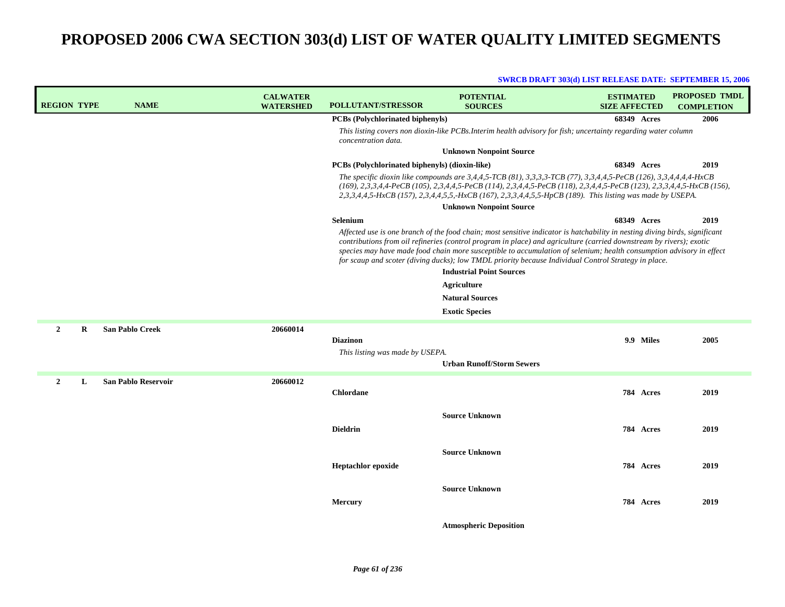| <b>REGION TYPE</b>  | <b>NAME</b>                | <b>CALWATER</b><br><b>WATERSHED</b> | <b>POLLUTANT/STRESSOR</b>                      | <b>POTENTIAL</b><br><b>SOURCES</b>                                                                                                                                                                                                                                                                                                                                                                                                                                                                                                                                                      | <b>ESTIMATED</b><br><b>SIZE AFFECTED</b> |           | <b>PROPOSED TMDL</b><br><b>COMPLETION</b> |
|---------------------|----------------------------|-------------------------------------|------------------------------------------------|-----------------------------------------------------------------------------------------------------------------------------------------------------------------------------------------------------------------------------------------------------------------------------------------------------------------------------------------------------------------------------------------------------------------------------------------------------------------------------------------------------------------------------------------------------------------------------------------|------------------------------------------|-----------|-------------------------------------------|
|                     |                            |                                     | <b>PCBs</b> (Polychlorinated biphenyls)        |                                                                                                                                                                                                                                                                                                                                                                                                                                                                                                                                                                                         | 68349 Acres                              |           | 2006                                      |
|                     |                            |                                     | concentration data.                            | This listing covers non dioxin-like PCBs.Interim health advisory for fish; uncertainty regarding water column                                                                                                                                                                                                                                                                                                                                                                                                                                                                           |                                          |           |                                           |
|                     |                            |                                     |                                                | <b>Unknown Nonpoint Source</b>                                                                                                                                                                                                                                                                                                                                                                                                                                                                                                                                                          |                                          |           |                                           |
|                     |                            |                                     | PCBs (Polychlorinated biphenyls) (dioxin-like) |                                                                                                                                                                                                                                                                                                                                                                                                                                                                                                                                                                                         | 68349 Acres                              |           | 2019                                      |
|                     |                            |                                     |                                                | The specific dioxin like compounds are 3,4,4,5-TCB (81), 3,3,3,3-TCB (77), 3,3,4,4,5-PeCB (126), 3,3,4,4,4,4-HxCB<br>(169), 2,3,3,4,4-PeCB (105), 2,3,4,4,5-PeCB (114), 2,3,4,4,5-PeCB (118), 2,3,4,4,5-PeCB (123), 2,3,3,4,4,5-HxCB (156),<br>2,3,3,4,4,5-HxCB (157), 2,3,4,4,5,5,-HxCB (167), 2,3,3,4,4,5,5-HpCB (189). This listing was made by USEPA.                                                                                                                                                                                                                               |                                          |           |                                           |
|                     |                            |                                     |                                                | <b>Unknown Nonpoint Source</b>                                                                                                                                                                                                                                                                                                                                                                                                                                                                                                                                                          |                                          |           |                                           |
|                     |                            |                                     | Selenium                                       |                                                                                                                                                                                                                                                                                                                                                                                                                                                                                                                                                                                         | <b>68349 Acres</b>                       |           | 2019                                      |
|                     |                            |                                     |                                                | Affected use is one branch of the food chain; most sensitive indicator is hatchability in nesting diving birds, significant<br>contributions from oil refineries (control program in place) and agriculture (carried downstream by rivers); exotic<br>species may have made food chain more susceptible to accumulation of selenium; health consumption advisory in effect<br>for scaup and scoter (diving ducks); low TMDL priority because Individual Control Strategy in place.<br><b>Industrial Point Sources</b><br>Agriculture<br><b>Natural Sources</b><br><b>Exotic Species</b> |                                          |           |                                           |
| $\overline{2}$<br>R | <b>San Pablo Creek</b>     | 20660014                            |                                                |                                                                                                                                                                                                                                                                                                                                                                                                                                                                                                                                                                                         |                                          |           |                                           |
|                     |                            |                                     | <b>Diazinon</b>                                |                                                                                                                                                                                                                                                                                                                                                                                                                                                                                                                                                                                         |                                          | 9.9 Miles | 2005                                      |
|                     |                            |                                     | This listing was made by USEPA.                | <b>Urban Runoff/Storm Sewers</b>                                                                                                                                                                                                                                                                                                                                                                                                                                                                                                                                                        |                                          |           |                                           |
|                     |                            |                                     |                                                |                                                                                                                                                                                                                                                                                                                                                                                                                                                                                                                                                                                         |                                          |           |                                           |
| $\overline{2}$<br>L | <b>San Pablo Reservoir</b> | 20660012                            | <b>Chlordane</b>                               |                                                                                                                                                                                                                                                                                                                                                                                                                                                                                                                                                                                         |                                          | 784 Acres | 2019                                      |
|                     |                            |                                     |                                                | <b>Source Unknown</b>                                                                                                                                                                                                                                                                                                                                                                                                                                                                                                                                                                   |                                          |           |                                           |
|                     |                            |                                     | <b>Dieldrin</b>                                |                                                                                                                                                                                                                                                                                                                                                                                                                                                                                                                                                                                         |                                          | 784 Acres | 2019                                      |
|                     |                            |                                     |                                                |                                                                                                                                                                                                                                                                                                                                                                                                                                                                                                                                                                                         |                                          |           |                                           |
|                     |                            |                                     |                                                | <b>Source Unknown</b>                                                                                                                                                                                                                                                                                                                                                                                                                                                                                                                                                                   |                                          |           |                                           |
|                     |                            |                                     | <b>Heptachlor</b> epoxide                      |                                                                                                                                                                                                                                                                                                                                                                                                                                                                                                                                                                                         |                                          | 784 Acres | 2019                                      |
|                     |                            |                                     |                                                |                                                                                                                                                                                                                                                                                                                                                                                                                                                                                                                                                                                         |                                          |           |                                           |
|                     |                            |                                     |                                                | <b>Source Unknown</b>                                                                                                                                                                                                                                                                                                                                                                                                                                                                                                                                                                   |                                          |           |                                           |
|                     |                            |                                     | Mercury                                        |                                                                                                                                                                                                                                                                                                                                                                                                                                                                                                                                                                                         |                                          | 784 Acres | 2019                                      |
|                     |                            |                                     |                                                | <b>Atmospheric Deposition</b>                                                                                                                                                                                                                                                                                                                                                                                                                                                                                                                                                           |                                          |           |                                           |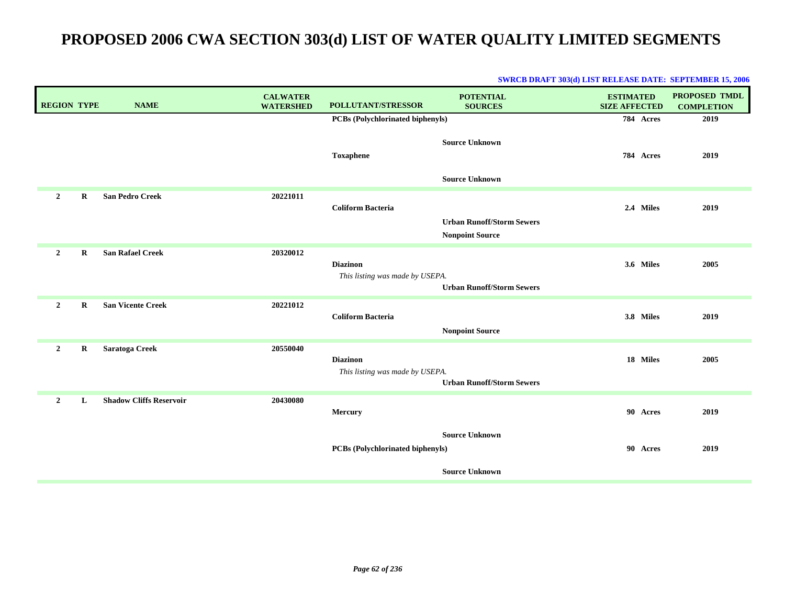| <b>REGION TYPE</b>            | <b>NAME</b>                    | <b>CALWATER</b><br><b>WATERSHED</b> | <b>POLLUTANT/STRESSOR</b>                          | <b>POTENTIAL</b><br><b>SOURCES</b> | <b>ESTIMATED</b><br><b>SIZE AFFECTED</b> | <b>PROPOSED TMDL</b><br><b>COMPLETION</b> |
|-------------------------------|--------------------------------|-------------------------------------|----------------------------------------------------|------------------------------------|------------------------------------------|-------------------------------------------|
|                               |                                |                                     | <b>PCBs (Polychlorinated biphenyls)</b>            |                                    | 784 Acres                                | 2019                                      |
|                               |                                |                                     | <b>Toxaphene</b>                                   | <b>Source Unknown</b>              | 784 Acres                                | 2019                                      |
|                               |                                |                                     |                                                    | <b>Source Unknown</b>              |                                          |                                           |
| $\overline{2}$<br>$\bf R$     | <b>San Pedro Creek</b>         | 20221011                            | <b>Coliform Bacteria</b>                           | <b>Urban Runoff/Storm Sewers</b>   | 2.4 Miles                                | 2019                                      |
|                               |                                |                                     |                                                    | <b>Nonpoint Source</b>             |                                          |                                           |
| $\overline{2}$<br>$\bf{R}$    | <b>San Rafael Creek</b>        | 20320012                            | <b>Diazinon</b><br>This listing was made by USEPA. | <b>Urban Runoff/Storm Sewers</b>   | 3.6 Miles                                | 2005                                      |
| $\overline{2}$<br>$\bf R$     | <b>San Vicente Creek</b>       | 20221012                            | <b>Coliform Bacteria</b>                           | <b>Nonpoint Source</b>             | 3.8 Miles                                | 2019                                      |
| $\overline{2}$<br>$\mathbf R$ | Saratoga Creek                 | 20550040                            | <b>Diazinon</b><br>This listing was made by USEPA. | <b>Urban Runoff/Storm Sewers</b>   | 18 Miles                                 | 2005                                      |
| $\overline{2}$<br>L           | <b>Shadow Cliffs Reservoir</b> | 20430080                            | <b>Mercury</b>                                     |                                    | 90 Acres                                 | 2019                                      |
|                               |                                |                                     | <b>PCBs (Polychlorinated biphenyls)</b>            | <b>Source Unknown</b>              | 90 Acres                                 | 2019                                      |
|                               |                                |                                     |                                                    | <b>Source Unknown</b>              |                                          |                                           |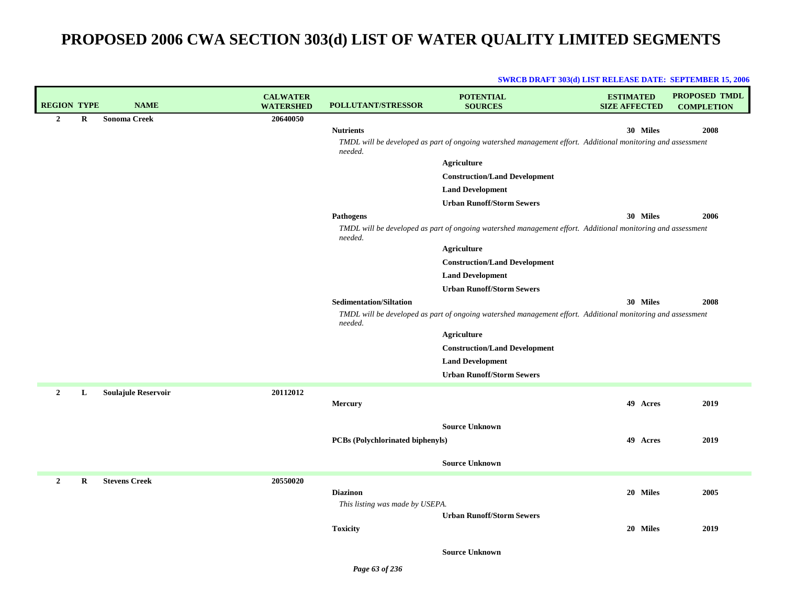| <b>SWRCB DRAFT 303(d) LIST RELEASE DATE: SEPTEMBER 15, 2006</b> |
|-----------------------------------------------------------------|
|-----------------------------------------------------------------|

| <b>REGION TYPE</b> |   | <b>NAME</b>                | <b>CALWATER</b><br><b>WATERSHED</b> | <b>POLLUTANT/STRESSOR</b>                                             | <b>POTENTIAL</b><br><b>SOURCES</b>                                                                                                                                                                                                                                           | <b>ESTIMATED</b><br><b>SIZE AFFECTED</b> | PROPOSED TMDL<br><b>COMPLETION</b> |
|--------------------|---|----------------------------|-------------------------------------|-----------------------------------------------------------------------|------------------------------------------------------------------------------------------------------------------------------------------------------------------------------------------------------------------------------------------------------------------------------|------------------------------------------|------------------------------------|
| $\overline{2}$     | R | <b>Sonoma Creek</b>        | 20640050                            | <b>Nutrients</b><br>needed.                                           | TMDL will be developed as part of ongoing watershed management effort. Additional monitoring and assessment<br><b>Agriculture</b>                                                                                                                                            | 30 Miles                                 | 2008                               |
|                    |   |                            |                                     |                                                                       | <b>Construction/Land Development</b><br><b>Land Development</b><br><b>Urban Runoff/Storm Sewers</b>                                                                                                                                                                          |                                          |                                    |
|                    |   |                            |                                     | Pathogens<br>needed.                                                  | TMDL will be developed as part of ongoing watershed management effort. Additional monitoring and assessment                                                                                                                                                                  | 30 Miles                                 | 2006                               |
|                    |   |                            |                                     |                                                                       | <b>Agriculture</b><br><b>Construction/Land Development</b><br><b>Land Development</b>                                                                                                                                                                                        |                                          |                                    |
|                    |   |                            |                                     | <b>Sedimentation/Siltation</b><br>needed.                             | <b>Urban Runoff/Storm Sewers</b><br>TMDL will be developed as part of ongoing watershed management effort. Additional monitoring and assessment<br><b>Agriculture</b><br><b>Construction/Land Development</b><br><b>Land Development</b><br><b>Urban Runoff/Storm Sewers</b> | 30 Miles                                 | 2008                               |
| $\overline{2}$     | L | <b>Soulajule Reservoir</b> | 20112012                            | Mercury<br><b>PCBs</b> (Polychlorinated biphenyls)                    | <b>Source Unknown</b><br><b>Source Unknown</b>                                                                                                                                                                                                                               | 49 Acres<br>49 Acres                     | 2019<br>2019                       |
| $\overline{2}$     | R | <b>Stevens Creek</b>       | 20550020                            | <b>Diazinon</b><br>This listing was made by USEPA.<br><b>Toxicity</b> | <b>Urban Runoff/Storm Sewers</b><br><b>Source Unknown</b>                                                                                                                                                                                                                    | 20 Miles<br>20 Miles                     | 2005<br>2019                       |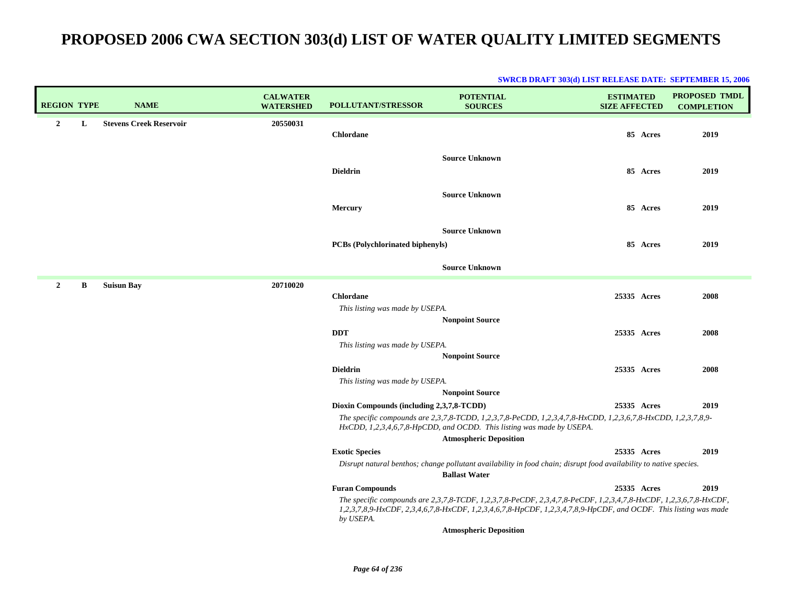| <b>REGION TYPE</b> |   | <b>NAME</b>                    | <b>CALWATER</b><br><b>WATERSHED</b> | <b>POLLUTANT/STRESSOR</b>                           | <b>POTENTIAL</b><br><b>SOURCES</b>                                                                                                                                                                                                  | <b>ESTIMATED</b><br><b>SIZE AFFECTED</b> | PROPOSED TMDL<br><b>COMPLETION</b> |
|--------------------|---|--------------------------------|-------------------------------------|-----------------------------------------------------|-------------------------------------------------------------------------------------------------------------------------------------------------------------------------------------------------------------------------------------|------------------------------------------|------------------------------------|
| $\overline{2}$     | L | <b>Stevens Creek Reservoir</b> | 20550031                            | <b>Chlordane</b>                                    |                                                                                                                                                                                                                                     | 85 Acres                                 | 2019                               |
|                    |   |                                |                                     | <b>Dieldrin</b>                                     | <b>Source Unknown</b>                                                                                                                                                                                                               | 85 Acres                                 | 2019                               |
|                    |   |                                |                                     | <b>Mercury</b>                                      | <b>Source Unknown</b>                                                                                                                                                                                                               | 85 Acres                                 | 2019                               |
|                    |   |                                |                                     | <b>PCBs</b> (Polychlorinated biphenyls)             | <b>Source Unknown</b>                                                                                                                                                                                                               | 85 Acres                                 | 2019                               |
|                    |   |                                |                                     |                                                     | <b>Source Unknown</b>                                                                                                                                                                                                               |                                          |                                    |
| $\mathbf{2}$       | B | <b>Suisun Bay</b>              | 20710020                            | <b>Chlordane</b><br>This listing was made by USEPA. |                                                                                                                                                                                                                                     | 25335 Acres                              | 2008                               |
|                    |   |                                |                                     | <b>DDT</b><br>This listing was made by USEPA.       | <b>Nonpoint Source</b>                                                                                                                                                                                                              | 25335 Acres                              | 2008                               |
|                    |   |                                |                                     | <b>Dieldrin</b><br>This listing was made by USEPA.  | <b>Nonpoint Source</b>                                                                                                                                                                                                              | 25335 Acres                              | 2008                               |
|                    |   |                                |                                     | Dioxin Compounds (including 2,3,7,8-TCDD)           | <b>Nonpoint Source</b><br>The specific compounds are 2,3,7,8-TCDD, 1,2,3,7,8-PeCDD, 1,2,3,4,7,8-HxCDD, 1,2,3,6,7,8-HxCDD, 1,2,3,7,8,9-<br>HxCDD, 1,2,3,4,6,7,8-HpCDD, and OCDD. This listing was made by USEPA.                     | 25335 Acres                              | 2019                               |
|                    |   |                                |                                     | <b>Exotic Species</b>                               | <b>Atmospheric Deposition</b>                                                                                                                                                                                                       | 25335 Acres                              | 2019                               |
|                    |   |                                |                                     |                                                     | Disrupt natural benthos; change pollutant availability in food chain; disrupt food availability to native species.<br><b>Ballast Water</b>                                                                                          |                                          |                                    |
|                    |   |                                |                                     | <b>Furan Compounds</b><br>by USEPA.                 | The specific compounds are 2,3,7,8-TCDF, 1,2,3,7,8-PeCDF, 2,3,4,7,8-PeCDF, 1,2,3,4,7,8-HxCDF, 1,2,3,6,7,8-HxCDF,<br>1,2,3,7,8,9-HxCDF, 2,3,4,6,7,8-HxCDF, 1,2,3,4,6,7,8-HpCDF, 1,2,3,4,7,8,9-HpCDF, and OCDF. This listing was made | 25335 Acres                              | 2019                               |
|                    |   |                                |                                     |                                                     | <b>Atmospheric Deposition</b>                                                                                                                                                                                                       |                                          |                                    |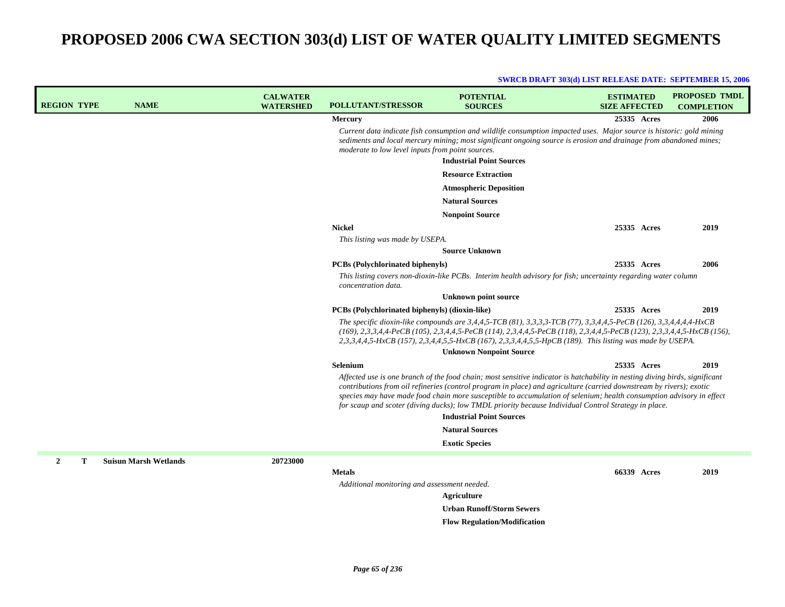| <b>REGION TYPE</b>  | <b>NAME</b>                  | <b>CALWATER</b><br><b>WATERSHED</b> | <b>POLLUTANT/STRESSOR</b>                                          | <b>POTENTIAL</b><br><b>SOURCES</b>                                                                                                                                                                                                                                                                                                                                                                                                                                                                                    | <b>ESTIMATED</b><br><b>SIZE AFFECTED</b> | <b>PROPOSED TMDL</b><br><b>COMPLETION</b> |
|---------------------|------------------------------|-------------------------------------|--------------------------------------------------------------------|-----------------------------------------------------------------------------------------------------------------------------------------------------------------------------------------------------------------------------------------------------------------------------------------------------------------------------------------------------------------------------------------------------------------------------------------------------------------------------------------------------------------------|------------------------------------------|-------------------------------------------|
|                     |                              |                                     | <b>Mercury</b><br>moderate to low level inputs from point sources. | Current data indicate fish consumption and wildlife consumption impacted uses. Major source is historic: gold mining<br>sediments and local mercury mining; most significant ongoing source is erosion and drainage from abandoned mines;                                                                                                                                                                                                                                                                             | 25335 Acres                              | 2006                                      |
|                     |                              |                                     |                                                                    | <b>Industrial Point Sources</b>                                                                                                                                                                                                                                                                                                                                                                                                                                                                                       |                                          |                                           |
|                     |                              |                                     |                                                                    | <b>Resource Extraction</b>                                                                                                                                                                                                                                                                                                                                                                                                                                                                                            |                                          |                                           |
|                     |                              |                                     |                                                                    | <b>Atmospheric Deposition</b>                                                                                                                                                                                                                                                                                                                                                                                                                                                                                         |                                          |                                           |
|                     |                              |                                     |                                                                    | <b>Natural Sources</b>                                                                                                                                                                                                                                                                                                                                                                                                                                                                                                |                                          |                                           |
|                     |                              |                                     |                                                                    | <b>Nonpoint Source</b>                                                                                                                                                                                                                                                                                                                                                                                                                                                                                                |                                          |                                           |
|                     |                              |                                     | <b>Nickel</b>                                                      |                                                                                                                                                                                                                                                                                                                                                                                                                                                                                                                       | 25335 Acres                              | 2019                                      |
|                     |                              |                                     | This listing was made by USEPA.                                    | <b>Source Unknown</b>                                                                                                                                                                                                                                                                                                                                                                                                                                                                                                 |                                          |                                           |
|                     |                              |                                     | PCBs (Polychlorinated biphenyls)                                   |                                                                                                                                                                                                                                                                                                                                                                                                                                                                                                                       | 25335 Acres                              | 2006                                      |
|                     |                              |                                     | concentration data.                                                | This listing covers non-dioxin-like PCBs. Interim health advisory for fish; uncertainty regarding water column                                                                                                                                                                                                                                                                                                                                                                                                        |                                          |                                           |
|                     |                              |                                     |                                                                    | <b>Unknown point source</b>                                                                                                                                                                                                                                                                                                                                                                                                                                                                                           |                                          |                                           |
|                     |                              |                                     | PCBs (Polychlorinated biphenyls) (dioxin-like)                     |                                                                                                                                                                                                                                                                                                                                                                                                                                                                                                                       | 25335 Acres                              | 2019                                      |
|                     |                              |                                     |                                                                    | The specific dioxin-like compounds are $3,4,4,5$ -TCB (81), $3,3,3,3$ -TCB (77), $3,3,4,4,5$ -PeCB (126), $3,3,4,4,4,4$ -HxCB<br>(169), 2,3,3,4,4-PeCB (105), 2,3,4,4,5-PeCB (114), 2,3,4,4,5-PeCB (118), 2,3,4,4,5-PeCB (123), 2,3,3,4,4,5-HxCB (156),<br>2,3,3,4,4,5-HxCB (157), 2,3,4,4,5,5-HxCB (167), 2,3,3,4,4,5,5-HpCB (189). This listing was made by USEPA.                                                                                                                                                  |                                          |                                           |
|                     |                              |                                     |                                                                    | <b>Unknown Nonpoint Source</b>                                                                                                                                                                                                                                                                                                                                                                                                                                                                                        |                                          |                                           |
|                     |                              |                                     | Selenium                                                           |                                                                                                                                                                                                                                                                                                                                                                                                                                                                                                                       | 25335 Acres                              | 2019                                      |
|                     |                              |                                     |                                                                    | Affected use is one branch of the food chain; most sensitive indicator is hatchability in nesting diving birds, significant<br>contributions from oil refineries (control program in place) and agriculture (carried downstream by rivers); exotic<br>species may have made food chain more susceptible to accumulation of selenium; health consumption advisory in effect<br>for scaup and scoter (diving ducks); low TMDL priority because Individual Control Strategy in place.<br><b>Industrial Point Sources</b> |                                          |                                           |
|                     |                              |                                     |                                                                    | <b>Natural Sources</b>                                                                                                                                                                                                                                                                                                                                                                                                                                                                                                |                                          |                                           |
|                     |                              |                                     |                                                                    | <b>Exotic Species</b>                                                                                                                                                                                                                                                                                                                                                                                                                                                                                                 |                                          |                                           |
| $\overline{2}$<br>T | <b>Suisun Marsh Wetlands</b> | 20723000                            |                                                                    |                                                                                                                                                                                                                                                                                                                                                                                                                                                                                                                       |                                          |                                           |
|                     |                              |                                     | <b>Metals</b>                                                      |                                                                                                                                                                                                                                                                                                                                                                                                                                                                                                                       | 66339 Acres                              | 2019                                      |
|                     |                              |                                     | Additional monitoring and assessment needed.                       |                                                                                                                                                                                                                                                                                                                                                                                                                                                                                                                       |                                          |                                           |
|                     |                              |                                     |                                                                    | Agriculture                                                                                                                                                                                                                                                                                                                                                                                                                                                                                                           |                                          |                                           |
|                     |                              |                                     |                                                                    | <b>Urban Runoff/Storm Sewers</b>                                                                                                                                                                                                                                                                                                                                                                                                                                                                                      |                                          |                                           |
|                     |                              |                                     |                                                                    | <b>Flow Regulation/Modification</b>                                                                                                                                                                                                                                                                                                                                                                                                                                                                                   |                                          |                                           |
|                     |                              |                                     |                                                                    |                                                                                                                                                                                                                                                                                                                                                                                                                                                                                                                       |                                          |                                           |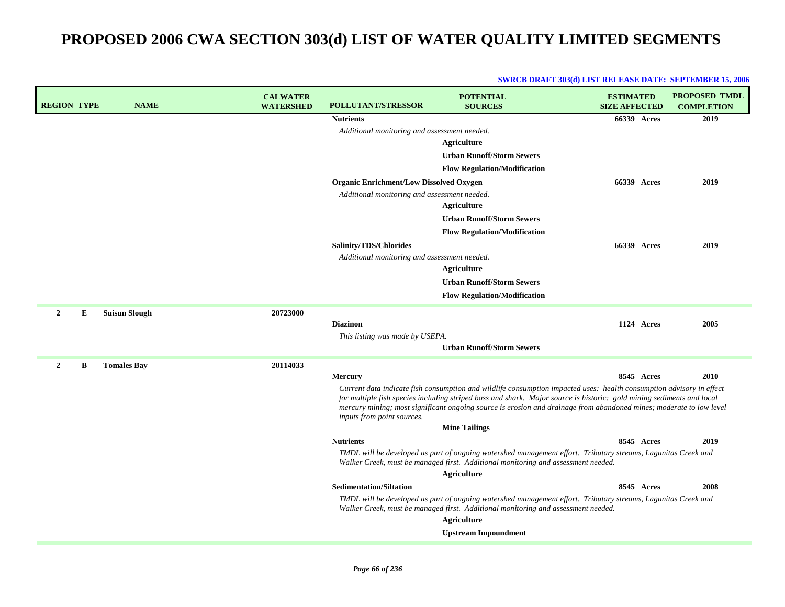| <b>REGION TYPE</b> |   | <b>NAME</b>          | <b>CALWATER</b><br><b>WATERSHED</b> | <b>POLLUTANT/STRESSOR</b>                      | <b>POTENTIAL</b><br><b>SOURCES</b>                                                                                                                                                                                                                                                                                                                                   | <b>ESTIMATED</b><br><b>SIZE AFFECTED</b> |            | <b>PROPOSED TMDL</b><br><b>COMPLETION</b> |
|--------------------|---|----------------------|-------------------------------------|------------------------------------------------|----------------------------------------------------------------------------------------------------------------------------------------------------------------------------------------------------------------------------------------------------------------------------------------------------------------------------------------------------------------------|------------------------------------------|------------|-------------------------------------------|
|                    |   |                      |                                     | <b>Nutrients</b>                               |                                                                                                                                                                                                                                                                                                                                                                      | 66339 Acres                              |            | 2019                                      |
|                    |   |                      |                                     | Additional monitoring and assessment needed.   |                                                                                                                                                                                                                                                                                                                                                                      |                                          |            |                                           |
|                    |   |                      |                                     |                                                | <b>Agriculture</b>                                                                                                                                                                                                                                                                                                                                                   |                                          |            |                                           |
|                    |   |                      |                                     |                                                | <b>Urban Runoff/Storm Sewers</b>                                                                                                                                                                                                                                                                                                                                     |                                          |            |                                           |
|                    |   |                      |                                     |                                                | <b>Flow Regulation/Modification</b>                                                                                                                                                                                                                                                                                                                                  |                                          |            |                                           |
|                    |   |                      |                                     | <b>Organic Enrichment/Low Dissolved Oxygen</b> |                                                                                                                                                                                                                                                                                                                                                                      | 66339 Acres                              |            | 2019                                      |
|                    |   |                      |                                     | Additional monitoring and assessment needed.   |                                                                                                                                                                                                                                                                                                                                                                      |                                          |            |                                           |
|                    |   |                      |                                     |                                                | Agriculture                                                                                                                                                                                                                                                                                                                                                          |                                          |            |                                           |
|                    |   |                      |                                     |                                                | <b>Urban Runoff/Storm Sewers</b>                                                                                                                                                                                                                                                                                                                                     |                                          |            |                                           |
|                    |   |                      |                                     |                                                | <b>Flow Regulation/Modification</b>                                                                                                                                                                                                                                                                                                                                  |                                          |            |                                           |
|                    |   |                      |                                     | Salinity/TDS/Chlorides                         |                                                                                                                                                                                                                                                                                                                                                                      | 66339 Acres                              |            | 2019                                      |
|                    |   |                      |                                     | Additional monitoring and assessment needed.   |                                                                                                                                                                                                                                                                                                                                                                      |                                          |            |                                           |
|                    |   |                      |                                     |                                                | <b>Agriculture</b>                                                                                                                                                                                                                                                                                                                                                   |                                          |            |                                           |
|                    |   |                      |                                     |                                                | <b>Urban Runoff/Storm Sewers</b>                                                                                                                                                                                                                                                                                                                                     |                                          |            |                                           |
|                    |   |                      |                                     |                                                | <b>Flow Regulation/Modification</b>                                                                                                                                                                                                                                                                                                                                  |                                          |            |                                           |
| $\mathbf{2}$       | Е | <b>Suisun Slough</b> | 20723000                            |                                                |                                                                                                                                                                                                                                                                                                                                                                      |                                          |            |                                           |
|                    |   |                      |                                     | <b>Diazinon</b>                                |                                                                                                                                                                                                                                                                                                                                                                      |                                          | 1124 Acres | 2005                                      |
|                    |   |                      |                                     | This listing was made by USEPA.                |                                                                                                                                                                                                                                                                                                                                                                      |                                          |            |                                           |
|                    |   |                      |                                     |                                                | <b>Urban Runoff/Storm Sewers</b>                                                                                                                                                                                                                                                                                                                                     |                                          |            |                                           |
| 2                  | В | <b>Tomales Bay</b>   | 20114033                            |                                                |                                                                                                                                                                                                                                                                                                                                                                      |                                          |            |                                           |
|                    |   |                      |                                     | <b>Mercury</b>                                 |                                                                                                                                                                                                                                                                                                                                                                      |                                          | 8545 Acres | 2010                                      |
|                    |   |                      |                                     | inputs from point sources.                     | Current data indicate fish consumption and wildlife consumption impacted uses: health consumption advisory in effect<br>for multiple fish species including striped bass and shark. Major source is historic: gold mining sediments and local<br>mercury mining; most significant ongoing source is erosion and drainage from abandoned mines; moderate to low level |                                          |            |                                           |
|                    |   |                      |                                     |                                                | <b>Mine Tailings</b>                                                                                                                                                                                                                                                                                                                                                 |                                          |            |                                           |
|                    |   |                      |                                     | <b>Nutrients</b>                               |                                                                                                                                                                                                                                                                                                                                                                      |                                          | 8545 Acres | 2019                                      |
|                    |   |                      |                                     |                                                | TMDL will be developed as part of ongoing watershed management effort. Tributary streams, Lagunitas Creek and<br>Walker Creek, must be managed first. Additional monitoring and assessment needed.                                                                                                                                                                   |                                          |            |                                           |
|                    |   |                      |                                     | <b>Sedimentation/Siltation</b>                 | Agriculture                                                                                                                                                                                                                                                                                                                                                          |                                          | 8545 Acres | 2008                                      |
|                    |   |                      |                                     |                                                | TMDL will be developed as part of ongoing watershed management effort. Tributary streams, Lagunitas Creek and                                                                                                                                                                                                                                                        |                                          |            |                                           |
|                    |   |                      |                                     |                                                | Walker Creek, must be managed first. Additional monitoring and assessment needed.                                                                                                                                                                                                                                                                                    |                                          |            |                                           |
|                    |   |                      |                                     |                                                | <b>Agriculture</b>                                                                                                                                                                                                                                                                                                                                                   |                                          |            |                                           |
|                    |   |                      |                                     |                                                | <b>Upstream Impoundment</b>                                                                                                                                                                                                                                                                                                                                          |                                          |            |                                           |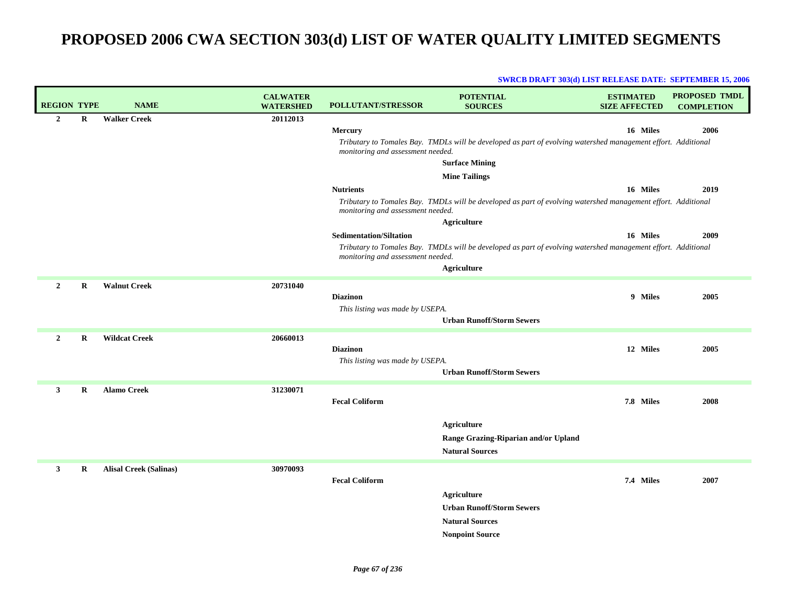| <b>REGION TYPE</b> |   | <b>NAME</b>                   | <b>CALWATER</b><br><b>WATERSHED</b> | POLLUTANT/STRESSOR                | <b>POTENTIAL</b><br><b>SOURCES</b>                                                                            | <b>ESTIMATED</b><br><b>SIZE AFFECTED</b> | PROPOSED TMDL<br><b>COMPLETION</b> |
|--------------------|---|-------------------------------|-------------------------------------|-----------------------------------|---------------------------------------------------------------------------------------------------------------|------------------------------------------|------------------------------------|
| $\overline{2}$     | R | <b>Walker Creek</b>           | 20112013                            |                                   |                                                                                                               |                                          |                                    |
|                    |   |                               |                                     | <b>Mercury</b>                    |                                                                                                               | 16 Miles                                 | 2006                               |
|                    |   |                               |                                     | monitoring and assessment needed. | Tributary to Tomales Bay. TMDLs will be developed as part of evolving watershed management effort. Additional |                                          |                                    |
|                    |   |                               |                                     |                                   | <b>Surface Mining</b>                                                                                         |                                          |                                    |
|                    |   |                               |                                     |                                   | <b>Mine Tailings</b>                                                                                          |                                          |                                    |
|                    |   |                               |                                     | <b>Nutrients</b>                  |                                                                                                               | 16 Miles                                 | 2019                               |
|                    |   |                               |                                     | monitoring and assessment needed. | Tributary to Tomales Bay. TMDLs will be developed as part of evolving watershed management effort. Additional |                                          |                                    |
|                    |   |                               |                                     |                                   | <b>Agriculture</b>                                                                                            |                                          |                                    |
|                    |   |                               |                                     | <b>Sedimentation/Siltation</b>    |                                                                                                               | 16 Miles                                 | 2009                               |
|                    |   |                               |                                     | monitoring and assessment needed. | Tributary to Tomales Bay. TMDLs will be developed as part of evolving watershed management effort. Additional |                                          |                                    |
|                    |   |                               |                                     |                                   | <b>Agriculture</b>                                                                                            |                                          |                                    |
| $\overline{2}$     | R | <b>Walnut Creek</b>           | 20731040                            |                                   |                                                                                                               |                                          |                                    |
|                    |   |                               |                                     | <b>Diazinon</b>                   |                                                                                                               | 9 Miles                                  | 2005                               |
|                    |   |                               |                                     | This listing was made by USEPA.   | <b>Urban Runoff/Storm Sewers</b>                                                                              |                                          |                                    |
|                    |   |                               |                                     |                                   |                                                                                                               |                                          |                                    |
| $\overline{2}$     | R | <b>Wildcat Creek</b>          | 20660013                            | <b>Diazinon</b>                   |                                                                                                               | 12 Miles                                 | 2005                               |
|                    |   |                               |                                     | This listing was made by USEPA.   |                                                                                                               |                                          |                                    |
|                    |   |                               |                                     |                                   | <b>Urban Runoff/Storm Sewers</b>                                                                              |                                          |                                    |
| $\mathbf{3}$       | R | <b>Alamo Creek</b>            | 31230071                            |                                   |                                                                                                               |                                          |                                    |
|                    |   |                               |                                     | <b>Fecal Coliform</b>             |                                                                                                               | 7.8 Miles                                | 2008                               |
|                    |   |                               |                                     |                                   |                                                                                                               |                                          |                                    |
|                    |   |                               |                                     |                                   | <b>Agriculture</b>                                                                                            |                                          |                                    |
|                    |   |                               |                                     |                                   | Range Grazing-Riparian and/or Upland                                                                          |                                          |                                    |
|                    |   |                               |                                     |                                   | <b>Natural Sources</b>                                                                                        |                                          |                                    |
| $\mathbf{3}$       | R | <b>Alisal Creek (Salinas)</b> | 30970093                            |                                   |                                                                                                               |                                          |                                    |
|                    |   |                               |                                     | <b>Fecal Coliform</b>             |                                                                                                               | 7.4 Miles                                | 2007                               |
|                    |   |                               |                                     |                                   | <b>Agriculture</b>                                                                                            |                                          |                                    |
|                    |   |                               |                                     |                                   | <b>Urban Runoff/Storm Sewers</b>                                                                              |                                          |                                    |
|                    |   |                               |                                     |                                   | <b>Natural Sources</b>                                                                                        |                                          |                                    |
|                    |   |                               |                                     |                                   | <b>Nonpoint Source</b>                                                                                        |                                          |                                    |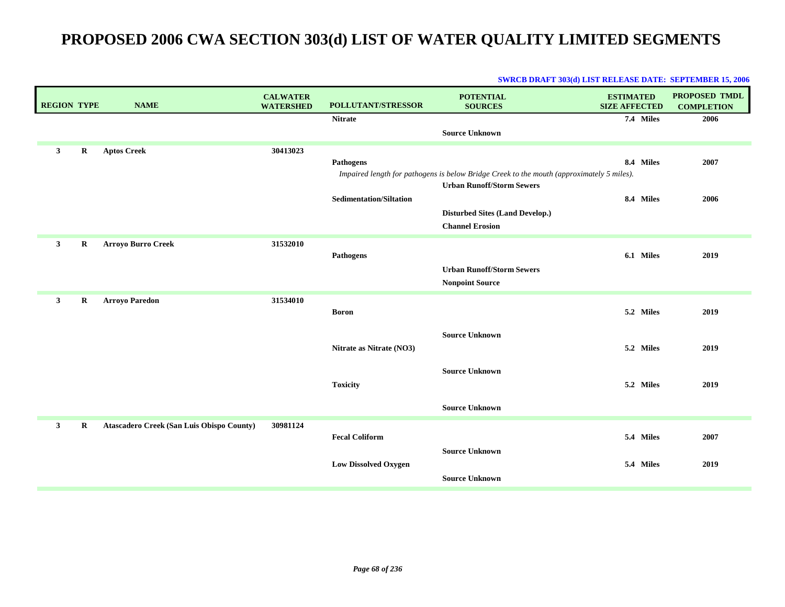| <b>REGION TYPE</b> |   | <b>NAME</b>                               | <b>CALWATER</b><br><b>WATERSHED</b> | <b>POLLUTANT/STRESSOR</b>      | <b>POTENTIAL</b><br><b>SOURCES</b>                                                        | <b>ESTIMATED</b><br><b>SIZE AFFECTED</b> | <b>PROPOSED TMDL</b><br><b>COMPLETION</b> |
|--------------------|---|-------------------------------------------|-------------------------------------|--------------------------------|-------------------------------------------------------------------------------------------|------------------------------------------|-------------------------------------------|
|                    |   |                                           |                                     | <b>Nitrate</b>                 |                                                                                           | 7.4 Miles                                | 2006                                      |
|                    |   |                                           |                                     |                                | <b>Source Unknown</b>                                                                     |                                          |                                           |
| 3                  | R | <b>Aptos Creek</b>                        | 30413023                            | Pathogens                      | Impaired length for pathogens is below Bridge Creek to the mouth (approximately 5 miles). | 8.4 Miles                                | 2007                                      |
|                    |   |                                           |                                     | <b>Sedimentation/Siltation</b> | <b>Urban Runoff/Storm Sewers</b>                                                          | 8.4 Miles                                | 2006                                      |
|                    |   |                                           |                                     |                                | <b>Disturbed Sites (Land Develop.)</b><br><b>Channel Erosion</b>                          |                                          |                                           |
| $\mathbf{3}$       | R | <b>Arroyo Burro Creek</b>                 | 31532010                            | <b>Pathogens</b>               |                                                                                           | 6.1 Miles                                | 2019                                      |
|                    |   |                                           |                                     |                                | <b>Urban Runoff/Storm Sewers</b><br><b>Nonpoint Source</b>                                |                                          |                                           |
| $\mathbf{3}$       | R | <b>Arroyo Paredon</b>                     | 31534010                            | <b>Boron</b>                   |                                                                                           | 5.2 Miles                                | 2019                                      |
|                    |   |                                           |                                     | Nitrate as Nitrate (NO3)       | <b>Source Unknown</b>                                                                     | 5.2 Miles                                | 2019                                      |
|                    |   |                                           |                                     | <b>Toxicity</b>                | <b>Source Unknown</b>                                                                     | 5.2 Miles                                | 2019                                      |
|                    |   |                                           |                                     |                                | <b>Source Unknown</b>                                                                     |                                          |                                           |
| 3                  | R | Atascadero Creek (San Luis Obispo County) | 30981124                            | <b>Fecal Coliform</b>          |                                                                                           | 5.4 Miles                                | 2007                                      |
|                    |   |                                           |                                     | <b>Low Dissolved Oxygen</b>    | <b>Source Unknown</b>                                                                     | 5.4 Miles                                | 2019                                      |
|                    |   |                                           |                                     |                                | <b>Source Unknown</b>                                                                     |                                          |                                           |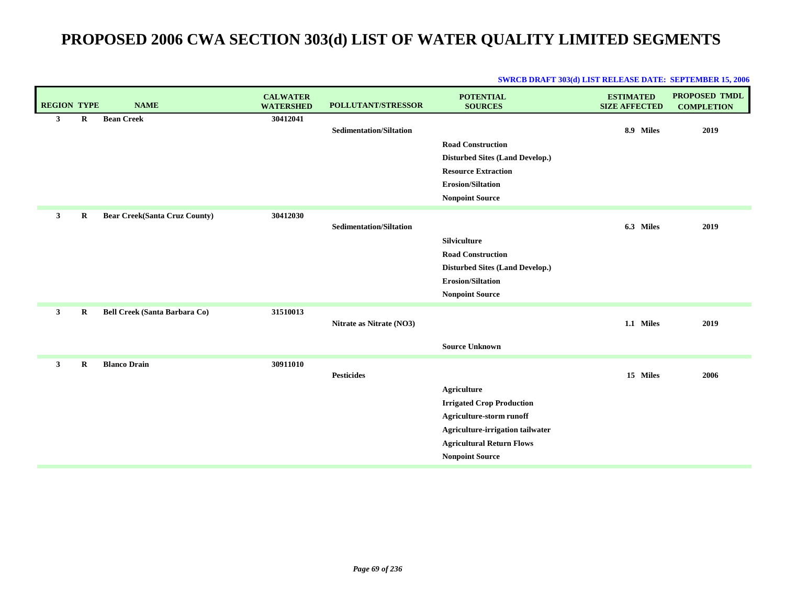| <b>REGION TYPE</b> |             | <b>NAME</b>                          | <b>CALWATER</b><br><b>WATERSHED</b> | <b>POLLUTANT/STRESSOR</b>      | <b>POTENTIAL</b><br><b>SOURCES</b>                                                                                                                                                   | <b>ESTIMATED</b><br><b>SIZE AFFECTED</b> | <b>PROPOSED TMDL</b><br><b>COMPLETION</b> |
|--------------------|-------------|--------------------------------------|-------------------------------------|--------------------------------|--------------------------------------------------------------------------------------------------------------------------------------------------------------------------------------|------------------------------------------|-------------------------------------------|
| 3                  | $\bf R$     | <b>Bean Creek</b>                    | 30412041                            | <b>Sedimentation/Siltation</b> | <b>Road Construction</b><br>Disturbed Sites (Land Develop.)<br><b>Resource Extraction</b><br><b>Erosion/Siltation</b>                                                                | 8.9 Miles                                | 2019                                      |
| 3                  | $\bf R$     | <b>Bear Creek(Santa Cruz County)</b> | 30412030                            | <b>Sedimentation/Siltation</b> | <b>Nonpoint Source</b><br><b>Silviculture</b><br><b>Road Construction</b><br><b>Disturbed Sites (Land Develop.)</b><br><b>Erosion/Siltation</b><br><b>Nonpoint Source</b>            | 6.3 Miles                                | 2019                                      |
| $\mathbf{3}$       | $\mathbf R$ | <b>Bell Creek (Santa Barbara Co)</b> | 31510013                            | Nitrate as Nitrate (NO3)       | <b>Source Unknown</b>                                                                                                                                                                | 1.1 Miles                                | 2019                                      |
| 3                  | $\mathbf R$ | <b>Blanco Drain</b>                  | 30911010                            | <b>Pesticides</b>              | <b>Agriculture</b><br><b>Irrigated Crop Production</b><br>Agriculture-storm runoff<br>Agriculture-irrigation tailwater<br><b>Agricultural Return Flows</b><br><b>Nonpoint Source</b> | 15 Miles                                 | 2006                                      |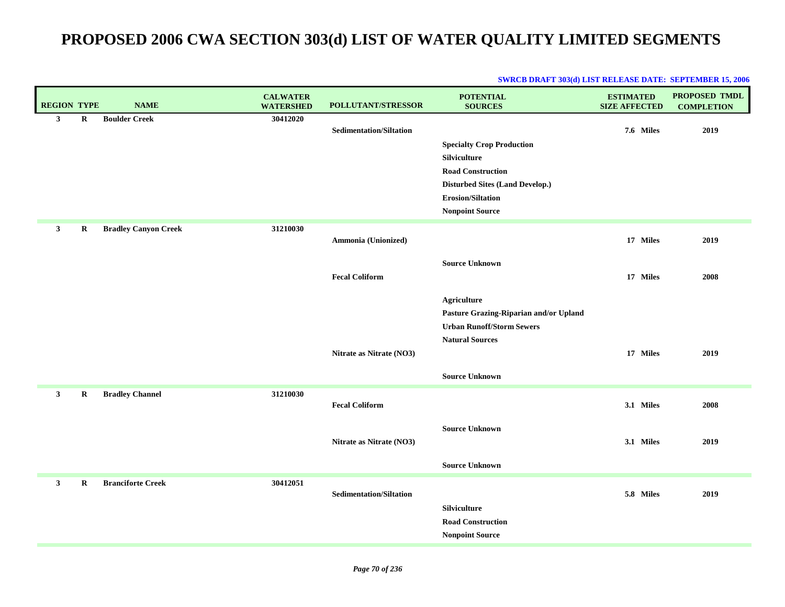| <b>REGION TYPE</b> |             | <b>NAME</b>                 | <b>CALWATER</b><br><b>WATERSHED</b> | POLLUTANT/STRESSOR             | <b>POTENTIAL</b><br><b>SOURCES</b>                                                                                                                                                  | <b>ESTIMATED</b><br><b>SIZE AFFECTED</b> | PROPOSED TMDL<br><b>COMPLETION</b> |
|--------------------|-------------|-----------------------------|-------------------------------------|--------------------------------|-------------------------------------------------------------------------------------------------------------------------------------------------------------------------------------|------------------------------------------|------------------------------------|
| $\mathbf{3}$       | $\mathbf R$ | <b>Boulder Creek</b>        | 30412020                            | <b>Sedimentation/Siltation</b> | <b>Specialty Crop Production</b><br><b>Silviculture</b><br><b>Road Construction</b><br><b>Disturbed Sites (Land Develop.)</b><br><b>Erosion/Siltation</b><br><b>Nonpoint Source</b> | 7.6 Miles                                | 2019                               |
| $\mathbf{3}$       | $\bf R$     | <b>Bradley Canyon Creek</b> | 31210030                            | Ammonia (Unionized)            |                                                                                                                                                                                     | 17 Miles                                 | 2019                               |
|                    |             |                             |                                     | <b>Fecal Coliform</b>          | <b>Source Unknown</b>                                                                                                                                                               | 17 Miles                                 | 2008                               |
|                    |             |                             |                                     |                                | <b>Agriculture</b><br>Pasture Grazing-Riparian and/or Upland<br><b>Urban Runoff/Storm Sewers</b><br><b>Natural Sources</b>                                                          |                                          |                                    |
|                    |             |                             |                                     | Nitrate as Nitrate (NO3)       | <b>Source Unknown</b>                                                                                                                                                               | 17 Miles                                 | 2019                               |
| $\mathbf{3}$       | ${\bf R}$   | <b>Bradley Channel</b>      | 31210030                            | <b>Fecal Coliform</b>          |                                                                                                                                                                                     | 3.1 Miles                                | 2008                               |
|                    |             |                             |                                     | Nitrate as Nitrate (NO3)       | <b>Source Unknown</b>                                                                                                                                                               | 3.1 Miles                                | 2019                               |
|                    |             |                             |                                     |                                | <b>Source Unknown</b>                                                                                                                                                               |                                          |                                    |
| $\mathbf{3}$       | $\mathbf R$ | <b>Branciforte Creek</b>    | 30412051                            | <b>Sedimentation/Siltation</b> | <b>Silviculture</b><br><b>Road Construction</b><br><b>Nonpoint Source</b>                                                                                                           | 5.8 Miles                                | 2019                               |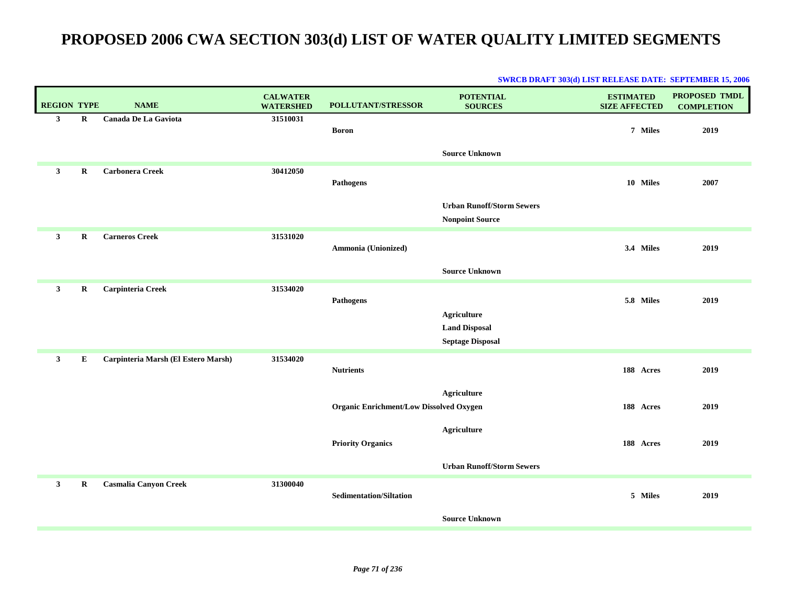| <b>REGION TYPE</b> |           | <b>NAME</b>                         | <b>CALWATER</b><br><b>WATERSHED</b> | POLLUTANT/STRESSOR                             | <b>POTENTIAL</b><br><b>SOURCES</b>                         | <b>ESTIMATED</b><br><b>SIZE AFFECTED</b> | <b>PROPOSED TMDL</b><br><b>COMPLETION</b> |
|--------------------|-----------|-------------------------------------|-------------------------------------|------------------------------------------------|------------------------------------------------------------|------------------------------------------|-------------------------------------------|
| $\mathbf{3}$       | ${\bf R}$ | Canada De La Gaviota                | 31510031                            | <b>Boron</b>                                   |                                                            | 7 Miles                                  | 2019                                      |
|                    |           |                                     |                                     |                                                | <b>Source Unknown</b>                                      |                                          |                                           |
| $\mathbf{3}$       | $\bf R$   | <b>Carbonera Creek</b>              | 30412050                            | Pathogens                                      |                                                            | 10 Miles                                 | 2007                                      |
|                    |           |                                     |                                     |                                                | <b>Urban Runoff/Storm Sewers</b><br><b>Nonpoint Source</b> |                                          |                                           |
| $\mathbf{3}$       | R         | <b>Carneros Creek</b>               | 31531020                            | Ammonia (Unionized)                            |                                                            | 3.4 Miles                                | 2019                                      |
|                    |           |                                     |                                     |                                                | <b>Source Unknown</b>                                      |                                          |                                           |
| $\mathbf{3}$       | R         | Carpinteria Creek                   | 31534020                            | <b>Pathogens</b>                               |                                                            | 5.8 Miles                                | 2019                                      |
|                    |           |                                     |                                     |                                                | <b>Agriculture</b><br><b>Land Disposal</b>                 |                                          |                                           |
|                    |           |                                     |                                     |                                                | <b>Septage Disposal</b>                                    |                                          |                                           |
| $\mathbf{3}$       | E         | Carpinteria Marsh (El Estero Marsh) | 31534020                            | <b>Nutrients</b>                               |                                                            | 188 Acres                                | 2019                                      |
|                    |           |                                     |                                     | <b>Organic Enrichment/Low Dissolved Oxygen</b> | <b>Agriculture</b>                                         | 188 Acres                                | 2019                                      |
|                    |           |                                     |                                     | <b>Priority Organics</b>                       | <b>Agriculture</b>                                         | 188 Acres                                | 2019                                      |
|                    |           |                                     |                                     |                                                | <b>Urban Runoff/Storm Sewers</b>                           |                                          |                                           |
| $\mathbf{3}$       | R         | <b>Casmalia Canyon Creek</b>        | 31300040                            | <b>Sedimentation/Siltation</b>                 |                                                            | 5 Miles                                  | 2019                                      |
|                    |           |                                     |                                     |                                                | <b>Source Unknown</b>                                      |                                          |                                           |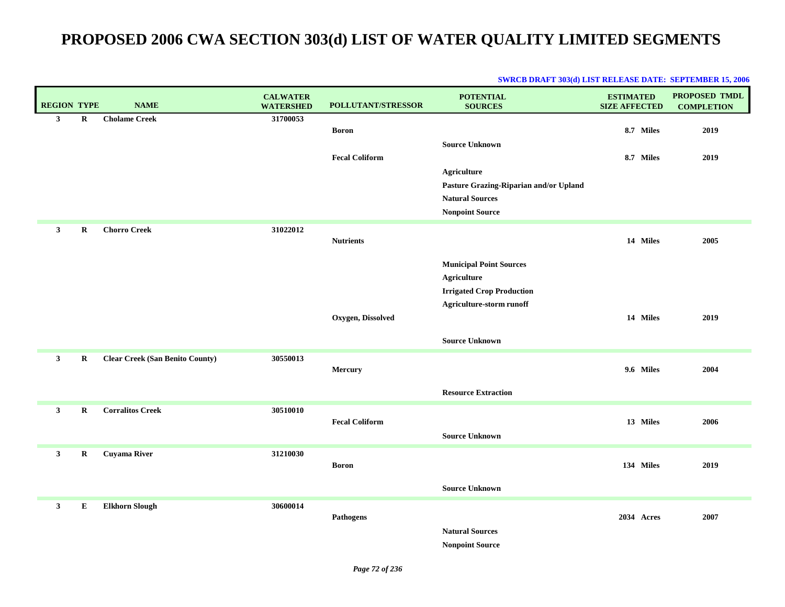| <b>REGION TYPE</b> |             | <b>NAME</b>                            | <b>CALWATER</b><br><b>WATERSHED</b> | <b>POLLUTANT/STRESSOR</b> | <b>POTENTIAL</b><br><b>SOURCES</b>                           | <b>ESTIMATED</b><br><b>SIZE AFFECTED</b> | PROPOSED TMDL<br><b>COMPLETION</b> |
|--------------------|-------------|----------------------------------------|-------------------------------------|---------------------------|--------------------------------------------------------------|------------------------------------------|------------------------------------|
| $\mathbf{3}$       | $\mathbf R$ | <b>Cholame Creek</b>                   | 31700053                            |                           |                                                              |                                          |                                    |
|                    |             |                                        |                                     | <b>Boron</b>              |                                                              | 8.7 Miles                                | 2019                               |
|                    |             |                                        |                                     |                           | <b>Source Unknown</b>                                        |                                          |                                    |
|                    |             |                                        |                                     | <b>Fecal Coliform</b>     |                                                              | 8.7 Miles                                | 2019                               |
|                    |             |                                        |                                     |                           | <b>Agriculture</b><br>Pasture Grazing-Riparian and/or Upland |                                          |                                    |
|                    |             |                                        |                                     |                           | <b>Natural Sources</b>                                       |                                          |                                    |
|                    |             |                                        |                                     |                           | <b>Nonpoint Source</b>                                       |                                          |                                    |
|                    |             |                                        |                                     |                           |                                                              |                                          |                                    |
| 3 <sup>1</sup>     | $\bf R$     | <b>Chorro Creek</b>                    | 31022012                            | <b>Nutrients</b>          |                                                              | 14 Miles                                 | 2005                               |
|                    |             |                                        |                                     |                           |                                                              |                                          |                                    |
|                    |             |                                        |                                     |                           | <b>Municipal Point Sources</b>                               |                                          |                                    |
|                    |             |                                        |                                     |                           | <b>Agriculture</b>                                           |                                          |                                    |
|                    |             |                                        |                                     |                           | <b>Irrigated Crop Production</b>                             |                                          |                                    |
|                    |             |                                        |                                     |                           | Agriculture-storm runoff                                     |                                          |                                    |
|                    |             |                                        |                                     | Oxygen, Dissolved         |                                                              | 14 Miles                                 | 2019                               |
|                    |             |                                        |                                     |                           | <b>Source Unknown</b>                                        |                                          |                                    |
|                    |             |                                        |                                     |                           |                                                              |                                          |                                    |
| $\mathbf{3}$       | R           | <b>Clear Creek (San Benito County)</b> | 30550013                            | Mercury                   |                                                              | 9.6 Miles                                | 2004                               |
|                    |             |                                        |                                     |                           |                                                              |                                          |                                    |
|                    |             |                                        |                                     |                           | <b>Resource Extraction</b>                                   |                                          |                                    |
| $\mathbf{3}$       | $\bf R$     | <b>Corralitos Creek</b>                | 30510010                            |                           |                                                              |                                          |                                    |
|                    |             |                                        |                                     | <b>Fecal Coliform</b>     |                                                              | 13 Miles                                 | 2006                               |
|                    |             |                                        |                                     |                           | <b>Source Unknown</b>                                        |                                          |                                    |
| $\mathbf{3}$       | $\mathbf R$ | <b>Cuyama River</b>                    | 31210030                            |                           |                                                              |                                          |                                    |
|                    |             |                                        |                                     | <b>Boron</b>              |                                                              | 134 Miles                                | 2019                               |
|                    |             |                                        |                                     |                           | <b>Source Unknown</b>                                        |                                          |                                    |
|                    |             |                                        |                                     |                           |                                                              |                                          |                                    |
| $\mathbf{3}$       | E           | <b>Elkhorn Slough</b>                  | 30600014                            | Pathogens                 |                                                              | 2034 Acres                               | 2007                               |
|                    |             |                                        |                                     |                           | <b>Natural Sources</b>                                       |                                          |                                    |
|                    |             |                                        |                                     |                           | <b>Nonpoint Source</b>                                       |                                          |                                    |
|                    |             |                                        |                                     |                           |                                                              |                                          |                                    |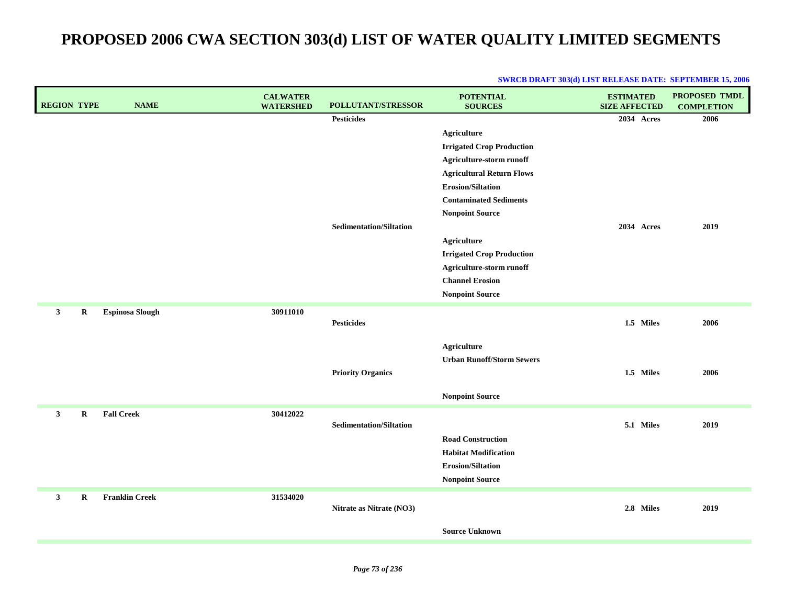| <b>REGION TYPE</b><br><b>NAME</b>                | <b>CALWATER</b><br><b>WATERSHED</b> | POLLUTANT/STRESSOR             | <b>POTENTIAL</b><br><b>SOURCES</b> | <b>ESTIMATED</b><br><b>SIZE AFFECTED</b> | PROPOSED TMDL<br><b>COMPLETION</b> |
|--------------------------------------------------|-------------------------------------|--------------------------------|------------------------------------|------------------------------------------|------------------------------------|
|                                                  |                                     | <b>Pesticides</b>              |                                    | 2034 Acres                               | 2006                               |
|                                                  |                                     |                                | <b>Agriculture</b>                 |                                          |                                    |
|                                                  |                                     |                                | <b>Irrigated Crop Production</b>   |                                          |                                    |
|                                                  |                                     |                                | Agriculture-storm runoff           |                                          |                                    |
|                                                  |                                     |                                | <b>Agricultural Return Flows</b>   |                                          |                                    |
|                                                  |                                     |                                | <b>Erosion/Siltation</b>           |                                          |                                    |
|                                                  |                                     |                                | <b>Contaminated Sediments</b>      |                                          |                                    |
|                                                  |                                     |                                | <b>Nonpoint Source</b>             |                                          |                                    |
|                                                  |                                     | <b>Sedimentation/Siltation</b> |                                    | 2034 Acres                               | 2019                               |
|                                                  |                                     |                                | <b>Agriculture</b>                 |                                          |                                    |
|                                                  |                                     |                                | <b>Irrigated Crop Production</b>   |                                          |                                    |
|                                                  |                                     |                                | Agriculture-storm runoff           |                                          |                                    |
|                                                  |                                     |                                | <b>Channel Erosion</b>             |                                          |                                    |
|                                                  |                                     |                                | <b>Nonpoint Source</b>             |                                          |                                    |
| <b>Espinosa Slough</b><br>$\mathbf{3}$<br>R      | 30911010                            |                                |                                    |                                          |                                    |
|                                                  |                                     | <b>Pesticides</b>              |                                    | 1.5 Miles                                | 2006                               |
|                                                  |                                     |                                |                                    |                                          |                                    |
|                                                  |                                     |                                | <b>Agriculture</b>                 |                                          |                                    |
|                                                  |                                     |                                | <b>Urban Runoff/Storm Sewers</b>   |                                          |                                    |
|                                                  |                                     | <b>Priority Organics</b>       |                                    | 1.5 Miles                                | 2006                               |
|                                                  |                                     |                                | <b>Nonpoint Source</b>             |                                          |                                    |
|                                                  |                                     |                                |                                    |                                          |                                    |
| <b>Fall Creek</b><br>$\mathbf{3}$<br>R           | 30412022                            | <b>Sedimentation/Siltation</b> |                                    | 5.1 Miles                                | 2019                               |
|                                                  |                                     |                                | <b>Road Construction</b>           |                                          |                                    |
|                                                  |                                     |                                | <b>Habitat Modification</b>        |                                          |                                    |
|                                                  |                                     |                                | <b>Erosion/Siltation</b>           |                                          |                                    |
|                                                  |                                     |                                | <b>Nonpoint Source</b>             |                                          |                                    |
|                                                  |                                     |                                |                                    |                                          |                                    |
| <b>Franklin Creek</b><br>$\mathbf{3}$<br>$\bf R$ | 31534020                            |                                |                                    |                                          |                                    |
|                                                  |                                     | Nitrate as Nitrate (NO3)       |                                    | 2.8 Miles                                | 2019                               |
|                                                  |                                     |                                | <b>Source Unknown</b>              |                                          |                                    |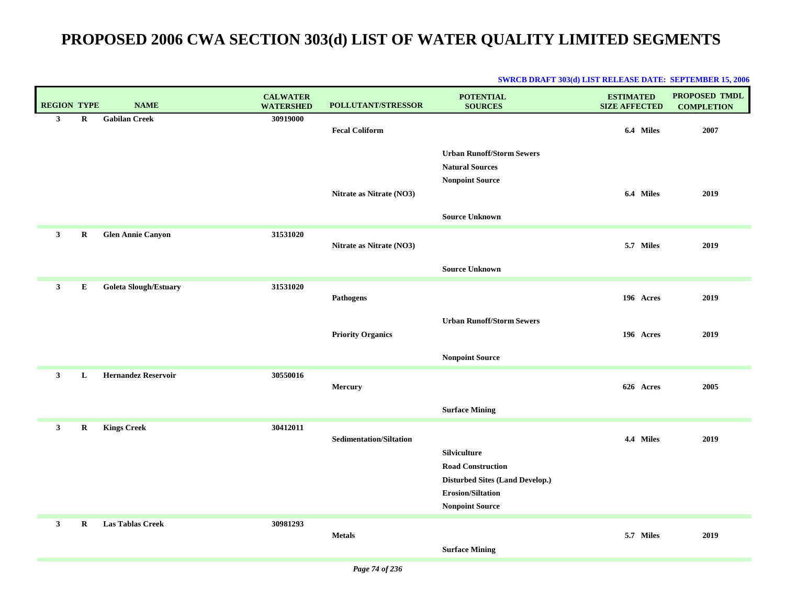| <b>REGION TYPE</b> |          | <b>NAME</b>                  | <b>CALWATER</b><br><b>WATERSHED</b> | POLLUTANT/STRESSOR             | <b>POTENTIAL</b><br><b>SOURCES</b>                          | <b>ESTIMATED</b><br><b>SIZE AFFECTED</b> | <b>PROPOSED TMDL</b><br><b>COMPLETION</b> |
|--------------------|----------|------------------------------|-------------------------------------|--------------------------------|-------------------------------------------------------------|------------------------------------------|-------------------------------------------|
| $\mathbf{3}$       | $\bf R$  | <b>Gabilan Creek</b>         | 30919000                            | <b>Fecal Coliform</b>          |                                                             | 6.4 Miles                                | 2007                                      |
|                    |          |                              |                                     |                                |                                                             |                                          |                                           |
|                    |          |                              |                                     |                                | <b>Urban Runoff/Storm Sewers</b><br><b>Natural Sources</b>  |                                          |                                           |
|                    |          |                              |                                     |                                | <b>Nonpoint Source</b>                                      |                                          |                                           |
|                    |          |                              |                                     | Nitrate as Nitrate (NO3)       |                                                             | 6.4 Miles                                | 2019                                      |
|                    |          |                              |                                     |                                | <b>Source Unknown</b>                                       |                                          |                                           |
| $\mathbf{3}$       | $\bf R$  | <b>Glen Annie Canyon</b>     | 31531020                            |                                |                                                             |                                          |                                           |
|                    |          |                              |                                     | Nitrate as Nitrate (NO3)       |                                                             | 5.7 Miles                                | 2019                                      |
|                    |          |                              |                                     |                                | <b>Source Unknown</b>                                       |                                          |                                           |
| $\mathbf{3}$       | Е        | <b>Goleta Slough/Estuary</b> | 31531020                            |                                |                                                             |                                          |                                           |
|                    |          |                              |                                     | Pathogens                      |                                                             | 196 Acres                                | 2019                                      |
|                    |          |                              |                                     |                                | <b>Urban Runoff/Storm Sewers</b>                            |                                          |                                           |
|                    |          |                              |                                     | <b>Priority Organics</b>       |                                                             | 196 Acres                                | 2019                                      |
|                    |          |                              |                                     |                                | <b>Nonpoint Source</b>                                      |                                          |                                           |
| $\mathbf{3}$       | L        | <b>Hernandez Reservoir</b>   | 30550016                            |                                |                                                             |                                          |                                           |
|                    |          |                              |                                     | Mercury                        |                                                             | 626 Acres                                | 2005                                      |
|                    |          |                              |                                     |                                | <b>Surface Mining</b>                                       |                                          |                                           |
| $\mathbf{3}$       | $\bf R$  | <b>Kings Creek</b>           | 30412011                            |                                |                                                             |                                          |                                           |
|                    |          |                              |                                     | <b>Sedimentation/Siltation</b> |                                                             | 4.4 Miles                                | 2019                                      |
|                    |          |                              |                                     |                                | <b>Silviculture</b>                                         |                                          |                                           |
|                    |          |                              |                                     |                                | <b>Road Construction</b><br>Disturbed Sites (Land Develop.) |                                          |                                           |
|                    |          |                              |                                     |                                | <b>Erosion/Siltation</b>                                    |                                          |                                           |
|                    |          |                              |                                     |                                | <b>Nonpoint Source</b>                                      |                                          |                                           |
| $\mathbf{3}$       | $\bf{R}$ | <b>Las Tablas Creek</b>      | 30981293                            |                                |                                                             |                                          |                                           |
|                    |          |                              |                                     | <b>Metals</b>                  |                                                             | 5.7 Miles                                | 2019                                      |
|                    |          |                              |                                     |                                | <b>Surface Mining</b>                                       |                                          |                                           |

#### **SWRCB DRAFT 303(d) LIST RELEASE DATE: SEPTEMBER 15, 2006**

*Page 74 of 236*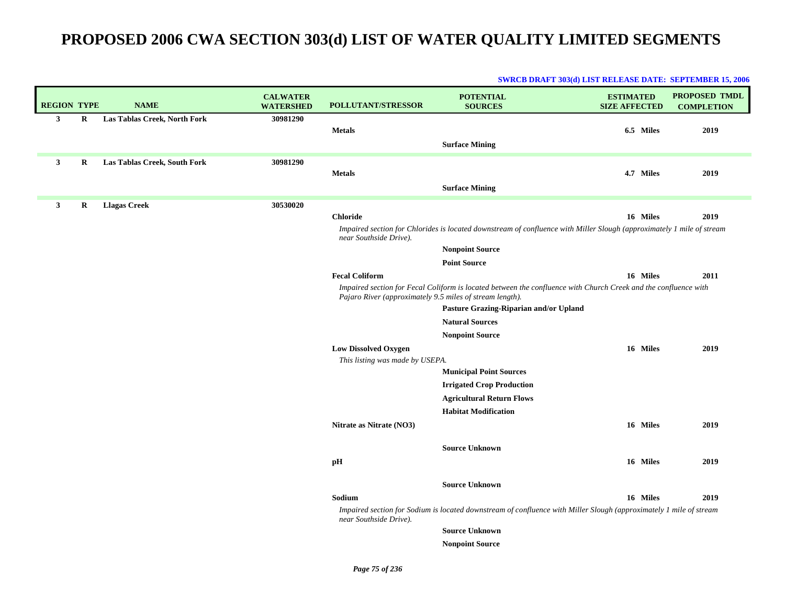| <b>REGION TYPE</b> |         | <b>NAME</b>                  | <b>CALWATER</b><br><b>WATERSHED</b> | <b>POLLUTANT/STRESSOR</b>                                | <b>POTENTIAL</b><br><b>SOURCES</b>                                                                                                                        | <b>ESTIMATED</b><br><b>SIZE AFFECTED</b> | <b>PROPOSED TMDL</b><br><b>COMPLETION</b> |
|--------------------|---------|------------------------------|-------------------------------------|----------------------------------------------------------|-----------------------------------------------------------------------------------------------------------------------------------------------------------|------------------------------------------|-------------------------------------------|
| $\mathbf{3}$       | R       | Las Tablas Creek, North Fork | 30981290                            |                                                          |                                                                                                                                                           |                                          |                                           |
|                    |         |                              |                                     | <b>Metals</b>                                            |                                                                                                                                                           | 6.5 Miles                                | 2019                                      |
|                    |         |                              |                                     |                                                          | <b>Surface Mining</b>                                                                                                                                     |                                          |                                           |
| $\mathbf{3}$       | R       | Las Tablas Creek, South Fork | 30981290                            |                                                          |                                                                                                                                                           |                                          |                                           |
|                    |         |                              |                                     | <b>Metals</b>                                            |                                                                                                                                                           | 4.7 Miles                                | 2019                                      |
|                    |         |                              |                                     |                                                          | <b>Surface Mining</b>                                                                                                                                     |                                          |                                           |
| $\mathbf{3}$       | $\bf R$ | <b>Llagas Creek</b>          | 30530020                            |                                                          |                                                                                                                                                           |                                          |                                           |
|                    |         |                              |                                     | <b>Chloride</b>                                          |                                                                                                                                                           | 16 Miles                                 | 2019                                      |
|                    |         |                              |                                     | near Southside Drive).                                   | Impaired section for Chlorides is located downstream of confluence with Miller Slough (approximately 1 mile of stream                                     |                                          |                                           |
|                    |         |                              |                                     |                                                          | <b>Nonpoint Source</b>                                                                                                                                    |                                          |                                           |
|                    |         |                              |                                     |                                                          | <b>Point Source</b>                                                                                                                                       |                                          |                                           |
|                    |         |                              |                                     | <b>Fecal Coliform</b>                                    |                                                                                                                                                           | 16 Miles                                 | 2011                                      |
|                    |         |                              |                                     | Pajaro River (approximately 9.5 miles of stream length). | Impaired section for Fecal Coliform is located between the confluence with Church Creek and the confluence with<br>Pasture Grazing-Riparian and/or Upland |                                          |                                           |
|                    |         |                              |                                     |                                                          | <b>Natural Sources</b>                                                                                                                                    |                                          |                                           |
|                    |         |                              |                                     |                                                          | <b>Nonpoint Source</b>                                                                                                                                    |                                          |                                           |
|                    |         |                              |                                     | <b>Low Dissolved Oxygen</b>                              |                                                                                                                                                           | 16 Miles                                 | 2019                                      |
|                    |         |                              |                                     | This listing was made by USEPA.                          |                                                                                                                                                           |                                          |                                           |
|                    |         |                              |                                     |                                                          | <b>Municipal Point Sources</b>                                                                                                                            |                                          |                                           |
|                    |         |                              |                                     |                                                          | <b>Irrigated Crop Production</b>                                                                                                                          |                                          |                                           |
|                    |         |                              |                                     |                                                          | <b>Agricultural Return Flows</b>                                                                                                                          |                                          |                                           |
|                    |         |                              |                                     |                                                          | <b>Habitat Modification</b>                                                                                                                               |                                          |                                           |
|                    |         |                              |                                     | Nitrate as Nitrate (NO3)                                 |                                                                                                                                                           | 16 Miles                                 | 2019                                      |
|                    |         |                              |                                     |                                                          | <b>Source Unknown</b>                                                                                                                                     |                                          |                                           |
|                    |         |                              |                                     | pH                                                       |                                                                                                                                                           | 16 Miles                                 | 2019                                      |
|                    |         |                              |                                     |                                                          |                                                                                                                                                           |                                          |                                           |
|                    |         |                              |                                     |                                                          | <b>Source Unknown</b>                                                                                                                                     |                                          |                                           |
|                    |         |                              |                                     | Sodium                                                   |                                                                                                                                                           | 16 Miles                                 | 2019                                      |
|                    |         |                              |                                     | near Southside Drive).                                   | Impaired section for Sodium is located downstream of confluence with Miller Slough (approximately 1 mile of stream                                        |                                          |                                           |
|                    |         |                              |                                     |                                                          | <b>Source Unknown</b>                                                                                                                                     |                                          |                                           |
|                    |         |                              |                                     |                                                          | <b>Nonpoint Source</b>                                                                                                                                    |                                          |                                           |
|                    |         |                              |                                     |                                                          |                                                                                                                                                           |                                          |                                           |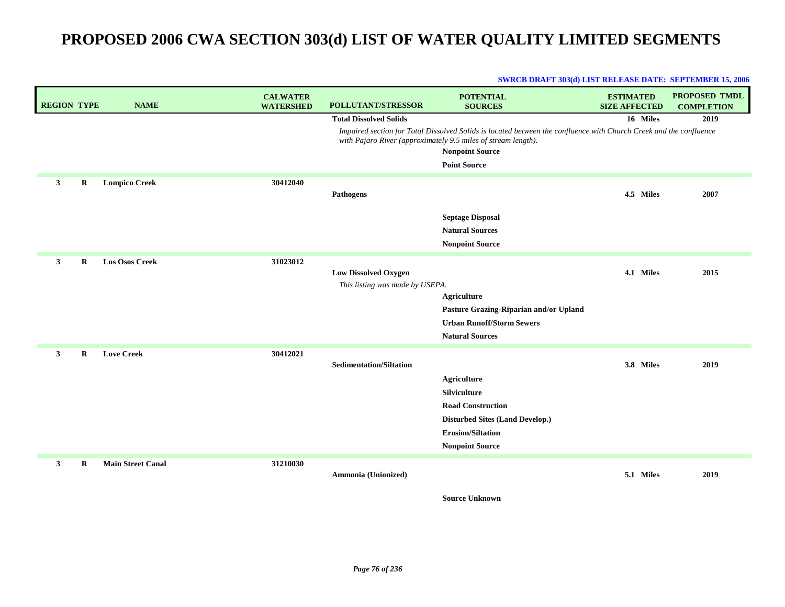| <b>REGION TYPE</b> |   | <b>NAME</b>              | <b>CALWATER</b><br><b>WATERSHED</b> | <b>POLLUTANT/STRESSOR</b>       | <b>POTENTIAL</b><br><b>SOURCES</b>                                                                                 | <b>ESTIMATED</b><br><b>SIZE AFFECTED</b> | <b>PROPOSED TMDL</b><br><b>COMPLETION</b> |
|--------------------|---|--------------------------|-------------------------------------|---------------------------------|--------------------------------------------------------------------------------------------------------------------|------------------------------------------|-------------------------------------------|
|                    |   |                          |                                     | <b>Total Dissolved Solids</b>   | Impaired section for Total Dissolved Solids is located between the confluence with Church Creek and the confluence | 16 Miles                                 | 2019                                      |
|                    |   |                          |                                     |                                 | with Pajaro River (approximately 9.5 miles of stream length).                                                      |                                          |                                           |
|                    |   |                          |                                     |                                 | <b>Nonpoint Source</b>                                                                                             |                                          |                                           |
|                    |   |                          |                                     |                                 | <b>Point Source</b>                                                                                                |                                          |                                           |
| $\mathbf{3}$       | R | <b>Lompico Creek</b>     | 30412040                            |                                 |                                                                                                                    |                                          |                                           |
|                    |   |                          |                                     | Pathogens                       |                                                                                                                    | 4.5 Miles                                | 2007                                      |
|                    |   |                          |                                     |                                 | <b>Septage Disposal</b>                                                                                            |                                          |                                           |
|                    |   |                          |                                     |                                 | <b>Natural Sources</b>                                                                                             |                                          |                                           |
|                    |   |                          |                                     |                                 | <b>Nonpoint Source</b>                                                                                             |                                          |                                           |
| $\mathbf{3}$       | R | <b>Los Osos Creek</b>    | 31023012                            |                                 |                                                                                                                    |                                          |                                           |
|                    |   |                          |                                     | <b>Low Dissolved Oxygen</b>     |                                                                                                                    | 4.1 Miles                                | 2015                                      |
|                    |   |                          |                                     | This listing was made by USEPA. |                                                                                                                    |                                          |                                           |
|                    |   |                          |                                     |                                 | Agriculture                                                                                                        |                                          |                                           |
|                    |   |                          |                                     |                                 | Pasture Grazing-Riparian and/or Upland<br><b>Urban Runoff/Storm Sewers</b>                                         |                                          |                                           |
|                    |   |                          |                                     |                                 | <b>Natural Sources</b>                                                                                             |                                          |                                           |
|                    |   |                          |                                     |                                 |                                                                                                                    |                                          |                                           |
| $\mathbf{3}$       | R | <b>Love Creek</b>        | 30412021                            | <b>Sedimentation/Siltation</b>  |                                                                                                                    | 3.8 Miles                                | 2019                                      |
|                    |   |                          |                                     |                                 | <b>Agriculture</b>                                                                                                 |                                          |                                           |
|                    |   |                          |                                     |                                 | <b>Silviculture</b>                                                                                                |                                          |                                           |
|                    |   |                          |                                     |                                 | <b>Road Construction</b>                                                                                           |                                          |                                           |
|                    |   |                          |                                     |                                 | <b>Disturbed Sites (Land Develop.)</b>                                                                             |                                          |                                           |
|                    |   |                          |                                     |                                 | <b>Erosion/Siltation</b>                                                                                           |                                          |                                           |
|                    |   |                          |                                     |                                 | <b>Nonpoint Source</b>                                                                                             |                                          |                                           |
| $\mathbf{3}$       | R | <b>Main Street Canal</b> | 31210030                            |                                 |                                                                                                                    |                                          |                                           |
|                    |   |                          |                                     | Ammonia (Unionized)             |                                                                                                                    | 5.1 Miles                                | 2019                                      |
|                    |   |                          |                                     |                                 | <b>Source Unknown</b>                                                                                              |                                          |                                           |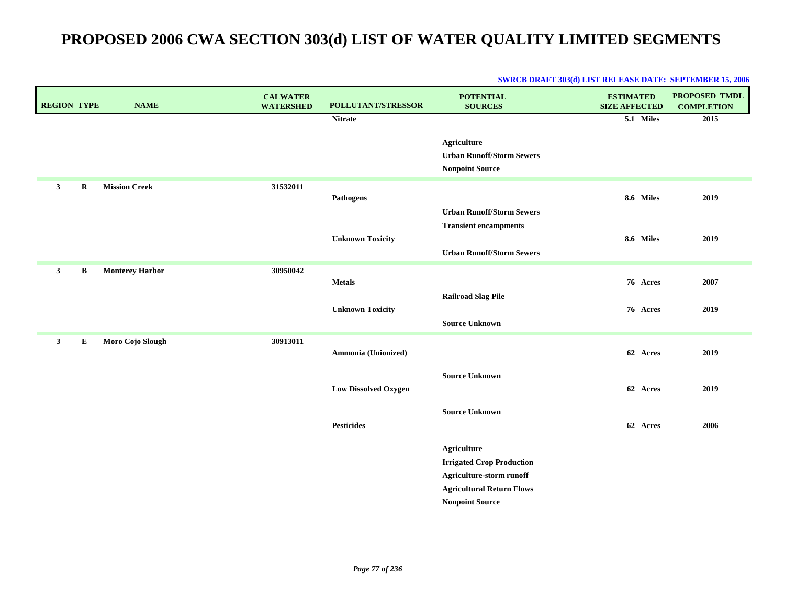| <b>REGION TYPE</b> |          | <b>NAME</b>            | <b>CALWATER</b><br><b>WATERSHED</b> | <b>POLLUTANT/STRESSOR</b>   | <b>POTENTIAL</b><br><b>SOURCES</b>                                               | <b>ESTIMATED</b><br><b>SIZE AFFECTED</b> | <b>PROPOSED TMDL</b><br><b>COMPLETION</b> |
|--------------------|----------|------------------------|-------------------------------------|-----------------------------|----------------------------------------------------------------------------------|------------------------------------------|-------------------------------------------|
|                    |          |                        |                                     | <b>Nitrate</b>              |                                                                                  | 5.1 Miles                                | 2015                                      |
|                    |          |                        |                                     |                             | <b>Agriculture</b><br><b>Urban Runoff/Storm Sewers</b><br><b>Nonpoint Source</b> |                                          |                                           |
| $\mathbf{3}$       | $\bf{R}$ | <b>Mission Creek</b>   | 31532011                            | <b>Pathogens</b>            |                                                                                  | 8.6 Miles                                | 2019                                      |
|                    |          |                        |                                     |                             | <b>Urban Runoff/Storm Sewers</b>                                                 |                                          |                                           |
|                    |          |                        |                                     |                             | <b>Transient encampments</b>                                                     |                                          |                                           |
|                    |          |                        |                                     | <b>Unknown Toxicity</b>     |                                                                                  | 8.6 Miles                                | 2019                                      |
|                    |          |                        |                                     |                             | <b>Urban Runoff/Storm Sewers</b>                                                 |                                          |                                           |
| $\mathbf{3}$       | B        | <b>Monterey Harbor</b> | 30950042                            |                             |                                                                                  |                                          |                                           |
|                    |          |                        |                                     | <b>Metals</b>               |                                                                                  | 76 Acres                                 | 2007                                      |
|                    |          |                        |                                     | <b>Unknown Toxicity</b>     | <b>Railroad Slag Pile</b>                                                        | 76 Acres                                 | 2019                                      |
|                    |          |                        |                                     |                             | <b>Source Unknown</b>                                                            |                                          |                                           |
| $\mathbf{3}$       | Е        | Moro Cojo Slough       | 30913011                            |                             |                                                                                  |                                          |                                           |
|                    |          |                        |                                     | Ammonia (Unionized)         |                                                                                  | 62 Acres                                 | 2019                                      |
|                    |          |                        |                                     |                             | <b>Source Unknown</b>                                                            |                                          |                                           |
|                    |          |                        |                                     | <b>Low Dissolved Oxygen</b> |                                                                                  | 62 Acres                                 | 2019                                      |
|                    |          |                        |                                     |                             | <b>Source Unknown</b>                                                            |                                          |                                           |
|                    |          |                        |                                     | <b>Pesticides</b>           |                                                                                  | 62 Acres                                 | 2006                                      |
|                    |          |                        |                                     |                             |                                                                                  |                                          |                                           |
|                    |          |                        |                                     |                             | <b>Agriculture</b>                                                               |                                          |                                           |
|                    |          |                        |                                     |                             | <b>Irrigated Crop Production</b><br>Agriculture-storm runoff                     |                                          |                                           |
|                    |          |                        |                                     |                             | <b>Agricultural Return Flows</b>                                                 |                                          |                                           |
|                    |          |                        |                                     |                             | <b>Nonpoint Source</b>                                                           |                                          |                                           |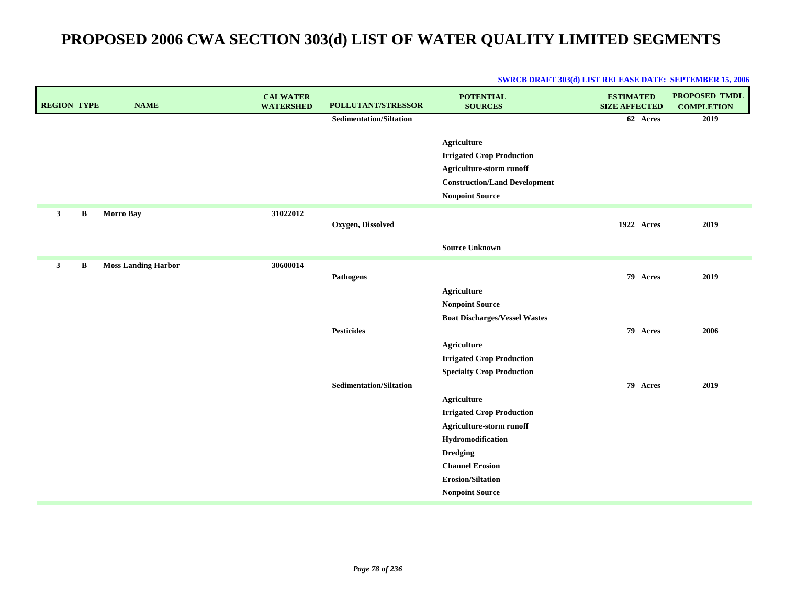| <b>REGION TYPE</b> |   | <b>NAME</b>                | <b>CALWATER</b><br><b>WATERSHED</b> | POLLUTANT/STRESSOR             | <b>POTENTIAL</b><br><b>SOURCES</b>                                                                                                                   | <b>ESTIMATED</b><br><b>SIZE AFFECTED</b> | PROPOSED TMDL<br><b>COMPLETION</b> |
|--------------------|---|----------------------------|-------------------------------------|--------------------------------|------------------------------------------------------------------------------------------------------------------------------------------------------|------------------------------------------|------------------------------------|
|                    |   |                            |                                     | <b>Sedimentation/Siltation</b> |                                                                                                                                                      | 62 Acres                                 | 2019                               |
|                    |   |                            |                                     |                                | <b>Agriculture</b><br><b>Irrigated Crop Production</b><br>Agriculture-storm runoff<br><b>Construction/Land Development</b><br><b>Nonpoint Source</b> |                                          |                                    |
| $\mathbf{3}$       | B | <b>Morro Bay</b>           | 31022012                            | Oxygen, Dissolved              |                                                                                                                                                      | 1922 Acres                               | 2019                               |
|                    |   |                            |                                     |                                | <b>Source Unknown</b>                                                                                                                                |                                          |                                    |
| $\mathbf{3}$       | B | <b>Moss Landing Harbor</b> | 30600014                            | <b>Pathogens</b>               |                                                                                                                                                      | 79 Acres                                 | 2019                               |
|                    |   |                            |                                     |                                | <b>Agriculture</b>                                                                                                                                   |                                          |                                    |
|                    |   |                            |                                     |                                | <b>Nonpoint Source</b>                                                                                                                               |                                          |                                    |
|                    |   |                            |                                     |                                | <b>Boat Discharges/Vessel Wastes</b>                                                                                                                 |                                          |                                    |
|                    |   |                            |                                     | <b>Pesticides</b>              |                                                                                                                                                      | 79 Acres                                 | 2006                               |
|                    |   |                            |                                     |                                | <b>Agriculture</b>                                                                                                                                   |                                          |                                    |
|                    |   |                            |                                     |                                | <b>Irrigated Crop Production</b>                                                                                                                     |                                          |                                    |
|                    |   |                            |                                     |                                | <b>Specialty Crop Production</b>                                                                                                                     |                                          |                                    |
|                    |   |                            |                                     | <b>Sedimentation/Siltation</b> |                                                                                                                                                      | 79 Acres                                 | 2019                               |
|                    |   |                            |                                     |                                | <b>Agriculture</b>                                                                                                                                   |                                          |                                    |
|                    |   |                            |                                     |                                | <b>Irrigated Crop Production</b>                                                                                                                     |                                          |                                    |
|                    |   |                            |                                     |                                | Agriculture-storm runoff<br>Hydromodification                                                                                                        |                                          |                                    |
|                    |   |                            |                                     |                                | <b>Dredging</b>                                                                                                                                      |                                          |                                    |
|                    |   |                            |                                     |                                | <b>Channel Erosion</b>                                                                                                                               |                                          |                                    |
|                    |   |                            |                                     |                                | <b>Erosion/Siltation</b>                                                                                                                             |                                          |                                    |
|                    |   |                            |                                     |                                | <b>Nonpoint Source</b>                                                                                                                               |                                          |                                    |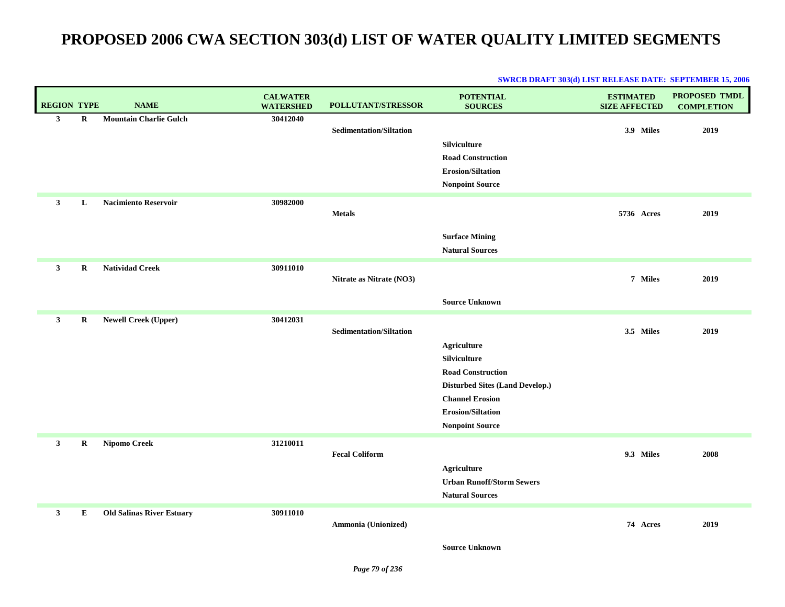| <b>REGION TYPE</b> |             | <b>NAME</b>                      | <b>CALWATER</b><br><b>WATERSHED</b> | <b>POLLUTANT/STRESSOR</b>      | <b>POTENTIAL</b><br><b>SOURCES</b>     | <b>ESTIMATED</b><br><b>SIZE AFFECTED</b> | PROPOSED TMDL<br><b>COMPLETION</b> |
|--------------------|-------------|----------------------------------|-------------------------------------|--------------------------------|----------------------------------------|------------------------------------------|------------------------------------|
| $\mathbf{3}$       | $\bf R$     | <b>Mountain Charlie Gulch</b>    | 30412040                            |                                |                                        |                                          |                                    |
|                    |             |                                  |                                     | <b>Sedimentation/Siltation</b> |                                        | 3.9 Miles                                | 2019                               |
|                    |             |                                  |                                     |                                | Silviculture                           |                                          |                                    |
|                    |             |                                  |                                     |                                | <b>Road Construction</b>               |                                          |                                    |
|                    |             |                                  |                                     |                                | <b>Erosion/Siltation</b>               |                                          |                                    |
|                    |             |                                  |                                     |                                | <b>Nonpoint Source</b>                 |                                          |                                    |
| $\mathbf{3}$       | L           | <b>Nacimiento Reservoir</b>      | 30982000                            |                                |                                        |                                          |                                    |
|                    |             |                                  |                                     | <b>Metals</b>                  |                                        | 5736 Acres                               | 2019                               |
|                    |             |                                  |                                     |                                | <b>Surface Mining</b>                  |                                          |                                    |
|                    |             |                                  |                                     |                                | <b>Natural Sources</b>                 |                                          |                                    |
|                    |             |                                  |                                     |                                |                                        |                                          |                                    |
| $\mathbf{3}$       | $\mathbf R$ | <b>Natividad Creek</b>           | 30911010                            | Nitrate as Nitrate (NO3)       |                                        | 7 Miles                                  | 2019                               |
|                    |             |                                  |                                     |                                |                                        |                                          |                                    |
|                    |             |                                  |                                     |                                | <b>Source Unknown</b>                  |                                          |                                    |
| $\mathbf{3}$       | $\bf R$     | <b>Newell Creek (Upper)</b>      | 30412031                            |                                |                                        |                                          |                                    |
|                    |             |                                  |                                     | <b>Sedimentation/Siltation</b> |                                        | 3.5 Miles                                | 2019                               |
|                    |             |                                  |                                     |                                | <b>Agriculture</b>                     |                                          |                                    |
|                    |             |                                  |                                     |                                | Silviculture                           |                                          |                                    |
|                    |             |                                  |                                     |                                | <b>Road Construction</b>               |                                          |                                    |
|                    |             |                                  |                                     |                                | <b>Disturbed Sites (Land Develop.)</b> |                                          |                                    |
|                    |             |                                  |                                     |                                | <b>Channel Erosion</b>                 |                                          |                                    |
|                    |             |                                  |                                     |                                | <b>Erosion/Siltation</b>               |                                          |                                    |
|                    |             |                                  |                                     |                                | <b>Nonpoint Source</b>                 |                                          |                                    |
| $\mathbf{3}$       | $\bf R$     | <b>Nipomo Creek</b>              | 31210011                            |                                |                                        |                                          |                                    |
|                    |             |                                  |                                     | <b>Fecal Coliform</b>          |                                        | 9.3 Miles                                | 2008                               |
|                    |             |                                  |                                     |                                | <b>Agriculture</b>                     |                                          |                                    |
|                    |             |                                  |                                     |                                | <b>Urban Runoff/Storm Sewers</b>       |                                          |                                    |
|                    |             |                                  |                                     |                                | <b>Natural Sources</b>                 |                                          |                                    |
| $\mathbf{3}$       | ${\bf E}$   | <b>Old Salinas River Estuary</b> | 30911010                            |                                |                                        |                                          |                                    |
|                    |             |                                  |                                     | Ammonia (Unionized)            |                                        | 74 Acres                                 | 2019                               |
|                    |             |                                  |                                     |                                |                                        |                                          |                                    |
|                    |             |                                  |                                     |                                | <b>Source Unknown</b>                  |                                          |                                    |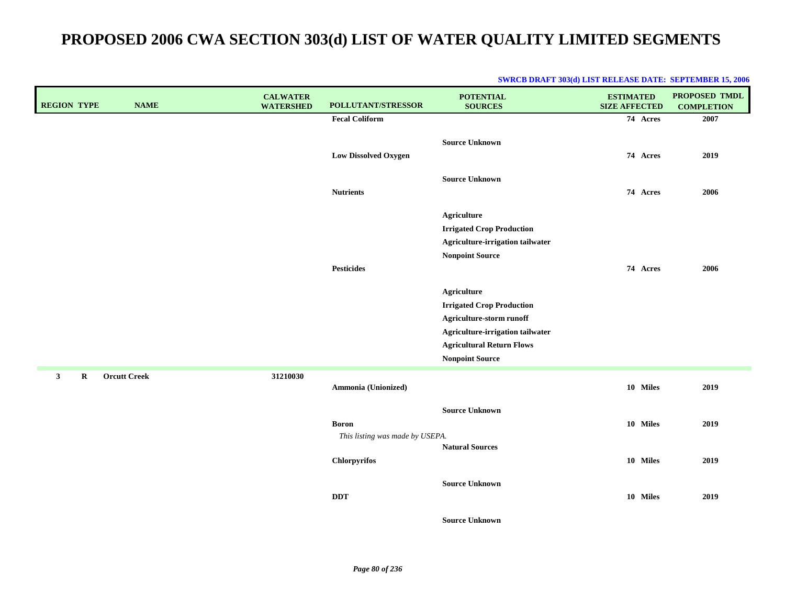| <b>REGION TYPE</b>          | <b>NAME</b>         | <b>CALWATER</b><br><b>WATERSHED</b> | POLLUTANT/STRESSOR                              | <b>POTENTIAL</b><br><b>SOURCES</b>                                                                                                                                                                                                                                                 | <b>ESTIMATED</b><br><b>SIZE AFFECTED</b> | <b>PROPOSED TMDL</b><br><b>COMPLETION</b> |
|-----------------------------|---------------------|-------------------------------------|-------------------------------------------------|------------------------------------------------------------------------------------------------------------------------------------------------------------------------------------------------------------------------------------------------------------------------------------|------------------------------------------|-------------------------------------------|
|                             |                     |                                     | <b>Fecal Coliform</b>                           |                                                                                                                                                                                                                                                                                    | 74 Acres                                 | 2007                                      |
|                             |                     |                                     | <b>Low Dissolved Oxygen</b>                     | <b>Source Unknown</b>                                                                                                                                                                                                                                                              | 74 Acres                                 | 2019                                      |
|                             |                     |                                     | <b>Nutrients</b>                                | <b>Source Unknown</b>                                                                                                                                                                                                                                                              | 74 Acres                                 | 2006                                      |
|                             |                     |                                     | <b>Pesticides</b>                               | <b>Agriculture</b><br><b>Irrigated Crop Production</b><br>Agriculture-irrigation tailwater<br><b>Nonpoint Source</b><br><b>Agriculture</b><br><b>Irrigated Crop Production</b><br>Agriculture-storm runoff<br>Agriculture-irrigation tailwater<br><b>Agricultural Return Flows</b> | 74 Acres                                 | 2006                                      |
|                             |                     |                                     |                                                 | <b>Nonpoint Source</b>                                                                                                                                                                                                                                                             |                                          |                                           |
| $\mathbf{3}$<br>$\mathbf R$ | <b>Orcutt Creek</b> | 31210030                            | Ammonia (Unionized)                             |                                                                                                                                                                                                                                                                                    | 10 Miles                                 | 2019                                      |
|                             |                     |                                     | <b>Boron</b><br>This listing was made by USEPA. | <b>Source Unknown</b>                                                                                                                                                                                                                                                              | 10 Miles                                 | 2019                                      |
|                             |                     |                                     | <b>Chlorpyrifos</b>                             | <b>Natural Sources</b>                                                                                                                                                                                                                                                             | 10 Miles                                 | 2019                                      |
|                             |                     |                                     | <b>DDT</b>                                      | <b>Source Unknown</b>                                                                                                                                                                                                                                                              | 10 Miles                                 | 2019                                      |
|                             |                     |                                     |                                                 | <b>Source Unknown</b>                                                                                                                                                                                                                                                              |                                          |                                           |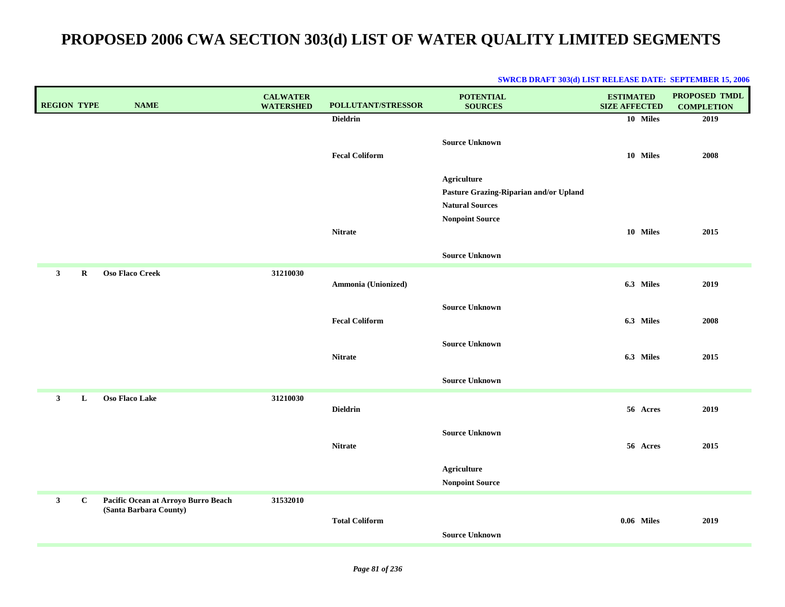| <b>REGION TYPE</b> |              | <b>NAME</b>                                                   | <b>CALWATER</b><br><b>WATERSHED</b> | POLLUTANT/STRESSOR    | <b>POTENTIAL</b><br><b>SOURCES</b>     | <b>ESTIMATED</b><br><b>SIZE AFFECTED</b> | <b>PROPOSED TMDL</b><br><b>COMPLETION</b> |
|--------------------|--------------|---------------------------------------------------------------|-------------------------------------|-----------------------|----------------------------------------|------------------------------------------|-------------------------------------------|
|                    |              |                                                               |                                     | <b>Dieldrin</b>       |                                        | 10 Miles                                 | 2019                                      |
|                    |              |                                                               |                                     | <b>Fecal Coliform</b> | <b>Source Unknown</b>                  | 10 Miles                                 | 2008                                      |
|                    |              |                                                               |                                     |                       | Agriculture                            |                                          |                                           |
|                    |              |                                                               |                                     |                       | Pasture Grazing-Riparian and/or Upland |                                          |                                           |
|                    |              |                                                               |                                     |                       | <b>Natural Sources</b>                 |                                          |                                           |
|                    |              |                                                               |                                     | <b>Nitrate</b>        | <b>Nonpoint Source</b>                 | 10 Miles                                 | 2015                                      |
|                    |              |                                                               |                                     |                       |                                        |                                          |                                           |
|                    |              |                                                               |                                     |                       | <b>Source Unknown</b>                  |                                          |                                           |
| $\mathbf{3}$       | $\bf R$      | Oso Flaco Creek                                               | 31210030                            | Ammonia (Unionized)   |                                        | 6.3 Miles                                | 2019                                      |
|                    |              |                                                               |                                     | <b>Fecal Coliform</b> | <b>Source Unknown</b>                  | 6.3 Miles                                | 2008                                      |
|                    |              |                                                               |                                     | <b>Nitrate</b>        | <b>Source Unknown</b>                  | 6.3 Miles                                | 2015                                      |
|                    |              |                                                               |                                     |                       | <b>Source Unknown</b>                  |                                          |                                           |
| $\mathbf{3}$       | L            | Oso Flaco Lake                                                | 31210030                            | <b>Dieldrin</b>       |                                        | 56 Acres                                 | 2019                                      |
|                    |              |                                                               |                                     | <b>Nitrate</b>        | <b>Source Unknown</b>                  | 56 Acres                                 | 2015                                      |
|                    |              |                                                               |                                     |                       | Agriculture<br><b>Nonpoint Source</b>  |                                          |                                           |
| $\mathbf{3}$       | $\mathbf{C}$ | Pacific Ocean at Arroyo Burro Beach<br>(Santa Barbara County) | 31532010                            | <b>Total Coliform</b> | <b>Source Unknown</b>                  | 0.06 Miles                               | 2019                                      |
|                    |              |                                                               |                                     |                       |                                        |                                          |                                           |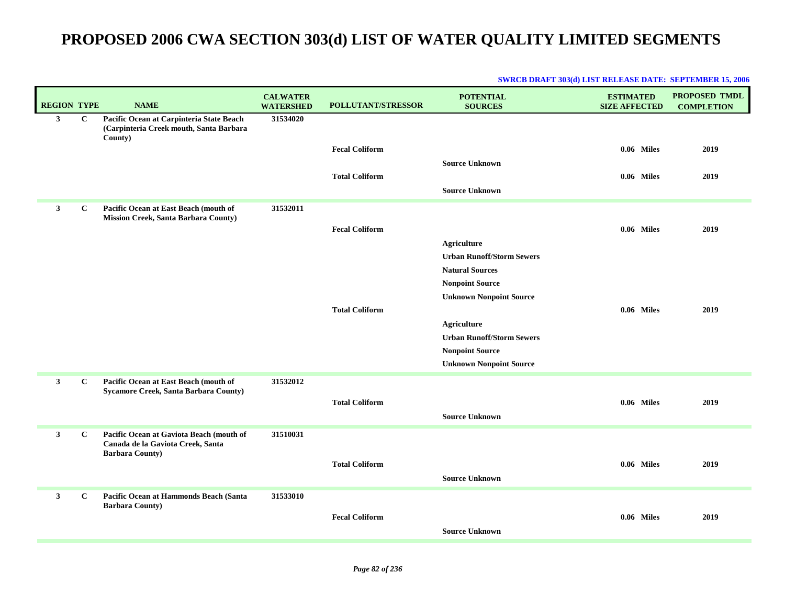| <b>REGION TYPE</b> |              | <b>NAME</b>                                                                                             | <b>CALWATER</b><br><b>WATERSHED</b> | <b>POLLUTANT/STRESSOR</b>                      | <b>POTENTIAL</b><br><b>SOURCES</b>                                                                                                                                 | <b>ESTIMATED</b><br><b>SIZE AFFECTED</b> | <b>PROPOSED TMDL</b><br><b>COMPLETION</b> |
|--------------------|--------------|---------------------------------------------------------------------------------------------------------|-------------------------------------|------------------------------------------------|--------------------------------------------------------------------------------------------------------------------------------------------------------------------|------------------------------------------|-------------------------------------------|
| $\mathbf{3}$       | $\mathbf{C}$ | Pacific Ocean at Carpinteria State Beach<br>(Carpinteria Creek mouth, Santa Barbara<br>County)          | 31534020                            | <b>Fecal Coliform</b>                          |                                                                                                                                                                    | 0.06 Miles                               | 2019                                      |
|                    |              |                                                                                                         |                                     | <b>Total Coliform</b>                          | <b>Source Unknown</b><br><b>Source Unknown</b>                                                                                                                     | $0.06$ Miles                             | 2019                                      |
| $\mathbf{3}$       | $\mathbf{C}$ | Pacific Ocean at East Beach (mouth of<br><b>Mission Creek, Santa Barbara County)</b>                    | 31532011                            |                                                |                                                                                                                                                                    |                                          |                                           |
|                    |              |                                                                                                         |                                     | <b>Fecal Coliform</b><br><b>Total Coliform</b> | <b>Agriculture</b><br><b>Urban Runoff/Storm Sewers</b><br><b>Natural Sources</b><br><b>Nonpoint Source</b><br><b>Unknown Nonpoint Source</b><br><b>Agriculture</b> | 0.06 Miles<br>0.06 Miles                 | 2019<br>2019                              |
|                    |              |                                                                                                         |                                     |                                                | <b>Urban Runoff/Storm Sewers</b><br><b>Nonpoint Source</b><br><b>Unknown Nonpoint Source</b>                                                                       |                                          |                                           |
| $\mathbf{3}$       | $\mathbf C$  | Pacific Ocean at East Beach (mouth of<br>Sycamore Creek, Santa Barbara County)                          | 31532012                            | <b>Total Coliform</b>                          | <b>Source Unknown</b>                                                                                                                                              | 0.06 Miles                               | 2019                                      |
| $\mathbf{3}$       | $\mathbf{C}$ | Pacific Ocean at Gaviota Beach (mouth of<br>Canada de la Gaviota Creek, Santa<br><b>Barbara County)</b> | 31510031                            | <b>Total Coliform</b>                          | <b>Source Unknown</b>                                                                                                                                              | 0.06 Miles                               | 2019                                      |
| 3                  | $\mathbf{C}$ | Pacific Ocean at Hammonds Beach (Santa<br><b>Barbara County)</b>                                        | 31533010                            | <b>Fecal Coliform</b>                          | <b>Source Unknown</b>                                                                                                                                              | 0.06 Miles                               | 2019                                      |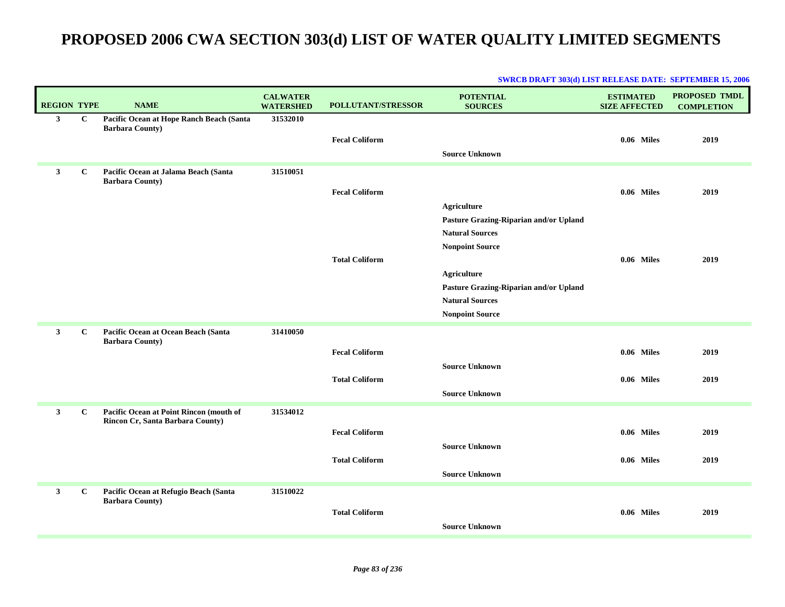| <b>REGION TYPE</b> |              | <b>NAME</b>                                                                 | <b>CALWATER</b><br><b>WATERSHED</b> | POLLUTANT/STRESSOR    | <b>POTENTIAL</b><br><b>SOURCES</b>     | <b>ESTIMATED</b><br><b>SIZE AFFECTED</b> | PROPOSED TMDL<br><b>COMPLETION</b> |
|--------------------|--------------|-----------------------------------------------------------------------------|-------------------------------------|-----------------------|----------------------------------------|------------------------------------------|------------------------------------|
| $\mathbf{3}$       | $\mathbf{C}$ | Pacific Ocean at Hope Ranch Beach (Santa<br><b>Barbara County)</b>          | 31532010                            | <b>Fecal Coliform</b> | <b>Source Unknown</b>                  | 0.06 Miles                               | 2019                               |
| $\mathbf{3}$       | $\mathbf C$  | Pacific Ocean at Jalama Beach (Santa<br><b>Barbara County)</b>              | 31510051                            |                       |                                        |                                          |                                    |
|                    |              |                                                                             |                                     | <b>Fecal Coliform</b> |                                        | 0.06 Miles                               | 2019                               |
|                    |              |                                                                             |                                     |                       | <b>Agriculture</b>                     |                                          |                                    |
|                    |              |                                                                             |                                     |                       | Pasture Grazing-Riparian and/or Upland |                                          |                                    |
|                    |              |                                                                             |                                     |                       | <b>Natural Sources</b>                 |                                          |                                    |
|                    |              |                                                                             |                                     |                       | <b>Nonpoint Source</b>                 |                                          |                                    |
|                    |              |                                                                             |                                     | <b>Total Coliform</b> |                                        | 0.06 Miles                               | 2019                               |
|                    |              |                                                                             |                                     |                       | <b>Agriculture</b>                     |                                          |                                    |
|                    |              |                                                                             |                                     |                       | Pasture Grazing-Riparian and/or Upland |                                          |                                    |
|                    |              |                                                                             |                                     |                       | <b>Natural Sources</b>                 |                                          |                                    |
|                    |              |                                                                             |                                     |                       | <b>Nonpoint Source</b>                 |                                          |                                    |
| $\mathbf{3}$       | $\mathbf C$  | Pacific Ocean at Ocean Beach (Santa<br><b>Barbara County)</b>               | 31410050                            |                       |                                        |                                          |                                    |
|                    |              |                                                                             |                                     | <b>Fecal Coliform</b> |                                        | 0.06 Miles                               | 2019                               |
|                    |              |                                                                             |                                     |                       | <b>Source Unknown</b>                  |                                          |                                    |
|                    |              |                                                                             |                                     | <b>Total Coliform</b> |                                        | 0.06 Miles                               | 2019                               |
|                    |              |                                                                             |                                     |                       | <b>Source Unknown</b>                  |                                          |                                    |
| $\mathbf{3}$       | $\mathbf{C}$ | Pacific Ocean at Point Rincon (mouth of<br>Rincon Cr, Santa Barbara County) | 31534012                            |                       |                                        |                                          |                                    |
|                    |              |                                                                             |                                     | <b>Fecal Coliform</b> |                                        | 0.06 Miles                               | 2019                               |
|                    |              |                                                                             |                                     |                       | <b>Source Unknown</b>                  |                                          |                                    |
|                    |              |                                                                             |                                     | <b>Total Coliform</b> |                                        | 0.06 Miles                               | 2019                               |
|                    |              |                                                                             |                                     |                       | <b>Source Unknown</b>                  |                                          |                                    |
| $\mathbf{3}$       | $\bf C$      | Pacific Ocean at Refugio Beach (Santa<br><b>Barbara County)</b>             | 31510022                            |                       |                                        |                                          |                                    |
|                    |              |                                                                             |                                     | <b>Total Coliform</b> |                                        | 0.06 Miles                               | 2019                               |
|                    |              |                                                                             |                                     |                       | <b>Source Unknown</b>                  |                                          |                                    |
|                    |              |                                                                             |                                     |                       |                                        |                                          |                                    |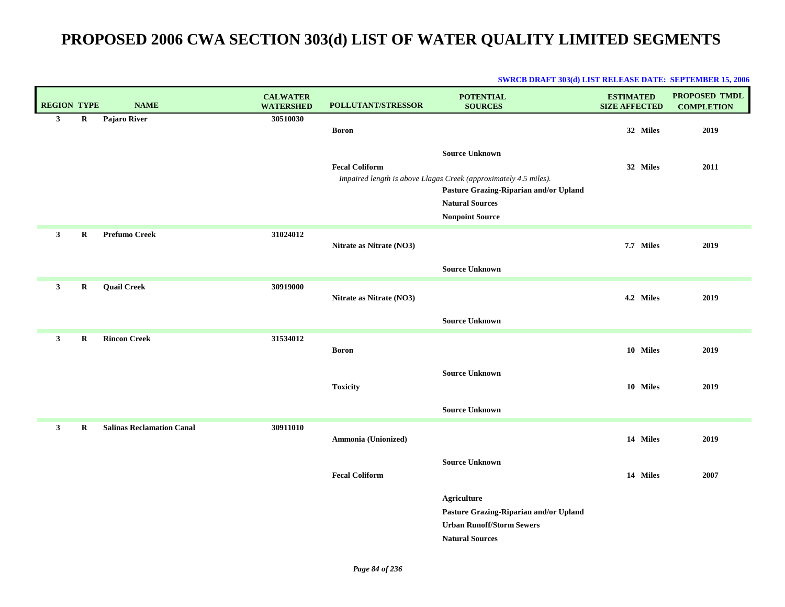|                    |             |                                  | <b>CALWATER</b>  |                          | D'URCD DRII I 909(U) DIO I REEERDE DITTE, OEI TERIDER IS, 2000<br><b>POTENTIAL</b> | <b>ESTIMATED</b>     | PROPOSED TMDL     |
|--------------------|-------------|----------------------------------|------------------|--------------------------|------------------------------------------------------------------------------------|----------------------|-------------------|
| <b>REGION TYPE</b> |             | <b>NAME</b>                      | <b>WATERSHED</b> | POLLUTANT/STRESSOR       | <b>SOURCES</b>                                                                     | <b>SIZE AFFECTED</b> | <b>COMPLETION</b> |
| $\mathbf{3}$       | $\bf R$     | Pajaro River                     | 30510030         |                          |                                                                                    |                      |                   |
|                    |             |                                  |                  | <b>Boron</b>             |                                                                                    | 32 Miles             | 2019              |
|                    |             |                                  |                  |                          | <b>Source Unknown</b>                                                              |                      |                   |
|                    |             |                                  |                  | <b>Fecal Coliform</b>    |                                                                                    | 32 Miles             | 2011              |
|                    |             |                                  |                  |                          | Impaired length is above Llagas Creek (approximately 4.5 miles).                   |                      |                   |
|                    |             |                                  |                  |                          | Pasture Grazing-Riparian and/or Upland<br><b>Natural Sources</b>                   |                      |                   |
|                    |             |                                  |                  |                          | <b>Nonpoint Source</b>                                                             |                      |                   |
|                    |             |                                  |                  |                          |                                                                                    |                      |                   |
| $\mathbf{3}$       | $\bf R$     | <b>Prefumo Creek</b>             | 31024012         | Nitrate as Nitrate (NO3) |                                                                                    | 7.7 Miles            | 2019              |
|                    |             |                                  |                  |                          |                                                                                    |                      |                   |
|                    |             |                                  |                  |                          | <b>Source Unknown</b>                                                              |                      |                   |
| 3                  | $\mathbf R$ | <b>Quail Creek</b>               | 30919000         |                          |                                                                                    |                      |                   |
|                    |             |                                  |                  | Nitrate as Nitrate (NO3) |                                                                                    | 4.2 Miles            | 2019              |
|                    |             |                                  |                  |                          | <b>Source Unknown</b>                                                              |                      |                   |
|                    |             | <b>Rincon Creek</b>              | 31534012         |                          |                                                                                    |                      |                   |
| 3                  | R           |                                  |                  | <b>Boron</b>             |                                                                                    | 10 Miles             | 2019              |
|                    |             |                                  |                  |                          |                                                                                    |                      |                   |
|                    |             |                                  |                  |                          | <b>Source Unknown</b>                                                              |                      |                   |
|                    |             |                                  |                  | <b>Toxicity</b>          |                                                                                    | 10 Miles             | 2019              |
|                    |             |                                  |                  |                          | <b>Source Unknown</b>                                                              |                      |                   |
| 3 <sup>1</sup>     | R           | <b>Salinas Reclamation Canal</b> | 30911010         |                          |                                                                                    |                      |                   |
|                    |             |                                  |                  | Ammonia (Unionized)      |                                                                                    | 14 Miles             | 2019              |
|                    |             |                                  |                  |                          |                                                                                    |                      |                   |
|                    |             |                                  |                  |                          | <b>Source Unknown</b>                                                              |                      |                   |
|                    |             |                                  |                  | <b>Fecal Coliform</b>    |                                                                                    | 14 Miles             | 2007              |
|                    |             |                                  |                  |                          | <b>Agriculture</b>                                                                 |                      |                   |
|                    |             |                                  |                  |                          | Pasture Grazing-Riparian and/or Upland                                             |                      |                   |
|                    |             |                                  |                  |                          | <b>Urban Runoff/Storm Sewers</b>                                                   |                      |                   |
|                    |             |                                  |                  |                          | <b>Natural Sources</b>                                                             |                      |                   |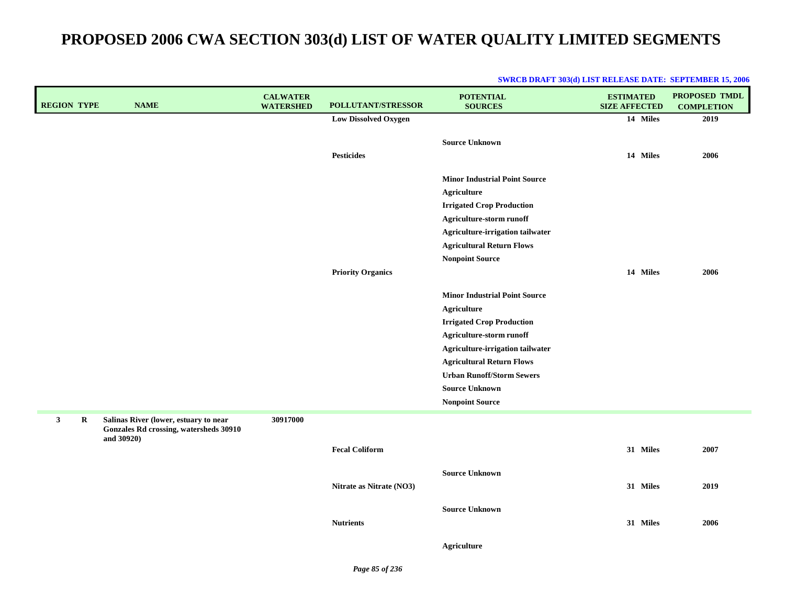| <b>REGION TYPE</b>      | <b>NAME</b>                                                                                   | <b>CALWATER</b><br><b>WATERSHED</b> | <b>POLLUTANT/STRESSOR</b>   | <b>POTENTIAL</b><br><b>SOURCES</b>                                                                                                                                                                                                                                                        | <b>ESTIMATED</b><br><b>SIZE AFFECTED</b> | <b>PROPOSED TMDL</b><br><b>COMPLETION</b> |
|-------------------------|-----------------------------------------------------------------------------------------------|-------------------------------------|-----------------------------|-------------------------------------------------------------------------------------------------------------------------------------------------------------------------------------------------------------------------------------------------------------------------------------------|------------------------------------------|-------------------------------------------|
|                         |                                                                                               |                                     | <b>Low Dissolved Oxygen</b> |                                                                                                                                                                                                                                                                                           | 14 Miles                                 | 2019                                      |
|                         |                                                                                               |                                     | <b>Pesticides</b>           | <b>Source Unknown</b>                                                                                                                                                                                                                                                                     | 14 Miles                                 | 2006                                      |
|                         |                                                                                               |                                     |                             | <b>Minor Industrial Point Source</b><br><b>Agriculture</b><br><b>Irrigated Crop Production</b><br>Agriculture-storm runoff<br>Agriculture-irrigation tailwater<br><b>Agricultural Return Flows</b>                                                                                        |                                          |                                           |
|                         |                                                                                               |                                     |                             | <b>Nonpoint Source</b>                                                                                                                                                                                                                                                                    |                                          |                                           |
|                         |                                                                                               |                                     | <b>Priority Organics</b>    | <b>Minor Industrial Point Source</b><br><b>Agriculture</b><br><b>Irrigated Crop Production</b><br>Agriculture-storm runoff<br>Agriculture-irrigation tailwater<br><b>Agricultural Return Flows</b><br><b>Urban Runoff/Storm Sewers</b><br><b>Source Unknown</b><br><b>Nonpoint Source</b> | 14 Miles                                 | 2006                                      |
| $\mathbf{3}$<br>$\bf R$ | Salinas River (lower, estuary to near<br>Gonzales Rd crossing, watersheds 30910<br>and 30920) | 30917000                            | <b>Fecal Coliform</b>       |                                                                                                                                                                                                                                                                                           | 31 Miles                                 | 2007                                      |
|                         |                                                                                               |                                     | Nitrate as Nitrate (NO3)    | <b>Source Unknown</b>                                                                                                                                                                                                                                                                     | 31 Miles                                 | 2019                                      |
|                         |                                                                                               |                                     | <b>Nutrients</b>            | <b>Source Unknown</b>                                                                                                                                                                                                                                                                     | 31 Miles                                 | 2006                                      |
|                         |                                                                                               |                                     |                             | <b>Agriculture</b>                                                                                                                                                                                                                                                                        |                                          |                                           |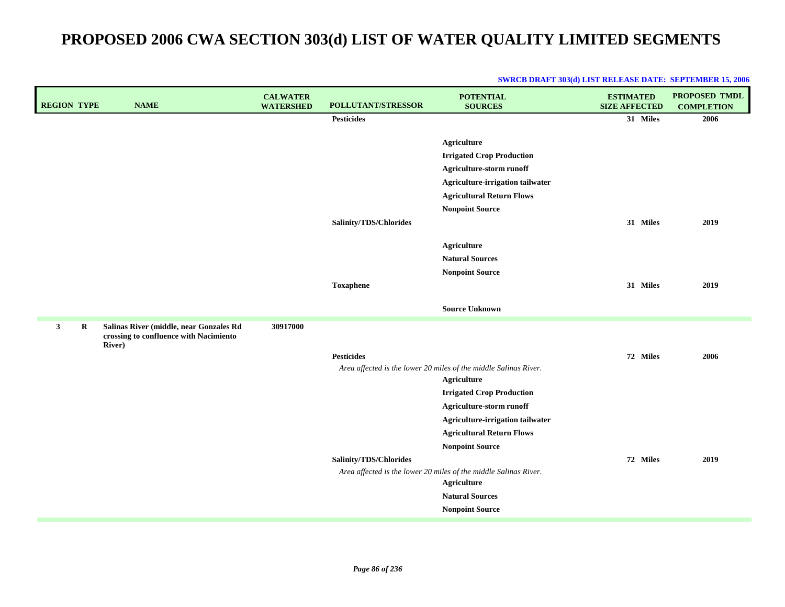| <b>REGION TYPE</b>      | <b>NAME</b>                                                                                         | <b>CALWATER</b><br><b>WATERSHED</b> | POLLUTANT/STRESSOR     | <b>POTENTIAL</b><br><b>SOURCES</b>                                                                                                         | <b>ESTIMATED</b><br><b>SIZE AFFECTED</b> | <b>PROPOSED TMDL</b><br><b>COMPLETION</b> |
|-------------------------|-----------------------------------------------------------------------------------------------------|-------------------------------------|------------------------|--------------------------------------------------------------------------------------------------------------------------------------------|------------------------------------------|-------------------------------------------|
|                         |                                                                                                     |                                     | <b>Pesticides</b>      |                                                                                                                                            | 31 Miles                                 | 2006                                      |
|                         |                                                                                                     |                                     |                        | <b>Agriculture</b><br><b>Irrigated Crop Production</b><br>Agriculture-storm runoff                                                         |                                          |                                           |
|                         |                                                                                                     |                                     |                        | Agriculture-irrigation tailwater                                                                                                           |                                          |                                           |
|                         |                                                                                                     |                                     |                        | <b>Agricultural Return Flows</b><br><b>Nonpoint Source</b>                                                                                 |                                          |                                           |
|                         |                                                                                                     |                                     | Salinity/TDS/Chlorides |                                                                                                                                            | 31 Miles                                 | 2019                                      |
|                         |                                                                                                     |                                     |                        | <b>Agriculture</b><br><b>Natural Sources</b><br><b>Nonpoint Source</b>                                                                     |                                          |                                           |
|                         |                                                                                                     |                                     | <b>Toxaphene</b>       |                                                                                                                                            | 31 Miles                                 | 2019                                      |
|                         |                                                                                                     |                                     |                        | <b>Source Unknown</b>                                                                                                                      |                                          |                                           |
| $\mathbf{3}$<br>$\bf R$ | Salinas River (middle, near Gonzales Rd<br>crossing to confluence with Nacimiento<br><b>River</b> ) | 30917000                            |                        |                                                                                                                                            |                                          |                                           |
|                         |                                                                                                     |                                     | <b>Pesticides</b>      | Area affected is the lower 20 miles of the middle Salinas River.<br><b>Agriculture</b><br><b>Irrigated Crop Production</b>                 | 72 Miles                                 | 2006                                      |
|                         |                                                                                                     |                                     |                        | Agriculture-storm runoff                                                                                                                   |                                          |                                           |
|                         |                                                                                                     |                                     |                        | Agriculture-irrigation tailwater                                                                                                           |                                          |                                           |
|                         |                                                                                                     |                                     |                        | <b>Agricultural Return Flows</b><br><b>Nonpoint Source</b>                                                                                 |                                          |                                           |
|                         |                                                                                                     |                                     | Salinity/TDS/Chlorides | Area affected is the lower 20 miles of the middle Salinas River.<br><b>Agriculture</b><br><b>Natural Sources</b><br><b>Nonpoint Source</b> | 72 Miles                                 | 2019                                      |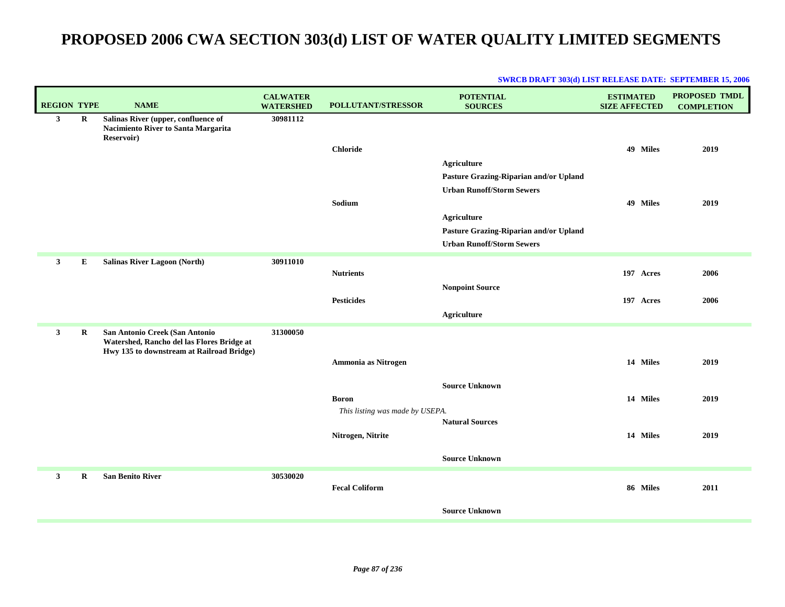| <b>REGION TYPE</b> |           | <b>NAME</b>                                                                                                               | <b>CALWATER</b><br><b>WATERSHED</b> | POLLUTANT/STRESSOR                              | <b>POTENTIAL</b><br><b>SOURCES</b>                                                                                                                 | <b>ESTIMATED</b><br><b>SIZE AFFECTED</b> | <b>PROPOSED TMDL</b><br><b>COMPLETION</b> |
|--------------------|-----------|---------------------------------------------------------------------------------------------------------------------------|-------------------------------------|-------------------------------------------------|----------------------------------------------------------------------------------------------------------------------------------------------------|------------------------------------------|-------------------------------------------|
| 3 <sup>1</sup>     | $\bf R$   | Salinas River (upper, confluence of<br>Nacimiento River to Santa Margarita<br>Reservoir)                                  | 30981112                            | <b>Chloride</b>                                 |                                                                                                                                                    | 49 Miles                                 | 2019                                      |
|                    |           |                                                                                                                           |                                     | Sodium                                          | Agriculture<br>Pasture Grazing-Riparian and/or Upland<br><b>Urban Runoff/Storm Sewers</b><br>Agriculture<br>Pasture Grazing-Riparian and/or Upland | 49 Miles                                 | 2019                                      |
|                    |           |                                                                                                                           |                                     |                                                 | <b>Urban Runoff/Storm Sewers</b>                                                                                                                   |                                          |                                           |
| $\mathbf{3}$       | ${\bf E}$ | <b>Salinas River Lagoon (North)</b>                                                                                       | 30911010                            | <b>Nutrients</b>                                | <b>Nonpoint Source</b>                                                                                                                             | 197 Acres                                | 2006                                      |
|                    |           |                                                                                                                           |                                     | <b>Pesticides</b>                               | <b>Agriculture</b>                                                                                                                                 | 197 Acres                                | 2006                                      |
| 3 <sup>1</sup>     | $\bf R$   | San Antonio Creek (San Antonio<br>Watershed, Rancho del las Flores Bridge at<br>Hwy 135 to downstream at Railroad Bridge) | 31300050                            |                                                 |                                                                                                                                                    |                                          |                                           |
|                    |           |                                                                                                                           |                                     | Ammonia as Nitrogen                             |                                                                                                                                                    | 14 Miles                                 | 2019                                      |
|                    |           |                                                                                                                           |                                     |                                                 | <b>Source Unknown</b>                                                                                                                              |                                          |                                           |
|                    |           |                                                                                                                           |                                     | <b>Boron</b><br>This listing was made by USEPA. |                                                                                                                                                    | 14 Miles                                 | 2019                                      |
|                    |           |                                                                                                                           |                                     | Nitrogen, Nitrite                               | <b>Natural Sources</b>                                                                                                                             | 14 Miles                                 | 2019                                      |
|                    |           |                                                                                                                           |                                     |                                                 | <b>Source Unknown</b>                                                                                                                              |                                          |                                           |
| $\mathbf{3}$       | $\bf{R}$  | <b>San Benito River</b>                                                                                                   | 30530020                            | <b>Fecal Coliform</b>                           |                                                                                                                                                    | 86 Miles                                 | 2011                                      |
|                    |           |                                                                                                                           |                                     |                                                 | <b>Source Unknown</b>                                                                                                                              |                                          |                                           |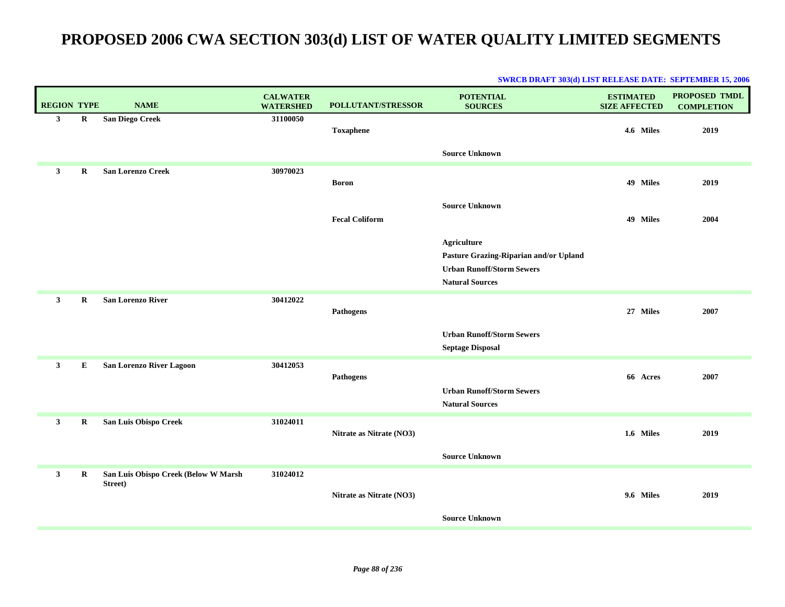| <b>REGION TYPE</b> |             | <b>NAME</b>                                     | <b>CALWATER</b><br><b>WATERSHED</b> | POLLUTANT/STRESSOR       | <b>POTENTIAL</b><br><b>SOURCES</b>                                                                                         | <b>ESTIMATED</b><br><b>SIZE AFFECTED</b> | PROPOSED TMDL<br><b>COMPLETION</b> |
|--------------------|-------------|-------------------------------------------------|-------------------------------------|--------------------------|----------------------------------------------------------------------------------------------------------------------------|------------------------------------------|------------------------------------|
| $\mathbf{3}$       | $\mathbf R$ | <b>San Diego Creek</b>                          | 31100050                            | <b>Toxaphene</b>         |                                                                                                                            | 4.6 Miles                                | 2019                               |
|                    |             |                                                 |                                     |                          | <b>Source Unknown</b>                                                                                                      |                                          |                                    |
| $\mathbf{3}$       | $\mathbf R$ | <b>San Lorenzo Creek</b>                        | 30970023                            | <b>Boron</b>             |                                                                                                                            | 49 Miles                                 | 2019                               |
|                    |             |                                                 |                                     | <b>Fecal Coliform</b>    | <b>Source Unknown</b>                                                                                                      | 49 Miles                                 | 2004                               |
|                    |             |                                                 |                                     |                          | <b>Agriculture</b><br>Pasture Grazing-Riparian and/or Upland<br><b>Urban Runoff/Storm Sewers</b><br><b>Natural Sources</b> |                                          |                                    |
| $\mathbf{3}$       | R           | <b>San Lorenzo River</b>                        | 30412022                            | Pathogens                |                                                                                                                            | 27 Miles                                 | 2007                               |
|                    |             |                                                 |                                     |                          | <b>Urban Runoff/Storm Sewers</b><br><b>Septage Disposal</b>                                                                |                                          |                                    |
| $\mathbf{3}$       | E           | San Lorenzo River Lagoon                        | 30412053                            | <b>Pathogens</b>         |                                                                                                                            | 66 Acres                                 | 2007                               |
|                    |             |                                                 |                                     |                          | <b>Urban Runoff/Storm Sewers</b><br><b>Natural Sources</b>                                                                 |                                          |                                    |
| $\mathbf{3}$       | $\mathbf R$ | San Luis Obispo Creek                           | 31024011                            | Nitrate as Nitrate (NO3) |                                                                                                                            | 1.6 Miles                                | 2019                               |
|                    |             |                                                 |                                     |                          | <b>Source Unknown</b>                                                                                                      |                                          |                                    |
| $\mathbf{3}$       | R           | San Luis Obispo Creek (Below W Marsh<br>Street) | 31024012                            | Nitrate as Nitrate (NO3) |                                                                                                                            | 9.6 Miles                                | 2019                               |
|                    |             |                                                 |                                     |                          | <b>Source Unknown</b>                                                                                                      |                                          |                                    |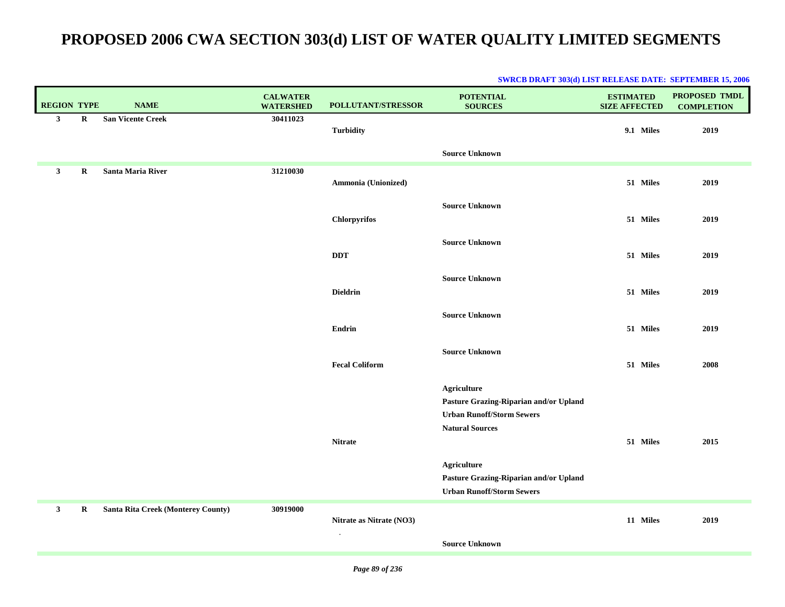| <b>REGION TYPE</b>      | <b>NAME</b>                        | <b>CALWATER</b><br><b>WATERSHED</b> | POLLUTANT/STRESSOR       | <b>POTENTIAL</b><br><b>SOURCES</b>                                                                                  | <b>ESTIMATED</b><br><b>SIZE AFFECTED</b> | <b>PROPOSED TMDL</b><br><b>COMPLETION</b> |
|-------------------------|------------------------------------|-------------------------------------|--------------------------|---------------------------------------------------------------------------------------------------------------------|------------------------------------------|-------------------------------------------|
| $\mathbf{3}$<br>R       | <b>San Vicente Creek</b>           | 30411023                            | <b>Turbidity</b>         |                                                                                                                     | 9.1 Miles                                | 2019                                      |
|                         |                                    |                                     |                          | <b>Source Unknown</b>                                                                                               |                                          |                                           |
| $\mathbf{3}$<br>$\bf R$ | Santa Maria River                  | 31210030                            | Ammonia (Unionized)      |                                                                                                                     | 51 Miles                                 | 2019                                      |
|                         |                                    |                                     | <b>Chlorpyrifos</b>      | <b>Source Unknown</b>                                                                                               | 51 Miles                                 | 2019                                      |
|                         |                                    |                                     | <b>DDT</b>               | <b>Source Unknown</b>                                                                                               | 51 Miles                                 | 2019                                      |
|                         |                                    |                                     | <b>Dieldrin</b>          | <b>Source Unknown</b>                                                                                               |                                          |                                           |
|                         |                                    |                                     |                          | <b>Source Unknown</b>                                                                                               | 51 Miles                                 | 2019                                      |
|                         |                                    |                                     | Endrin                   |                                                                                                                     | 51 Miles                                 | 2019                                      |
|                         |                                    |                                     | <b>Fecal Coliform</b>    | <b>Source Unknown</b>                                                                                               | 51 Miles                                 | 2008                                      |
|                         |                                    |                                     |                          | Agriculture<br>Pasture Grazing-Riparian and/or Upland<br><b>Urban Runoff/Storm Sewers</b><br><b>Natural Sources</b> |                                          |                                           |
|                         |                                    |                                     | <b>Nitrate</b>           |                                                                                                                     | 51 Miles                                 | 2015                                      |
|                         |                                    |                                     |                          | <b>Agriculture</b><br>Pasture Grazing-Riparian and/or Upland<br><b>Urban Runoff/Storm Sewers</b>                    |                                          |                                           |
| $\mathbf{3}$<br>$\bf R$ | Santa Rita Creek (Monterey County) | 30919000                            | Nitrate as Nitrate (NO3) |                                                                                                                     | 11 Miles                                 | 2019                                      |
|                         |                                    |                                     |                          | <b>Source Unknown</b>                                                                                               |                                          |                                           |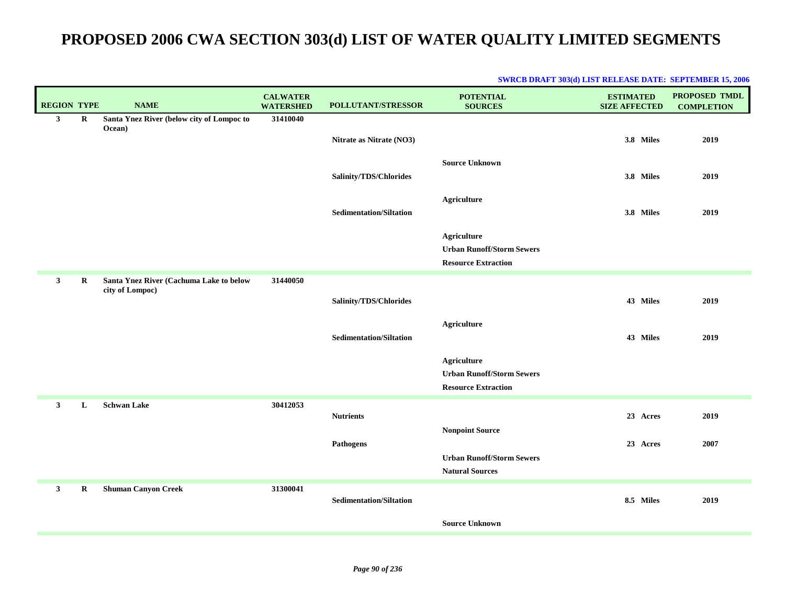| <b>REGION TYPE</b> |             | <b>NAME</b>                                                | <b>CALWATER</b><br><b>WATERSHED</b> | POLLUTANT/STRESSOR             | <b>POTENTIAL</b><br><b>SOURCES</b>                                                   | <b>ESTIMATED</b><br><b>SIZE AFFECTED</b> | PROPOSED TMDL<br><b>COMPLETION</b> |
|--------------------|-------------|------------------------------------------------------------|-------------------------------------|--------------------------------|--------------------------------------------------------------------------------------|------------------------------------------|------------------------------------|
| $\mathbf{3}$       | $\mathbf R$ | Santa Ynez River (below city of Lompoc to<br>Ocean)        | 31410040                            | Nitrate as Nitrate (NO3)       |                                                                                      | 3.8 Miles                                | 2019                               |
|                    |             |                                                            |                                     | Salinity/TDS/Chlorides         | <b>Source Unknown</b>                                                                | 3.8 Miles                                | 2019                               |
|                    |             |                                                            |                                     | <b>Sedimentation/Siltation</b> | <b>Agriculture</b>                                                                   | 3.8 Miles                                | 2019                               |
|                    |             |                                                            |                                     |                                | <b>Agriculture</b><br><b>Urban Runoff/Storm Sewers</b><br><b>Resource Extraction</b> |                                          |                                    |
| $\mathbf{3}$       | $\mathbf R$ | Santa Ynez River (Cachuma Lake to below<br>city of Lompoc) | 31440050                            | Salinity/TDS/Chlorides         |                                                                                      | 43 Miles                                 | 2019                               |
|                    |             |                                                            |                                     | <b>Sedimentation/Siltation</b> | <b>Agriculture</b>                                                                   | 43 Miles                                 | 2019                               |
|                    |             |                                                            |                                     |                                | <b>Agriculture</b><br><b>Urban Runoff/Storm Sewers</b><br><b>Resource Extraction</b> |                                          |                                    |
| $\mathbf{3}$       | L           | <b>Schwan Lake</b>                                         | 30412053                            | <b>Nutrients</b>               | <b>Nonpoint Source</b>                                                               | 23 Acres                                 | 2019                               |
|                    |             |                                                            |                                     | Pathogens                      | <b>Urban Runoff/Storm Sewers</b><br><b>Natural Sources</b>                           | 23 Acres                                 | 2007                               |
| $\mathbf{3}$       | $\bf R$     | <b>Shuman Canyon Creek</b>                                 | 31300041                            | <b>Sedimentation/Siltation</b> |                                                                                      | 8.5 Miles                                | 2019                               |
|                    |             |                                                            |                                     |                                | <b>Source Unknown</b>                                                                |                                          |                                    |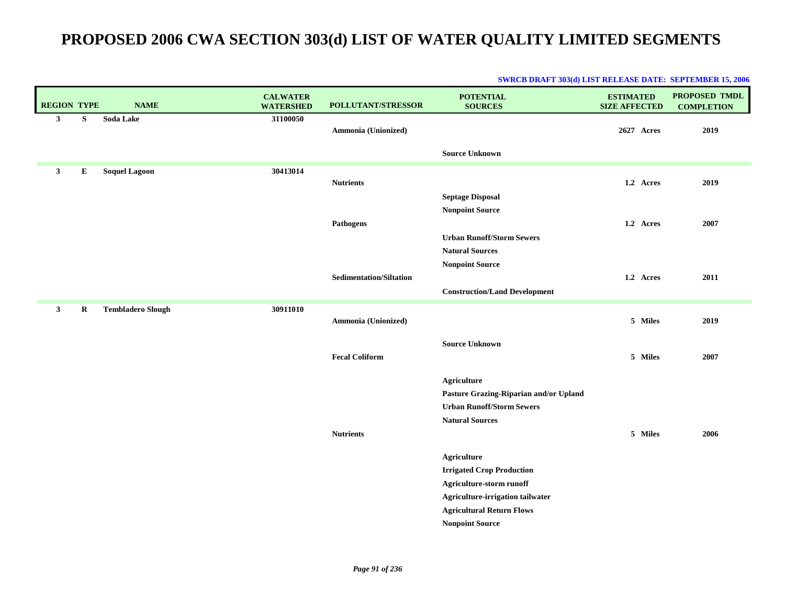| <b>REGION TYPE</b> |   | <b>NAME</b>              | <b>CALWATER</b><br><b>WATERSHED</b> | POLLUTANT/STRESSOR             | <b>POTENTIAL</b><br><b>SOURCES</b>                | <b>ESTIMATED</b><br><b>SIZE AFFECTED</b> | PROPOSED TMDL<br><b>COMPLETION</b> |
|--------------------|---|--------------------------|-------------------------------------|--------------------------------|---------------------------------------------------|------------------------------------------|------------------------------------|
| $\mathbf{3}$       | S | Soda Lake                | 31100050                            | Ammonia (Unionized)            |                                                   | 2627 Acres                               | 2019                               |
|                    |   |                          |                                     |                                | <b>Source Unknown</b>                             |                                          |                                    |
| $\mathbf{3}$       | Е | <b>Soquel Lagoon</b>     | 30413014                            |                                |                                                   |                                          |                                    |
|                    |   |                          |                                     | <b>Nutrients</b>               |                                                   | 1.2 Acres                                | 2019                               |
|                    |   |                          |                                     |                                | <b>Septage Disposal</b><br><b>Nonpoint Source</b> |                                          |                                    |
|                    |   |                          |                                     | <b>Pathogens</b>               |                                                   | 1.2 Acres                                | 2007                               |
|                    |   |                          |                                     |                                | <b>Urban Runoff/Storm Sewers</b>                  |                                          |                                    |
|                    |   |                          |                                     |                                | <b>Natural Sources</b>                            |                                          |                                    |
|                    |   |                          |                                     |                                | <b>Nonpoint Source</b>                            |                                          |                                    |
|                    |   |                          |                                     | <b>Sedimentation/Siltation</b> |                                                   | 1.2 Acres                                | 2011                               |
|                    |   |                          |                                     |                                | <b>Construction/Land Development</b>              |                                          |                                    |
| $\mathbf{3}$       | R | <b>Tembladero Slough</b> | 30911010                            |                                |                                                   |                                          |                                    |
|                    |   |                          |                                     | Ammonia (Unionized)            |                                                   | 5 Miles                                  | 2019                               |
|                    |   |                          |                                     |                                | <b>Source Unknown</b>                             |                                          |                                    |
|                    |   |                          |                                     | <b>Fecal Coliform</b>          |                                                   | 5 Miles                                  | 2007                               |
|                    |   |                          |                                     |                                |                                                   |                                          |                                    |
|                    |   |                          |                                     |                                | <b>Agriculture</b>                                |                                          |                                    |
|                    |   |                          |                                     |                                | Pasture Grazing-Riparian and/or Upland            |                                          |                                    |
|                    |   |                          |                                     |                                | <b>Urban Runoff/Storm Sewers</b>                  |                                          |                                    |
|                    |   |                          |                                     |                                | <b>Natural Sources</b>                            |                                          |                                    |
|                    |   |                          |                                     | <b>Nutrients</b>               |                                                   | 5 Miles                                  | 2006                               |
|                    |   |                          |                                     |                                | <b>Agriculture</b>                                |                                          |                                    |
|                    |   |                          |                                     |                                | <b>Irrigated Crop Production</b>                  |                                          |                                    |
|                    |   |                          |                                     |                                | Agriculture-storm runoff                          |                                          |                                    |
|                    |   |                          |                                     |                                | Agriculture-irrigation tailwater                  |                                          |                                    |
|                    |   |                          |                                     |                                | <b>Agricultural Return Flows</b>                  |                                          |                                    |
|                    |   |                          |                                     |                                | <b>Nonpoint Source</b>                            |                                          |                                    |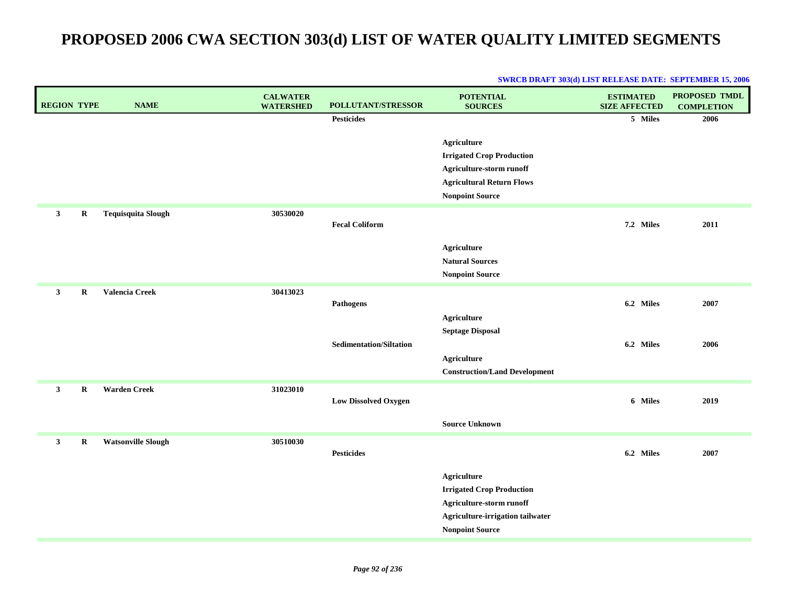| <b>REGION TYPE</b>          | <b>NAME</b>               | <b>CALWATER</b><br><b>WATERSHED</b> | POLLUTANT/STRESSOR             | <b>POTENTIAL</b><br><b>SOURCES</b>                         | <b>ESTIMATED</b><br><b>SIZE AFFECTED</b> | PROPOSED TMDL<br><b>COMPLETION</b> |
|-----------------------------|---------------------------|-------------------------------------|--------------------------------|------------------------------------------------------------|------------------------------------------|------------------------------------|
|                             |                           |                                     | <b>Pesticides</b>              |                                                            | 5 Miles                                  | 2006                               |
|                             |                           |                                     |                                | <b>Agriculture</b>                                         |                                          |                                    |
|                             |                           |                                     |                                | <b>Irrigated Crop Production</b>                           |                                          |                                    |
|                             |                           |                                     |                                | Agriculture-storm runoff                                   |                                          |                                    |
|                             |                           |                                     |                                | <b>Agricultural Return Flows</b>                           |                                          |                                    |
|                             |                           |                                     |                                | <b>Nonpoint Source</b>                                     |                                          |                                    |
| $\mathbf{3}$<br>R           | <b>Tequisquita Slough</b> | 30530020                            |                                |                                                            |                                          |                                    |
|                             |                           |                                     | <b>Fecal Coliform</b>          |                                                            | 7.2 Miles                                | 2011                               |
|                             |                           |                                     |                                | <b>Agriculture</b>                                         |                                          |                                    |
|                             |                           |                                     |                                | <b>Natural Sources</b>                                     |                                          |                                    |
|                             |                           |                                     |                                | <b>Nonpoint Source</b>                                     |                                          |                                    |
| $\mathbf{3}$<br>R           | Valencia Creek            | 30413023                            |                                |                                                            |                                          |                                    |
|                             |                           |                                     | <b>Pathogens</b>               |                                                            | 6.2 Miles                                | 2007                               |
|                             |                           |                                     |                                | <b>Agriculture</b>                                         |                                          |                                    |
|                             |                           |                                     |                                | <b>Septage Disposal</b>                                    |                                          |                                    |
|                             |                           |                                     | <b>Sedimentation/Siltation</b> |                                                            | 6.2 Miles                                | 2006                               |
|                             |                           |                                     |                                | <b>Agriculture</b>                                         |                                          |                                    |
|                             |                           |                                     |                                | <b>Construction/Land Development</b>                       |                                          |                                    |
| $\mathbf{3}$<br>$\mathbf R$ | <b>Warden Creek</b>       | 31023010                            |                                |                                                            |                                          |                                    |
|                             |                           |                                     | <b>Low Dissolved Oxygen</b>    |                                                            | 6 Miles                                  | 2019                               |
|                             |                           |                                     |                                | <b>Source Unknown</b>                                      |                                          |                                    |
| $\mathbf{3}$<br>R           | <b>Watsonville Slough</b> | 30510030                            |                                |                                                            |                                          |                                    |
|                             |                           |                                     | <b>Pesticides</b>              |                                                            | 6.2 Miles                                | 2007                               |
|                             |                           |                                     |                                |                                                            |                                          |                                    |
|                             |                           |                                     |                                | <b>Agriculture</b>                                         |                                          |                                    |
|                             |                           |                                     |                                | <b>Irrigated Crop Production</b>                           |                                          |                                    |
|                             |                           |                                     |                                | Agriculture-storm runoff                                   |                                          |                                    |
|                             |                           |                                     |                                | Agriculture-irrigation tailwater<br><b>Nonpoint Source</b> |                                          |                                    |
|                             |                           |                                     |                                |                                                            |                                          |                                    |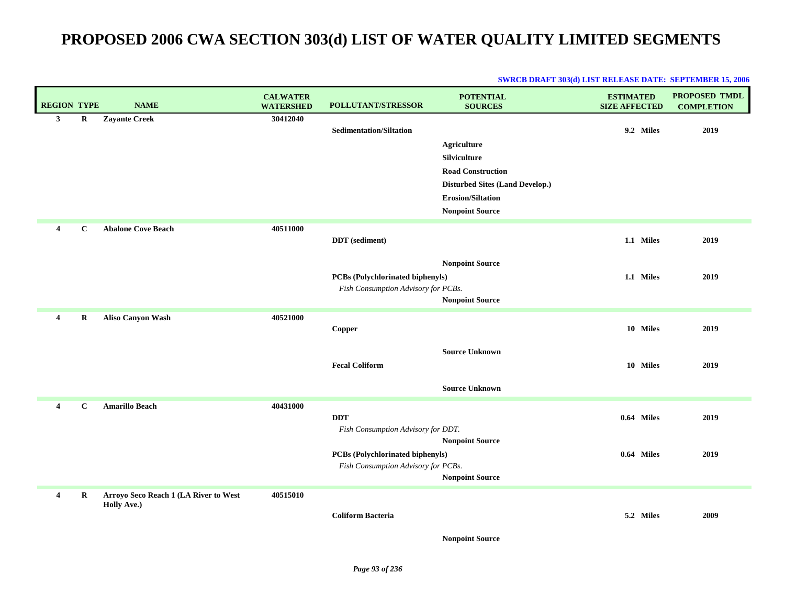| <b>REGION TYPE</b> |              | <b>NAME</b>                           | <b>CALWATER</b><br><b>WATERSHED</b> | POLLUTANT/STRESSOR                  | <b>POTENTIAL</b><br><b>SOURCES</b>                          | <b>ESTIMATED</b><br><b>SIZE AFFECTED</b> | PROPOSED TMDL<br><b>COMPLETION</b> |
|--------------------|--------------|---------------------------------------|-------------------------------------|-------------------------------------|-------------------------------------------------------------|------------------------------------------|------------------------------------|
| $\mathbf{3}$       | $\mathbf R$  | <b>Zayante Creek</b>                  | 30412040                            |                                     |                                                             |                                          |                                    |
|                    |              |                                       |                                     | <b>Sedimentation/Siltation</b>      |                                                             | 9.2 Miles                                | 2019                               |
|                    |              |                                       |                                     |                                     | <b>Agriculture</b>                                          |                                          |                                    |
|                    |              |                                       |                                     |                                     | <b>Silviculture</b>                                         |                                          |                                    |
|                    |              |                                       |                                     |                                     | <b>Road Construction</b>                                    |                                          |                                    |
|                    |              |                                       |                                     |                                     | <b>Disturbed Sites (Land Develop.)</b><br>Erosion/Siltation |                                          |                                    |
|                    |              |                                       |                                     |                                     | <b>Nonpoint Source</b>                                      |                                          |                                    |
|                    |              |                                       |                                     |                                     |                                                             |                                          |                                    |
| $\overline{4}$     | $\mathbf{C}$ | <b>Abalone Cove Beach</b>             | 40511000                            | <b>DDT</b> (sediment)               |                                                             | 1.1 Miles                                | 2019                               |
|                    |              |                                       |                                     |                                     |                                                             |                                          |                                    |
|                    |              |                                       |                                     |                                     | <b>Nonpoint Source</b>                                      |                                          |                                    |
|                    |              |                                       |                                     | PCBs (Polychlorinated biphenyls)    |                                                             | 1.1 Miles                                | 2019                               |
|                    |              |                                       |                                     | Fish Consumption Advisory for PCBs. |                                                             |                                          |                                    |
|                    |              |                                       |                                     |                                     | <b>Nonpoint Source</b>                                      |                                          |                                    |
| 4                  | R            | <b>Aliso Canyon Wash</b>              | 40521000                            |                                     |                                                             |                                          |                                    |
|                    |              |                                       |                                     | Copper                              |                                                             | 10 Miles                                 | 2019                               |
|                    |              |                                       |                                     |                                     | <b>Source Unknown</b>                                       |                                          |                                    |
|                    |              |                                       |                                     | <b>Fecal Coliform</b>               |                                                             | 10 Miles                                 | 2019                               |
|                    |              |                                       |                                     |                                     |                                                             |                                          |                                    |
|                    |              |                                       |                                     |                                     | <b>Source Unknown</b>                                       |                                          |                                    |
| $\overline{4}$     | $\mathbf{C}$ | <b>Amarillo Beach</b>                 | 40431000                            |                                     |                                                             |                                          |                                    |
|                    |              |                                       |                                     | <b>DDT</b>                          |                                                             | 0.64 Miles                               | 2019                               |
|                    |              |                                       |                                     | Fish Consumption Advisory for DDT.  |                                                             |                                          |                                    |
|                    |              |                                       |                                     | PCBs (Polychlorinated biphenyls)    | <b>Nonpoint Source</b>                                      | 0.64 Miles                               | 2019                               |
|                    |              |                                       |                                     | Fish Consumption Advisory for PCBs. |                                                             |                                          |                                    |
|                    |              |                                       |                                     |                                     | <b>Nonpoint Source</b>                                      |                                          |                                    |
| 4                  | R            | Arroyo Seco Reach 1 (LA River to West | 40515010                            |                                     |                                                             |                                          |                                    |
|                    |              | Holly Ave.)                           |                                     |                                     |                                                             |                                          |                                    |
|                    |              |                                       |                                     | <b>Coliform Bacteria</b>            |                                                             | 5.2 Miles                                | 2009                               |
|                    |              |                                       |                                     |                                     | <b>Nonpoint Source</b>                                      |                                          |                                    |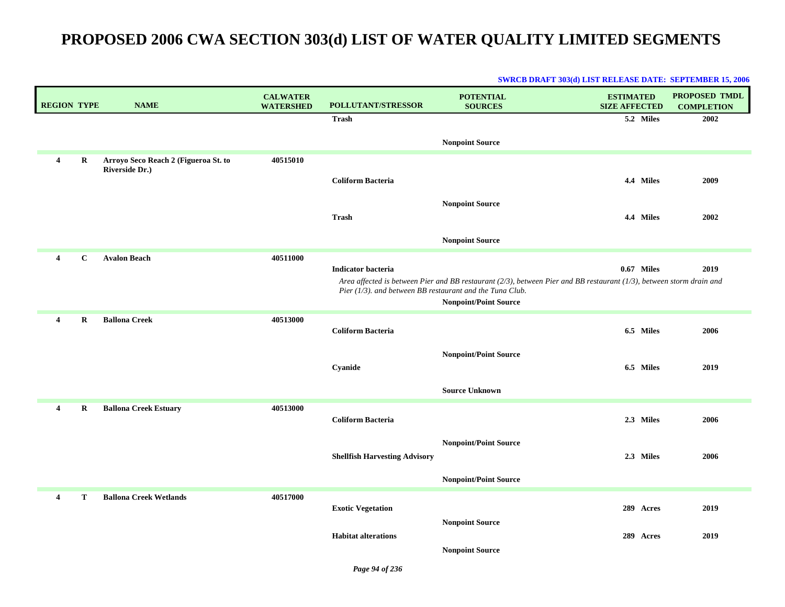| <b>REGION TYPE</b>      |             | <b>NAME</b>                                            | <b>CALWATER</b><br><b>WATERSHED</b> | POLLUTANT/STRESSOR                                       | <b>POTENTIAL</b><br><b>SOURCES</b>                                                                                           | <b>ESTIMATED</b><br><b>SIZE AFFECTED</b> | PROPOSED TMDL<br><b>COMPLETION</b> |
|-------------------------|-------------|--------------------------------------------------------|-------------------------------------|----------------------------------------------------------|------------------------------------------------------------------------------------------------------------------------------|------------------------------------------|------------------------------------|
|                         |             |                                                        |                                     | <b>Trash</b>                                             |                                                                                                                              | 5.2 Miles                                | 2002                               |
|                         |             |                                                        |                                     |                                                          | <b>Nonpoint Source</b>                                                                                                       |                                          |                                    |
| 4                       | $\mathbf R$ | Arroyo Seco Reach 2 (Figueroa St. to<br>Riverside Dr.) | 40515010                            |                                                          |                                                                                                                              |                                          |                                    |
|                         |             |                                                        |                                     | <b>Coliform Bacteria</b>                                 |                                                                                                                              | 4.4 Miles                                | 2009                               |
|                         |             |                                                        |                                     |                                                          | <b>Nonpoint Source</b>                                                                                                       |                                          |                                    |
|                         |             |                                                        |                                     | <b>Trash</b>                                             |                                                                                                                              | 4.4 Miles                                | 2002                               |
|                         |             |                                                        |                                     |                                                          | <b>Nonpoint Source</b>                                                                                                       |                                          |                                    |
| $\overline{4}$          | $\mathbf C$ | <b>Avalon Beach</b>                                    | 40511000                            |                                                          |                                                                                                                              |                                          |                                    |
|                         |             |                                                        |                                     | <b>Indicator bacteria</b>                                | Area affected is between Pier and BB restaurant ( $2/3$ ), between Pier and BB restaurant ( $1/3$ ), between storm drain and | 0.67 Miles                               | 2019                               |
|                         |             |                                                        |                                     | Pier (1/3). and between BB restaurant and the Tuna Club. | <b>Nonpoint/Point Source</b>                                                                                                 |                                          |                                    |
| $\overline{\mathbf{4}}$ | $\bf R$     | <b>Ballona Creek</b>                                   | 40513000                            |                                                          |                                                                                                                              |                                          |                                    |
|                         |             |                                                        |                                     | <b>Coliform Bacteria</b>                                 |                                                                                                                              | 6.5 Miles                                | 2006                               |
|                         |             |                                                        |                                     |                                                          | <b>Nonpoint/Point Source</b>                                                                                                 |                                          |                                    |
|                         |             |                                                        |                                     | Cyanide                                                  |                                                                                                                              | 6.5 Miles                                | 2019                               |
|                         |             |                                                        |                                     |                                                          | <b>Source Unknown</b>                                                                                                        |                                          |                                    |
| $\overline{\mathbf{4}}$ | $\bf R$     | <b>Ballona Creek Estuary</b>                           | 40513000                            | <b>Coliform Bacteria</b>                                 |                                                                                                                              | 2.3 Miles                                | 2006                               |
|                         |             |                                                        |                                     |                                                          |                                                                                                                              |                                          |                                    |
|                         |             |                                                        |                                     | <b>Shellfish Harvesting Advisory</b>                     | <b>Nonpoint/Point Source</b>                                                                                                 | 2.3 Miles                                | 2006                               |
|                         |             |                                                        |                                     |                                                          |                                                                                                                              |                                          |                                    |
|                         |             |                                                        |                                     |                                                          | <b>Nonpoint/Point Source</b>                                                                                                 |                                          |                                    |
| 4                       | Т           | <b>Ballona Creek Wetlands</b>                          | 40517000                            | <b>Exotic Vegetation</b>                                 |                                                                                                                              | 289 Acres                                | 2019                               |
|                         |             |                                                        |                                     |                                                          | <b>Nonpoint Source</b>                                                                                                       |                                          |                                    |
|                         |             |                                                        |                                     | <b>Habitat alterations</b>                               |                                                                                                                              | 289 Acres                                | 2019                               |
|                         |             |                                                        |                                     |                                                          | <b>Nonpoint Source</b>                                                                                                       |                                          |                                    |

#### **SWRCB DRAFT 303(d) LIST RELEASE DATE: SEPTEMBER 15, 2006**

*Page 94 of 236*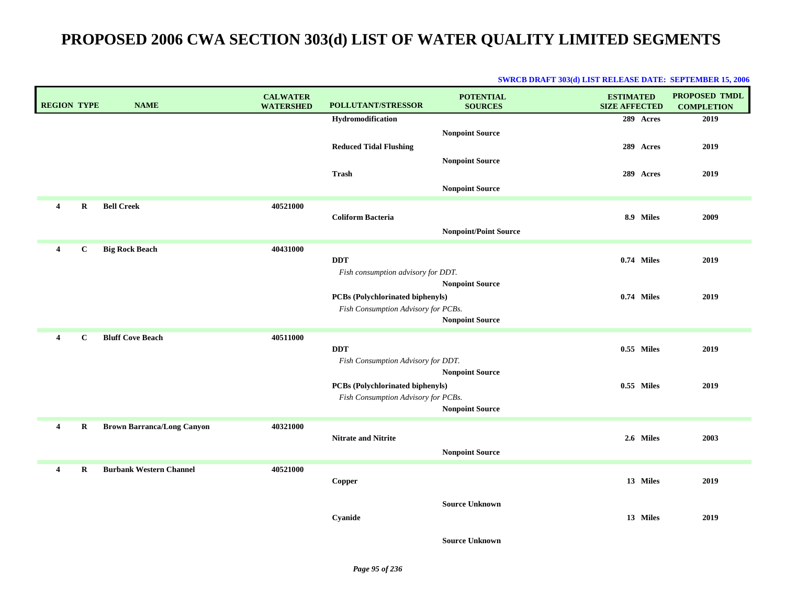| <b>REGION TYPE</b>                     | <b>NAME</b>                       | <b>CALWATER</b><br><b>WATERSHED</b> | <b>POLLUTANT/STRESSOR</b>                                                      | <b>POTENTIAL</b><br><b>SOURCES</b>               | <b>ESTIMATED</b><br><b>SIZE AFFECTED</b> | PROPOSED TMDL<br><b>COMPLETION</b> |
|----------------------------------------|-----------------------------------|-------------------------------------|--------------------------------------------------------------------------------|--------------------------------------------------|------------------------------------------|------------------------------------|
|                                        |                                   |                                     | Hydromodification                                                              |                                                  | 289 Acres                                | 2019                               |
|                                        |                                   |                                     | <b>Reduced Tidal Flushing</b>                                                  | <b>Nonpoint Source</b><br><b>Nonpoint Source</b> | 289 Acres                                | 2019                               |
|                                        |                                   |                                     | Trash                                                                          | <b>Nonpoint Source</b>                           | 289 Acres                                | 2019                               |
| $\bf R$<br>4                           | <b>Bell Creek</b>                 | 40521000                            | <b>Coliform Bacteria</b>                                                       | <b>Nonpoint/Point Source</b>                     | 8.9 Miles                                | 2009                               |
| $\mathbf C$<br>4                       | <b>Big Rock Beach</b>             | 40431000                            | <b>DDT</b><br>Fish consumption advisory for DDT.                               |                                                  | 0.74 Miles                               | 2019                               |
|                                        |                                   |                                     | <b>PCBs</b> (Polychlorinated biphenyls)<br>Fish Consumption Advisory for PCBs. | <b>Nonpoint Source</b><br><b>Nonpoint Source</b> | $0.74$ Miles                             | 2019                               |
| $\mathbf C$<br>4                       | <b>Bluff Cove Beach</b>           | 40511000                            | <b>DDT</b><br>Fish Consumption Advisory for DDT.                               | <b>Nonpoint Source</b>                           | 0.55 Miles                               | 2019                               |
|                                        |                                   |                                     | <b>PCBs</b> (Polychlorinated biphenyls)<br>Fish Consumption Advisory for PCBs. | <b>Nonpoint Source</b>                           | 0.55 Miles                               | 2019                               |
| $\mathbf R$<br>$\overline{\mathbf{4}}$ | <b>Brown Barranca/Long Canyon</b> | 40321000                            | <b>Nitrate and Nitrite</b>                                                     | <b>Nonpoint Source</b>                           | 2.6 Miles                                | 2003                               |
| $\mathbf R$<br>4                       | <b>Burbank Western Channel</b>    | 40521000                            | Copper                                                                         |                                                  | 13 Miles                                 | 2019                               |
|                                        |                                   |                                     | Cyanide                                                                        | <b>Source Unknown</b>                            | 13 Miles                                 | 2019                               |
|                                        |                                   |                                     |                                                                                | <b>Source Unknown</b>                            |                                          |                                    |

#### **SWRCB DRAFT 303(d) LIST RELEASE DATE: SEPTEMBER 15, 2006**

*Page 95 of 236*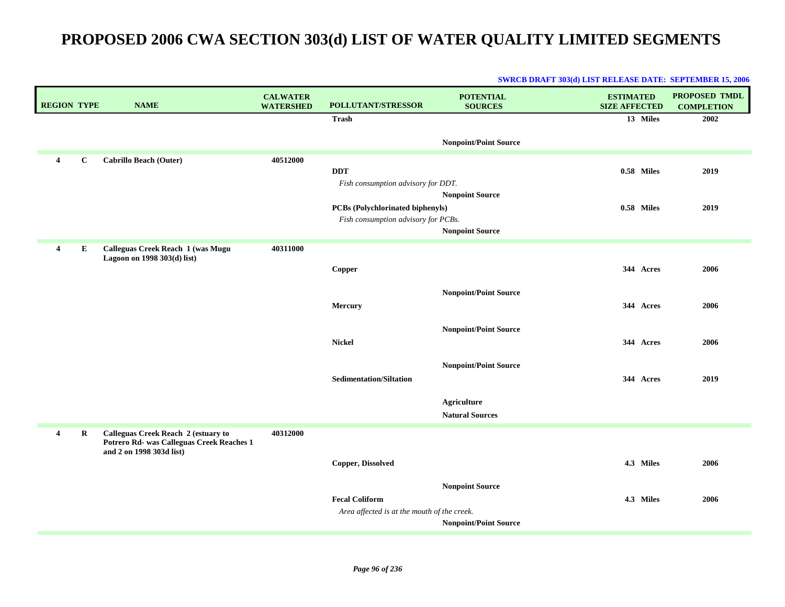| <b>REGION TYPE</b>      |              | <b>NAME</b>                                                                                                  | <b>CALWATER</b><br><b>WATERSHED</b> | <b>POLLUTANT/STRESSOR</b>                                               | <b>POTENTIAL</b><br><b>SOURCES</b>               | <b>ESTIMATED</b><br><b>SIZE AFFECTED</b> | <b>PROPOSED TMDL</b><br><b>COMPLETION</b> |
|-------------------------|--------------|--------------------------------------------------------------------------------------------------------------|-------------------------------------|-------------------------------------------------------------------------|--------------------------------------------------|------------------------------------------|-------------------------------------------|
|                         |              |                                                                                                              |                                     | <b>Trash</b>                                                            |                                                  | 13 Miles                                 | 2002                                      |
|                         |              |                                                                                                              |                                     |                                                                         | <b>Nonpoint/Point Source</b>                     |                                          |                                           |
| $\overline{\mathbf{4}}$ | $\mathbf{C}$ | <b>Cabrillo Beach (Outer)</b>                                                                                | 40512000                            | <b>DDT</b><br>Fish consumption advisory for DDT.                        |                                                  | 0.58 Miles                               | 2019                                      |
|                         |              |                                                                                                              |                                     | PCBs (Polychlorinated biphenyls)<br>Fish consumption advisory for PCBs. | <b>Nonpoint Source</b><br><b>Nonpoint Source</b> | 0.58 Miles                               | 2019                                      |
| $\overline{4}$          | ${\bf E}$    | Calleguas Creek Reach 1 (was Mugu                                                                            | 40311000                            |                                                                         |                                                  |                                          |                                           |
|                         |              | Lagoon on 1998 303(d) list)                                                                                  |                                     | Copper                                                                  |                                                  | 344 Acres                                | 2006                                      |
|                         |              |                                                                                                              |                                     | <b>Mercury</b>                                                          | <b>Nonpoint/Point Source</b>                     | 344 Acres                                | 2006                                      |
|                         |              |                                                                                                              |                                     |                                                                         | <b>Nonpoint/Point Source</b>                     |                                          |                                           |
|                         |              |                                                                                                              |                                     | <b>Nickel</b>                                                           |                                                  | 344 Acres                                | 2006                                      |
|                         |              |                                                                                                              |                                     | <b>Sedimentation/Siltation</b>                                          | <b>Nonpoint/Point Source</b>                     | 344 Acres                                | 2019                                      |
|                         |              |                                                                                                              |                                     |                                                                         | <b>Agriculture</b><br><b>Natural Sources</b>     |                                          |                                           |
| $\overline{4}$          | R            | Calleguas Creek Reach 2 (estuary to<br>Potrero Rd- was Calleguas Creek Reaches 1<br>and 2 on 1998 303d list) | 40312000                            |                                                                         |                                                  |                                          |                                           |
|                         |              |                                                                                                              |                                     | Copper, Dissolved                                                       |                                                  | 4.3 Miles                                | 2006                                      |
|                         |              |                                                                                                              |                                     | <b>Fecal Coliform</b>                                                   | <b>Nonpoint Source</b>                           | 4.3 Miles                                | 2006                                      |
|                         |              |                                                                                                              |                                     | Area affected is at the mouth of the creek.                             | <b>Nonpoint/Point Source</b>                     |                                          |                                           |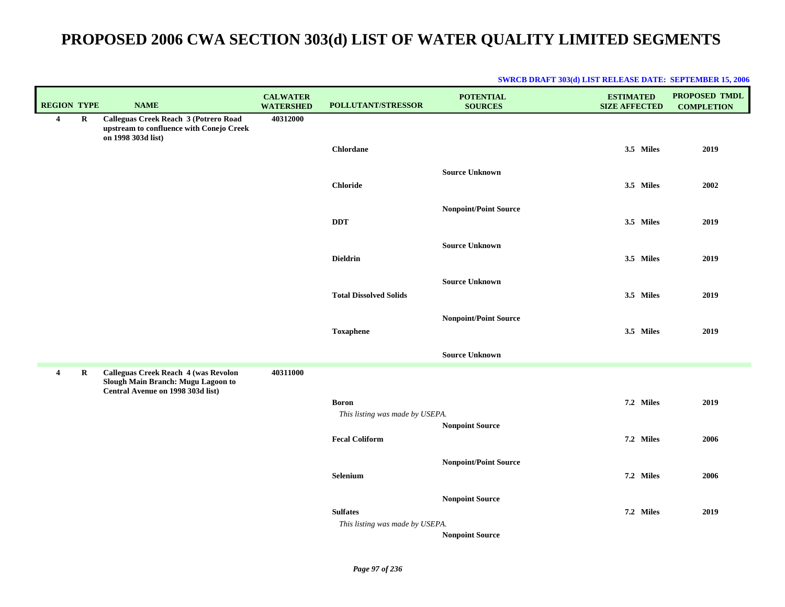| <b>REGION TYPE</b> |             | <b>NAME</b>                                                                                                            | <b>CALWATER</b><br><b>WATERSHED</b> | <b>POLLUTANT/STRESSOR</b>                          | <b>POTENTIAL</b><br><b>SOURCES</b> | <b>ESTIMATED</b><br><b>SIZE AFFECTED</b> | PROPOSED TMDL<br><b>COMPLETION</b> |
|--------------------|-------------|------------------------------------------------------------------------------------------------------------------------|-------------------------------------|----------------------------------------------------|------------------------------------|------------------------------------------|------------------------------------|
| $\overline{4}$     | $\mathbf R$ | Calleguas Creek Reach 3 (Potrero Road<br>upstream to confluence with Conejo Creek<br>on 1998 303d list)                | 40312000                            | <b>Chlordane</b>                                   |                                    | 3.5 Miles                                | 2019                               |
|                    |             |                                                                                                                        |                                     | <b>Chloride</b>                                    | <b>Source Unknown</b>              | 3.5 Miles                                | 2002                               |
|                    |             |                                                                                                                        |                                     | $\bf DDT$                                          | <b>Nonpoint/Point Source</b>       | 3.5 Miles                                | 2019                               |
|                    |             |                                                                                                                        |                                     | <b>Dieldrin</b>                                    | <b>Source Unknown</b>              | 3.5 Miles                                | 2019                               |
|                    |             |                                                                                                                        |                                     | <b>Total Dissolved Solids</b>                      | <b>Source Unknown</b>              | 3.5 Miles                                | 2019                               |
|                    |             |                                                                                                                        |                                     | <b>Toxaphene</b>                                   | <b>Nonpoint/Point Source</b>       | 3.5 Miles                                | 2019                               |
|                    |             |                                                                                                                        |                                     |                                                    | <b>Source Unknown</b>              |                                          |                                    |
| $\overline{4}$     | R           | <b>Calleguas Creek Reach 4 (was Revolon</b><br>Slough Main Branch: Mugu Lagoon to<br>Central Avenue on 1998 303d list) | 40311000                            |                                                    |                                    |                                          |                                    |
|                    |             |                                                                                                                        |                                     | <b>Boron</b><br>This listing was made by USEPA.    | <b>Nonpoint Source</b>             | 7.2 Miles                                | 2019                               |
|                    |             |                                                                                                                        |                                     | <b>Fecal Coliform</b>                              |                                    | 7.2 Miles                                | 2006                               |
|                    |             |                                                                                                                        |                                     | Selenium                                           | <b>Nonpoint/Point Source</b>       | 7.2 Miles                                | 2006                               |
|                    |             |                                                                                                                        |                                     | <b>Sulfates</b><br>This listing was made by USEPA. | <b>Nonpoint Source</b>             | 7.2 Miles                                | 2019                               |
|                    |             |                                                                                                                        |                                     |                                                    | <b>Nonpoint Source</b>             |                                          |                                    |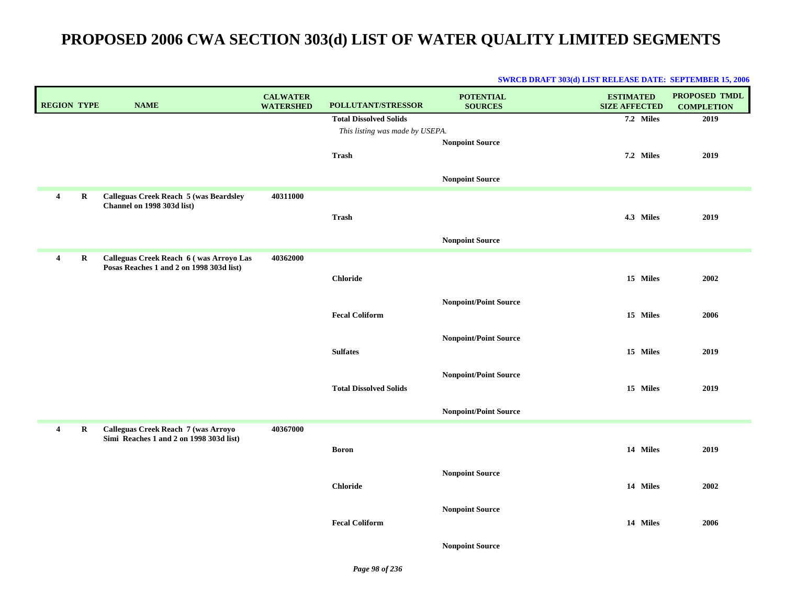| <b>REGION TYPE</b> |             | <b>NAME</b>                                                                         | <b>CALWATER</b><br><b>WATERSHED</b> | POLLUTANT/STRESSOR              | <b>POTENTIAL</b><br><b>SOURCES</b> | <b>ESTIMATED</b><br><b>SIZE AFFECTED</b> | PROPOSED TMDL<br><b>COMPLETION</b> |
|--------------------|-------------|-------------------------------------------------------------------------------------|-------------------------------------|---------------------------------|------------------------------------|------------------------------------------|------------------------------------|
|                    |             |                                                                                     |                                     | <b>Total Dissolved Solids</b>   |                                    | 7.2 Miles                                | 2019                               |
|                    |             |                                                                                     |                                     | This listing was made by USEPA. | <b>Nonpoint Source</b>             |                                          |                                    |
|                    |             |                                                                                     |                                     | <b>Trash</b>                    |                                    | 7.2 Miles                                | 2019                               |
|                    |             |                                                                                     |                                     |                                 | <b>Nonpoint Source</b>             |                                          |                                    |
| 4                  | $\bf R$     | <b>Calleguas Creek Reach 5 (was Beardsley</b><br>Channel on 1998 303d list)         | 40311000                            |                                 |                                    |                                          |                                    |
|                    |             |                                                                                     |                                     | <b>Trash</b>                    |                                    | 4.3 Miles                                | 2019                               |
|                    |             |                                                                                     |                                     |                                 | <b>Nonpoint Source</b>             |                                          |                                    |
| 4                  | $\mathbf R$ | Calleguas Creek Reach 6 (was Arroyo Las<br>Posas Reaches 1 and 2 on 1998 303d list) | 40362000                            |                                 |                                    |                                          |                                    |
|                    |             |                                                                                     |                                     | Chloride                        |                                    | 15 Miles                                 | 2002                               |
|                    |             |                                                                                     |                                     |                                 | <b>Nonpoint/Point Source</b>       |                                          |                                    |
|                    |             |                                                                                     |                                     | <b>Fecal Coliform</b>           |                                    | 15 Miles                                 | 2006                               |
|                    |             |                                                                                     |                                     |                                 | <b>Nonpoint/Point Source</b>       |                                          |                                    |
|                    |             |                                                                                     |                                     | <b>Sulfates</b>                 |                                    | 15 Miles                                 | 2019                               |
|                    |             |                                                                                     |                                     |                                 | <b>Nonpoint/Point Source</b>       |                                          |                                    |
|                    |             |                                                                                     |                                     | <b>Total Dissolved Solids</b>   |                                    | 15 Miles                                 | 2019                               |
|                    |             |                                                                                     |                                     |                                 | <b>Nonpoint/Point Source</b>       |                                          |                                    |
| 4                  | $\bf R$     | Calleguas Creek Reach 7 (was Arroyo<br>Simi Reaches 1 and 2 on 1998 303d list)      | 40367000                            |                                 |                                    |                                          |                                    |
|                    |             |                                                                                     |                                     | <b>Boron</b>                    |                                    | 14 Miles                                 | 2019                               |
|                    |             |                                                                                     |                                     |                                 | <b>Nonpoint Source</b>             |                                          |                                    |
|                    |             |                                                                                     |                                     | <b>Chloride</b>                 |                                    | 14 Miles                                 | 2002                               |
|                    |             |                                                                                     |                                     |                                 | <b>Nonpoint Source</b>             |                                          |                                    |
|                    |             |                                                                                     |                                     | <b>Fecal Coliform</b>           |                                    | 14 Miles                                 | 2006                               |
|                    |             |                                                                                     |                                     |                                 | <b>Nonpoint Source</b>             |                                          |                                    |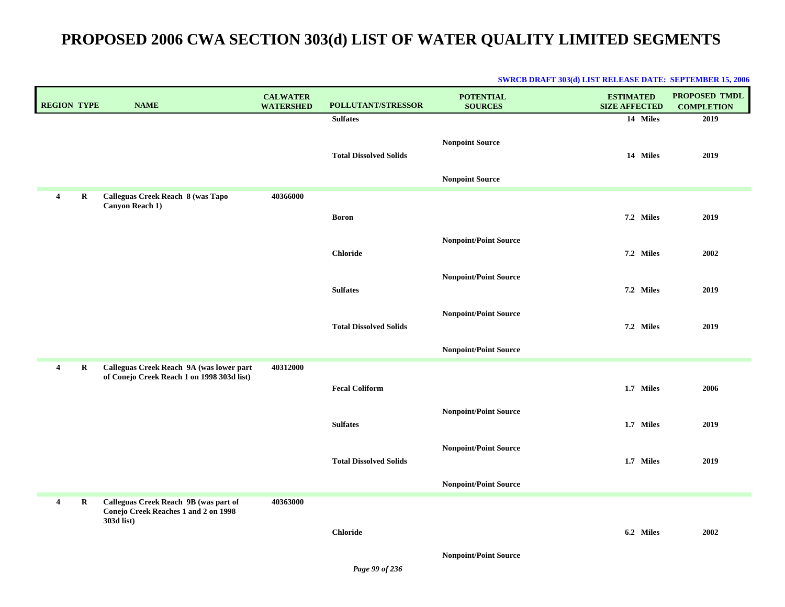|                                        |                                                                                             |                                     |                               | <b>SWRCB DRAFT 303(d) LIST RELEASE DATE: SEPTEMBER 15, 2006</b> |                                          |                                    |
|----------------------------------------|---------------------------------------------------------------------------------------------|-------------------------------------|-------------------------------|-----------------------------------------------------------------|------------------------------------------|------------------------------------|
| <b>REGION TYPE</b>                     | <b>NAME</b>                                                                                 | <b>CALWATER</b><br><b>WATERSHED</b> | POLLUTANT/STRESSOR            | <b>POTENTIAL</b><br><b>SOURCES</b>                              | <b>ESTIMATED</b><br><b>SIZE AFFECTED</b> | PROPOSED TMDL<br><b>COMPLETION</b> |
|                                        |                                                                                             |                                     | <b>Sulfates</b>               |                                                                 | 14 Miles                                 | 2019                               |
|                                        |                                                                                             |                                     | <b>Total Dissolved Solids</b> | <b>Nonpoint Source</b>                                          | 14 Miles                                 | 2019                               |
|                                        |                                                                                             |                                     |                               | <b>Nonpoint Source</b>                                          |                                          |                                    |
| $\boldsymbol{4}$<br>$\bf R$            | Calleguas Creek Reach 8 (was Tapo<br>Canyon Reach 1)                                        | 40366000                            |                               |                                                                 |                                          |                                    |
|                                        |                                                                                             |                                     | <b>Boron</b>                  |                                                                 | 7.2 Miles                                | 2019                               |
|                                        |                                                                                             |                                     | <b>Chloride</b>               | <b>Nonpoint/Point Source</b>                                    | 7.2 Miles                                | 2002                               |
|                                        |                                                                                             |                                     |                               |                                                                 |                                          |                                    |
|                                        |                                                                                             |                                     | <b>Sulfates</b>               | <b>Nonpoint/Point Source</b>                                    | 7.2 Miles                                | 2019                               |
|                                        |                                                                                             |                                     |                               | <b>Nonpoint/Point Source</b>                                    |                                          |                                    |
|                                        |                                                                                             |                                     | <b>Total Dissolved Solids</b> |                                                                 | 7.2 Miles                                | 2019                               |
|                                        |                                                                                             |                                     |                               | Nonpoint/Point Source                                           |                                          |                                    |
| $\overline{\mathbf{4}}$<br>$\mathbf R$ | Calleguas Creek Reach 9A (was lower part<br>of Conejo Creek Reach 1 on 1998 303d list)      | 40312000                            |                               |                                                                 |                                          |                                    |
|                                        |                                                                                             |                                     | <b>Fecal Coliform</b>         |                                                                 | 1.7 Miles                                | 2006                               |
|                                        |                                                                                             |                                     |                               | <b>Nonpoint/Point Source</b>                                    |                                          |                                    |
|                                        |                                                                                             |                                     | <b>Sulfates</b>               |                                                                 | 1.7 Miles                                | 2019                               |
|                                        |                                                                                             |                                     |                               | <b>Nonpoint/Point Source</b>                                    |                                          |                                    |
|                                        |                                                                                             |                                     | <b>Total Dissolved Solids</b> |                                                                 | 1.7 Miles                                | 2019                               |
|                                        |                                                                                             |                                     |                               | <b>Nonpoint/Point Source</b>                                    |                                          |                                    |
| $\overline{4}$<br>R                    | Calleguas Creek Reach 9B (was part of<br>Conejo Creek Reaches 1 and 2 on 1998<br>303d list) | 40363000                            |                               |                                                                 |                                          |                                    |
|                                        |                                                                                             |                                     | <b>Chloride</b>               |                                                                 | 6.2 Miles                                | 2002                               |
|                                        |                                                                                             |                                     |                               | <b>Nonpoint/Point Source</b>                                    |                                          |                                    |
|                                        |                                                                                             |                                     |                               |                                                                 |                                          |                                    |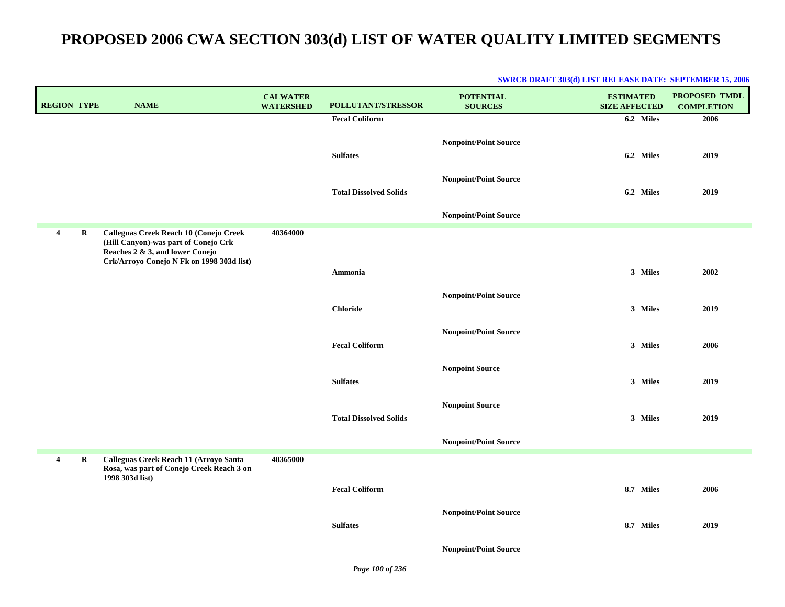| <b>REGION TYPE</b>            | <b>NAME</b>                                                                                                                                                    | <b>CALWATER</b><br><b>WATERSHED</b> | POLLUTANT/STRESSOR            | <b>POTENTIAL</b><br><b>SOURCES</b> | <b>ESTIMATED</b><br><b>SIZE AFFECTED</b> | PROPOSED TMDL<br><b>COMPLETION</b> |
|-------------------------------|----------------------------------------------------------------------------------------------------------------------------------------------------------------|-------------------------------------|-------------------------------|------------------------------------|------------------------------------------|------------------------------------|
|                               |                                                                                                                                                                |                                     | <b>Fecal Coliform</b>         |                                    | 6.2 Miles                                | 2006                               |
|                               |                                                                                                                                                                |                                     | <b>Sulfates</b>               | <b>Nonpoint/Point Source</b>       | 6.2 Miles                                | 2019                               |
|                               |                                                                                                                                                                |                                     | <b>Total Dissolved Solids</b> | <b>Nonpoint/Point Source</b>       | 6.2 Miles                                | 2019                               |
|                               |                                                                                                                                                                |                                     |                               | <b>Nonpoint/Point Source</b>       |                                          |                                    |
| $\overline{4}$<br>$\mathbf R$ | Calleguas Creek Reach 10 (Conejo Creek<br>(Hill Canyon)-was part of Conejo Crk<br>Reaches 2 & 3, and lower Conejo<br>Crk/Arroyo Conejo N Fk on 1998 303d list) | 40364000                            |                               |                                    |                                          |                                    |
|                               |                                                                                                                                                                |                                     | Ammonia                       |                                    | 3 Miles                                  | 2002                               |
|                               |                                                                                                                                                                |                                     | <b>Chloride</b>               | <b>Nonpoint/Point Source</b>       | 3 Miles                                  | 2019                               |
|                               |                                                                                                                                                                |                                     | <b>Fecal Coliform</b>         | <b>Nonpoint/Point Source</b>       | 3 Miles                                  | 2006                               |
|                               |                                                                                                                                                                |                                     | <b>Sulfates</b>               | <b>Nonpoint Source</b>             | 3 Miles                                  | 2019                               |
|                               |                                                                                                                                                                |                                     | <b>Total Dissolved Solids</b> | <b>Nonpoint Source</b>             | 3 Miles                                  | 2019                               |
|                               |                                                                                                                                                                |                                     |                               | <b>Nonpoint/Point Source</b>       |                                          |                                    |
| $\overline{4}$<br>R           | Calleguas Creek Reach 11 (Arroyo Santa<br>Rosa, was part of Conejo Creek Reach 3 on<br>1998 303d list)                                                         | 40365000                            |                               |                                    |                                          |                                    |
|                               |                                                                                                                                                                |                                     | <b>Fecal Coliform</b>         |                                    | 8.7 Miles                                | 2006                               |
|                               |                                                                                                                                                                |                                     | <b>Sulfates</b>               | <b>Nonpoint/Point Source</b>       | 8.7 Miles                                | 2019                               |
|                               |                                                                                                                                                                |                                     |                               | <b>Nonpoint/Point Source</b>       |                                          |                                    |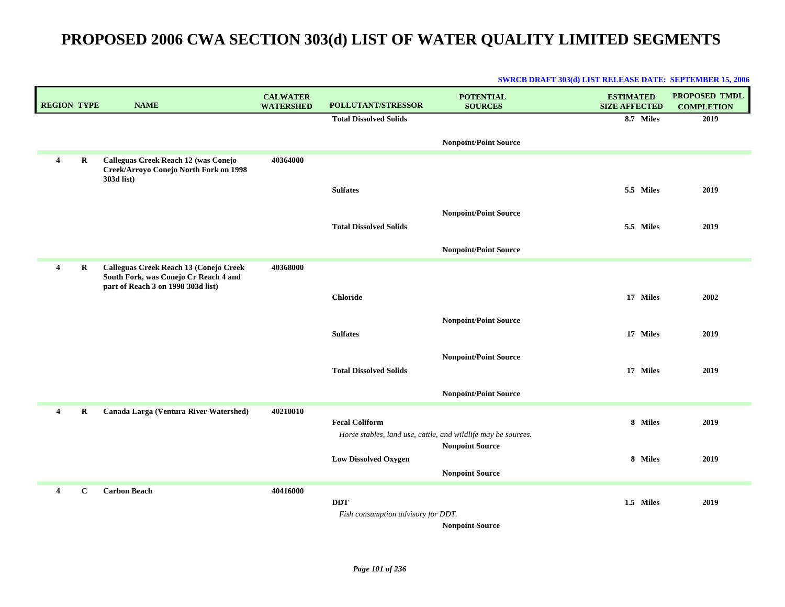| <b>REGION TYPE</b> |             | <b>NAME</b>                                                                                                           | <b>CALWATER</b><br><b>WATERSHED</b> | POLLUTANT/STRESSOR                                            | <b>POTENTIAL</b><br><b>SOURCES</b> | <b>ESTIMATED</b><br><b>SIZE AFFECTED</b> | <b>PROPOSED TMDL</b><br><b>COMPLETION</b> |
|--------------------|-------------|-----------------------------------------------------------------------------------------------------------------------|-------------------------------------|---------------------------------------------------------------|------------------------------------|------------------------------------------|-------------------------------------------|
|                    |             |                                                                                                                       |                                     | <b>Total Dissolved Solids</b>                                 |                                    | 8.7 Miles                                | 2019                                      |
|                    |             |                                                                                                                       |                                     |                                                               |                                    |                                          |                                           |
|                    |             |                                                                                                                       |                                     |                                                               | <b>Nonpoint/Point Source</b>       |                                          |                                           |
| 4                  | $\mathbf R$ | Calleguas Creek Reach 12 (was Conejo<br>Creek/Arroyo Conejo North Fork on 1998<br>303d list)                          | 40364000                            |                                                               |                                    |                                          |                                           |
|                    |             |                                                                                                                       |                                     | <b>Sulfates</b>                                               |                                    | 5.5 Miles                                | 2019                                      |
|                    |             |                                                                                                                       |                                     |                                                               | <b>Nonpoint/Point Source</b>       |                                          |                                           |
|                    |             |                                                                                                                       |                                     | <b>Total Dissolved Solids</b>                                 |                                    | 5.5 Miles                                | 2019                                      |
|                    |             |                                                                                                                       |                                     |                                                               |                                    |                                          |                                           |
|                    |             |                                                                                                                       |                                     |                                                               | <b>Nonpoint/Point Source</b>       |                                          |                                           |
| 4                  | $\bf R$     | Calleguas Creek Reach 13 (Conejo Creek<br>South Fork, was Conejo Cr Reach 4 and<br>part of Reach 3 on 1998 303d list) | 40368000                            |                                                               |                                    |                                          |                                           |
|                    |             |                                                                                                                       |                                     | <b>Chloride</b>                                               |                                    | 17 Miles                                 | 2002                                      |
|                    |             |                                                                                                                       |                                     |                                                               | <b>Nonpoint/Point Source</b>       |                                          |                                           |
|                    |             |                                                                                                                       |                                     | <b>Sulfates</b>                                               |                                    | 17 Miles                                 | 2019                                      |
|                    |             |                                                                                                                       |                                     |                                                               | <b>Nonpoint/Point Source</b>       |                                          |                                           |
|                    |             |                                                                                                                       |                                     | <b>Total Dissolved Solids</b>                                 |                                    | 17 Miles                                 | 2019                                      |
|                    |             |                                                                                                                       |                                     |                                                               | <b>Nonpoint/Point Source</b>       |                                          |                                           |
| 4                  | $\bf R$     | Canada Larga (Ventura River Watershed)                                                                                | 40210010                            |                                                               |                                    |                                          |                                           |
|                    |             |                                                                                                                       |                                     | <b>Fecal Coliform</b>                                         |                                    | 8 Miles                                  | 2019                                      |
|                    |             |                                                                                                                       |                                     | Horse stables, land use, cattle, and wildlife may be sources. |                                    |                                          |                                           |
|                    |             |                                                                                                                       |                                     |                                                               | <b>Nonpoint Source</b>             | 8 Miles                                  | 2019                                      |
|                    |             |                                                                                                                       |                                     | <b>Low Dissolved Oxygen</b>                                   |                                    |                                          |                                           |
|                    |             |                                                                                                                       |                                     |                                                               | <b>Nonpoint Source</b>             |                                          |                                           |
| 4                  | $\mathbf C$ | <b>Carbon Beach</b>                                                                                                   | 40416000                            | <b>DDT</b>                                                    |                                    | 1.5 Miles                                | 2019                                      |
|                    |             |                                                                                                                       |                                     | Fish consumption advisory for DDT.                            |                                    |                                          |                                           |
|                    |             |                                                                                                                       |                                     |                                                               | <b>Nonpoint Source</b>             |                                          |                                           |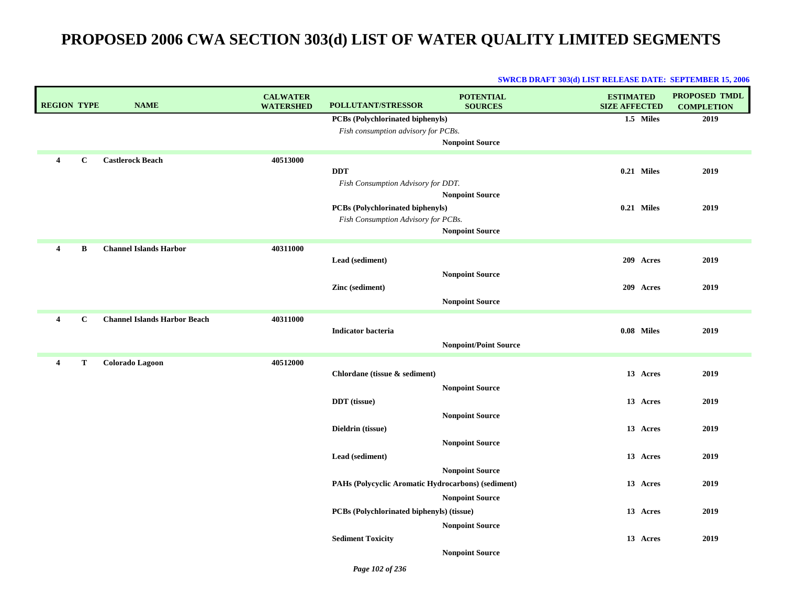| <b>REGION TYPE</b>      |              | <b>NAME</b>                         | <b>CALWATER</b><br><b>WATERSHED</b> | POLLUTANT/STRESSOR                                 | <b>POTENTIAL</b><br><b>SOURCES</b> | <b>ESTIMATED</b><br><b>SIZE AFFECTED</b> | <b>PROPOSED TMDL</b><br><b>COMPLETION</b> |
|-------------------------|--------------|-------------------------------------|-------------------------------------|----------------------------------------------------|------------------------------------|------------------------------------------|-------------------------------------------|
|                         |              |                                     |                                     | PCBs (Polychlorinated biphenyls)                   |                                    | 1.5 Miles                                | 2019                                      |
|                         |              |                                     |                                     | Fish consumption advisory for PCBs.                |                                    |                                          |                                           |
|                         |              |                                     |                                     |                                                    | <b>Nonpoint Source</b>             |                                          |                                           |
| 4                       | $\mathbf C$  | <b>Castlerock Beach</b>             | 40513000                            |                                                    |                                    |                                          |                                           |
|                         |              |                                     |                                     | <b>DDT</b>                                         |                                    | 0.21 Miles                               | 2019                                      |
|                         |              |                                     |                                     | Fish Consumption Advisory for DDT.                 | <b>Nonpoint Source</b>             |                                          |                                           |
|                         |              |                                     |                                     | PCBs (Polychlorinated biphenyls)                   |                                    | 0.21 Miles                               | 2019                                      |
|                         |              |                                     |                                     | Fish Consumption Advisory for PCBs.                |                                    |                                          |                                           |
|                         |              |                                     |                                     |                                                    | <b>Nonpoint Source</b>             |                                          |                                           |
| 4                       | $\, {\bf B}$ | <b>Channel Islands Harbor</b>       | 40311000                            |                                                    |                                    |                                          |                                           |
|                         |              |                                     |                                     | Lead (sediment)                                    |                                    | 209 Acres                                | 2019                                      |
|                         |              |                                     |                                     |                                                    | <b>Nonpoint Source</b>             |                                          |                                           |
|                         |              |                                     |                                     | Zinc (sediment)                                    |                                    | 209 Acres                                | 2019                                      |
|                         |              |                                     |                                     |                                                    | <b>Nonpoint Source</b>             |                                          |                                           |
|                         |              |                                     |                                     |                                                    |                                    |                                          |                                           |
| $\overline{4}$          | $\mathbf C$  | <b>Channel Islands Harbor Beach</b> | 40311000                            | <b>Indicator bacteria</b>                          |                                    | 0.08 Miles                               | 2019                                      |
|                         |              |                                     |                                     |                                                    |                                    |                                          |                                           |
|                         |              |                                     |                                     |                                                    | <b>Nonpoint/Point Source</b>       |                                          |                                           |
| $\overline{\mathbf{4}}$ | T            | Colorado Lagoon                     | 40512000                            |                                                    |                                    |                                          |                                           |
|                         |              |                                     |                                     | Chlordane (tissue & sediment)                      |                                    | 13 Acres                                 | 2019                                      |
|                         |              |                                     |                                     |                                                    | <b>Nonpoint Source</b>             |                                          |                                           |
|                         |              |                                     |                                     | DDT (tissue)                                       |                                    | 13 Acres                                 | 2019                                      |
|                         |              |                                     |                                     |                                                    | <b>Nonpoint Source</b>             |                                          |                                           |
|                         |              |                                     |                                     | Dieldrin (tissue)                                  |                                    | 13 Acres                                 | 2019                                      |
|                         |              |                                     |                                     |                                                    | <b>Nonpoint Source</b>             |                                          |                                           |
|                         |              |                                     |                                     | Lead (sediment)                                    |                                    | 13 Acres                                 | 2019                                      |
|                         |              |                                     |                                     |                                                    | <b>Nonpoint Source</b>             |                                          |                                           |
|                         |              |                                     |                                     | PAHs (Polycyclic Aromatic Hydrocarbons) (sediment) |                                    | 13 Acres                                 | 2019                                      |
|                         |              |                                     |                                     |                                                    | <b>Nonpoint Source</b>             |                                          |                                           |
|                         |              |                                     |                                     | PCBs (Polychlorinated biphenyls) (tissue)          |                                    | 13 Acres                                 | 2019                                      |
|                         |              |                                     |                                     |                                                    | <b>Nonpoint Source</b>             |                                          |                                           |
|                         |              |                                     |                                     | <b>Sediment Toxicity</b>                           |                                    | 13 Acres                                 | 2019                                      |
|                         |              |                                     |                                     |                                                    | <b>Nonpoint Source</b>             |                                          |                                           |
|                         |              |                                     |                                     |                                                    |                                    |                                          |                                           |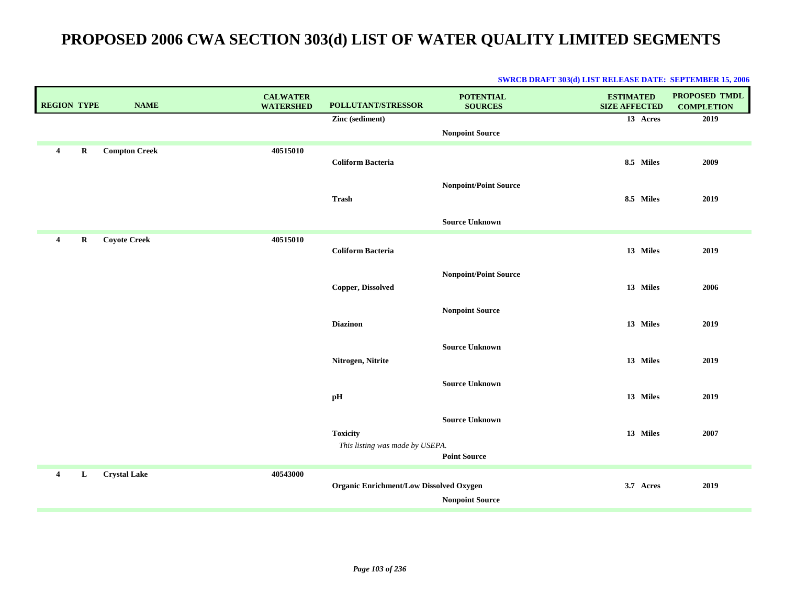| <b>SWRCB DRAFT 303(d) LIST RELEASE DATE: SEPTEMBER 15, 2006</b> |  |
|-----------------------------------------------------------------|--|
|                                                                 |  |

| <b>REGION TYPE</b> |             | <b>NAME</b>          | <b>CALWATER</b><br><b>WATERSHED</b> | POLLUTANT/STRESSOR                             | <b>POTENTIAL</b><br><b>SOURCES</b> | <b>ESTIMATED</b><br><b>SIZE AFFECTED</b> | PROPOSED TMDL<br><b>COMPLETION</b> |
|--------------------|-------------|----------------------|-------------------------------------|------------------------------------------------|------------------------------------|------------------------------------------|------------------------------------|
|                    |             |                      |                                     | Zinc (sediment)                                |                                    | 13 Acres                                 | 2019                               |
|                    |             |                      |                                     |                                                | <b>Nonpoint Source</b>             |                                          |                                    |
| 4                  | $\mathbf R$ | <b>Compton Creek</b> | 40515010                            |                                                |                                    |                                          |                                    |
|                    |             |                      |                                     | <b>Coliform Bacteria</b>                       |                                    | 8.5 Miles                                | 2009                               |
|                    |             |                      |                                     |                                                | <b>Nonpoint/Point Source</b>       |                                          |                                    |
|                    |             |                      |                                     | <b>Trash</b>                                   |                                    | 8.5 Miles                                | 2019                               |
|                    |             |                      |                                     |                                                |                                    |                                          |                                    |
|                    |             |                      |                                     |                                                | <b>Source Unknown</b>              |                                          |                                    |
| $\overline{4}$     | $\bf R$     | <b>Coyote Creek</b>  | 40515010                            | <b>Coliform Bacteria</b>                       |                                    | 13 Miles                                 | 2019                               |
|                    |             |                      |                                     |                                                |                                    |                                          |                                    |
|                    |             |                      |                                     |                                                | <b>Nonpoint/Point Source</b>       |                                          |                                    |
|                    |             |                      |                                     | Copper, Dissolved                              |                                    | 13 Miles                                 | 2006                               |
|                    |             |                      |                                     |                                                | <b>Nonpoint Source</b>             |                                          |                                    |
|                    |             |                      |                                     | <b>Diazinon</b>                                |                                    | 13 Miles                                 | 2019                               |
|                    |             |                      |                                     |                                                | <b>Source Unknown</b>              |                                          |                                    |
|                    |             |                      |                                     | Nitrogen, Nitrite                              |                                    | 13 Miles                                 | 2019                               |
|                    |             |                      |                                     |                                                |                                    |                                          |                                    |
|                    |             |                      |                                     |                                                | <b>Source Unknown</b>              |                                          |                                    |
|                    |             |                      |                                     | pН                                             |                                    | 13 Miles                                 | 2019                               |
|                    |             |                      |                                     |                                                | <b>Source Unknown</b>              |                                          |                                    |
|                    |             |                      |                                     | <b>Toxicity</b>                                |                                    | 13 Miles                                 | 2007                               |
|                    |             |                      |                                     | This listing was made by USEPA.                |                                    |                                          |                                    |
|                    |             |                      |                                     |                                                | <b>Point Source</b>                |                                          |                                    |
| $\overline{4}$     | L           | <b>Crystal Lake</b>  | 40543000                            |                                                |                                    |                                          |                                    |
|                    |             |                      |                                     | <b>Organic Enrichment/Low Dissolved Oxygen</b> | <b>Nonpoint Source</b>             | 3.7 Acres                                | 2019                               |
|                    |             |                      |                                     |                                                |                                    |                                          |                                    |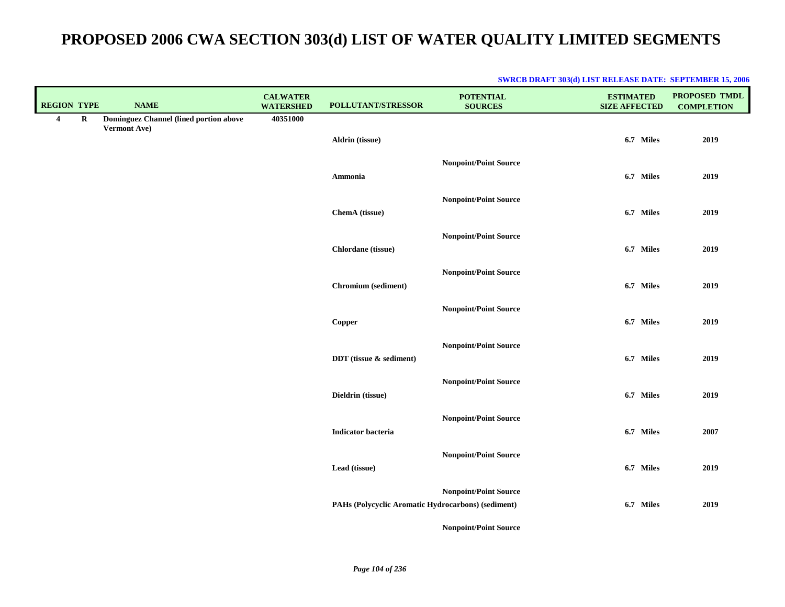| <b>REGION TYPE</b>      |   | <b>NAME</b>                                                   | <b>CALWATER</b><br><b>WATERSHED</b> | POLLUTANT/STRESSOR                                 | <b>POTENTIAL</b><br><b>SOURCES</b>                           | <b>ESTIMATED</b><br><b>SIZE AFFECTED</b> | <b>PROPOSED TMDL</b><br><b>COMPLETION</b> |
|-------------------------|---|---------------------------------------------------------------|-------------------------------------|----------------------------------------------------|--------------------------------------------------------------|------------------------------------------|-------------------------------------------|
| $\overline{\mathbf{4}}$ | R | Dominguez Channel (lined portion above<br><b>Vermont Ave)</b> | 40351000                            | Aldrin (tissue)                                    |                                                              | 6.7 Miles                                | 2019                                      |
|                         |   |                                                               |                                     | Ammonia                                            | <b>Nonpoint/Point Source</b>                                 | 6.7 Miles                                | 2019                                      |
|                         |   |                                                               |                                     | ChemA (tissue)                                     | <b>Nonpoint/Point Source</b>                                 | 6.7 Miles                                | 2019                                      |
|                         |   |                                                               |                                     | Chlordane (tissue)                                 | <b>Nonpoint/Point Source</b>                                 | 6.7 Miles                                | 2019                                      |
|                         |   |                                                               |                                     | Chromium (sediment)                                | <b>Nonpoint/Point Source</b>                                 | 6.7 Miles                                | 2019                                      |
|                         |   |                                                               |                                     | Copper                                             | <b>Nonpoint/Point Source</b>                                 | 6.7 Miles                                | 2019                                      |
|                         |   |                                                               |                                     | DDT (tissue & sediment)                            | <b>Nonpoint/Point Source</b>                                 | 6.7 Miles                                | 2019                                      |
|                         |   |                                                               |                                     | Dieldrin (tissue)                                  | <b>Nonpoint/Point Source</b>                                 | 6.7 Miles                                | 2019                                      |
|                         |   |                                                               |                                     | <b>Indicator bacteria</b>                          | <b>Nonpoint/Point Source</b>                                 | 6.7 Miles                                | 2007                                      |
|                         |   |                                                               |                                     | Lead (tissue)                                      | <b>Nonpoint/Point Source</b>                                 | 6.7 Miles                                | 2019                                      |
|                         |   |                                                               |                                     | PAHs (Polycyclic Aromatic Hydrocarbons) (sediment) | <b>Nonpoint/Point Source</b><br><b>Nonpoint/Point Source</b> | 6.7 Miles                                | 2019                                      |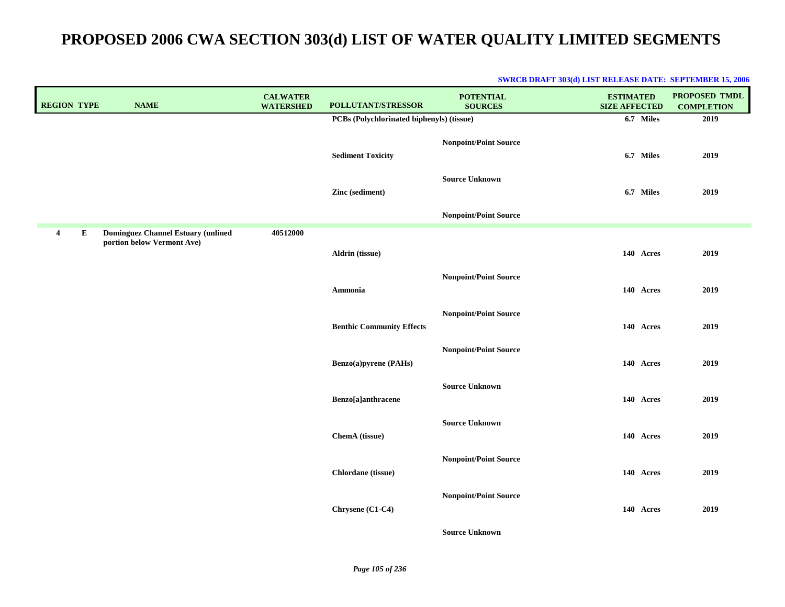| <b>REGION TYPE</b> |   | <b>NAME</b>                                                             | <b>CALWATER</b><br><b>WATERSHED</b> | POLLUTANT/STRESSOR                        | <b>POTENTIAL</b><br><b>SOURCES</b> | <b>ESTIMATED</b><br><b>SIZE AFFECTED</b> | PROPOSED TMDL<br><b>COMPLETION</b> |
|--------------------|---|-------------------------------------------------------------------------|-------------------------------------|-------------------------------------------|------------------------------------|------------------------------------------|------------------------------------|
|                    |   |                                                                         |                                     | PCBs (Polychlorinated biphenyls) (tissue) |                                    | 6.7 Miles                                | 2019                               |
|                    |   |                                                                         |                                     | <b>Sediment Toxicity</b>                  | <b>Nonpoint/Point Source</b>       | 6.7 Miles                                | 2019                               |
|                    |   |                                                                         |                                     | Zinc (sediment)                           | <b>Source Unknown</b>              | 6.7 Miles                                | 2019                               |
|                    |   |                                                                         |                                     |                                           | <b>Nonpoint/Point Source</b>       |                                          |                                    |
| $\overline{4}$     | Е | <b>Dominguez Channel Estuary (unlined</b><br>portion below Vermont Ave) | 40512000                            | Aldrin (tissue)                           |                                    | 140 Acres                                | 2019                               |
|                    |   | Ammonia                                                                 | <b>Nonpoint/Point Source</b>        | 140 Acres                                 | 2019                               |                                          |                                    |
|                    |   |                                                                         | <b>Benthic Community Effects</b>    | Nonpoint/Point Source                     | 140 Acres                          | 2019                                     |                                    |
|                    |   |                                                                         |                                     | Benzo(a)pyrene (PAHs)                     | <b>Nonpoint/Point Source</b>       | 140 Acres                                | 2019                               |
|                    |   |                                                                         |                                     | Benzo[a]anthracene                        | <b>Source Unknown</b>              | 140 Acres                                | 2019                               |
|                    |   |                                                                         |                                     | ChemA (tissue)                            | <b>Source Unknown</b>              | 140 Acres                                | 2019                               |
|                    |   |                                                                         |                                     | Chlordane (tissue)                        | <b>Nonpoint/Point Source</b>       | 140 Acres                                | 2019                               |
|                    |   |                                                                         |                                     | Chrysene (C1-C4)                          | <b>Nonpoint/Point Source</b>       | 140 Acres                                | 2019                               |
|                    |   |                                                                         |                                     |                                           | <b>Source Unknown</b>              |                                          |                                    |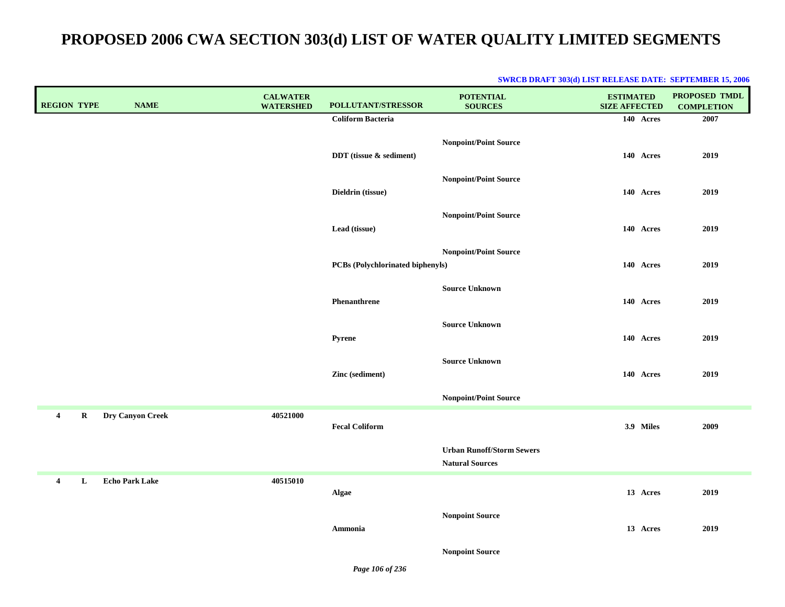| <b>REGION TYPE</b>            | <b>NAME</b>           | <b>CALWATER</b><br><b>WATERSHED</b> | <b>POLLUTANT/STRESSOR</b>        | <b>POTENTIAL</b><br><b>SOURCES</b>                         | <b>ESTIMATED</b><br><b>SIZE AFFECTED</b> | <b>PROPOSED TMDL</b><br><b>COMPLETION</b> |
|-------------------------------|-----------------------|-------------------------------------|----------------------------------|------------------------------------------------------------|------------------------------------------|-------------------------------------------|
|                               |                       |                                     | <b>Coliform Bacteria</b>         |                                                            | 140 Acres                                | 2007                                      |
|                               |                       |                                     | DDT (tissue & sediment)          | <b>Nonpoint/Point Source</b>                               | 140 Acres                                | 2019                                      |
|                               |                       |                                     | Dieldrin (tissue)                | <b>Nonpoint/Point Source</b>                               | 140 Acres                                | 2019                                      |
|                               |                       |                                     | Lead (tissue)                    | <b>Nonpoint/Point Source</b>                               | 140 Acres                                | 2019                                      |
|                               |                       |                                     | PCBs (Polychlorinated biphenyls) | <b>Nonpoint/Point Source</b>                               | 140 Acres                                | 2019                                      |
|                               |                       |                                     | Phenanthrene                     | <b>Source Unknown</b>                                      | 140 Acres                                | 2019                                      |
|                               |                       |                                     | Pyrene                           | <b>Source Unknown</b>                                      | 140 Acres                                | 2019                                      |
|                               |                       |                                     | Zinc (sediment)                  | <b>Source Unknown</b>                                      | 140 Acres                                | 2019                                      |
|                               |                       |                                     |                                  | <b>Nonpoint/Point Source</b>                               |                                          |                                           |
| $\mathbf R$<br>$\overline{4}$ | Dry Canyon Creek      | 40521000                            | <b>Fecal Coliform</b>            |                                                            | 3.9 Miles                                | 2009                                      |
|                               |                       |                                     |                                  | <b>Urban Runoff/Storm Sewers</b><br><b>Natural Sources</b> |                                          |                                           |
| 4<br>L                        | <b>Echo Park Lake</b> | 40515010                            | Algae                            |                                                            | 13 Acres                                 | 2019                                      |
|                               |                       |                                     | Ammonia                          | <b>Nonpoint Source</b>                                     | 13 Acres                                 | 2019                                      |
|                               |                       |                                     |                                  | <b>Nonpoint Source</b>                                     |                                          |                                           |

#### **SWRCB DRAFT 303(d) LIST RELEASE DATE: SEPTEMBER 15, 2006**

*Page 106 of 236*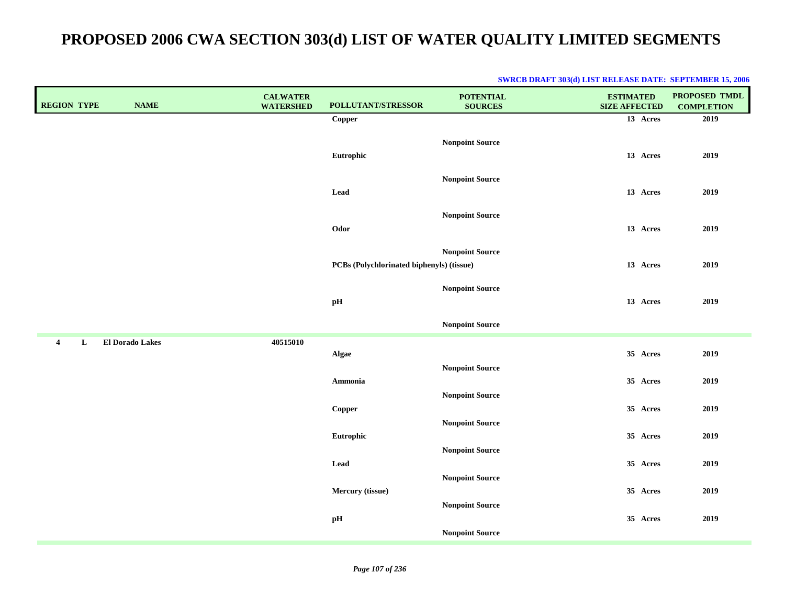| <b>REGION TYPE</b>      |   | <b>NAME</b>            | <b>CALWATER</b><br><b>WATERSHED</b> | POLLUTANT/STRESSOR                        | <b>POTENTIAL</b><br><b>SOURCES</b>               | <b>ESTIMATED</b><br><b>SIZE AFFECTED</b> | <b>PROPOSED TMDL</b><br><b>COMPLETION</b> |
|-------------------------|---|------------------------|-------------------------------------|-------------------------------------------|--------------------------------------------------|------------------------------------------|-------------------------------------------|
|                         |   |                        |                                     | Copper                                    |                                                  | 13 Acres                                 | 2019                                      |
|                         |   |                        |                                     | Eutrophic                                 | <b>Nonpoint Source</b>                           | 13 Acres                                 | 2019                                      |
|                         |   |                        |                                     | Lead                                      | <b>Nonpoint Source</b>                           | 13 Acres                                 | 2019                                      |
|                         |   |                        |                                     | Odor                                      | <b>Nonpoint Source</b>                           | 13 Acres                                 | 2019                                      |
|                         |   |                        |                                     | PCBs (Polychlorinated biphenyls) (tissue) | <b>Nonpoint Source</b>                           | 13 Acres                                 | 2019                                      |
|                         |   |                        |                                     | pH                                        | <b>Nonpoint Source</b>                           | 13 Acres                                 | 2019                                      |
|                         |   |                        |                                     |                                           | <b>Nonpoint Source</b>                           |                                          |                                           |
| $\overline{\mathbf{4}}$ | L | <b>El Dorado Lakes</b> | 40515010                            | Algae                                     |                                                  | 35 Acres                                 | 2019                                      |
|                         |   |                        |                                     | Ammonia                                   | <b>Nonpoint Source</b><br><b>Nonpoint Source</b> | 35 Acres                                 | 2019                                      |
|                         |   |                        |                                     | Copper                                    | <b>Nonpoint Source</b>                           | 35 Acres                                 | 2019                                      |
|                         |   |                        |                                     | Eutrophic                                 | <b>Nonpoint Source</b>                           | 35 Acres                                 | 2019                                      |
|                         |   |                        |                                     | Lead                                      | <b>Nonpoint Source</b>                           | 35 Acres                                 | 2019                                      |
|                         |   |                        |                                     | Mercury (tissue)                          |                                                  | 35 Acres                                 | 2019                                      |
|                         |   |                        |                                     | $\mathbf{p} \mathbf{H}$                   | <b>Nonpoint Source</b>                           | 35 Acres                                 | 2019                                      |
|                         |   |                        |                                     |                                           | <b>Nonpoint Source</b>                           |                                          |                                           |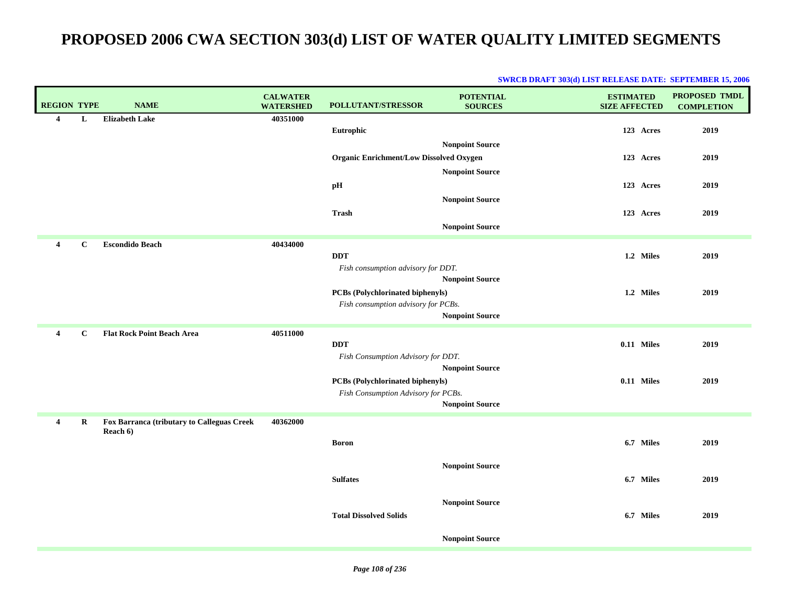| <b>REGION TYPE</b>      |              | <b>NAME</b>                                | <b>CALWATER</b><br><b>WATERSHED</b> | POLLUTANT/STRESSOR                             | <b>POTENTIAL</b><br><b>SOURCES</b> | <b>ESTIMATED</b><br><b>SIZE AFFECTED</b> | <b>PROPOSED TMDL</b><br><b>COMPLETION</b> |
|-------------------------|--------------|--------------------------------------------|-------------------------------------|------------------------------------------------|------------------------------------|------------------------------------------|-------------------------------------------|
| $\overline{4}$          | L            | <b>Elizabeth Lake</b>                      | 40351000                            |                                                |                                    |                                          |                                           |
|                         |              |                                            |                                     | Eutrophic                                      |                                    | 123 Acres                                | 2019                                      |
|                         |              |                                            |                                     |                                                | <b>Nonpoint Source</b>             |                                          |                                           |
|                         |              |                                            |                                     | <b>Organic Enrichment/Low Dissolved Oxygen</b> |                                    | 123 Acres                                | 2019                                      |
|                         |              |                                            |                                     |                                                | <b>Nonpoint Source</b>             |                                          |                                           |
|                         |              |                                            |                                     | pH                                             |                                    | 123 Acres                                | 2019                                      |
|                         |              |                                            |                                     |                                                | <b>Nonpoint Source</b>             |                                          |                                           |
|                         |              |                                            |                                     | <b>Trash</b>                                   |                                    | 123 Acres                                | 2019                                      |
|                         |              |                                            |                                     |                                                | <b>Nonpoint Source</b>             |                                          |                                           |
| $\overline{\mathbf{4}}$ | $\mathbf{C}$ | <b>Escondido Beach</b>                     | 40434000                            |                                                |                                    |                                          |                                           |
|                         |              |                                            |                                     | <b>DDT</b>                                     |                                    | 1.2 Miles                                | 2019                                      |
|                         |              |                                            |                                     | Fish consumption advisory for DDT.             |                                    |                                          |                                           |
|                         |              |                                            |                                     |                                                | <b>Nonpoint Source</b>             |                                          |                                           |
|                         |              |                                            |                                     | <b>PCBs</b> (Polychlorinated biphenyls)        |                                    | 1.2 Miles                                | 2019                                      |
|                         |              |                                            |                                     | Fish consumption advisory for PCBs.            | <b>Nonpoint Source</b>             |                                          |                                           |
|                         |              |                                            |                                     |                                                |                                    |                                          |                                           |
| $\overline{4}$          | $\bf C$      | <b>Flat Rock Point Beach Area</b>          | 40511000                            | <b>DDT</b>                                     |                                    | $0.11$ Miles                             |                                           |
|                         |              |                                            |                                     | Fish Consumption Advisory for DDT.             |                                    |                                          | 2019                                      |
|                         |              |                                            |                                     |                                                | <b>Nonpoint Source</b>             |                                          |                                           |
|                         |              |                                            |                                     | <b>PCBs (Polychlorinated biphenyls)</b>        |                                    | 0.11 Miles                               | 2019                                      |
|                         |              |                                            |                                     | Fish Consumption Advisory for PCBs.            |                                    |                                          |                                           |
|                         |              |                                            |                                     |                                                | <b>Nonpoint Source</b>             |                                          |                                           |
| $\overline{4}$          | R            | Fox Barranca (tributary to Calleguas Creek | 40362000                            |                                                |                                    |                                          |                                           |
|                         |              | Reach 6)                                   |                                     |                                                |                                    |                                          |                                           |
|                         |              |                                            |                                     | <b>Boron</b>                                   |                                    | 6.7 Miles                                | 2019                                      |
|                         |              |                                            |                                     |                                                | <b>Nonpoint Source</b>             |                                          |                                           |
|                         |              |                                            |                                     | <b>Sulfates</b>                                |                                    | 6.7 Miles                                | 2019                                      |
|                         |              |                                            |                                     |                                                |                                    |                                          |                                           |
|                         |              |                                            |                                     |                                                | <b>Nonpoint Source</b>             |                                          |                                           |
|                         |              |                                            |                                     | <b>Total Dissolved Solids</b>                  |                                    | 6.7 Miles                                | 2019                                      |
|                         |              |                                            |                                     |                                                |                                    |                                          |                                           |
|                         |              |                                            |                                     |                                                | <b>Nonpoint Source</b>             |                                          |                                           |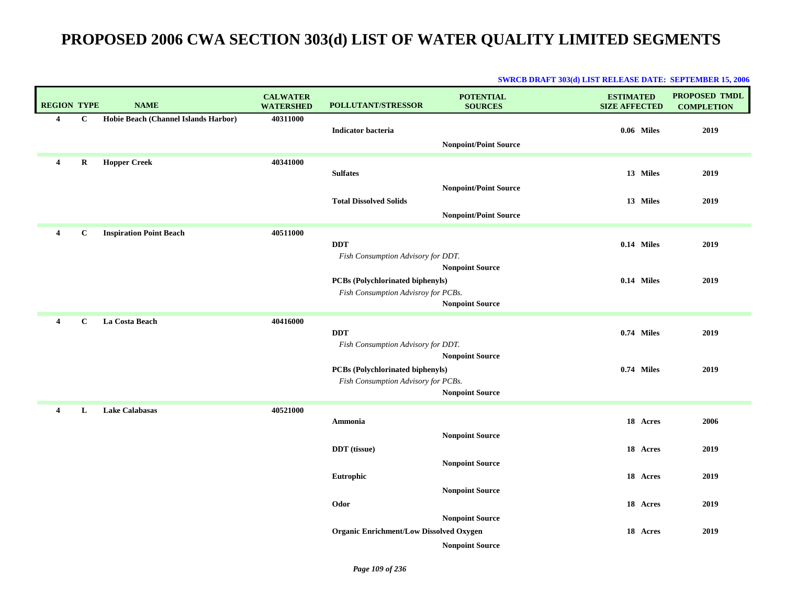| <b>REGION TYPE</b>      |              | <b>NAME</b>                          | <b>CALWATER</b><br><b>WATERSHED</b> | <b>POLLUTANT/STRESSOR</b>                        | <b>POTENTIAL</b><br><b>SOURCES</b> | <b>ESTIMATED</b><br><b>SIZE AFFECTED</b> | <b>PROPOSED TMDL</b><br><b>COMPLETION</b> |
|-------------------------|--------------|--------------------------------------|-------------------------------------|--------------------------------------------------|------------------------------------|------------------------------------------|-------------------------------------------|
| 4                       | $\mathbf{C}$ | Hobie Beach (Channel Islands Harbor) | 40311000                            |                                                  |                                    |                                          |                                           |
|                         |              |                                      |                                     | <b>Indicator bacteria</b>                        |                                    | 0.06 Miles                               | 2019                                      |
|                         |              |                                      |                                     |                                                  | <b>Nonpoint/Point Source</b>       |                                          |                                           |
| $\overline{4}$          | R            | <b>Hopper Creek</b>                  | 40341000                            |                                                  |                                    |                                          |                                           |
|                         |              |                                      |                                     | <b>Sulfates</b>                                  |                                    | 13 Miles                                 | 2019                                      |
|                         |              |                                      |                                     |                                                  | <b>Nonpoint/Point Source</b>       |                                          |                                           |
|                         |              |                                      |                                     | <b>Total Dissolved Solids</b>                    |                                    | 13 Miles                                 | 2019                                      |
|                         |              |                                      |                                     |                                                  | <b>Nonpoint/Point Source</b>       |                                          |                                           |
| $\overline{\mathbf{4}}$ | $\mathbf{C}$ | <b>Inspiration Point Beach</b>       | 40511000                            |                                                  |                                    |                                          |                                           |
|                         |              |                                      |                                     | <b>DDT</b><br>Fish Consumption Advisory for DDT. |                                    | 0.14 Miles                               | 2019                                      |
|                         |              |                                      |                                     |                                                  | <b>Nonpoint Source</b>             |                                          |                                           |
|                         |              |                                      |                                     | PCBs (Polychlorinated biphenyls)                 |                                    | 0.14 Miles                               | 2019                                      |
|                         |              |                                      |                                     | Fish Consumption Advisroy for PCBs.              |                                    |                                          |                                           |
|                         |              |                                      |                                     |                                                  | <b>Nonpoint Source</b>             |                                          |                                           |
| $\boldsymbol{4}$        | C            | La Costa Beach                       | 40416000                            |                                                  |                                    |                                          |                                           |
|                         |              |                                      |                                     | <b>DDT</b>                                       |                                    | 0.74 Miles                               | 2019                                      |
|                         |              |                                      |                                     | Fish Consumption Advisory for DDT.               | <b>Nonpoint Source</b>             |                                          |                                           |
|                         |              |                                      |                                     | PCBs (Polychlorinated biphenyls)                 |                                    | 0.74 Miles                               | 2019                                      |
|                         |              |                                      |                                     | Fish Consumption Advisory for PCBs.              |                                    |                                          |                                           |
|                         |              |                                      |                                     |                                                  | <b>Nonpoint Source</b>             |                                          |                                           |
| $\boldsymbol{4}$        | L            | <b>Lake Calabasas</b>                | 40521000                            |                                                  |                                    |                                          |                                           |
|                         |              |                                      |                                     | Ammonia                                          |                                    | 18 Acres                                 | 2006                                      |
|                         |              |                                      |                                     |                                                  | <b>Nonpoint Source</b>             |                                          |                                           |
|                         |              |                                      |                                     | <b>DDT</b> (tissue)                              |                                    | 18 Acres                                 | 2019                                      |
|                         |              |                                      |                                     |                                                  | <b>Nonpoint Source</b>             |                                          |                                           |
|                         |              |                                      |                                     | Eutrophic                                        |                                    | 18 Acres                                 | 2019                                      |
|                         |              |                                      |                                     |                                                  | <b>Nonpoint Source</b>             |                                          |                                           |
|                         |              |                                      |                                     | Odor                                             |                                    | 18 Acres                                 | 2019                                      |
|                         |              |                                      |                                     |                                                  | <b>Nonpoint Source</b>             |                                          |                                           |
|                         |              |                                      |                                     | <b>Organic Enrichment/Low Dissolved Oxygen</b>   |                                    | 18 Acres                                 | 2019                                      |
|                         |              |                                      |                                     |                                                  | <b>Nonpoint Source</b>             |                                          |                                           |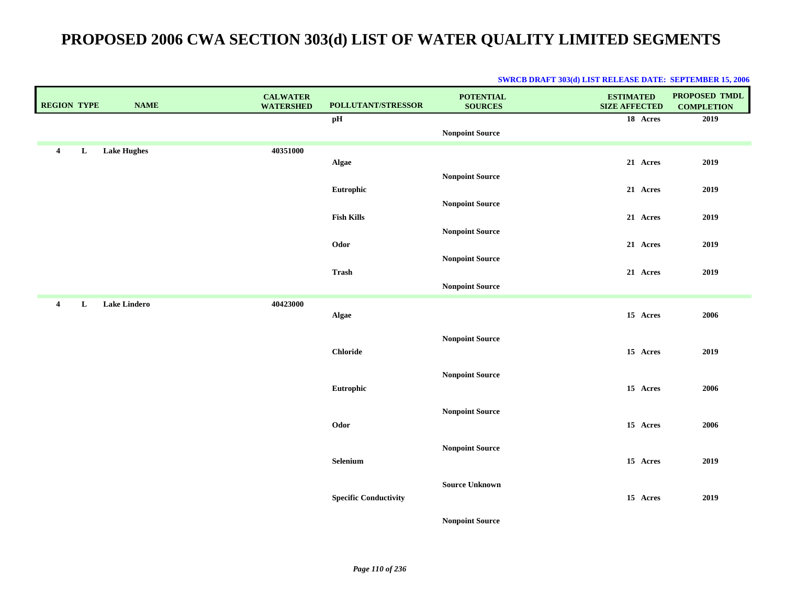| <b>REGION TYPE</b> |   | <b>NAME</b>         | <b>CALWATER</b><br><b>WATERSHED</b> | POLLUTANT/STRESSOR           | <b>POTENTIAL</b><br><b>SOURCES</b> | <b>ESTIMATED</b><br><b>SIZE AFFECTED</b> | PROPOSED TMDL<br><b>COMPLETION</b> |
|--------------------|---|---------------------|-------------------------------------|------------------------------|------------------------------------|------------------------------------------|------------------------------------|
|                    |   |                     |                                     | pH                           |                                    | 18 Acres                                 | 2019                               |
|                    |   |                     |                                     |                              | <b>Nonpoint Source</b>             |                                          |                                    |
| $\overline{4}$     | L | <b>Lake Hughes</b>  | 40351000                            |                              |                                    |                                          |                                    |
|                    |   |                     |                                     | Algae                        | <b>Nonpoint Source</b>             | 21 Acres                                 | 2019                               |
|                    |   |                     |                                     | Eutrophic                    |                                    | 21 Acres                                 | 2019                               |
|                    |   |                     |                                     |                              | <b>Nonpoint Source</b>             |                                          |                                    |
|                    |   |                     |                                     | <b>Fish Kills</b>            |                                    | 21 Acres                                 | 2019                               |
|                    |   |                     |                                     |                              | <b>Nonpoint Source</b>             |                                          |                                    |
|                    |   |                     |                                     | Odor                         |                                    | 21 Acres                                 | 2019                               |
|                    |   |                     |                                     | Trash                        | <b>Nonpoint Source</b>             | 21 Acres                                 | 2019                               |
|                    |   |                     |                                     |                              | <b>Nonpoint Source</b>             |                                          |                                    |
| $\overline{4}$     | L | <b>Lake Lindero</b> | 40423000                            |                              |                                    |                                          |                                    |
|                    |   |                     |                                     | Algae                        |                                    | 15 Acres                                 | 2006                               |
|                    |   |                     |                                     |                              |                                    |                                          |                                    |
|                    |   |                     |                                     | <b>Chloride</b>              | <b>Nonpoint Source</b>             | 15 Acres                                 | 2019                               |
|                    |   |                     |                                     |                              |                                    |                                          |                                    |
|                    |   |                     |                                     |                              | <b>Nonpoint Source</b>             |                                          |                                    |
|                    |   |                     |                                     | Eutrophic                    |                                    | 15 Acres                                 | 2006                               |
|                    |   |                     |                                     |                              | <b>Nonpoint Source</b>             |                                          |                                    |
|                    |   |                     |                                     | Odor                         |                                    | 15 Acres                                 | 2006                               |
|                    |   |                     |                                     |                              | <b>Nonpoint Source</b>             |                                          |                                    |
|                    |   |                     |                                     | Selenium                     |                                    | 15 Acres                                 | 2019                               |
|                    |   |                     |                                     |                              |                                    |                                          |                                    |
|                    |   |                     |                                     | <b>Specific Conductivity</b> | <b>Source Unknown</b>              | 15 Acres                                 | 2019                               |
|                    |   |                     |                                     |                              |                                    |                                          |                                    |
|                    |   |                     |                                     |                              | <b>Nonpoint Source</b>             |                                          |                                    |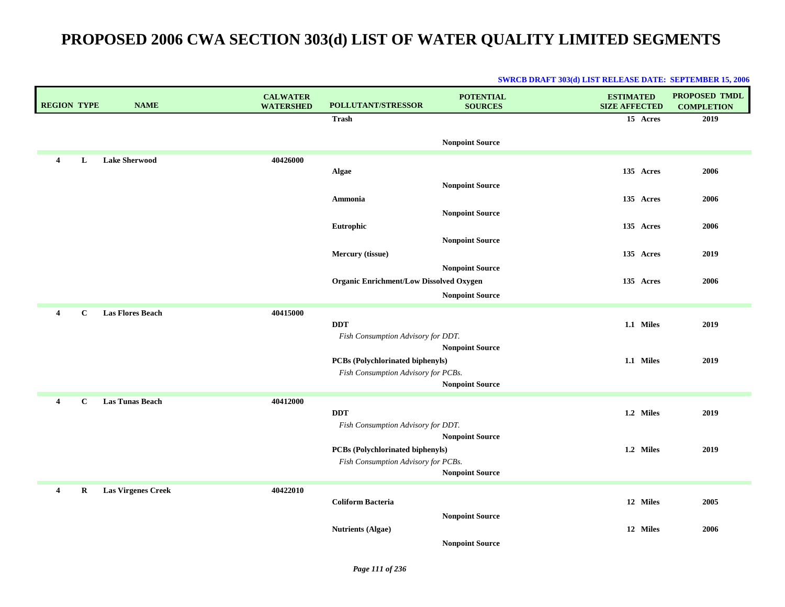| <b>REGION TYPE</b>             | <b>NAME</b>               | <b>CALWATER</b><br><b>WATERSHED</b> | <b>POLLUTANT/STRESSOR</b>                      | <b>POTENTIAL</b><br><b>SOURCES</b> | <b>ESTIMATED</b><br><b>SIZE AFFECTED</b> | <b>PROPOSED TMDL</b><br><b>COMPLETION</b> |
|--------------------------------|---------------------------|-------------------------------------|------------------------------------------------|------------------------------------|------------------------------------------|-------------------------------------------|
|                                |                           |                                     | <b>Trash</b>                                   |                                    | 15 Acres                                 | 2019                                      |
|                                |                           |                                     |                                                | <b>Nonpoint Source</b>             |                                          |                                           |
| $\overline{\mathbf{4}}$<br>L   | <b>Lake Sherwood</b>      | 40426000                            |                                                |                                    |                                          |                                           |
|                                |                           |                                     | Algae                                          |                                    | 135 Acres                                | 2006                                      |
|                                |                           |                                     |                                                | <b>Nonpoint Source</b>             |                                          |                                           |
|                                |                           |                                     | Ammonia                                        |                                    | 135 Acres                                | 2006                                      |
|                                |                           |                                     |                                                | <b>Nonpoint Source</b>             |                                          |                                           |
|                                |                           |                                     | Eutrophic                                      |                                    | 135 Acres                                | 2006                                      |
|                                |                           |                                     |                                                | <b>Nonpoint Source</b>             |                                          |                                           |
|                                |                           |                                     | Mercury (tissue)                               |                                    | 135 Acres                                | 2019                                      |
|                                |                           |                                     |                                                | <b>Nonpoint Source</b>             |                                          |                                           |
|                                |                           |                                     | <b>Organic Enrichment/Low Dissolved Oxygen</b> |                                    | 135 Acres                                | 2006                                      |
|                                |                           |                                     |                                                | <b>Nonpoint Source</b>             |                                          |                                           |
| $\overline{4}$<br>$\mathbf{C}$ | <b>Las Flores Beach</b>   | 40415000                            |                                                |                                    |                                          |                                           |
|                                |                           |                                     | <b>DDT</b>                                     |                                    | 1.1 Miles                                | 2019                                      |
|                                |                           |                                     | Fish Consumption Advisory for DDT.             |                                    |                                          |                                           |
|                                |                           |                                     |                                                | <b>Nonpoint Source</b>             |                                          |                                           |
|                                |                           |                                     | PCBs (Polychlorinated biphenyls)               |                                    | 1.1 Miles                                | 2019                                      |
|                                |                           |                                     | Fish Consumption Advisory for PCBs.            | <b>Nonpoint Source</b>             |                                          |                                           |
|                                |                           |                                     |                                                |                                    |                                          |                                           |
| $\overline{4}$<br>$\mathbf{C}$ | <b>Las Tunas Beach</b>    | 40412000                            | <b>DDT</b>                                     |                                    | 1.2 Miles                                | 2019                                      |
|                                |                           |                                     | Fish Consumption Advisory for DDT.             |                                    |                                          |                                           |
|                                |                           |                                     |                                                | <b>Nonpoint Source</b>             |                                          |                                           |
|                                |                           |                                     | PCBs (Polychlorinated biphenyls)               |                                    | 1.2 Miles                                | 2019                                      |
|                                |                           |                                     | Fish Consumption Advisory for PCBs.            |                                    |                                          |                                           |
|                                |                           |                                     |                                                | <b>Nonpoint Source</b>             |                                          |                                           |
| R<br>4                         | <b>Las Virgenes Creek</b> | 40422010                            |                                                |                                    |                                          |                                           |
|                                |                           |                                     | <b>Coliform Bacteria</b>                       |                                    | 12 Miles                                 | 2005                                      |
|                                |                           |                                     |                                                | <b>Nonpoint Source</b>             |                                          |                                           |
|                                |                           |                                     | <b>Nutrients (Algae)</b>                       |                                    | 12 Miles                                 | 2006                                      |
|                                |                           |                                     |                                                | <b>Nonpoint Source</b>             |                                          |                                           |

### **SWRCB DRAFT 303(d) LIST RELEASE DATE: SEPTEMBER 15, 2006**

*Page 111 of 236*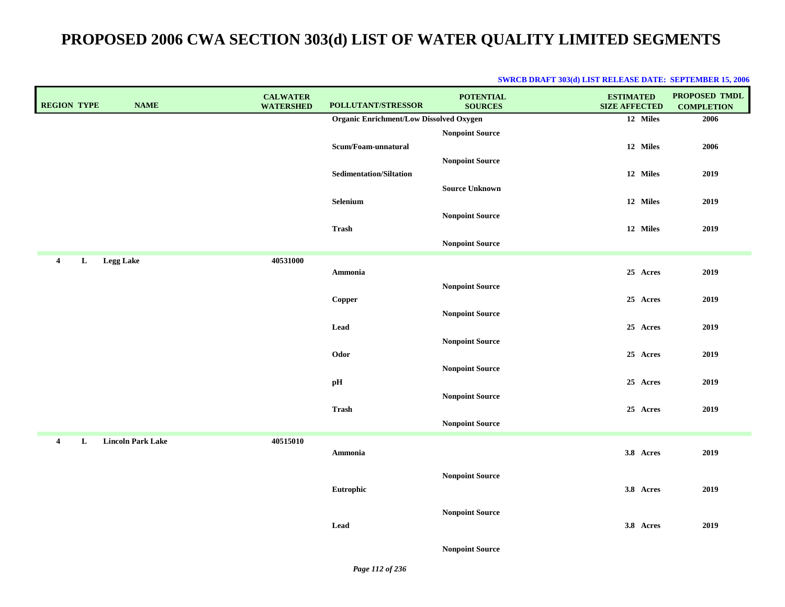| <b>REGION TYPE</b>  | <b>NAME</b>              | <b>CALWATER</b><br><b>WATERSHED</b> | POLLUTANT/STRESSOR                             | <b>POTENTIAL</b><br><b>SOURCES</b> | <b>ESTIMATED</b><br><b>SIZE AFFECTED</b> | PROPOSED TMDL<br><b>COMPLETION</b> |
|---------------------|--------------------------|-------------------------------------|------------------------------------------------|------------------------------------|------------------------------------------|------------------------------------|
|                     |                          |                                     | <b>Organic Enrichment/Low Dissolved Oxygen</b> |                                    | 12 Miles                                 | 2006                               |
|                     |                          |                                     |                                                | <b>Nonpoint Source</b>             |                                          |                                    |
|                     |                          |                                     | Scum/Foam-unnatural                            |                                    | 12 Miles                                 | 2006                               |
|                     |                          |                                     |                                                | <b>Nonpoint Source</b>             |                                          |                                    |
|                     |                          |                                     | <b>Sedimentation/Siltation</b>                 |                                    | 12 Miles                                 | 2019                               |
|                     |                          |                                     |                                                | <b>Source Unknown</b>              |                                          |                                    |
|                     |                          |                                     | ${\bf S}$ elenium                              |                                    | 12 Miles                                 | 2019                               |
|                     |                          |                                     |                                                | <b>Nonpoint Source</b>             |                                          |                                    |
|                     |                          |                                     | <b>Trash</b>                                   |                                    | 12 Miles                                 | 2019                               |
|                     |                          |                                     |                                                | <b>Nonpoint Source</b>             |                                          |                                    |
| 4<br>L              | <b>Legg Lake</b>         | 40531000                            |                                                |                                    |                                          |                                    |
|                     |                          |                                     | Ammonia                                        |                                    | 25 Acres                                 | 2019                               |
|                     |                          |                                     |                                                | <b>Nonpoint Source</b>             |                                          |                                    |
|                     |                          |                                     | Copper                                         |                                    | 25 Acres                                 | 2019                               |
|                     |                          |                                     |                                                | <b>Nonpoint Source</b>             |                                          |                                    |
|                     |                          |                                     | Lead                                           |                                    | 25 Acres                                 | 2019                               |
|                     |                          |                                     |                                                | <b>Nonpoint Source</b>             |                                          |                                    |
|                     |                          |                                     | Odor                                           |                                    | 25 Acres                                 | 2019                               |
|                     |                          |                                     |                                                | <b>Nonpoint Source</b>             |                                          |                                    |
|                     |                          |                                     | pH                                             |                                    | 25 Acres                                 | 2019                               |
|                     |                          |                                     |                                                | <b>Nonpoint Source</b>             |                                          |                                    |
|                     |                          |                                     | ${\bf Trash}$                                  |                                    | 25 Acres                                 | 2019                               |
|                     |                          |                                     |                                                | <b>Nonpoint Source</b>             |                                          |                                    |
| $\overline{4}$<br>L | <b>Lincoln Park Lake</b> | 40515010                            |                                                |                                    |                                          |                                    |
|                     |                          |                                     | Ammonia                                        |                                    | 3.8 Acres                                | 2019                               |
|                     |                          |                                     |                                                |                                    |                                          |                                    |
|                     |                          |                                     |                                                | <b>Nonpoint Source</b>             | 3.8 Acres                                |                                    |
|                     |                          |                                     | Eutrophic                                      |                                    |                                          | 2019                               |
|                     |                          |                                     |                                                | <b>Nonpoint Source</b>             |                                          |                                    |
|                     |                          |                                     | Lead                                           |                                    | 3.8 Acres                                | 2019                               |
|                     |                          |                                     |                                                |                                    |                                          |                                    |
|                     |                          |                                     |                                                | <b>Nonpoint Source</b>             |                                          |                                    |

### **SWRCB DRAFT 303(d) LIST RELEASE DATE: SEPTEMBER 15, 2006**

*Page 112 of 236*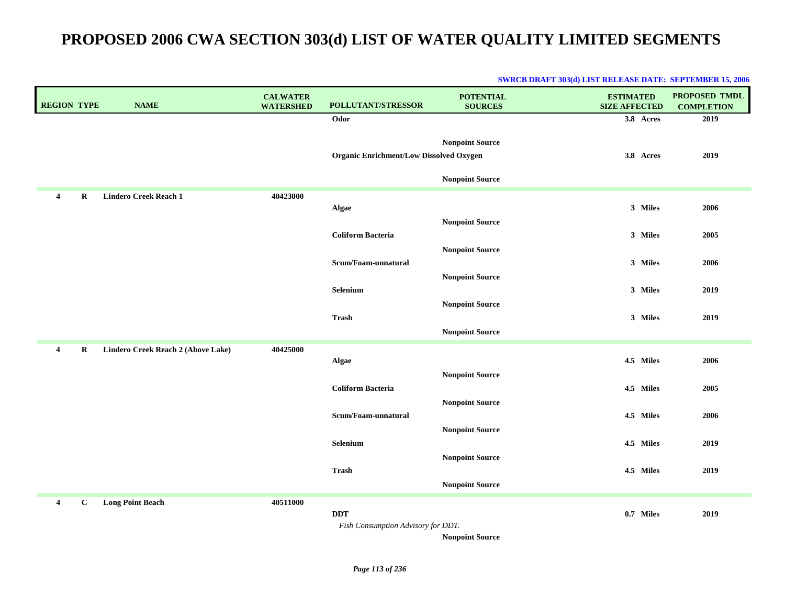| <b>REGION TYPE</b> |              | <b>NAME</b>                        | <b>CALWATER</b><br><b>WATERSHED</b> | POLLUTANT/STRESSOR                              | <b>POTENTIAL</b><br><b>SOURCES</b>               | <b>ESTIMATED</b><br><b>SIZE AFFECTED</b> | <b>PROPOSED TMDL</b><br><b>COMPLETION</b> |
|--------------------|--------------|------------------------------------|-------------------------------------|-------------------------------------------------|--------------------------------------------------|------------------------------------------|-------------------------------------------|
|                    |              |                                    |                                     | Odor                                            |                                                  | 3.8 Acres                                | 2019                                      |
|                    |              |                                    |                                     | <b>Organic Enrichment/Low Dissolved Oxygen</b>  | <b>Nonpoint Source</b>                           | 3.8 Acres                                | 2019                                      |
|                    |              |                                    |                                     |                                                 | <b>Nonpoint Source</b>                           |                                          |                                           |
| 4                  | $\bf R$      | <b>Lindero Creek Reach 1</b>       | 40423000                            | Algae                                           |                                                  | 3 Miles                                  | 2006                                      |
|                    |              |                                    |                                     | <b>Coliform Bacteria</b>                        | <b>Nonpoint Source</b><br><b>Nonpoint Source</b> | 3 Miles                                  | 2005                                      |
|                    |              |                                    |                                     | Scum/Foam-unnatural                             | <b>Nonpoint Source</b>                           | 3 Miles                                  | 2006                                      |
|                    |              |                                    |                                     | Selenium                                        | <b>Nonpoint Source</b>                           | 3 Miles                                  | 2019                                      |
|                    |              |                                    |                                     | <b>Trash</b>                                    | <b>Nonpoint Source</b>                           | 3 Miles                                  | 2019                                      |
| 4                  | R            | Lindero Creek Reach 2 (Above Lake) | 40425000                            | Algae                                           |                                                  | 4.5 Miles                                | 2006                                      |
|                    |              |                                    |                                     | <b>Coliform Bacteria</b>                        | <b>Nonpoint Source</b><br><b>Nonpoint Source</b> | 4.5 Miles                                | 2005                                      |
|                    |              |                                    |                                     | Scum/Foam-unnatural                             | <b>Nonpoint Source</b>                           | 4.5 Miles                                | 2006                                      |
|                    |              |                                    |                                     | Selenium                                        | <b>Nonpoint Source</b>                           | 4.5 Miles                                | 2019                                      |
|                    |              |                                    |                                     | <b>Trash</b>                                    | <b>Nonpoint Source</b>                           | 4.5 Miles                                | 2019                                      |
| 4                  | $\mathbf{C}$ | <b>Long Point Beach</b>            | 40511000                            | $\bf DDT$<br>Fish Consumption Advisory for DDT. | <b>Nonpoint Source</b>                           | 0.7 Miles                                | 2019                                      |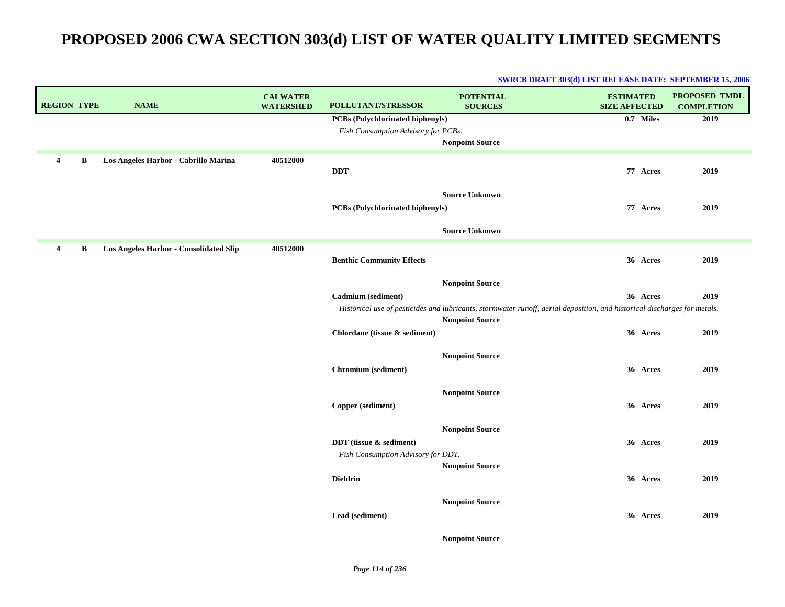| <b>REGION TYPE</b> |              | <b>NAME</b>                                   | <b>CALWATER</b><br><b>WATERSHED</b> | POLLUTANT/STRESSOR                      | <b>POTENTIAL</b><br><b>SOURCES</b>                                                                                       | <b>ESTIMATED</b><br><b>SIZE AFFECTED</b> | PROPOSED TMDL<br><b>COMPLETION</b> |
|--------------------|--------------|-----------------------------------------------|-------------------------------------|-----------------------------------------|--------------------------------------------------------------------------------------------------------------------------|------------------------------------------|------------------------------------|
|                    |              |                                               |                                     | PCBs (Polychlorinated biphenyls)        |                                                                                                                          | 0.7 Miles                                | 2019                               |
|                    |              |                                               |                                     | Fish Consumption Advisory for PCBs.     |                                                                                                                          |                                          |                                    |
|                    |              |                                               |                                     |                                         | <b>Nonpoint Source</b>                                                                                                   |                                          |                                    |
| 4                  | B            | Los Angeles Harbor - Cabrillo Marina          | 40512000                            | <b>DDT</b>                              |                                                                                                                          | 77 Acres                                 | 2019                               |
|                    |              |                                               |                                     | <b>PCBs</b> (Polychlorinated biphenyls) | <b>Source Unknown</b>                                                                                                    | 77 Acres                                 | 2019                               |
|                    |              |                                               |                                     |                                         |                                                                                                                          |                                          |                                    |
|                    |              |                                               |                                     |                                         | <b>Source Unknown</b>                                                                                                    |                                          |                                    |
| $\overline{4}$     | $\, {\bf B}$ | <b>Los Angeles Harbor - Consolidated Slip</b> | 40512000                            | <b>Benthic Community Effects</b>        |                                                                                                                          | 36 Acres                                 | 2019                               |
|                    |              |                                               |                                     |                                         | <b>Nonpoint Source</b>                                                                                                   |                                          |                                    |
|                    |              |                                               |                                     | Cadmium (sediment)                      |                                                                                                                          | 36 Acres                                 | 2019                               |
|                    |              |                                               |                                     |                                         | Historical use of pesticides and lubricants, stormwater runoff, aerial deposition, and historical discharges for metals. |                                          |                                    |
|                    |              |                                               |                                     | Chlordane (tissue & sediment)           | <b>Nonpoint Source</b>                                                                                                   | 36 Acres                                 | 2019                               |
|                    |              |                                               |                                     |                                         |                                                                                                                          |                                          |                                    |
|                    |              |                                               |                                     |                                         | <b>Nonpoint Source</b>                                                                                                   |                                          |                                    |
|                    |              |                                               |                                     | Chromium (sediment)                     |                                                                                                                          | 36 Acres                                 | 2019                               |
|                    |              |                                               |                                     |                                         | <b>Nonpoint Source</b>                                                                                                   |                                          |                                    |
|                    |              |                                               |                                     | Copper (sediment)                       |                                                                                                                          | 36 Acres                                 | 2019                               |
|                    |              |                                               |                                     |                                         |                                                                                                                          |                                          |                                    |
|                    |              |                                               |                                     | DDT (tissue & sediment)                 | <b>Nonpoint Source</b>                                                                                                   | 36 Acres                                 | 2019                               |
|                    |              |                                               |                                     | Fish Consumption Advisory for DDT.      |                                                                                                                          |                                          |                                    |
|                    |              |                                               |                                     |                                         | <b>Nonpoint Source</b>                                                                                                   |                                          |                                    |
|                    |              |                                               |                                     | <b>Dieldrin</b>                         |                                                                                                                          | 36 Acres                                 | 2019                               |
|                    |              |                                               |                                     |                                         | <b>Nonpoint Source</b>                                                                                                   |                                          |                                    |
|                    |              |                                               |                                     | Lead (sediment)                         |                                                                                                                          | 36 Acres                                 | 2019                               |
|                    |              |                                               |                                     |                                         | <b>Nonpoint Source</b>                                                                                                   |                                          |                                    |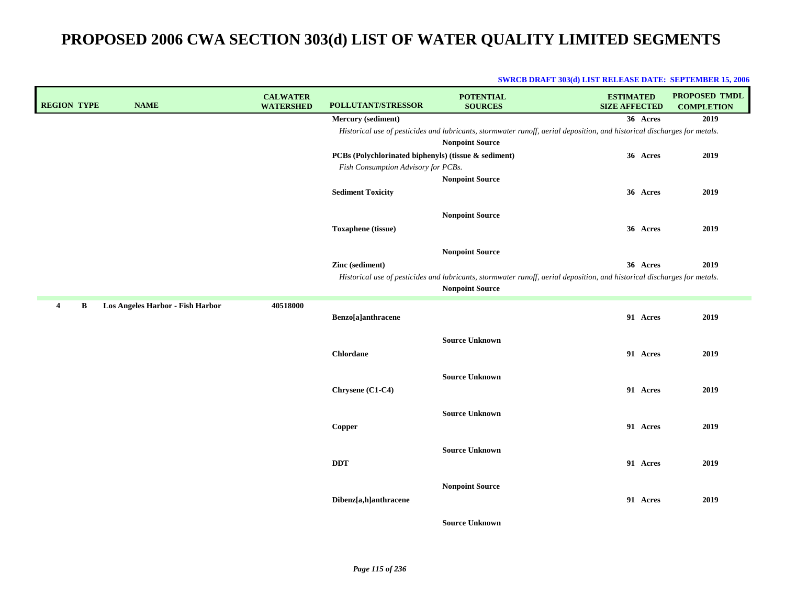| <b>REGION TYPE</b> | <b>NAME</b>                      | <b>CALWATER</b><br><b>WATERSHED</b> | <b>POLLUTANT/STRESSOR</b>                            | <b>POTENTIAL</b><br><b>SOURCES</b>                                                                                       | <b>ESTIMATED</b><br><b>SIZE AFFECTED</b> | <b>PROPOSED TMDL</b><br><b>COMPLETION</b> |
|--------------------|----------------------------------|-------------------------------------|------------------------------------------------------|--------------------------------------------------------------------------------------------------------------------------|------------------------------------------|-------------------------------------------|
|                    |                                  |                                     | Mercury (sediment)                                   |                                                                                                                          | 36 Acres                                 | 2019                                      |
|                    |                                  |                                     |                                                      | Historical use of pesticides and lubricants, stormwater runoff, aerial deposition, and historical discharges for metals. |                                          |                                           |
|                    |                                  |                                     |                                                      | <b>Nonpoint Source</b>                                                                                                   |                                          |                                           |
|                    |                                  |                                     | PCBs (Polychlorinated biphenyls) (tissue & sediment) |                                                                                                                          | 36 Acres                                 | 2019                                      |
|                    |                                  |                                     | Fish Consumption Advisory for PCBs.                  |                                                                                                                          |                                          |                                           |
|                    |                                  |                                     |                                                      | <b>Nonpoint Source</b>                                                                                                   |                                          |                                           |
|                    |                                  |                                     | <b>Sediment Toxicity</b>                             |                                                                                                                          | 36 Acres                                 | 2019                                      |
|                    |                                  |                                     |                                                      |                                                                                                                          |                                          |                                           |
|                    |                                  |                                     |                                                      | <b>Nonpoint Source</b>                                                                                                   |                                          |                                           |
|                    |                                  |                                     | Toxaphene (tissue)                                   |                                                                                                                          | 36 Acres                                 | 2019                                      |
|                    |                                  |                                     |                                                      | <b>Nonpoint Source</b>                                                                                                   |                                          |                                           |
|                    |                                  |                                     | Zinc (sediment)                                      |                                                                                                                          | 36 Acres                                 | 2019                                      |
|                    |                                  |                                     |                                                      | Historical use of pesticides and lubricants, stormwater runoff, aerial deposition, and historical discharges for metals. |                                          |                                           |
|                    |                                  |                                     |                                                      | <b>Nonpoint Source</b>                                                                                                   |                                          |                                           |
| B<br>4             | Los Angeles Harbor - Fish Harbor | 40518000                            |                                                      |                                                                                                                          |                                          |                                           |
|                    |                                  |                                     | Benzo[a]anthracene                                   |                                                                                                                          | 91 Acres                                 | 2019                                      |
|                    |                                  |                                     |                                                      |                                                                                                                          |                                          |                                           |
|                    |                                  |                                     |                                                      | <b>Source Unknown</b>                                                                                                    |                                          |                                           |
|                    |                                  |                                     | Chlordane                                            |                                                                                                                          | 91 Acres                                 | 2019                                      |
|                    |                                  |                                     |                                                      |                                                                                                                          |                                          |                                           |
|                    |                                  |                                     |                                                      | <b>Source Unknown</b>                                                                                                    |                                          |                                           |
|                    |                                  |                                     | Chrysene (C1-C4)                                     |                                                                                                                          | 91 Acres                                 | 2019                                      |
|                    |                                  |                                     |                                                      | <b>Source Unknown</b>                                                                                                    |                                          |                                           |
|                    |                                  |                                     | <b>Copper</b>                                        |                                                                                                                          | 91 Acres                                 | 2019                                      |
|                    |                                  |                                     |                                                      |                                                                                                                          |                                          |                                           |
|                    |                                  |                                     |                                                      | <b>Source Unknown</b>                                                                                                    |                                          |                                           |
|                    |                                  |                                     | <b>DDT</b>                                           |                                                                                                                          | 91 Acres                                 | 2019                                      |
|                    |                                  |                                     |                                                      |                                                                                                                          |                                          |                                           |
|                    |                                  |                                     |                                                      | <b>Nonpoint Source</b>                                                                                                   |                                          |                                           |
|                    |                                  |                                     | Dibenz[a,h]anthracene                                |                                                                                                                          | 91 Acres                                 | 2019                                      |
|                    |                                  |                                     |                                                      |                                                                                                                          |                                          |                                           |
|                    |                                  |                                     |                                                      | <b>Source Unknown</b>                                                                                                    |                                          |                                           |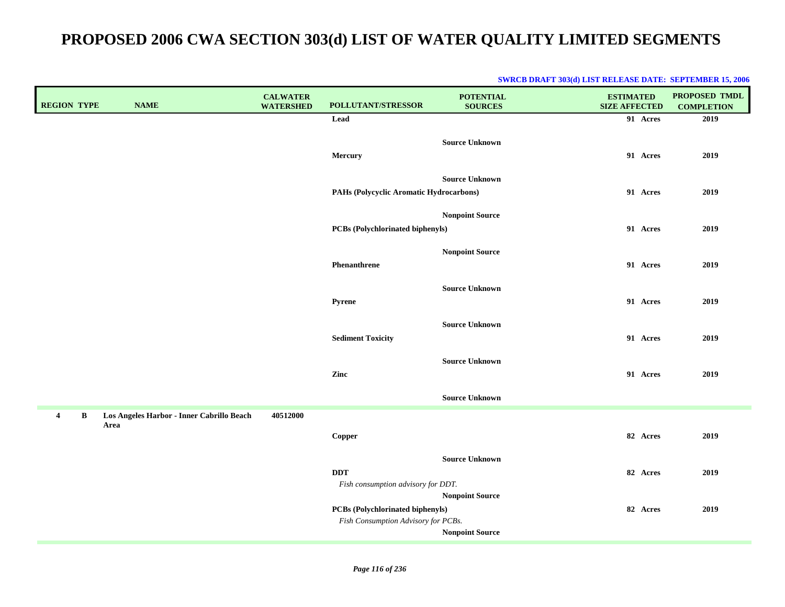| <b>REGION TYPE</b> | <b>NAME</b>                                       | <b>CALWATER</b><br><b>WATERSHED</b> | POLLUTANT/STRESSOR                                                      | <b>POTENTIAL</b><br><b>SOURCES</b>        | <b>ESTIMATED</b><br><b>SIZE AFFECTED</b> | <b>PROPOSED TMDL</b><br><b>COMPLETION</b> |
|--------------------|---------------------------------------------------|-------------------------------------|-------------------------------------------------------------------------|-------------------------------------------|------------------------------------------|-------------------------------------------|
|                    |                                                   |                                     | Lead                                                                    |                                           | 91 Acres                                 | 2019                                      |
|                    |                                                   |                                     | Mercury                                                                 | <b>Source Unknown</b>                     | 91 Acres                                 | 2019                                      |
|                    |                                                   |                                     | PAHs (Polycyclic Aromatic Hydrocarbons)                                 | <b>Source Unknown</b>                     | 91 Acres                                 | 2019                                      |
|                    |                                                   |                                     | PCBs (Polychlorinated biphenyls)                                        | <b>Nonpoint Source</b>                    | 91 Acres                                 | 2019                                      |
|                    |                                                   |                                     | Phenanthrene                                                            | <b>Nonpoint Source</b>                    | 91 Acres                                 | 2019                                      |
|                    |                                                   |                                     | Pyrene                                                                  | <b>Source Unknown</b>                     | 91 Acres                                 | 2019                                      |
|                    |                                                   |                                     | <b>Sediment Toxicity</b>                                                | <b>Source Unknown</b>                     | 91 Acres                                 | 2019                                      |
|                    |                                                   |                                     | Zinc                                                                    | <b>Source Unknown</b>                     | 91 Acres                                 | 2019                                      |
|                    |                                                   |                                     |                                                                         | <b>Source Unknown</b>                     |                                          |                                           |
| 4<br>в             | Los Angeles Harbor - Inner Cabrillo Beach<br>Area | 40512000                            | Copper                                                                  |                                           | 82 Acres                                 | 2019                                      |
|                    |                                                   |                                     |                                                                         |                                           |                                          |                                           |
|                    |                                                   |                                     | <b>DDT</b><br>Fish consumption advisory for DDT.                        | <b>Source Unknown</b>                     | 82 Acres                                 | 2019                                      |
|                    |                                                   |                                     | PCBs (Polychlorinated biphenyls)<br>Fish Consumption Advisory for PCBs. | Nonpoint Source<br><b>Nonpoint Source</b> | 82 Acres                                 | 2019                                      |
|                    |                                                   |                                     |                                                                         |                                           |                                          |                                           |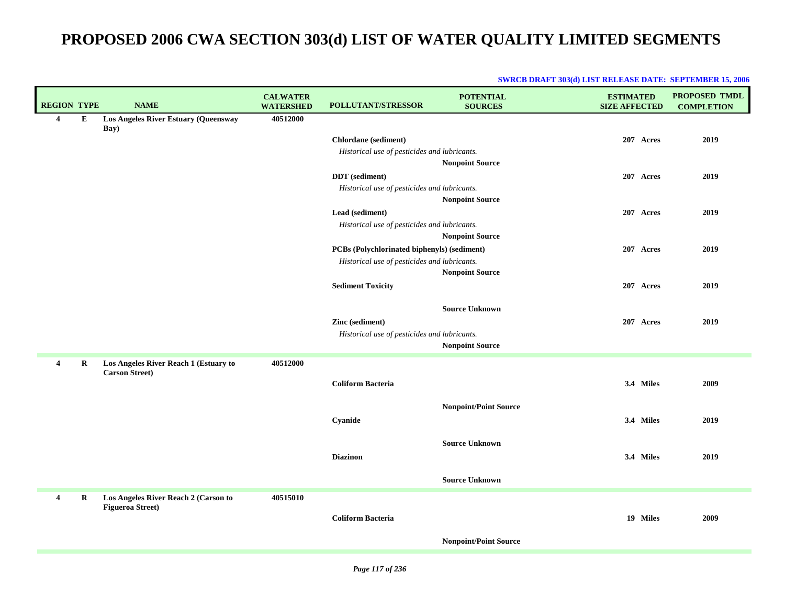| <b>REGION TYPE</b>      |   | <b>NAME</b>                                                     | <b>CALWATER</b><br><b>WATERSHED</b> | <b>POLLUTANT/STRESSOR</b>                     | <b>POTENTIAL</b><br><b>SOURCES</b> | <b>ESTIMATED</b><br><b>SIZE AFFECTED</b> | PROPOSED TMDL<br><b>COMPLETION</b> |
|-------------------------|---|-----------------------------------------------------------------|-------------------------------------|-----------------------------------------------|------------------------------------|------------------------------------------|------------------------------------|
| $\overline{4}$          | Е | Los Angeles River Estuary (Queensway<br>Bay)                    | 40512000                            |                                               |                                    |                                          |                                    |
|                         |   |                                                                 |                                     | Chlordane (sediment)                          |                                    | 207 Acres                                | 2019                               |
|                         |   |                                                                 |                                     | Historical use of pesticides and lubricants.  |                                    |                                          |                                    |
|                         |   |                                                                 |                                     |                                               | <b>Nonpoint Source</b>             |                                          |                                    |
|                         |   |                                                                 |                                     | <b>DDT</b> (sediment)                         |                                    | 207 Acres                                | 2019                               |
|                         |   |                                                                 |                                     | Historical use of pesticides and lubricants.  |                                    |                                          |                                    |
|                         |   |                                                                 |                                     |                                               | <b>Nonpoint Source</b>             |                                          |                                    |
|                         |   |                                                                 |                                     | $\boldsymbol{\operatorname{Lead}}$ (sediment) |                                    | 207 Acres                                | 2019                               |
|                         |   |                                                                 |                                     | Historical use of pesticides and lubricants.  |                                    |                                          |                                    |
|                         |   |                                                                 |                                     |                                               | <b>Nonpoint Source</b>             |                                          |                                    |
|                         |   |                                                                 |                                     | PCBs (Polychlorinated biphenyls) (sediment)   |                                    | 207 Acres                                | 2019                               |
|                         |   |                                                                 |                                     | Historical use of pesticides and lubricants.  |                                    |                                          |                                    |
|                         |   |                                                                 |                                     |                                               | <b>Nonpoint Source</b>             |                                          |                                    |
|                         |   |                                                                 |                                     | <b>Sediment Toxicity</b>                      |                                    | 207 Acres                                | 2019                               |
|                         |   |                                                                 |                                     |                                               |                                    |                                          |                                    |
|                         |   |                                                                 |                                     |                                               | <b>Source Unknown</b>              |                                          |                                    |
|                         |   |                                                                 |                                     | Zinc (sediment)                               |                                    | 207 Acres                                | 2019                               |
|                         |   |                                                                 |                                     | Historical use of pesticides and lubricants.  |                                    |                                          |                                    |
|                         |   |                                                                 |                                     |                                               | <b>Nonpoint Source</b>             |                                          |                                    |
| $\overline{\mathbf{4}}$ | R | Los Angeles River Reach 1 (Estuary to<br><b>Carson Street</b> ) | 40512000                            |                                               |                                    |                                          |                                    |
|                         |   |                                                                 |                                     | <b>Coliform Bacteria</b>                      |                                    | 3.4 Miles                                | 2009                               |
|                         |   |                                                                 |                                     |                                               |                                    |                                          |                                    |
|                         |   |                                                                 |                                     |                                               | <b>Nonpoint/Point Source</b>       |                                          |                                    |
|                         |   |                                                                 |                                     | Cyanide                                       |                                    | 3.4 Miles                                | 2019                               |
|                         |   |                                                                 |                                     |                                               |                                    |                                          |                                    |
|                         |   |                                                                 |                                     |                                               | <b>Source Unknown</b>              |                                          |                                    |
|                         |   |                                                                 |                                     | <b>Diazinon</b>                               |                                    | 3.4 Miles                                | 2019                               |
|                         |   |                                                                 |                                     |                                               |                                    |                                          |                                    |
|                         |   |                                                                 |                                     |                                               | <b>Source Unknown</b>              |                                          |                                    |
| $\overline{\mathbf{4}}$ | R | Los Angeles River Reach 2 (Carson to                            | 40515010                            |                                               |                                    |                                          |                                    |
|                         |   | <b>Figueroa Street)</b>                                         |                                     |                                               |                                    |                                          |                                    |
|                         |   |                                                                 |                                     | <b>Coliform Bacteria</b>                      |                                    | 19 Miles                                 | 2009                               |
|                         |   |                                                                 |                                     |                                               |                                    |                                          |                                    |
|                         |   |                                                                 |                                     |                                               | <b>Nonpoint/Point Source</b>       |                                          |                                    |
|                         |   |                                                                 |                                     |                                               |                                    |                                          |                                    |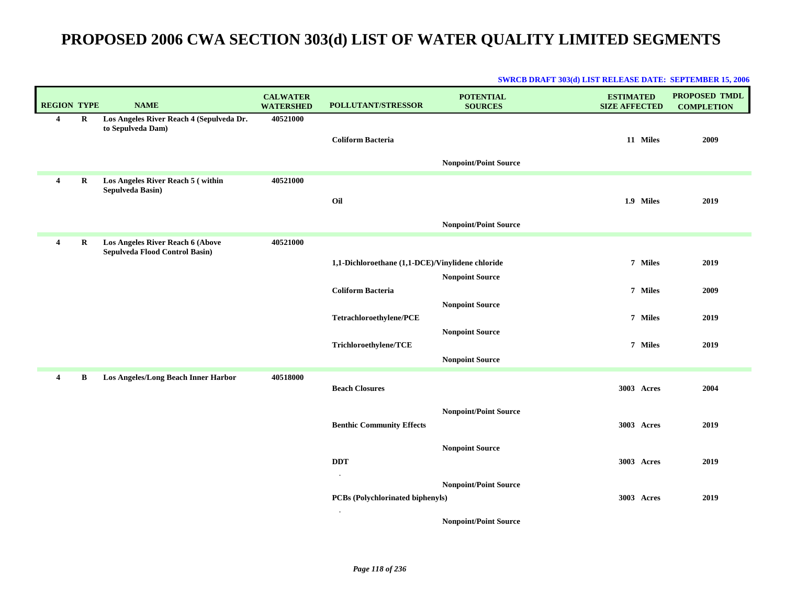| <b>REGION TYPE</b> |         | <b>NAME</b>                                                        | <b>CALWATER</b><br><b>WATERSHED</b> | POLLUTANT/STRESSOR                               | <b>POTENTIAL</b><br><b>SOURCES</b> | <b>ESTIMATED</b><br><b>SIZE AFFECTED</b> | <b>PROPOSED TMDL</b><br><b>COMPLETION</b> |
|--------------------|---------|--------------------------------------------------------------------|-------------------------------------|--------------------------------------------------|------------------------------------|------------------------------------------|-------------------------------------------|
| 4                  | $\bf R$ | Los Angeles River Reach 4 (Sepulveda Dr.<br>to Sepulveda Dam)      | 40521000                            | <b>Coliform Bacteria</b>                         | <b>Nonpoint/Point Source</b>       | 11 Miles                                 | 2009                                      |
| 4                  | R       | Los Angeles River Reach 5 (within<br>Sepulveda Basin)              | 40521000                            | Oil                                              | <b>Nonpoint/Point Source</b>       | 1.9 Miles                                | 2019                                      |
| 4                  | R       | Los Angeles River Reach 6 (Above<br>Sepulveda Flood Control Basin) | 40521000                            | 1,1-Dichloroethane (1,1-DCE)/Vinylidene chloride |                                    | 7 Miles                                  | 2019                                      |
|                    |         |                                                                    |                                     |                                                  | <b>Nonpoint Source</b>             |                                          |                                           |
|                    |         |                                                                    |                                     | <b>Coliform Bacteria</b>                         |                                    | 7 Miles                                  | 2009                                      |
|                    |         |                                                                    |                                     |                                                  | <b>Nonpoint Source</b>             |                                          |                                           |
|                    |         |                                                                    |                                     | Tetrachloroethylene/PCE                          |                                    | 7 Miles                                  | 2019                                      |
|                    |         |                                                                    |                                     | Trichloroethylene/TCE                            | <b>Nonpoint Source</b>             | 7 Miles                                  | 2019                                      |
|                    |         |                                                                    |                                     |                                                  | <b>Nonpoint Source</b>             |                                          |                                           |
| 4                  | B       | Los Angeles/Long Beach Inner Harbor                                | 40518000                            | <b>Beach Closures</b>                            |                                    | 3003 Acres                               | 2004                                      |
|                    |         |                                                                    |                                     | <b>Benthic Community Effects</b>                 | <b>Nonpoint/Point Source</b>       | 3003 Acres                               | 2019                                      |
|                    |         |                                                                    |                                     | <b>DDT</b><br>$\cdot$                            | <b>Nonpoint Source</b>             | 3003 Acres                               | 2019                                      |
|                    |         |                                                                    |                                     | PCBs (Polychlorinated biphenyls)                 | <b>Nonpoint/Point Source</b>       | 3003 Acres                               | 2019                                      |
|                    |         |                                                                    |                                     | $\cdot$                                          | <b>Nonpoint/Point Source</b>       |                                          |                                           |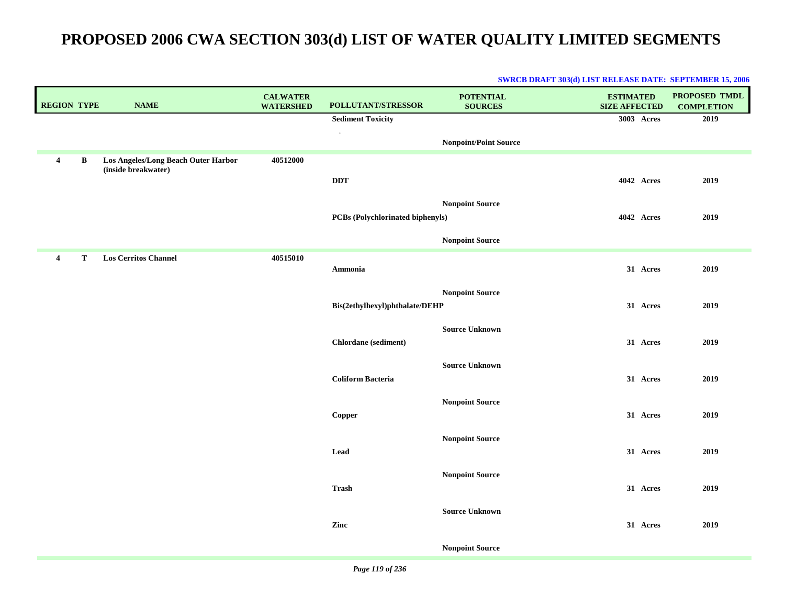| <b>REGION TYPE</b> |              | <b>NAME</b>                                                | <b>CALWATER</b><br><b>WATERSHED</b> | POLLUTANT/STRESSOR               | <b>POTENTIAL</b><br><b>SOURCES</b> | <b>ESTIMATED</b><br><b>SIZE AFFECTED</b> | PROPOSED TMDL<br><b>COMPLETION</b> |
|--------------------|--------------|------------------------------------------------------------|-------------------------------------|----------------------------------|------------------------------------|------------------------------------------|------------------------------------|
|                    |              |                                                            |                                     | <b>Sediment Toxicity</b>         |                                    | 3003 Acres                               | 2019                               |
|                    |              |                                                            |                                     | $\cdot$                          | <b>Nonpoint/Point Source</b>       |                                          |                                    |
| $\overline{4}$     | $\, {\bf B}$ | Los Angeles/Long Beach Outer Harbor<br>(inside breakwater) | 40512000                            |                                  |                                    |                                          |                                    |
|                    |              |                                                            |                                     | <b>DDT</b>                       |                                    | 4042 Acres                               | 2019                               |
|                    |              |                                                            |                                     |                                  | <b>Nonpoint Source</b>             |                                          |                                    |
|                    |              |                                                            |                                     | PCBs (Polychlorinated biphenyls) |                                    | 4042 Acres                               | 2019                               |
|                    |              |                                                            |                                     |                                  | <b>Nonpoint Source</b>             |                                          |                                    |
| $\overline{4}$     | Т            | <b>Los Cerritos Channel</b>                                | 40515010                            | Ammonia                          |                                    | 31 Acres                                 | 2019                               |
|                    |              |                                                            |                                     |                                  |                                    |                                          |                                    |
|                    |              |                                                            |                                     | Bis(2ethylhexyl)phthalate/DEHP   | <b>Nonpoint Source</b>             | 31 Acres                                 | 2019                               |
|                    |              |                                                            |                                     |                                  |                                    |                                          |                                    |
|                    |              |                                                            |                                     | Chlordane (sediment)             | <b>Source Unknown</b>              | 31 Acres                                 | 2019                               |
|                    |              |                                                            |                                     |                                  | <b>Source Unknown</b>              |                                          |                                    |
|                    |              |                                                            |                                     | <b>Coliform Bacteria</b>         |                                    | 31 Acres                                 | 2019                               |
|                    |              |                                                            |                                     |                                  | <b>Nonpoint Source</b>             |                                          |                                    |
|                    |              |                                                            |                                     | Copper                           |                                    | 31 Acres                                 | 2019                               |
|                    |              |                                                            |                                     |                                  | <b>Nonpoint Source</b>             |                                          |                                    |
|                    |              |                                                            |                                     | Lead                             |                                    | 31 Acres                                 | 2019                               |
|                    |              |                                                            |                                     |                                  | <b>Nonpoint Source</b>             |                                          |                                    |
|                    |              |                                                            |                                     | <b>Trash</b>                     |                                    | 31 Acres                                 | 2019                               |
|                    |              |                                                            |                                     |                                  | <b>Source Unknown</b>              |                                          |                                    |
|                    |              |                                                            |                                     | Zinc                             |                                    | 31 Acres                                 | 2019                               |
|                    |              |                                                            |                                     |                                  | <b>Nonpoint Source</b>             |                                          |                                    |
|                    |              |                                                            |                                     |                                  |                                    |                                          |                                    |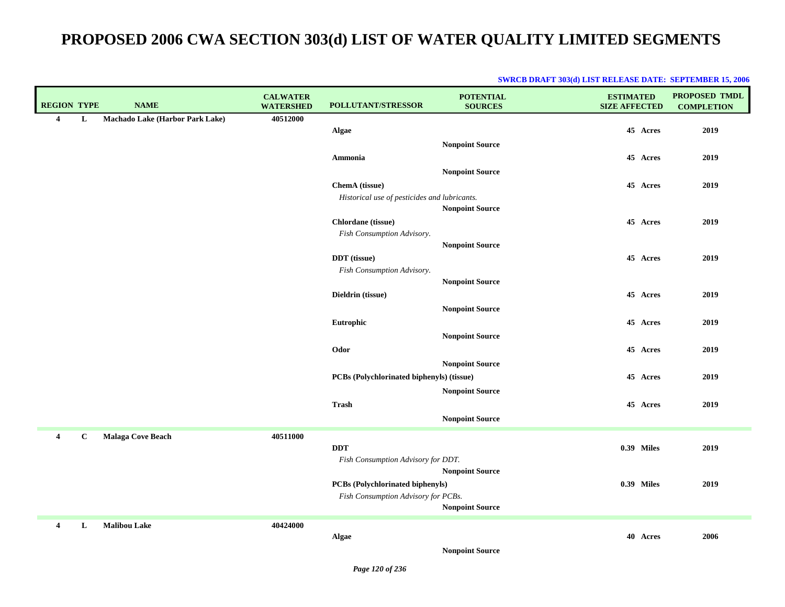| <b>REGION TYPE</b>  | <b>NAME</b>                            | <b>CALWATER</b><br><b>WATERSHED</b> | POLLUTANT/STRESSOR                           | <b>POTENTIAL</b><br><b>SOURCES</b> | <b>ESTIMATED</b><br><b>SIZE AFFECTED</b> | <b>PROPOSED TMDL</b><br><b>COMPLETION</b> |
|---------------------|----------------------------------------|-------------------------------------|----------------------------------------------|------------------------------------|------------------------------------------|-------------------------------------------|
| $\overline{4}$<br>L | <b>Machado Lake (Harbor Park Lake)</b> | 40512000                            |                                              |                                    |                                          |                                           |
|                     |                                        |                                     | Algae                                        |                                    | 45 Acres                                 | 2019                                      |
|                     |                                        |                                     |                                              |                                    |                                          |                                           |
|                     |                                        |                                     |                                              | <b>Nonpoint Source</b>             |                                          |                                           |
|                     |                                        |                                     | Ammonia                                      |                                    | 45 Acres                                 | 2019                                      |
|                     |                                        |                                     |                                              | <b>Nonpoint Source</b>             |                                          |                                           |
|                     |                                        |                                     | ChemA (tissue)                               |                                    | 45 Acres                                 | 2019                                      |
|                     |                                        |                                     | Historical use of pesticides and lubricants. |                                    |                                          |                                           |
|                     |                                        |                                     |                                              | <b>Nonpoint Source</b>             |                                          |                                           |
|                     |                                        |                                     | Chlordane (tissue)                           |                                    | 45 Acres                                 | 2019                                      |
|                     |                                        |                                     |                                              |                                    |                                          |                                           |
|                     |                                        |                                     | Fish Consumption Advisory.                   |                                    |                                          |                                           |
|                     |                                        |                                     |                                              | <b>Nonpoint Source</b>             |                                          |                                           |
|                     |                                        |                                     | <b>DDT</b> (tissue)                          |                                    | 45 Acres                                 | 2019                                      |
|                     |                                        |                                     | Fish Consumption Advisory.                   |                                    |                                          |                                           |
|                     |                                        |                                     |                                              | <b>Nonpoint Source</b>             |                                          |                                           |
|                     |                                        |                                     | Dieldrin (tissue)                            |                                    | 45 Acres                                 | 2019                                      |
|                     |                                        |                                     |                                              | <b>Nonpoint Source</b>             |                                          |                                           |
|                     |                                        |                                     |                                              |                                    |                                          |                                           |
|                     |                                        |                                     | Eutrophic                                    |                                    | 45 Acres                                 | 2019                                      |
|                     |                                        |                                     |                                              | <b>Nonpoint Source</b>             |                                          |                                           |
|                     |                                        |                                     | Odor                                         |                                    | 45 Acres                                 | 2019                                      |
|                     |                                        |                                     |                                              | <b>Nonpoint Source</b>             |                                          |                                           |
|                     |                                        |                                     | PCBs (Polychlorinated biphenyls) (tissue)    |                                    | 45 Acres                                 | 2019                                      |
|                     |                                        |                                     |                                              | <b>Nonpoint Source</b>             |                                          |                                           |
|                     |                                        |                                     |                                              |                                    |                                          |                                           |
|                     |                                        |                                     | <b>Trash</b>                                 |                                    | 45 Acres                                 | 2019                                      |
|                     |                                        |                                     |                                              | <b>Nonpoint Source</b>             |                                          |                                           |
| $\mathbf{C}$<br>4   | <b>Malaga Cove Beach</b>               | 40511000                            |                                              |                                    |                                          |                                           |
|                     |                                        |                                     | <b>DDT</b>                                   |                                    | <b>0.39 Miles</b>                        | 2019                                      |
|                     |                                        |                                     | Fish Consumption Advisory for DDT.           |                                    |                                          |                                           |
|                     |                                        |                                     |                                              |                                    |                                          |                                           |
|                     |                                        |                                     |                                              | <b>Nonpoint Source</b>             |                                          |                                           |
|                     |                                        |                                     | <b>PCBs (Polychlorinated biphenyls)</b>      |                                    | <b>0.39 Miles</b>                        | 2019                                      |
|                     |                                        |                                     | Fish Consumption Advisory for PCBs.          |                                    |                                          |                                           |
|                     |                                        |                                     |                                              | <b>Nonpoint Source</b>             |                                          |                                           |
| L<br>4              | <b>Malibou Lake</b>                    | 40424000                            |                                              |                                    |                                          |                                           |
|                     |                                        |                                     | Algae                                        |                                    | 40 Acres                                 | 2006                                      |
|                     |                                        |                                     |                                              |                                    |                                          |                                           |
|                     |                                        |                                     |                                              | <b>Nonpoint Source</b>             |                                          |                                           |

#### **SWRCB DRAFT 303(d) LIST RELEASE DATE: SEPTEMBER 15, 2006**

*Page 120 of 236*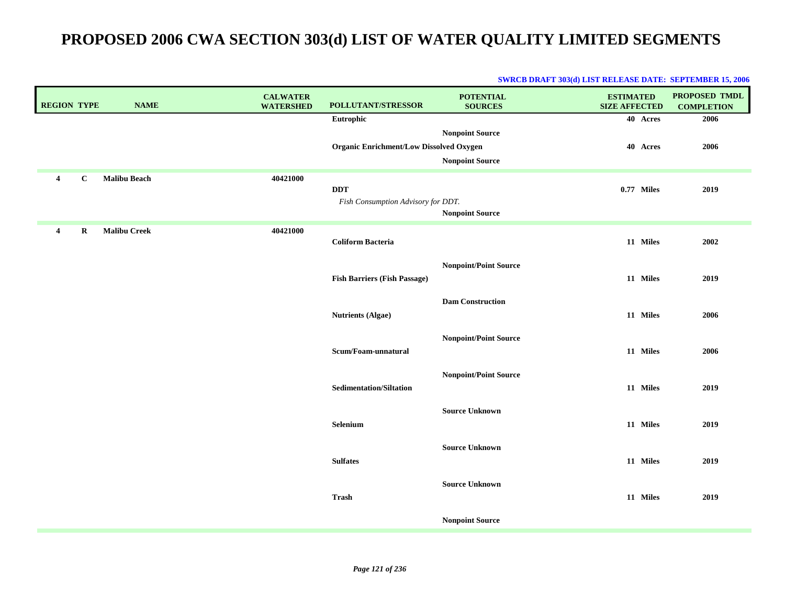| <b>REGION TYPE</b> |             | <b>NAME</b>         | <b>CALWATER</b><br><b>WATERSHED</b> | POLLUTANT/STRESSOR                               | <b>POTENTIAL</b><br><b>SOURCES</b>               | <b>ESTIMATED</b><br><b>SIZE AFFECTED</b> | PROPOSED TMDL<br><b>COMPLETION</b> |
|--------------------|-------------|---------------------|-------------------------------------|--------------------------------------------------|--------------------------------------------------|------------------------------------------|------------------------------------|
|                    |             |                     |                                     | Eutrophic                                        |                                                  | 40 Acres                                 | 2006                               |
|                    |             |                     |                                     | <b>Organic Enrichment/Low Dissolved Oxygen</b>   | <b>Nonpoint Source</b><br><b>Nonpoint Source</b> | 40 Acres                                 | 2006                               |
| $\overline{4}$     | $\mathbf C$ | <b>Malibu Beach</b> | 40421000                            | <b>DDT</b><br>Fish Consumption Advisory for DDT. | <b>Nonpoint Source</b>                           | 0.77 Miles                               | 2019                               |
| $\boldsymbol{4}$   | $\mathbf R$ | <b>Malibu Creek</b> | 40421000                            | <b>Coliform Bacteria</b>                         |                                                  | 11 Miles                                 | 2002                               |
|                    |             |                     |                                     | <b>Fish Barriers (Fish Passage)</b>              | <b>Nonpoint/Point Source</b>                     | 11 Miles                                 | 2019                               |
|                    |             |                     |                                     | <b>Nutrients (Algae)</b>                         | <b>Dam Construction</b>                          | 11 Miles                                 | 2006                               |
|                    |             |                     |                                     | Scum/Foam-unnatural                              | <b>Nonpoint/Point Source</b>                     | 11 Miles                                 | 2006                               |
|                    |             |                     |                                     | <b>Sedimentation/Siltation</b>                   | <b>Nonpoint/Point Source</b>                     | 11 Miles                                 | 2019                               |
|                    |             |                     |                                     | Selenium                                         | <b>Source Unknown</b>                            | 11 Miles                                 | 2019                               |
|                    |             |                     |                                     | <b>Sulfates</b>                                  | <b>Source Unknown</b>                            | 11 Miles                                 | 2019                               |
|                    |             |                     |                                     | Trash                                            | <b>Source Unknown</b>                            | 11 Miles                                 | 2019                               |
|                    |             |                     |                                     |                                                  | <b>Nonpoint Source</b>                           |                                          |                                    |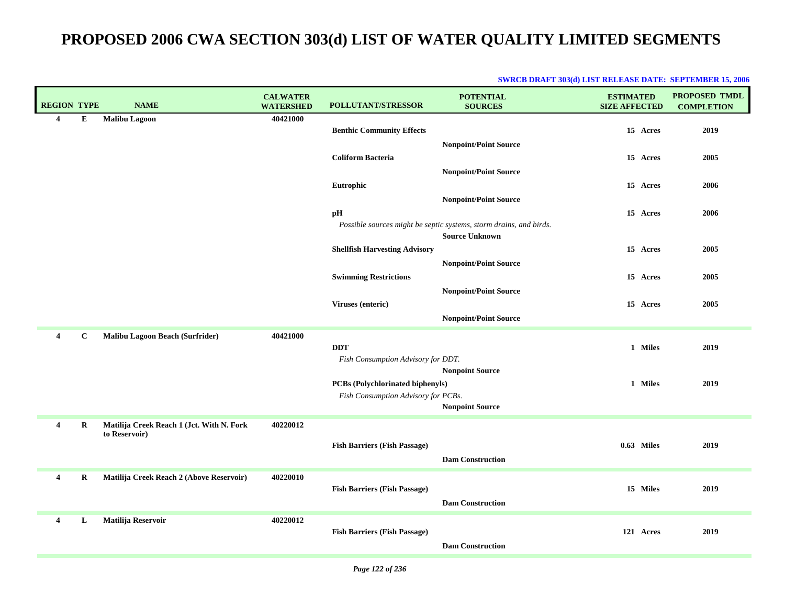| <b>REGION TYPE</b>      |             | <b>NAME</b>                               | <b>CALWATER</b><br><b>WATERSHED</b> | <b>POLLUTANT/STRESSOR</b>                                               | <b>POTENTIAL</b><br><b>SOURCES</b>                                                          | <b>ESTIMATED</b><br><b>SIZE AFFECTED</b> | PROPOSED TMDL<br><b>COMPLETION</b> |
|-------------------------|-------------|-------------------------------------------|-------------------------------------|-------------------------------------------------------------------------|---------------------------------------------------------------------------------------------|------------------------------------------|------------------------------------|
| $\overline{\mathbf{4}}$ | E           | <b>Malibu Lagoon</b>                      | 40421000                            |                                                                         |                                                                                             |                                          |                                    |
|                         |             |                                           |                                     | <b>Benthic Community Effects</b>                                        |                                                                                             | 15 Acres                                 | 2019                               |
|                         |             |                                           |                                     |                                                                         | <b>Nonpoint/Point Source</b>                                                                |                                          |                                    |
|                         |             |                                           |                                     | <b>Coliform Bacteria</b>                                                |                                                                                             | 15 Acres                                 | 2005                               |
|                         |             |                                           |                                     |                                                                         | <b>Nonpoint/Point Source</b>                                                                |                                          |                                    |
|                         |             |                                           |                                     | Eutrophic                                                               |                                                                                             | 15 Acres                                 | 2006                               |
|                         |             |                                           |                                     |                                                                         | <b>Nonpoint/Point Source</b>                                                                |                                          |                                    |
|                         |             |                                           |                                     | pH                                                                      |                                                                                             | 15 Acres                                 | 2006                               |
|                         |             |                                           |                                     |                                                                         | Possible sources might be septic systems, storm drains, and birds.<br><b>Source Unknown</b> |                                          |                                    |
|                         |             |                                           |                                     | <b>Shellfish Harvesting Advisory</b>                                    |                                                                                             | 15 Acres                                 | 2005                               |
|                         |             |                                           |                                     |                                                                         | <b>Nonpoint/Point Source</b>                                                                |                                          |                                    |
|                         |             |                                           |                                     | <b>Swimming Restrictions</b>                                            |                                                                                             | 15 Acres                                 | 2005                               |
|                         |             |                                           |                                     |                                                                         | <b>Nonpoint/Point Source</b>                                                                |                                          |                                    |
|                         |             |                                           |                                     | Viruses (enteric)                                                       |                                                                                             | 15 Acres                                 | 2005                               |
|                         |             |                                           |                                     |                                                                         | <b>Nonpoint/Point Source</b>                                                                |                                          |                                    |
| 4                       | $\mathbf c$ | <b>Malibu Lagoon Beach (Surfrider)</b>    | 40421000                            |                                                                         |                                                                                             |                                          |                                    |
|                         |             |                                           |                                     | <b>DDT</b>                                                              |                                                                                             | 1 Miles                                  | 2019                               |
|                         |             |                                           |                                     | Fish Consumption Advisory for DDT.                                      |                                                                                             |                                          |                                    |
|                         |             |                                           |                                     |                                                                         | <b>Nonpoint Source</b>                                                                      | 1 Miles                                  |                                    |
|                         |             |                                           |                                     | PCBs (Polychlorinated biphenyls)<br>Fish Consumption Advisory for PCBs. |                                                                                             |                                          | 2019                               |
|                         |             |                                           |                                     |                                                                         | <b>Nonpoint Source</b>                                                                      |                                          |                                    |
| 4                       | R           | Matilija Creek Reach 1 (Jct. With N. Fork | 40220012                            |                                                                         |                                                                                             |                                          |                                    |
|                         |             | to Reservoir)                             |                                     |                                                                         |                                                                                             |                                          |                                    |
|                         |             |                                           |                                     | <b>Fish Barriers (Fish Passage)</b>                                     |                                                                                             | 0.63 Miles                               | 2019                               |
|                         |             |                                           |                                     |                                                                         | <b>Dam Construction</b>                                                                     |                                          |                                    |
| $\overline{\mathbf{4}}$ | $\bf R$     | Matilija Creek Reach 2 (Above Reservoir)  | 40220010                            |                                                                         |                                                                                             |                                          |                                    |
|                         |             |                                           |                                     | <b>Fish Barriers (Fish Passage)</b>                                     |                                                                                             | 15 Miles                                 | 2019                               |
|                         |             |                                           |                                     |                                                                         | <b>Dam Construction</b>                                                                     |                                          |                                    |
| 4                       | L           | Matilija Reservoir                        | 40220012                            |                                                                         |                                                                                             |                                          |                                    |
|                         |             |                                           |                                     | <b>Fish Barriers (Fish Passage)</b>                                     |                                                                                             | 121 Acres                                | 2019                               |
|                         |             |                                           |                                     |                                                                         | <b>Dam Construction</b>                                                                     |                                          |                                    |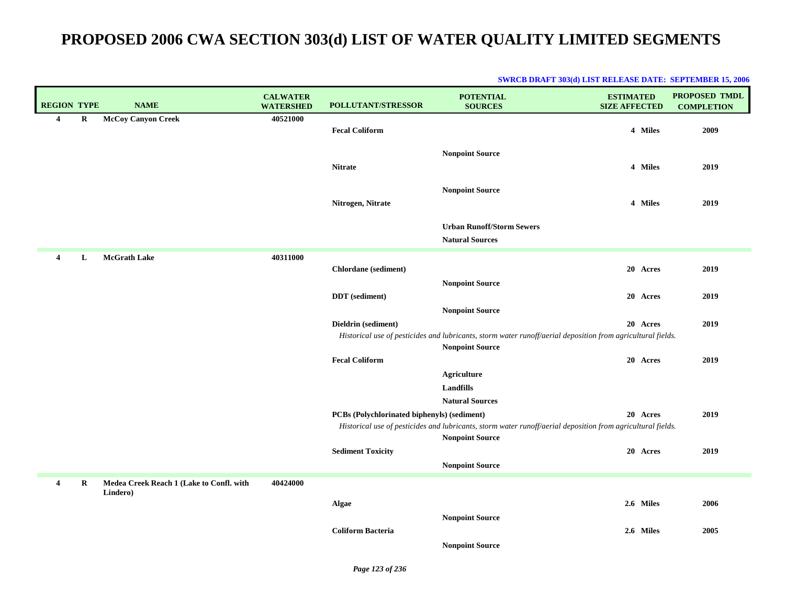| <b>REGION TYPE</b> |         | <b>NAME</b>                                          | <b>CALWATER</b><br><b>WATERSHED</b> | <b>POLLUTANT/STRESSOR</b>                   | <b>POTENTIAL</b><br><b>SOURCES</b>                                                                                                    | <b>ESTIMATED</b><br><b>SIZE AFFECTED</b> | <b>PROPOSED TMDL</b><br><b>COMPLETION</b> |
|--------------------|---------|------------------------------------------------------|-------------------------------------|---------------------------------------------|---------------------------------------------------------------------------------------------------------------------------------------|------------------------------------------|-------------------------------------------|
| $\overline{4}$     | $\bf R$ | <b>McCoy Canyon Creek</b>                            | 40521000                            | <b>Fecal Coliform</b>                       |                                                                                                                                       | 4 Miles                                  | 2009                                      |
|                    |         |                                                      |                                     | <b>Nitrate</b>                              | <b>Nonpoint Source</b>                                                                                                                | 4 Miles                                  | 2019                                      |
|                    |         |                                                      |                                     |                                             | <b>Nonpoint Source</b>                                                                                                                |                                          |                                           |
|                    |         |                                                      |                                     | Nitrogen, Nitrate                           |                                                                                                                                       | 4 Miles                                  | 2019                                      |
|                    |         |                                                      |                                     |                                             | <b>Urban Runoff/Storm Sewers</b><br><b>Natural Sources</b>                                                                            |                                          |                                           |
|                    |         |                                                      |                                     |                                             |                                                                                                                                       |                                          |                                           |
| $\boldsymbol{4}$   | L       | McGrath Lake                                         | 40311000                            | Chlordane (sediment)                        |                                                                                                                                       | 20 Acres                                 | 2019                                      |
|                    |         |                                                      |                                     | <b>DDT</b> (sediment)                       | <b>Nonpoint Source</b>                                                                                                                | 20 Acres                                 | 2019                                      |
|                    |         |                                                      |                                     |                                             | <b>Nonpoint Source</b>                                                                                                                |                                          |                                           |
|                    |         |                                                      |                                     | Dieldrin (sediment)                         |                                                                                                                                       | 20 Acres                                 | 2019                                      |
|                    |         |                                                      |                                     |                                             | Historical use of pesticides and lubricants, storm water runoff/aerial deposition from agricultural fields.                           |                                          |                                           |
|                    |         |                                                      |                                     |                                             | <b>Nonpoint Source</b>                                                                                                                |                                          |                                           |
|                    |         |                                                      |                                     | <b>Fecal Coliform</b>                       |                                                                                                                                       | 20 Acres                                 | 2019                                      |
|                    |         |                                                      |                                     |                                             | <b>Agriculture</b>                                                                                                                    |                                          |                                           |
|                    |         |                                                      |                                     |                                             | <b>Landfills</b>                                                                                                                      |                                          |                                           |
|                    |         |                                                      |                                     |                                             | <b>Natural Sources</b>                                                                                                                |                                          |                                           |
|                    |         |                                                      |                                     | PCBs (Polychlorinated biphenyls) (sediment) | Historical use of pesticides and lubricants, storm water runoff/aerial deposition from agricultural fields.<br><b>Nonpoint Source</b> | 20 Acres                                 | 2019                                      |
|                    |         |                                                      |                                     | <b>Sediment Toxicity</b>                    |                                                                                                                                       | 20 Acres                                 | 2019                                      |
|                    |         |                                                      |                                     |                                             | <b>Nonpoint Source</b>                                                                                                                |                                          |                                           |
| $\overline{4}$     | R       | Medea Creek Reach 1 (Lake to Confl. with<br>Lindero) | 40424000                            |                                             |                                                                                                                                       |                                          |                                           |
|                    |         |                                                      |                                     | Algae                                       |                                                                                                                                       | 2.6 Miles                                | 2006                                      |
|                    |         |                                                      |                                     |                                             | <b>Nonpoint Source</b>                                                                                                                |                                          |                                           |
|                    |         |                                                      |                                     | <b>Coliform Bacteria</b>                    |                                                                                                                                       | 2.6 Miles                                | 2005                                      |
|                    |         |                                                      |                                     |                                             | <b>Nonpoint Source</b>                                                                                                                |                                          |                                           |

#### **SWRCB DRAFT 303(d) LIST RELEASE DATE: SEPTEMBER 15, 2006**

*Page 123 of 236*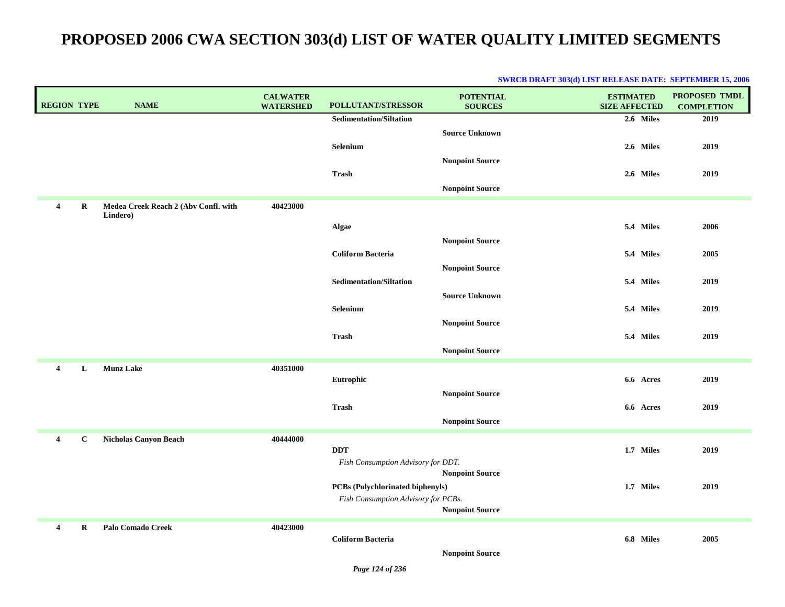| <b>REGION TYPE</b>      |              | <b>NAME</b>                                      | <b>CALWATER</b><br><b>WATERSHED</b> | POLLUTANT/STRESSOR                      | <b>POTENTIAL</b><br><b>SOURCES</b> | <b>ESTIMATED</b><br><b>SIZE AFFECTED</b> | PROPOSED TMDL<br><b>COMPLETION</b> |
|-------------------------|--------------|--------------------------------------------------|-------------------------------------|-----------------------------------------|------------------------------------|------------------------------------------|------------------------------------|
|                         |              |                                                  |                                     | <b>Sedimentation/Siltation</b>          |                                    | 2.6 Miles                                | 2019                               |
|                         |              |                                                  |                                     |                                         | <b>Source Unknown</b>              |                                          |                                    |
|                         |              |                                                  |                                     | Selenium                                |                                    | 2.6 Miles                                | 2019                               |
|                         |              |                                                  |                                     |                                         | <b>Nonpoint Source</b>             |                                          |                                    |
|                         |              |                                                  |                                     | <b>Trash</b>                            |                                    | 2.6 Miles                                | 2019                               |
|                         |              |                                                  |                                     |                                         | <b>Nonpoint Source</b>             |                                          |                                    |
| $\overline{\mathbf{4}}$ | R            | Medea Creek Reach 2 (Abv Confl. with<br>Lindero) | 40423000                            |                                         |                                    |                                          |                                    |
|                         |              |                                                  |                                     | Algae                                   |                                    | 5.4 Miles                                | 2006                               |
|                         |              |                                                  |                                     |                                         | <b>Nonpoint Source</b>             |                                          |                                    |
|                         |              |                                                  |                                     | <b>Coliform Bacteria</b>                |                                    | 5.4 Miles                                | 2005                               |
|                         |              |                                                  |                                     |                                         | <b>Nonpoint Source</b>             |                                          |                                    |
|                         |              |                                                  |                                     | <b>Sedimentation/Siltation</b>          |                                    | 5.4 Miles                                | 2019                               |
|                         |              |                                                  |                                     | Selenium                                | <b>Source Unknown</b>              | 5.4 Miles                                | 2019                               |
|                         |              |                                                  |                                     |                                         | <b>Nonpoint Source</b>             |                                          |                                    |
|                         |              |                                                  |                                     | <b>Trash</b>                            |                                    | 5.4 Miles                                | 2019                               |
|                         |              |                                                  |                                     |                                         | <b>Nonpoint Source</b>             |                                          |                                    |
| $\overline{4}$          | L            | <b>Munz Lake</b>                                 | 40351000                            |                                         |                                    |                                          |                                    |
|                         |              |                                                  |                                     | Eutrophic                               |                                    | 6.6 Acres                                | 2019                               |
|                         |              |                                                  |                                     |                                         | <b>Nonpoint Source</b>             |                                          |                                    |
|                         |              |                                                  |                                     | Trash                                   |                                    | 6.6 Acres                                | 2019                               |
|                         |              |                                                  |                                     |                                         | <b>Nonpoint Source</b>             |                                          |                                    |
| $\overline{\mathbf{4}}$ | $\mathbf{C}$ | <b>Nicholas Canyon Beach</b>                     | 40444000                            |                                         |                                    |                                          |                                    |
|                         |              |                                                  |                                     | <b>DDT</b>                              |                                    | 1.7 Miles                                | 2019                               |
|                         |              |                                                  |                                     | Fish Consumption Advisory for DDT.      |                                    |                                          |                                    |
|                         |              |                                                  |                                     | <b>PCBs</b> (Polychlorinated biphenyls) | <b>Nonpoint Source</b>             | 1.7 Miles                                | 2019                               |
|                         |              |                                                  |                                     | Fish Consumption Advisory for PCBs.     |                                    |                                          |                                    |
|                         |              |                                                  |                                     |                                         | <b>Nonpoint Source</b>             |                                          |                                    |
| $\overline{\mathbf{4}}$ | $\bf{R}$     | Palo Comado Creek                                | 40423000                            |                                         |                                    |                                          |                                    |
|                         |              |                                                  |                                     | <b>Coliform Bacteria</b>                |                                    | 6.8 Miles                                | 2005                               |
|                         |              |                                                  |                                     |                                         | <b>Nonpoint Source</b>             |                                          |                                    |

*Page 124 of 236*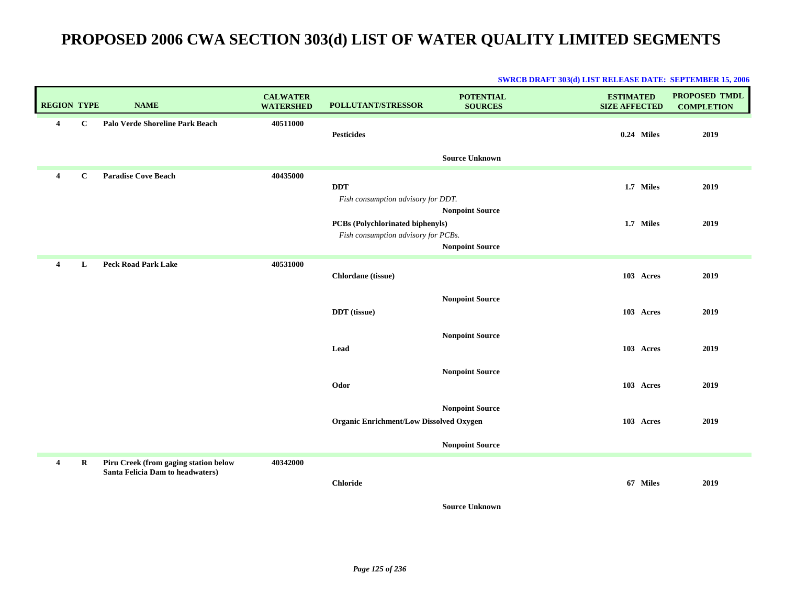| <b>REGION TYPE</b> |              | <b>NAME</b>                                                               | <b>CALWATER</b><br><b>WATERSHED</b> | POLLUTANT/STRESSOR                                                             | <b>POTENTIAL</b><br><b>SOURCES</b> | <b>ESTIMATED</b><br><b>SIZE AFFECTED</b> | PROPOSED TMDL<br><b>COMPLETION</b> |
|--------------------|--------------|---------------------------------------------------------------------------|-------------------------------------|--------------------------------------------------------------------------------|------------------------------------|------------------------------------------|------------------------------------|
| $\overline{4}$     | $\mathbf{C}$ | <b>Palo Verde Shoreline Park Beach</b>                                    | 40511000                            | <b>Pesticides</b>                                                              | <b>Source Unknown</b>              | 0.24 Miles                               | 2019                               |
| $\overline{4}$     | $\mathbf C$  | <b>Paradise Cove Beach</b>                                                | 40435000                            | <b>DDT</b><br>Fish consumption advisory for DDT.                               | <b>Nonpoint Source</b>             | 1.7 Miles                                | 2019                               |
|                    |              |                                                                           |                                     | <b>PCBs (Polychlorinated biphenyls)</b><br>Fish consumption advisory for PCBs. | <b>Nonpoint Source</b>             | 1.7 Miles                                | 2019                               |
| 4                  | L            | <b>Peck Road Park Lake</b>                                                | 40531000                            | Chlordane (tissue)                                                             |                                    | 103 Acres                                | 2019                               |
|                    |              |                                                                           |                                     | <b>DDT</b> (tissue)                                                            | <b>Nonpoint Source</b>             | 103 Acres                                | 2019                               |
|                    |              |                                                                           |                                     | Lead                                                                           | <b>Nonpoint Source</b>             | 103 Acres                                | 2019                               |
|                    |              |                                                                           |                                     | Odor                                                                           | <b>Nonpoint Source</b>             | 103 Acres                                | 2019                               |
|                    |              |                                                                           |                                     | <b>Organic Enrichment/Low Dissolved Oxygen</b>                                 | <b>Nonpoint Source</b>             | 103 Acres                                | 2019                               |
|                    |              |                                                                           |                                     |                                                                                | <b>Nonpoint Source</b>             |                                          |                                    |
| $\overline{4}$     | R            | Piru Creek (from gaging station below<br>Santa Felicia Dam to headwaters) | 40342000                            | <b>Chloride</b>                                                                | <b>Source Unknown</b>              | 67 Miles                                 | 2019                               |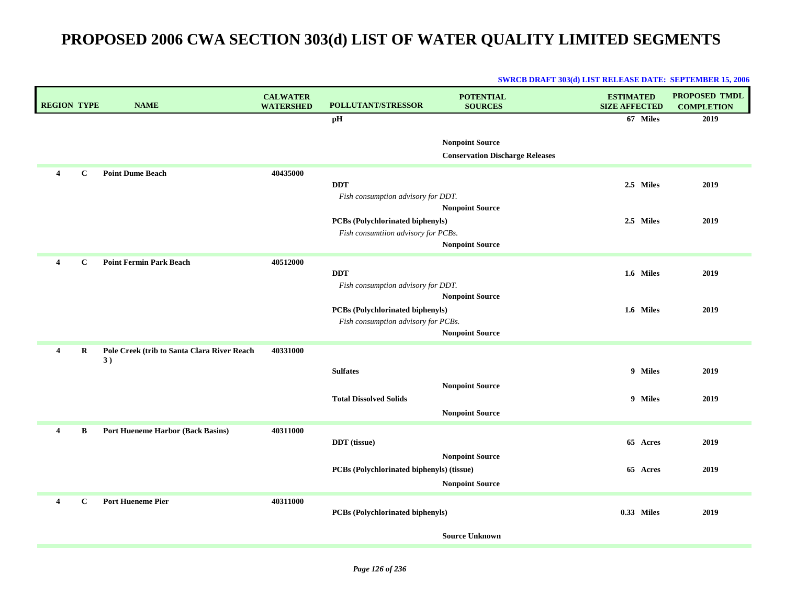| <b>REGION TYPE</b>      |              | <b>NAME</b>                                       | <b>CALWATER</b><br><b>WATERSHED</b> | POLLUTANT/STRESSOR                        | <b>POTENTIAL</b><br><b>SOURCES</b>     | <b>ESTIMATED</b><br><b>SIZE AFFECTED</b> | <b>PROPOSED TMDL</b><br><b>COMPLETION</b> |
|-------------------------|--------------|---------------------------------------------------|-------------------------------------|-------------------------------------------|----------------------------------------|------------------------------------------|-------------------------------------------|
|                         |              |                                                   |                                     | pH                                        |                                        | 67 Miles                                 | 2019                                      |
|                         |              |                                                   |                                     |                                           | <b>Nonpoint Source</b>                 |                                          |                                           |
|                         |              |                                                   |                                     |                                           | <b>Conservation Discharge Releases</b> |                                          |                                           |
| $\overline{\mathbf{4}}$ | $\mathbf{C}$ | <b>Point Dume Beach</b>                           | 40435000                            |                                           |                                        |                                          |                                           |
|                         |              |                                                   |                                     | <b>DDT</b>                                |                                        | 2.5 Miles                                | 2019                                      |
|                         |              |                                                   |                                     | Fish consumption advisory for DDT.        | <b>Nonpoint Source</b>                 |                                          |                                           |
|                         |              |                                                   |                                     | PCBs (Polychlorinated biphenyls)          |                                        | 2.5 Miles                                | 2019                                      |
|                         |              |                                                   |                                     | Fish consumtiion advisory for PCBs.       |                                        |                                          |                                           |
|                         |              |                                                   |                                     |                                           | <b>Nonpoint Source</b>                 |                                          |                                           |
| 4                       | $\mathbf{C}$ | <b>Point Fermin Park Beach</b>                    | 40512000                            |                                           |                                        |                                          |                                           |
|                         |              |                                                   |                                     | <b>DDT</b>                                |                                        | 1.6 Miles                                | 2019                                      |
|                         |              |                                                   |                                     | Fish consumption advisory for DDT.        |                                        |                                          |                                           |
|                         |              |                                                   |                                     |                                           | <b>Nonpoint Source</b>                 |                                          |                                           |
|                         |              |                                                   |                                     | PCBs (Polychlorinated biphenyls)          |                                        | 1.6 Miles                                | 2019                                      |
|                         |              |                                                   |                                     | Fish consumption advisory for PCBs.       |                                        |                                          |                                           |
|                         |              |                                                   |                                     |                                           | <b>Nonpoint Source</b>                 |                                          |                                           |
| $\overline{\mathbf{4}}$ | R            | Pole Creek (trib to Santa Clara River Reach<br>3) | 40331000                            |                                           |                                        |                                          |                                           |
|                         |              |                                                   |                                     | <b>Sulfates</b>                           |                                        | 9 Miles                                  | 2019                                      |
|                         |              |                                                   |                                     |                                           | <b>Nonpoint Source</b>                 |                                          |                                           |
|                         |              |                                                   |                                     | <b>Total Dissolved Solids</b>             |                                        | 9 Miles                                  | 2019                                      |
|                         |              |                                                   |                                     |                                           | <b>Nonpoint Source</b>                 |                                          |                                           |
| $\overline{4}$          |              | <b>Port Hueneme Harbor (Back Basins)</b>          |                                     |                                           |                                        |                                          |                                           |
|                         | $\, {\bf B}$ |                                                   | 40311000                            | <b>DDT</b> (tissue)                       |                                        | 65 Acres                                 | 2019                                      |
|                         |              |                                                   |                                     |                                           | <b>Nonpoint Source</b>                 |                                          |                                           |
|                         |              |                                                   |                                     | PCBs (Polychlorinated biphenyls) (tissue) |                                        | 65 Acres                                 | 2019                                      |
|                         |              |                                                   |                                     |                                           | <b>Nonpoint Source</b>                 |                                          |                                           |
|                         |              |                                                   |                                     |                                           |                                        |                                          |                                           |
| 4                       | $\mathbf C$  | <b>Port Hueneme Pier</b>                          | 40311000                            | <b>PCBs</b> (Polychlorinated biphenyls)   |                                        | 0.33 Miles                               | 2019                                      |
|                         |              |                                                   |                                     |                                           |                                        |                                          |                                           |
|                         |              |                                                   |                                     |                                           | <b>Source Unknown</b>                  |                                          |                                           |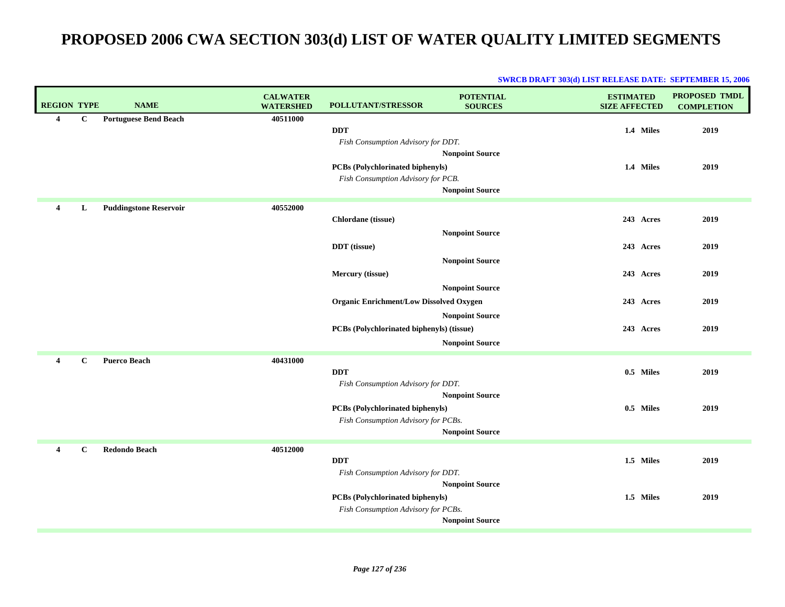| <b>REGION TYPE</b> |              | <b>NAME</b>                   | <b>CALWATER</b><br><b>WATERSHED</b> | <b>POLLUTANT/STRESSOR</b>                                               | <b>POTENTIAL</b><br><b>SOURCES</b>               | <b>ESTIMATED</b><br><b>SIZE AFFECTED</b> | <b>PROPOSED TMDL</b><br><b>COMPLETION</b> |
|--------------------|--------------|-------------------------------|-------------------------------------|-------------------------------------------------------------------------|--------------------------------------------------|------------------------------------------|-------------------------------------------|
| $\overline{4}$     | C            | <b>Portuguese Bend Beach</b>  | 40511000                            | <b>DDT</b><br>Fish Consumption Advisory for DDT.                        |                                                  | 1.4 Miles                                | 2019                                      |
|                    |              |                               |                                     | PCBs (Polychlorinated biphenyls)<br>Fish Consumption Advisory for PCB.  | <b>Nonpoint Source</b><br><b>Nonpoint Source</b> | 1.4 Miles                                | 2019                                      |
| $\overline{4}$     | L            | <b>Puddingstone Reservoir</b> | 40552000                            | Chlordane (tissue)                                                      |                                                  | 243 Acres                                | 2019                                      |
|                    |              |                               |                                     | <b>DDT</b> (tissue)                                                     | <b>Nonpoint Source</b><br><b>Nonpoint Source</b> | 243 Acres                                | 2019                                      |
|                    |              |                               |                                     | Mercury (tissue)                                                        | <b>Nonpoint Source</b>                           | 243 Acres                                | 2019                                      |
|                    |              |                               |                                     | <b>Organic Enrichment/Low Dissolved Oxygen</b>                          | <b>Nonpoint Source</b>                           | 243 Acres                                | 2019                                      |
|                    |              |                               |                                     | PCBs (Polychlorinated biphenyls) (tissue)                               | <b>Nonpoint Source</b>                           | 243 Acres                                | 2019                                      |
| $\overline{4}$     | $\mathbf C$  | <b>Puerco Beach</b>           | 40431000                            | <b>DDT</b><br>Fish Consumption Advisory for DDT.                        | <b>Nonpoint Source</b>                           | 0.5 Miles                                | 2019                                      |
|                    |              |                               |                                     | PCBs (Polychlorinated biphenyls)<br>Fish Consumption Advisory for PCBs. | <b>Nonpoint Source</b>                           | 0.5 Miles                                | 2019                                      |
| 4                  | $\mathbf{C}$ | <b>Redondo Beach</b>          | 40512000                            | <b>DDT</b><br>Fish Consumption Advisory for DDT.                        |                                                  | 1.5 Miles                                | 2019                                      |
|                    |              |                               |                                     | PCBs (Polychlorinated biphenyls)<br>Fish Consumption Advisory for PCBs. | <b>Nonpoint Source</b><br><b>Nonpoint Source</b> | 1.5 Miles                                | 2019                                      |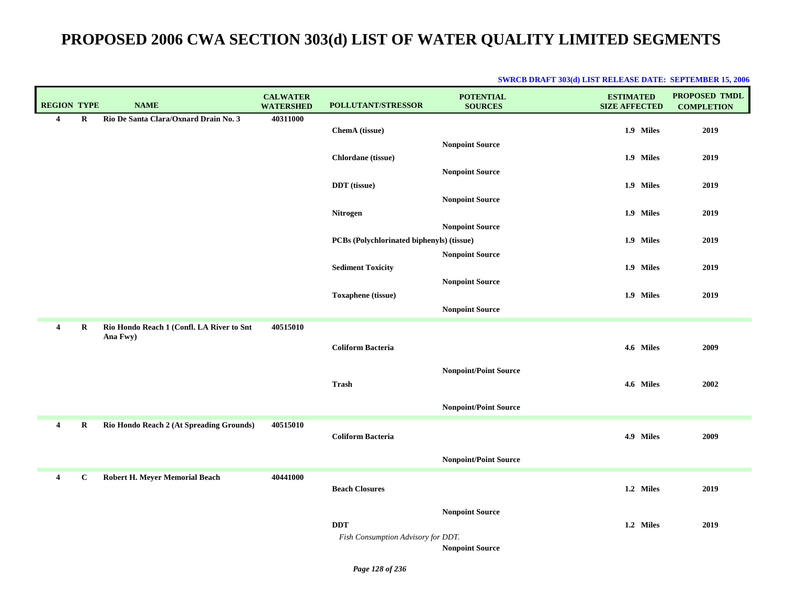| <b>REGION TYPE</b>      |              | <b>NAME</b>                                           | <b>CALWATER</b><br><b>WATERSHED</b> | <b>POLLUTANT/STRESSOR</b>                 | <b>POTENTIAL</b><br><b>SOURCES</b> | <b>ESTIMATED</b><br><b>SIZE AFFECTED</b> | <b>PROPOSED TMDL</b><br><b>COMPLETION</b> |
|-------------------------|--------------|-------------------------------------------------------|-------------------------------------|-------------------------------------------|------------------------------------|------------------------------------------|-------------------------------------------|
| 4                       | R            | Rio De Santa Clara/Oxnard Drain No. 3                 | 40311000                            |                                           |                                    |                                          |                                           |
|                         |              |                                                       |                                     | ChemA (tissue)                            |                                    | 1.9 Miles                                | 2019                                      |
|                         |              |                                                       |                                     |                                           | <b>Nonpoint Source</b>             |                                          |                                           |
|                         |              |                                                       |                                     | Chlordane (tissue)                        |                                    | 1.9 Miles                                | 2019                                      |
|                         |              |                                                       |                                     |                                           | <b>Nonpoint Source</b>             |                                          |                                           |
|                         |              |                                                       |                                     | DDT (tissue)                              |                                    | 1.9 Miles                                | 2019                                      |
|                         |              |                                                       |                                     |                                           | <b>Nonpoint Source</b>             |                                          |                                           |
|                         |              |                                                       |                                     | Nitrogen                                  |                                    | 1.9 Miles                                | 2019                                      |
|                         |              |                                                       |                                     |                                           | <b>Nonpoint Source</b>             | 1.9 Miles                                | 2019                                      |
|                         |              |                                                       |                                     | PCBs (Polychlorinated biphenyls) (tissue) | <b>Nonpoint Source</b>             |                                          |                                           |
|                         |              |                                                       |                                     | <b>Sediment Toxicity</b>                  |                                    | 1.9 Miles                                | 2019                                      |
|                         |              |                                                       |                                     |                                           | <b>Nonpoint Source</b>             |                                          |                                           |
|                         |              |                                                       |                                     | <b>Toxaphene</b> (tissue)                 |                                    | 1.9 Miles                                | 2019                                      |
|                         |              |                                                       |                                     |                                           | <b>Nonpoint Source</b>             |                                          |                                           |
|                         |              |                                                       |                                     |                                           |                                    |                                          |                                           |
| $\overline{4}$          | $\bf R$      | Rio Hondo Reach 1 (Confl. LA River to Snt<br>Ana Fwy) | 40515010                            |                                           |                                    |                                          |                                           |
|                         |              |                                                       |                                     | <b>Coliform Bacteria</b>                  |                                    | 4.6 Miles                                | 2009                                      |
|                         |              |                                                       |                                     |                                           |                                    |                                          |                                           |
|                         |              |                                                       |                                     |                                           | <b>Nonpoint/Point Source</b>       |                                          |                                           |
|                         |              |                                                       |                                     | <b>Trash</b>                              |                                    | 4.6 Miles                                | 2002                                      |
|                         |              |                                                       |                                     |                                           | <b>Nonpoint/Point Source</b>       |                                          |                                           |
| $\overline{\mathbf{4}}$ | $\bf R$      | Rio Hondo Reach 2 (At Spreading Grounds)              | 40515010                            |                                           |                                    |                                          |                                           |
|                         |              |                                                       |                                     | <b>Coliform Bacteria</b>                  |                                    | 4.9 Miles                                | 2009                                      |
|                         |              |                                                       |                                     |                                           |                                    |                                          |                                           |
|                         |              |                                                       |                                     |                                           | <b>Nonpoint/Point Source</b>       |                                          |                                           |
| $\overline{\mathbf{4}}$ | $\mathbf{C}$ | Robert H. Meyer Memorial Beach                        | 40441000                            |                                           |                                    |                                          |                                           |
|                         |              |                                                       |                                     | <b>Beach Closures</b>                     |                                    | 1.2 Miles                                | 2019                                      |
|                         |              |                                                       |                                     |                                           | <b>Nonpoint Source</b>             |                                          |                                           |
|                         |              |                                                       |                                     | <b>DDT</b>                                |                                    | 1.2 Miles                                | 2019                                      |
|                         |              |                                                       |                                     | Fish Consumption Advisory for DDT.        |                                    |                                          |                                           |
|                         |              |                                                       |                                     |                                           | <b>Nonpoint Source</b>             |                                          |                                           |

#### **SWRCB DRAFT 303(d) LIST RELEASE DATE: SEPTEMBER 15, 2006**

*Page 128 of 236*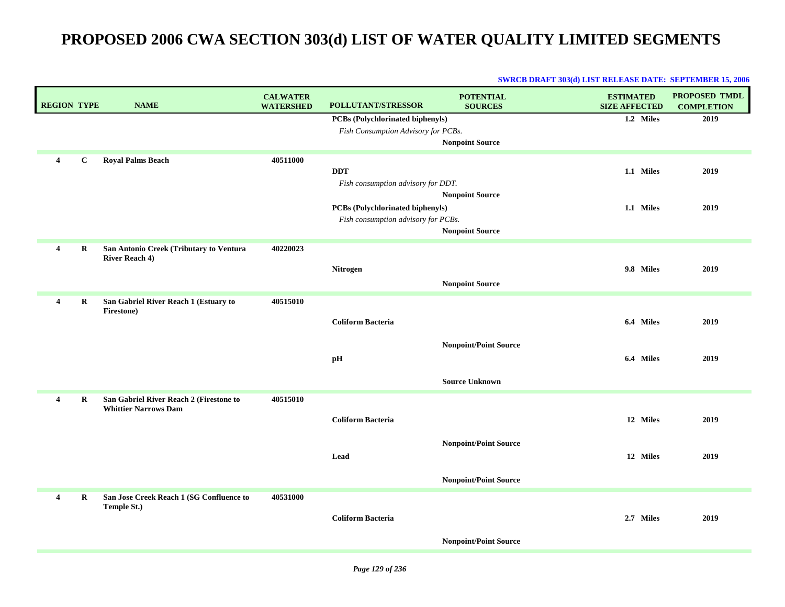| <b>REGION TYPE</b> |             | <b>NAME</b>                                                            | <b>CALWATER</b><br><b>WATERSHED</b> | POLLUTANT/STRESSOR                  | <b>POTENTIAL</b><br><b>SOURCES</b> | <b>ESTIMATED</b><br><b>SIZE AFFECTED</b> | <b>PROPOSED TMDL</b><br><b>COMPLETION</b> |
|--------------------|-------------|------------------------------------------------------------------------|-------------------------------------|-------------------------------------|------------------------------------|------------------------------------------|-------------------------------------------|
|                    |             |                                                                        |                                     | PCBs (Polychlorinated biphenyls)    |                                    | 1.2 Miles                                | 2019                                      |
|                    |             |                                                                        |                                     | Fish Consumption Advisory for PCBs. |                                    |                                          |                                           |
|                    |             |                                                                        |                                     |                                     | <b>Nonpoint Source</b>             |                                          |                                           |
| 4                  | $\mathbf C$ | <b>Royal Palms Beach</b>                                               | 40511000                            |                                     |                                    |                                          |                                           |
|                    |             |                                                                        |                                     | <b>DDT</b>                          |                                    | 1.1 Miles                                | 2019                                      |
|                    |             |                                                                        |                                     | Fish consumption advisory for DDT.  | <b>Nonpoint Source</b>             |                                          |                                           |
|                    |             |                                                                        |                                     | PCBs (Polychlorinated biphenyls)    |                                    | 1.1 Miles                                | 2019                                      |
|                    |             |                                                                        |                                     | Fish consumption advisory for PCBs. |                                    |                                          |                                           |
|                    |             |                                                                        |                                     |                                     | <b>Nonpoint Source</b>             |                                          |                                           |
| 4                  | $\bf R$     | San Antonio Creek (Tributary to Ventura                                | 40220023                            |                                     |                                    |                                          |                                           |
|                    |             | <b>River Reach 4)</b>                                                  |                                     |                                     |                                    |                                          |                                           |
|                    |             |                                                                        |                                     | <b>Nitrogen</b>                     |                                    | 9.8 Miles                                | 2019                                      |
|                    |             |                                                                        |                                     |                                     | <b>Nonpoint Source</b>             |                                          |                                           |
| $\overline{4}$     | R           | San Gabriel River Reach 1 (Estuary to                                  | 40515010                            |                                     |                                    |                                          |                                           |
|                    |             | Firestone)                                                             |                                     | <b>Coliform Bacteria</b>            |                                    | 6.4 Miles                                | 2019                                      |
|                    |             |                                                                        |                                     |                                     |                                    |                                          |                                           |
|                    |             |                                                                        |                                     |                                     | <b>Nonpoint/Point Source</b>       |                                          |                                           |
|                    |             |                                                                        |                                     | pH                                  |                                    | 6.4 Miles                                | 2019                                      |
|                    |             |                                                                        |                                     |                                     |                                    |                                          |                                           |
|                    |             |                                                                        |                                     |                                     | <b>Source Unknown</b>              |                                          |                                           |
| 4                  | R           | San Gabriel River Reach 2 (Firestone to<br><b>Whittier Narrows Dam</b> | 40515010                            |                                     |                                    |                                          |                                           |
|                    |             |                                                                        |                                     | <b>Coliform Bacteria</b>            |                                    | 12 Miles                                 | 2019                                      |
|                    |             |                                                                        |                                     |                                     |                                    |                                          |                                           |
|                    |             |                                                                        |                                     |                                     | <b>Nonpoint/Point Source</b>       |                                          |                                           |
|                    |             |                                                                        |                                     | Lead                                |                                    | 12 Miles                                 | 2019                                      |
|                    |             |                                                                        |                                     |                                     |                                    |                                          |                                           |
|                    |             |                                                                        |                                     |                                     | <b>Nonpoint/Point Source</b>       |                                          |                                           |
| $\overline{4}$     | $\bf R$     | San Jose Creek Reach 1 (SG Confluence to<br>Temple St.)                | 40531000                            |                                     |                                    |                                          |                                           |
|                    |             |                                                                        |                                     | <b>Coliform Bacteria</b>            |                                    | 2.7 Miles                                | 2019                                      |
|                    |             |                                                                        |                                     |                                     |                                    |                                          |                                           |
|                    |             |                                                                        |                                     |                                     | <b>Nonpoint/Point Source</b>       |                                          |                                           |
|                    |             |                                                                        |                                     |                                     |                                    |                                          |                                           |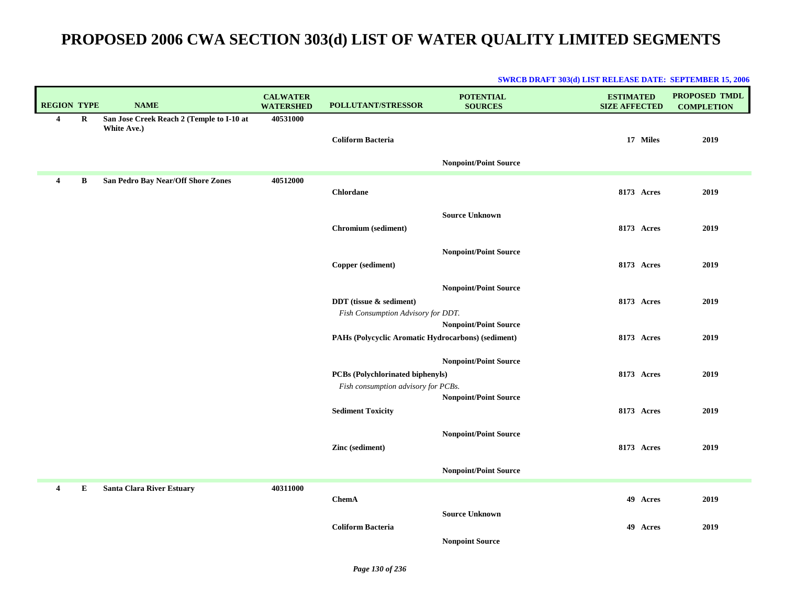| <b>REGION TYPE</b>      |   | <b>NAME</b>                                              | <b>CALWATER</b><br><b>WATERSHED</b> | <b>POLLUTANT/STRESSOR</b>                                                      | <b>POTENTIAL</b><br><b>SOURCES</b>              | <b>ESTIMATED</b><br><b>SIZE AFFECTED</b> | <b>PROPOSED TMDL</b><br><b>COMPLETION</b> |
|-------------------------|---|----------------------------------------------------------|-------------------------------------|--------------------------------------------------------------------------------|-------------------------------------------------|------------------------------------------|-------------------------------------------|
| $\overline{4}$          | R | San Jose Creek Reach 2 (Temple to I-10 at<br>White Ave.) | 40531000                            | <b>Coliform Bacteria</b>                                                       | <b>Nonpoint/Point Source</b>                    | 17 Miles                                 | 2019                                      |
| $\boldsymbol{4}$        | В | San Pedro Bay Near/Off Shore Zones                       | 40512000                            | <b>Chlordane</b>                                                               |                                                 | 8173 Acres                               | 2019                                      |
|                         |   |                                                          |                                     | Chromium (sediment)                                                            | <b>Source Unknown</b>                           | 8173 Acres                               | 2019                                      |
|                         |   |                                                          |                                     | Copper (sediment)                                                              | <b>Nonpoint/Point Source</b>                    | 8173 Acres                               | 2019                                      |
|                         |   |                                                          |                                     | DDT (tissue $\&$ sediment)<br>Fish Consumption Advisory for DDT.               | <b>Nonpoint/Point Source</b>                    | <b>8173</b> Acres                        | 2019                                      |
|                         |   |                                                          |                                     | <b>PAHs (Polycyclic Aromatic Hydrocarbons) (sediment)</b>                      | <b>Nonpoint/Point Source</b>                    | 8173 Acres                               | 2019                                      |
|                         |   |                                                          |                                     | <b>PCBs</b> (Polychlorinated biphenyls)<br>Fish consumption advisory for PCBs. | <b>Nonpoint/Point Source</b>                    | <b>8173</b> Acres                        | 2019                                      |
|                         |   |                                                          |                                     | <b>Sediment Toxicity</b>                                                       | <b>Nonpoint/Point Source</b>                    | 8173 Acres                               | 2019                                      |
|                         |   |                                                          |                                     | Zinc (sediment)                                                                | <b>Nonpoint/Point Source</b>                    | 8173 Acres                               | 2019                                      |
|                         |   |                                                          |                                     |                                                                                | <b>Nonpoint/Point Source</b>                    |                                          |                                           |
| $\overline{\mathbf{4}}$ | Е | Santa Clara River Estuary                                | 40311000                            | <b>ChemA</b>                                                                   |                                                 | 49 Acres                                 | 2019                                      |
|                         |   |                                                          |                                     | <b>Coliform Bacteria</b>                                                       | <b>Source Unknown</b><br><b>Nonpoint Source</b> | 49 Acres                                 | 2019                                      |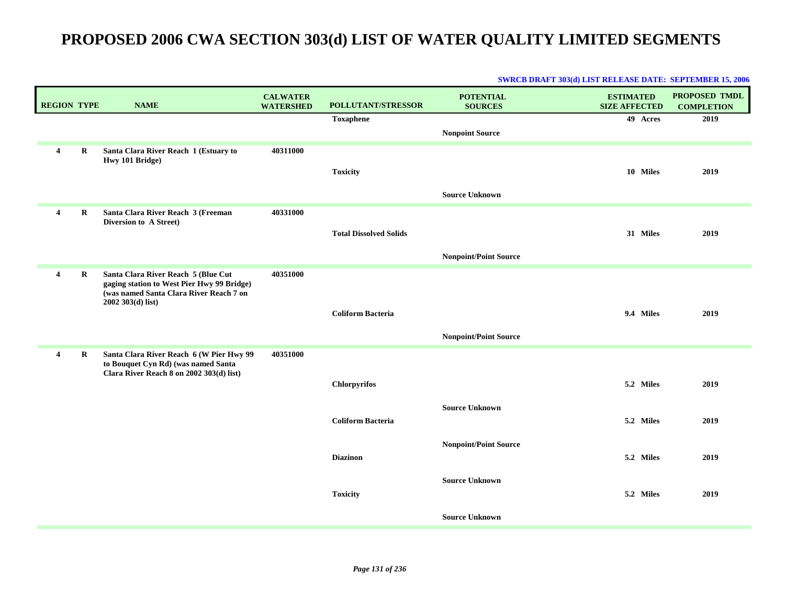| <b>REGION TYPE</b> |          | <b>NAME</b>                                                                                                                                        | <b>CALWATER</b><br><b>WATERSHED</b> | POLLUTANT/STRESSOR            | <b>POTENTIAL</b><br><b>SOURCES</b> | <b>ESTIMATED</b><br><b>SIZE AFFECTED</b> | PROPOSED TMDL<br><b>COMPLETION</b> |
|--------------------|----------|----------------------------------------------------------------------------------------------------------------------------------------------------|-------------------------------------|-------------------------------|------------------------------------|------------------------------------------|------------------------------------|
|                    |          |                                                                                                                                                    |                                     | <b>Toxaphene</b>              |                                    | 49 Acres                                 | 2019                               |
|                    |          |                                                                                                                                                    |                                     |                               | <b>Nonpoint Source</b>             |                                          |                                    |
| $\overline{4}$     | $\bf{R}$ | Santa Clara River Reach 1 (Estuary to<br>Hwy 101 Bridge)                                                                                           | 40311000                            | <b>Toxicity</b>               |                                    | 10 Miles                                 | 2019                               |
|                    |          |                                                                                                                                                    |                                     |                               | <b>Source Unknown</b>              |                                          |                                    |
| $\overline{4}$     | $\bf{R}$ | Santa Clara River Reach 3 (Freeman<br>Diversion to A Street)                                                                                       | 40331000                            | <b>Total Dissolved Solids</b> |                                    | 31 Miles                                 | 2019                               |
|                    |          |                                                                                                                                                    |                                     |                               | <b>Nonpoint/Point Source</b>       |                                          |                                    |
| $\overline{4}$     | R        | Santa Clara River Reach 5 (Blue Cut<br>gaging station to West Pier Hwy 99 Bridge)<br>(was named Santa Clara River Reach 7 on<br>$2002303(d)$ list) | 40351000                            | <b>Coliform Bacteria</b>      |                                    | 9.4 Miles                                | 2019                               |
|                    |          |                                                                                                                                                    |                                     |                               | <b>Nonpoint/Point Source</b>       |                                          |                                    |
| $\overline{4}$     | $\bf R$  | Santa Clara River Reach 6 (W Pier Hwy 99<br>to Bouquet Cyn Rd) (was named Santa<br>Clara River Reach 8 on 2002 303(d) list)                        | 40351000                            | <b>Chlorpyrifos</b>           |                                    | 5.2 Miles                                | 2019                               |
|                    |          |                                                                                                                                                    |                                     | <b>Coliform Bacteria</b>      | <b>Source Unknown</b>              | 5.2 Miles                                | 2019                               |
|                    |          |                                                                                                                                                    |                                     | <b>Diazinon</b>               | <b>Nonpoint/Point Source</b>       | 5.2 Miles                                | 2019                               |
|                    |          |                                                                                                                                                    |                                     | <b>Toxicity</b>               | <b>Source Unknown</b>              | 5.2 Miles                                | 2019                               |
|                    |          |                                                                                                                                                    |                                     |                               | <b>Source Unknown</b>              |                                          |                                    |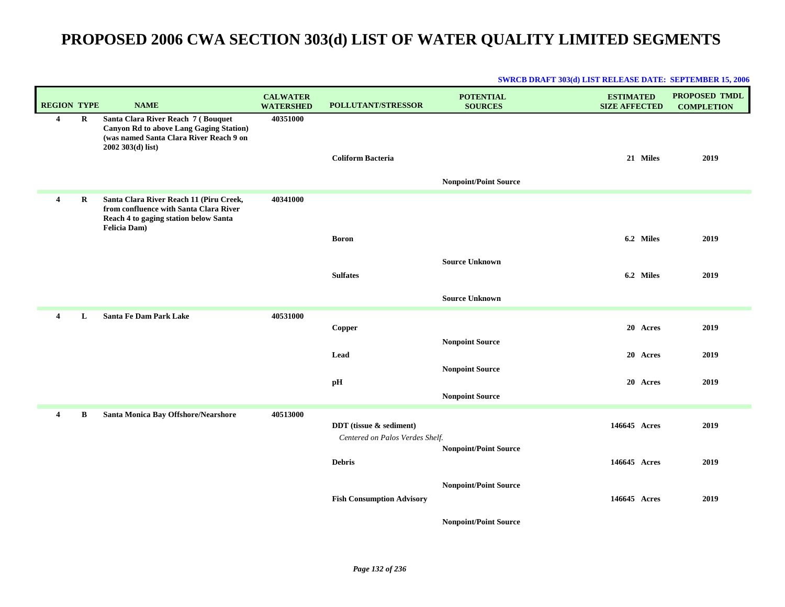| <b>REGION TYPE</b> |         | <b>NAME</b>                                                                                                                                           | <b>CALWATER</b><br><b>WATERSHED</b> | POLLUTANT/STRESSOR                                         | <b>POTENTIAL</b><br><b>SOURCES</b>               | <b>ESTIMATED</b><br><b>SIZE AFFECTED</b> | PROPOSED TMDL<br><b>COMPLETION</b> |
|--------------------|---------|-------------------------------------------------------------------------------------------------------------------------------------------------------|-------------------------------------|------------------------------------------------------------|--------------------------------------------------|------------------------------------------|------------------------------------|
| 4                  | R       | Santa Clara River Reach 7 (Bouquet<br><b>Canyon Rd to above Lang Gaging Station)</b><br>(was named Santa Clara River Reach 9 on<br>$2002303(d)$ list) | 40351000                            | <b>Coliform Bacteria</b>                                   | <b>Nonpoint/Point Source</b>                     | 21 Miles                                 | 2019                               |
| $\overline{4}$     | $\bf R$ | Santa Clara River Reach 11 (Piru Creek,<br>from confluence with Santa Clara River<br>Reach 4 to gaging station below Santa<br><b>Felicia Dam</b> )    | 40341000                            |                                                            |                                                  |                                          |                                    |
|                    |         |                                                                                                                                                       |                                     | <b>Boron</b>                                               |                                                  | 6.2 Miles                                | 2019                               |
|                    |         |                                                                                                                                                       |                                     | <b>Sulfates</b>                                            | <b>Source Unknown</b>                            | 6.2 Miles                                | 2019                               |
|                    |         |                                                                                                                                                       |                                     |                                                            | <b>Source Unknown</b>                            |                                          |                                    |
| 4                  | L       | Santa Fe Dam Park Lake                                                                                                                                | 40531000                            | Copper                                                     |                                                  | 20 Acres                                 | 2019                               |
|                    |         |                                                                                                                                                       |                                     | Lead                                                       | <b>Nonpoint Source</b><br><b>Nonpoint Source</b> | 20 Acres                                 | 2019                               |
|                    |         |                                                                                                                                                       |                                     | pH                                                         | <b>Nonpoint Source</b>                           | 20 Acres                                 | 2019                               |
| 4                  | B       | Santa Monica Bay Offshore/Nearshore                                                                                                                   | 40513000                            |                                                            |                                                  |                                          |                                    |
|                    |         |                                                                                                                                                       |                                     | DDT (tissue & sediment)<br>Centered on Palos Verdes Shelf. |                                                  | 146645 Acres                             | 2019                               |
|                    |         |                                                                                                                                                       |                                     | <b>Debris</b>                                              | <b>Nonpoint/Point Source</b>                     | 146645 Acres                             | 2019                               |
|                    |         |                                                                                                                                                       |                                     | <b>Fish Consumption Advisory</b>                           | <b>Nonpoint/Point Source</b>                     | 146645 Acres                             | 2019                               |
|                    |         |                                                                                                                                                       |                                     |                                                            | <b>Nonpoint/Point Source</b>                     |                                          |                                    |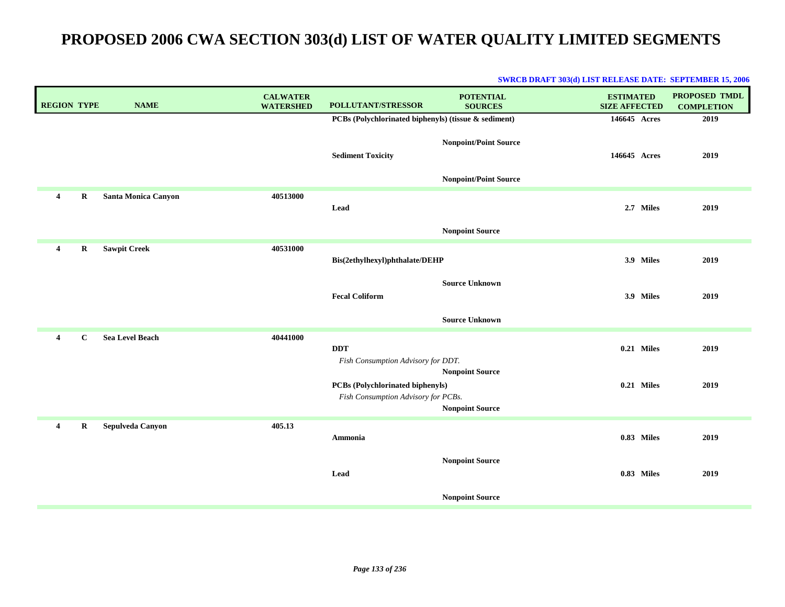| <b>REGION TYPE</b>      |              | <b>NAME</b>            | <b>CALWATER</b><br><b>WATERSHED</b> | POLLUTANT/STRESSOR                                                             | <b>POTENTIAL</b><br><b>SOURCES</b> | <b>ESTIMATED</b><br><b>SIZE AFFECTED</b> | <b>PROPOSED TMDL</b><br><b>COMPLETION</b> |
|-------------------------|--------------|------------------------|-------------------------------------|--------------------------------------------------------------------------------|------------------------------------|------------------------------------------|-------------------------------------------|
|                         |              |                        |                                     | PCBs (Polychlorinated biphenyls) (tissue & sediment)                           |                                    | 146645 Acres                             | 2019                                      |
|                         |              |                        |                                     | <b>Sediment Toxicity</b>                                                       | <b>Nonpoint/Point Source</b>       | 146645 Acres                             | 2019                                      |
|                         |              |                        |                                     |                                                                                | <b>Nonpoint/Point Source</b>       |                                          |                                           |
| $\overline{\mathbf{4}}$ | R            | Santa Monica Canyon    | 40513000                            | Lead                                                                           |                                    | 2.7 Miles                                | 2019                                      |
|                         |              |                        |                                     |                                                                                | <b>Nonpoint Source</b>             |                                          |                                           |
| $\overline{4}$          | $\bf R$      | <b>Sawpit Creek</b>    | 40531000                            | Bis(2ethylhexyl)phthalate/DEHP                                                 |                                    | 3.9 Miles                                | 2019                                      |
|                         |              |                        |                                     | <b>Fecal Coliform</b>                                                          | <b>Source Unknown</b>              | 3.9 Miles                                | 2019                                      |
|                         |              |                        |                                     |                                                                                | <b>Source Unknown</b>              |                                          |                                           |
| $\overline{4}$          | $\mathbf{C}$ | <b>Sea Level Beach</b> | 40441000                            | <b>DDT</b><br>Fish Consumption Advisory for DDT.                               |                                    | 0.21 Miles                               | 2019                                      |
|                         |              |                        |                                     |                                                                                | <b>Nonpoint Source</b>             |                                          |                                           |
|                         |              |                        |                                     | <b>PCBs</b> (Polychlorinated biphenyls)<br>Fish Consumption Advisory for PCBs. | <b>Nonpoint Source</b>             | 0.21 Miles                               | 2019                                      |
| 4                       | R            | Sepulveda Canyon       | 405.13                              |                                                                                |                                    |                                          |                                           |
|                         |              |                        |                                     | Ammonia                                                                        |                                    | 0.83 Miles                               | 2019                                      |
|                         |              |                        |                                     | Lead                                                                           | <b>Nonpoint Source</b>             | 0.83 Miles                               | 2019                                      |
|                         |              |                        |                                     |                                                                                | <b>Nonpoint Source</b>             |                                          |                                           |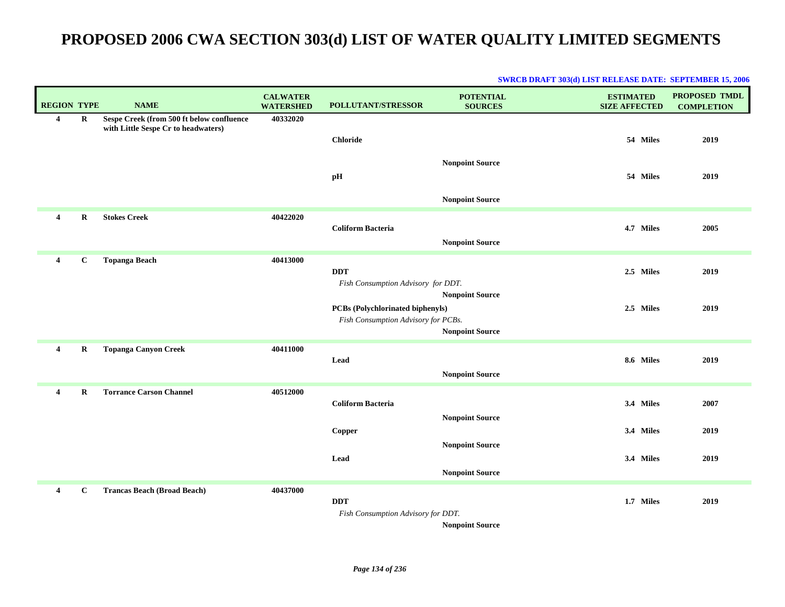| <b>REGION TYPE</b>      |              | <b>NAME</b>                                                                      | <b>CALWATER</b><br><b>WATERSHED</b> | POLLUTANT/STRESSOR                                                      | <b>POTENTIAL</b><br><b>SOURCES</b>               | <b>ESTIMATED</b><br><b>SIZE AFFECTED</b> | PROPOSED TMDL<br><b>COMPLETION</b> |
|-------------------------|--------------|----------------------------------------------------------------------------------|-------------------------------------|-------------------------------------------------------------------------|--------------------------------------------------|------------------------------------------|------------------------------------|
| $\overline{4}$          | $\mathbf R$  | Sespe Creek (from 500 ft below confluence<br>with Little Sespe Cr to headwaters) | 40332020                            | <b>Chloride</b><br>pH                                                   | <b>Nonpoint Source</b><br><b>Nonpoint Source</b> | 54 Miles<br>54 Miles                     | 2019<br>2019                       |
| $\overline{\mathbf{4}}$ | $\mathbf R$  | <b>Stokes Creek</b>                                                              | 40422020                            | <b>Coliform Bacteria</b>                                                | <b>Nonpoint Source</b>                           | 4.7 Miles                                | 2005                               |
| 4                       | С            | <b>Topanga Beach</b>                                                             | 40413000                            | <b>DDT</b><br>Fish Consumption Advisory for DDT.                        | <b>Nonpoint Source</b>                           | 2.5 Miles                                | 2019                               |
|                         |              |                                                                                  |                                     | PCBs (Polychlorinated biphenyls)<br>Fish Consumption Advisory for PCBs. | <b>Nonpoint Source</b>                           | 2.5 Miles                                | 2019                               |
| $\overline{4}$          | $\mathbf R$  | <b>Topanga Canyon Creek</b>                                                      | 40411000                            | Lead                                                                    | <b>Nonpoint Source</b>                           | 8.6 Miles                                | 2019                               |
| $\boldsymbol{4}$        | $\bf R$      | <b>Torrance Carson Channel</b>                                                   | 40512000                            | <b>Coliform Bacteria</b>                                                | <b>Nonpoint Source</b>                           | 3.4 Miles                                | 2007                               |
|                         |              |                                                                                  |                                     | Copper                                                                  | <b>Nonpoint Source</b>                           | 3.4 Miles                                | 2019                               |
|                         |              |                                                                                  |                                     | Lead                                                                    | <b>Nonpoint Source</b>                           | 3.4 Miles                                | 2019                               |
| $\overline{4}$          | $\mathbf{C}$ | <b>Trancas Beach (Broad Beach)</b>                                               | 40437000                            | <b>DDT</b><br>Fish Consumption Advisory for DDT.                        | <b>Nonpoint Source</b>                           | 1.7 Miles                                | 2019                               |

### **SWRCB DRAFT 303(d) LIST RELEASE DATE: SEPTEMBER 15, 2006**

*Page 134 of 236*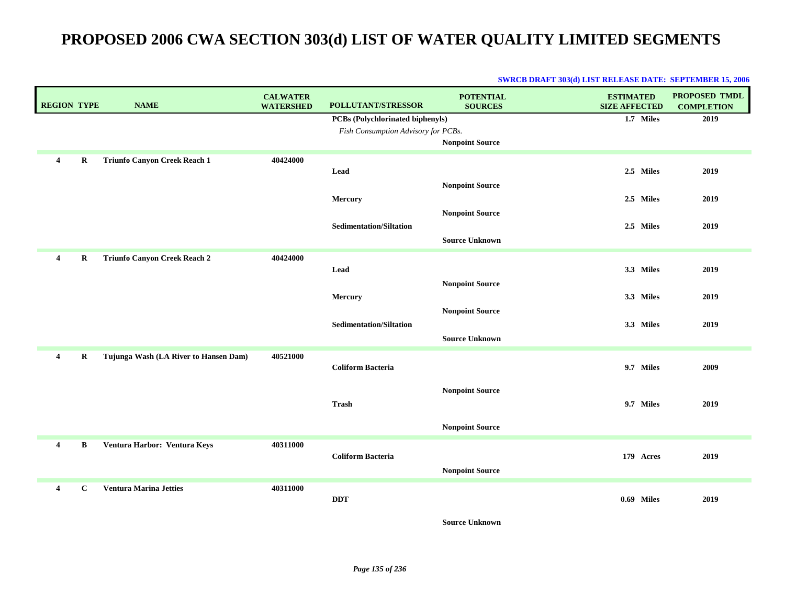### **SWRCB DRAFT 303(d) LIST RELEASE DATE: SEPTEMBER 15, 2006**

|                         | <b>REGION TYPE</b> | <b>NAME</b>                           | <b>CALWATER</b><br><b>WATERSHED</b> | <b>POLLUTANT/STRESSOR</b>               | <b>POTENTIAL</b><br><b>SOURCES</b> | <b>ESTIMATED</b><br><b>SIZE AFFECTED</b> | <b>PROPOSED TMDL</b><br><b>COMPLETION</b> |
|-------------------------|--------------------|---------------------------------------|-------------------------------------|-----------------------------------------|------------------------------------|------------------------------------------|-------------------------------------------|
|                         |                    |                                       |                                     | <b>PCBs</b> (Polychlorinated biphenyls) |                                    | 1.7 Miles                                | 2019                                      |
|                         |                    |                                       |                                     | Fish Consumption Advisory for PCBs.     |                                    |                                          |                                           |
|                         |                    |                                       |                                     |                                         | <b>Nonpoint Source</b>             |                                          |                                           |
| $\overline{4}$          | $\bf R$            | <b>Triunfo Canyon Creek Reach 1</b>   | 40424000                            |                                         |                                    |                                          |                                           |
|                         |                    |                                       |                                     | Lead                                    |                                    | 2.5 Miles                                | 2019                                      |
|                         |                    |                                       |                                     |                                         | <b>Nonpoint Source</b>             |                                          |                                           |
|                         |                    |                                       |                                     | Mercury                                 |                                    | 2.5 Miles                                | 2019                                      |
|                         |                    |                                       |                                     |                                         | <b>Nonpoint Source</b>             |                                          |                                           |
|                         |                    |                                       |                                     | <b>Sedimentation/Siltation</b>          |                                    | 2.5 Miles                                | 2019                                      |
|                         |                    |                                       |                                     |                                         | <b>Source Unknown</b>              |                                          |                                           |
| 4                       | R                  | <b>Triunfo Canyon Creek Reach 2</b>   | 40424000                            |                                         |                                    |                                          |                                           |
|                         |                    |                                       |                                     | Lead                                    |                                    | 3.3 Miles                                | 2019                                      |
|                         |                    |                                       |                                     |                                         | <b>Nonpoint Source</b>             |                                          |                                           |
|                         |                    |                                       |                                     | Mercury                                 |                                    | 3.3 Miles                                | 2019                                      |
|                         |                    |                                       |                                     |                                         | <b>Nonpoint Source</b>             |                                          |                                           |
|                         |                    |                                       |                                     | <b>Sedimentation/Siltation</b>          |                                    | 3.3 Miles                                | 2019                                      |
|                         |                    |                                       |                                     |                                         | <b>Source Unknown</b>              |                                          |                                           |
|                         |                    |                                       |                                     |                                         |                                    |                                          |                                           |
| $\overline{\mathbf{4}}$ | R                  | Tujunga Wash (LA River to Hansen Dam) | 40521000                            | <b>Coliform Bacteria</b>                |                                    | 9.7 Miles                                | 2009                                      |
|                         |                    |                                       |                                     |                                         |                                    |                                          |                                           |
|                         |                    |                                       |                                     |                                         | <b>Nonpoint Source</b>             |                                          |                                           |
|                         |                    |                                       |                                     | Trash                                   |                                    | 9.7 Miles                                | 2019                                      |
|                         |                    |                                       |                                     |                                         |                                    |                                          |                                           |
|                         |                    |                                       |                                     |                                         | <b>Nonpoint Source</b>             |                                          |                                           |
| $\overline{4}$          | В                  | Ventura Harbor: Ventura Keys          | 40311000                            |                                         |                                    |                                          |                                           |
|                         |                    |                                       |                                     | <b>Coliform Bacteria</b>                |                                    | 179 Acres                                | 2019                                      |
|                         |                    |                                       |                                     |                                         | <b>Nonpoint Source</b>             |                                          |                                           |
| 4                       | $\mathbf{C}$       | <b>Ventura Marina Jetties</b>         | 40311000                            |                                         |                                    |                                          |                                           |
|                         |                    |                                       |                                     | <b>DDT</b>                              |                                    | 0.69 Miles                               | 2019                                      |
|                         |                    |                                       |                                     |                                         |                                    |                                          |                                           |

**Source Unknown**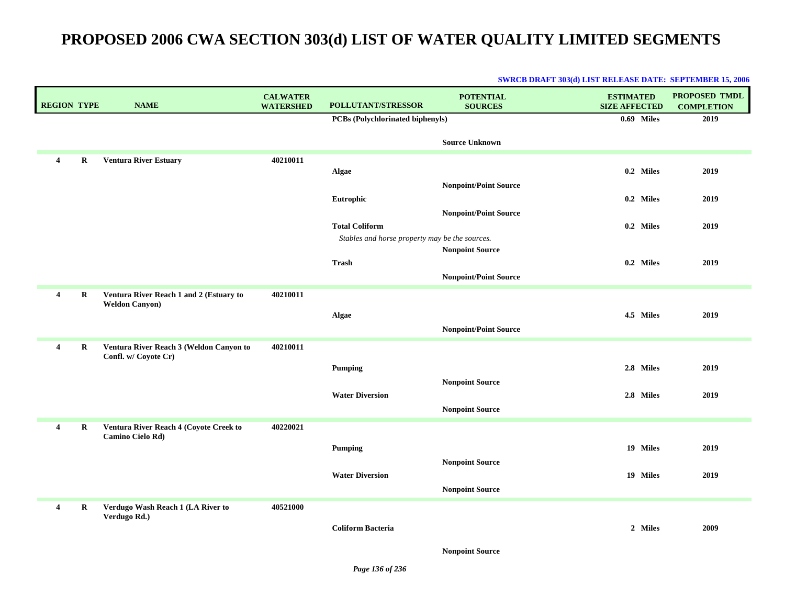| <b>REGION TYPE</b> |             | <b>NAME</b>                                                      | <b>CALWATER</b><br><b>WATERSHED</b> | <b>POLLUTANT/STRESSOR</b>                                               | <b>POTENTIAL</b><br><b>SOURCES</b> | <b>ESTIMATED</b><br><b>SIZE AFFECTED</b> | <b>PROPOSED TMDL</b><br><b>COMPLETION</b> |
|--------------------|-------------|------------------------------------------------------------------|-------------------------------------|-------------------------------------------------------------------------|------------------------------------|------------------------------------------|-------------------------------------------|
|                    |             |                                                                  |                                     | PCBs (Polychlorinated biphenyls)                                        |                                    | 0.69 Miles                               | 2019                                      |
|                    |             |                                                                  |                                     |                                                                         | <b>Source Unknown</b>              |                                          |                                           |
| 4                  | $\bf R$     | <b>Ventura River Estuary</b>                                     | 40210011                            |                                                                         |                                    |                                          |                                           |
|                    |             |                                                                  |                                     | <b>Algae</b>                                                            |                                    | 0.2 Miles                                | 2019                                      |
|                    |             |                                                                  |                                     |                                                                         | <b>Nonpoint/Point Source</b>       |                                          |                                           |
|                    |             |                                                                  |                                     | Eutrophic                                                               |                                    | 0.2 Miles                                | 2019                                      |
|                    |             |                                                                  |                                     |                                                                         | <b>Nonpoint/Point Source</b>       |                                          |                                           |
|                    |             |                                                                  |                                     | <b>Total Coliform</b><br>Stables and horse property may be the sources. |                                    | 0.2 Miles                                | 2019                                      |
|                    |             |                                                                  |                                     |                                                                         | <b>Nonpoint Source</b>             |                                          |                                           |
|                    |             |                                                                  |                                     | Trash                                                                   |                                    | 0.2 Miles                                | 2019                                      |
|                    |             |                                                                  |                                     |                                                                         | <b>Nonpoint/Point Source</b>       |                                          |                                           |
| 4                  | $\mathbf R$ | Ventura River Reach 1 and 2 (Estuary to<br><b>Weldon Canyon)</b> | 40210011                            |                                                                         |                                    |                                          |                                           |
|                    |             |                                                                  |                                     | Algae                                                                   |                                    | 4.5 Miles                                | 2019                                      |
|                    |             |                                                                  |                                     |                                                                         | <b>Nonpoint/Point Source</b>       |                                          |                                           |
| 4                  | R           | Ventura River Reach 3 (Weldon Canyon to                          | 40210011                            |                                                                         |                                    |                                          |                                           |
|                    |             | Confl. w/ Coyote Cr)                                             |                                     |                                                                         |                                    |                                          |                                           |
|                    |             |                                                                  |                                     | <b>Pumping</b>                                                          |                                    | 2.8 Miles                                | 2019                                      |
|                    |             |                                                                  |                                     |                                                                         | <b>Nonpoint Source</b>             |                                          |                                           |
|                    |             |                                                                  |                                     | <b>Water Diversion</b>                                                  |                                    | 2.8 Miles                                | 2019                                      |
|                    |             |                                                                  |                                     |                                                                         | <b>Nonpoint Source</b>             |                                          |                                           |
| 4                  | $\mathbf R$ | Ventura River Reach 4 (Coyote Creek to<br>Camino Cielo Rd)       | 40220021                            |                                                                         |                                    |                                          |                                           |
|                    |             |                                                                  |                                     | <b>Pumping</b>                                                          |                                    | 19 Miles                                 | 2019                                      |
|                    |             |                                                                  |                                     |                                                                         | <b>Nonpoint Source</b>             |                                          |                                           |
|                    |             |                                                                  |                                     | <b>Water Diversion</b>                                                  |                                    | 19 Miles                                 | 2019                                      |
|                    |             |                                                                  |                                     |                                                                         | <b>Nonpoint Source</b>             |                                          |                                           |
| 4                  | R           | Verdugo Wash Reach 1 (LA River to                                | 40521000                            |                                                                         |                                    |                                          |                                           |
|                    |             | Verdugo Rd.)                                                     |                                     | <b>Coliform Bacteria</b>                                                |                                    | 2 Miles                                  | 2009                                      |
|                    |             |                                                                  |                                     |                                                                         |                                    |                                          |                                           |
|                    |             |                                                                  |                                     |                                                                         | <b>Nonpoint Source</b>             |                                          |                                           |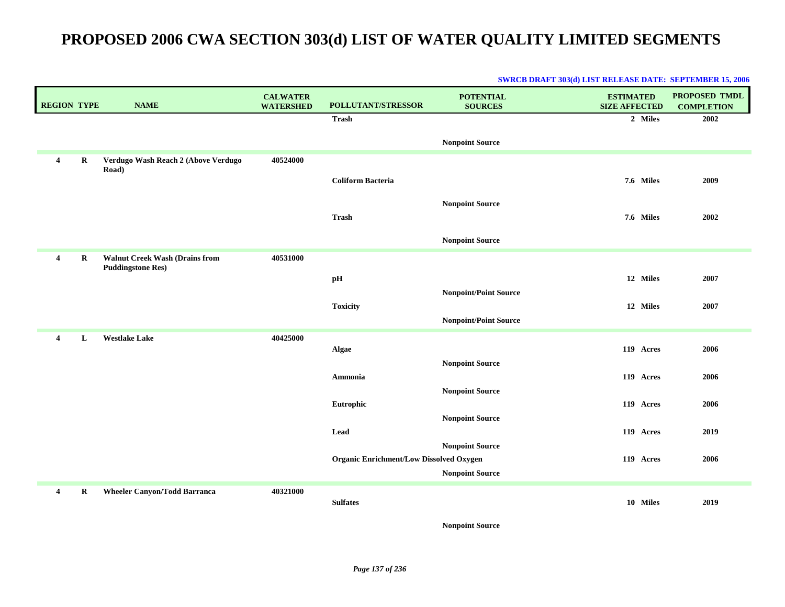| <b>REGION TYPE</b> |         | <b>NAME</b>                                                       | <b>CALWATER</b><br><b>WATERSHED</b> | POLLUTANT/STRESSOR                             | <b>POTENTIAL</b><br><b>SOURCES</b> | <b>ESTIMATED</b><br><b>SIZE AFFECTED</b> | <b>PROPOSED TMDL</b><br><b>COMPLETION</b> |
|--------------------|---------|-------------------------------------------------------------------|-------------------------------------|------------------------------------------------|------------------------------------|------------------------------------------|-------------------------------------------|
|                    |         |                                                                   |                                     | <b>Trash</b>                                   |                                    | 2 Miles                                  | 2002                                      |
|                    |         |                                                                   |                                     |                                                |                                    |                                          |                                           |
|                    |         |                                                                   |                                     |                                                | <b>Nonpoint Source</b>             |                                          |                                           |
| $\overline{4}$     | $\bf R$ | Verdugo Wash Reach 2 (Above Verdugo<br>Road)                      | 40524000                            |                                                |                                    |                                          |                                           |
|                    |         |                                                                   |                                     | <b>Coliform Bacteria</b>                       |                                    | 7.6 Miles                                | 2009                                      |
|                    |         |                                                                   |                                     |                                                | <b>Nonpoint Source</b>             |                                          |                                           |
|                    |         |                                                                   |                                     | <b>Trash</b>                                   |                                    | 7.6 Miles                                | 2002                                      |
|                    |         |                                                                   |                                     |                                                | <b>Nonpoint Source</b>             |                                          |                                           |
| 4                  | R       | <b>Walnut Creek Wash (Drains from</b><br><b>Puddingstone Res)</b> | 40531000                            |                                                |                                    |                                          |                                           |
|                    |         |                                                                   |                                     | pH                                             |                                    | 12 Miles                                 | 2007                                      |
|                    |         |                                                                   |                                     |                                                | <b>Nonpoint/Point Source</b>       |                                          |                                           |
|                    |         |                                                                   |                                     | <b>Toxicity</b>                                |                                    | 12 Miles                                 | 2007                                      |
|                    |         |                                                                   |                                     |                                                | <b>Nonpoint/Point Source</b>       |                                          |                                           |
| 4                  | L       | <b>Westlake Lake</b>                                              | 40425000                            |                                                |                                    |                                          |                                           |
|                    |         |                                                                   |                                     | Algae                                          |                                    | 119 Acres                                | 2006                                      |
|                    |         |                                                                   |                                     |                                                | <b>Nonpoint Source</b>             |                                          |                                           |
|                    |         |                                                                   |                                     | Ammonia                                        |                                    | 119 Acres                                | 2006                                      |
|                    |         |                                                                   |                                     |                                                | <b>Nonpoint Source</b>             |                                          |                                           |
|                    |         |                                                                   |                                     | Eutrophic                                      |                                    | 119 Acres                                | 2006                                      |
|                    |         |                                                                   |                                     |                                                | <b>Nonpoint Source</b>             |                                          |                                           |
|                    |         |                                                                   |                                     | Lead                                           |                                    | 119 Acres                                | 2019                                      |
|                    |         |                                                                   |                                     |                                                | <b>Nonpoint Source</b>             |                                          |                                           |
|                    |         |                                                                   |                                     | <b>Organic Enrichment/Low Dissolved Oxygen</b> |                                    | 119 Acres                                | 2006                                      |
|                    |         |                                                                   |                                     |                                                | <b>Nonpoint Source</b>             |                                          |                                           |
| 4                  | R       | <b>Wheeler Canyon/Todd Barranca</b>                               | 40321000                            |                                                |                                    |                                          |                                           |
|                    |         |                                                                   |                                     | <b>Sulfates</b>                                |                                    | 10 Miles                                 | 2019                                      |
|                    |         |                                                                   |                                     |                                                |                                    |                                          |                                           |

#### **SWRCB DRAFT 303(d) LIST RELEASE DATE: SEPTEMBER 15, 2006**

**Nonpoint Source**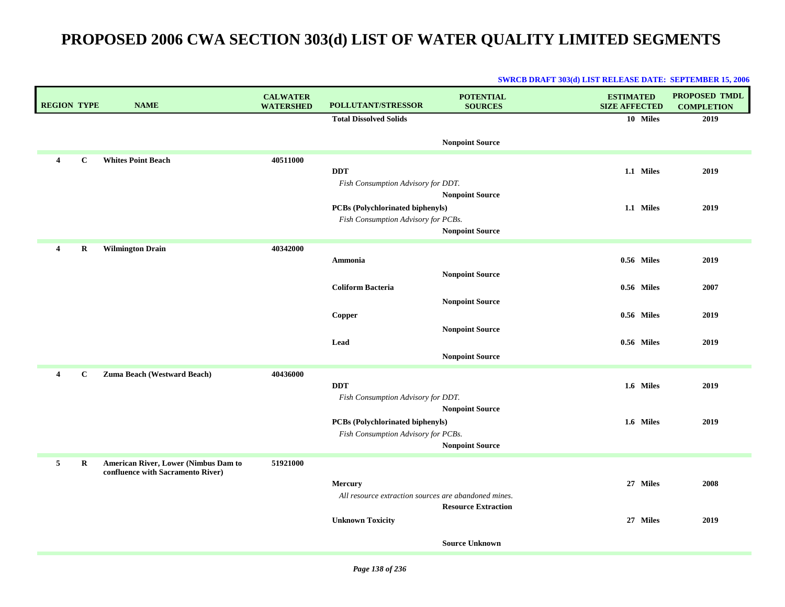| <b>REGION TYPE</b>      |             | <b>NAME</b>                                                               | <b>CALWATER</b><br><b>WATERSHED</b> | <b>POLLUTANT/STRESSOR</b>                                                      | <b>POTENTIAL</b><br><b>SOURCES</b>               | <b>ESTIMATED</b><br><b>SIZE AFFECTED</b> | <b>PROPOSED TMDL</b><br><b>COMPLETION</b> |
|-------------------------|-------------|---------------------------------------------------------------------------|-------------------------------------|--------------------------------------------------------------------------------|--------------------------------------------------|------------------------------------------|-------------------------------------------|
|                         |             |                                                                           |                                     | <b>Total Dissolved Solids</b>                                                  |                                                  | 10 Miles                                 | 2019                                      |
|                         |             |                                                                           |                                     |                                                                                | <b>Nonpoint Source</b>                           |                                          |                                           |
| $\overline{4}$          | $\mathbf C$ | <b>Whites Point Beach</b>                                                 | 40511000                            | <b>DDT</b><br>Fish Consumption Advisory for DDT.                               |                                                  | 1.1 Miles                                | 2019                                      |
|                         |             |                                                                           |                                     | PCBs (Polychlorinated biphenyls)<br>Fish Consumption Advisory for PCBs.        | <b>Nonpoint Source</b>                           | 1.1 Miles                                | 2019                                      |
|                         |             |                                                                           |                                     |                                                                                | <b>Nonpoint Source</b>                           |                                          |                                           |
| $\overline{4}$          | R           | <b>Wilmington Drain</b>                                                   | 40342000                            | Ammonia                                                                        |                                                  | 0.56 Miles                               | 2019                                      |
|                         |             |                                                                           |                                     | <b>Coliform Bacteria</b>                                                       | <b>Nonpoint Source</b>                           | 0.56 Miles                               | 2007                                      |
|                         |             |                                                                           |                                     | Copper                                                                         | <b>Nonpoint Source</b><br><b>Nonpoint Source</b> | 0.56 Miles                               | 2019                                      |
|                         |             |                                                                           |                                     | Lead                                                                           | <b>Nonpoint Source</b>                           | 0.56 Miles                               | 2019                                      |
| $\overline{\mathbf{4}}$ | $\mathbf C$ | Zuma Beach (Westward Beach)                                               | 40436000                            | <b>DDT</b><br>Fish Consumption Advisory for DDT.                               |                                                  | 1.6 Miles                                | 2019                                      |
|                         |             |                                                                           |                                     | <b>PCBs</b> (Polychlorinated biphenyls)<br>Fish Consumption Advisory for PCBs. | <b>Nonpoint Source</b><br><b>Nonpoint Source</b> | 1.6 Miles                                | 2019                                      |
| 5                       | R           | American River, Lower (Nimbus Dam to<br>confluence with Sacramento River) | 51921000                            |                                                                                |                                                  |                                          |                                           |
|                         |             |                                                                           |                                     | <b>Mercury</b><br>All resource extraction sources are abandoned mines.         | <b>Resource Extraction</b>                       | 27 Miles                                 | 2008                                      |
|                         |             |                                                                           |                                     | <b>Unknown Toxicity</b>                                                        |                                                  | 27 Miles                                 | 2019                                      |
|                         |             |                                                                           |                                     |                                                                                | <b>Source Unknown</b>                            |                                          |                                           |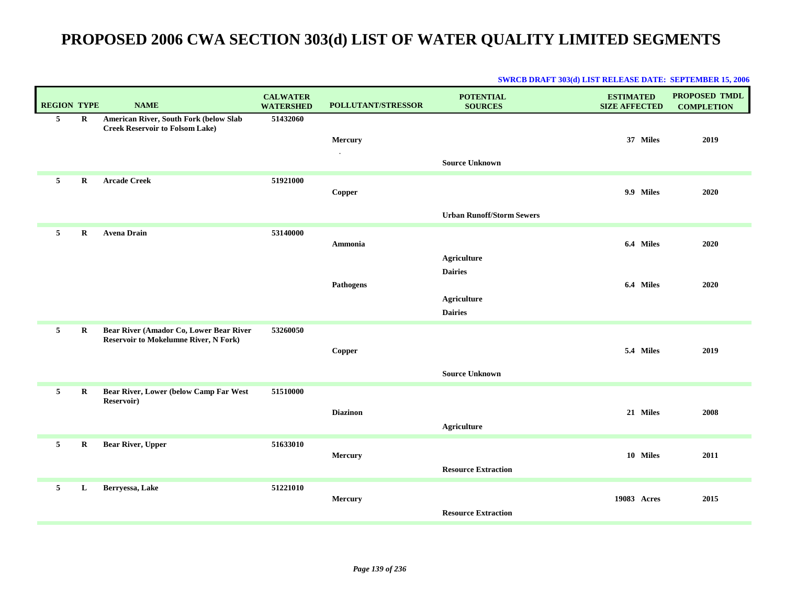| <b>REGION TYPE</b> |             | <b>NAME</b>                                                                             | <b>CALWATER</b><br><b>WATERSHED</b> | POLLUTANT/STRESSOR   | <b>POTENTIAL</b><br><b>SOURCES</b>   | <b>ESTIMATED</b><br><b>SIZE AFFECTED</b> | <b>PROPOSED TMDL</b><br><b>COMPLETION</b> |
|--------------------|-------------|-----------------------------------------------------------------------------------------|-------------------------------------|----------------------|--------------------------------------|------------------------------------------|-------------------------------------------|
| $5\phantom{.0}$    | $\mathbf R$ | American River, South Fork (below Slab<br><b>Creek Reservoir to Folsom Lake)</b>        | 51432060                            | Mercury<br>$\bullet$ | <b>Source Unknown</b>                | 37 Miles                                 | 2019                                      |
| 5                  | $\bf R$     | <b>Arcade Creek</b>                                                                     | 51921000                            | Copper               | <b>Urban Runoff/Storm Sewers</b>     | 9.9 Miles                                | 2020                                      |
| 5 <sub>5</sub>     | R           | <b>Avena Drain</b>                                                                      | 53140000                            | Ammonia              | Agriculture<br><b>Dairies</b>        | 6.4 Miles                                | 2020                                      |
|                    |             |                                                                                         |                                     | <b>Pathogens</b>     | <b>Agriculture</b><br><b>Dairies</b> | 6.4 Miles                                | 2020                                      |
| 5 <sub>5</sub>     | R           | Bear River (Amador Co, Lower Bear River<br><b>Reservoir to Mokelumne River, N Fork)</b> | 53260050                            | Copper               | <b>Source Unknown</b>                | 5.4 Miles                                | 2019                                      |
| 5                  | $\bf R$     | Bear River, Lower (below Camp Far West<br>Reservoir)                                    | 51510000                            | <b>Diazinon</b>      | <b>Agriculture</b>                   | 21 Miles                                 | 2008                                      |
| 5                  | $\bf R$     | <b>Bear River, Upper</b>                                                                | 51633010                            | Mercury              | <b>Resource Extraction</b>           | 10 Miles                                 | 2011                                      |
| 5                  | L           | Berryessa, Lake                                                                         | 51221010                            | Mercury              | <b>Resource Extraction</b>           | 19083 Acres                              | 2015                                      |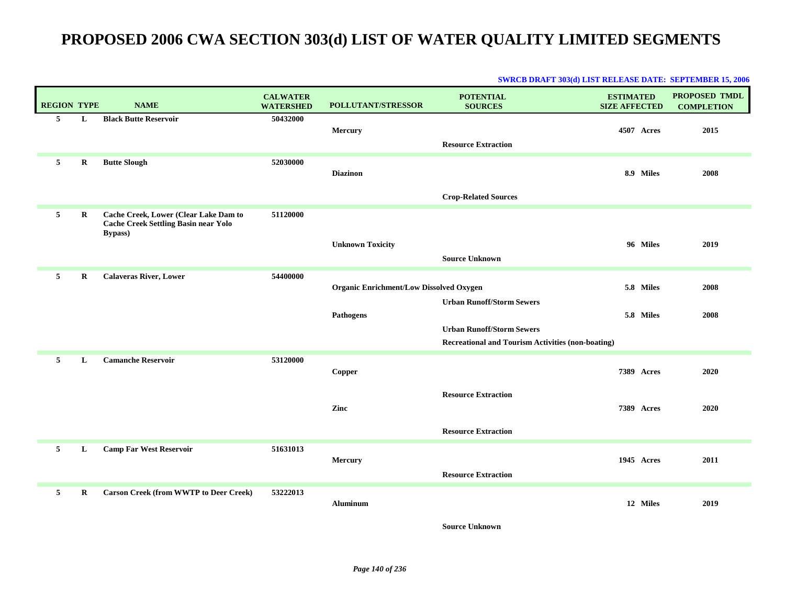|                    |             |                                               |                                     |                                         | <u>DWINCD DINAFT JOJQU) ERST INEDEFINIE DATE. DEI TEMDEN 15, 2000</u> |                                          |                                    |
|--------------------|-------------|-----------------------------------------------|-------------------------------------|-----------------------------------------|-----------------------------------------------------------------------|------------------------------------------|------------------------------------|
| <b>REGION TYPE</b> |             | <b>NAME</b>                                   | <b>CALWATER</b><br><b>WATERSHED</b> | POLLUTANT/STRESSOR                      | <b>POTENTIAL</b><br><b>SOURCES</b>                                    | <b>ESTIMATED</b><br><b>SIZE AFFECTED</b> | PROPOSED TMDL<br><b>COMPLETION</b> |
| 5                  | L           | <b>Black Butte Reservoir</b>                  | 50432000                            |                                         |                                                                       |                                          |                                    |
|                    |             |                                               |                                     | Mercury                                 |                                                                       | 4507 Acres                               | 2015                               |
|                    |             |                                               |                                     |                                         | <b>Resource Extraction</b>                                            |                                          |                                    |
| 5                  | $\bf R$     | <b>Butte Slough</b>                           | 52030000                            |                                         |                                                                       |                                          |                                    |
|                    |             |                                               |                                     | <b>Diazinon</b>                         |                                                                       | 8.9 Miles                                | 2008                               |
|                    |             |                                               |                                     |                                         |                                                                       |                                          |                                    |
|                    |             |                                               |                                     |                                         | <b>Crop-Related Sources</b>                                           |                                          |                                    |
| 5                  | $\bf R$     | Cache Creek, Lower (Clear Lake Dam to         | 51120000                            |                                         |                                                                       |                                          |                                    |
|                    |             | <b>Cache Creek Settling Basin near Yolo</b>   |                                     |                                         |                                                                       |                                          |                                    |
|                    |             | <b>Bypass</b> )                               |                                     | <b>Unknown Toxicity</b>                 |                                                                       | 96 Miles                                 | 2019                               |
|                    |             |                                               |                                     |                                         | <b>Source Unknown</b>                                                 |                                          |                                    |
|                    |             |                                               |                                     |                                         |                                                                       |                                          |                                    |
| 5                  | $\bf R$     | <b>Calaveras River, Lower</b>                 | 54400000                            |                                         |                                                                       |                                          |                                    |
|                    |             |                                               |                                     | Organic Enrichment/Low Dissolved Oxygen |                                                                       | 5.8 Miles                                | 2008                               |
|                    |             |                                               |                                     |                                         | <b>Urban Runoff/Storm Sewers</b>                                      |                                          |                                    |
|                    |             |                                               |                                     | <b>Pathogens</b>                        |                                                                       | 5.8 Miles                                | 2008                               |
|                    |             |                                               |                                     |                                         | <b>Urban Runoff/Storm Sewers</b>                                      |                                          |                                    |
|                    |             |                                               |                                     |                                         | <b>Recreational and Tourism Activities (non-boating)</b>              |                                          |                                    |
| $5^{\circ}$        | L           | <b>Camanche Reservoir</b>                     | 53120000                            |                                         |                                                                       |                                          |                                    |
|                    |             |                                               |                                     | Copper                                  |                                                                       | <b>7389 Acres</b>                        | 2020                               |
|                    |             |                                               |                                     |                                         |                                                                       |                                          |                                    |
|                    |             |                                               |                                     |                                         | <b>Resource Extraction</b>                                            |                                          |                                    |
|                    |             |                                               |                                     | Zinc                                    |                                                                       | 7389 Acres                               | 2020                               |
|                    |             |                                               |                                     |                                         |                                                                       |                                          |                                    |
|                    |             |                                               |                                     |                                         | <b>Resource Extraction</b>                                            |                                          |                                    |
| 5                  | L           | <b>Camp Far West Reservoir</b>                | 51631013                            |                                         |                                                                       |                                          |                                    |
|                    |             |                                               |                                     | <b>Mercury</b>                          |                                                                       | 1945 Acres                               | 2011                               |
|                    |             |                                               |                                     |                                         | <b>Resource Extraction</b>                                            |                                          |                                    |
| 5                  | $\mathbf R$ | <b>Carson Creek (from WWTP to Deer Creek)</b> | 53222013                            |                                         |                                                                       |                                          |                                    |
|                    |             |                                               |                                     | <b>Aluminum</b>                         |                                                                       | 12 Miles                                 | 2019                               |
|                    |             |                                               |                                     |                                         |                                                                       |                                          |                                    |
|                    |             |                                               |                                     |                                         | <b>Source Unknown</b>                                                 |                                          |                                    |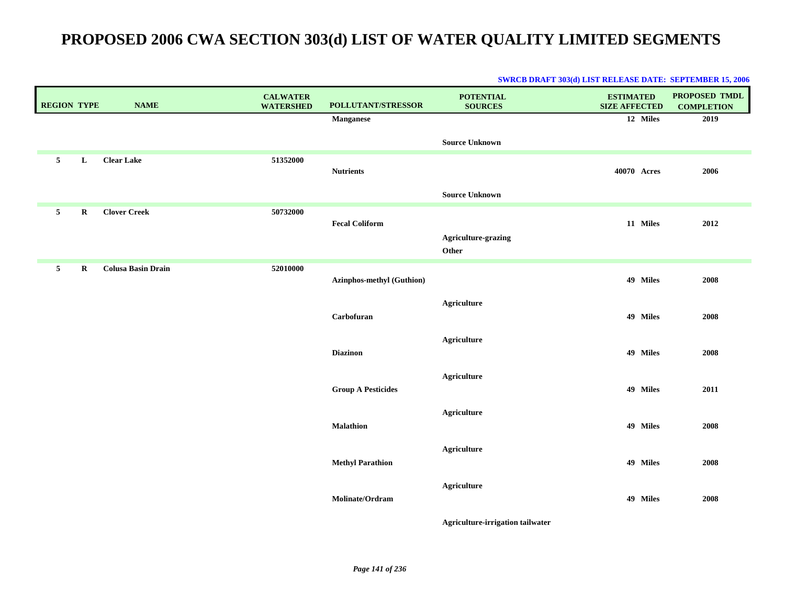| <b>REGION TYPE</b> |         | <b>NAME</b>               | <b>CALWATER</b><br><b>WATERSHED</b> | POLLUTANT/STRESSOR               | <b>POTENTIAL</b><br><b>SOURCES</b>      | <b>ESTIMATED</b><br><b>SIZE AFFECTED</b> | PROPOSED TMDL<br><b>COMPLETION</b> |
|--------------------|---------|---------------------------|-------------------------------------|----------------------------------|-----------------------------------------|------------------------------------------|------------------------------------|
|                    |         |                           |                                     | <b>Manganese</b>                 |                                         | 12 Miles                                 | 2019                               |
|                    |         |                           |                                     |                                  | <b>Source Unknown</b>                   |                                          |                                    |
| 5                  | L       | <b>Clear Lake</b>         | 51352000                            | <b>Nutrients</b>                 |                                         | 40070 Acres                              | 2006                               |
|                    |         |                           |                                     |                                  | <b>Source Unknown</b>                   |                                          |                                    |
| $5\phantom{.0}$    | $\bf R$ | <b>Clover Creek</b>       | 50732000                            | <b>Fecal Coliform</b>            |                                         | 11 Miles                                 | 2012                               |
|                    |         |                           |                                     |                                  | Agriculture-grazing<br>Other            |                                          |                                    |
| 5                  | R       | <b>Colusa Basin Drain</b> | 52010000                            | <b>Azinphos-methyl (Guthion)</b> |                                         | 49 Miles                                 | 2008                               |
|                    |         |                           |                                     |                                  |                                         |                                          |                                    |
|                    |         |                           |                                     | Carbofuran                       | <b>Agriculture</b>                      | 49 Miles                                 | 2008                               |
|                    |         |                           |                                     |                                  | <b>Agriculture</b>                      |                                          |                                    |
|                    |         |                           |                                     | <b>Diazinon</b>                  |                                         | 49 Miles                                 | 2008                               |
|                    |         |                           |                                     | <b>Group A Pesticides</b>        | <b>Agriculture</b>                      | 49 Miles                                 | 2011                               |
|                    |         |                           |                                     |                                  | <b>Agriculture</b>                      |                                          |                                    |
|                    |         |                           |                                     | <b>Malathion</b>                 |                                         | 49 Miles                                 | 2008                               |
|                    |         |                           |                                     |                                  | <b>Agriculture</b>                      |                                          |                                    |
|                    |         |                           |                                     | <b>Methyl Parathion</b>          |                                         | 49 Miles                                 | 2008                               |
|                    |         |                           |                                     | Molinate/Ordram                  | <b>Agriculture</b>                      | 49 Miles                                 | 2008                               |
|                    |         |                           |                                     |                                  | <b>Agriculture-irrigation tailwater</b> |                                          |                                    |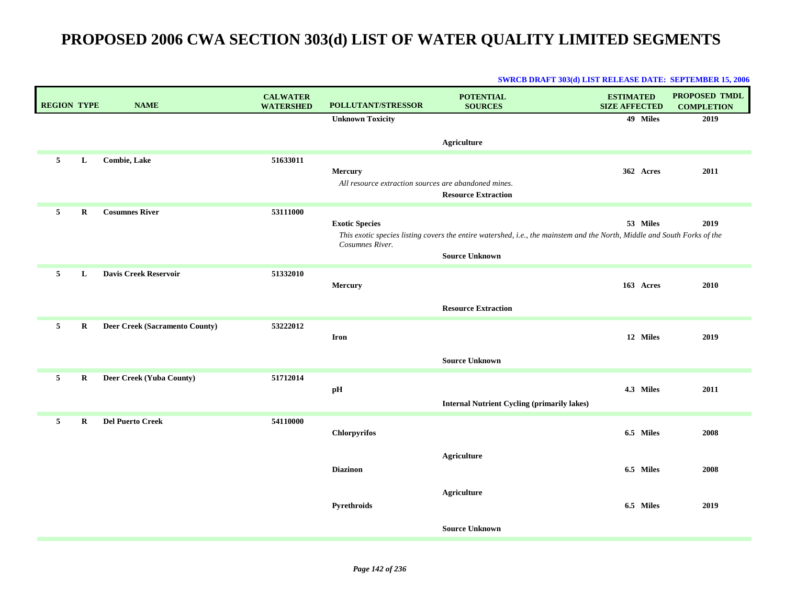| <b>REGION TYPE</b> |         | <b>NAME</b>                           | <b>CALWATER</b><br><b>WATERSHED</b> | <b>POLLUTANT/STRESSOR</b>                                       | <b>POTENTIAL</b><br><b>SOURCES</b>                                                                                                                | <b>ESTIMATED</b><br><b>SIZE AFFECTED</b> | <b>PROPOSED TMDL</b><br><b>COMPLETION</b> |
|--------------------|---------|---------------------------------------|-------------------------------------|-----------------------------------------------------------------|---------------------------------------------------------------------------------------------------------------------------------------------------|------------------------------------------|-------------------------------------------|
|                    |         |                                       |                                     | <b>Unknown Toxicity</b>                                         |                                                                                                                                                   | 49 Miles                                 | 2019                                      |
|                    |         |                                       |                                     |                                                                 | <b>Agriculture</b>                                                                                                                                |                                          |                                           |
| 5                  | L       | <b>Combie, Lake</b>                   | 51633011                            | Mercury<br>All resource extraction sources are abandoned mines. | <b>Resource Extraction</b>                                                                                                                        | 362 Acres                                | 2011                                      |
| 5                  | $\bf R$ | <b>Cosumnes River</b>                 | 53111000                            | <b>Exotic Species</b><br>Cosumnes River.                        | This exotic species listing covers the entire watershed, i.e., the mainstem and the North, Middle and South Forks of the<br><b>Source Unknown</b> | 53 Miles                                 | 2019                                      |
| 5                  | L       | <b>Davis Creek Reservoir</b>          | 51332010                            | Mercury                                                         |                                                                                                                                                   | 163 Acres                                | 2010                                      |
|                    |         |                                       |                                     |                                                                 | <b>Resource Extraction</b>                                                                                                                        |                                          |                                           |
| 5 <sub>1</sub>     | $\bf R$ | <b>Deer Creek (Sacramento County)</b> | 53222012                            | <b>Iron</b>                                                     |                                                                                                                                                   | 12 Miles                                 | 2019                                      |
|                    |         |                                       |                                     |                                                                 | <b>Source Unknown</b>                                                                                                                             |                                          |                                           |
| 5                  | $\bf R$ | Deer Creek (Yuba County)              | 51712014                            | pH                                                              | <b>Internal Nutrient Cycling (primarily lakes)</b>                                                                                                | 4.3 Miles                                | 2011                                      |
| 5                  | $\bf R$ | <b>Del Puerto Creek</b>               | 54110000                            | Chlorpyrifos                                                    |                                                                                                                                                   | 6.5 Miles                                | 2008                                      |
|                    |         |                                       |                                     | <b>Diazinon</b>                                                 | <b>Agriculture</b>                                                                                                                                | 6.5 Miles                                | 2008                                      |
|                    |         |                                       |                                     | Pyrethroids                                                     | <b>Agriculture</b>                                                                                                                                | 6.5 Miles                                | 2019                                      |
|                    |         |                                       |                                     |                                                                 | <b>Source Unknown</b>                                                                                                                             |                                          |                                           |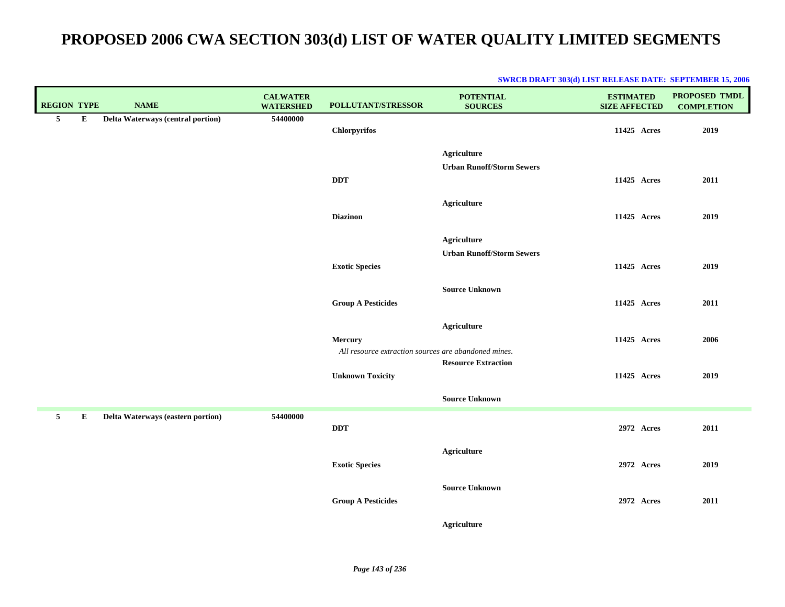| <b>REGION TYPE</b> |           | <b>NAME</b>                       | <b>CALWATER</b><br><b>WATERSHED</b> | POLLUTANT/STRESSOR                                   | <b>POTENTIAL</b><br><b>SOURCES</b> | <b>ESTIMATED</b><br><b>SIZE AFFECTED</b> | PROPOSED TMDL<br><b>COMPLETION</b> |
|--------------------|-----------|-----------------------------------|-------------------------------------|------------------------------------------------------|------------------------------------|------------------------------------------|------------------------------------|
| 5                  | ${\bf E}$ | Delta Waterways (central portion) | 54400000                            | Chlorpyrifos                                         |                                    | 11425 Acres                              | 2019                               |
|                    |           |                                   |                                     |                                                      | Agriculture                        |                                          |                                    |
|                    |           |                                   |                                     |                                                      | <b>Urban Runoff/Storm Sewers</b>   |                                          |                                    |
|                    |           |                                   |                                     | <b>DDT</b>                                           |                                    | 11425 Acres                              | 2011                               |
|                    |           |                                   |                                     |                                                      | <b>Agriculture</b>                 |                                          |                                    |
|                    |           |                                   |                                     | <b>Diazinon</b>                                      |                                    | 11425 Acres                              | 2019                               |
|                    |           |                                   |                                     |                                                      | <b>Agriculture</b>                 |                                          |                                    |
|                    |           |                                   |                                     |                                                      | <b>Urban Runoff/Storm Sewers</b>   |                                          |                                    |
|                    |           |                                   |                                     | <b>Exotic Species</b>                                |                                    | 11425 Acres                              | 2019                               |
|                    |           |                                   |                                     |                                                      | <b>Source Unknown</b>              |                                          |                                    |
|                    |           |                                   |                                     | <b>Group A Pesticides</b>                            |                                    | 11425 Acres                              | 2011                               |
|                    |           |                                   |                                     |                                                      | <b>Agriculture</b>                 |                                          |                                    |
|                    |           |                                   |                                     | Mercury                                              |                                    | 11425 Acres                              | 2006                               |
|                    |           |                                   |                                     | All resource extraction sources are abandoned mines. | <b>Resource Extraction</b>         |                                          |                                    |
|                    |           |                                   |                                     | <b>Unknown Toxicity</b>                              |                                    | 11425 Acres                              | 2019                               |
|                    |           |                                   |                                     |                                                      | <b>Source Unknown</b>              |                                          |                                    |
| $5\overline{5}$    | ${\bf E}$ | Delta Waterways (eastern portion) | 54400000                            |                                                      |                                    |                                          |                                    |
|                    |           |                                   |                                     | <b>DDT</b>                                           |                                    | 2972 Acres                               | 2011                               |
|                    |           |                                   |                                     |                                                      | <b>Agriculture</b>                 |                                          |                                    |
|                    |           |                                   |                                     | <b>Exotic Species</b>                                |                                    | 2972 Acres                               | 2019                               |
|                    |           |                                   |                                     |                                                      | <b>Source Unknown</b>              |                                          |                                    |
|                    |           |                                   |                                     | <b>Group A Pesticides</b>                            |                                    | 2972 Acres                               | 2011                               |
|                    |           |                                   |                                     |                                                      | <b>Agriculture</b>                 |                                          |                                    |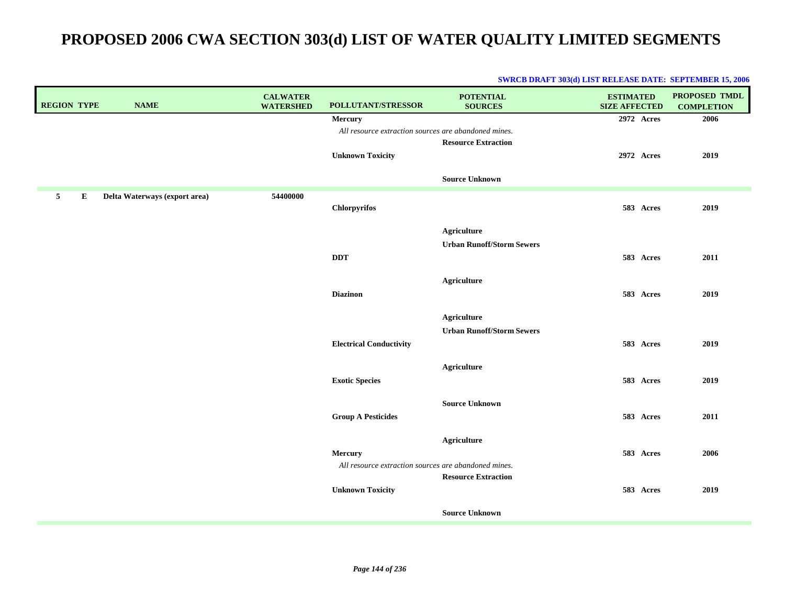| <b>REGION TYPE</b>  | <b>NAME</b>                   | <b>CALWATER</b><br><b>WATERSHED</b> | POLLUTANT/STRESSOR                                   | <b>POTENTIAL</b><br><b>SOURCES</b> | <b>ESTIMATED</b><br><b>SIZE AFFECTED</b> | PROPOSED TMDL<br><b>COMPLETION</b> |
|---------------------|-------------------------------|-------------------------------------|------------------------------------------------------|------------------------------------|------------------------------------------|------------------------------------|
|                     |                               |                                     | Mercury                                              |                                    | 2972 Acres                               | 2006                               |
|                     |                               |                                     | All resource extraction sources are abandoned mines. |                                    |                                          |                                    |
|                     |                               |                                     |                                                      | <b>Resource Extraction</b>         |                                          |                                    |
|                     |                               |                                     | <b>Unknown Toxicity</b>                              |                                    | 2972 Acres                               | 2019                               |
|                     |                               |                                     |                                                      | <b>Source Unknown</b>              |                                          |                                    |
|                     |                               |                                     |                                                      |                                    |                                          |                                    |
| 5 <sup>5</sup><br>Е | Delta Waterways (export area) | 54400000                            |                                                      |                                    | 583 Acres                                | 2019                               |
|                     |                               |                                     | <b>Chlorpyrifos</b>                                  |                                    |                                          |                                    |
|                     |                               |                                     |                                                      | <b>Agriculture</b>                 |                                          |                                    |
|                     |                               |                                     |                                                      | <b>Urban Runoff/Storm Sewers</b>   |                                          |                                    |
|                     |                               |                                     | <b>DDT</b>                                           |                                    | 583 Acres                                | 2011                               |
|                     |                               |                                     |                                                      |                                    |                                          |                                    |
|                     |                               |                                     |                                                      | <b>Agriculture</b>                 |                                          |                                    |
|                     |                               |                                     | <b>Diazinon</b>                                      |                                    | 583 Acres                                | 2019                               |
|                     |                               |                                     |                                                      |                                    |                                          |                                    |
|                     |                               |                                     |                                                      | <b>Agriculture</b>                 |                                          |                                    |
|                     |                               |                                     |                                                      | <b>Urban Runoff/Storm Sewers</b>   |                                          |                                    |
|                     |                               |                                     | <b>Electrical Conductivity</b>                       |                                    | 583 Acres                                | 2019                               |
|                     |                               |                                     |                                                      | <b>Agriculture</b>                 |                                          |                                    |
|                     |                               |                                     | <b>Exotic Species</b>                                |                                    | 583 Acres                                | 2019                               |
|                     |                               |                                     |                                                      |                                    |                                          |                                    |
|                     |                               |                                     |                                                      | <b>Source Unknown</b>              |                                          |                                    |
|                     |                               |                                     | <b>Group A Pesticides</b>                            |                                    | 583 Acres                                | 2011                               |
|                     |                               |                                     |                                                      |                                    |                                          |                                    |
|                     |                               |                                     |                                                      | <b>Agriculture</b>                 |                                          |                                    |
|                     |                               |                                     | Mercury                                              |                                    | 583 Acres                                | 2006                               |
|                     |                               |                                     | All resource extraction sources are abandoned mines. |                                    |                                          |                                    |
|                     |                               |                                     |                                                      | <b>Resource Extraction</b>         |                                          |                                    |
|                     |                               |                                     | <b>Unknown Toxicity</b>                              |                                    | 583 Acres                                | 2019                               |
|                     |                               |                                     |                                                      | <b>Source Unknown</b>              |                                          |                                    |
|                     |                               |                                     |                                                      |                                    |                                          |                                    |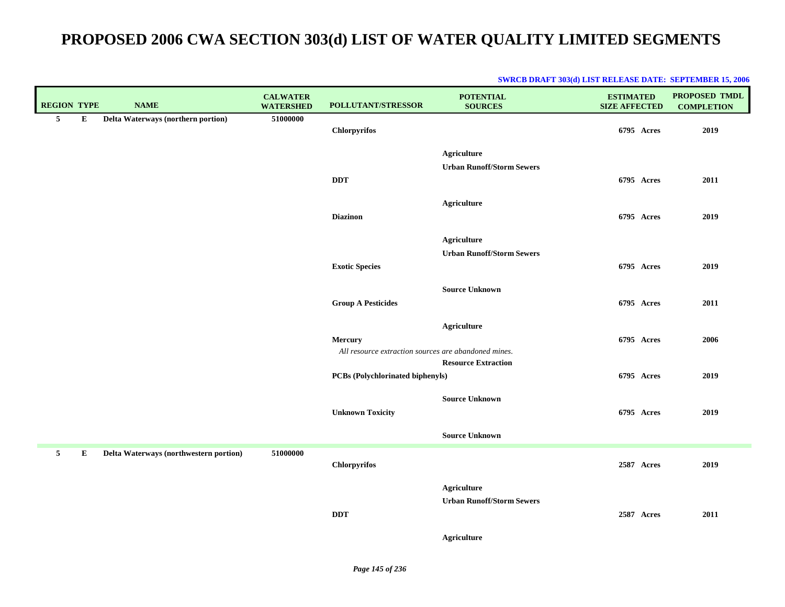| <b>REGION TYPE</b> |   | <b>NAME</b>                            | <b>CALWATER</b><br><b>WATERSHED</b> | POLLUTANT/STRESSOR                                                     | <b>POTENTIAL</b><br><b>SOURCES</b>                     | <b>ESTIMATED</b><br><b>SIZE AFFECTED</b> | PROPOSED TMDL<br><b>COMPLETION</b> |
|--------------------|---|----------------------------------------|-------------------------------------|------------------------------------------------------------------------|--------------------------------------------------------|------------------------------------------|------------------------------------|
| 5                  | Е | Delta Waterways (northern portion)     | 51000000                            | <b>Chlorpyrifos</b>                                                    |                                                        | 6795 Acres                               | 2019                               |
|                    |   |                                        |                                     |                                                                        | <b>Agriculture</b>                                     |                                          |                                    |
|                    |   |                                        |                                     | <b>DDT</b>                                                             | <b>Urban Runoff/Storm Sewers</b>                       | 6795 Acres                               | 2011                               |
|                    |   |                                        |                                     | <b>Diazinon</b>                                                        | Agriculture                                            | 6795 Acres                               | 2019                               |
|                    |   |                                        |                                     |                                                                        | <b>Agriculture</b>                                     |                                          |                                    |
|                    |   |                                        |                                     | <b>Exotic Species</b>                                                  | <b>Urban Runoff/Storm Sewers</b>                       | 6795 Acres                               | 2019                               |
|                    |   |                                        |                                     |                                                                        | <b>Source Unknown</b>                                  |                                          |                                    |
|                    |   |                                        |                                     | <b>Group A Pesticides</b>                                              |                                                        | 6795 Acres                               | 2011                               |
|                    |   |                                        |                                     | <b>Mercury</b><br>All resource extraction sources are abandoned mines. | <b>Agriculture</b>                                     | 6795 Acres                               | 2006                               |
|                    |   |                                        |                                     | PCBs (Polychlorinated biphenyls)                                       | <b>Resource Extraction</b>                             | 6795 Acres                               | 2019                               |
|                    |   |                                        |                                     |                                                                        | <b>Source Unknown</b>                                  |                                          |                                    |
|                    |   |                                        |                                     | <b>Unknown Toxicity</b>                                                |                                                        | 6795 Acres                               | 2019                               |
|                    |   |                                        |                                     |                                                                        | <b>Source Unknown</b>                                  |                                          |                                    |
| 5 <sub>5</sub>     | E | Delta Waterways (northwestern portion) | 51000000                            | <b>Chlorpyrifos</b>                                                    |                                                        | 2587 Acres                               | 2019                               |
|                    |   |                                        |                                     |                                                                        | <b>Agriculture</b><br><b>Urban Runoff/Storm Sewers</b> |                                          |                                    |
|                    |   |                                        |                                     | <b>DDT</b>                                                             |                                                        | 2587 Acres                               | 2011                               |
|                    |   |                                        |                                     |                                                                        | Agriculture                                            |                                          |                                    |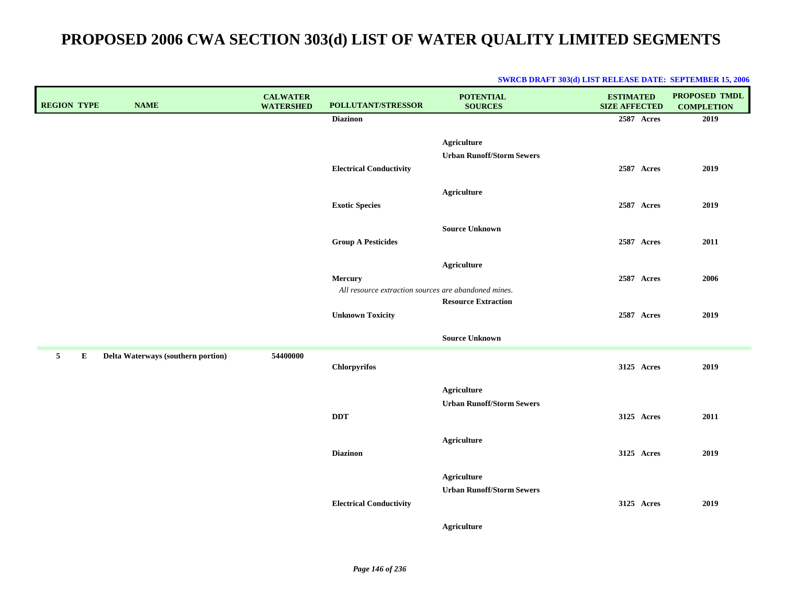| <b>REGION TYPE</b> | <b>NAME</b>                        | <b>CALWATER</b><br><b>WATERSHED</b> | POLLUTANT/STRESSOR                                              | <b>POTENTIAL</b><br><b>SOURCES</b>                     | <b>ESTIMATED</b><br><b>SIZE AFFECTED</b> | <b>PROPOSED TMDL</b><br><b>COMPLETION</b> |
|--------------------|------------------------------------|-------------------------------------|-----------------------------------------------------------------|--------------------------------------------------------|------------------------------------------|-------------------------------------------|
|                    |                                    |                                     | <b>Diazinon</b>                                                 |                                                        | 2587 Acres                               | 2019                                      |
|                    |                                    |                                     | <b>Electrical Conductivity</b>                                  | <b>Agriculture</b><br><b>Urban Runoff/Storm Sewers</b> | 2587 Acres                               | 2019                                      |
|                    |                                    |                                     | <b>Exotic Species</b>                                           | Agriculture                                            | 2587 Acres                               | 2019                                      |
|                    |                                    |                                     | <b>Group A Pesticides</b>                                       | <b>Source Unknown</b>                                  | 2587 Acres                               | 2011                                      |
|                    |                                    |                                     | Mercury<br>All resource extraction sources are abandoned mines. | <b>Agriculture</b>                                     | 2587 Acres                               | 2006                                      |
|                    |                                    |                                     | <b>Unknown Toxicity</b>                                         | <b>Resource Extraction</b>                             | 2587 Acres                               | 2019                                      |
|                    |                                    | 54400000                            |                                                                 | <b>Source Unknown</b>                                  |                                          |                                           |
| 5<br>${\bf E}$     | Delta Waterways (southern portion) |                                     | <b>Chlorpyrifos</b>                                             |                                                        | 3125 Acres                               | 2019                                      |
|                    |                                    |                                     |                                                                 | <b>Agriculture</b><br><b>Urban Runoff/Storm Sewers</b> |                                          |                                           |
|                    |                                    |                                     | <b>DDT</b>                                                      |                                                        | 3125 Acres                               | 2011                                      |
|                    |                                    |                                     | <b>Diazinon</b>                                                 | <b>Agriculture</b>                                     | 3125 Acres                               | 2019                                      |
|                    |                                    |                                     | <b>Electrical Conductivity</b>                                  | <b>Agriculture</b><br><b>Urban Runoff/Storm Sewers</b> | 3125 Acres                               | 2019                                      |
|                    |                                    |                                     |                                                                 | Agriculture                                            |                                          |                                           |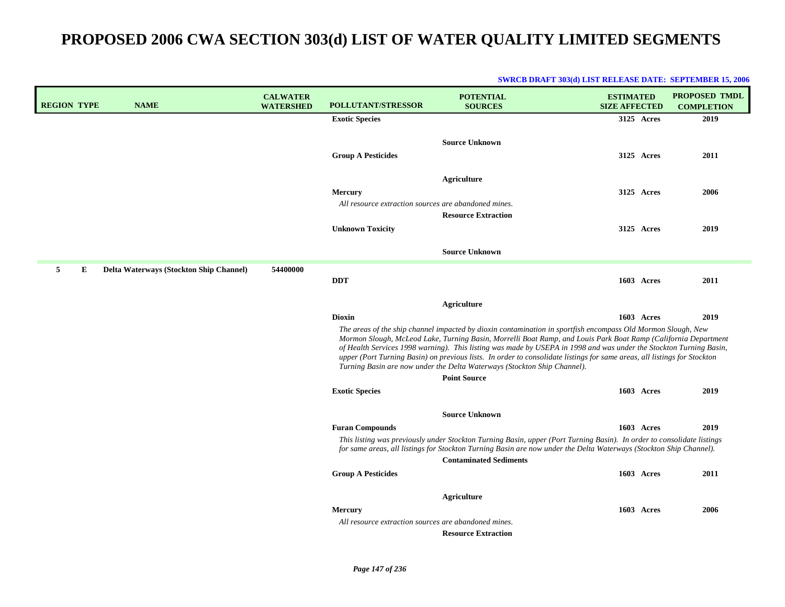| <b>REGION TYPE</b> |   | <b>NAME</b>                                    | <b>CALWATER</b><br><b>WATERSHED</b> | <b>POLLUTANT/STRESSOR</b>                                              | <b>POTENTIAL</b><br><b>SOURCES</b>                                                                                                                                                                                                                                                                                                                                                                                                                                                                                                                                                  | <b>ESTIMATED</b><br><b>SIZE AFFECTED</b> | <b>PROPOSED TMDL</b><br><b>COMPLETION</b> |
|--------------------|---|------------------------------------------------|-------------------------------------|------------------------------------------------------------------------|-------------------------------------------------------------------------------------------------------------------------------------------------------------------------------------------------------------------------------------------------------------------------------------------------------------------------------------------------------------------------------------------------------------------------------------------------------------------------------------------------------------------------------------------------------------------------------------|------------------------------------------|-------------------------------------------|
|                    |   |                                                |                                     | <b>Exotic Species</b>                                                  |                                                                                                                                                                                                                                                                                                                                                                                                                                                                                                                                                                                     | 3125 Acres                               | 2019                                      |
|                    |   |                                                |                                     | <b>Group A Pesticides</b>                                              | <b>Source Unknown</b>                                                                                                                                                                                                                                                                                                                                                                                                                                                                                                                                                               | 3125 Acres                               | 2011                                      |
|                    |   |                                                |                                     | <b>Mercury</b><br>All resource extraction sources are abandoned mines. | <b>Agriculture</b>                                                                                                                                                                                                                                                                                                                                                                                                                                                                                                                                                                  | 3125 Acres                               | 2006                                      |
|                    |   |                                                |                                     | <b>Unknown Toxicity</b>                                                | <b>Resource Extraction</b>                                                                                                                                                                                                                                                                                                                                                                                                                                                                                                                                                          | 3125 Acres                               | 2019                                      |
|                    |   |                                                |                                     |                                                                        | <b>Source Unknown</b>                                                                                                                                                                                                                                                                                                                                                                                                                                                                                                                                                               |                                          |                                           |
| 5                  | E | <b>Delta Waterways (Stockton Ship Channel)</b> | 54400000                            | <b>DDT</b>                                                             |                                                                                                                                                                                                                                                                                                                                                                                                                                                                                                                                                                                     | 1603 Acres                               | 2011                                      |
|                    |   |                                                |                                     |                                                                        | Agriculture                                                                                                                                                                                                                                                                                                                                                                                                                                                                                                                                                                         |                                          |                                           |
|                    |   |                                                |                                     | <b>Dioxin</b>                                                          |                                                                                                                                                                                                                                                                                                                                                                                                                                                                                                                                                                                     | 1603 Acres                               | 2019                                      |
|                    |   |                                                |                                     |                                                                        | The areas of the ship channel impacted by dioxin contamination in sportfish encompass Old Mormon Slough, New<br>Mormon Slough, McLeod Lake, Turning Basin, Morrelli Boat Ramp, and Louis Park Boat Ramp (California Department<br>of Health Services 1998 warning). This listing was made by USEPA in 1998 and was under the Stockton Turning Basin,<br>upper (Port Turning Basin) on previous lists. In order to consolidate listings for same areas, all listings for Stockton<br>Turning Basin are now under the Delta Waterways (Stockton Ship Channel).<br><b>Point Source</b> |                                          |                                           |
|                    |   |                                                |                                     | <b>Exotic Species</b>                                                  |                                                                                                                                                                                                                                                                                                                                                                                                                                                                                                                                                                                     | 1603 Acres                               | 2019                                      |
|                    |   |                                                |                                     |                                                                        | <b>Source Unknown</b>                                                                                                                                                                                                                                                                                                                                                                                                                                                                                                                                                               |                                          |                                           |
|                    |   |                                                |                                     | <b>Furan Compounds</b>                                                 | This listing was previously under Stockton Turning Basin, upper (Port Turning Basin). In order to consolidate listings<br>for same areas, all listings for Stockton Turning Basin are now under the Delta Waterways (Stockton Ship Channel).<br><b>Contaminated Sediments</b>                                                                                                                                                                                                                                                                                                       | 1603 Acres                               | 2019                                      |
|                    |   |                                                |                                     | <b>Group A Pesticides</b>                                              |                                                                                                                                                                                                                                                                                                                                                                                                                                                                                                                                                                                     | 1603 Acres                               | 2011                                      |
|                    |   |                                                |                                     |                                                                        | Agriculture                                                                                                                                                                                                                                                                                                                                                                                                                                                                                                                                                                         |                                          |                                           |
|                    |   |                                                |                                     | <b>Mercury</b>                                                         |                                                                                                                                                                                                                                                                                                                                                                                                                                                                                                                                                                                     | 1603 Acres                               | 2006                                      |
|                    |   |                                                |                                     | All resource extraction sources are abandoned mines.                   | <b>Resource Extraction</b>                                                                                                                                                                                                                                                                                                                                                                                                                                                                                                                                                          |                                          |                                           |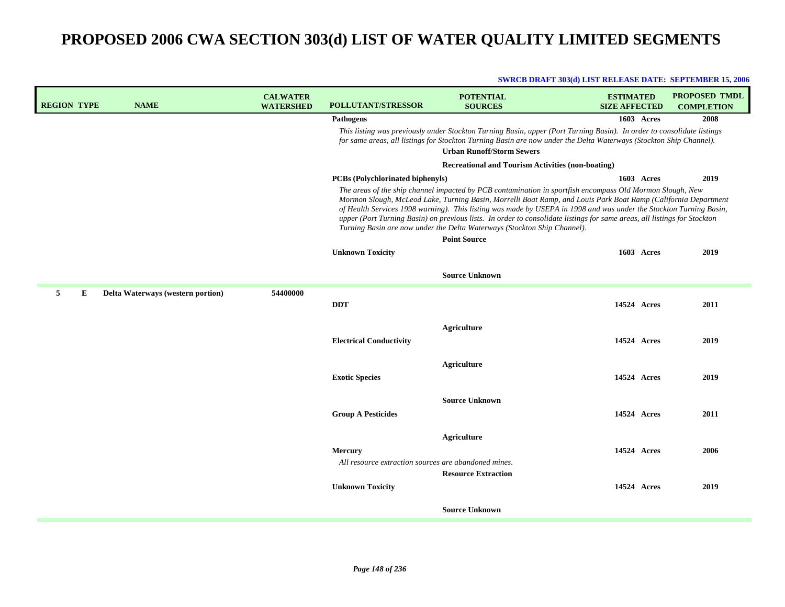| <b>REGION TYPE</b> | <b>NAME</b>                       | <b>CALWATER</b><br><b>WATERSHED</b> | <b>POLLUTANT/STRESSOR</b>                                              | <b>POTENTIAL</b><br><b>SOURCES</b>                                                                                                                                                                                                                                                                                                                                                                                                                                                                                                                                               | <b>ESTIMATED</b><br><b>SIZE AFFECTED</b> | <b>PROPOSED TMDL</b><br><b>COMPLETION</b> |
|--------------------|-----------------------------------|-------------------------------------|------------------------------------------------------------------------|----------------------------------------------------------------------------------------------------------------------------------------------------------------------------------------------------------------------------------------------------------------------------------------------------------------------------------------------------------------------------------------------------------------------------------------------------------------------------------------------------------------------------------------------------------------------------------|------------------------------------------|-------------------------------------------|
|                    |                                   |                                     | <b>Pathogens</b>                                                       |                                                                                                                                                                                                                                                                                                                                                                                                                                                                                                                                                                                  | 1603 Acres                               | 2008                                      |
|                    |                                   |                                     |                                                                        | This listing was previously under Stockton Turning Basin, upper (Port Turning Basin). In order to consolidate listings<br>for same areas, all listings for Stockton Turning Basin are now under the Delta Waterways (Stockton Ship Channel).<br><b>Urban Runoff/Storm Sewers</b>                                                                                                                                                                                                                                                                                                 |                                          |                                           |
|                    |                                   |                                     |                                                                        | <b>Recreational and Tourism Activities (non-boating)</b>                                                                                                                                                                                                                                                                                                                                                                                                                                                                                                                         |                                          |                                           |
|                    |                                   |                                     | <b>PCBs</b> (Polychlorinated biphenyls)                                |                                                                                                                                                                                                                                                                                                                                                                                                                                                                                                                                                                                  | 1603 Acres                               | 2019                                      |
|                    |                                   |                                     |                                                                        | The areas of the ship channel impacted by PCB contamination in sportfish encompass Old Mormon Slough, New<br>Mormon Slough, McLeod Lake, Turning Basin, Morrelli Boat Ramp, and Louis Park Boat Ramp (California Department<br>of Health Services 1998 warning). This listing was made by USEPA in 1998 and was under the Stockton Turning Basin,<br>upper (Port Turning Basin) on previous lists. In order to consolidate listings for same areas, all listings for Stockton<br>Turning Basin are now under the Delta Waterways (Stockton Ship Channel).<br><b>Point Source</b> |                                          |                                           |
|                    |                                   |                                     | <b>Unknown Toxicity</b>                                                |                                                                                                                                                                                                                                                                                                                                                                                                                                                                                                                                                                                  | 1603 Acres                               | 2019                                      |
|                    |                                   |                                     |                                                                        | <b>Source Unknown</b>                                                                                                                                                                                                                                                                                                                                                                                                                                                                                                                                                            |                                          |                                           |
| 5<br>E             | Delta Waterways (western portion) | 54400000                            |                                                                        |                                                                                                                                                                                                                                                                                                                                                                                                                                                                                                                                                                                  |                                          |                                           |
|                    |                                   |                                     | <b>DDT</b>                                                             |                                                                                                                                                                                                                                                                                                                                                                                                                                                                                                                                                                                  | 14524 Acres                              | 2011                                      |
|                    |                                   |                                     |                                                                        | Agriculture                                                                                                                                                                                                                                                                                                                                                                                                                                                                                                                                                                      |                                          |                                           |
|                    |                                   |                                     | <b>Electrical Conductivity</b>                                         |                                                                                                                                                                                                                                                                                                                                                                                                                                                                                                                                                                                  | 14524 Acres                              | 2019                                      |
|                    |                                   |                                     |                                                                        | Agriculture                                                                                                                                                                                                                                                                                                                                                                                                                                                                                                                                                                      |                                          |                                           |
|                    |                                   |                                     | <b>Exotic Species</b>                                                  |                                                                                                                                                                                                                                                                                                                                                                                                                                                                                                                                                                                  | 14524 Acres                              | 2019                                      |
|                    |                                   |                                     |                                                                        |                                                                                                                                                                                                                                                                                                                                                                                                                                                                                                                                                                                  |                                          |                                           |
|                    |                                   |                                     | <b>Group A Pesticides</b>                                              | <b>Source Unknown</b>                                                                                                                                                                                                                                                                                                                                                                                                                                                                                                                                                            | 14524 Acres                              | 2011                                      |
|                    |                                   |                                     |                                                                        |                                                                                                                                                                                                                                                                                                                                                                                                                                                                                                                                                                                  |                                          |                                           |
|                    |                                   |                                     |                                                                        | Agriculture                                                                                                                                                                                                                                                                                                                                                                                                                                                                                                                                                                      |                                          |                                           |
|                    |                                   |                                     | <b>Mercury</b><br>All resource extraction sources are abandoned mines. |                                                                                                                                                                                                                                                                                                                                                                                                                                                                                                                                                                                  | 14524 Acres                              | 2006                                      |
|                    |                                   |                                     |                                                                        | <b>Resource Extraction</b>                                                                                                                                                                                                                                                                                                                                                                                                                                                                                                                                                       |                                          |                                           |
|                    |                                   |                                     | <b>Unknown Toxicity</b>                                                |                                                                                                                                                                                                                                                                                                                                                                                                                                                                                                                                                                                  | 14524 Acres                              | 2019                                      |
|                    |                                   |                                     |                                                                        | <b>Source Unknown</b>                                                                                                                                                                                                                                                                                                                                                                                                                                                                                                                                                            |                                          |                                           |
|                    |                                   |                                     |                                                                        |                                                                                                                                                                                                                                                                                                                                                                                                                                                                                                                                                                                  |                                          |                                           |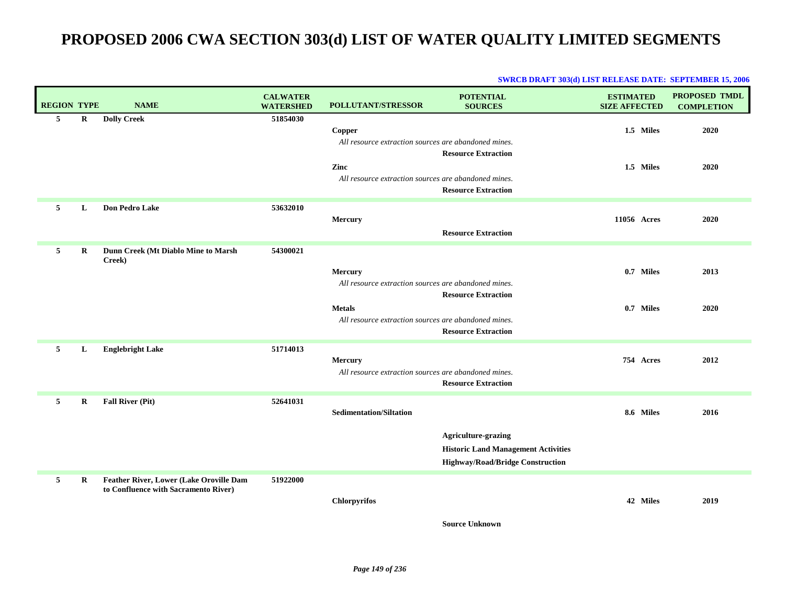### **SWRCB DRAFT 303(d) LIST RELEASE DATE: SEPTEMBER 15, 2006**

| <b>REGION TYPE</b> | <b>NAME</b>                                                                     | <b>CALWATER</b><br><b>WATERSHED</b> | <b>POLLUTANT/STRESSOR</b>                                                                                                                | <b>POTENTIAL</b><br><b>SOURCES</b>                                                                                  | <b>ESTIMATED</b><br><b>SIZE AFFECTED</b> | <b>PROPOSED TMDL</b><br><b>COMPLETION</b> |
|--------------------|---------------------------------------------------------------------------------|-------------------------------------|------------------------------------------------------------------------------------------------------------------------------------------|---------------------------------------------------------------------------------------------------------------------|------------------------------------------|-------------------------------------------|
| 5<br>R             | <b>Dolly Creek</b>                                                              | 51854030                            | Copper<br>All resource extraction sources are abandoned mines.                                                                           | <b>Resource Extraction</b>                                                                                          | 1.5 Miles                                | 2020                                      |
|                    |                                                                                 |                                     | Zinc<br>All resource extraction sources are abandoned mines.                                                                             | <b>Resource Extraction</b>                                                                                          | 1.5 Miles                                | 2020                                      |
| 5<br>L             | Don Pedro Lake                                                                  | 53632010                            | Mercury                                                                                                                                  | <b>Resource Extraction</b>                                                                                          | 11056 Acres                              | 2020                                      |
| 5<br>$\bf R$       | Dunn Creek (Mt Diablo Mine to Marsh<br>Creek)                                   | 54300021                            | Mercury<br>All resource extraction sources are abandoned mines.<br><b>Metals</b><br>All resource extraction sources are abandoned mines. | <b>Resource Extraction</b><br><b>Resource Extraction</b>                                                            | 0.7 Miles<br>0.7 Miles                   | 2013<br>2020                              |
| 5<br>L             | <b>Englebright Lake</b>                                                         | 51714013                            | Mercury<br>All resource extraction sources are abandoned mines.                                                                          | <b>Resource Extraction</b>                                                                                          | 754 Acres                                | 2012                                      |
| 5<br>$\bf R$       | <b>Fall River (Pit)</b>                                                         | 52641031                            | <b>Sedimentation/Siltation</b>                                                                                                           | <b>Agriculture-grazing</b><br><b>Historic Land Management Activities</b><br><b>Highway/Road/Bridge Construction</b> | 8.6 Miles                                | 2016                                      |
| 5<br>$\bf R$       | Feather River, Lower (Lake Oroville Dam<br>to Confluence with Sacramento River) | 51922000                            | <b>Chlorpyrifos</b>                                                                                                                      |                                                                                                                     | 42 Miles                                 | 2019                                      |

**Source Unknown**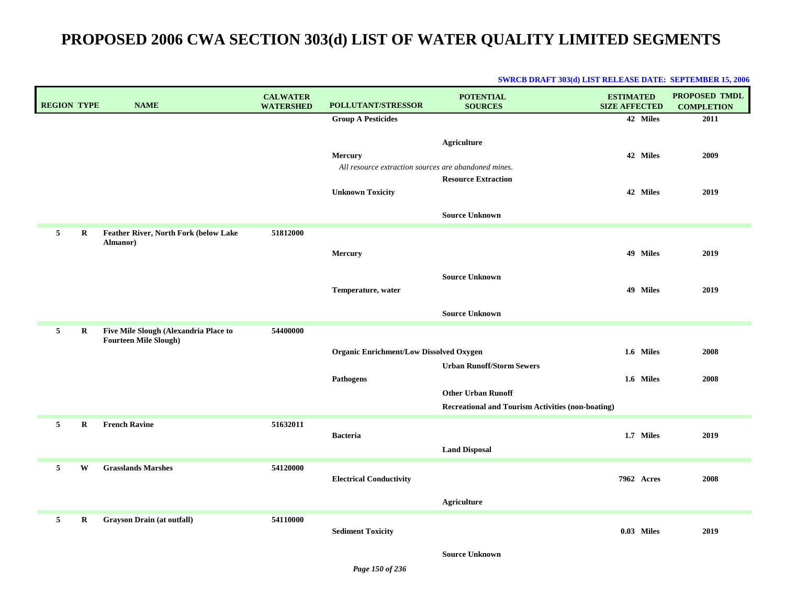| <b>REGION TYPE</b> |         | <b>NAME</b>                                       | <b>CALWATER</b><br><b>WATERSHED</b> | <b>POLLUTANT/STRESSOR</b>                                              | <b>POTENTIAL</b><br><b>SOURCES</b>                                                    | <b>ESTIMATED</b><br><b>SIZE AFFECTED</b> |           | <b>PROPOSED TMDL</b><br><b>COMPLETION</b> |
|--------------------|---------|---------------------------------------------------|-------------------------------------|------------------------------------------------------------------------|---------------------------------------------------------------------------------------|------------------------------------------|-----------|-------------------------------------------|
|                    |         |                                                   |                                     | <b>Group A Pesticides</b>                                              |                                                                                       |                                          | 42 Miles  | 2011                                      |
|                    |         |                                                   |                                     | <b>Mercury</b><br>All resource extraction sources are abandoned mines. | <b>Agriculture</b>                                                                    |                                          | 42 Miles  | 2009                                      |
|                    |         |                                                   |                                     | <b>Unknown Toxicity</b>                                                | <b>Resource Extraction</b>                                                            |                                          | 42 Miles  | 2019                                      |
|                    |         |                                                   |                                     |                                                                        |                                                                                       |                                          |           |                                           |
|                    |         |                                                   |                                     |                                                                        | <b>Source Unknown</b>                                                                 |                                          |           |                                           |
| 5                  | $\bf R$ | Feather River, North Fork (below Lake<br>Almanor) | 51812000                            |                                                                        |                                                                                       |                                          |           |                                           |
|                    |         |                                                   |                                     | Mercury                                                                |                                                                                       |                                          | 49 Miles  | 2019                                      |
|                    |         |                                                   |                                     |                                                                        | <b>Source Unknown</b>                                                                 |                                          |           |                                           |
|                    |         |                                                   |                                     | Temperature, water                                                     |                                                                                       |                                          | 49 Miles  | 2019                                      |
|                    |         |                                                   |                                     |                                                                        | <b>Source Unknown</b>                                                                 |                                          |           |                                           |
| 5                  | $\bf R$ | Five Mile Slough (Alexandria Place to             | 54400000                            |                                                                        |                                                                                       |                                          |           |                                           |
|                    |         | <b>Fourteen Mile Slough)</b>                      |                                     | <b>Organic Enrichment/Low Dissolved Oxygen</b>                         |                                                                                       |                                          | 1.6 Miles | 2008                                      |
|                    |         |                                                   |                                     |                                                                        | <b>Urban Runoff/Storm Sewers</b>                                                      |                                          |           |                                           |
|                    |         |                                                   |                                     | <b>Pathogens</b>                                                       |                                                                                       |                                          | 1.6 Miles | 2008                                      |
|                    |         |                                                   |                                     |                                                                        | <b>Other Urban Runoff</b><br><b>Recreational and Tourism Activities (non-boating)</b> |                                          |           |                                           |
| 5                  | R       | <b>French Ravine</b>                              | 51632011                            |                                                                        |                                                                                       |                                          |           |                                           |
|                    |         |                                                   |                                     | <b>Bacteria</b>                                                        | <b>Land Disposal</b>                                                                  |                                          | 1.7 Miles | 2019                                      |
| 5                  | W       | <b>Grasslands Marshes</b>                         | 54120000                            |                                                                        |                                                                                       |                                          |           |                                           |
|                    |         |                                                   |                                     | <b>Electrical Conductivity</b>                                         |                                                                                       | 7962 Acres                               |           | 2008                                      |
|                    |         |                                                   |                                     |                                                                        |                                                                                       |                                          |           |                                           |
|                    |         |                                                   |                                     |                                                                        | <b>Agriculture</b>                                                                    |                                          |           |                                           |
| 5                  | R       | <b>Grayson Drain (at outfall)</b>                 | 54110000                            | <b>Sediment Toxicity</b>                                               |                                                                                       | 0.03 Miles                               |           | 2019                                      |
|                    |         |                                                   |                                     |                                                                        | <b>Source Unknown</b>                                                                 |                                          |           |                                           |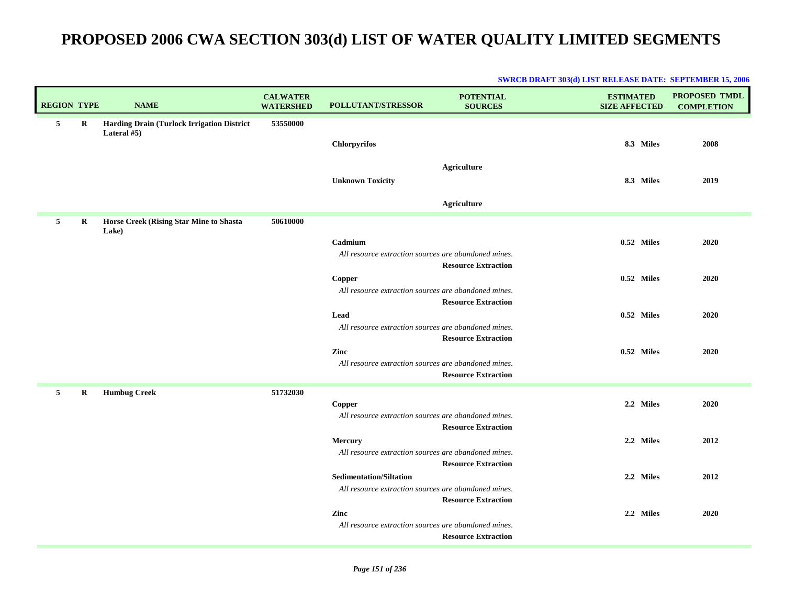| <b>REGION TYPE</b> |         | <b>NAME</b>                                                      | <b>CALWATER</b><br><b>WATERSHED</b> | POLLUTANT/STRESSOR                                                                                                                                                                                                                                                                          | <b>POTENTIAL</b><br><b>SOURCES</b>                                                                                                                 | <b>ESTIMATED</b><br><b>SIZE AFFECTED</b>             | PROPOSED TMDL<br><b>COMPLETION</b> |
|--------------------|---------|------------------------------------------------------------------|-------------------------------------|---------------------------------------------------------------------------------------------------------------------------------------------------------------------------------------------------------------------------------------------------------------------------------------------|----------------------------------------------------------------------------------------------------------------------------------------------------|------------------------------------------------------|------------------------------------|
| 5                  | R       | <b>Harding Drain (Turlock Irrigation District</b><br>Lateral #5) | 53550000                            | <b>Chlorpyrifos</b><br><b>Unknown Toxicity</b>                                                                                                                                                                                                                                              | <b>Agriculture</b><br><b>Agriculture</b>                                                                                                           | 8.3 Miles<br>8.3 Miles                               | 2008<br>2019                       |
| 5                  | $\bf R$ | Horse Creek (Rising Star Mine to Shasta<br>Lake)                 | 50610000                            | Cadmium<br>All resource extraction sources are abandoned mines.<br>Copper<br>All resource extraction sources are abandoned mines.<br>Lead<br>All resource extraction sources are abandoned mines.<br>Zinc<br>All resource extraction sources are abandoned mines.                           | <b>Resource Extraction</b><br><b>Resource Extraction</b><br><b>Resource Extraction</b>                                                             | 0.52 Miles<br>0.52 Miles<br>0.52 Miles<br>0.52 Miles | 2020<br>2020<br>2020<br>2020       |
| 5                  | R       | <b>Humbug Creek</b>                                              | 51732030                            | Copper<br>All resource extraction sources are abandoned mines.<br>Mercury<br>All resource extraction sources are abandoned mines.<br><b>Sedimentation/Siltation</b><br>All resource extraction sources are abandoned mines.<br>Zinc<br>All resource extraction sources are abandoned mines. | <b>Resource Extraction</b><br><b>Resource Extraction</b><br><b>Resource Extraction</b><br><b>Resource Extraction</b><br><b>Resource Extraction</b> | 2.2 Miles<br>2.2 Miles<br>2.2 Miles<br>2.2 Miles     | 2020<br>2012<br>2012<br>2020       |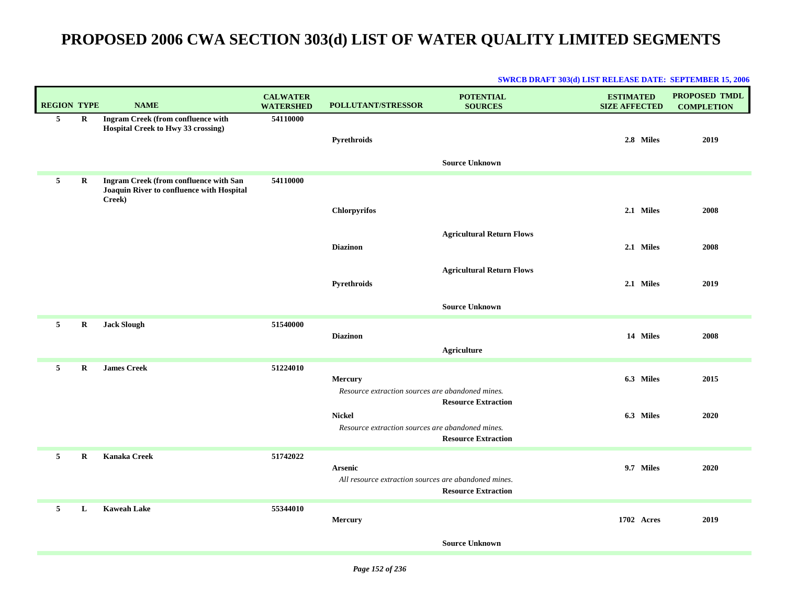| <b>REGION TYPE</b> |         | <b>NAME</b>                                                                                          | <b>CALWATER</b><br><b>WATERSHED</b> | <b>POLLUTANT/STRESSOR</b>                                              | <b>POTENTIAL</b><br><b>SOURCES</b>                       | <b>ESTIMATED</b><br><b>SIZE AFFECTED</b> | PROPOSED TMDL<br><b>COMPLETION</b> |
|--------------------|---------|------------------------------------------------------------------------------------------------------|-------------------------------------|------------------------------------------------------------------------|----------------------------------------------------------|------------------------------------------|------------------------------------|
| 5 <sub>5</sub>     | R       | <b>Ingram Creek (from confluence with</b><br>Hospital Creek to Hwy 33 crossing)                      | 54110000                            | Pyrethroids                                                            | <b>Source Unknown</b>                                    | 2.8 Miles                                | 2019                               |
| 5                  | R       | <b>Ingram Creek (from confluence with San</b><br>Joaquin River to confluence with Hospital<br>Creek) | 54110000                            | <b>Chlorpyrifos</b>                                                    |                                                          | 2.1 Miles                                | 2008                               |
|                    |         |                                                                                                      |                                     | <b>Diazinon</b>                                                        | <b>Agricultural Return Flows</b>                         | 2.1 Miles                                | 2008                               |
|                    |         |                                                                                                      |                                     | Pyrethroids                                                            | <b>Agricultural Return Flows</b>                         | 2.1 Miles                                | 2019                               |
|                    |         |                                                                                                      |                                     |                                                                        | <b>Source Unknown</b>                                    |                                          |                                    |
| 5                  | $\bf R$ | <b>Jack Slough</b>                                                                                   | 51540000                            | <b>Diazinon</b>                                                        | <b>Agriculture</b>                                       | 14 Miles                                 | 2008                               |
| 5                  | R       | <b>James Creek</b>                                                                                   | 51224010                            | Mercury<br>Resource extraction sources are abandoned mines.            |                                                          | 6.3 Miles                                | 2015                               |
|                    |         |                                                                                                      |                                     | <b>Nickel</b><br>Resource extraction sources are abandoned mines.      | <b>Resource Extraction</b><br><b>Resource Extraction</b> | 6.3 Miles                                | 2020                               |
| 5                  | $\bf R$ | <b>Kanaka Creek</b>                                                                                  | 51742022                            | <b>Arsenic</b><br>All resource extraction sources are abandoned mines. | <b>Resource Extraction</b>                               | 9.7 Miles                                | 2020                               |
| 5                  | L       | <b>Kaweah Lake</b>                                                                                   | 55344010                            | Mercury                                                                |                                                          | 1702 Acres                               | 2019                               |
|                    |         |                                                                                                      |                                     |                                                                        | <b>Source Unknown</b>                                    |                                          |                                    |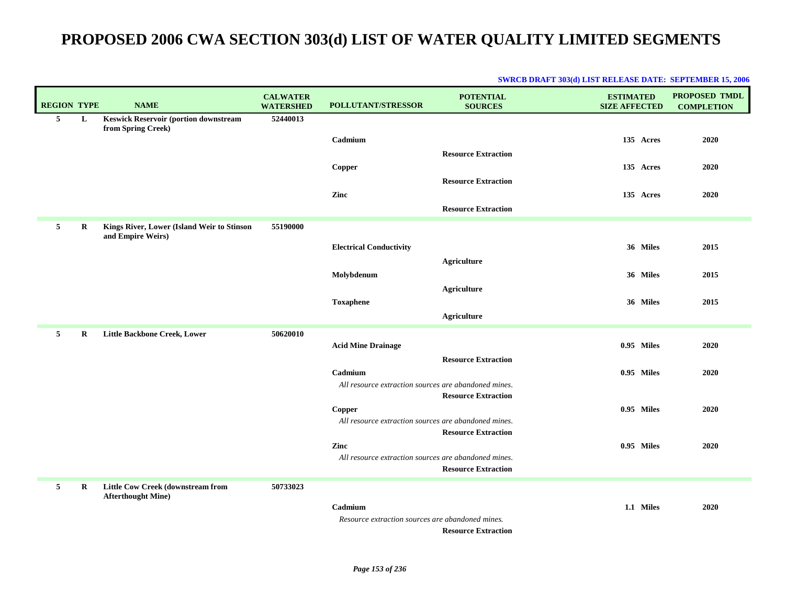|                    |         |                                                                       | <b>CALWATER</b>  |                                                      | <b>POTENTIAL</b>           | <b>ESTIMATED</b>     | <b>PROPOSED TMDL</b> |
|--------------------|---------|-----------------------------------------------------------------------|------------------|------------------------------------------------------|----------------------------|----------------------|----------------------|
| <b>REGION TYPE</b> |         | <b>NAME</b>                                                           | <b>WATERSHED</b> | POLLUTANT/STRESSOR                                   | <b>SOURCES</b>             | <b>SIZE AFFECTED</b> | <b>COMPLETION</b>    |
| 5                  | L       | <b>Keswick Reservoir (portion downstream</b><br>from Spring Creek)    | 52440013         |                                                      |                            |                      |                      |
|                    |         |                                                                       |                  | Cadmium                                              |                            | 135 Acres            | 2020                 |
|                    |         |                                                                       |                  |                                                      | <b>Resource Extraction</b> |                      |                      |
|                    |         |                                                                       |                  | Copper                                               |                            | 135 Acres            | 2020                 |
|                    |         |                                                                       |                  |                                                      | <b>Resource Extraction</b> |                      |                      |
|                    |         |                                                                       |                  | Zinc                                                 |                            | 135 Acres            | 2020                 |
|                    |         |                                                                       |                  |                                                      | <b>Resource Extraction</b> |                      |                      |
| 5                  | R       | Kings River, Lower (Island Weir to Stinson<br>and Empire Weirs)       | 55190000         |                                                      |                            |                      |                      |
|                    |         |                                                                       |                  | <b>Electrical Conductivity</b>                       |                            | 36 Miles             | 2015                 |
|                    |         |                                                                       |                  |                                                      | <b>Agriculture</b>         |                      |                      |
|                    |         |                                                                       |                  | Molybdenum                                           |                            | 36 Miles             | 2015                 |
|                    |         |                                                                       |                  |                                                      | <b>Agriculture</b>         |                      |                      |
|                    |         |                                                                       |                  | <b>Toxaphene</b>                                     |                            | 36 Miles             | 2015                 |
|                    |         |                                                                       |                  |                                                      | <b>Agriculture</b>         |                      |                      |
| 5                  | R       | Little Backbone Creek, Lower                                          | 50620010         |                                                      |                            |                      |                      |
|                    |         |                                                                       |                  | <b>Acid Mine Drainage</b>                            |                            | 0.95 Miles           | 2020                 |
|                    |         |                                                                       |                  |                                                      | <b>Resource Extraction</b> |                      |                      |
|                    |         |                                                                       |                  | Cadmium                                              |                            | 0.95 Miles           | 2020                 |
|                    |         |                                                                       |                  | All resource extraction sources are abandoned mines. | <b>Resource Extraction</b> |                      |                      |
|                    |         |                                                                       |                  | Copper                                               |                            | 0.95 Miles           | 2020                 |
|                    |         |                                                                       |                  | All resource extraction sources are abandoned mines. |                            |                      |                      |
|                    |         |                                                                       |                  |                                                      | <b>Resource Extraction</b> |                      |                      |
|                    |         |                                                                       |                  | Zinc                                                 |                            | 0.95 Miles           | 2020                 |
|                    |         |                                                                       |                  | All resource extraction sources are abandoned mines. |                            |                      |                      |
|                    |         |                                                                       |                  |                                                      | <b>Resource Extraction</b> |                      |                      |
| 5                  | $\bf R$ | <b>Little Cow Creek (downstream from</b><br><b>Afterthought Mine)</b> | 50733023         |                                                      |                            |                      |                      |
|                    |         |                                                                       |                  | Cadmium                                              |                            | 1.1 Miles            | 2020                 |
|                    |         |                                                                       |                  | Resource extraction sources are abandoned mines.     |                            |                      |                      |
|                    |         |                                                                       |                  |                                                      | <b>Resource Extraction</b> |                      |                      |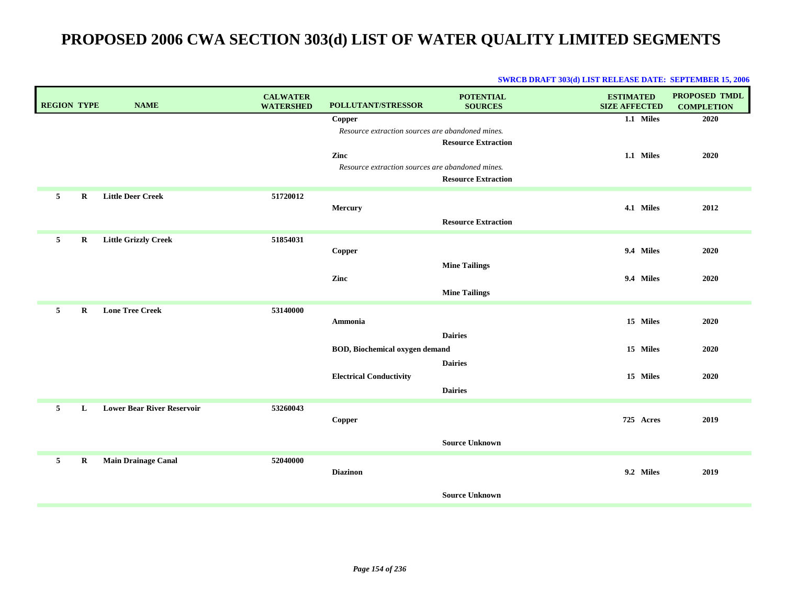| <b>REGION TYPE</b> |         | <b>NAME</b>                       | <b>CALWATER</b><br><b>WATERSHED</b> | POLLUTANT/STRESSOR                                                                                                            | <b>POTENTIAL</b><br><b>SOURCES</b>                       | <b>ESTIMATED</b><br><b>SIZE AFFECTED</b> | <b>PROPOSED TMDL</b><br><b>COMPLETION</b> |
|--------------------|---------|-----------------------------------|-------------------------------------|-------------------------------------------------------------------------------------------------------------------------------|----------------------------------------------------------|------------------------------------------|-------------------------------------------|
|                    |         |                                   |                                     | <b>Copper</b><br>Resource extraction sources are abandoned mines.<br>Zinc<br>Resource extraction sources are abandoned mines. | <b>Resource Extraction</b><br><b>Resource Extraction</b> | 1.1 Miles<br>1.1 Miles                   | 2020<br>2020                              |
| 5                  | R       | <b>Little Deer Creek</b>          | 51720012                            | Mercury                                                                                                                       | <b>Resource Extraction</b>                               | 4.1 Miles                                | 2012                                      |
| 5                  | $\bf R$ | <b>Little Grizzly Creek</b>       | 51854031                            | Copper                                                                                                                        | <b>Mine Tailings</b>                                     | 9.4 Miles                                | 2020                                      |
|                    |         |                                   |                                     | Zinc                                                                                                                          | <b>Mine Tailings</b>                                     | 9.4 Miles                                | 2020                                      |
| 5                  | R       | <b>Lone Tree Creek</b>            | 53140000                            | <b>Ammonia</b>                                                                                                                | <b>Dairies</b>                                           | 15 Miles                                 | 2020                                      |
|                    |         |                                   |                                     | <b>BOD, Biochemical oxygen demand</b>                                                                                         | <b>Dairies</b>                                           | 15 Miles                                 | 2020                                      |
|                    |         |                                   |                                     | <b>Electrical Conductivity</b>                                                                                                | <b>Dairies</b>                                           | 15 Miles                                 | 2020                                      |
| 5                  | L       | <b>Lower Bear River Reservoir</b> | 53260043                            | Copper                                                                                                                        | <b>Source Unknown</b>                                    | 725 Acres                                | 2019                                      |
| 5                  | $\bf R$ | <b>Main Drainage Canal</b>        | 52040000                            | <b>Diazinon</b>                                                                                                               |                                                          | 9.2 Miles                                | 2019                                      |
|                    |         |                                   |                                     |                                                                                                                               | <b>Source Unknown</b>                                    |                                          |                                           |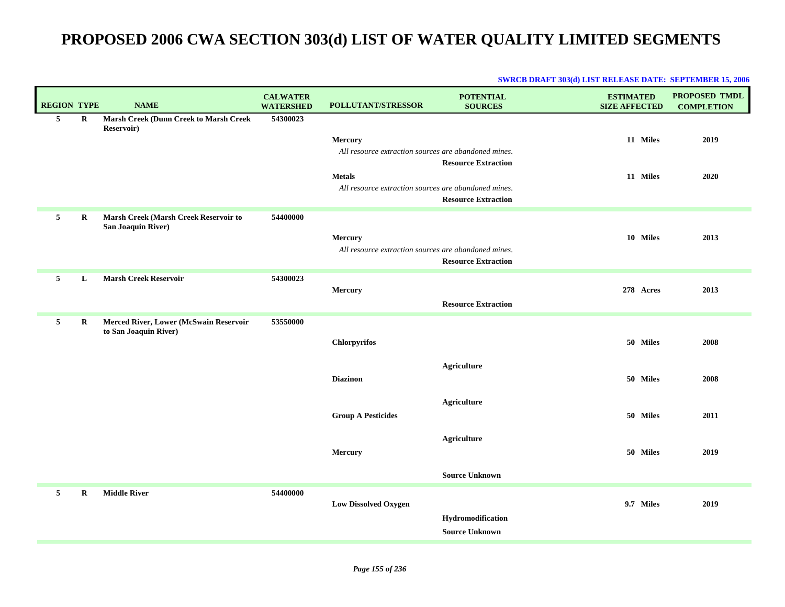| <b>REGION TYPE</b> |             | <b>NAME</b>                                                     | <b>CALWATER</b><br><b>WATERSHED</b> | POLLUTANT/STRESSOR                                   | <b>POTENTIAL</b><br><b>SOURCES</b> | <b>ESTIMATED</b><br><b>SIZE AFFECTED</b> | <b>PROPOSED TMDL</b><br><b>COMPLETION</b> |
|--------------------|-------------|-----------------------------------------------------------------|-------------------------------------|------------------------------------------------------|------------------------------------|------------------------------------------|-------------------------------------------|
| 5                  | $\mathbf R$ | <b>Marsh Creek (Dunn Creek to Marsh Creek</b><br>Reservoir)     | 54300023                            |                                                      |                                    |                                          |                                           |
|                    |             |                                                                 |                                     | Mercury                                              |                                    | 11 Miles                                 | 2019                                      |
|                    |             |                                                                 |                                     | All resource extraction sources are abandoned mines. |                                    |                                          |                                           |
|                    |             |                                                                 |                                     |                                                      | <b>Resource Extraction</b>         |                                          |                                           |
|                    |             |                                                                 |                                     | <b>Metals</b>                                        |                                    | 11 Miles                                 | 2020                                      |
|                    |             |                                                                 |                                     | All resource extraction sources are abandoned mines. |                                    |                                          |                                           |
|                    |             |                                                                 |                                     |                                                      | <b>Resource Extraction</b>         |                                          |                                           |
| 5                  | R           | Marsh Creek (Marsh Creek Reservoir to<br>San Joaquin River)     | 54400000                            |                                                      |                                    |                                          |                                           |
|                    |             |                                                                 |                                     | Mercury                                              |                                    | 10 Miles                                 | 2013                                      |
|                    |             |                                                                 |                                     | All resource extraction sources are abandoned mines. |                                    |                                          |                                           |
|                    |             |                                                                 |                                     |                                                      | <b>Resource Extraction</b>         |                                          |                                           |
| 5                  | L           | <b>Marsh Creek Reservoir</b>                                    | 54300023                            |                                                      |                                    |                                          |                                           |
|                    |             |                                                                 |                                     | Mercury                                              |                                    | 278 Acres                                | 2013                                      |
|                    |             |                                                                 |                                     |                                                      | <b>Resource Extraction</b>         |                                          |                                           |
| 5                  | $\bf R$     | Merced River, Lower (McSwain Reservoir<br>to San Joaquin River) | 53550000                            |                                                      |                                    |                                          |                                           |
|                    |             |                                                                 |                                     | Chlorpyrifos                                         |                                    | 50 Miles                                 | 2008                                      |
|                    |             |                                                                 |                                     |                                                      | <b>Agriculture</b>                 |                                          |                                           |
|                    |             |                                                                 |                                     | <b>Diazinon</b>                                      |                                    | 50 Miles                                 | 2008                                      |
|                    |             |                                                                 |                                     |                                                      |                                    |                                          |                                           |
|                    |             |                                                                 |                                     |                                                      | <b>Agriculture</b>                 |                                          |                                           |
|                    |             |                                                                 |                                     | <b>Group A Pesticides</b>                            |                                    | 50 Miles                                 | 2011                                      |
|                    |             |                                                                 |                                     |                                                      |                                    |                                          |                                           |
|                    |             |                                                                 |                                     |                                                      | <b>Agriculture</b>                 |                                          |                                           |
|                    |             |                                                                 |                                     | Mercury                                              |                                    | 50 Miles                                 | 2019                                      |
|                    |             |                                                                 |                                     |                                                      | <b>Source Unknown</b>              |                                          |                                           |
| 5                  | $\bf{R}$    | <b>Middle River</b>                                             | 54400000                            |                                                      |                                    |                                          |                                           |
|                    |             |                                                                 |                                     | <b>Low Dissolved Oxygen</b>                          |                                    | 9.7 Miles                                | 2019                                      |
|                    |             |                                                                 |                                     |                                                      | Hydromodification                  |                                          |                                           |
|                    |             |                                                                 |                                     |                                                      | <b>Source Unknown</b>              |                                          |                                           |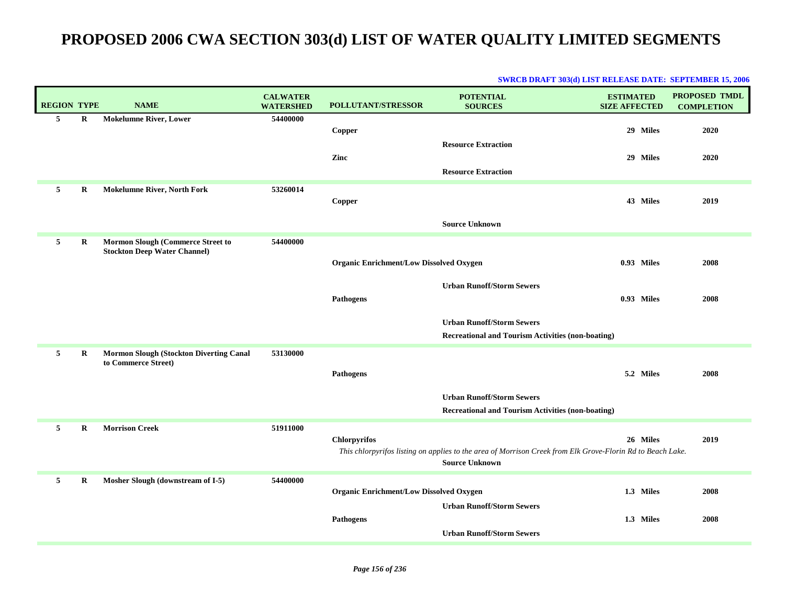| <b>REGION TYPE</b> |   | <b>NAME</b>                                                                     | <b>CALWATER</b><br><b>WATERSHED</b> | POLLUTANT/STRESSOR                             | <b>POTENTIAL</b><br><b>SOURCES</b>                                                                                                  | <b>ESTIMATED</b><br><b>SIZE AFFECTED</b> | PROPOSED TMDL<br><b>COMPLETION</b> |
|--------------------|---|---------------------------------------------------------------------------------|-------------------------------------|------------------------------------------------|-------------------------------------------------------------------------------------------------------------------------------------|------------------------------------------|------------------------------------|
| 5                  | R | <b>Mokelumne River, Lower</b>                                                   | 54400000                            | Copper                                         |                                                                                                                                     | 29 Miles                                 | 2020                               |
|                    |   |                                                                                 |                                     | Zinc                                           | <b>Resource Extraction</b><br><b>Resource Extraction</b>                                                                            | 29 Miles                                 | 2020                               |
| 5                  | R | <b>Mokelumne River, North Fork</b>                                              | 53260014                            | Copper                                         |                                                                                                                                     | 43 Miles                                 | 2019                               |
|                    |   |                                                                                 |                                     |                                                | <b>Source Unknown</b>                                                                                                               |                                          |                                    |
| 5                  | R | <b>Mormon Slough (Commerce Street to</b><br><b>Stockton Deep Water Channel)</b> | 54400000                            | <b>Organic Enrichment/Low Dissolved Oxygen</b> |                                                                                                                                     | 0.93 Miles                               | 2008                               |
|                    |   |                                                                                 |                                     |                                                | <b>Urban Runoff/Storm Sewers</b>                                                                                                    |                                          |                                    |
|                    |   |                                                                                 |                                     | <b>Pathogens</b>                               | <b>Urban Runoff/Storm Sewers</b>                                                                                                    | 0.93 Miles                               | 2008                               |
|                    |   |                                                                                 |                                     |                                                | <b>Recreational and Tourism Activities (non-boating)</b>                                                                            |                                          |                                    |
| 5                  | R | <b>Mormon Slough (Stockton Diverting Canal</b><br>to Commerce Street)           | 53130000                            | Pathogens                                      |                                                                                                                                     | 5.2 Miles                                | 2008                               |
|                    |   |                                                                                 |                                     |                                                | <b>Urban Runoff/Storm Sewers</b>                                                                                                    |                                          |                                    |
|                    |   |                                                                                 |                                     |                                                | <b>Recreational and Tourism Activities (non-boating)</b>                                                                            |                                          |                                    |
| 5                  | R | <b>Morrison Creek</b>                                                           | 51911000                            | Chlorpyrifos                                   | This chlorpyrifos listing on applies to the area of Morrison Creek from Elk Grove-Florin Rd to Beach Lake.<br><b>Source Unknown</b> | 26 Miles                                 | 2019                               |
| 5                  | R | Mosher Slough (downstream of I-5)                                               | 54400000                            | <b>Organic Enrichment/Low Dissolved Oxygen</b> |                                                                                                                                     | 1.3 Miles                                | 2008                               |
|                    |   |                                                                                 |                                     | <b>Pathogens</b>                               | <b>Urban Runoff/Storm Sewers</b><br><b>Urban Runoff/Storm Sewers</b>                                                                | 1.3 Miles                                | 2008                               |
|                    |   |                                                                                 |                                     |                                                |                                                                                                                                     |                                          |                                    |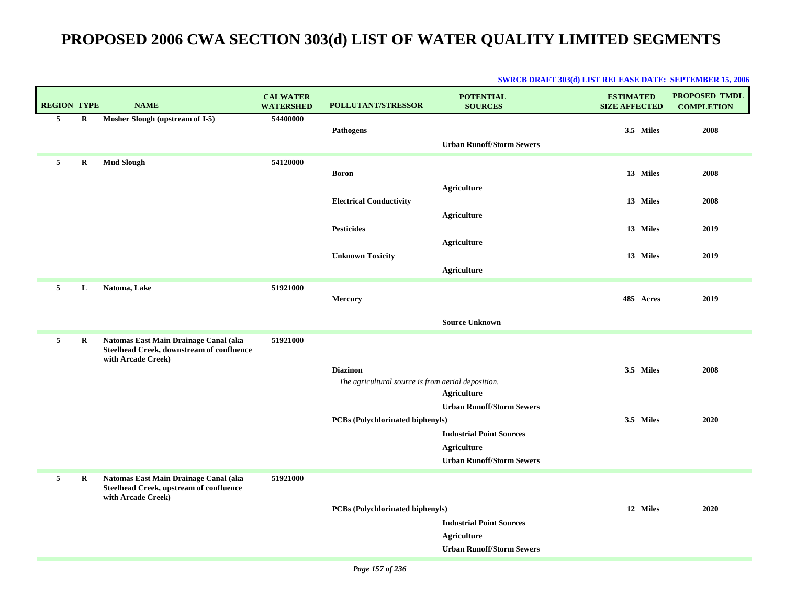| <b>REGION TYPE</b> |   | <b>NAME</b>                                                                                              | <b>CALWATER</b><br><b>WATERSHED</b> | POLLUTANT/STRESSOR                                 | <b>POTENTIAL</b><br><b>SOURCES</b>                     | <b>ESTIMATED</b><br><b>SIZE AFFECTED</b> | PROPOSED TMDL<br><b>COMPLETION</b> |
|--------------------|---|----------------------------------------------------------------------------------------------------------|-------------------------------------|----------------------------------------------------|--------------------------------------------------------|------------------------------------------|------------------------------------|
| 5                  | R | Mosher Slough (upstream of I-5)                                                                          | 54400000                            | Pathogens                                          | <b>Urban Runoff/Storm Sewers</b>                       | 3.5 Miles                                | 2008                               |
| 5                  | R | <b>Mud Slough</b>                                                                                        | 54120000                            | <b>Boron</b>                                       | <b>Agriculture</b>                                     | 13 Miles                                 | 2008                               |
|                    |   |                                                                                                          |                                     | <b>Electrical Conductivity</b>                     | <b>Agriculture</b>                                     | 13 Miles                                 | 2008                               |
|                    |   |                                                                                                          |                                     | <b>Pesticides</b>                                  | <b>Agriculture</b>                                     | 13 Miles                                 | 2019                               |
|                    |   |                                                                                                          |                                     | <b>Unknown Toxicity</b>                            | <b>Agriculture</b>                                     | 13 Miles                                 | 2019                               |
| 5                  | L | Natoma, Lake                                                                                             | 51921000                            | Mercury                                            |                                                        | 485 Acres                                | 2019                               |
|                    |   |                                                                                                          |                                     |                                                    | <b>Source Unknown</b>                                  |                                          |                                    |
| $\mathbf{5}$       | R | Natomas East Main Drainage Canal (aka<br>Steelhead Creek, downstream of confluence<br>with Arcade Creek) | 51921000                            |                                                    |                                                        |                                          |                                    |
|                    |   |                                                                                                          |                                     | <b>Diazinon</b>                                    |                                                        | 3.5 Miles                                | 2008                               |
|                    |   |                                                                                                          |                                     | The agricultural source is from aerial deposition. |                                                        |                                          |                                    |
|                    |   |                                                                                                          |                                     |                                                    | <b>Agriculture</b><br><b>Urban Runoff/Storm Sewers</b> |                                          |                                    |
|                    |   |                                                                                                          |                                     | PCBs (Polychlorinated biphenyls)                   |                                                        | 3.5 Miles                                | 2020                               |
|                    |   |                                                                                                          |                                     |                                                    | <b>Industrial Point Sources</b>                        |                                          |                                    |
|                    |   |                                                                                                          |                                     |                                                    | <b>Agriculture</b>                                     |                                          |                                    |
|                    |   |                                                                                                          |                                     |                                                    | <b>Urban Runoff/Storm Sewers</b>                       |                                          |                                    |
| 5                  | R | Natomas East Main Drainage Canal (aka<br>Steelhead Creek, upstream of confluence<br>with Arcade Creek)   | 51921000                            |                                                    |                                                        |                                          |                                    |
|                    |   |                                                                                                          |                                     | PCBs (Polychlorinated biphenyls)                   | <b>Industrial Point Sources</b><br><b>Agriculture</b>  | 12 Miles                                 | 2020                               |
|                    |   |                                                                                                          |                                     |                                                    | <b>Urban Runoff/Storm Sewers</b>                       |                                          |                                    |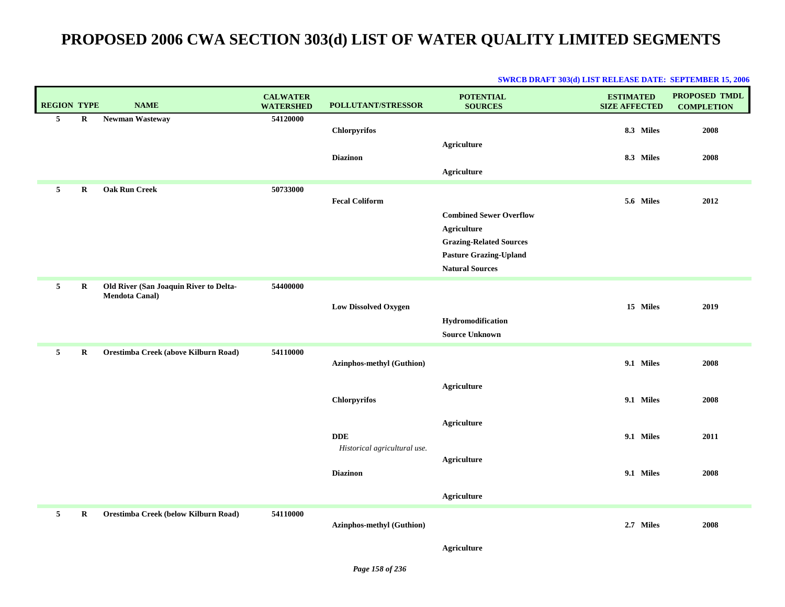| <b>REGION TYPE</b> |         | <b>NAME</b>                                                     | <b>CALWATER</b><br><b>WATERSHED</b> | POLLUTANT/STRESSOR                         | <b>POTENTIAL</b><br><b>SOURCES</b>                                                                                                                | <b>ESTIMATED</b><br><b>SIZE AFFECTED</b> | <b>PROPOSED TMDL</b><br><b>COMPLETION</b> |
|--------------------|---------|-----------------------------------------------------------------|-------------------------------------|--------------------------------------------|---------------------------------------------------------------------------------------------------------------------------------------------------|------------------------------------------|-------------------------------------------|
| 5                  | $\bf R$ | <b>Newman Wasteway</b>                                          | 54120000                            | <b>Chlorpyrifos</b>                        |                                                                                                                                                   | 8.3 Miles                                | 2008                                      |
|                    |         |                                                                 |                                     | <b>Diazinon</b>                            | <b>Agriculture</b><br><b>Agriculture</b>                                                                                                          | 8.3 Miles                                | 2008                                      |
| 5                  | $\bf R$ | <b>Oak Run Creek</b>                                            | 50733000                            | <b>Fecal Coliform</b>                      |                                                                                                                                                   | 5.6 Miles                                | 2012                                      |
|                    |         |                                                                 |                                     |                                            | <b>Combined Sewer Overflow</b><br><b>Agriculture</b><br><b>Grazing-Related Sources</b><br><b>Pasture Grazing-Upland</b><br><b>Natural Sources</b> |                                          |                                           |
| $5^{\circ}$        | $\bf R$ | Old River (San Joaquin River to Delta-<br><b>Mendota Canal)</b> | 54400000                            | <b>Low Dissolved Oxygen</b>                | Hydromodification<br><b>Source Unknown</b>                                                                                                        | 15 Miles                                 | 2019                                      |
| 5                  | $\bf R$ | Orestimba Creek (above Kilburn Road)                            | 54110000                            | Azinphos-methyl (Guthion)                  |                                                                                                                                                   | 9.1 Miles                                | 2008                                      |
|                    |         |                                                                 |                                     | <b>Chlorpyrifos</b>                        | <b>Agriculture</b>                                                                                                                                | 9.1 Miles                                | 2008                                      |
|                    |         |                                                                 |                                     | <b>DDE</b><br>Historical agricultural use. | <b>Agriculture</b>                                                                                                                                | 9.1 Miles                                | 2011                                      |
|                    |         |                                                                 |                                     | <b>Diazinon</b>                            | <b>Agriculture</b>                                                                                                                                | 9.1 Miles                                | 2008                                      |
|                    |         |                                                                 |                                     |                                            | <b>Agriculture</b>                                                                                                                                |                                          |                                           |
| 5                  | $\bf R$ | Orestimba Creek (below Kilburn Road)                            | 54110000                            | Azinphos-methyl (Guthion)                  |                                                                                                                                                   | 2.7 Miles                                | 2008                                      |
|                    |         |                                                                 |                                     |                                            | Agriculture                                                                                                                                       |                                          |                                           |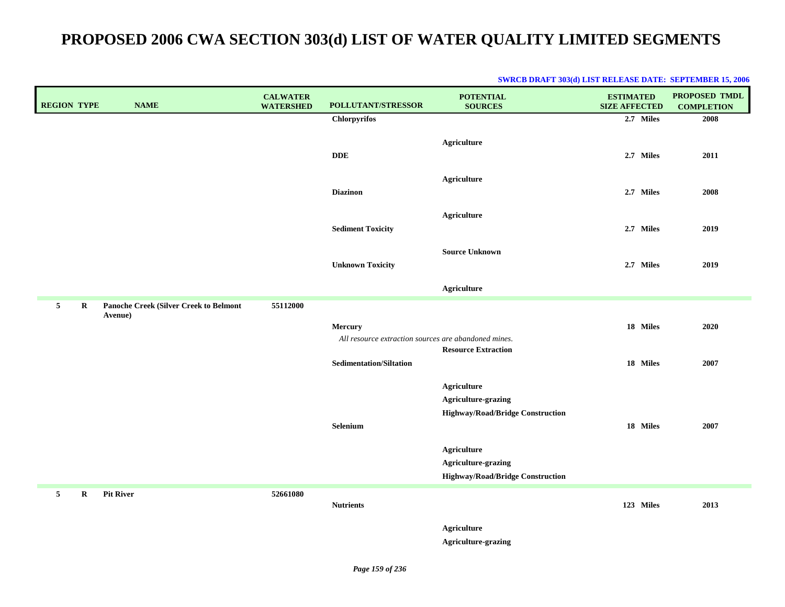| <b>REGION TYPE</b>         | <b>NAME</b>                                       | <b>CALWATER</b><br><b>WATERSHED</b> | POLLUTANT/STRESSOR                                              | <b>POTENTIAL</b><br><b>SOURCES</b>                                                   | <b>ESTIMATED</b><br><b>SIZE AFFECTED</b> | PROPOSED TMDL<br><b>COMPLETION</b> |
|----------------------------|---------------------------------------------------|-------------------------------------|-----------------------------------------------------------------|--------------------------------------------------------------------------------------|------------------------------------------|------------------------------------|
|                            |                                                   |                                     | <b>Chlorpyrifos</b>                                             |                                                                                      | 2.7 Miles                                | 2008                               |
|                            |                                                   |                                     | <b>DDE</b>                                                      | <b>Agriculture</b>                                                                   | 2.7 Miles                                | 2011                               |
|                            |                                                   |                                     | <b>Diazinon</b>                                                 | Agriculture                                                                          | 2.7 Miles                                | 2008                               |
|                            |                                                   |                                     | <b>Sediment Toxicity</b>                                        | <b>Agriculture</b>                                                                   | 2.7 Miles                                | 2019                               |
|                            |                                                   |                                     | <b>Unknown Toxicity</b>                                         | <b>Source Unknown</b>                                                                | 2.7 Miles                                | 2019                               |
|                            |                                                   |                                     |                                                                 | <b>Agriculture</b>                                                                   |                                          |                                    |
| $5\phantom{.0}$<br>$\bf R$ | Panoche Creek (Silver Creek to Belmont<br>Avenue) | 55112000                            |                                                                 |                                                                                      | 18 Miles                                 | 2020                               |
|                            |                                                   |                                     | Mercury<br>All resource extraction sources are abandoned mines. | <b>Resource Extraction</b>                                                           |                                          |                                    |
|                            |                                                   |                                     | Sedimentation/Siltation                                         |                                                                                      | 18 Miles                                 | 2007                               |
|                            |                                                   |                                     | Selenium                                                        | <b>Agriculture</b><br>Agriculture-grazing<br>Highway/Road/Bridge Construction        | 18 Miles                                 | 2007                               |
|                            |                                                   |                                     |                                                                 | <b>Agriculture</b><br>Agriculture-grazing<br><b>Highway/Road/Bridge Construction</b> |                                          |                                    |
| 5<br>$\mathbf R$           | <b>Pit River</b>                                  | 52661080                            | <b>Nutrients</b>                                                |                                                                                      | 123 Miles                                | 2013                               |
|                            |                                                   |                                     |                                                                 | Agriculture<br>Agriculture-grazing                                                   |                                          |                                    |

#### **SWRCB DRAFT 303(d) LIST RELEASE DATE: SEPTEMBER 15, 2006**

*Page 159 of 236*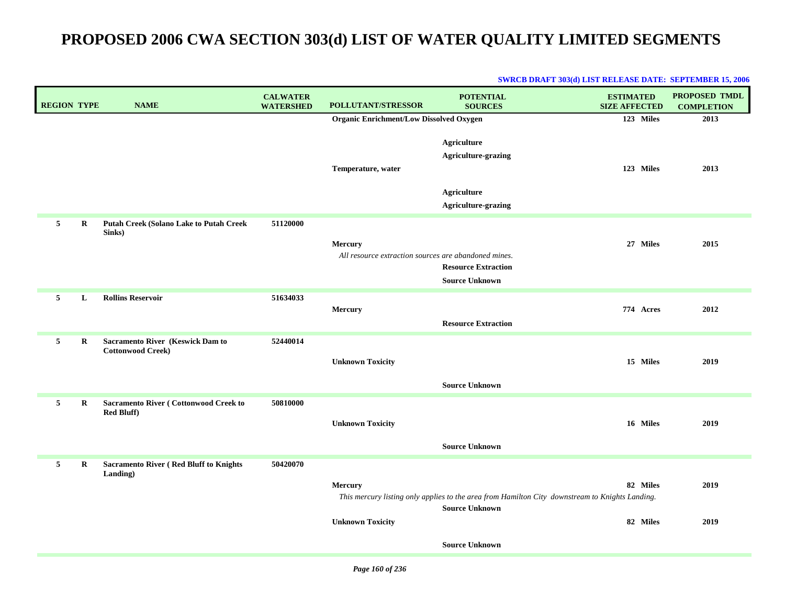| <b>REGION TYPE</b> |         | <b>NAME</b>                                                         | <b>CALWATER</b><br><b>WATERSHED</b> | <b>POLLUTANT/STRESSOR</b>                                              | <b>POTENTIAL</b><br><b>SOURCES</b>                                                                                                                | <b>ESTIMATED</b><br><b>SIZE AFFECTED</b> | <b>PROPOSED TMDL</b><br><b>COMPLETION</b> |
|--------------------|---------|---------------------------------------------------------------------|-------------------------------------|------------------------------------------------------------------------|---------------------------------------------------------------------------------------------------------------------------------------------------|------------------------------------------|-------------------------------------------|
|                    |         |                                                                     |                                     | <b>Organic Enrichment/Low Dissolved Oxygen</b>                         |                                                                                                                                                   | 123 Miles                                | 2013                                      |
|                    |         |                                                                     |                                     | Temperature, water                                                     | <b>Agriculture</b><br>Agriculture-grazing<br><b>Agriculture</b><br>Agriculture-grazing                                                            | 123 Miles                                | 2013                                      |
| 5                  | R       | <b>Putah Creek (Solano Lake to Putah Creek</b><br>Sinks)            | 51120000                            | <b>Mercury</b><br>All resource extraction sources are abandoned mines. | <b>Resource Extraction</b><br><b>Source Unknown</b>                                                                                               | 27 Miles                                 | 2015                                      |
| 5                  | L       | <b>Rollins Reservoir</b>                                            | 51634033                            | Mercury                                                                | <b>Resource Extraction</b>                                                                                                                        | 774 Acres                                | 2012                                      |
| 5                  | $\bf R$ | <b>Sacramento River (Keswick Dam to</b><br><b>Cottonwood Creek)</b> | 52440014                            | <b>Unknown Toxicity</b>                                                | <b>Source Unknown</b>                                                                                                                             | 15 Miles                                 | 2019                                      |
| 5                  | $\bf R$ | <b>Sacramento River (Cottonwood Creek to</b><br><b>Red Bluff</b> )  | 50810000                            | <b>Unknown Toxicity</b>                                                | <b>Source Unknown</b>                                                                                                                             | 16 Miles                                 | 2019                                      |
| 5                  | $\bf R$ | <b>Sacramento River (Red Bluff to Knights)</b><br>Landing)          | 50420070                            | Mercury<br><b>Unknown Toxicity</b>                                     | This mercury listing only applies to the area from Hamilton City downstream to Knights Landing.<br><b>Source Unknown</b><br><b>Source Unknown</b> | 82 Miles<br>82 Miles                     | 2019<br>2019                              |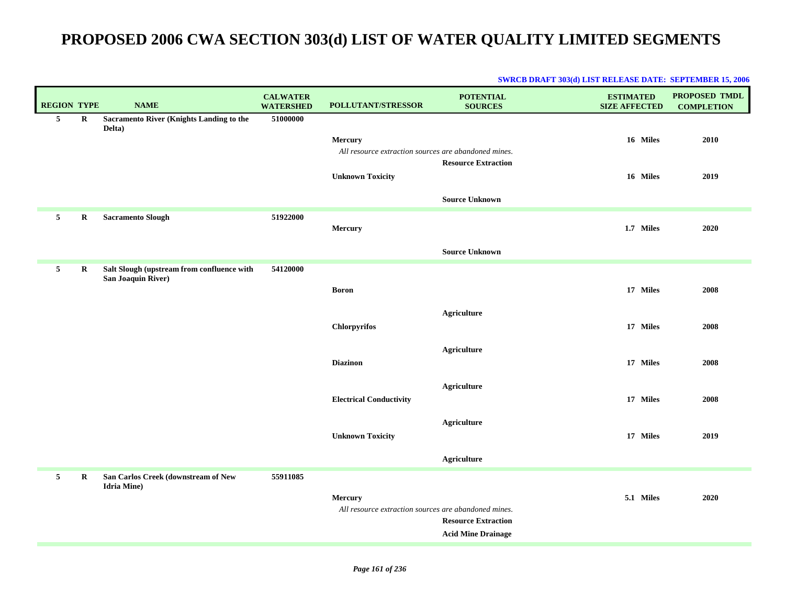### **REGIONTYPE NAME WATERSHED POLLUTANT/STRESSOR CALWATERWATERSHED ESTIMATEDSIZE AFFECTED POTENTIALSOURCES COMPLETIONPROPOSED TMDL Sacramento River (Knights Landing to the 51000000 Delta) 5 RMercury 16 2010** *All resource extraction sources are abandoned mines.* **MilesResource ExtractionUnknown Toxicity 16 Miles 2019 Source Unknown 5 R Sacramento Slough 51922000 Mercury 1.7 Miles 2020 Source UnknownSalt Slough (upstream from confluence with 54120000 San Joaquin River) 5 RBoron 17 Miles 2008 Agriculture Chlorpyrifos 17 Miles 2008 Agriculture Diazinon 17 Miles 2008 Agriculture Electrical Conductivity 17 Miles 2008 Agriculture Unknown Toxicity 17 Miles 2019 Agriculture San Carlos Creek (downstream of New 55911085 Idria Mine) 5 RMercury 5.1 2020** *All resource extraction sources are abandoned mines.* **MilesResource ExtractionAcid Mine Drainage**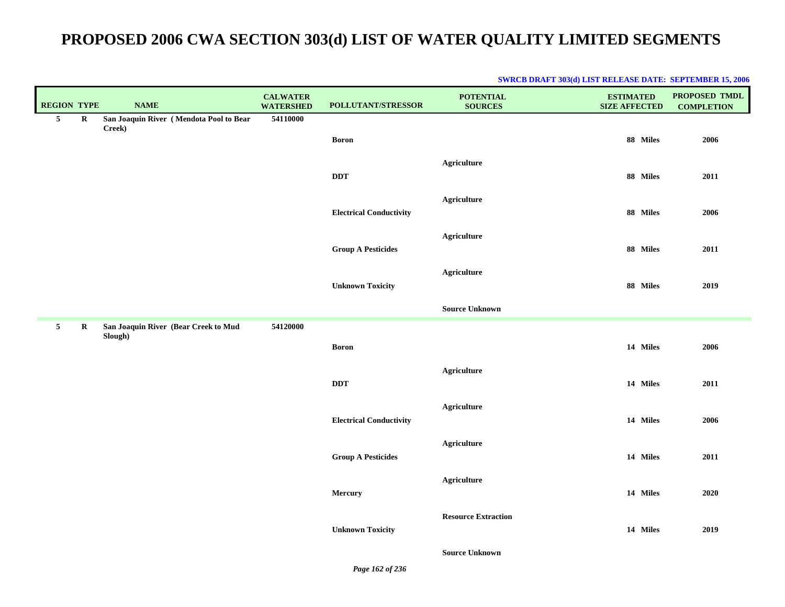| <b>REGION TYPE</b> |             | <b>NAME</b>                                       | <b>CALWATER</b><br><b>WATERSHED</b> | POLLUTANT/STRESSOR             | <b>POTENTIAL</b><br><b>SOURCES</b> | <b>ESTIMATED</b><br><b>SIZE AFFECTED</b> | PROPOSED TMDL<br><b>COMPLETION</b> |
|--------------------|-------------|---------------------------------------------------|-------------------------------------|--------------------------------|------------------------------------|------------------------------------------|------------------------------------|
| 5                  | $\bf R$     | San Joaquin River (Mendota Pool to Bear<br>Creek) | 54110000                            | <b>Boron</b>                   |                                    | 88 Miles                                 | 2006                               |
|                    |             |                                                   |                                     |                                |                                    |                                          |                                    |
|                    |             |                                                   |                                     | $\bf DDT$                      | <b>Agriculture</b>                 | 88 Miles                                 | 2011                               |
|                    |             |                                                   |                                     | <b>Electrical Conductivity</b> | Agriculture                        | 88 Miles                                 | 2006                               |
|                    |             |                                                   |                                     | <b>Group A Pesticides</b>      | <b>Agriculture</b>                 | 88 Miles                                 | 2011                               |
|                    |             |                                                   |                                     |                                | Agriculture                        |                                          |                                    |
|                    |             |                                                   |                                     | <b>Unknown Toxicity</b>        |                                    | 88 Miles                                 | 2019                               |
|                    |             |                                                   |                                     |                                | <b>Source Unknown</b>              |                                          |                                    |
| 5                  | $\mathbf R$ | San Joaquin River (Bear Creek to Mud<br>Slough)   | 54120000                            |                                |                                    |                                          |                                    |
|                    |             |                                                   |                                     | <b>Boron</b>                   |                                    | 14 Miles                                 | 2006                               |
|                    |             |                                                   |                                     | $\mathbf{DDT}$                 | <b>Agriculture</b>                 | 14 Miles                                 | 2011                               |
|                    |             |                                                   |                                     |                                |                                    |                                          |                                    |
|                    |             |                                                   |                                     | <b>Electrical Conductivity</b> | <b>Agriculture</b>                 | 14 Miles                                 | 2006                               |
|                    |             |                                                   |                                     | <b>Group A Pesticides</b>      | <b>Agriculture</b>                 | 14 Miles                                 | 2011                               |
|                    |             |                                                   |                                     |                                | <b>Agriculture</b>                 |                                          |                                    |
|                    |             |                                                   |                                     | Mercury                        |                                    | 14 Miles                                 | 2020                               |
|                    |             |                                                   |                                     | <b>Unknown Toxicity</b>        | <b>Resource Extraction</b>         | 14 Miles                                 | 2019                               |
|                    |             |                                                   |                                     |                                | <b>Source Unknown</b>              |                                          |                                    |

### **SWRCB DRAFT 303(d) LIST RELEASE DATE: SEPTEMBER 15, 2006**

*Page 162 of 236*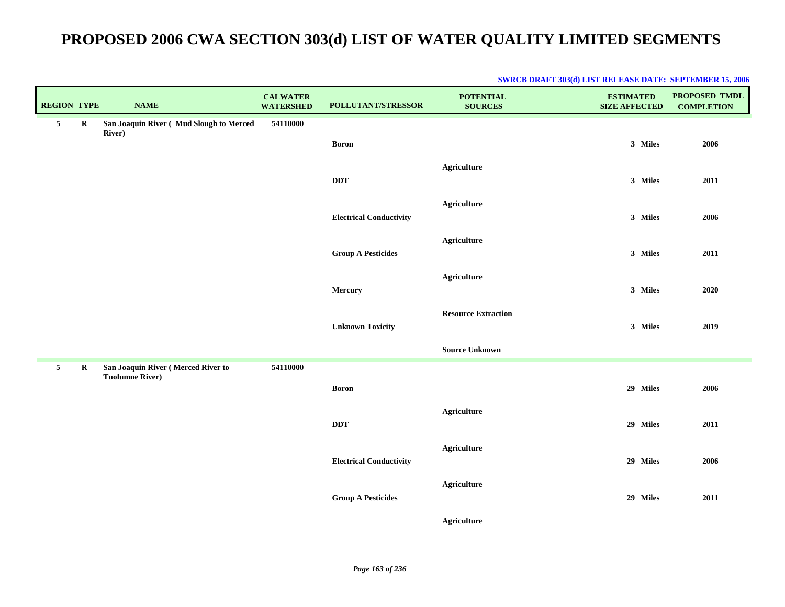| <b>REGION TYPE</b> |   | $\mathbf{NAME}$                                              | <b>CALWATER</b><br><b>WATERSHED</b> | POLLUTANT/STRESSOR             | <b>POTENTIAL</b><br><b>SOURCES</b> | <b>ESTIMATED</b><br><b>SIZE AFFECTED</b> | PROPOSED TMDL<br><b>COMPLETION</b> |
|--------------------|---|--------------------------------------------------------------|-------------------------------------|--------------------------------|------------------------------------|------------------------------------------|------------------------------------|
| $5\overline{5}$    | R | San Joaquin River (Mud Slough to Merced<br><b>River</b> )    | 54110000                            | <b>Boron</b>                   |                                    | 3 Miles                                  | 2006                               |
|                    |   |                                                              |                                     | <b>DDT</b>                     | <b>Agriculture</b>                 | 3 Miles                                  | 2011                               |
|                    |   |                                                              |                                     | <b>Electrical Conductivity</b> | <b>Agriculture</b>                 | 3 Miles                                  | 2006                               |
|                    |   |                                                              |                                     | <b>Group A Pesticides</b>      | <b>Agriculture</b>                 | 3 Miles                                  | 2011                               |
|                    |   |                                                              |                                     | Mercury                        | <b>Agriculture</b>                 | 3 Miles                                  | 2020                               |
|                    |   |                                                              |                                     | <b>Unknown Toxicity</b>        | <b>Resource Extraction</b>         | 3 Miles                                  | 2019                               |
|                    |   |                                                              |                                     |                                | <b>Source Unknown</b>              |                                          |                                    |
| $5\phantom{.0}$    | R | San Joaquin River (Merced River to<br><b>Tuolumne River)</b> | 54110000                            | <b>Boron</b>                   |                                    | 29 Miles                                 | 2006                               |
|                    |   |                                                              |                                     | <b>DDT</b>                     | <b>Agriculture</b>                 | 29 Miles                                 | 2011                               |
|                    |   |                                                              |                                     | <b>Electrical Conductivity</b> | <b>Agriculture</b>                 | 29 Miles                                 | 2006                               |
|                    |   |                                                              |                                     | <b>Group A Pesticides</b>      | <b>Agriculture</b>                 | 29 Miles                                 | 2011                               |
|                    |   |                                                              |                                     |                                | Agriculture                        |                                          |                                    |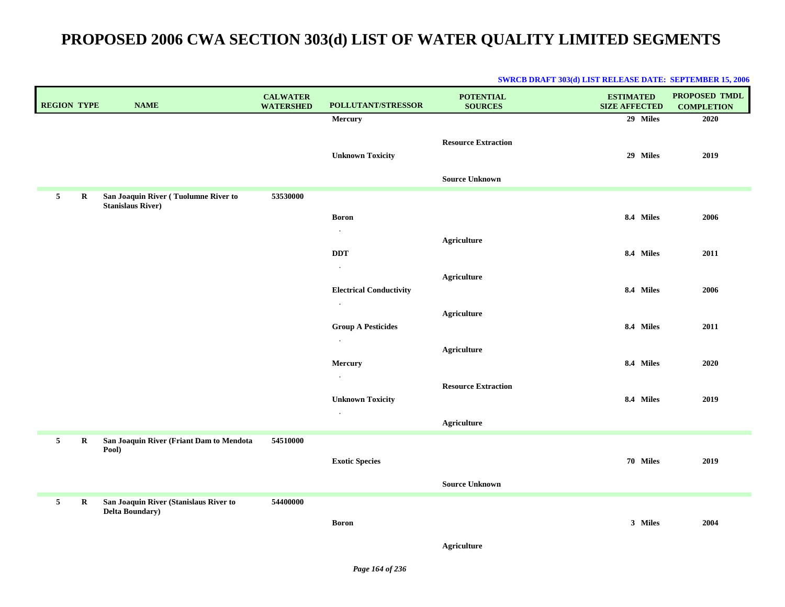| <b>REGION TYPE</b> |             | <b>NAME</b>                                                       | <b>CALWATER</b><br><b>WATERSHED</b> | POLLUTANT/STRESSOR                   | <b>POTENTIAL</b><br><b>SOURCES</b> | <b>ESTIMATED</b><br><b>SIZE AFFECTED</b> | <b>PROPOSED TMDL</b><br><b>COMPLETION</b> |
|--------------------|-------------|-------------------------------------------------------------------|-------------------------------------|--------------------------------------|------------------------------------|------------------------------------------|-------------------------------------------|
|                    |             |                                                                   |                                     | Mercury                              |                                    | 29 Miles                                 | 2020                                      |
|                    |             |                                                                   |                                     | <b>Unknown Toxicity</b>              | <b>Resource Extraction</b>         | 29 Miles                                 | 2019                                      |
|                    |             |                                                                   |                                     |                                      | <b>Source Unknown</b>              |                                          |                                           |
| $5\overline{5}$    | R           | San Joaquin River (Tuolumne River to<br><b>Stanislaus River)</b>  | 53530000                            | <b>Boron</b>                         |                                    | 8.4 Miles                                | 2006                                      |
|                    |             |                                                                   |                                     | $\cdot$                              |                                    |                                          |                                           |
|                    |             |                                                                   |                                     | $\mathbf{DDT}$                       | <b>Agriculture</b>                 | 8.4 Miles                                | 2011                                      |
|                    |             |                                                                   |                                     | $\cdot$                              |                                    |                                          |                                           |
|                    |             |                                                                   |                                     | <b>Electrical Conductivity</b>       | <b>Agriculture</b>                 | 8.4 Miles                                | 2006                                      |
|                    |             |                                                                   |                                     |                                      |                                    |                                          |                                           |
|                    |             |                                                                   |                                     |                                      | <b>Agriculture</b>                 |                                          |                                           |
|                    |             |                                                                   |                                     | <b>Group A Pesticides</b><br>$\cdot$ |                                    | 8.4 Miles                                | 2011                                      |
|                    |             |                                                                   |                                     |                                      | <b>Agriculture</b>                 |                                          |                                           |
|                    |             |                                                                   |                                     | Mercury                              |                                    | 8.4 Miles                                | 2020                                      |
|                    |             |                                                                   |                                     | $\bullet$                            | <b>Resource Extraction</b>         |                                          |                                           |
|                    |             |                                                                   |                                     | <b>Unknown Toxicity</b>              |                                    | 8.4 Miles                                | 2019                                      |
|                    |             |                                                                   |                                     |                                      | <b>Agriculture</b>                 |                                          |                                           |
| $5\overline{5}$    | $\bf R$     | San Joaquin River (Friant Dam to Mendota                          | 54510000                            |                                      |                                    |                                          |                                           |
|                    |             | Pool)                                                             |                                     | <b>Exotic Species</b>                |                                    | 70 Miles                                 | 2019                                      |
|                    |             |                                                                   |                                     |                                      |                                    |                                          |                                           |
|                    |             |                                                                   |                                     |                                      | <b>Source Unknown</b>              |                                          |                                           |
| $5\phantom{.0}$    | $\mathbf R$ | San Joaquin River (Stanislaus River to<br><b>Delta Boundary</b> ) | 54400000                            |                                      |                                    |                                          |                                           |
|                    |             |                                                                   |                                     | <b>Boron</b>                         |                                    | 3 Miles                                  | 2004                                      |
|                    |             |                                                                   |                                     |                                      | <b>Agriculture</b>                 |                                          |                                           |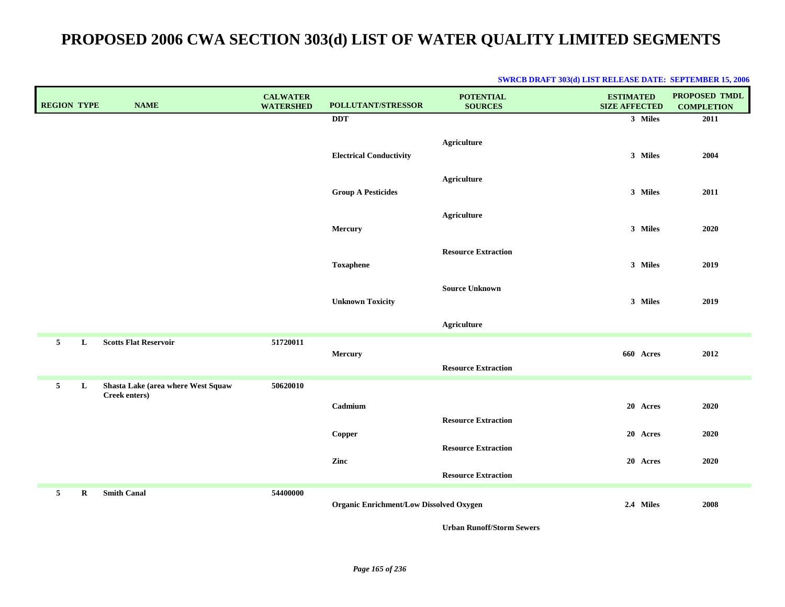| <b>REGION TYPE</b> |         | <b>NAME</b>                        | <b>CALWATER</b><br><b>WATERSHED</b> | POLLUTANT/STRESSOR                             | <b>POTENTIAL</b><br><b>SOURCES</b> | <b>ESTIMATED</b><br><b>SIZE AFFECTED</b> | PROPOSED TMDL<br><b>COMPLETION</b> |
|--------------------|---------|------------------------------------|-------------------------------------|------------------------------------------------|------------------------------------|------------------------------------------|------------------------------------|
|                    |         |                                    |                                     | <b>DDT</b>                                     |                                    | 3 Miles                                  | 2011                               |
|                    |         |                                    |                                     | <b>Electrical Conductivity</b>                 | <b>Agriculture</b>                 | 3 Miles                                  | 2004                               |
|                    |         |                                    |                                     | <b>Group A Pesticides</b>                      | <b>Agriculture</b>                 | 3 Miles                                  | 2011                               |
|                    |         |                                    |                                     | Mercury                                        | <b>Agriculture</b>                 | 3 Miles                                  | 2020                               |
|                    |         |                                    |                                     | <b>Toxaphene</b>                               | <b>Resource Extraction</b>         | 3 Miles                                  | 2019                               |
|                    |         |                                    |                                     | <b>Unknown Toxicity</b>                        | <b>Source Unknown</b>              | 3 Miles                                  | 2019                               |
|                    |         |                                    |                                     |                                                | <b>Agriculture</b>                 |                                          |                                    |
| 5                  | L       | <b>Scotts Flat Reservoir</b>       | 51720011                            | <b>Mercury</b>                                 | <b>Resource Extraction</b>         | 660 Acres                                | 2012                               |
| $5^{\circ}$        | L       | Shasta Lake (area where West Squaw | 50620010                            |                                                |                                    |                                          |                                    |
|                    |         | Creek enters)                      |                                     | Cadmium                                        | <b>Resource Extraction</b>         | 20 Acres                                 | 2020                               |
|                    |         |                                    |                                     | Copper                                         | <b>Resource Extraction</b>         | 20 Acres                                 | 2020                               |
|                    |         |                                    |                                     | Zinc                                           | <b>Resource Extraction</b>         | 20 Acres                                 | 2020                               |
| $5^{\circ}$        | $\bf R$ | <b>Smith Canal</b>                 | 54400000                            | <b>Organic Enrichment/Low Dissolved Oxygen</b> |                                    | 2.4 Miles                                | 2008                               |

### **SWRCB DRAFT 303(d) LIST RELEASE DATE: SEPTEMBER 15, 2006**

**Urban Runoff/Storm Sewers**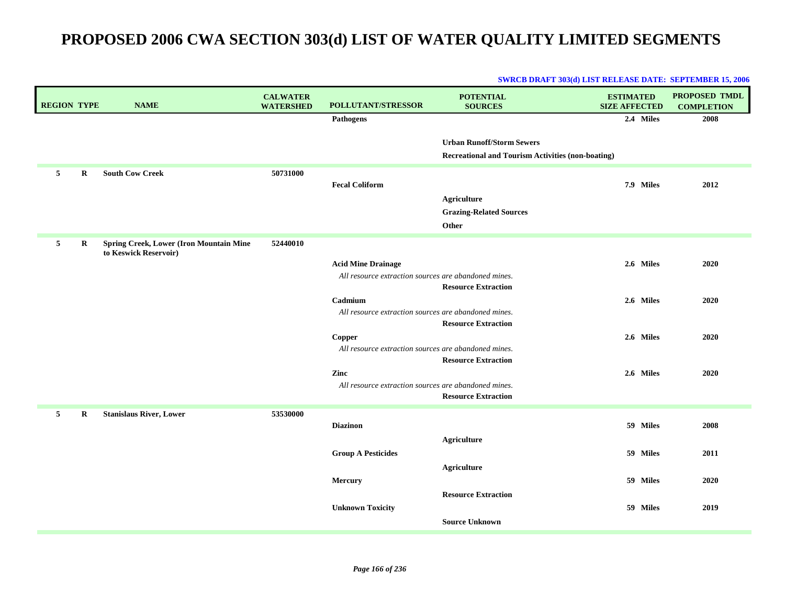|                    |   |                                                                         |                  |                                                      | o whole diving a <i>ooo (u)</i> that indication divide, but fundently, 2000 |                      |                   |
|--------------------|---|-------------------------------------------------------------------------|------------------|------------------------------------------------------|-----------------------------------------------------------------------------|----------------------|-------------------|
|                    |   |                                                                         | <b>CALWATER</b>  |                                                      | <b>POTENTIAL</b>                                                            | <b>ESTIMATED</b>     | PROPOSED TMDL     |
| <b>REGION TYPE</b> |   | <b>NAME</b>                                                             | <b>WATERSHED</b> | POLLUTANT/STRESSOR                                   | <b>SOURCES</b>                                                              | <b>SIZE AFFECTED</b> | <b>COMPLETION</b> |
|                    |   |                                                                         |                  | <b>Pathogens</b>                                     |                                                                             | 2.4 Miles            | 2008              |
|                    |   |                                                                         |                  |                                                      |                                                                             |                      |                   |
|                    |   |                                                                         |                  |                                                      | <b>Urban Runoff/Storm Sewers</b>                                            |                      |                   |
|                    |   |                                                                         |                  |                                                      | <b>Recreational and Tourism Activities (non-boating)</b>                    |                      |                   |
| 5                  | R | <b>South Cow Creek</b>                                                  | 50731000         |                                                      |                                                                             |                      |                   |
|                    |   |                                                                         |                  | <b>Fecal Coliform</b>                                |                                                                             | 7.9 Miles            | 2012              |
|                    |   |                                                                         |                  |                                                      |                                                                             |                      |                   |
|                    |   |                                                                         |                  |                                                      | <b>Agriculture</b>                                                          |                      |                   |
|                    |   |                                                                         |                  |                                                      | <b>Grazing-Related Sources</b>                                              |                      |                   |
|                    |   |                                                                         |                  |                                                      | Other                                                                       |                      |                   |
| 5                  | R | <b>Spring Creek, Lower (Iron Mountain Mine</b><br>to Keswick Reservoir) | 52440010         |                                                      |                                                                             |                      |                   |
|                    |   |                                                                         |                  | <b>Acid Mine Drainage</b>                            |                                                                             | 2.6 Miles            | 2020              |
|                    |   |                                                                         |                  | All resource extraction sources are abandoned mines. |                                                                             |                      |                   |
|                    |   |                                                                         |                  |                                                      | <b>Resource Extraction</b>                                                  |                      |                   |
|                    |   |                                                                         |                  | Cadmium                                              |                                                                             | 2.6 Miles            | 2020              |
|                    |   |                                                                         |                  | All resource extraction sources are abandoned mines. |                                                                             |                      |                   |
|                    |   |                                                                         |                  |                                                      | <b>Resource Extraction</b>                                                  |                      |                   |
|                    |   |                                                                         |                  | Copper                                               |                                                                             | 2.6 Miles            | 2020              |
|                    |   |                                                                         |                  | All resource extraction sources are abandoned mines. |                                                                             |                      |                   |
|                    |   |                                                                         |                  |                                                      | <b>Resource Extraction</b>                                                  |                      |                   |
|                    |   |                                                                         |                  | Zinc                                                 |                                                                             | 2.6 Miles            | 2020              |
|                    |   |                                                                         |                  | All resource extraction sources are abandoned mines. |                                                                             |                      |                   |
|                    |   |                                                                         |                  |                                                      | <b>Resource Extraction</b>                                                  |                      |                   |
|                    |   |                                                                         |                  |                                                      |                                                                             |                      |                   |
| 5                  | R | <b>Stanislaus River, Lower</b>                                          | 53530000         |                                                      |                                                                             |                      |                   |
|                    |   |                                                                         |                  | <b>Diazinon</b>                                      |                                                                             | 59 Miles             | 2008              |
|                    |   |                                                                         |                  |                                                      | <b>Agriculture</b>                                                          |                      |                   |
|                    |   |                                                                         |                  | <b>Group A Pesticides</b>                            |                                                                             | 59 Miles             | 2011              |
|                    |   |                                                                         |                  |                                                      | <b>Agriculture</b>                                                          |                      |                   |
|                    |   |                                                                         |                  | Mercury                                              |                                                                             | 59 Miles             | 2020              |
|                    |   |                                                                         |                  |                                                      |                                                                             |                      |                   |
|                    |   |                                                                         |                  |                                                      | <b>Resource Extraction</b>                                                  |                      |                   |
|                    |   |                                                                         |                  | <b>Unknown Toxicity</b>                              |                                                                             | 59 Miles             | 2019              |
|                    |   |                                                                         |                  |                                                      | <b>Source Unknown</b>                                                       |                      |                   |
|                    |   |                                                                         |                  |                                                      |                                                                             |                      |                   |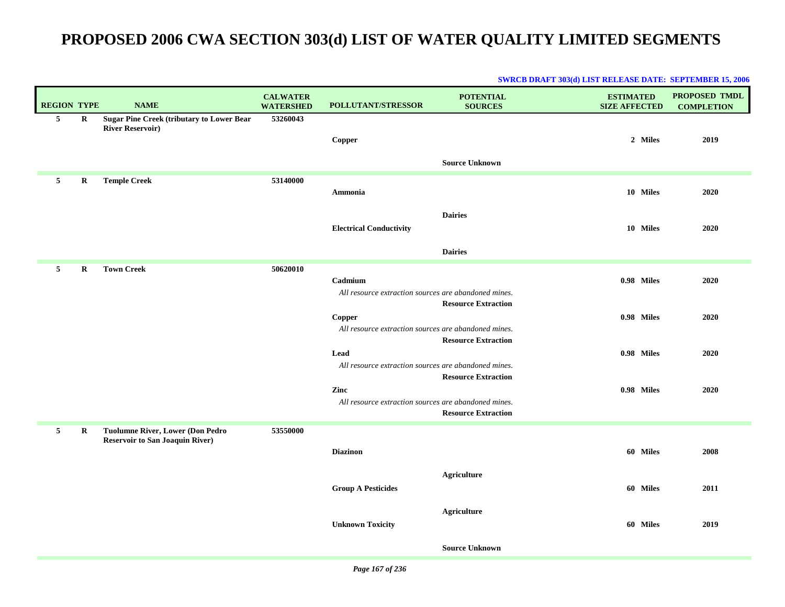| <b>REGION TYPE</b> |             | <b>NAME</b>                                                                 | <b>CALWATER</b><br><b>WATERSHED</b> | <b>POLLUTANT/STRESSOR</b>                                       | <b>POTENTIAL</b><br><b>SOURCES</b> | <b>ESTIMATED</b><br><b>SIZE AFFECTED</b> | PROPOSED TMDL<br><b>COMPLETION</b> |
|--------------------|-------------|-----------------------------------------------------------------------------|-------------------------------------|-----------------------------------------------------------------|------------------------------------|------------------------------------------|------------------------------------|
| $5\phantom{.0}$    | $\mathbf R$ | <b>Sugar Pine Creek (tributary to Lower Bear</b><br><b>River Reservoir)</b> | 53260043                            | $\label{eq:Copper} \textbf{Copper}$                             | <b>Source Unknown</b>              | 2 Miles                                  | 2019                               |
| 5 <sub>5</sub>     | R           | <b>Temple Creek</b>                                                         | 53140000                            | Ammonia                                                         |                                    | 10 Miles                                 | 2020                               |
|                    |             |                                                                             |                                     | <b>Electrical Conductivity</b>                                  | <b>Dairies</b>                     | 10 Miles                                 | 2020                               |
|                    |             |                                                                             |                                     |                                                                 | <b>Dairies</b>                     |                                          |                                    |
| 5                  | $\bf R$     | <b>Town Creek</b>                                                           | 50620010                            | Cadmium<br>All resource extraction sources are abandoned mines. | <b>Resource Extraction</b>         | 0.98 Miles                               | 2020                               |
|                    |             |                                                                             |                                     | Copper<br>All resource extraction sources are abandoned mines.  | <b>Resource Extraction</b>         | 0.98 Miles                               | 2020                               |
|                    |             |                                                                             |                                     | Lead<br>All resource extraction sources are abandoned mines.    | <b>Resource Extraction</b>         | 0.98 Miles                               | 2020                               |
|                    |             |                                                                             |                                     | Zinc<br>All resource extraction sources are abandoned mines.    | <b>Resource Extraction</b>         | 0.98 Miles                               | 2020                               |
| 5 <sub>5</sub>     | R           | <b>Tuolumne River, Lower (Don Pedro</b>                                     | 53550000                            |                                                                 |                                    |                                          |                                    |
|                    |             | <b>Reservoir to San Joaquin River)</b>                                      |                                     | <b>Diazinon</b>                                                 |                                    | 60 Miles                                 | 2008                               |
|                    |             |                                                                             |                                     | <b>Group A Pesticides</b>                                       | <b>Agriculture</b>                 | 60 Miles                                 | 2011                               |
|                    |             |                                                                             |                                     | <b>Unknown Toxicity</b>                                         | <b>Agriculture</b>                 | 60 Miles                                 | 2019                               |
|                    |             |                                                                             |                                     |                                                                 | <b>Source Unknown</b>              |                                          |                                    |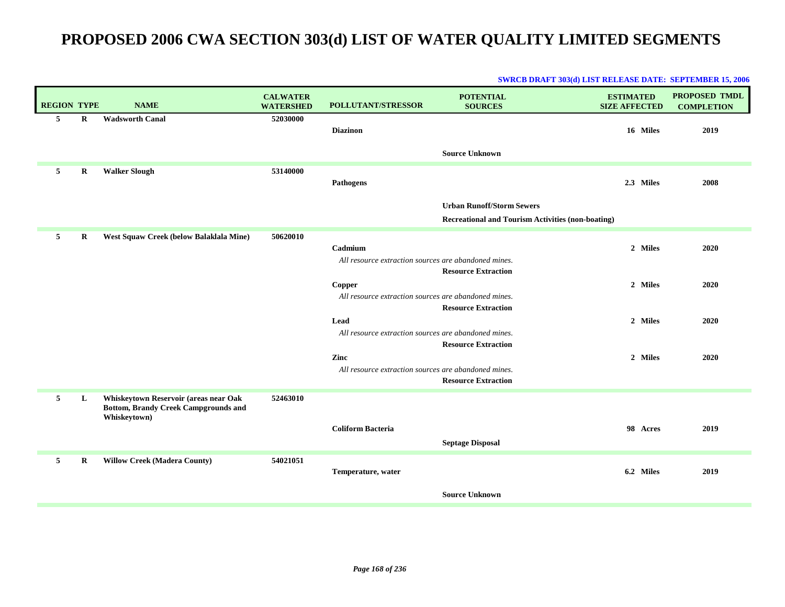| <b>REGION TYPE</b> |             | <b>NAME</b>                                                                                          | <b>CALWATER</b><br><b>WATERSHED</b> | POLLUTANT/STRESSOR                                              | <b>POTENTIAL</b><br><b>SOURCES</b>                                                    | <b>ESTIMATED</b><br><b>SIZE AFFECTED</b> | <b>PROPOSED TMDL</b><br><b>COMPLETION</b> |
|--------------------|-------------|------------------------------------------------------------------------------------------------------|-------------------------------------|-----------------------------------------------------------------|---------------------------------------------------------------------------------------|------------------------------------------|-------------------------------------------|
| 5                  | $\mathbf R$ | <b>Wadsworth Canal</b>                                                                               | 52030000                            | <b>Diazinon</b>                                                 | <b>Source Unknown</b>                                                                 | 16 Miles                                 | 2019                                      |
| 5                  | $\bf R$     | <b>Walker Slough</b>                                                                                 | 53140000                            | Pathogens                                                       |                                                                                       | 2.3 Miles                                | 2008                                      |
|                    |             |                                                                                                      |                                     |                                                                 | <b>Urban Runoff/Storm Sewers</b><br>Recreational and Tourism Activities (non-boating) |                                          |                                           |
| 5                  | R           | West Squaw Creek (below Balaklala Mine)                                                              | 50620010                            | Cadmium<br>All resource extraction sources are abandoned mines. |                                                                                       | 2 Miles                                  | 2020                                      |
|                    |             |                                                                                                      |                                     | Copper<br>All resource extraction sources are abandoned mines.  | <b>Resource Extraction</b><br><b>Resource Extraction</b>                              | 2 Miles                                  | 2020                                      |
|                    |             |                                                                                                      |                                     | Lead<br>All resource extraction sources are abandoned mines.    | <b>Resource Extraction</b>                                                            | 2 Miles                                  | 2020                                      |
|                    |             |                                                                                                      |                                     | Zinc<br>All resource extraction sources are abandoned mines.    | <b>Resource Extraction</b>                                                            | 2 Miles                                  | 2020                                      |
| 5                  | L           | Whiskeytown Reservoir (areas near Oak<br><b>Bottom, Brandy Creek Campgrounds and</b><br>Whiskeytown) | 52463010                            |                                                                 |                                                                                       |                                          |                                           |
|                    |             |                                                                                                      |                                     | <b>Coliform Bacteria</b>                                        | <b>Septage Disposal</b>                                                               | 98 Acres                                 | 2019                                      |
| 5                  | $\bf R$     | <b>Willow Creek (Madera County)</b>                                                                  | 54021051                            | Temperature, water                                              |                                                                                       | 6.2 Miles                                | 2019                                      |
|                    |             |                                                                                                      |                                     |                                                                 | <b>Source Unknown</b>                                                                 |                                          |                                           |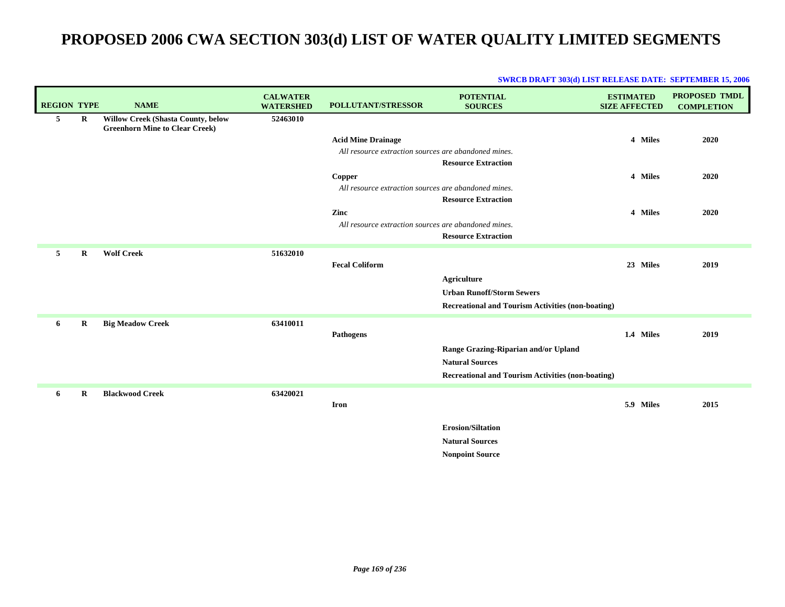| <b>REGION TYPE</b> |          | <b>NAME</b>                                                                 | <b>CALWATER</b><br><b>WATERSHED</b> | <b>POLLUTANT/STRESSOR</b>                            | <b>POTENTIAL</b><br><b>SOURCES</b>                       | <b>ESTIMATED</b><br><b>SIZE AFFECTED</b> | <b>PROPOSED TMDL</b><br><b>COMPLETION</b> |
|--------------------|----------|-----------------------------------------------------------------------------|-------------------------------------|------------------------------------------------------|----------------------------------------------------------|------------------------------------------|-------------------------------------------|
| 5                  | R        | Willow Creek (Shasta County, below<br><b>Greenhorn Mine to Clear Creek)</b> | 52463010                            |                                                      |                                                          |                                          |                                           |
|                    |          |                                                                             |                                     | <b>Acid Mine Drainage</b>                            |                                                          | 4 Miles                                  | 2020                                      |
|                    |          |                                                                             |                                     | All resource extraction sources are abandoned mines. |                                                          |                                          |                                           |
|                    |          |                                                                             |                                     |                                                      | <b>Resource Extraction</b>                               |                                          |                                           |
|                    |          |                                                                             |                                     | <b>Copper</b>                                        |                                                          | 4 Miles                                  | 2020                                      |
|                    |          |                                                                             |                                     | All resource extraction sources are abandoned mines. |                                                          |                                          |                                           |
|                    |          |                                                                             |                                     |                                                      | <b>Resource Extraction</b>                               |                                          |                                           |
|                    |          |                                                                             |                                     | Zinc                                                 |                                                          | 4 Miles                                  | 2020                                      |
|                    |          |                                                                             |                                     | All resource extraction sources are abandoned mines. |                                                          |                                          |                                           |
|                    |          |                                                                             |                                     |                                                      | <b>Resource Extraction</b>                               |                                          |                                           |
| 5                  | $\bf{R}$ | <b>Wolf Creek</b>                                                           | 51632010                            |                                                      |                                                          |                                          |                                           |
|                    |          |                                                                             |                                     | <b>Fecal Coliform</b>                                |                                                          | 23 Miles                                 | 2019                                      |
|                    |          |                                                                             |                                     |                                                      | <b>Agriculture</b>                                       |                                          |                                           |
|                    |          |                                                                             |                                     |                                                      | <b>Urban Runoff/Storm Sewers</b>                         |                                          |                                           |
|                    |          |                                                                             |                                     |                                                      | <b>Recreational and Tourism Activities (non-boating)</b> |                                          |                                           |
| 6                  | R        | <b>Big Meadow Creek</b>                                                     | 63410011                            |                                                      |                                                          |                                          |                                           |
|                    |          |                                                                             |                                     | <b>Pathogens</b>                                     |                                                          | 1.4 Miles                                | 2019                                      |
|                    |          |                                                                             |                                     |                                                      | Range Grazing-Riparian and/or Upland                     |                                          |                                           |
|                    |          |                                                                             |                                     |                                                      | <b>Natural Sources</b>                                   |                                          |                                           |
|                    |          |                                                                             |                                     |                                                      | <b>Recreational and Tourism Activities (non-boating)</b> |                                          |                                           |
| 6                  | $\bf{R}$ | <b>Blackwood Creek</b>                                                      | 63420021                            |                                                      |                                                          |                                          |                                           |
|                    |          |                                                                             |                                     | <b>Iron</b>                                          |                                                          | 5.9 Miles                                | 2015                                      |
|                    |          |                                                                             |                                     |                                                      | <b>Erosion/Siltation</b>                                 |                                          |                                           |
|                    |          |                                                                             |                                     |                                                      | <b>Natural Sources</b>                                   |                                          |                                           |
|                    |          |                                                                             |                                     |                                                      | <b>Nonpoint Source</b>                                   |                                          |                                           |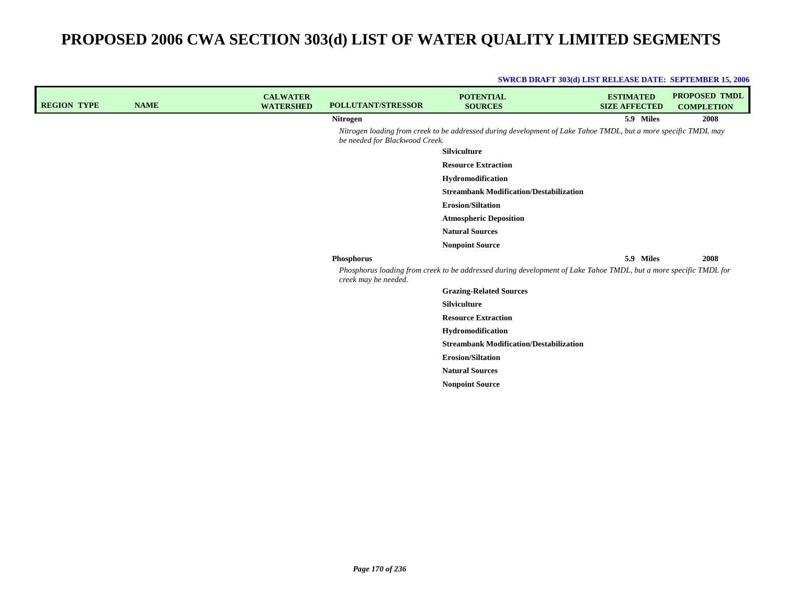| <b>REGION TYPE</b> | <b>NAME</b> | <b>CALWATER</b><br><b>WATERSHED</b> | POLLUTANT/STRESSOR             | <b>POTENTIAL</b><br><b>SOURCES</b>                                                                                | <b>ESTIMATED</b><br><b>SIZE AFFECTED</b> | <b>PROPOSED TMDL</b><br><b>COMPLETION</b> |
|--------------------|-------------|-------------------------------------|--------------------------------|-------------------------------------------------------------------------------------------------------------------|------------------------------------------|-------------------------------------------|
|                    |             |                                     | <b>Nitrogen</b>                |                                                                                                                   | 5.9 Miles                                | 2008                                      |
|                    |             |                                     | be needed for Blackwood Creek. | Nitrogen loading from creek to be addressed during development of Lake Tahoe TMDL, but a more specific TMDL may   |                                          |                                           |
|                    |             |                                     |                                | Silviculture                                                                                                      |                                          |                                           |
|                    |             |                                     |                                | <b>Resource Extraction</b>                                                                                        |                                          |                                           |
|                    |             |                                     |                                | Hydromodification                                                                                                 |                                          |                                           |
|                    |             |                                     |                                | <b>Streambank Modification/Destabilization</b>                                                                    |                                          |                                           |
|                    |             |                                     |                                | <b>Erosion/Siltation</b>                                                                                          |                                          |                                           |
|                    |             |                                     |                                | <b>Atmospheric Deposition</b>                                                                                     |                                          |                                           |
|                    |             |                                     |                                | <b>Natural Sources</b>                                                                                            |                                          |                                           |
|                    |             |                                     |                                | <b>Nonpoint Source</b>                                                                                            |                                          |                                           |
|                    |             |                                     | Phosphorus                     |                                                                                                                   | 5.9 Miles                                | 2008                                      |
|                    |             |                                     | creek may be needed.           | Phosphorus loading from creek to be addressed during development of Lake Tahoe TMDL, but a more specific TMDL for |                                          |                                           |
|                    |             |                                     |                                | <b>Grazing-Related Sources</b>                                                                                    |                                          |                                           |
|                    |             |                                     |                                | Silviculture                                                                                                      |                                          |                                           |
|                    |             |                                     |                                | <b>Resource Extraction</b>                                                                                        |                                          |                                           |
|                    |             |                                     |                                | Hydromodification                                                                                                 |                                          |                                           |
|                    |             |                                     |                                | <b>Streambank Modification/Destabilization</b>                                                                    |                                          |                                           |
|                    |             |                                     |                                | <b>Erosion/Siltation</b>                                                                                          |                                          |                                           |
|                    |             |                                     |                                | <b>Natural Sources</b>                                                                                            |                                          |                                           |
|                    |             |                                     |                                | <b>Nonpoint Source</b>                                                                                            |                                          |                                           |
|                    |             |                                     |                                |                                                                                                                   |                                          |                                           |
|                    |             |                                     |                                |                                                                                                                   |                                          |                                           |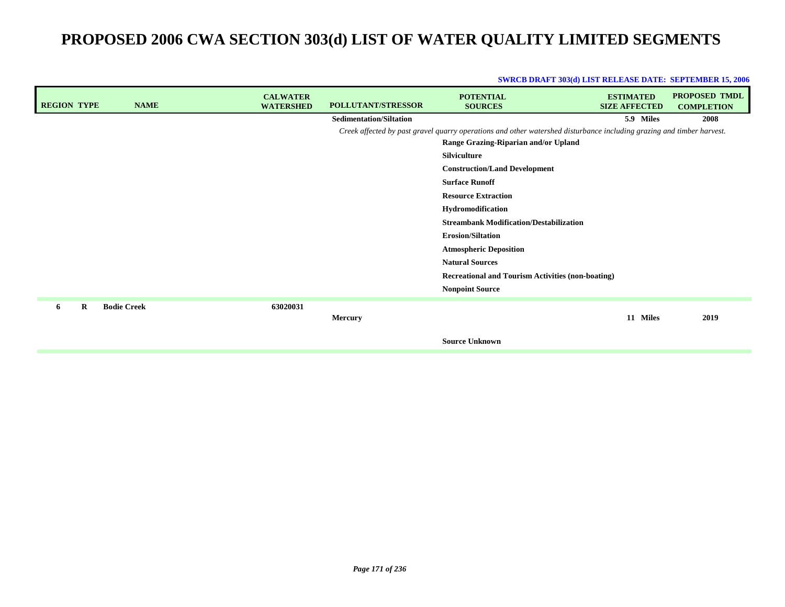| <b>REGION TYPE</b> |   | <b>NAME</b>        | <b>CALWATER</b><br><b>WATERSHED</b> | <b>POLLUTANT/STRESSOR</b>      | <b>POTENTIAL</b><br><b>SOURCES</b>                                                                                    | <b>ESTIMATED</b><br><b>SIZE AFFECTED</b> | PROPOSED TMDL<br><b>COMPLETION</b> |
|--------------------|---|--------------------|-------------------------------------|--------------------------------|-----------------------------------------------------------------------------------------------------------------------|------------------------------------------|------------------------------------|
|                    |   |                    |                                     | <b>Sedimentation/Siltation</b> |                                                                                                                       | 5.9 Miles                                | 2008                               |
|                    |   |                    |                                     |                                | Creek affected by past gravel quarry operations and other watershed disturbance including grazing and timber harvest. |                                          |                                    |
|                    |   |                    |                                     |                                | Range Grazing-Riparian and/or Upland                                                                                  |                                          |                                    |
|                    |   |                    |                                     |                                | Silviculture                                                                                                          |                                          |                                    |
|                    |   |                    |                                     |                                | <b>Construction/Land Development</b>                                                                                  |                                          |                                    |
|                    |   |                    |                                     |                                | <b>Surface Runoff</b>                                                                                                 |                                          |                                    |
|                    |   |                    |                                     |                                | <b>Resource Extraction</b>                                                                                            |                                          |                                    |
|                    |   |                    |                                     |                                | Hydromodification                                                                                                     |                                          |                                    |
|                    |   |                    |                                     |                                | <b>Streambank Modification/Destabilization</b>                                                                        |                                          |                                    |
|                    |   |                    |                                     |                                | <b>Erosion/Siltation</b>                                                                                              |                                          |                                    |
|                    |   |                    |                                     |                                | <b>Atmospheric Deposition</b>                                                                                         |                                          |                                    |
|                    |   |                    |                                     |                                | <b>Natural Sources</b>                                                                                                |                                          |                                    |
|                    |   |                    |                                     |                                | <b>Recreational and Tourism Activities (non-boating)</b>                                                              |                                          |                                    |
|                    |   |                    |                                     |                                | <b>Nonpoint Source</b>                                                                                                |                                          |                                    |
| 6                  | R | <b>Bodie Creek</b> | 63020031                            |                                |                                                                                                                       |                                          |                                    |
|                    |   |                    |                                     | <b>Mercury</b>                 |                                                                                                                       | 11 Miles                                 | 2019                               |
|                    |   |                    |                                     |                                | <b>Source Unknown</b>                                                                                                 |                                          |                                    |
|                    |   |                    |                                     |                                |                                                                                                                       |                                          |                                    |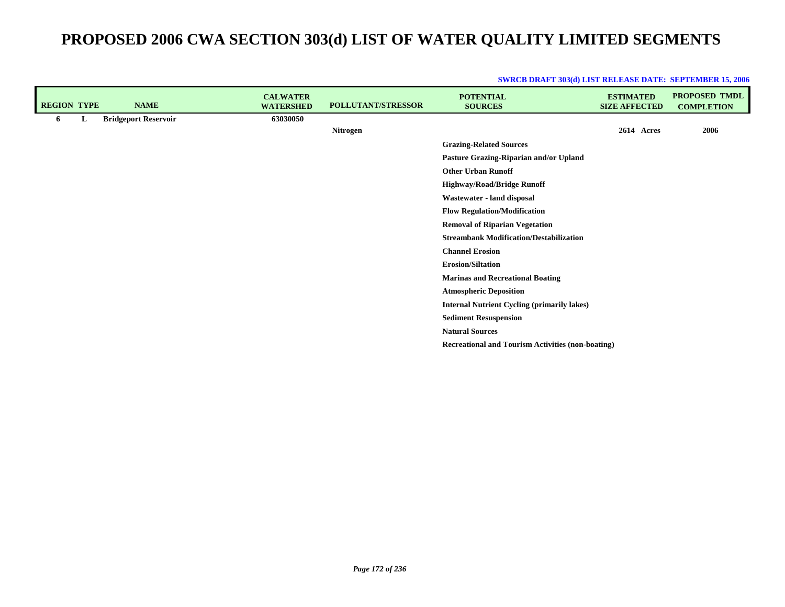| <b>REGION TYPE</b> |   | <b>NAME</b>                 | <b>CALWATER</b><br><b>WATERSHED</b> | <b>POLLUTANT/STRESSOR</b> | <b>POTENTIAL</b><br><b>SOURCES</b>                       | <b>ESTIMATED</b><br><b>SIZE AFFECTED</b> | <b>PROPOSED TMDL</b><br><b>COMPLETION</b> |
|--------------------|---|-----------------------------|-------------------------------------|---------------------------|----------------------------------------------------------|------------------------------------------|-------------------------------------------|
| 6                  | L | <b>Bridgeport Reservoir</b> | 63030050                            |                           |                                                          |                                          |                                           |
|                    |   |                             |                                     | Nitrogen                  |                                                          | 2614 Acres                               | 2006                                      |
|                    |   |                             |                                     |                           | <b>Grazing-Related Sources</b>                           |                                          |                                           |
|                    |   |                             |                                     |                           | Pasture Grazing-Riparian and/or Upland                   |                                          |                                           |
|                    |   |                             |                                     |                           | <b>Other Urban Runoff</b>                                |                                          |                                           |
|                    |   |                             |                                     |                           | <b>Highway/Road/Bridge Runoff</b>                        |                                          |                                           |
|                    |   |                             |                                     |                           | Wastewater - land disposal                               |                                          |                                           |
|                    |   |                             |                                     |                           | <b>Flow Regulation/Modification</b>                      |                                          |                                           |
|                    |   |                             |                                     |                           | <b>Removal of Riparian Vegetation</b>                    |                                          |                                           |
|                    |   |                             |                                     |                           | <b>Streambank Modification/Destabilization</b>           |                                          |                                           |
|                    |   |                             |                                     |                           | <b>Channel Erosion</b>                                   |                                          |                                           |
|                    |   |                             |                                     |                           | <b>Erosion/Siltation</b>                                 |                                          |                                           |
|                    |   |                             |                                     |                           | <b>Marinas and Recreational Boating</b>                  |                                          |                                           |
|                    |   |                             |                                     |                           | <b>Atmospheric Deposition</b>                            |                                          |                                           |
|                    |   |                             |                                     |                           | <b>Internal Nutrient Cycling (primarily lakes)</b>       |                                          |                                           |
|                    |   |                             |                                     |                           | <b>Sediment Resuspension</b>                             |                                          |                                           |
|                    |   |                             |                                     |                           | <b>Natural Sources</b>                                   |                                          |                                           |
|                    |   |                             |                                     |                           | <b>Recreational and Tourism Activities (non-boating)</b> |                                          |                                           |
|                    |   |                             |                                     |                           |                                                          |                                          |                                           |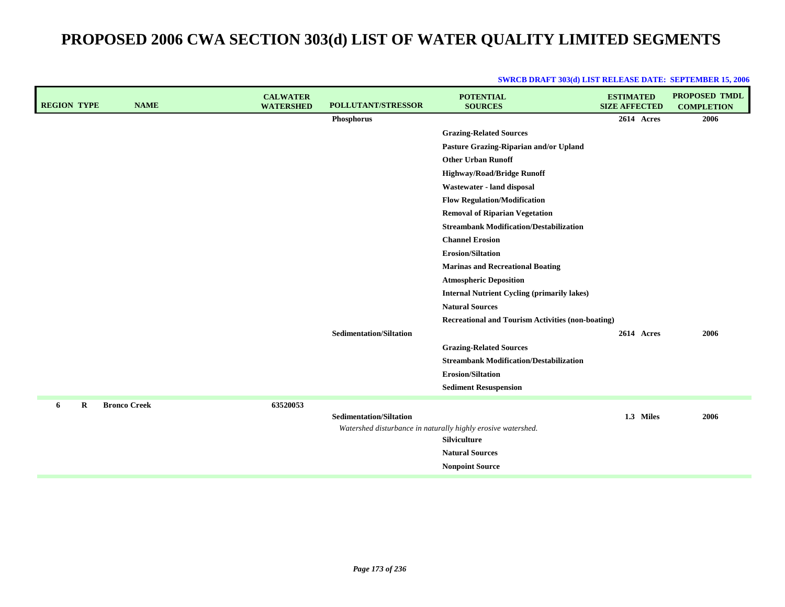| <b>REGION TYPE</b> | <b>NAME</b>         | <b>CALWATER</b><br><b>WATERSHED</b> | <b>POLLUTANT/STRESSOR</b>      | <b>POTENTIAL</b><br><b>SOURCES</b>                           | <b>ESTIMATED</b><br><b>SIZE AFFECTED</b> | <b>PROPOSED TMDL</b><br><b>COMPLETION</b> |
|--------------------|---------------------|-------------------------------------|--------------------------------|--------------------------------------------------------------|------------------------------------------|-------------------------------------------|
|                    |                     |                                     | Phosphorus                     |                                                              | 2614 Acres                               | 2006                                      |
|                    |                     |                                     |                                | <b>Grazing-Related Sources</b>                               |                                          |                                           |
|                    |                     |                                     |                                | Pasture Grazing-Riparian and/or Upland                       |                                          |                                           |
|                    |                     |                                     |                                | <b>Other Urban Runoff</b>                                    |                                          |                                           |
|                    |                     |                                     |                                | <b>Highway/Road/Bridge Runoff</b>                            |                                          |                                           |
|                    |                     |                                     |                                | Wastewater - land disposal                                   |                                          |                                           |
|                    |                     |                                     |                                | <b>Flow Regulation/Modification</b>                          |                                          |                                           |
|                    |                     |                                     |                                | <b>Removal of Riparian Vegetation</b>                        |                                          |                                           |
|                    |                     |                                     |                                | <b>Streambank Modification/Destabilization</b>               |                                          |                                           |
|                    |                     |                                     |                                | <b>Channel Erosion</b>                                       |                                          |                                           |
|                    |                     |                                     |                                | <b>Erosion/Siltation</b>                                     |                                          |                                           |
|                    |                     |                                     |                                | <b>Marinas and Recreational Boating</b>                      |                                          |                                           |
|                    |                     |                                     |                                | <b>Atmospheric Deposition</b>                                |                                          |                                           |
|                    |                     |                                     |                                | <b>Internal Nutrient Cycling (primarily lakes)</b>           |                                          |                                           |
|                    |                     |                                     |                                | <b>Natural Sources</b>                                       |                                          |                                           |
|                    |                     |                                     |                                | <b>Recreational and Tourism Activities (non-boating)</b>     |                                          |                                           |
|                    |                     |                                     | <b>Sedimentation/Siltation</b> |                                                              | 2614 Acres                               | 2006                                      |
|                    |                     |                                     |                                | <b>Grazing-Related Sources</b>                               |                                          |                                           |
|                    |                     |                                     |                                | <b>Streambank Modification/Destabilization</b>               |                                          |                                           |
|                    |                     |                                     |                                | <b>Erosion/Siltation</b>                                     |                                          |                                           |
|                    |                     |                                     |                                | <b>Sediment Resuspension</b>                                 |                                          |                                           |
| R<br>6             | <b>Bronco Creek</b> | 63520053                            |                                |                                                              |                                          |                                           |
|                    |                     |                                     | <b>Sedimentation/Siltation</b> |                                                              | 1.3 Miles                                | 2006                                      |
|                    |                     |                                     |                                | Watershed disturbance in naturally highly erosive watershed. |                                          |                                           |
|                    |                     |                                     |                                | Silviculture                                                 |                                          |                                           |
|                    |                     |                                     |                                | <b>Natural Sources</b>                                       |                                          |                                           |
|                    |                     |                                     |                                | <b>Nonpoint Source</b>                                       |                                          |                                           |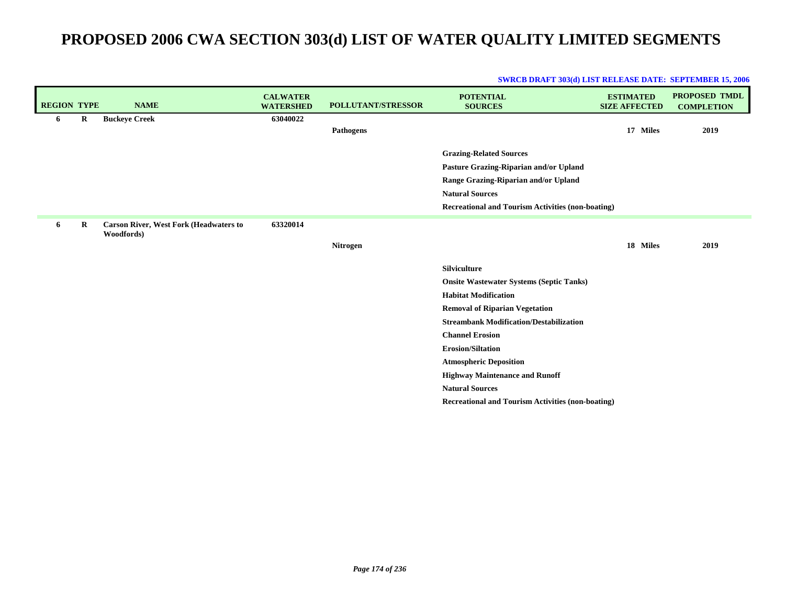| <b>REGION TYPE</b> |         | <b>NAME</b>                                                 | <b>CALWATER</b><br><b>WATERSHED</b> | <b>POLLUTANT/STRESSOR</b> | <b>POTENTIAL</b><br><b>SOURCES</b>                       | <b>ESTIMATED</b><br><b>SIZE AFFECTED</b> | <b>PROPOSED TMDL</b><br><b>COMPLETION</b> |
|--------------------|---------|-------------------------------------------------------------|-------------------------------------|---------------------------|----------------------------------------------------------|------------------------------------------|-------------------------------------------|
| 6                  | $\bf R$ | <b>Buckeye Creek</b>                                        | 63040022                            |                           |                                                          |                                          |                                           |
|                    |         |                                                             |                                     | Pathogens                 |                                                          | 17 Miles                                 | 2019                                      |
|                    |         |                                                             |                                     |                           | <b>Grazing-Related Sources</b>                           |                                          |                                           |
|                    |         |                                                             |                                     |                           | Pasture Grazing-Riparian and/or Upland                   |                                          |                                           |
|                    |         |                                                             |                                     |                           | Range Grazing-Riparian and/or Upland                     |                                          |                                           |
|                    |         |                                                             |                                     |                           | <b>Natural Sources</b>                                   |                                          |                                           |
|                    |         |                                                             |                                     |                           | <b>Recreational and Tourism Activities (non-boating)</b> |                                          |                                           |
| 6                  | $\bf R$ | <b>Carson River, West Fork (Headwaters to</b><br>Woodfords) | 63320014                            |                           |                                                          |                                          |                                           |
|                    |         |                                                             |                                     | <b>Nitrogen</b>           |                                                          | 18 Miles                                 | 2019                                      |
|                    |         |                                                             |                                     |                           | <b>Silviculture</b>                                      |                                          |                                           |
|                    |         |                                                             |                                     |                           | <b>Onsite Wastewater Systems (Septic Tanks)</b>          |                                          |                                           |
|                    |         |                                                             |                                     |                           | <b>Habitat Modification</b>                              |                                          |                                           |
|                    |         |                                                             |                                     |                           | <b>Removal of Riparian Vegetation</b>                    |                                          |                                           |
|                    |         |                                                             |                                     |                           | <b>Streambank Modification/Destabilization</b>           |                                          |                                           |
|                    |         |                                                             |                                     |                           | <b>Channel Erosion</b>                                   |                                          |                                           |
|                    |         |                                                             |                                     |                           | <b>Erosion/Siltation</b>                                 |                                          |                                           |
|                    |         |                                                             |                                     |                           | <b>Atmospheric Deposition</b>                            |                                          |                                           |
|                    |         |                                                             |                                     |                           | <b>Highway Maintenance and Runoff</b>                    |                                          |                                           |
|                    |         |                                                             |                                     |                           | <b>Natural Sources</b>                                   |                                          |                                           |
|                    |         |                                                             |                                     |                           | <b>Recreational and Tourism Activities (non-boating)</b> |                                          |                                           |
|                    |         |                                                             |                                     |                           |                                                          |                                          |                                           |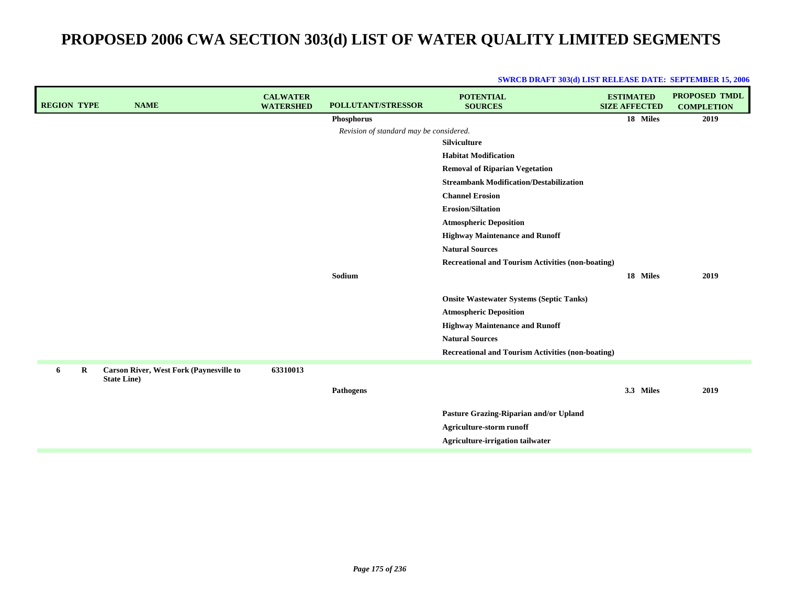| <b>REGION TYPE</b> |                     | <b>NAME</b>                                    | <b>CALWATER</b><br><b>WATERSHED</b> | POLLUTANT/STRESSOR                      | <b>POTENTIAL</b><br><b>SOURCES</b>                       | <b>ESTIMATED</b><br><b>SIZE AFFECTED</b> | <b>PROPOSED TMDL</b><br><b>COMPLETION</b> |
|--------------------|---------------------|------------------------------------------------|-------------------------------------|-----------------------------------------|----------------------------------------------------------|------------------------------------------|-------------------------------------------|
|                    |                     |                                                |                                     | Phosphorus                              |                                                          | 18 Miles                                 | 2019                                      |
|                    |                     |                                                |                                     | Revision of standard may be considered. |                                                          |                                          |                                           |
|                    |                     |                                                |                                     |                                         | <b>Silviculture</b>                                      |                                          |                                           |
|                    |                     |                                                |                                     |                                         | <b>Habitat Modification</b>                              |                                          |                                           |
|                    |                     |                                                |                                     |                                         | <b>Removal of Riparian Vegetation</b>                    |                                          |                                           |
|                    |                     |                                                |                                     |                                         | <b>Streambank Modification/Destabilization</b>           |                                          |                                           |
|                    |                     |                                                |                                     |                                         | <b>Channel Erosion</b>                                   |                                          |                                           |
|                    |                     |                                                |                                     |                                         | <b>Erosion/Siltation</b>                                 |                                          |                                           |
|                    |                     |                                                |                                     |                                         | <b>Atmospheric Deposition</b>                            |                                          |                                           |
|                    |                     |                                                |                                     |                                         | <b>Highway Maintenance and Runoff</b>                    |                                          |                                           |
|                    |                     |                                                |                                     |                                         | <b>Natural Sources</b>                                   |                                          |                                           |
|                    |                     |                                                |                                     |                                         | <b>Recreational and Tourism Activities (non-boating)</b> |                                          |                                           |
|                    |                     |                                                |                                     | Sodium                                  |                                                          | 18 Miles                                 | 2019                                      |
|                    |                     |                                                |                                     |                                         | <b>Onsite Wastewater Systems (Septic Tanks)</b>          |                                          |                                           |
|                    |                     |                                                |                                     |                                         | <b>Atmospheric Deposition</b>                            |                                          |                                           |
|                    |                     |                                                |                                     |                                         | <b>Highway Maintenance and Runoff</b>                    |                                          |                                           |
|                    |                     |                                                |                                     |                                         | <b>Natural Sources</b>                                   |                                          |                                           |
|                    |                     |                                                |                                     |                                         | <b>Recreational and Tourism Activities (non-boating)</b> |                                          |                                           |
| $\mathbf R$<br>6   | <b>State Line</b> ) | <b>Carson River, West Fork (Paynesville to</b> | 63310013                            |                                         |                                                          |                                          |                                           |
|                    |                     |                                                |                                     | <b>Pathogens</b>                        |                                                          | 3.3 Miles                                | 2019                                      |
|                    |                     |                                                |                                     |                                         | Pasture Grazing-Riparian and/or Upland                   |                                          |                                           |
|                    |                     |                                                |                                     |                                         | Agriculture-storm runoff                                 |                                          |                                           |
|                    |                     |                                                |                                     |                                         | <b>Agriculture-irrigation tailwater</b>                  |                                          |                                           |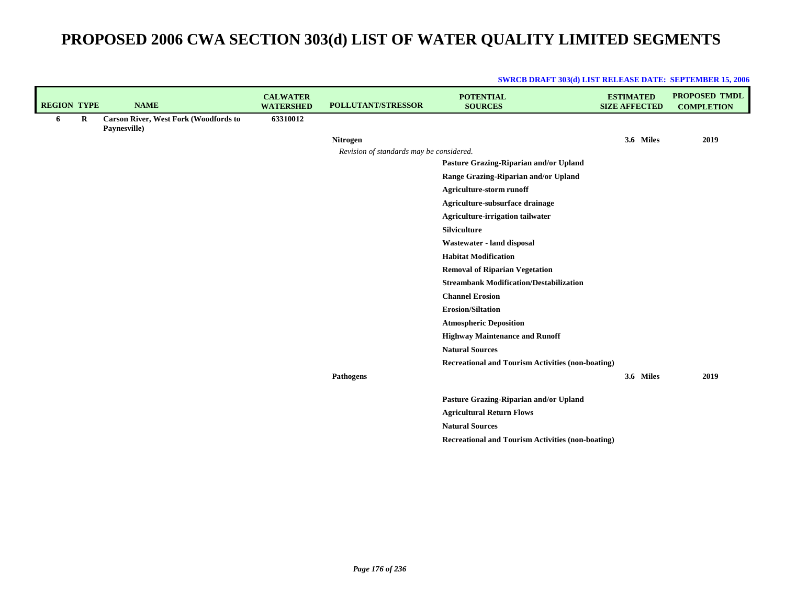| <b>REGION TYPE</b> |   | <b>NAME</b>                                  | <b>CALWATER</b><br><b>WATERSHED</b> | POLLUTANT/STRESSOR                       | <b>POTENTIAL</b><br><b>SOURCES</b>                       | <b>ESTIMATED</b><br><b>SIZE AFFECTED</b> | <b>PROPOSED TMDL</b><br><b>COMPLETION</b> |
|--------------------|---|----------------------------------------------|-------------------------------------|------------------------------------------|----------------------------------------------------------|------------------------------------------|-------------------------------------------|
| 6                  | R | <b>Carson River, West Fork (Woodfords to</b> | 63310012                            |                                          |                                                          |                                          |                                           |
|                    |   | Paynesville)                                 |                                     | Nitrogen                                 |                                                          | 3.6 Miles                                | 2019                                      |
|                    |   |                                              |                                     | Revision of standards may be considered. |                                                          |                                          |                                           |
|                    |   |                                              |                                     |                                          | Pasture Grazing-Riparian and/or Upland                   |                                          |                                           |
|                    |   |                                              |                                     |                                          | Range Grazing-Riparian and/or Upland                     |                                          |                                           |
|                    |   |                                              |                                     |                                          | Agriculture-storm runoff                                 |                                          |                                           |
|                    |   |                                              |                                     |                                          | Agriculture-subsurface drainage                          |                                          |                                           |
|                    |   |                                              |                                     |                                          | Agriculture-irrigation tailwater                         |                                          |                                           |
|                    |   |                                              |                                     |                                          | Silviculture                                             |                                          |                                           |
|                    |   |                                              |                                     |                                          | Wastewater - land disposal                               |                                          |                                           |
|                    |   |                                              |                                     |                                          | <b>Habitat Modification</b>                              |                                          |                                           |
|                    |   |                                              |                                     |                                          | <b>Removal of Riparian Vegetation</b>                    |                                          |                                           |
|                    |   |                                              |                                     |                                          | <b>Streambank Modification/Destabilization</b>           |                                          |                                           |
|                    |   |                                              |                                     |                                          | <b>Channel Erosion</b>                                   |                                          |                                           |
|                    |   |                                              |                                     |                                          | <b>Erosion/Siltation</b>                                 |                                          |                                           |
|                    |   |                                              |                                     |                                          | <b>Atmospheric Deposition</b>                            |                                          |                                           |
|                    |   |                                              |                                     |                                          | <b>Highway Maintenance and Runoff</b>                    |                                          |                                           |
|                    |   |                                              |                                     |                                          | <b>Natural Sources</b>                                   |                                          |                                           |
|                    |   |                                              |                                     |                                          | <b>Recreational and Tourism Activities (non-boating)</b> |                                          |                                           |
|                    |   |                                              |                                     | <b>Pathogens</b>                         |                                                          | 3.6 Miles                                | 2019                                      |
|                    |   |                                              |                                     |                                          | Pasture Grazing-Riparian and/or Upland                   |                                          |                                           |
|                    |   |                                              |                                     |                                          | <b>Agricultural Return Flows</b>                         |                                          |                                           |
|                    |   |                                              |                                     |                                          | <b>Natural Sources</b>                                   |                                          |                                           |
|                    |   |                                              |                                     |                                          | <b>Recreational and Tourism Activities (non-boating)</b> |                                          |                                           |
|                    |   |                                              |                                     |                                          |                                                          |                                          |                                           |
|                    |   |                                              |                                     |                                          |                                                          |                                          |                                           |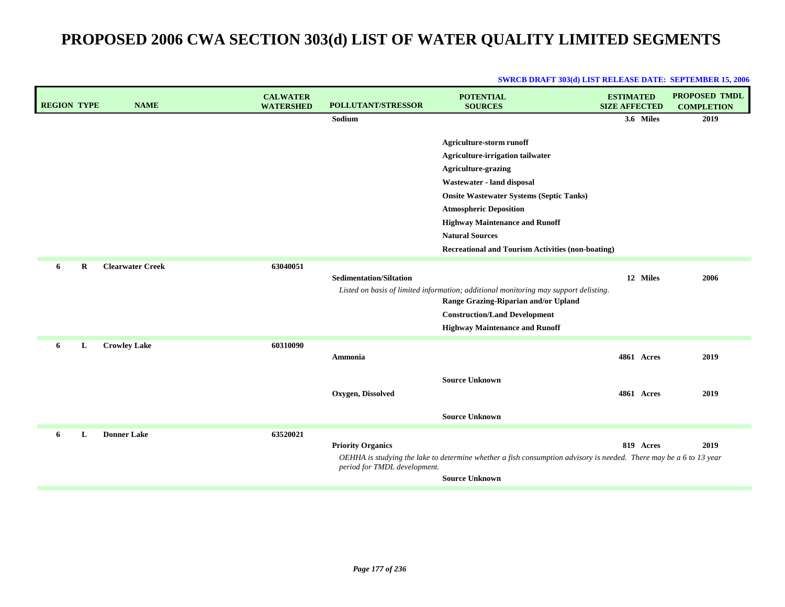| <b>REGION TYPE</b> | <b>NAME</b>             | <b>CALWATER</b><br><b>WATERSHED</b> | POLLUTANT/STRESSOR                                       | <b>POTENTIAL</b><br><b>SOURCES</b>                                                                                                                                                                                                                                                                                                                 | <b>ESTIMATED</b><br><b>SIZE AFFECTED</b> | <b>PROPOSED TMDL</b><br><b>COMPLETION</b> |
|--------------------|-------------------------|-------------------------------------|----------------------------------------------------------|----------------------------------------------------------------------------------------------------------------------------------------------------------------------------------------------------------------------------------------------------------------------------------------------------------------------------------------------------|------------------------------------------|-------------------------------------------|
|                    |                         |                                     | Sodium                                                   |                                                                                                                                                                                                                                                                                                                                                    | 3.6 Miles                                | 2019                                      |
|                    |                         |                                     |                                                          | Agriculture-storm runoff<br><b>Agriculture-irrigation tailwater</b><br><b>Agriculture-grazing</b><br>Wastewater - land disposal<br><b>Onsite Wastewater Systems (Septic Tanks)</b><br><b>Atmospheric Deposition</b><br><b>Highway Maintenance and Runoff</b><br><b>Natural Sources</b><br><b>Recreational and Tourism Activities (non-boating)</b> |                                          |                                           |
| R<br>6             | <b>Clearwater Creek</b> | 63040051                            | <b>Sedimentation/Siltation</b>                           | Listed on basis of limited information; additional monitoring may support delisting.<br>Range Grazing-Riparian and/or Upland<br><b>Construction/Land Development</b><br><b>Highway Maintenance and Runoff</b>                                                                                                                                      | 12 Miles                                 | 2006                                      |
| 6<br>L             | <b>Crowley Lake</b>     | 60310090                            |                                                          |                                                                                                                                                                                                                                                                                                                                                    |                                          |                                           |
|                    |                         |                                     | Ammonia                                                  |                                                                                                                                                                                                                                                                                                                                                    | 4861 Acres                               | 2019                                      |
|                    |                         |                                     | Oxygen, Dissolved                                        | <b>Source Unknown</b><br><b>Source Unknown</b>                                                                                                                                                                                                                                                                                                     | 4861 Acres                               | 2019                                      |
| L<br>6             | <b>Donner Lake</b>      | 63520021                            | <b>Priority Organics</b><br>period for TMDL development. | OEHHA is studying the lake to determine whether a fish consumption advisory is needed. There may be a 6 to 13 year<br><b>Source Unknown</b>                                                                                                                                                                                                        | 819 Acres                                | 2019                                      |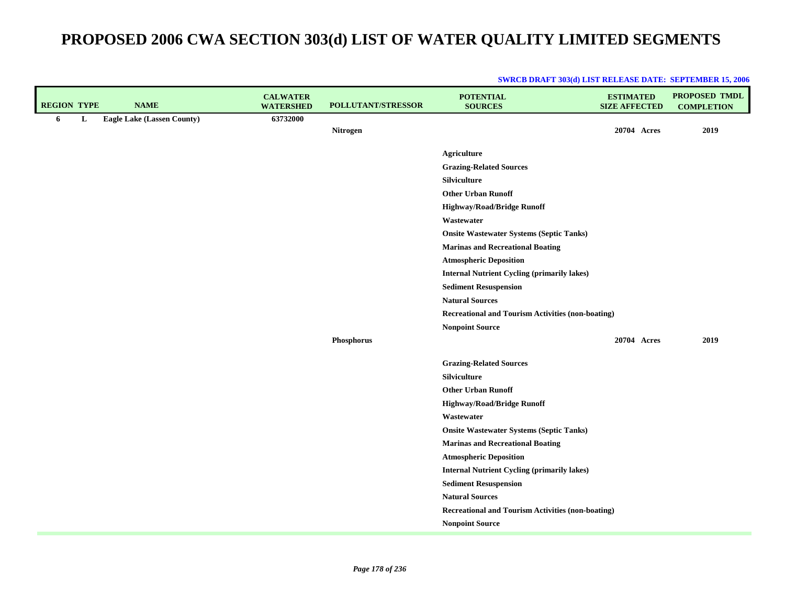| <b>REGION TYPE</b> |   | <b>NAME</b>                | <b>CALWATER</b><br><b>WATERSHED</b> | POLLUTANT/STRESSOR | <b>POTENTIAL</b><br><b>SOURCES</b>                                                                                                                                                                                                                                                                                                                                                                                                                                  | <b>ESTIMATED</b><br><b>SIZE AFFECTED</b> | <b>PROPOSED TMDL</b><br><b>COMPLETION</b> |
|--------------------|---|----------------------------|-------------------------------------|--------------------|---------------------------------------------------------------------------------------------------------------------------------------------------------------------------------------------------------------------------------------------------------------------------------------------------------------------------------------------------------------------------------------------------------------------------------------------------------------------|------------------------------------------|-------------------------------------------|
| 6                  | L | Eagle Lake (Lassen County) | 63732000                            | Nitrogen           |                                                                                                                                                                                                                                                                                                                                                                                                                                                                     | 20704 Acres                              | 2019                                      |
|                    |   |                            |                                     |                    | Agriculture<br><b>Grazing-Related Sources</b><br>Silviculture<br><b>Other Urban Runoff</b><br><b>Highway/Road/Bridge Runoff</b><br>Wastewater<br><b>Onsite Wastewater Systems (Septic Tanks)</b><br><b>Marinas and Recreational Boating</b><br><b>Atmospheric Deposition</b><br><b>Internal Nutrient Cycling (primarily lakes)</b><br><b>Sediment Resuspension</b>                                                                                                  |                                          |                                           |
|                    |   |                            |                                     |                    | <b>Natural Sources</b><br><b>Recreational and Tourism Activities (non-boating)</b>                                                                                                                                                                                                                                                                                                                                                                                  |                                          |                                           |
|                    |   |                            |                                     | Phosphorus         | <b>Nonpoint Source</b>                                                                                                                                                                                                                                                                                                                                                                                                                                              | 20704 Acres                              | 2019                                      |
|                    |   |                            |                                     |                    | <b>Grazing-Related Sources</b><br>Silviculture<br><b>Other Urban Runoff</b><br><b>Highway/Road/Bridge Runoff</b><br>Wastewater<br><b>Onsite Wastewater Systems (Septic Tanks)</b><br><b>Marinas and Recreational Boating</b><br><b>Atmospheric Deposition</b><br><b>Internal Nutrient Cycling (primarily lakes)</b><br><b>Sediment Resuspension</b><br><b>Natural Sources</b><br><b>Recreational and Tourism Activities (non-boating)</b><br><b>Nonpoint Source</b> |                                          |                                           |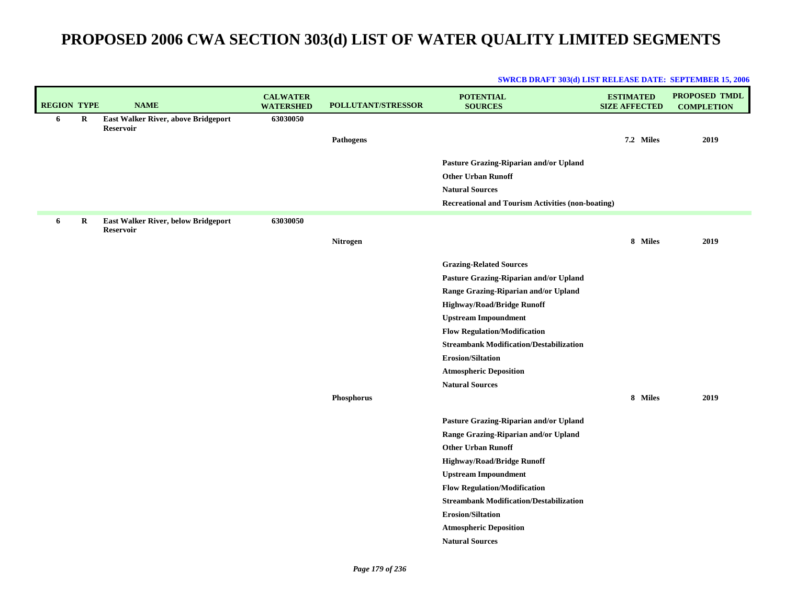| <b>REGION TYPE</b> |          | <b>NAME</b>                                             | <b>CALWATER</b><br><b>WATERSHED</b> | <b>POLLUTANT/STRESSOR</b> | <b>POTENTIAL</b><br><b>SOURCES</b>                       | <b>ESTIMATED</b><br><b>SIZE AFFECTED</b> | <b>PROPOSED TMDL</b><br><b>COMPLETION</b> |
|--------------------|----------|---------------------------------------------------------|-------------------------------------|---------------------------|----------------------------------------------------------|------------------------------------------|-------------------------------------------|
| 6                  | $\bf{R}$ | East Walker River, above Bridgeport<br><b>Reservoir</b> | 63030050                            |                           |                                                          |                                          |                                           |
|                    |          |                                                         |                                     | Pathogens                 |                                                          | 7.2 Miles                                | 2019                                      |
|                    |          |                                                         |                                     |                           |                                                          |                                          |                                           |
|                    |          |                                                         |                                     |                           | Pasture Grazing-Riparian and/or Upland                   |                                          |                                           |
|                    |          |                                                         |                                     |                           | <b>Other Urban Runoff</b>                                |                                          |                                           |
|                    |          |                                                         |                                     |                           | <b>Natural Sources</b>                                   |                                          |                                           |
|                    |          |                                                         |                                     |                           | <b>Recreational and Tourism Activities (non-boating)</b> |                                          |                                           |
| 6                  | R        | East Walker River, below Bridgeport<br><b>Reservoir</b> | 63030050                            |                           |                                                          |                                          |                                           |
|                    |          |                                                         |                                     | Nitrogen                  |                                                          | 8 Miles                                  | 2019                                      |
|                    |          |                                                         |                                     |                           | <b>Grazing-Related Sources</b>                           |                                          |                                           |
|                    |          |                                                         |                                     |                           | Pasture Grazing-Riparian and/or Upland                   |                                          |                                           |
|                    |          |                                                         |                                     |                           | Range Grazing-Riparian and/or Upland                     |                                          |                                           |
|                    |          |                                                         |                                     |                           | <b>Highway/Road/Bridge Runoff</b>                        |                                          |                                           |
|                    |          |                                                         |                                     |                           | <b>Upstream Impoundment</b>                              |                                          |                                           |
|                    |          |                                                         |                                     |                           | <b>Flow Regulation/Modification</b>                      |                                          |                                           |
|                    |          |                                                         |                                     |                           | <b>Streambank Modification/Destabilization</b>           |                                          |                                           |
|                    |          |                                                         |                                     |                           | <b>Erosion/Siltation</b>                                 |                                          |                                           |
|                    |          |                                                         |                                     |                           | <b>Atmospheric Deposition</b>                            |                                          |                                           |
|                    |          |                                                         |                                     |                           | <b>Natural Sources</b>                                   |                                          |                                           |
|                    |          |                                                         |                                     | Phosphorus                |                                                          | 8 Miles                                  | 2019                                      |
|                    |          |                                                         |                                     |                           | Pasture Grazing-Riparian and/or Upland                   |                                          |                                           |
|                    |          |                                                         |                                     |                           | Range Grazing-Riparian and/or Upland                     |                                          |                                           |
|                    |          |                                                         |                                     |                           | <b>Other Urban Runoff</b>                                |                                          |                                           |
|                    |          |                                                         |                                     |                           | <b>Highway/Road/Bridge Runoff</b>                        |                                          |                                           |
|                    |          |                                                         |                                     |                           | <b>Upstream Impoundment</b>                              |                                          |                                           |
|                    |          |                                                         |                                     |                           | <b>Flow Regulation/Modification</b>                      |                                          |                                           |
|                    |          |                                                         |                                     |                           | <b>Streambank Modification/Destabilization</b>           |                                          |                                           |
|                    |          |                                                         |                                     |                           | <b>Erosion/Siltation</b>                                 |                                          |                                           |
|                    |          |                                                         |                                     |                           | <b>Atmospheric Deposition</b>                            |                                          |                                           |
|                    |          |                                                         |                                     |                           | <b>Natural Sources</b>                                   |                                          |                                           |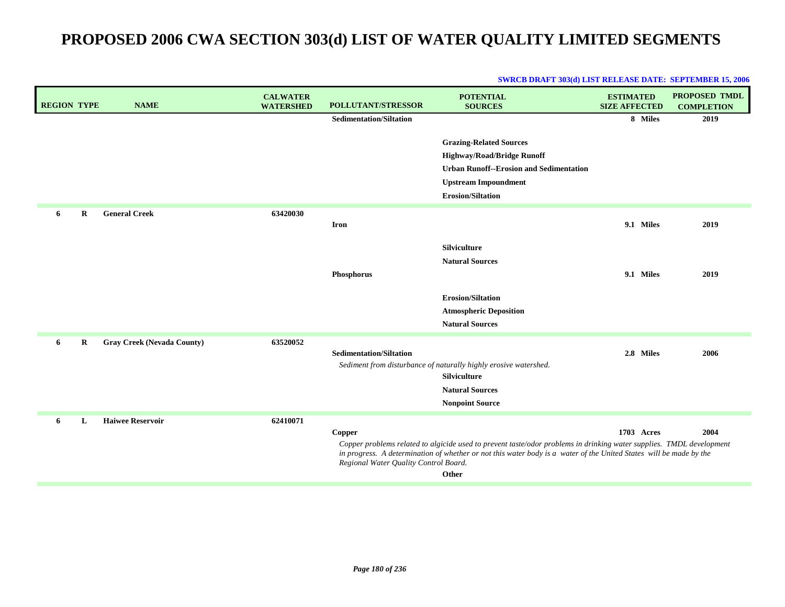| <b>REGION TYPE</b> |          | <b>NAME</b>                       | <b>CALWATER</b><br><b>WATERSHED</b> | POLLUTANT/STRESSOR                              | <b>POTENTIAL</b><br><b>SOURCES</b>                                                                                                                                                                                                                  | <b>ESTIMATED</b><br><b>SIZE AFFECTED</b> | <b>PROPOSED TMDL</b><br><b>COMPLETION</b> |
|--------------------|----------|-----------------------------------|-------------------------------------|-------------------------------------------------|-----------------------------------------------------------------------------------------------------------------------------------------------------------------------------------------------------------------------------------------------------|------------------------------------------|-------------------------------------------|
|                    |          |                                   |                                     | <b>Sedimentation/Siltation</b>                  |                                                                                                                                                                                                                                                     | 8 Miles                                  | 2019                                      |
|                    |          |                                   |                                     |                                                 | <b>Grazing-Related Sources</b><br><b>Highway/Road/Bridge Runoff</b><br><b>Urban Runoff--Erosion and Sedimentation</b><br><b>Upstream Impoundment</b><br><b>Erosion/Siltation</b>                                                                    |                                          |                                           |
| 6                  | $\bf{R}$ | <b>General Creek</b>              | 63420030                            | <b>Iron</b>                                     |                                                                                                                                                                                                                                                     | 9.1 Miles                                | 2019                                      |
|                    |          |                                   |                                     | Phosphorus                                      | Silviculture<br><b>Natural Sources</b><br><b>Erosion/Siltation</b><br><b>Atmospheric Deposition</b><br><b>Natural Sources</b>                                                                                                                       | 9.1 Miles                                | 2019                                      |
| 6                  | R        | <b>Gray Creek (Nevada County)</b> | 63520052                            | <b>Sedimentation/Siltation</b>                  | Sediment from disturbance of naturally highly erosive watershed.<br><b>Silviculture</b><br><b>Natural Sources</b><br><b>Nonpoint Source</b>                                                                                                         | 2.8 Miles                                | 2006                                      |
| 6                  | L        | <b>Haiwee Reservoir</b>           | 62410071                            | Copper<br>Regional Water Quality Control Board. | Copper problems related to algicide used to prevent taste/odor problems in drinking water supplies. TMDL development<br>in progress. A determination of whether or not this water body is a water of the United States will be made by the<br>Other | 1703 Acres                               | 2004                                      |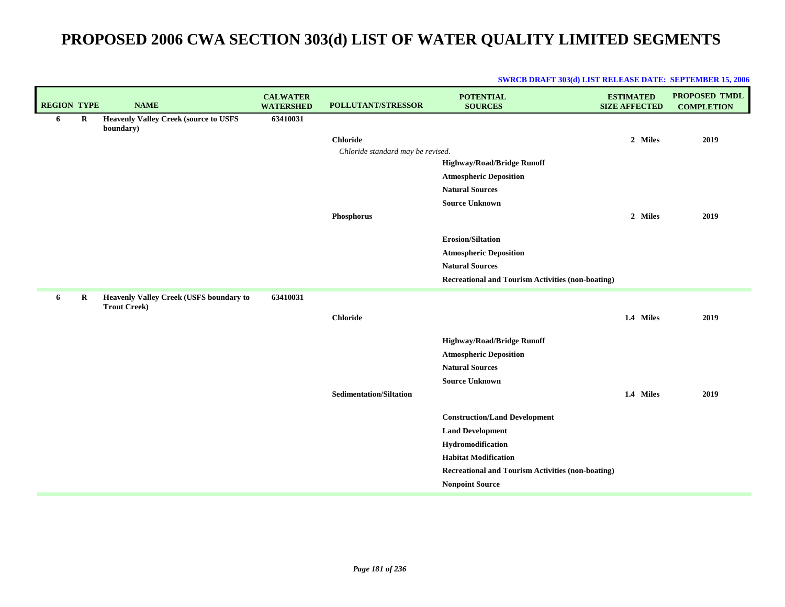| <b>REGION TYPE</b> |   | <b>NAME</b>                                                           | <b>CALWATER</b><br><b>WATERSHED</b> | POLLUTANT/STRESSOR                | <b>POTENTIAL</b><br><b>SOURCES</b>                       | <b>ESTIMATED</b><br><b>SIZE AFFECTED</b> | <b>PROPOSED TMDL</b><br><b>COMPLETION</b> |
|--------------------|---|-----------------------------------------------------------------------|-------------------------------------|-----------------------------------|----------------------------------------------------------|------------------------------------------|-------------------------------------------|
| 6                  | R | <b>Heavenly Valley Creek (source to USFS</b><br>boundary)             | 63410031                            |                                   |                                                          |                                          |                                           |
|                    |   |                                                                       |                                     | <b>Chloride</b>                   |                                                          | 2 Miles                                  | 2019                                      |
|                    |   |                                                                       |                                     | Chloride standard may be revised. |                                                          |                                          |                                           |
|                    |   |                                                                       |                                     |                                   | <b>Highway/Road/Bridge Runoff</b>                        |                                          |                                           |
|                    |   |                                                                       |                                     |                                   | <b>Atmospheric Deposition</b>                            |                                          |                                           |
|                    |   |                                                                       |                                     |                                   | <b>Natural Sources</b>                                   |                                          |                                           |
|                    |   |                                                                       |                                     |                                   | <b>Source Unknown</b>                                    |                                          |                                           |
|                    |   |                                                                       |                                     | Phosphorus                        |                                                          | 2 Miles                                  | 2019                                      |
|                    |   |                                                                       |                                     |                                   | <b>Erosion/Siltation</b>                                 |                                          |                                           |
|                    |   |                                                                       |                                     |                                   | <b>Atmospheric Deposition</b>                            |                                          |                                           |
|                    |   |                                                                       |                                     |                                   | <b>Natural Sources</b>                                   |                                          |                                           |
|                    |   |                                                                       |                                     |                                   | <b>Recreational and Tourism Activities (non-boating)</b> |                                          |                                           |
| 6                  | R | <b>Heavenly Valley Creek (USFS boundary to</b><br><b>Trout Creek)</b> | 63410031                            |                                   |                                                          |                                          |                                           |
|                    |   |                                                                       |                                     | <b>Chloride</b>                   |                                                          | 1.4 Miles                                | 2019                                      |
|                    |   |                                                                       |                                     |                                   | <b>Highway/Road/Bridge Runoff</b>                        |                                          |                                           |
|                    |   |                                                                       |                                     |                                   | <b>Atmospheric Deposition</b>                            |                                          |                                           |
|                    |   |                                                                       |                                     |                                   | <b>Natural Sources</b>                                   |                                          |                                           |
|                    |   |                                                                       |                                     |                                   | <b>Source Unknown</b>                                    |                                          |                                           |
|                    |   |                                                                       |                                     | <b>Sedimentation/Siltation</b>    |                                                          | 1.4 Miles                                | 2019                                      |
|                    |   |                                                                       |                                     |                                   | <b>Construction/Land Development</b>                     |                                          |                                           |
|                    |   |                                                                       |                                     |                                   | <b>Land Development</b>                                  |                                          |                                           |
|                    |   |                                                                       |                                     |                                   | Hydromodification                                        |                                          |                                           |
|                    |   |                                                                       |                                     |                                   | <b>Habitat Modification</b>                              |                                          |                                           |
|                    |   |                                                                       |                                     |                                   | <b>Recreational and Tourism Activities (non-boating)</b> |                                          |                                           |
|                    |   |                                                                       |                                     |                                   | <b>Nonpoint Source</b>                                   |                                          |                                           |
|                    |   |                                                                       |                                     |                                   |                                                          |                                          |                                           |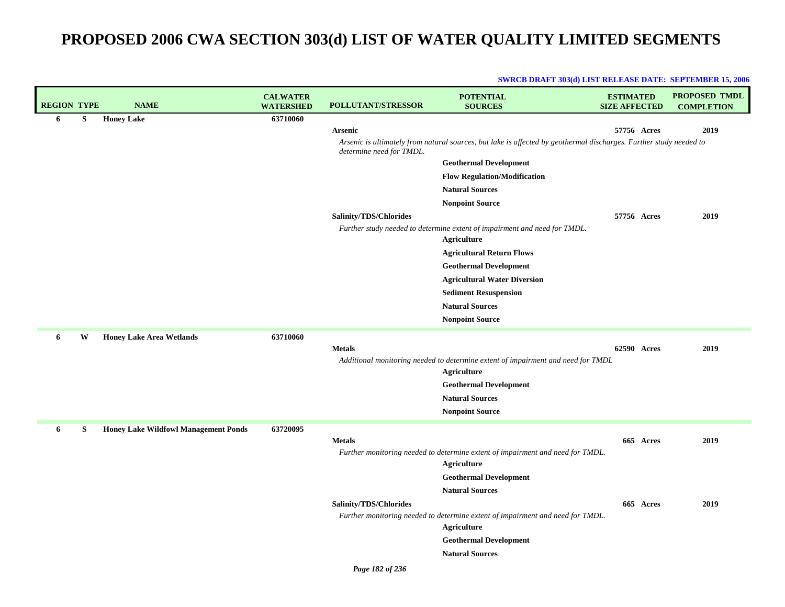| <b>REGION TYPE</b> |   | <b>NAME</b>                                 | <b>CALWATER</b><br><b>WATERSHED</b> | <b>POLLUTANT/STRESSOR</b> | <b>POTENTIAL</b><br><b>SOURCES</b>                                                                                 | <b>ESTIMATED</b><br><b>SIZE AFFECTED</b> | <b>PROPOSED TMDL</b><br><b>COMPLETION</b> |
|--------------------|---|---------------------------------------------|-------------------------------------|---------------------------|--------------------------------------------------------------------------------------------------------------------|------------------------------------------|-------------------------------------------|
| 6                  | S | <b>Honey Lake</b>                           | 63710060                            |                           |                                                                                                                    |                                          |                                           |
|                    |   |                                             |                                     | <b>Arsenic</b>            |                                                                                                                    | 57756 Acres                              | 2019                                      |
|                    |   |                                             |                                     | determine need for TMDL.  | Arsenic is ultimately from natural sources, but lake is affected by geothermal discharges. Further study needed to |                                          |                                           |
|                    |   |                                             |                                     |                           | <b>Geothermal Development</b>                                                                                      |                                          |                                           |
|                    |   |                                             |                                     |                           | <b>Flow Regulation/Modification</b>                                                                                |                                          |                                           |
|                    |   |                                             |                                     |                           | <b>Natural Sources</b>                                                                                             |                                          |                                           |
|                    |   |                                             |                                     |                           | <b>Nonpoint Source</b>                                                                                             |                                          |                                           |
|                    |   |                                             |                                     | Salinity/TDS/Chlorides    |                                                                                                                    | 57756 Acres                              | 2019                                      |
|                    |   |                                             |                                     |                           | Further study needed to determine extent of impairment and need for TMDL.                                          |                                          |                                           |
|                    |   |                                             |                                     |                           | <b>Agriculture</b>                                                                                                 |                                          |                                           |
|                    |   |                                             |                                     |                           | <b>Agricultural Return Flows</b>                                                                                   |                                          |                                           |
|                    |   |                                             |                                     |                           | <b>Geothermal Development</b>                                                                                      |                                          |                                           |
|                    |   |                                             |                                     |                           | <b>Agricultural Water Diversion</b>                                                                                |                                          |                                           |
|                    |   |                                             |                                     |                           | <b>Sediment Resuspension</b>                                                                                       |                                          |                                           |
|                    |   |                                             |                                     |                           | <b>Natural Sources</b>                                                                                             |                                          |                                           |
|                    |   |                                             |                                     |                           | <b>Nonpoint Source</b>                                                                                             |                                          |                                           |
| 6                  | W | <b>Honey Lake Area Wetlands</b>             | 63710060                            |                           |                                                                                                                    |                                          |                                           |
|                    |   |                                             |                                     | <b>Metals</b>             |                                                                                                                    | 62590 Acres                              | 2019                                      |
|                    |   |                                             |                                     |                           | Additional monitoring needed to determine extent of impairment and need for TMDL                                   |                                          |                                           |
|                    |   |                                             |                                     |                           | <b>Agriculture</b>                                                                                                 |                                          |                                           |
|                    |   |                                             |                                     |                           | <b>Geothermal Development</b>                                                                                      |                                          |                                           |
|                    |   |                                             |                                     |                           | <b>Natural Sources</b>                                                                                             |                                          |                                           |
|                    |   |                                             |                                     |                           | <b>Nonpoint Source</b>                                                                                             |                                          |                                           |
| 6                  | S | <b>Honey Lake Wildfowl Management Ponds</b> | 63720095                            |                           |                                                                                                                    |                                          |                                           |
|                    |   |                                             |                                     | <b>Metals</b>             |                                                                                                                    | 665 Acres                                | 2019                                      |
|                    |   |                                             |                                     |                           | Further monitoring needed to determine extent of impairment and need for TMDL.                                     |                                          |                                           |
|                    |   |                                             |                                     |                           | <b>Agriculture</b>                                                                                                 |                                          |                                           |
|                    |   |                                             |                                     |                           | <b>Geothermal Development</b>                                                                                      |                                          |                                           |
|                    |   |                                             |                                     |                           | <b>Natural Sources</b>                                                                                             |                                          |                                           |
|                    |   |                                             |                                     | Salinity/TDS/Chlorides    |                                                                                                                    | 665 Acres                                | 2019                                      |
|                    |   |                                             |                                     |                           | Further monitoring needed to determine extent of impairment and need for TMDL.<br>Agriculture                      |                                          |                                           |
|                    |   |                                             |                                     |                           | <b>Geothermal Development</b>                                                                                      |                                          |                                           |
|                    |   |                                             |                                     |                           | <b>Natural Sources</b>                                                                                             |                                          |                                           |
|                    |   |                                             |                                     |                           |                                                                                                                    |                                          |                                           |
|                    |   |                                             |                                     | Page 182 of 236           |                                                                                                                    |                                          |                                           |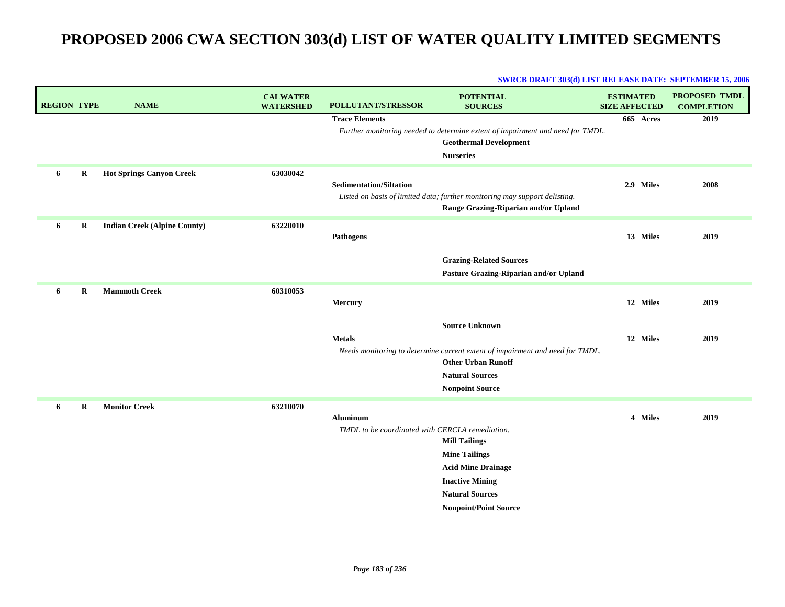| <b>REGION TYPE</b> |   | <b>NAME</b>                         | <b>CALWATER</b><br><b>WATERSHED</b> | <b>POLLUTANT/STRESSOR</b>                                          | <b>POTENTIAL</b><br><b>SOURCES</b>                                                                                 | <b>ESTIMATED</b><br><b>SIZE AFFECTED</b> | <b>PROPOSED TMDL</b><br><b>COMPLETION</b> |
|--------------------|---|-------------------------------------|-------------------------------------|--------------------------------------------------------------------|--------------------------------------------------------------------------------------------------------------------|------------------------------------------|-------------------------------------------|
|                    |   |                                     |                                     | <b>Trace Elements</b>                                              |                                                                                                                    | 665 Acres                                | 2019                                      |
|                    |   |                                     |                                     |                                                                    | Further monitoring needed to determine extent of impairment and need for TMDL.<br><b>Geothermal Development</b>    |                                          |                                           |
|                    |   |                                     |                                     |                                                                    | <b>Nurseries</b>                                                                                                   |                                          |                                           |
| 6                  | R | <b>Hot Springs Canyon Creek</b>     | 63030042                            |                                                                    |                                                                                                                    |                                          |                                           |
|                    |   |                                     |                                     | <b>Sedimentation/Siltation</b>                                     |                                                                                                                    | 2.9 Miles                                | 2008                                      |
|                    |   |                                     |                                     |                                                                    | Listed on basis of limited data; further monitoring may support delisting.<br>Range Grazing-Riparian and/or Upland |                                          |                                           |
| 6                  | R | <b>Indian Creek (Alpine County)</b> | 63220010                            |                                                                    |                                                                                                                    |                                          |                                           |
|                    |   |                                     |                                     | <b>Pathogens</b>                                                   |                                                                                                                    | 13 Miles                                 | 2019                                      |
|                    |   |                                     |                                     |                                                                    | <b>Grazing-Related Sources</b>                                                                                     |                                          |                                           |
|                    |   |                                     |                                     |                                                                    | Pasture Grazing-Riparian and/or Upland                                                                             |                                          |                                           |
| 6                  | R | <b>Mammoth Creek</b>                | 60310053                            |                                                                    |                                                                                                                    |                                          |                                           |
|                    |   |                                     |                                     | <b>Mercury</b>                                                     |                                                                                                                    | 12 Miles                                 | 2019                                      |
|                    |   |                                     |                                     |                                                                    | <b>Source Unknown</b>                                                                                              |                                          |                                           |
|                    |   |                                     |                                     | <b>Metals</b>                                                      |                                                                                                                    | 12 Miles                                 | 2019                                      |
|                    |   |                                     |                                     |                                                                    | Needs monitoring to determine current extent of impairment and need for TMDL.<br><b>Other Urban Runoff</b>         |                                          |                                           |
|                    |   |                                     |                                     |                                                                    | <b>Natural Sources</b>                                                                                             |                                          |                                           |
|                    |   |                                     |                                     |                                                                    | <b>Nonpoint Source</b>                                                                                             |                                          |                                           |
| 6                  | R | <b>Monitor Creek</b>                | 63210070                            |                                                                    |                                                                                                                    |                                          |                                           |
|                    |   |                                     |                                     | <b>Aluminum</b><br>TMDL to be coordinated with CERCLA remediation. |                                                                                                                    | 4 Miles                                  | 2019                                      |
|                    |   |                                     |                                     |                                                                    | <b>Mill Tailings</b>                                                                                               |                                          |                                           |
|                    |   |                                     |                                     |                                                                    | <b>Mine Tailings</b>                                                                                               |                                          |                                           |
|                    |   |                                     |                                     |                                                                    | <b>Acid Mine Drainage</b>                                                                                          |                                          |                                           |
|                    |   |                                     |                                     |                                                                    | <b>Inactive Mining</b>                                                                                             |                                          |                                           |
|                    |   |                                     |                                     |                                                                    | <b>Natural Sources</b>                                                                                             |                                          |                                           |
|                    |   |                                     |                                     |                                                                    | <b>Nonpoint/Point Source</b>                                                                                       |                                          |                                           |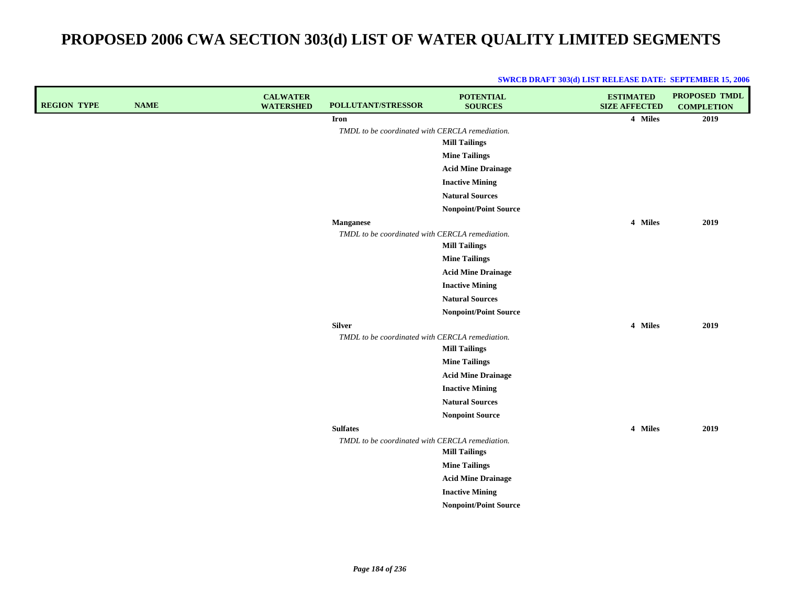| <b>REGION TYPE</b> | <b>NAME</b> | <b>CALWATER</b><br><b>WATERSHED</b> | <b>POLLUTANT/STRESSOR</b>                       | <b>POTENTIAL</b><br><b>SOURCES</b> | <b>ESTIMATED</b><br><b>SIZE AFFECTED</b> | <b>PROPOSED TMDL</b><br><b>COMPLETION</b> |
|--------------------|-------------|-------------------------------------|-------------------------------------------------|------------------------------------|------------------------------------------|-------------------------------------------|
|                    |             |                                     | Iron                                            |                                    | 4 Miles                                  | 2019                                      |
|                    |             |                                     | TMDL to be coordinated with CERCLA remediation. |                                    |                                          |                                           |
|                    |             |                                     |                                                 | <b>Mill Tailings</b>               |                                          |                                           |
|                    |             |                                     |                                                 | <b>Mine Tailings</b>               |                                          |                                           |
|                    |             |                                     |                                                 | <b>Acid Mine Drainage</b>          |                                          |                                           |
|                    |             |                                     |                                                 | <b>Inactive Mining</b>             |                                          |                                           |
|                    |             |                                     |                                                 | <b>Natural Sources</b>             |                                          |                                           |
|                    |             |                                     |                                                 | <b>Nonpoint/Point Source</b>       |                                          |                                           |
|                    |             |                                     | <b>Manganese</b>                                |                                    | 4 Miles                                  | 2019                                      |
|                    |             |                                     | TMDL to be coordinated with CERCLA remediation. | <b>Mill Tailings</b>               |                                          |                                           |
|                    |             |                                     |                                                 | <b>Mine Tailings</b>               |                                          |                                           |
|                    |             |                                     |                                                 | <b>Acid Mine Drainage</b>          |                                          |                                           |
|                    |             |                                     |                                                 | <b>Inactive Mining</b>             |                                          |                                           |
|                    |             |                                     |                                                 | <b>Natural Sources</b>             |                                          |                                           |
|                    |             |                                     |                                                 | <b>Nonpoint/Point Source</b>       |                                          |                                           |
|                    |             |                                     | <b>Silver</b>                                   |                                    | 4 Miles                                  | 2019                                      |
|                    |             |                                     | TMDL to be coordinated with CERCLA remediation. |                                    |                                          |                                           |
|                    |             |                                     |                                                 | <b>Mill Tailings</b>               |                                          |                                           |
|                    |             |                                     |                                                 | <b>Mine Tailings</b>               |                                          |                                           |
|                    |             |                                     |                                                 | <b>Acid Mine Drainage</b>          |                                          |                                           |
|                    |             |                                     |                                                 | <b>Inactive Mining</b>             |                                          |                                           |
|                    |             |                                     |                                                 | <b>Natural Sources</b>             |                                          |                                           |
|                    |             |                                     |                                                 | <b>Nonpoint Source</b>             |                                          |                                           |
|                    |             |                                     | <b>Sulfates</b>                                 |                                    | 4 Miles                                  | 2019                                      |
|                    |             |                                     | TMDL to be coordinated with CERCLA remediation. |                                    |                                          |                                           |
|                    |             |                                     |                                                 | <b>Mill Tailings</b>               |                                          |                                           |
|                    |             |                                     |                                                 | <b>Mine Tailings</b>               |                                          |                                           |
|                    |             |                                     |                                                 | <b>Acid Mine Drainage</b>          |                                          |                                           |
|                    |             |                                     |                                                 | <b>Inactive Mining</b>             |                                          |                                           |
|                    |             |                                     |                                                 | <b>Nonpoint/Point Source</b>       |                                          |                                           |
|                    |             |                                     |                                                 |                                    |                                          |                                           |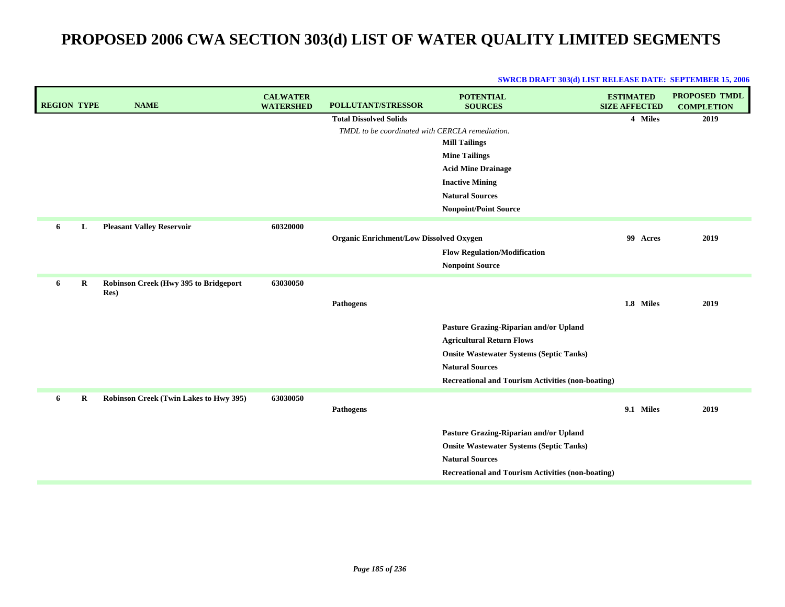| <b>REGION TYPE</b> | <b>NAME</b>                            | <b>CALWATER</b><br><b>WATERSHED</b> | <b>POLLUTANT/STRESSOR</b>                       | <b>POTENTIAL</b><br><b>SOURCES</b>                                        | <b>ESTIMATED</b><br><b>SIZE AFFECTED</b> | <b>PROPOSED TMDL</b><br><b>COMPLETION</b> |
|--------------------|----------------------------------------|-------------------------------------|-------------------------------------------------|---------------------------------------------------------------------------|------------------------------------------|-------------------------------------------|
|                    |                                        |                                     | <b>Total Dissolved Solids</b>                   |                                                                           | 4 Miles                                  | 2019                                      |
|                    |                                        |                                     | TMDL to be coordinated with CERCLA remediation. |                                                                           |                                          |                                           |
|                    |                                        |                                     |                                                 | <b>Mill Tailings</b>                                                      |                                          |                                           |
|                    |                                        |                                     |                                                 | <b>Mine Tailings</b>                                                      |                                          |                                           |
|                    |                                        |                                     |                                                 | <b>Acid Mine Drainage</b>                                                 |                                          |                                           |
|                    |                                        |                                     |                                                 | <b>Inactive Mining</b>                                                    |                                          |                                           |
|                    |                                        |                                     |                                                 | <b>Natural Sources</b>                                                    |                                          |                                           |
|                    |                                        |                                     |                                                 | <b>Nonpoint/Point Source</b>                                              |                                          |                                           |
| 6<br>L             | <b>Pleasant Valley Reservoir</b>       | 60320000                            |                                                 |                                                                           |                                          |                                           |
|                    |                                        |                                     | <b>Organic Enrichment/Low Dissolved Oxygen</b>  |                                                                           | 99 Acres                                 | 2019                                      |
|                    |                                        |                                     |                                                 | <b>Flow Regulation/Modification</b>                                       |                                          |                                           |
|                    |                                        |                                     |                                                 | <b>Nonpoint Source</b>                                                    |                                          |                                           |
| 6<br>R             | Robinson Creek (Hwy 395 to Bridgeport  | 63030050                            |                                                 |                                                                           |                                          |                                           |
|                    | Res)                                   |                                     | Pathogens                                       |                                                                           | 1.8 Miles                                | 2019                                      |
|                    |                                        |                                     |                                                 |                                                                           |                                          |                                           |
|                    |                                        |                                     |                                                 | Pasture Grazing-Riparian and/or Upland                                    |                                          |                                           |
|                    |                                        |                                     |                                                 | <b>Agricultural Return Flows</b>                                          |                                          |                                           |
|                    |                                        |                                     |                                                 | <b>Onsite Wastewater Systems (Septic Tanks)</b>                           |                                          |                                           |
|                    |                                        |                                     |                                                 | <b>Natural Sources</b>                                                    |                                          |                                           |
|                    |                                        |                                     |                                                 | <b>Recreational and Tourism Activities (non-boating)</b>                  |                                          |                                           |
| 6<br>R             | Robinson Creek (Twin Lakes to Hwy 395) | 63030050                            |                                                 |                                                                           |                                          |                                           |
|                    |                                        |                                     | <b>Pathogens</b>                                |                                                                           | 9.1 Miles                                | 2019                                      |
|                    |                                        |                                     |                                                 |                                                                           |                                          |                                           |
|                    |                                        |                                     |                                                 | Pasture Grazing-Riparian and/or Upland                                    |                                          |                                           |
|                    |                                        |                                     |                                                 | <b>Onsite Wastewater Systems (Septic Tanks)</b><br><b>Natural Sources</b> |                                          |                                           |
|                    |                                        |                                     |                                                 | <b>Recreational and Tourism Activities (non-boating)</b>                  |                                          |                                           |
|                    |                                        |                                     |                                                 |                                                                           |                                          |                                           |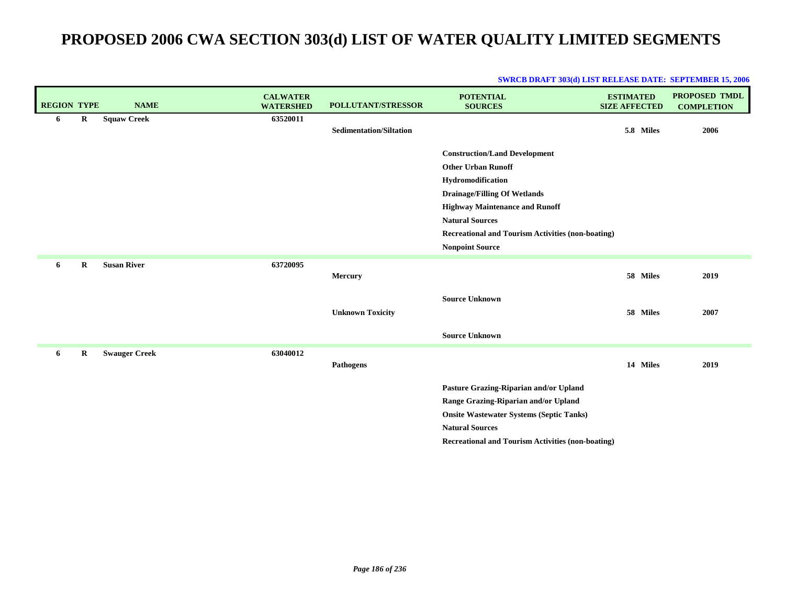| <b>REGION TYPE</b> |         | <b>NAME</b>          | <b>CALWATER</b><br><b>WATERSHED</b> | POLLUTANT/STRESSOR             | <b>POTENTIAL</b><br><b>SOURCES</b>                                                                                                                                                                                                                                                     | <b>ESTIMATED</b><br><b>SIZE AFFECTED</b> | <b>PROPOSED TMDL</b><br><b>COMPLETION</b> |
|--------------------|---------|----------------------|-------------------------------------|--------------------------------|----------------------------------------------------------------------------------------------------------------------------------------------------------------------------------------------------------------------------------------------------------------------------------------|------------------------------------------|-------------------------------------------|
| 6                  | R       | <b>Squaw Creek</b>   | 63520011                            | <b>Sedimentation/Siltation</b> |                                                                                                                                                                                                                                                                                        | 5.8 Miles                                | 2006                                      |
|                    |         |                      |                                     |                                | <b>Construction/Land Development</b><br><b>Other Urban Runoff</b><br>Hydromodification<br><b>Drainage/Filling Of Wetlands</b><br><b>Highway Maintenance and Runoff</b><br><b>Natural Sources</b><br><b>Recreational and Tourism Activities (non-boating)</b><br><b>Nonpoint Source</b> |                                          |                                           |
| 6                  | $\bf R$ | <b>Susan River</b>   | 63720095                            | <b>Mercury</b>                 |                                                                                                                                                                                                                                                                                        | 58 Miles                                 | 2019                                      |
|                    |         |                      |                                     | <b>Unknown Toxicity</b>        | <b>Source Unknown</b>                                                                                                                                                                                                                                                                  | 58 Miles                                 | 2007                                      |
| 6                  | $\bf R$ | <b>Swauger Creek</b> | 63040012                            |                                | <b>Source Unknown</b>                                                                                                                                                                                                                                                                  |                                          |                                           |
|                    |         |                      |                                     | <b>Pathogens</b>               |                                                                                                                                                                                                                                                                                        | 14 Miles                                 | 2019                                      |
|                    |         |                      |                                     |                                | Pasture Grazing-Riparian and/or Upland<br>Range Grazing-Riparian and/or Upland<br><b>Onsite Wastewater Systems (Septic Tanks)</b><br><b>Natural Sources</b><br><b>Recreational and Tourism Activities (non-boating)</b>                                                                |                                          |                                           |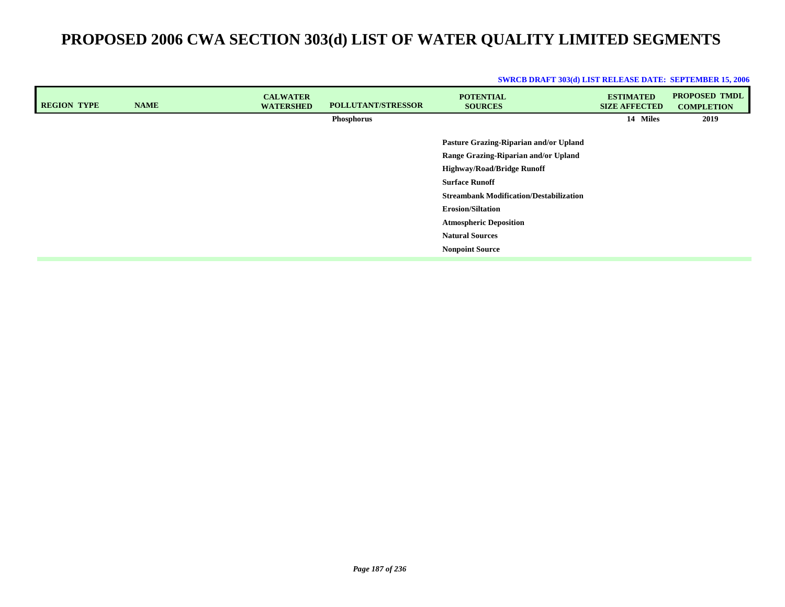| <b>REGION TYPE</b> | <b>NAME</b> | <b>CALWATER</b><br><b>WATERSHED</b> | POLLUTANT/STRESSOR | <b>POTENTIAL</b><br><b>SOURCES</b>                                                                                                                                                                                                                                                                              | <b>ESTIMATED</b><br><b>SIZE AFFECTED</b> | <b>PROPOSED TMDL</b><br><b>COMPLETION</b> |
|--------------------|-------------|-------------------------------------|--------------------|-----------------------------------------------------------------------------------------------------------------------------------------------------------------------------------------------------------------------------------------------------------------------------------------------------------------|------------------------------------------|-------------------------------------------|
|                    |             |                                     | Phosphorus         |                                                                                                                                                                                                                                                                                                                 | 14 Miles                                 | 2019                                      |
|                    |             |                                     |                    | Pasture Grazing-Riparian and/or Upland<br>Range Grazing-Riparian and/or Upland<br><b>Highway/Road/Bridge Runoff</b><br><b>Surface Runoff</b><br><b>Streambank Modification/Destabilization</b><br><b>Erosion/Siltation</b><br><b>Atmospheric Deposition</b><br><b>Natural Sources</b><br><b>Nonpoint Source</b> |                                          |                                           |
|                    |             |                                     |                    |                                                                                                                                                                                                                                                                                                                 |                                          |                                           |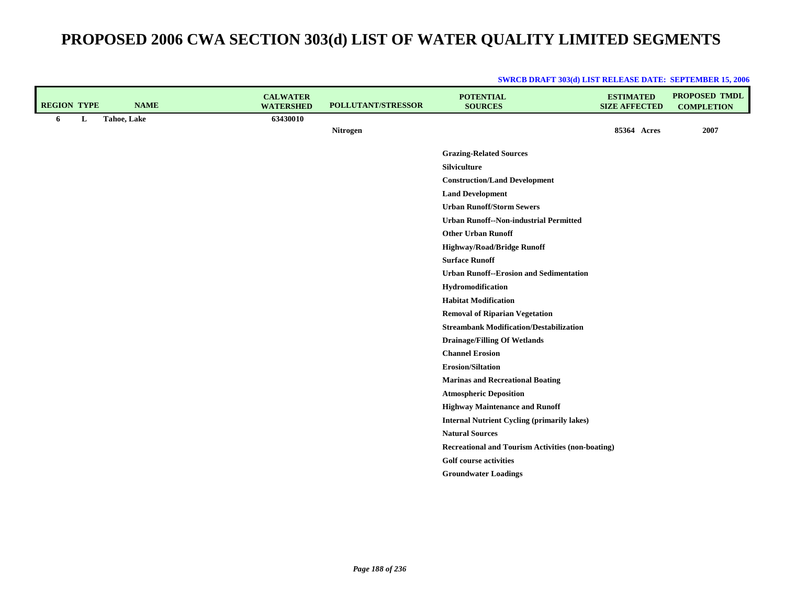| <b>REGION TYPE</b> |   | <b>NAME</b> | <b>CALWATER</b><br><b>WATERSHED</b> | POLLUTANT/STRESSOR | <b>POTENTIAL</b><br><b>SOURCES</b>                       | <b>ESTIMATED</b><br><b>SIZE AFFECTED</b> | <b>PROPOSED TMDL</b><br><b>COMPLETION</b> |
|--------------------|---|-------------|-------------------------------------|--------------------|----------------------------------------------------------|------------------------------------------|-------------------------------------------|
| 6                  | L | Tahoe, Lake | 63430010                            |                    |                                                          |                                          |                                           |
|                    |   |             |                                     | Nitrogen           |                                                          | 85364 Acres                              | 2007                                      |
|                    |   |             |                                     |                    | <b>Grazing-Related Sources</b>                           |                                          |                                           |
|                    |   |             |                                     |                    | Silviculture                                             |                                          |                                           |
|                    |   |             |                                     |                    | <b>Construction/Land Development</b>                     |                                          |                                           |
|                    |   |             |                                     |                    | <b>Land Development</b>                                  |                                          |                                           |
|                    |   |             |                                     |                    | <b>Urban Runoff/Storm Sewers</b>                         |                                          |                                           |
|                    |   |             |                                     |                    | <b>Urban Runoff--Non-industrial Permitted</b>            |                                          |                                           |
|                    |   |             |                                     |                    | <b>Other Urban Runoff</b>                                |                                          |                                           |
|                    |   |             |                                     |                    | <b>Highway/Road/Bridge Runoff</b>                        |                                          |                                           |
|                    |   |             |                                     |                    | <b>Surface Runoff</b>                                    |                                          |                                           |
|                    |   |             |                                     |                    | <b>Urban Runoff--Erosion and Sedimentation</b>           |                                          |                                           |
|                    |   |             |                                     |                    | Hydromodification                                        |                                          |                                           |
|                    |   |             |                                     |                    | <b>Habitat Modification</b>                              |                                          |                                           |
|                    |   |             |                                     |                    | <b>Removal of Riparian Vegetation</b>                    |                                          |                                           |
|                    |   |             |                                     |                    | <b>Streambank Modification/Destabilization</b>           |                                          |                                           |
|                    |   |             |                                     |                    | <b>Drainage/Filling Of Wetlands</b>                      |                                          |                                           |
|                    |   |             |                                     |                    | <b>Channel Erosion</b>                                   |                                          |                                           |
|                    |   |             |                                     |                    | <b>Erosion/Siltation</b>                                 |                                          |                                           |
|                    |   |             |                                     |                    | <b>Marinas and Recreational Boating</b>                  |                                          |                                           |
|                    |   |             |                                     |                    | <b>Atmospheric Deposition</b>                            |                                          |                                           |
|                    |   |             |                                     |                    | <b>Highway Maintenance and Runoff</b>                    |                                          |                                           |
|                    |   |             |                                     |                    | <b>Internal Nutrient Cycling (primarily lakes)</b>       |                                          |                                           |
|                    |   |             |                                     |                    | <b>Natural Sources</b>                                   |                                          |                                           |
|                    |   |             |                                     |                    | <b>Recreational and Tourism Activities (non-boating)</b> |                                          |                                           |
|                    |   |             |                                     |                    | <b>Golf course activities</b>                            |                                          |                                           |
|                    |   |             |                                     |                    | <b>Groundwater Loadings</b>                              |                                          |                                           |
|                    |   |             |                                     |                    |                                                          |                                          |                                           |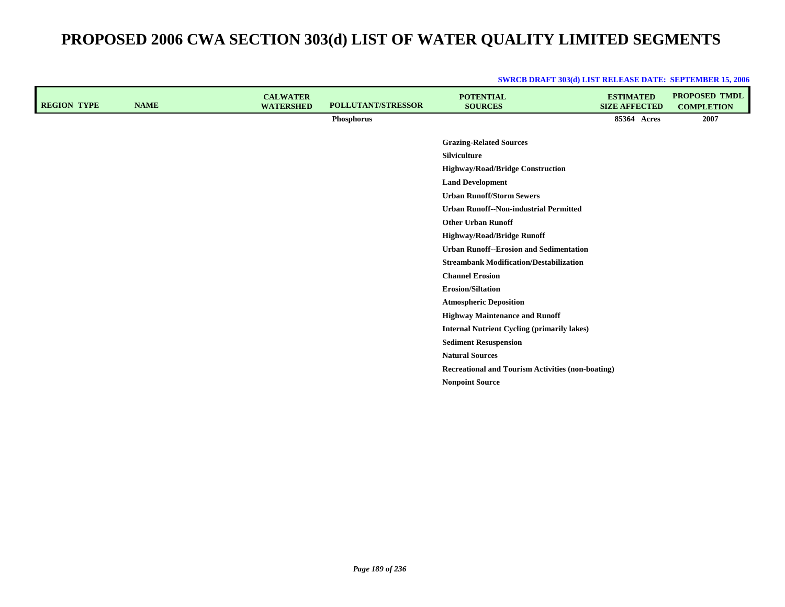| <b>REGION TYPE</b> | <b>NAME</b> | <b>CALWATER</b><br><b>WATERSHED</b> | POLLUTANT/STRESSOR | <b>POTENTIAL</b><br><b>SOURCES</b>                       | <b>ESTIMATED</b><br><b>SIZE AFFECTED</b> | <b>PROPOSED TMDL</b><br><b>COMPLETION</b> |
|--------------------|-------------|-------------------------------------|--------------------|----------------------------------------------------------|------------------------------------------|-------------------------------------------|
|                    |             |                                     | Phosphorus         |                                                          | 85364 Acres                              | 2007                                      |
|                    |             |                                     |                    |                                                          |                                          |                                           |
|                    |             |                                     |                    | <b>Grazing-Related Sources</b>                           |                                          |                                           |
|                    |             |                                     |                    | <b>Silviculture</b>                                      |                                          |                                           |
|                    |             |                                     |                    | <b>Highway/Road/Bridge Construction</b>                  |                                          |                                           |
|                    |             |                                     |                    | <b>Land Development</b>                                  |                                          |                                           |
|                    |             |                                     |                    | <b>Urban Runoff/Storm Sewers</b>                         |                                          |                                           |
|                    |             |                                     |                    | <b>Urban Runoff--Non-industrial Permitted</b>            |                                          |                                           |
|                    |             |                                     |                    | <b>Other Urban Runoff</b>                                |                                          |                                           |
|                    |             |                                     |                    | <b>Highway/Road/Bridge Runoff</b>                        |                                          |                                           |
|                    |             |                                     |                    | <b>Urban Runoff--Erosion and Sedimentation</b>           |                                          |                                           |
|                    |             |                                     |                    | <b>Streambank Modification/Destabilization</b>           |                                          |                                           |
|                    |             |                                     |                    | <b>Channel Erosion</b>                                   |                                          |                                           |
|                    |             |                                     |                    | <b>Erosion/Siltation</b>                                 |                                          |                                           |
|                    |             |                                     |                    | <b>Atmospheric Deposition</b>                            |                                          |                                           |
|                    |             |                                     |                    | <b>Highway Maintenance and Runoff</b>                    |                                          |                                           |
|                    |             |                                     |                    | <b>Internal Nutrient Cycling (primarily lakes)</b>       |                                          |                                           |
|                    |             |                                     |                    | <b>Sediment Resuspension</b>                             |                                          |                                           |
|                    |             |                                     |                    | <b>Natural Sources</b>                                   |                                          |                                           |
|                    |             |                                     |                    | <b>Recreational and Tourism Activities (non-boating)</b> |                                          |                                           |
|                    |             |                                     |                    | <b>Nonpoint Source</b>                                   |                                          |                                           |
|                    |             |                                     |                    |                                                          |                                          |                                           |
|                    |             |                                     |                    |                                                          |                                          |                                           |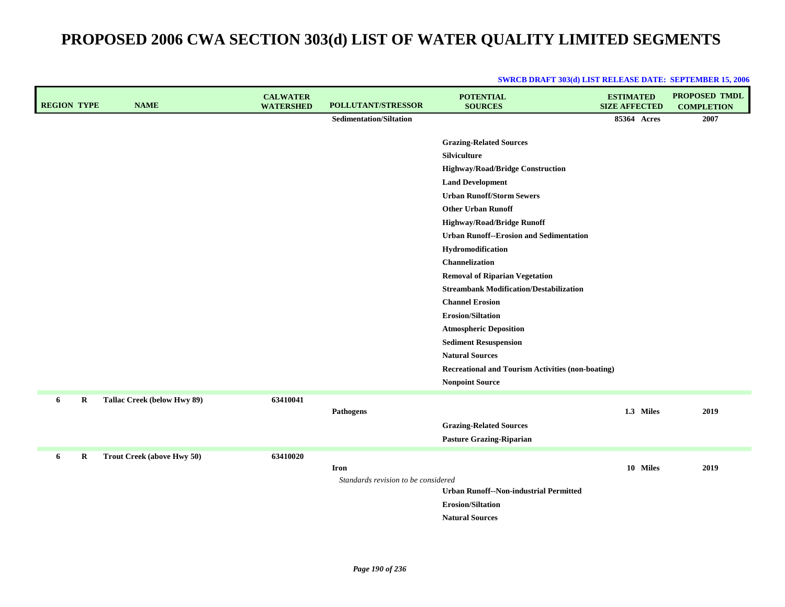| <b>REGION TYPE</b> |   | <b>NAME</b>                       | <b>CALWATER</b><br><b>WATERSHED</b> | POLLUTANT/STRESSOR                  | <b>POTENTIAL</b><br><b>SOURCES</b>                                  | <b>ESTIMATED</b><br><b>SIZE AFFECTED</b> | PROPOSED TMDL<br><b>COMPLETION</b> |
|--------------------|---|-----------------------------------|-------------------------------------|-------------------------------------|---------------------------------------------------------------------|------------------------------------------|------------------------------------|
|                    |   |                                   |                                     | <b>Sedimentation/Siltation</b>      |                                                                     | 85364 Acres                              | 2007                               |
|                    |   |                                   |                                     |                                     |                                                                     |                                          |                                    |
|                    |   |                                   |                                     |                                     | <b>Grazing-Related Sources</b>                                      |                                          |                                    |
|                    |   |                                   |                                     |                                     | <b>Silviculture</b>                                                 |                                          |                                    |
|                    |   |                                   |                                     |                                     | Highway/Road/Bridge Construction                                    |                                          |                                    |
|                    |   |                                   |                                     |                                     | <b>Land Development</b>                                             |                                          |                                    |
|                    |   |                                   |                                     |                                     | <b>Urban Runoff/Storm Sewers</b>                                    |                                          |                                    |
|                    |   |                                   |                                     |                                     | <b>Other Urban Runoff</b>                                           |                                          |                                    |
|                    |   |                                   |                                     |                                     | <b>Highway/Road/Bridge Runoff</b>                                   |                                          |                                    |
|                    |   |                                   |                                     |                                     | <b>Urban Runoff--Erosion and Sedimentation</b><br>Hydromodification |                                          |                                    |
|                    |   |                                   |                                     |                                     |                                                                     |                                          |                                    |
|                    |   |                                   |                                     |                                     | Channelization<br><b>Removal of Riparian Vegetation</b>             |                                          |                                    |
|                    |   |                                   |                                     |                                     | <b>Streambank Modification/Destabilization</b>                      |                                          |                                    |
|                    |   |                                   |                                     |                                     | <b>Channel Erosion</b>                                              |                                          |                                    |
|                    |   |                                   |                                     |                                     | <b>Erosion/Siltation</b>                                            |                                          |                                    |
|                    |   |                                   |                                     |                                     | <b>Atmospheric Deposition</b>                                       |                                          |                                    |
|                    |   |                                   |                                     |                                     | <b>Sediment Resuspension</b>                                        |                                          |                                    |
|                    |   |                                   |                                     |                                     | <b>Natural Sources</b>                                              |                                          |                                    |
|                    |   |                                   |                                     |                                     | <b>Recreational and Tourism Activities (non-boating)</b>            |                                          |                                    |
|                    |   |                                   |                                     |                                     | <b>Nonpoint Source</b>                                              |                                          |                                    |
|                    |   |                                   |                                     |                                     |                                                                     |                                          |                                    |
| 6                  | R | Tallac Creek (below Hwy 89)       | 63410041                            |                                     |                                                                     | 1.3 Miles                                | 2019                               |
|                    |   |                                   |                                     | <b>Pathogens</b>                    |                                                                     |                                          |                                    |
|                    |   |                                   |                                     |                                     | <b>Grazing-Related Sources</b>                                      |                                          |                                    |
|                    |   |                                   |                                     |                                     | <b>Pasture Grazing-Riparian</b>                                     |                                          |                                    |
| 6                  | R | <b>Trout Creek (above Hwy 50)</b> | 63410020                            |                                     |                                                                     |                                          |                                    |
|                    |   |                                   |                                     | Iron                                |                                                                     | 10 Miles                                 | 2019                               |
|                    |   |                                   |                                     | Standards revision to be considered | <b>Urban Runoff--Non-industrial Permitted</b>                       |                                          |                                    |
|                    |   |                                   |                                     |                                     | <b>Erosion/Siltation</b>                                            |                                          |                                    |
|                    |   |                                   |                                     |                                     |                                                                     |                                          |                                    |
|                    |   |                                   |                                     |                                     | <b>Natural Sources</b>                                              |                                          |                                    |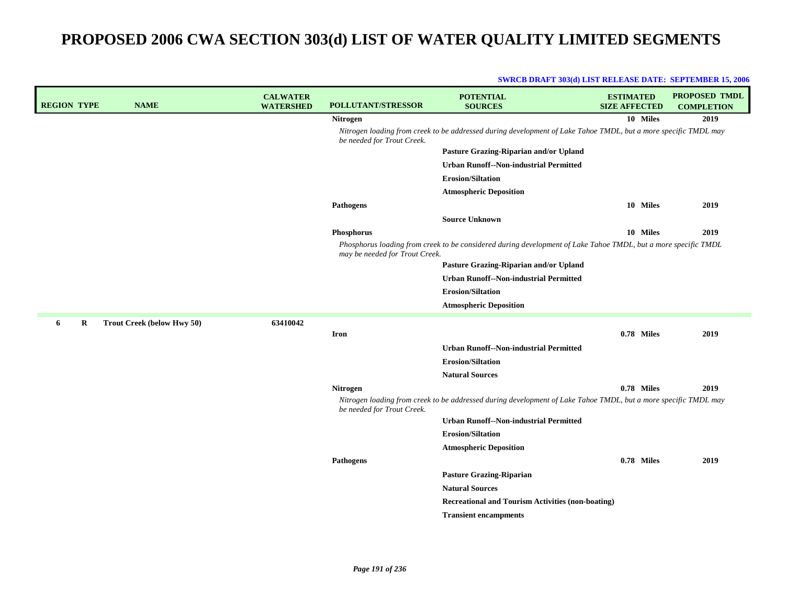| <b>REGION TYPE</b> | <b>NAME</b>                       | <b>CALWATER</b><br><b>WATERSHED</b> | POLLUTANT/STRESSOR             | <b>POTENTIAL</b><br><b>SOURCES</b>                                                                              | <b>ESTIMATED</b><br><b>SIZE AFFECTED</b> | <b>PROPOSED TMDL</b><br><b>COMPLETION</b> |
|--------------------|-----------------------------------|-------------------------------------|--------------------------------|-----------------------------------------------------------------------------------------------------------------|------------------------------------------|-------------------------------------------|
|                    |                                   |                                     | <b>Nitrogen</b>                |                                                                                                                 | 10 Miles                                 | 2019                                      |
|                    |                                   |                                     | be needed for Trout Creek.     | Nitrogen loading from creek to be addressed during development of Lake Tahoe TMDL, but a more specific TMDL may |                                          |                                           |
|                    |                                   |                                     |                                | Pasture Grazing-Riparian and/or Upland                                                                          |                                          |                                           |
|                    |                                   |                                     |                                | <b>Urban Runoff--Non-industrial Permitted</b>                                                                   |                                          |                                           |
|                    |                                   |                                     |                                | <b>Erosion/Siltation</b>                                                                                        |                                          |                                           |
|                    |                                   |                                     |                                | <b>Atmospheric Deposition</b>                                                                                   |                                          |                                           |
|                    |                                   |                                     | <b>Pathogens</b>               |                                                                                                                 | 10 Miles                                 | 2019                                      |
|                    |                                   |                                     |                                | <b>Source Unknown</b>                                                                                           |                                          |                                           |
|                    |                                   |                                     | Phosphorus                     |                                                                                                                 | 10 Miles                                 | 2019                                      |
|                    |                                   |                                     | may be needed for Trout Creek. | Phosphorus loading from creek to be considered during development of Lake Tahoe TMDL, but a more specific TMDL  |                                          |                                           |
|                    |                                   |                                     |                                | Pasture Grazing-Riparian and/or Upland                                                                          |                                          |                                           |
|                    |                                   |                                     |                                | <b>Urban Runoff--Non-industrial Permitted</b>                                                                   |                                          |                                           |
|                    |                                   |                                     |                                | <b>Erosion/Siltation</b>                                                                                        |                                          |                                           |
|                    |                                   |                                     |                                | <b>Atmospheric Deposition</b>                                                                                   |                                          |                                           |
| R<br>6             | <b>Trout Creek (below Hwy 50)</b> | 63410042                            |                                |                                                                                                                 |                                          |                                           |
|                    |                                   |                                     | Iron                           |                                                                                                                 | 0.78 Miles                               | 2019                                      |
|                    |                                   |                                     |                                | <b>Urban Runoff--Non-industrial Permitted</b>                                                                   |                                          |                                           |
|                    |                                   |                                     |                                | <b>Erosion/Siltation</b>                                                                                        |                                          |                                           |
|                    |                                   |                                     |                                | <b>Natural Sources</b>                                                                                          |                                          |                                           |
|                    |                                   |                                     | Nitrogen                       |                                                                                                                 | 0.78 Miles                               | 2019                                      |
|                    |                                   |                                     | be needed for Trout Creek.     | Nitrogen loading from creek to be addressed during development of Lake Tahoe TMDL, but a more specific TMDL may |                                          |                                           |
|                    |                                   |                                     |                                | <b>Urban Runoff--Non-industrial Permitted</b>                                                                   |                                          |                                           |
|                    |                                   |                                     |                                | <b>Erosion/Siltation</b>                                                                                        |                                          |                                           |
|                    |                                   |                                     |                                | <b>Atmospheric Deposition</b>                                                                                   |                                          |                                           |
|                    |                                   |                                     | <b>Pathogens</b>               |                                                                                                                 | 0.78 Miles                               | 2019                                      |
|                    |                                   |                                     |                                | <b>Pasture Grazing-Riparian</b>                                                                                 |                                          |                                           |
|                    |                                   |                                     |                                | <b>Natural Sources</b>                                                                                          |                                          |                                           |
|                    |                                   |                                     |                                | <b>Recreational and Tourism Activities (non-boating)</b>                                                        |                                          |                                           |
|                    |                                   |                                     |                                | <b>Transient encampments</b>                                                                                    |                                          |                                           |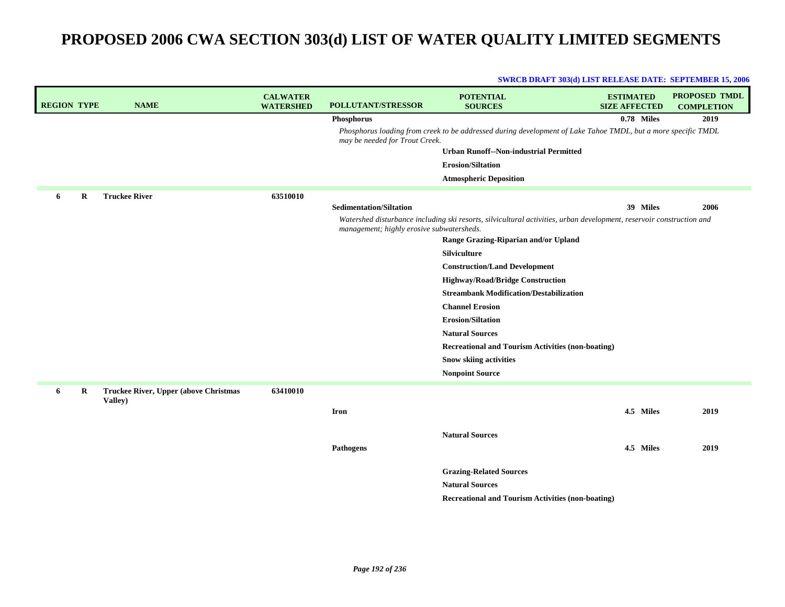| <b>REGION TYPE</b> |             | <b>NAME</b>                                      | <b>CALWATER</b><br><b>WATERSHED</b> | POLLUTANT/STRESSOR                        | <b>POTENTIAL</b><br><b>SOURCES</b>                                                                                   | <b>ESTIMATED</b><br><b>SIZE AFFECTED</b> | <b>PROPOSED TMDL</b><br><b>COMPLETION</b> |
|--------------------|-------------|--------------------------------------------------|-------------------------------------|-------------------------------------------|----------------------------------------------------------------------------------------------------------------------|------------------------------------------|-------------------------------------------|
|                    |             |                                                  |                                     | <b>Phosphorus</b>                         |                                                                                                                      | 0.78 Miles                               | 2019                                      |
|                    |             |                                                  |                                     | may be needed for Trout Creek.            | Phosphorus loading from creek to be addressed during development of Lake Tahoe TMDL, but a more specific TMDL        |                                          |                                           |
|                    |             |                                                  |                                     |                                           | Urban Runoff--Non-industrial Permitted                                                                               |                                          |                                           |
|                    |             |                                                  |                                     |                                           | <b>Erosion/Siltation</b>                                                                                             |                                          |                                           |
|                    |             |                                                  |                                     |                                           | <b>Atmospheric Deposition</b>                                                                                        |                                          |                                           |
| 6                  | R           | <b>Truckee River</b>                             | 63510010                            |                                           |                                                                                                                      |                                          |                                           |
|                    |             |                                                  |                                     | <b>Sedimentation/Siltation</b>            |                                                                                                                      | 39 Miles                                 | 2006                                      |
|                    |             |                                                  |                                     | management; highly erosive subwatersheds. | Watershed disturbance including ski resorts, silvicultural activities, urban development, reservoir construction and |                                          |                                           |
|                    |             |                                                  |                                     |                                           | Range Grazing-Riparian and/or Upland                                                                                 |                                          |                                           |
|                    |             |                                                  |                                     |                                           | <b>Silviculture</b>                                                                                                  |                                          |                                           |
|                    |             |                                                  |                                     |                                           | <b>Construction/Land Development</b>                                                                                 |                                          |                                           |
|                    |             |                                                  |                                     |                                           | <b>Highway/Road/Bridge Construction</b>                                                                              |                                          |                                           |
|                    |             |                                                  |                                     |                                           | <b>Streambank Modification/Destabilization</b>                                                                       |                                          |                                           |
|                    |             |                                                  |                                     |                                           | <b>Channel Erosion</b>                                                                                               |                                          |                                           |
|                    |             |                                                  |                                     |                                           | <b>Erosion/Siltation</b>                                                                                             |                                          |                                           |
|                    |             |                                                  |                                     |                                           | <b>Natural Sources</b>                                                                                               |                                          |                                           |
|                    |             |                                                  |                                     |                                           | <b>Recreational and Tourism Activities (non-boating)</b>                                                             |                                          |                                           |
|                    |             |                                                  |                                     |                                           | <b>Snow skiing activities</b>                                                                                        |                                          |                                           |
|                    |             |                                                  |                                     |                                           | <b>Nonpoint Source</b>                                                                                               |                                          |                                           |
| 6                  | $\mathbf R$ | Truckee River, Upper (above Christmas<br>Valley) | 63410010                            |                                           |                                                                                                                      |                                          |                                           |
|                    |             |                                                  |                                     | Iron                                      |                                                                                                                      | 4.5 Miles                                | 2019                                      |
|                    |             |                                                  |                                     |                                           | <b>Natural Sources</b>                                                                                               |                                          |                                           |
|                    |             |                                                  |                                     | <b>Pathogens</b>                          |                                                                                                                      | 4.5 Miles                                | 2019                                      |
|                    |             |                                                  |                                     |                                           | <b>Grazing-Related Sources</b>                                                                                       |                                          |                                           |
|                    |             |                                                  |                                     |                                           | <b>Natural Sources</b>                                                                                               |                                          |                                           |
|                    |             |                                                  |                                     |                                           | <b>Recreational and Tourism Activities (non-boating)</b>                                                             |                                          |                                           |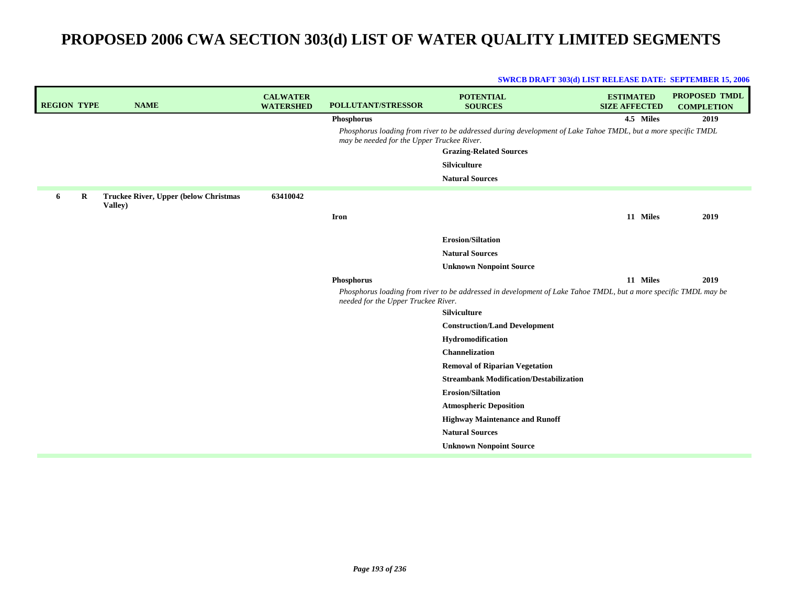| <b>REGION TYPE</b> |   | <b>NAME</b>                                      | <b>CALWATER</b><br><b>WATERSHED</b> | <b>POLLUTANT/STRESSOR</b>                  | <b>POTENTIAL</b><br><b>SOURCES</b>                                                                               | <b>ESTIMATED</b><br><b>SIZE AFFECTED</b> | PROPOSED TMDL<br><b>COMPLETION</b> |
|--------------------|---|--------------------------------------------------|-------------------------------------|--------------------------------------------|------------------------------------------------------------------------------------------------------------------|------------------------------------------|------------------------------------|
|                    |   |                                                  |                                     | Phosphorus                                 |                                                                                                                  | 4.5 Miles                                | 2019                               |
|                    |   |                                                  |                                     | may be needed for the Upper Truckee River. | Phosphorus loading from river to be addressed during development of Lake Tahoe TMDL, but a more specific TMDL    |                                          |                                    |
|                    |   |                                                  |                                     |                                            | <b>Grazing-Related Sources</b>                                                                                   |                                          |                                    |
|                    |   |                                                  |                                     |                                            | Silviculture                                                                                                     |                                          |                                    |
|                    |   |                                                  |                                     |                                            | <b>Natural Sources</b>                                                                                           |                                          |                                    |
| 6                  | R | Truckee River, Upper (below Christmas<br>Valley) | 63410042                            |                                            |                                                                                                                  |                                          |                                    |
|                    |   |                                                  |                                     | <b>Iron</b>                                |                                                                                                                  | 11 Miles                                 | 2019                               |
|                    |   |                                                  |                                     |                                            | <b>Erosion/Siltation</b>                                                                                         |                                          |                                    |
|                    |   |                                                  |                                     |                                            | <b>Natural Sources</b>                                                                                           |                                          |                                    |
|                    |   |                                                  |                                     |                                            | <b>Unknown Nonpoint Source</b>                                                                                   |                                          |                                    |
|                    |   |                                                  |                                     | Phosphorus                                 |                                                                                                                  | 11 Miles                                 | 2019                               |
|                    |   |                                                  |                                     | needed for the Upper Truckee River.        | Phosphorus loading from river to be addressed in development of Lake Tahoe TMDL, but a more specific TMDL may be |                                          |                                    |
|                    |   |                                                  |                                     |                                            | <b>Silviculture</b>                                                                                              |                                          |                                    |
|                    |   |                                                  |                                     |                                            | <b>Construction/Land Development</b>                                                                             |                                          |                                    |
|                    |   |                                                  |                                     |                                            | Hydromodification                                                                                                |                                          |                                    |
|                    |   |                                                  |                                     |                                            | <b>Channelization</b>                                                                                            |                                          |                                    |
|                    |   |                                                  |                                     |                                            | <b>Removal of Riparian Vegetation</b>                                                                            |                                          |                                    |
|                    |   |                                                  |                                     |                                            | <b>Streambank Modification/Destabilization</b>                                                                   |                                          |                                    |
|                    |   |                                                  |                                     |                                            | <b>Erosion/Siltation</b>                                                                                         |                                          |                                    |
|                    |   |                                                  |                                     |                                            | <b>Atmospheric Deposition</b>                                                                                    |                                          |                                    |
|                    |   |                                                  |                                     |                                            | <b>Highway Maintenance and Runoff</b>                                                                            |                                          |                                    |
|                    |   |                                                  |                                     |                                            | <b>Natural Sources</b>                                                                                           |                                          |                                    |
|                    |   |                                                  |                                     |                                            | <b>Unknown Nonpoint Source</b>                                                                                   |                                          |                                    |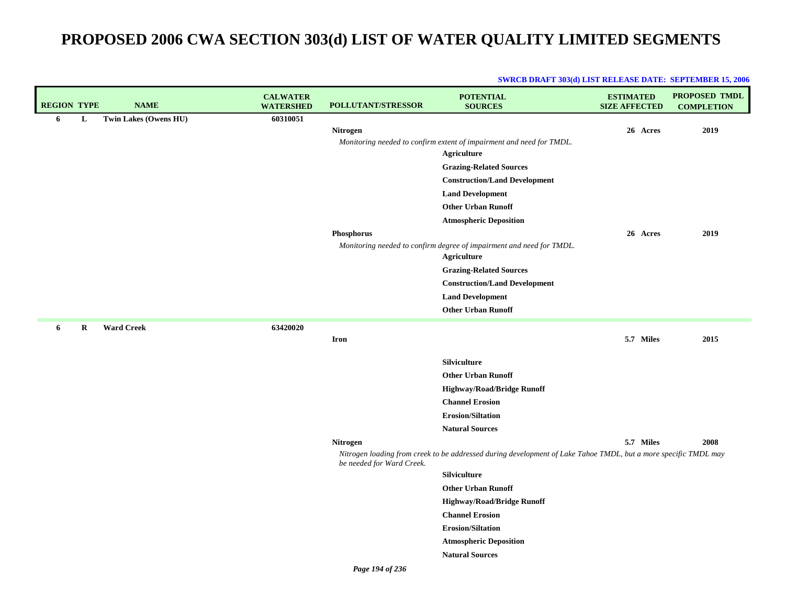| <b>REGION TYPE</b> |   | <b>NAME</b>           | <b>CALWATER</b><br><b>WATERSHED</b> | POLLUTANT/STRESSOR        | <b>POTENTIAL</b><br><b>SOURCES</b>                                                                              | <b>ESTIMATED</b><br><b>SIZE AFFECTED</b> | PROPOSED TMDL<br><b>COMPLETION</b> |
|--------------------|---|-----------------------|-------------------------------------|---------------------------|-----------------------------------------------------------------------------------------------------------------|------------------------------------------|------------------------------------|
| 6                  | L | Twin Lakes (Owens HU) | 60310051                            |                           |                                                                                                                 |                                          |                                    |
|                    |   |                       |                                     | <b>Nitrogen</b>           |                                                                                                                 | 26 Acres                                 | 2019                               |
|                    |   |                       |                                     |                           | Monitoring needed to confirm extent of impairment and need for TMDL.                                            |                                          |                                    |
|                    |   |                       |                                     |                           | <b>Agriculture</b>                                                                                              |                                          |                                    |
|                    |   |                       |                                     |                           | <b>Grazing-Related Sources</b>                                                                                  |                                          |                                    |
|                    |   |                       |                                     |                           | <b>Construction/Land Development</b>                                                                            |                                          |                                    |
|                    |   |                       |                                     |                           | <b>Land Development</b>                                                                                         |                                          |                                    |
|                    |   |                       |                                     |                           | <b>Other Urban Runoff</b>                                                                                       |                                          |                                    |
|                    |   |                       |                                     |                           | <b>Atmospheric Deposition</b>                                                                                   |                                          |                                    |
|                    |   |                       |                                     | Phosphorus                |                                                                                                                 | 26 Acres                                 | 2019                               |
|                    |   |                       |                                     |                           | Monitoring needed to confirm degree of impairment and need for TMDL.<br><b>Agriculture</b>                      |                                          |                                    |
|                    |   |                       |                                     |                           | <b>Grazing-Related Sources</b>                                                                                  |                                          |                                    |
|                    |   |                       |                                     |                           | <b>Construction/Land Development</b>                                                                            |                                          |                                    |
|                    |   |                       |                                     |                           | <b>Land Development</b>                                                                                         |                                          |                                    |
|                    |   |                       |                                     |                           | <b>Other Urban Runoff</b>                                                                                       |                                          |                                    |
| 6                  | R | <b>Ward Creek</b>     | 63420020                            |                           |                                                                                                                 |                                          |                                    |
|                    |   |                       |                                     | Iron                      |                                                                                                                 | 5.7 Miles                                | 2015                               |
|                    |   |                       |                                     |                           | Silviculture                                                                                                    |                                          |                                    |
|                    |   |                       |                                     |                           | <b>Other Urban Runoff</b>                                                                                       |                                          |                                    |
|                    |   |                       |                                     |                           | <b>Highway/Road/Bridge Runoff</b>                                                                               |                                          |                                    |
|                    |   |                       |                                     |                           | <b>Channel Erosion</b>                                                                                          |                                          |                                    |
|                    |   |                       |                                     |                           | <b>Erosion/Siltation</b>                                                                                        |                                          |                                    |
|                    |   |                       |                                     |                           | <b>Natural Sources</b>                                                                                          |                                          |                                    |
|                    |   |                       |                                     | <b>Nitrogen</b>           |                                                                                                                 | 5.7 Miles                                | 2008                               |
|                    |   |                       |                                     | be needed for Ward Creek. | Nitrogen loading from creek to be addressed during development of Lake Tahoe TMDL, but a more specific TMDL may |                                          |                                    |
|                    |   |                       |                                     |                           | Silviculture                                                                                                    |                                          |                                    |
|                    |   |                       |                                     |                           | <b>Other Urban Runoff</b>                                                                                       |                                          |                                    |
|                    |   |                       |                                     |                           | <b>Highway/Road/Bridge Runoff</b>                                                                               |                                          |                                    |
|                    |   |                       |                                     |                           | <b>Channel Erosion</b>                                                                                          |                                          |                                    |
|                    |   |                       |                                     |                           | <b>Erosion/Siltation</b>                                                                                        |                                          |                                    |
|                    |   |                       |                                     |                           | <b>Atmospheric Deposition</b>                                                                                   |                                          |                                    |
|                    |   |                       |                                     |                           | <b>Natural Sources</b>                                                                                          |                                          |                                    |
|                    |   |                       |                                     | Page 194 of 236           |                                                                                                                 |                                          |                                    |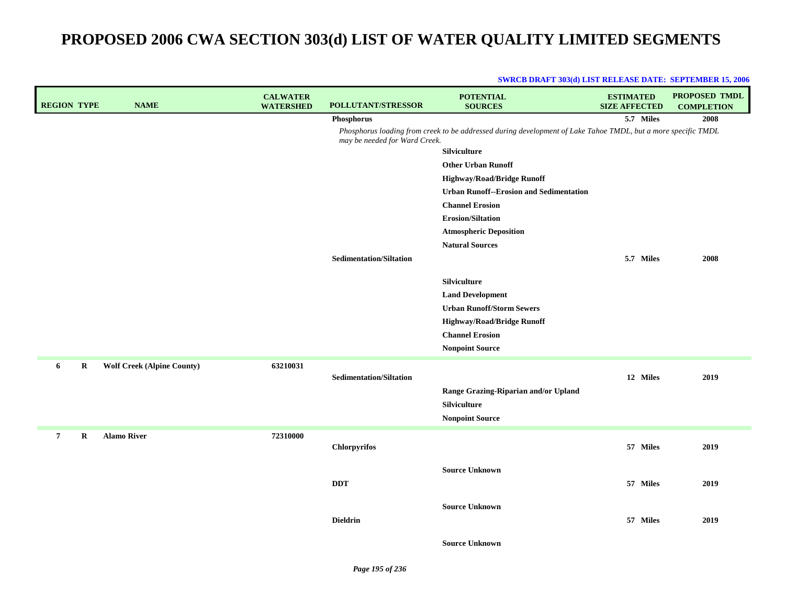### **REGIONTYPE NAME WATERSHED POLLUTANT/STRESSOR CALWATERWATERSHED ESTIMATEDSIZE AFFECTED POTENTIALSOURCES COMPLETIONPROPOSED TMDL Phosphorus 5.7 2008** Phosphorus loading from creek to be addressed during development of Lake Tahoe TMDL, but a more specific TMDL *may be needed for Ward Creek.* 5.7 Miles **SilvicultureOther Urban Runoff Highway/Road/Bridge Runoff Urban Runoff--Erosion and Sedimentation Channel ErosionErosion/SiltationAtmospheric Deposition Natural SourcesSedimentation/Siltation 5.7 Miles 2008 SilvicultureLand Development Urban Runoff/Storm Sewers Highway/Road/Bridge Runoff Channel Erosion Nonpoint Source 6 R Wolf Creek (Alpine County) 63210031 Sedimentation/Siltation 12 Miles 2019 Range Grazing-Riparian and/or Upland SilvicultureNonpoint Source 7 R Alamo River 72310000 Chlorpyrifos 57 Miles 2019 Source UnknownDDT 57 Miles 2019 Source UnknownDieldrin 57 Miles 2019 Source Unknown**

#### **SWRCB DRAFT 303(d) LIST RELEASE DATE: SEPTEMBER 15, 2006**

*Page 195 of 236*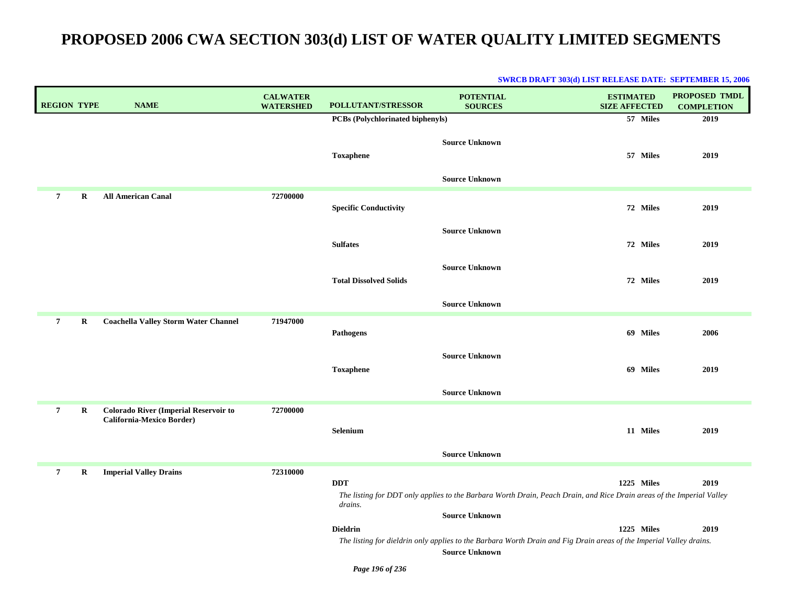| <b>REGION TYPE</b> |         | <b>NAME</b>                                                               | <b>CALWATER</b><br><b>WATERSHED</b> | POLLUTANT/STRESSOR                       | <b>POTENTIAL</b><br><b>SOURCES</b>                                                                                                             | <b>ESTIMATED</b><br><b>SIZE AFFECTED</b> | <b>PROPOSED TMDL</b><br><b>COMPLETION</b> |
|--------------------|---------|---------------------------------------------------------------------------|-------------------------------------|------------------------------------------|------------------------------------------------------------------------------------------------------------------------------------------------|------------------------------------------|-------------------------------------------|
|                    |         |                                                                           |                                     | PCBs (Polychlorinated biphenyls)         |                                                                                                                                                | 57 Miles                                 | 2019                                      |
|                    |         |                                                                           |                                     | <b>Toxaphene</b>                         | <b>Source Unknown</b><br><b>Source Unknown</b>                                                                                                 | 57 Miles                                 | 2019                                      |
| $\overline{7}$     | $\bf R$ | <b>All American Canal</b>                                                 | 72700000                            | <b>Specific Conductivity</b>             |                                                                                                                                                | 72 Miles                                 | 2019                                      |
|                    |         |                                                                           |                                     | <b>Sulfates</b>                          | <b>Source Unknown</b>                                                                                                                          | 72 Miles                                 | 2019                                      |
|                    |         |                                                                           |                                     | <b>Total Dissolved Solids</b>            | <b>Source Unknown</b>                                                                                                                          | 72 Miles                                 | 2019                                      |
|                    |         |                                                                           |                                     |                                          | <b>Source Unknown</b>                                                                                                                          |                                          |                                           |
| $\overline{7}$     | $\bf R$ | <b>Coachella Valley Storm Water Channel</b>                               | 71947000                            | Pathogens                                |                                                                                                                                                | 69 Miles                                 | 2006                                      |
|                    |         |                                                                           |                                     | <b>Toxaphene</b>                         | <b>Source Unknown</b>                                                                                                                          | 69 Miles                                 | 2019                                      |
|                    |         |                                                                           |                                     |                                          | <b>Source Unknown</b>                                                                                                                          |                                          |                                           |
| $\overline{7}$     | $\bf R$ | <b>Colorado River (Imperial Reservoir to</b><br>California-Mexico Border) | 72700000                            | Selenium                                 | <b>Source Unknown</b>                                                                                                                          | 11 Miles                                 | 2019                                      |
| $\overline{7}$     | R       | <b>Imperial Valley Drains</b>                                             | 72310000                            | <b>DDT</b><br>drains.<br><b>Dieldrin</b> | The listing for DDT only applies to the Barbara Worth Drain, Peach Drain, and Rice Drain areas of the Imperial Valley<br><b>Source Unknown</b> | 1225 Miles<br>1225 Miles                 | 2019<br>2019                              |
|                    |         |                                                                           |                                     | $\mathbf{r}$ and cond                    | The listing for dieldrin only applies to the Barbara Worth Drain and Fig Drain areas of the Imperial Valley drains.<br><b>Source Unknown</b>   |                                          |                                           |

#### **SWRCB DRAFT 303(d) LIST RELEASE DATE: SEPTEMBER 15, 2006**

*Page 196 of 236*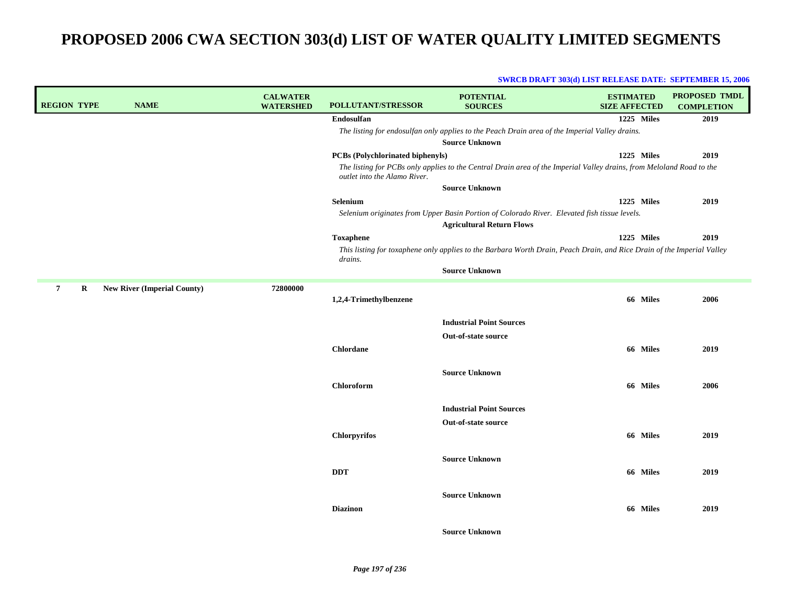| <b>REGION TYPE</b> |   | <b>NAME</b>                        | <b>CALWATER</b><br><b>WATERSHED</b> | <b>POLLUTANT/STRESSOR</b>               | <b>POTENTIAL</b><br><b>SOURCES</b>                                                                                               | <b>ESTIMATED</b><br><b>SIZE AFFECTED</b> | <b>PROPOSED TMDL</b><br><b>COMPLETION</b> |  |
|--------------------|---|------------------------------------|-------------------------------------|-----------------------------------------|----------------------------------------------------------------------------------------------------------------------------------|------------------------------------------|-------------------------------------------|--|
|                    |   |                                    |                                     | Endosulfan                              |                                                                                                                                  | 1225 Miles                               | 2019                                      |  |
|                    |   |                                    |                                     |                                         | The listing for endosulfan only applies to the Peach Drain area of the Imperial Valley drains.                                   |                                          |                                           |  |
|                    |   |                                    |                                     |                                         | <b>Source Unknown</b>                                                                                                            |                                          |                                           |  |
|                    |   |                                    |                                     | <b>PCBs</b> (Polychlorinated biphenyls) |                                                                                                                                  | 1225 Miles                               | 2019                                      |  |
|                    |   |                                    |                                     | outlet into the Alamo River.            | The listing for PCBs only applies to the Central Drain area of the Imperial Valley drains, from Meloland Road to the             |                                          |                                           |  |
|                    |   |                                    |                                     |                                         | <b>Source Unknown</b>                                                                                                            |                                          |                                           |  |
|                    |   |                                    |                                     | Selenium                                |                                                                                                                                  | 1225 Miles                               | 2019                                      |  |
|                    |   |                                    |                                     |                                         | Selenium originates from Upper Basin Portion of Colorado River. Elevated fish tissue levels.<br><b>Agricultural Return Flows</b> |                                          |                                           |  |
|                    |   |                                    |                                     | <b>Toxaphene</b>                        |                                                                                                                                  | 1225 Miles                               | 2019                                      |  |
|                    |   |                                    |                                     | drains.                                 | This listing for toxaphene only applies to the Barbara Worth Drain, Peach Drain, and Rice Drain of the Imperial Valley           |                                          |                                           |  |
|                    |   |                                    |                                     |                                         | <b>Source Unknown</b>                                                                                                            |                                          |                                           |  |
| $\overline{7}$     | R | <b>New River (Imperial County)</b> | 72800000                            |                                         |                                                                                                                                  |                                          |                                           |  |
|                    |   |                                    |                                     | 1,2,4-Trimethylbenzene                  |                                                                                                                                  | 66 Miles                                 | 2006                                      |  |
|                    |   |                                    |                                     |                                         | <b>Industrial Point Sources</b>                                                                                                  |                                          |                                           |  |
|                    |   |                                    |                                     |                                         | Out-of-state source                                                                                                              |                                          |                                           |  |
|                    |   |                                    |                                     | <b>Chlordane</b>                        |                                                                                                                                  | 66 Miles                                 | 2019                                      |  |
|                    |   |                                    |                                     |                                         | <b>Source Unknown</b>                                                                                                            |                                          |                                           |  |
|                    |   |                                    |                                     | <b>Chloroform</b>                       |                                                                                                                                  | 66 Miles                                 | 2006                                      |  |
|                    |   |                                    |                                     |                                         | <b>Industrial Point Sources</b>                                                                                                  |                                          |                                           |  |
|                    |   |                                    |                                     |                                         | Out-of-state source                                                                                                              |                                          |                                           |  |
|                    |   |                                    |                                     | <b>Chlorpyrifos</b>                     |                                                                                                                                  | 66 Miles                                 | 2019                                      |  |
|                    |   |                                    |                                     |                                         | <b>Source Unknown</b>                                                                                                            |                                          |                                           |  |
|                    |   |                                    |                                     | <b>DDT</b>                              |                                                                                                                                  | 66 Miles                                 | 2019                                      |  |
|                    |   |                                    |                                     |                                         | <b>Source Unknown</b>                                                                                                            |                                          |                                           |  |
|                    |   |                                    |                                     | <b>Diazinon</b>                         |                                                                                                                                  | 66 Miles                                 | 2019                                      |  |
|                    |   |                                    |                                     |                                         | <b>Source Unknown</b>                                                                                                            |                                          |                                           |  |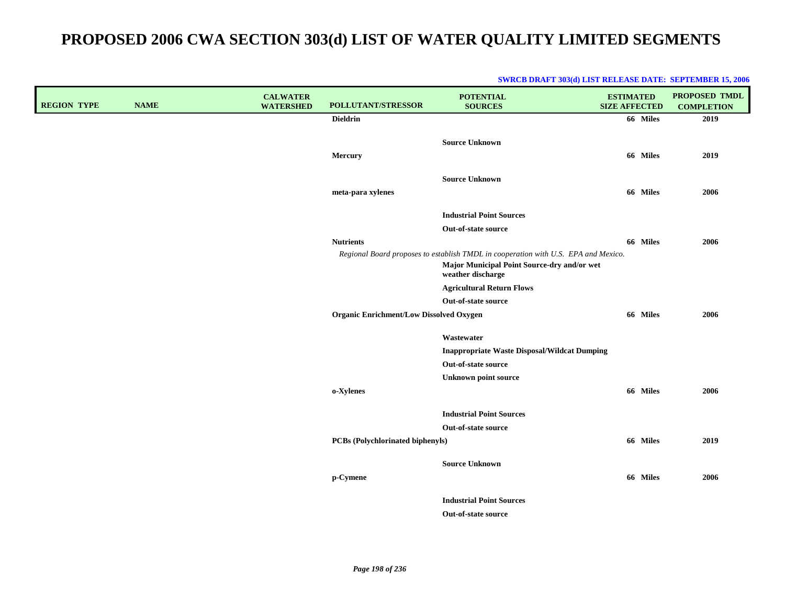| <b>REGION TYPE</b> | <b>NAME</b> | <b>CALWATER</b><br><b>WATERSHED</b> | POLLUTANT/STRESSOR                             | <b>POTENTIAL</b><br><b>SOURCES</b>                                                 | <b>ESTIMATED</b><br><b>SIZE AFFECTED</b> | <b>PROPOSED TMDL</b><br><b>COMPLETION</b> |
|--------------------|-------------|-------------------------------------|------------------------------------------------|------------------------------------------------------------------------------------|------------------------------------------|-------------------------------------------|
|                    |             |                                     | <b>Dieldrin</b>                                |                                                                                    | 66 Miles                                 | 2019                                      |
|                    |             |                                     |                                                |                                                                                    |                                          |                                           |
|                    |             |                                     |                                                | <b>Source Unknown</b>                                                              |                                          |                                           |
|                    |             |                                     | <b>Mercury</b>                                 |                                                                                    | 66 Miles                                 | 2019                                      |
|                    |             |                                     |                                                | <b>Source Unknown</b>                                                              |                                          |                                           |
|                    |             |                                     | meta-para xylenes                              |                                                                                    | 66 Miles                                 | 2006                                      |
|                    |             |                                     |                                                |                                                                                    |                                          |                                           |
|                    |             |                                     |                                                | <b>Industrial Point Sources</b>                                                    |                                          |                                           |
|                    |             |                                     |                                                | Out-of-state source                                                                |                                          |                                           |
|                    |             |                                     | <b>Nutrients</b>                               |                                                                                    | 66 Miles                                 | 2006                                      |
|                    |             |                                     |                                                | Regional Board proposes to establish TMDL in cooperation with U.S. EPA and Mexico. |                                          |                                           |
|                    |             |                                     |                                                | Major Municipal Point Source-dry and/or wet<br>weather discharge                   |                                          |                                           |
|                    |             |                                     |                                                | <b>Agricultural Return Flows</b>                                                   |                                          |                                           |
|                    |             |                                     |                                                | Out-of-state source                                                                |                                          |                                           |
|                    |             |                                     | <b>Organic Enrichment/Low Dissolved Oxygen</b> |                                                                                    | 66 Miles                                 | 2006                                      |
|                    |             |                                     |                                                | Wastewater                                                                         |                                          |                                           |
|                    |             |                                     |                                                | <b>Inappropriate Waste Disposal/Wildcat Dumping</b>                                |                                          |                                           |
|                    |             |                                     |                                                | Out-of-state source                                                                |                                          |                                           |
|                    |             |                                     |                                                | <b>Unknown point source</b>                                                        |                                          |                                           |
|                    |             |                                     | o-Xylenes                                      |                                                                                    | 66 Miles                                 | 2006                                      |
|                    |             |                                     |                                                | <b>Industrial Point Sources</b>                                                    |                                          |                                           |
|                    |             |                                     |                                                | Out-of-state source                                                                |                                          |                                           |
|                    |             |                                     | PCBs (Polychlorinated biphenyls)               |                                                                                    | 66 Miles                                 | 2019                                      |
|                    |             |                                     |                                                | <b>Source Unknown</b>                                                              |                                          |                                           |
|                    |             |                                     | p-Cymene                                       |                                                                                    | 66 Miles                                 | 2006                                      |
|                    |             |                                     |                                                | <b>Industrial Point Sources</b>                                                    |                                          |                                           |
|                    |             |                                     |                                                | Out-of-state source                                                                |                                          |                                           |
|                    |             |                                     |                                                |                                                                                    |                                          |                                           |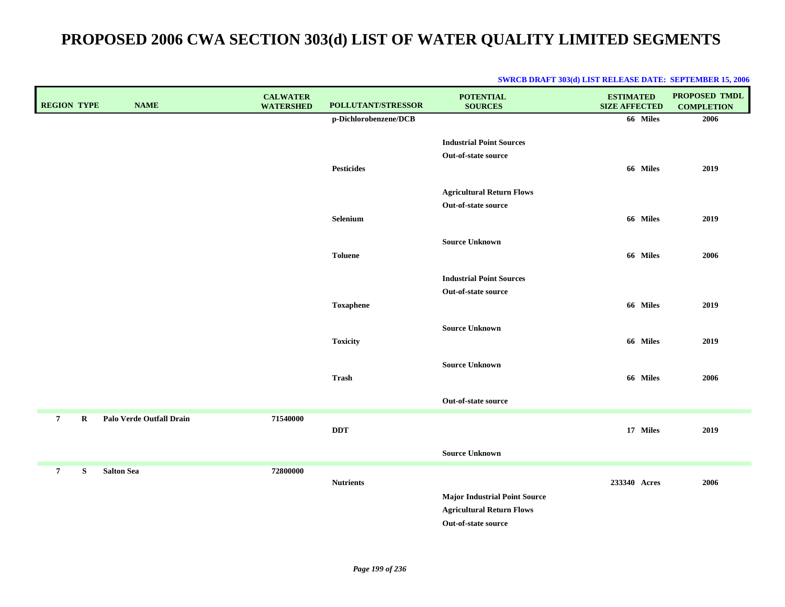### **REGIONTYPE NAME WATERSHED POLLUTANT/STRESSOR CALWATERWATERSHED ESTIMATEDSIZE AFFECTED POTENTIALSOURCES COMPLETIONPROPOSED TMDL p-Dichlorobenzene/DCB 66 Miles 2006 Industrial Point SourcesOut-of-state source Pesticides 66 Miles 2019 Agricultural Return Flows Out-of-state source Selenium 66 Miles 2019 Source UnknownToluene 66 Miles 2006 Industrial Point SourcesOut-of-state source Toxaphene 66 Miles 2019 Source UnknownToxicity 66 Miles 2019 Source UnknownTrash 66 Miles 2006 Out-of-state source 7 R Palo Verde Outfall Drain 71540000 DDT 17 Miles 2019 Source Unknown 7 S Salton Sea 72800000 Nutrients 233340 Acres 2006 Major Industrial Point Source Agricultural Return Flows Out-of-state source**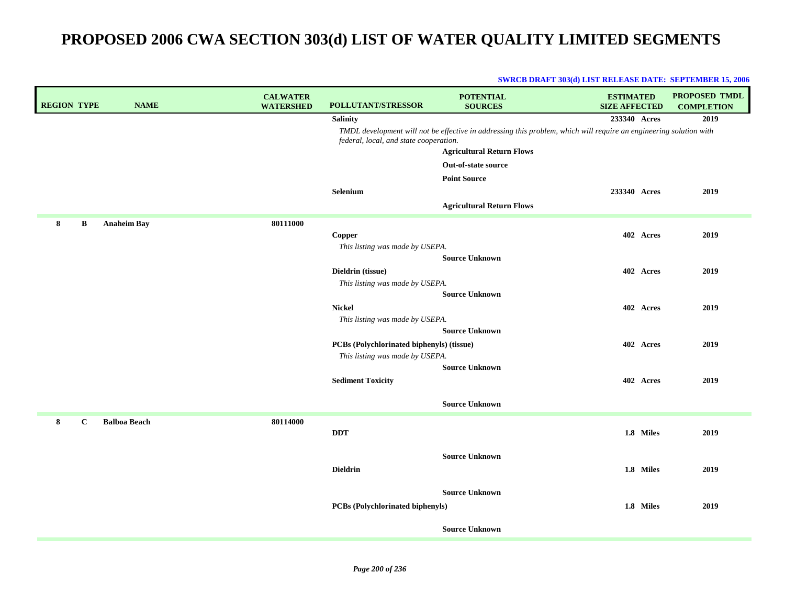| <b>REGION TYPE</b> | <b>NAME</b>         | <b>CALWATER</b><br><b>WATERSHED</b> | <b>POLLUTANT/STRESSOR</b>                 | <b>POTENTIAL</b><br><b>SOURCES</b>                                                                                 | <b>ESTIMATED</b><br><b>SIZE AFFECTED</b> | <b>PROPOSED TMDL</b><br><b>COMPLETION</b> |
|--------------------|---------------------|-------------------------------------|-------------------------------------------|--------------------------------------------------------------------------------------------------------------------|------------------------------------------|-------------------------------------------|
|                    |                     |                                     | <b>Salinity</b>                           |                                                                                                                    | 233340 Acres                             | 2019                                      |
|                    |                     |                                     | federal, local, and state cooperation.    | TMDL development will not be effective in addressing this problem, which will require an engineering solution with |                                          |                                           |
|                    |                     |                                     |                                           | <b>Agricultural Return Flows</b>                                                                                   |                                          |                                           |
|                    |                     |                                     |                                           | Out-of-state source                                                                                                |                                          |                                           |
|                    |                     |                                     |                                           | <b>Point Source</b>                                                                                                |                                          |                                           |
|                    |                     |                                     | Selenium                                  |                                                                                                                    | 233340 Acres                             | 2019                                      |
|                    |                     |                                     |                                           | <b>Agricultural Return Flows</b>                                                                                   |                                          |                                           |
| 8<br>B             | <b>Anaheim Bay</b>  | 80111000                            |                                           |                                                                                                                    |                                          |                                           |
|                    |                     |                                     | Copper                                    |                                                                                                                    | 402 Acres                                | 2019                                      |
|                    |                     |                                     | This listing was made by USEPA.           |                                                                                                                    |                                          |                                           |
|                    |                     |                                     |                                           | <b>Source Unknown</b>                                                                                              |                                          |                                           |
|                    |                     |                                     | Dieldrin (tissue)                         |                                                                                                                    | 402 Acres                                | 2019                                      |
|                    |                     |                                     | This listing was made by USEPA.           |                                                                                                                    |                                          |                                           |
|                    |                     |                                     |                                           | <b>Source Unknown</b>                                                                                              |                                          |                                           |
|                    |                     |                                     | <b>Nickel</b>                             |                                                                                                                    | 402 Acres                                | 2019                                      |
|                    |                     |                                     | This listing was made by USEPA.           |                                                                                                                    |                                          |                                           |
|                    |                     |                                     |                                           | <b>Source Unknown</b>                                                                                              |                                          |                                           |
|                    |                     |                                     | PCBs (Polychlorinated biphenyls) (tissue) |                                                                                                                    | 402 Acres                                | 2019                                      |
|                    |                     |                                     | This listing was made by USEPA.           |                                                                                                                    |                                          |                                           |
|                    |                     |                                     |                                           | <b>Source Unknown</b>                                                                                              |                                          |                                           |
|                    |                     |                                     | <b>Sediment Toxicity</b>                  |                                                                                                                    | 402 Acres                                | 2019                                      |
|                    |                     |                                     |                                           | <b>Source Unknown</b>                                                                                              |                                          |                                           |
| 8<br>$\mathbf C$   | <b>Balboa Beach</b> | 80114000                            |                                           |                                                                                                                    |                                          |                                           |
|                    |                     |                                     | <b>DDT</b>                                |                                                                                                                    | 1.8 Miles                                | 2019                                      |
|                    |                     |                                     |                                           |                                                                                                                    |                                          |                                           |
|                    |                     |                                     |                                           | <b>Source Unknown</b>                                                                                              |                                          |                                           |
|                    |                     |                                     | <b>Dieldrin</b>                           |                                                                                                                    | 1.8 Miles                                | 2019                                      |
|                    |                     |                                     |                                           |                                                                                                                    |                                          |                                           |
|                    |                     |                                     |                                           | <b>Source Unknown</b>                                                                                              |                                          |                                           |
|                    |                     |                                     | PCBs (Polychlorinated biphenyls)          |                                                                                                                    | 1.8 Miles                                | 2019                                      |
|                    |                     |                                     |                                           | <b>Source Unknown</b>                                                                                              |                                          |                                           |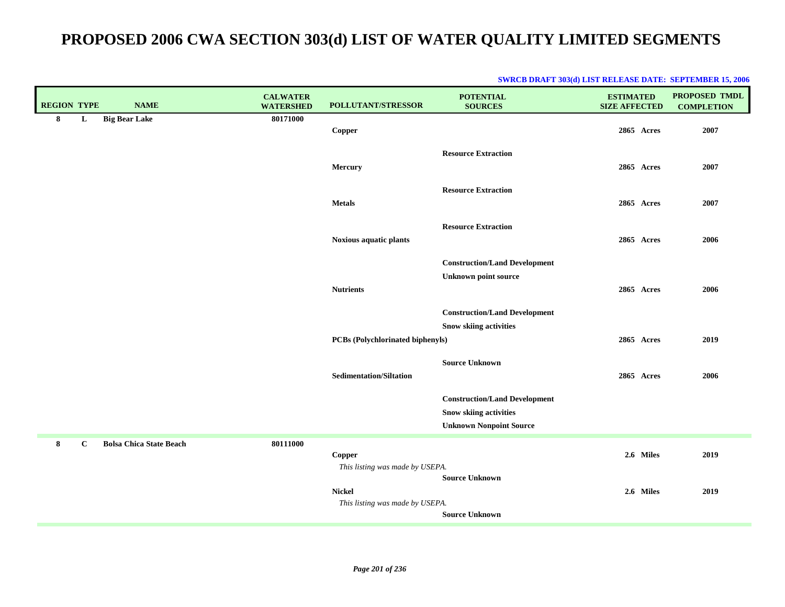| <b>REGION TYPE</b> |              | <b>NAME</b>                    | <b>CALWATER</b><br><b>WATERSHED</b> | POLLUTANT/STRESSOR                               | <b>POTENTIAL</b><br><b>SOURCES</b>                                                                      | <b>ESTIMATED</b><br><b>SIZE AFFECTED</b> | <b>PROPOSED TMDL</b><br><b>COMPLETION</b> |
|--------------------|--------------|--------------------------------|-------------------------------------|--------------------------------------------------|---------------------------------------------------------------------------------------------------------|------------------------------------------|-------------------------------------------|
| 8                  | L            | <b>Big Bear Lake</b>           | 80171000                            | Copper                                           |                                                                                                         | 2865 Acres                               | 2007                                      |
|                    |              |                                |                                     | Mercury                                          | <b>Resource Extraction</b>                                                                              | 2865 Acres                               | 2007                                      |
|                    |              |                                |                                     | <b>Metals</b>                                    | <b>Resource Extraction</b>                                                                              | 2865 Acres                               | 2007                                      |
|                    |              |                                |                                     | Noxious aquatic plants                           | <b>Resource Extraction</b>                                                                              | 2865 Acres                               | 2006                                      |
|                    |              |                                |                                     | <b>Nutrients</b>                                 | <b>Construction/Land Development</b><br><b>Unknown point source</b>                                     | 2865 Acres                               |                                           |
|                    |              |                                |                                     |                                                  | <b>Construction/Land Development</b>                                                                    |                                          | 2006                                      |
|                    |              |                                |                                     | PCBs (Polychlorinated biphenyls)                 | <b>Snow skiing activities</b>                                                                           | 2865 Acres                               | 2019                                      |
|                    |              |                                |                                     | <b>Sedimentation/Siltation</b>                   | <b>Source Unknown</b>                                                                                   | 2865 Acres                               | 2006                                      |
|                    |              |                                |                                     |                                                  | <b>Construction/Land Development</b><br><b>Snow skiing activities</b><br><b>Unknown Nonpoint Source</b> |                                          |                                           |
| 8                  | $\mathbf{C}$ | <b>Bolsa Chica State Beach</b> | 80111000                            | Copper<br>This listing was made by USEPA.        |                                                                                                         | 2.6 Miles                                | 2019                                      |
|                    |              |                                |                                     | <b>Nickel</b><br>This listing was made by USEPA. | <b>Source Unknown</b><br><b>Source Unknown</b>                                                          | 2.6 Miles                                | 2019                                      |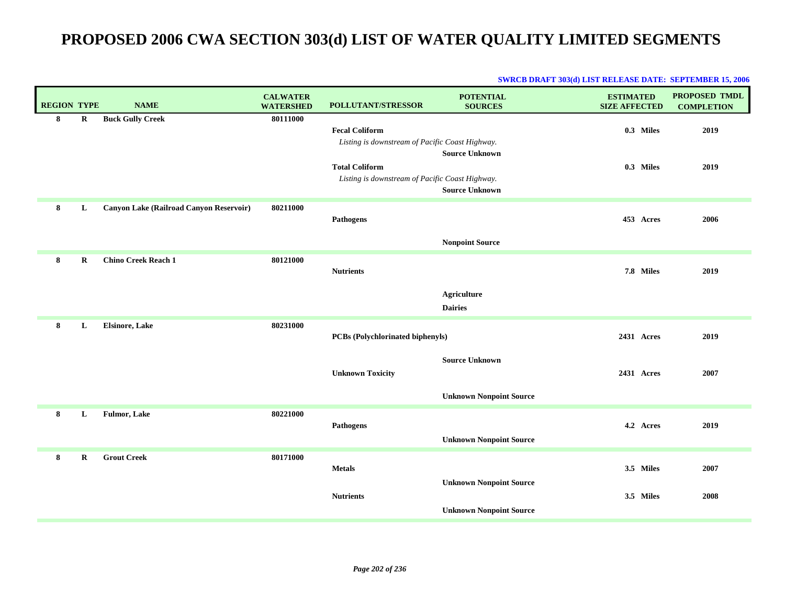| <b>REGION TYPE</b> |             | <b>NAME</b>                                    | <b>CALWATER</b><br><b>WATERSHED</b> | POLLUTANT/STRESSOR                                                       | <b>POTENTIAL</b><br><b>SOURCES</b>             | <b>ESTIMATED</b><br><b>SIZE AFFECTED</b> | <b>PROPOSED TMDL</b><br><b>COMPLETION</b> |
|--------------------|-------------|------------------------------------------------|-------------------------------------|--------------------------------------------------------------------------|------------------------------------------------|------------------------------------------|-------------------------------------------|
| 8                  | R           | <b>Buck Gully Creek</b>                        | 80111000                            | <b>Fecal Coliform</b><br>Listing is downstream of Pacific Coast Highway. |                                                | 0.3 Miles                                | 2019                                      |
|                    |             |                                                |                                     | <b>Total Coliform</b><br>Listing is downstream of Pacific Coast Highway. | <b>Source Unknown</b><br><b>Source Unknown</b> | 0.3 Miles                                | 2019                                      |
| 8                  | L           | <b>Canyon Lake (Railroad Canyon Reservoir)</b> | 80211000                            | <b>Pathogens</b>                                                         |                                                | 453 Acres                                | 2006                                      |
|                    |             |                                                |                                     |                                                                          | <b>Nonpoint Source</b>                         |                                          |                                           |
| 8                  | $\bf R$     | <b>Chino Creek Reach 1</b>                     | 80121000                            | <b>Nutrients</b>                                                         |                                                | 7.8 Miles                                | 2019                                      |
|                    |             |                                                |                                     |                                                                          | <b>Agriculture</b><br><b>Dairies</b>           |                                          |                                           |
| 8                  | L           | <b>Elsinore, Lake</b>                          | 80231000                            | <b>PCBs (Polychlorinated biphenyls)</b>                                  |                                                | 2431 Acres                               | 2019                                      |
|                    |             |                                                |                                     | <b>Unknown Toxicity</b>                                                  | <b>Source Unknown</b>                          | 2431 Acres                               | 2007                                      |
|                    |             |                                                |                                     |                                                                          | <b>Unknown Nonpoint Source</b>                 |                                          |                                           |
| 8                  | L           | Fulmor, Lake                                   | 80221000                            | <b>Pathogens</b>                                                         | <b>Unknown Nonpoint Source</b>                 | 4.2 Acres                                | 2019                                      |
| 8                  | $\mathbf R$ | <b>Grout Creek</b>                             | 80171000                            | <b>Metals</b>                                                            |                                                | 3.5 Miles                                | 2007                                      |
|                    |             |                                                |                                     | <b>Nutrients</b>                                                         | <b>Unknown Nonpoint Source</b>                 | 3.5 Miles                                | 2008                                      |
|                    |             |                                                |                                     |                                                                          | <b>Unknown Nonpoint Source</b>                 |                                          |                                           |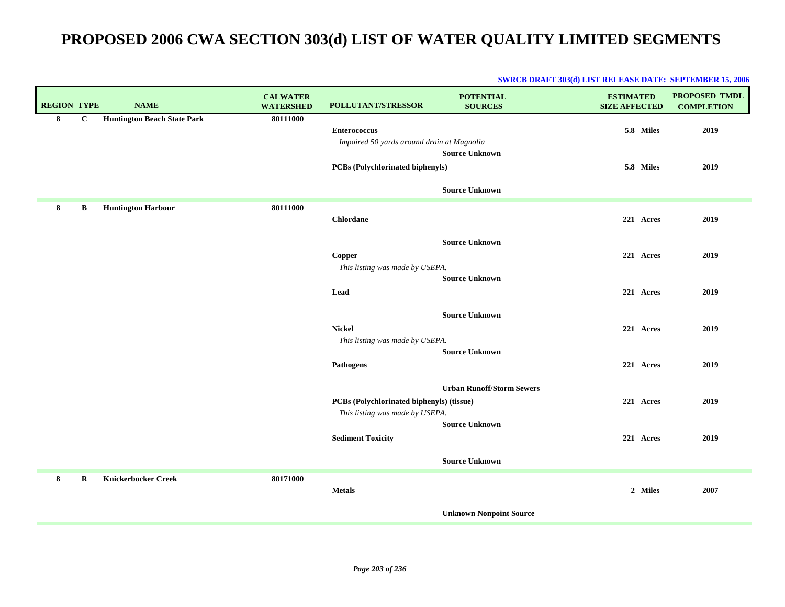| <b>REGION TYPE</b> |              | <b>NAME</b>                        | <b>CALWATER</b><br><b>WATERSHED</b> | POLLUTANT/STRESSOR                                                           | <b>POTENTIAL</b><br><b>SOURCES</b> | <b>ESTIMATED</b><br><b>SIZE AFFECTED</b> | <b>PROPOSED TMDL</b><br><b>COMPLETION</b> |
|--------------------|--------------|------------------------------------|-------------------------------------|------------------------------------------------------------------------------|------------------------------------|------------------------------------------|-------------------------------------------|
| 8                  | $\mathbf{C}$ | <b>Huntington Beach State Park</b> | 80111000                            | <b>Enterococcus</b><br>Impaired 50 yards around drain at Magnolia            | <b>Source Unknown</b>              | 5.8 Miles                                | 2019                                      |
|                    |              |                                    |                                     | <b>PCBs (Polychlorinated biphenyls)</b>                                      |                                    | 5.8 Miles                                | 2019                                      |
|                    |              |                                    |                                     |                                                                              | <b>Source Unknown</b>              |                                          |                                           |
| 8                  | B            | <b>Huntington Harbour</b>          | 80111000                            | Chlordane                                                                    |                                    | 221 Acres                                | 2019                                      |
|                    |              |                                    |                                     | Copper                                                                       | <b>Source Unknown</b>              | 221 Acres                                | 2019                                      |
|                    |              |                                    |                                     | This listing was made by USEPA.                                              | <b>Source Unknown</b>              |                                          |                                           |
|                    |              |                                    |                                     | Lead                                                                         |                                    | 221 Acres                                | 2019                                      |
|                    |              |                                    |                                     | <b>Nickel</b>                                                                | <b>Source Unknown</b>              | 221 Acres                                | 2019                                      |
|                    |              |                                    |                                     | This listing was made by USEPA.                                              |                                    |                                          |                                           |
|                    |              |                                    |                                     | Pathogens                                                                    | <b>Source Unknown</b>              | 221 Acres                                | 2019                                      |
|                    |              |                                    |                                     | PCBs (Polychlorinated biphenyls) (tissue)<br>This listing was made by USEPA. | <b>Urban Runoff/Storm Sewers</b>   | 221 Acres                                | 2019                                      |
|                    |              |                                    |                                     | <b>Sediment Toxicity</b>                                                     | <b>Source Unknown</b>              | 221 Acres                                | 2019                                      |
|                    |              |                                    |                                     |                                                                              | <b>Source Unknown</b>              |                                          |                                           |
| 8                  | R            | <b>Knickerbocker Creek</b>         | 80171000                            | <b>Metals</b>                                                                |                                    | 2 Miles                                  | 2007                                      |
|                    |              |                                    |                                     |                                                                              | <b>Unknown Nonpoint Source</b>     |                                          |                                           |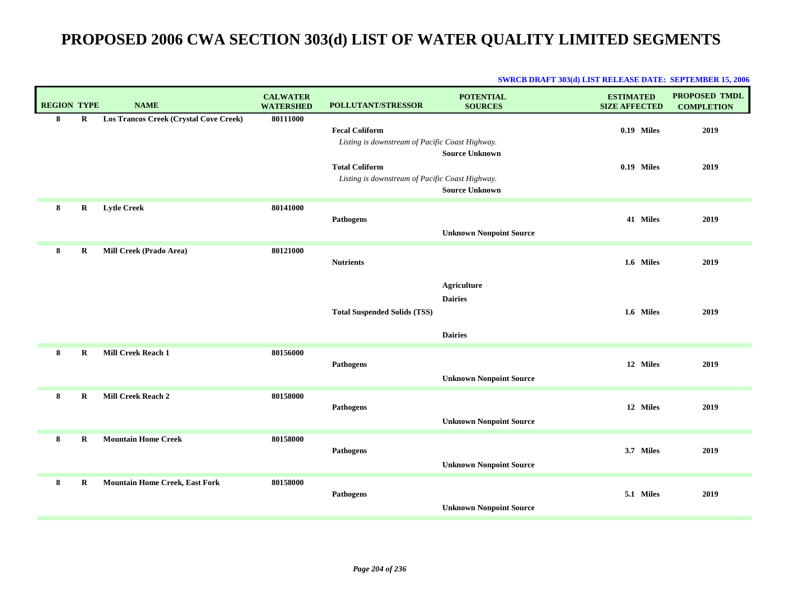| <b>REGION TYPE</b> |             | <b>NAME</b>                            | <b>CALWATER</b><br><b>WATERSHED</b> | POLLUTANT/STRESSOR                                                       | <b>POTENTIAL</b><br><b>SOURCES</b>                     | <b>ESTIMATED</b><br><b>SIZE AFFECTED</b> | <b>PROPOSED TMDL</b><br><b>COMPLETION</b> |
|--------------------|-------------|----------------------------------------|-------------------------------------|--------------------------------------------------------------------------|--------------------------------------------------------|------------------------------------------|-------------------------------------------|
| 8                  | $\mathbf R$ | Los Trancos Creek (Crystal Cove Creek) | 80111000                            | <b>Fecal Coliform</b><br>Listing is downstream of Pacific Coast Highway. | <b>Source Unknown</b>                                  | 0.19 Miles                               | 2019                                      |
|                    |             |                                        |                                     | <b>Total Coliform</b><br>Listing is downstream of Pacific Coast Highway. | <b>Source Unknown</b>                                  | 0.19 Miles                               | 2019                                      |
| 8                  | R           | <b>Lytle Creek</b>                     | 80141000                            | <b>Pathogens</b>                                                         | <b>Unknown Nonpoint Source</b>                         | 41 Miles                                 | 2019                                      |
| 8                  | $\bf R$     | Mill Creek (Prado Area)                | 80121000                            | <b>Nutrients</b>                                                         |                                                        | 1.6 Miles                                | 2019                                      |
|                    |             |                                        |                                     | <b>Total Suspended Solids (TSS)</b>                                      | <b>Agriculture</b><br><b>Dairies</b><br><b>Dairies</b> | 1.6 Miles                                | 2019                                      |
| 8                  | $\bf R$     | <b>Mill Creek Reach 1</b>              | 80156000                            | <b>Pathogens</b>                                                         | <b>Unknown Nonpoint Source</b>                         | 12 Miles                                 | 2019                                      |
| 8                  | $\bf R$     | Mill Creek Reach 2                     | 80158000                            | <b>Pathogens</b>                                                         | <b>Unknown Nonpoint Source</b>                         | 12 Miles                                 | 2019                                      |
| 8                  | $\bf R$     | <b>Mountain Home Creek</b>             | 80158000                            | Pathogens                                                                | <b>Unknown Nonpoint Source</b>                         | 3.7 Miles                                | 2019                                      |
| 8                  | $\bf R$     | <b>Mountain Home Creek, East Fork</b>  | 80158000                            | <b>Pathogens</b>                                                         | <b>Unknown Nonpoint Source</b>                         | 5.1 Miles                                | 2019                                      |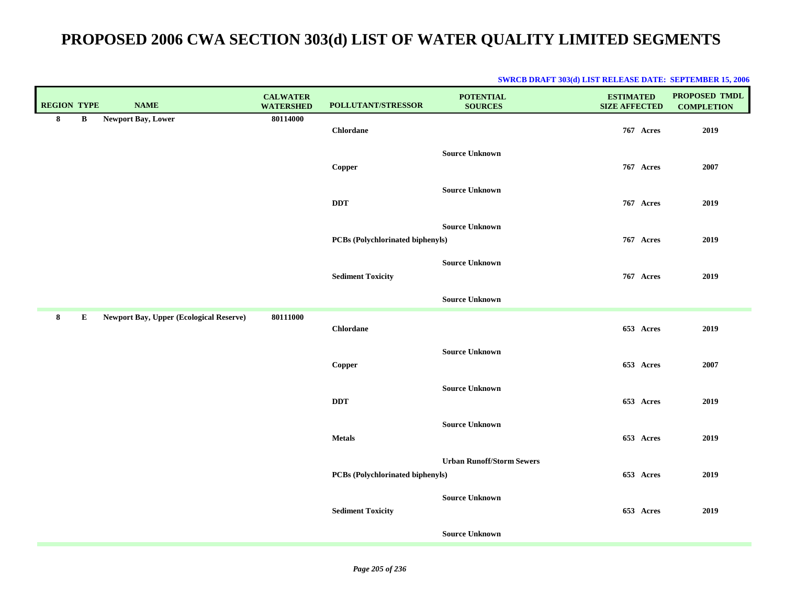| <b>REGION TYPE</b> |          | <b>NAME</b>                                    | <b>CALWATER</b><br><b>WATERSHED</b> | POLLUTANT/STRESSOR               | <b>POTENTIAL</b><br><b>SOURCES</b> | <b>ESTIMATED</b><br><b>SIZE AFFECTED</b> | PROPOSED TMDL<br><b>COMPLETION</b> |
|--------------------|----------|------------------------------------------------|-------------------------------------|----------------------------------|------------------------------------|------------------------------------------|------------------------------------|
| $\bf{8}$           | $\bf{B}$ | Newport Bay, Lower                             | 80114000                            | <b>Chlordane</b>                 |                                    | 767 Acres                                | 2019                               |
|                    |          |                                                |                                     | Copper                           | <b>Source Unknown</b>              | 767 Acres                                | 2007                               |
|                    |          |                                                |                                     | <b>DDT</b>                       | <b>Source Unknown</b>              | 767 Acres                                | 2019                               |
|                    |          |                                                |                                     | PCBs (Polychlorinated biphenyls) | <b>Source Unknown</b>              | 767 Acres                                | 2019                               |
|                    |          |                                                |                                     | <b>Sediment Toxicity</b>         | <b>Source Unknown</b>              | 767 Acres                                | 2019                               |
|                    |          |                                                |                                     |                                  | <b>Source Unknown</b>              |                                          |                                    |
| 8                  | E        | <b>Newport Bay, Upper (Ecological Reserve)</b> | 80111000                            | <b>Chlordane</b>                 |                                    | 653 Acres                                | 2019                               |
|                    |          |                                                |                                     | Copper                           | <b>Source Unknown</b>              | 653 Acres                                | 2007                               |
|                    |          |                                                |                                     | <b>DDT</b>                       | <b>Source Unknown</b>              | 653 Acres                                | 2019                               |
|                    |          |                                                |                                     | <b>Metals</b>                    | <b>Source Unknown</b>              | 653 Acres                                | 2019                               |
|                    |          |                                                |                                     | PCBs (Polychlorinated biphenyls) | <b>Urban Runoff/Storm Sewers</b>   | 653 Acres                                | 2019                               |
|                    |          |                                                |                                     | <b>Sediment Toxicity</b>         | <b>Source Unknown</b>              | 653 Acres                                | 2019                               |
|                    |          |                                                |                                     |                                  | <b>Source Unknown</b>              |                                          |                                    |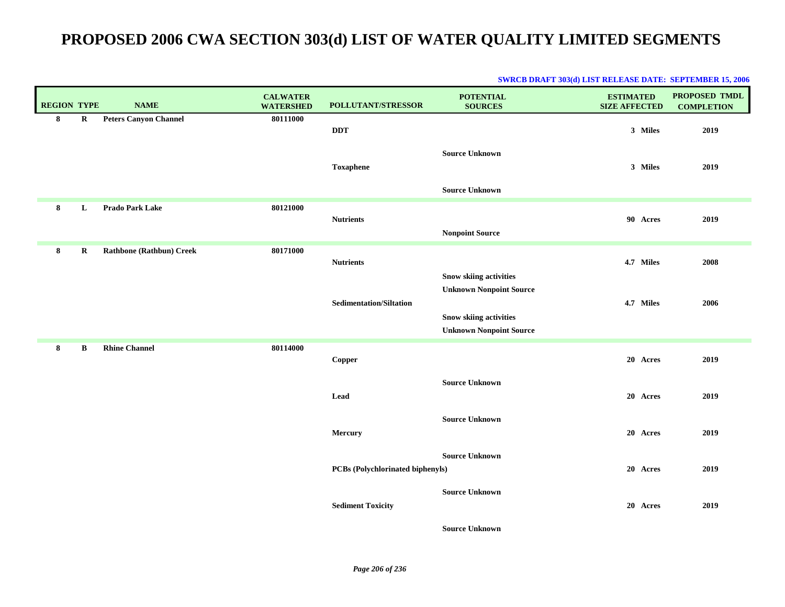| <b>REGION TYPE</b> |             | <b>NAME</b>                     | <b>CALWATER</b><br><b>WATERSHED</b> | POLLUTANT/STRESSOR                      | <b>POTENTIAL</b><br><b>SOURCES</b>                              | <b>ESTIMATED</b><br><b>SIZE AFFECTED</b> | <b>PROPOSED TMDL</b><br><b>COMPLETION</b> |
|--------------------|-------------|---------------------------------|-------------------------------------|-----------------------------------------|-----------------------------------------------------------------|------------------------------------------|-------------------------------------------|
| 8                  | $\mathbf R$ | <b>Peters Canyon Channel</b>    | 80111000                            | <b>DDT</b>                              |                                                                 | 3 Miles                                  | 2019                                      |
|                    |             |                                 |                                     | <b>Toxaphene</b>                        | <b>Source Unknown</b>                                           | 3 Miles                                  | 2019                                      |
|                    |             |                                 |                                     |                                         | <b>Source Unknown</b>                                           |                                          |                                           |
| 8                  | L           | <b>Prado Park Lake</b>          | 80121000                            | <b>Nutrients</b>                        |                                                                 | 90 Acres                                 | 2019                                      |
|                    |             |                                 |                                     |                                         | <b>Nonpoint Source</b>                                          |                                          |                                           |
| 8                  | R           | <b>Rathbone (Rathbun) Creek</b> | 80171000                            | <b>Nutrients</b>                        |                                                                 | 4.7 Miles                                | 2008                                      |
|                    |             |                                 |                                     | <b>Sedimentation/Siltation</b>          | <b>Snow skiing activities</b><br><b>Unknown Nonpoint Source</b> | 4.7 Miles                                | 2006                                      |
|                    |             |                                 |                                     |                                         | <b>Snow skiing activities</b><br><b>Unknown Nonpoint Source</b> |                                          |                                           |
| 8                  | B           | <b>Rhine Channel</b>            | 80114000                            | Copper                                  |                                                                 | 20 Acres                                 | 2019                                      |
|                    |             |                                 |                                     | Lead                                    | <b>Source Unknown</b>                                           | 20 Acres                                 | 2019                                      |
|                    |             |                                 |                                     | <b>Mercury</b>                          | <b>Source Unknown</b>                                           | 20 Acres                                 | 2019                                      |
|                    |             |                                 |                                     | <b>PCBs (Polychlorinated biphenyls)</b> | <b>Source Unknown</b>                                           | 20 Acres                                 | 2019                                      |
|                    |             |                                 |                                     | <b>Sediment Toxicity</b>                | <b>Source Unknown</b>                                           | 20 Acres                                 | 2019                                      |
|                    |             |                                 |                                     |                                         | <b>Source Unknown</b>                                           |                                          |                                           |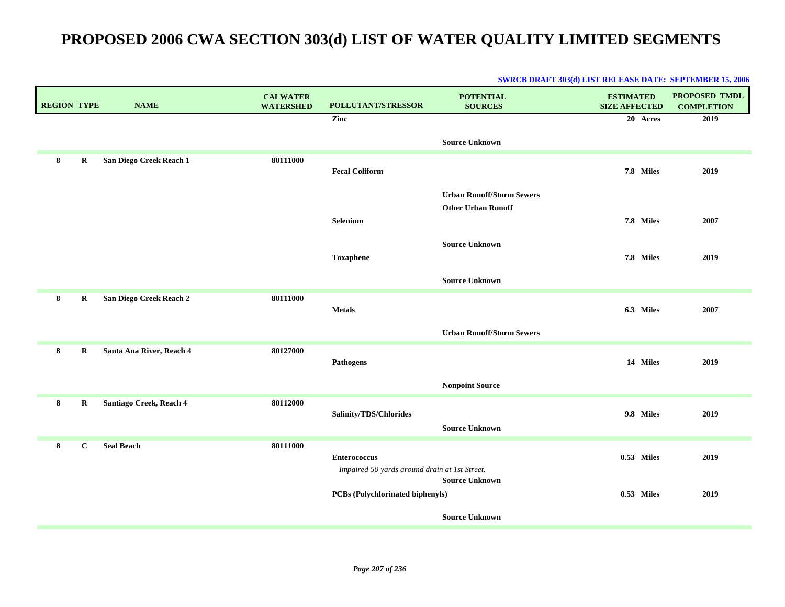| <b>REGION TYPE</b> |              | <b>NAME</b>              | <b>CALWATER</b><br><b>WATERSHED</b> | POLLUTANT/STRESSOR                                                   | <b>POTENTIAL</b><br><b>SOURCES</b>                            | <b>ESTIMATED</b><br><b>SIZE AFFECTED</b> | <b>PROPOSED TMDL</b><br><b>COMPLETION</b> |
|--------------------|--------------|--------------------------|-------------------------------------|----------------------------------------------------------------------|---------------------------------------------------------------|------------------------------------------|-------------------------------------------|
|                    |              |                          |                                     | Zinc                                                                 |                                                               | 20 Acres                                 | 2019                                      |
|                    |              |                          |                                     |                                                                      | <b>Source Unknown</b>                                         |                                          |                                           |
| 8                  | $\bf R$      | San Diego Creek Reach 1  | 80111000                            | <b>Fecal Coliform</b>                                                |                                                               | 7.8 Miles                                | 2019                                      |
|                    |              |                          |                                     |                                                                      | <b>Urban Runoff/Storm Sewers</b><br><b>Other Urban Runoff</b> |                                          |                                           |
|                    |              |                          |                                     | Selenium                                                             |                                                               | 7.8 Miles                                | 2007                                      |
|                    |              |                          |                                     |                                                                      | <b>Source Unknown</b>                                         |                                          |                                           |
|                    |              |                          |                                     | <b>Toxaphene</b>                                                     |                                                               | 7.8 Miles                                | 2019                                      |
|                    |              |                          |                                     |                                                                      | <b>Source Unknown</b>                                         |                                          |                                           |
| 8                  | R            | San Diego Creek Reach 2  | 80111000                            | <b>Metals</b>                                                        |                                                               | 6.3 Miles                                | 2007                                      |
|                    |              |                          |                                     |                                                                      | <b>Urban Runoff/Storm Sewers</b>                              |                                          |                                           |
| 8                  | $\bf R$      | Santa Ana River, Reach 4 | 80127000                            | <b>Pathogens</b>                                                     |                                                               | 14 Miles                                 | 2019                                      |
|                    |              |                          |                                     |                                                                      | <b>Nonpoint Source</b>                                        |                                          |                                           |
| 8                  | R            | Santiago Creek, Reach 4  | 80112000                            | Salinity/TDS/Chlorides                                               | <b>Source Unknown</b>                                         | 9.8 Miles                                | 2019                                      |
| 8                  | $\mathbf{C}$ | <b>Seal Beach</b>        | 80111000                            |                                                                      |                                                               |                                          |                                           |
|                    |              |                          |                                     | <b>Enterococcus</b><br>Impaired 50 yards around drain at 1st Street. |                                                               | 0.53 Miles                               | 2019                                      |
|                    |              |                          |                                     | PCBs (Polychlorinated biphenyls)                                     | <b>Source Unknown</b>                                         | 0.53 Miles                               | 2019                                      |
|                    |              |                          |                                     |                                                                      | <b>Source Unknown</b>                                         |                                          |                                           |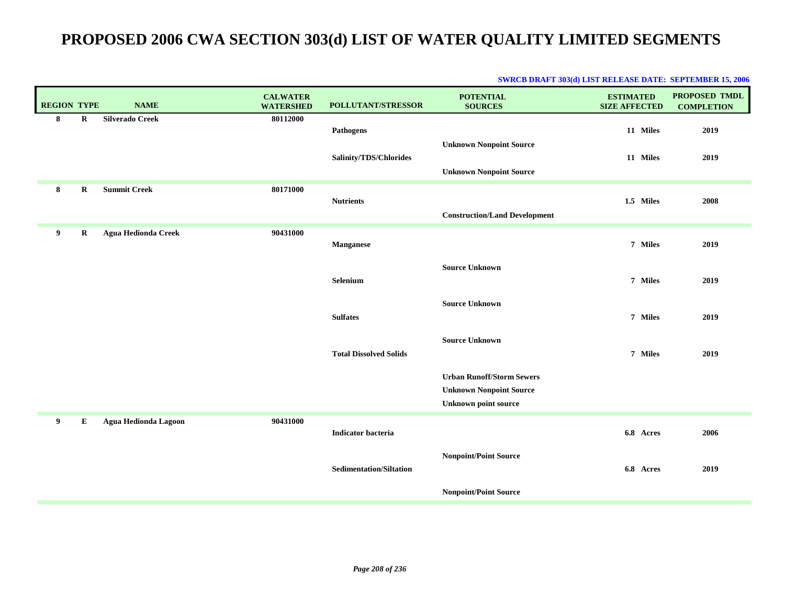|             | <b>NAME</b>                   | <b>CALWATER</b><br><b>WATERSHED</b> | POLLUTANT/STRESSOR             | <b>POTENTIAL</b><br><b>SOURCES</b>                         | <b>ESTIMATED</b><br><b>SIZE AFFECTED</b>                                                           | <b>PROPOSED TMDL</b><br><b>COMPLETION</b> |
|-------------|-------------------------------|-------------------------------------|--------------------------------|------------------------------------------------------------|----------------------------------------------------------------------------------------------------|-------------------------------------------|
| $\mathbf R$ | <b>Silverado Creek</b>        | 80112000                            | Pathogens                      |                                                            | 11 Miles                                                                                           | 2019                                      |
|             |                               |                                     | Salinity/TDS/Chlorides         |                                                            | 11 Miles                                                                                           | 2019                                      |
|             |                               |                                     |                                |                                                            |                                                                                                    |                                           |
|             |                               |                                     | <b>Nutrients</b>               |                                                            | 1.5 Miles                                                                                          | 2008                                      |
|             |                               |                                     |                                | <b>Construction/Land Development</b>                       |                                                                                                    |                                           |
| R           | <b>Agua Hedionda Creek</b>    | 90431000                            | <b>Manganese</b>               |                                                            | 7 Miles                                                                                            | 2019                                      |
|             |                               |                                     | Selenium                       | <b>Source Unknown</b>                                      | 7 Miles                                                                                            | 2019                                      |
|             |                               |                                     |                                | <b>Source Unknown</b>                                      |                                                                                                    |                                           |
|             |                               |                                     | <b>Sulfates</b>                |                                                            | 7 Miles                                                                                            | 2019                                      |
|             |                               |                                     |                                | <b>Source Unknown</b>                                      |                                                                                                    |                                           |
|             |                               |                                     |                                |                                                            |                                                                                                    | 2019                                      |
|             |                               |                                     |                                | <b>Urban Runoff/Storm Sewers</b>                           |                                                                                                    |                                           |
|             |                               |                                     |                                | <b>Unknown point source</b>                                |                                                                                                    |                                           |
| E           | <b>Agua Hedionda Lagoon</b>   | 90431000                            |                                |                                                            |                                                                                                    | 2006                                      |
|             |                               |                                     |                                |                                                            |                                                                                                    |                                           |
|             |                               |                                     | <b>Sedimentation/Siltation</b> | <b>Nonpoint/Point Source</b>                               | 6.8 Acres                                                                                          | 2019                                      |
|             |                               |                                     |                                | <b>Nonpoint/Point Source</b>                               |                                                                                                    |                                           |
|             | <b>REGION TYPE</b><br>$\bf R$ | <b>Summit Creek</b>                 | 80171000                       | <b>Total Dissolved Solids</b><br><b>Indicator</b> bacteria | <b>Unknown Nonpoint Source</b><br><b>Unknown Nonpoint Source</b><br><b>Unknown Nonpoint Source</b> | 7 Miles<br>6.8 Acres                      |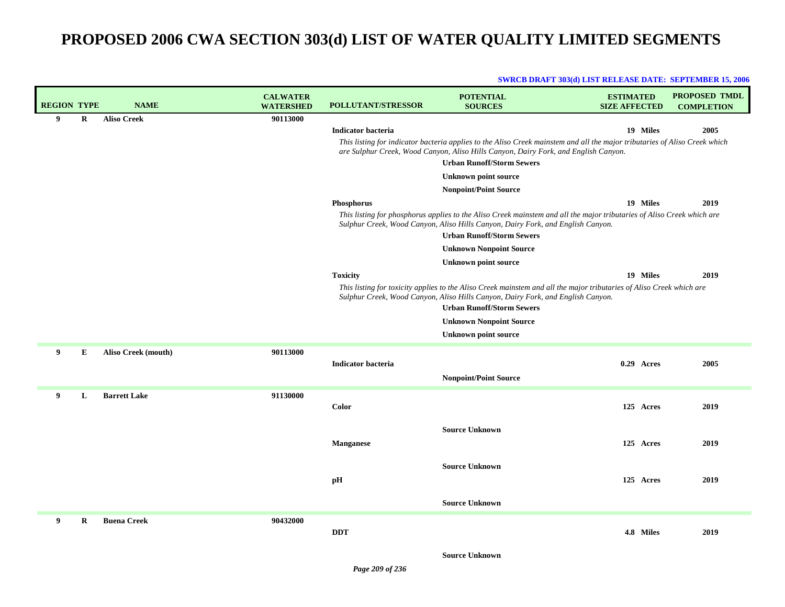| <b>REGION TYPE</b> |         | <b>NAME</b>         | <b>CALWATER</b><br><b>WATERSHED</b> | POLLUTANT/STRESSOR        | <b>POTENTIAL</b><br><b>SOURCES</b>                                                                                                                                                                                                                    | <b>ESTIMATED</b><br><b>SIZE AFFECTED</b> | <b>PROPOSED TMDL</b><br><b>COMPLETION</b> |
|--------------------|---------|---------------------|-------------------------------------|---------------------------|-------------------------------------------------------------------------------------------------------------------------------------------------------------------------------------------------------------------------------------------------------|------------------------------------------|-------------------------------------------|
| 9                  | $\bf R$ | <b>Aliso Creek</b>  | 90113000                            |                           |                                                                                                                                                                                                                                                       |                                          |                                           |
|                    |         |                     |                                     | <b>Indicator bacteria</b> |                                                                                                                                                                                                                                                       | 19 Miles                                 | 2005                                      |
|                    |         |                     |                                     |                           | This listing for indicator bacteria applies to the Aliso Creek mainstem and all the major tributaries of Aliso Creek which<br>are Sulphur Creek, Wood Canyon, Aliso Hills Canyon, Dairy Fork, and English Canyon.<br><b>Urban Runoff/Storm Sewers</b> |                                          |                                           |
|                    |         |                     |                                     |                           | <b>Unknown point source</b>                                                                                                                                                                                                                           |                                          |                                           |
|                    |         |                     |                                     |                           | <b>Nonpoint/Point Source</b>                                                                                                                                                                                                                          |                                          |                                           |
|                    |         |                     |                                     | Phosphorus                |                                                                                                                                                                                                                                                       | 19 Miles                                 | 2019                                      |
|                    |         |                     |                                     |                           | This listing for phosphorus applies to the Aliso Creek mainstem and all the major tributaries of Aliso Creek which are<br>Sulphur Creek, Wood Canyon, Aliso Hills Canyon, Dairy Fork, and English Canyon.                                             |                                          |                                           |
|                    |         |                     |                                     |                           | <b>Urban Runoff/Storm Sewers</b>                                                                                                                                                                                                                      |                                          |                                           |
|                    |         |                     |                                     |                           | <b>Unknown Nonpoint Source</b>                                                                                                                                                                                                                        |                                          |                                           |
|                    |         |                     |                                     |                           | <b>Unknown point source</b>                                                                                                                                                                                                                           |                                          |                                           |
|                    |         |                     |                                     | <b>Toxicity</b>           |                                                                                                                                                                                                                                                       | 19 Miles                                 | 2019                                      |
|                    |         |                     |                                     |                           | This listing for toxicity applies to the Aliso Creek mainstem and all the major tributaries of Aliso Creek which are<br>Sulphur Creek, Wood Canyon, Aliso Hills Canyon, Dairy Fork, and English Canyon.<br><b>Urban Runoff/Storm Sewers</b>           |                                          |                                           |
|                    |         |                     |                                     |                           | <b>Unknown Nonpoint Source</b>                                                                                                                                                                                                                        |                                          |                                           |
|                    |         |                     |                                     |                           | <b>Unknown point source</b>                                                                                                                                                                                                                           |                                          |                                           |
| 9                  | Е       | Aliso Creek (mouth) | 90113000                            |                           |                                                                                                                                                                                                                                                       |                                          |                                           |
|                    |         |                     |                                     | <b>Indicator bacteria</b> |                                                                                                                                                                                                                                                       | 0.29 Acres                               | 2005                                      |
|                    |         |                     |                                     |                           | <b>Nonpoint/Point Source</b>                                                                                                                                                                                                                          |                                          |                                           |
| 9                  | L       | <b>Barrett Lake</b> | 91130000                            |                           |                                                                                                                                                                                                                                                       |                                          |                                           |
|                    |         |                     |                                     | Color                     |                                                                                                                                                                                                                                                       | 125 Acres                                | 2019                                      |
|                    |         |                     |                                     |                           |                                                                                                                                                                                                                                                       |                                          |                                           |
|                    |         |                     |                                     |                           | <b>Source Unknown</b>                                                                                                                                                                                                                                 |                                          |                                           |
|                    |         |                     |                                     | <b>Manganese</b>          |                                                                                                                                                                                                                                                       | 125 Acres                                | 2019                                      |
|                    |         |                     |                                     |                           | <b>Source Unknown</b>                                                                                                                                                                                                                                 |                                          |                                           |
|                    |         |                     |                                     |                           |                                                                                                                                                                                                                                                       | 125 Acres                                | 2019                                      |
|                    |         |                     |                                     | pH                        |                                                                                                                                                                                                                                                       |                                          |                                           |
|                    |         |                     |                                     |                           | <b>Source Unknown</b>                                                                                                                                                                                                                                 |                                          |                                           |
| 9                  | R       | <b>Buena Creek</b>  | 90432000                            |                           |                                                                                                                                                                                                                                                       |                                          |                                           |
|                    |         |                     |                                     | <b>DDT</b>                |                                                                                                                                                                                                                                                       | 4.8 Miles                                | 2019                                      |
|                    |         |                     |                                     |                           | <b>Source Unknown</b>                                                                                                                                                                                                                                 |                                          |                                           |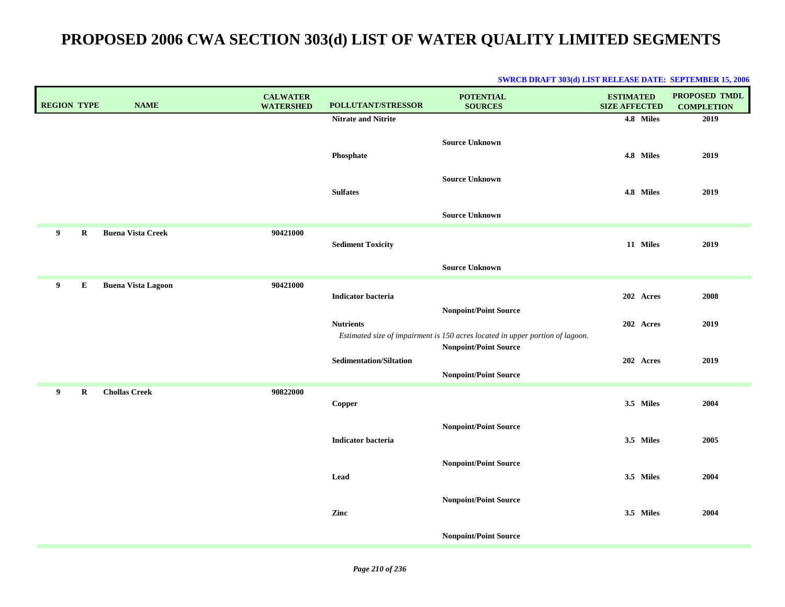| <b>REGION TYPE</b> | <b>NAME</b>               | <b>CALWATER</b><br><b>WATERSHED</b> | <b>POLLUTANT/STRESSOR</b>      | <b>POTENTIAL</b><br><b>SOURCES</b>                                                                            | <b>ESTIMATED</b><br><b>SIZE AFFECTED</b> | PROPOSED TMDL<br><b>COMPLETION</b> |
|--------------------|---------------------------|-------------------------------------|--------------------------------|---------------------------------------------------------------------------------------------------------------|------------------------------------------|------------------------------------|
|                    |                           |                                     | <b>Nitrate and Nitrite</b>     |                                                                                                               | 4.8 Miles                                | 2019                               |
|                    |                           |                                     | Phosphate                      | <b>Source Unknown</b>                                                                                         | 4.8 Miles                                | 2019                               |
|                    |                           |                                     | <b>Sulfates</b>                | <b>Source Unknown</b>                                                                                         | 4.8 Miles                                | 2019                               |
|                    |                           |                                     |                                | <b>Source Unknown</b>                                                                                         |                                          |                                    |
| 9<br>$\bf R$       | <b>Buena Vista Creek</b>  | 90421000                            | <b>Sediment Toxicity</b>       |                                                                                                               | 11 Miles                                 | 2019                               |
|                    |                           |                                     |                                | <b>Source Unknown</b>                                                                                         |                                          |                                    |
| 9<br>${\bf E}$     | <b>Buena Vista Lagoon</b> | 90421000                            | <b>Indicator bacteria</b>      |                                                                                                               | 202 Acres                                | 2008                               |
|                    |                           |                                     | <b>Nutrients</b>               | <b>Nonpoint/Point Source</b><br>Estimated size of impairment is 150 acres located in upper portion of lagoon. | 202 Acres                                | 2019                               |
|                    |                           |                                     | <b>Sedimentation/Siltation</b> | <b>Nonpoint/Point Source</b><br><b>Nonpoint/Point Source</b>                                                  | 202 Acres                                | 2019                               |
| 9<br>$\bf R$       | <b>Chollas Creek</b>      | 90822000                            |                                |                                                                                                               |                                          |                                    |
|                    |                           |                                     | Copper                         |                                                                                                               | 3.5 Miles                                | 2004                               |
|                    |                           |                                     | <b>Indicator bacteria</b>      | <b>Nonpoint/Point Source</b>                                                                                  | 3.5 Miles                                | 2005                               |
|                    |                           |                                     | Lead                           | <b>Nonpoint/Point Source</b>                                                                                  | 3.5 Miles                                | 2004                               |
|                    |                           |                                     | Zinc                           | <b>Nonpoint/Point Source</b>                                                                                  | 3.5 Miles                                | 2004                               |
|                    |                           |                                     |                                | <b>Nonpoint/Point Source</b>                                                                                  |                                          |                                    |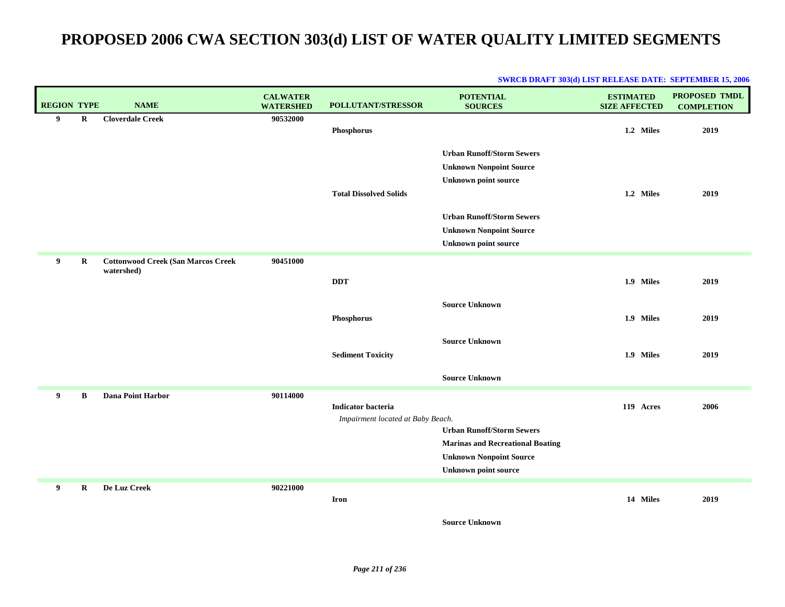| <b>REGION TYPE</b> |   | <b>NAME</b>                                             | <b>CALWATER</b><br><b>WATERSHED</b> | POLLUTANT/STRESSOR                                             | <b>POTENTIAL</b><br><b>SOURCES</b>                                                                                                           | <b>ESTIMATED</b><br><b>SIZE AFFECTED</b> | PROPOSED TMDL<br><b>COMPLETION</b> |
|--------------------|---|---------------------------------------------------------|-------------------------------------|----------------------------------------------------------------|----------------------------------------------------------------------------------------------------------------------------------------------|------------------------------------------|------------------------------------|
| 9                  | R | <b>Cloverdale Creek</b>                                 | 90532000                            | Phosphorus                                                     |                                                                                                                                              | 1.2 Miles                                | 2019                               |
|                    |   |                                                         |                                     | <b>Total Dissolved Solids</b>                                  | <b>Urban Runoff/Storm Sewers</b><br><b>Unknown Nonpoint Source</b><br><b>Unknown point source</b>                                            | 1.2 Miles                                | 2019                               |
|                    |   |                                                         |                                     |                                                                | <b>Urban Runoff/Storm Sewers</b><br><b>Unknown Nonpoint Source</b><br><b>Unknown point source</b>                                            |                                          |                                    |
| 9                  | R | <b>Cottonwood Creek (San Marcos Creek</b><br>watershed) | 90451000                            | <b>DDT</b>                                                     |                                                                                                                                              | 1.9 Miles                                | 2019                               |
|                    |   |                                                         |                                     | Phosphorus                                                     | <b>Source Unknown</b>                                                                                                                        | 1.9 Miles                                | 2019                               |
|                    |   |                                                         |                                     | <b>Sediment Toxicity</b>                                       | <b>Source Unknown</b>                                                                                                                        | 1.9 Miles                                | 2019                               |
|                    |   |                                                         |                                     |                                                                | <b>Source Unknown</b>                                                                                                                        |                                          |                                    |
| 9                  | B | <b>Dana Point Harbor</b>                                | 90114000                            | <b>Indicator bacteria</b><br>Impairment located at Baby Beach. |                                                                                                                                              | 119 Acres                                | 2006                               |
|                    |   |                                                         |                                     |                                                                | <b>Urban Runoff/Storm Sewers</b><br><b>Marinas and Recreational Boating</b><br><b>Unknown Nonpoint Source</b><br><b>Unknown point source</b> |                                          |                                    |
| 9                  | R | De Luz Creek                                            | 90221000                            | <b>Iron</b>                                                    |                                                                                                                                              | 14 Miles                                 | 2019                               |

#### **SWRCB DRAFT 303(d) LIST RELEASE DATE: SEPTEMBER 15, 2006**

**Source Unknown**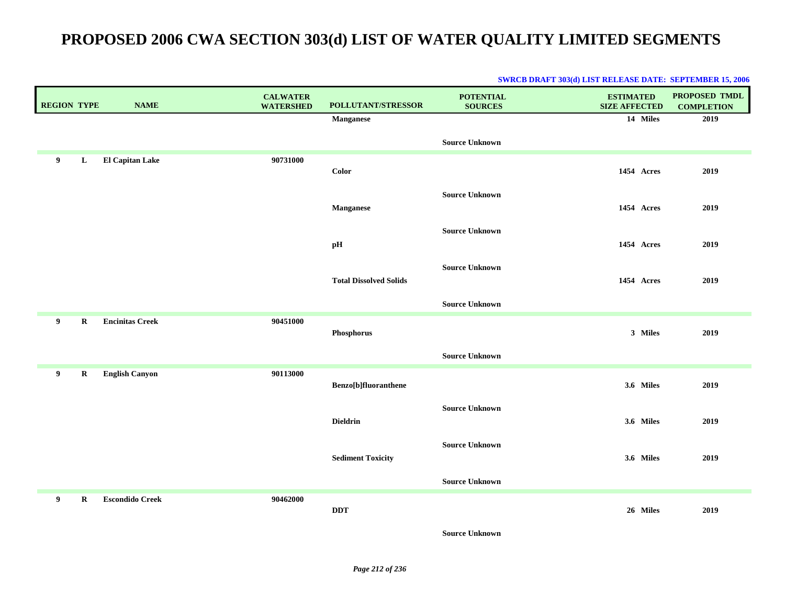| <b>REGION TYPE</b> |             | <b>NAME</b>            | <b>CALWATER</b><br><b>WATERSHED</b> | POLLUTANT/STRESSOR            | <b>POTENTIAL</b><br><b>SOURCES</b> | <b>ESTIMATED</b><br><b>SIZE AFFECTED</b> | PROPOSED TMDL<br><b>COMPLETION</b> |
|--------------------|-------------|------------------------|-------------------------------------|-------------------------------|------------------------------------|------------------------------------------|------------------------------------|
|                    |             |                        |                                     | <b>Manganese</b>              |                                    | 14 Miles                                 | 2019                               |
|                    |             |                        |                                     |                               | <b>Source Unknown</b>              |                                          |                                    |
| 9 <sup>1</sup>     | L           | <b>El Capitan Lake</b> | 90731000                            | Color                         |                                    | 1454 Acres                               | 2019                               |
|                    |             |                        |                                     | <b>Manganese</b>              | <b>Source Unknown</b>              | 1454 Acres                               | 2019                               |
|                    |             |                        |                                     |                               | <b>Source Unknown</b>              |                                          |                                    |
|                    |             |                        |                                     | pH                            |                                    | 1454 Acres                               | 2019                               |
|                    |             |                        |                                     | <b>Total Dissolved Solids</b> | <b>Source Unknown</b>              | 1454 Acres                               | 2019                               |
|                    |             |                        |                                     |                               | <b>Source Unknown</b>              |                                          |                                    |
| 9                  | $\mathbf R$ | <b>Encinitas Creek</b> | 90451000                            | Phosphorus                    |                                    | 3 Miles                                  | 2019                               |
|                    |             |                        |                                     |                               | <b>Source Unknown</b>              |                                          |                                    |
| 9                  | $\mathbf R$ | <b>English Canyon</b>  | 90113000                            | Benzo[b]fluoranthene          |                                    | 3.6 Miles                                | 2019                               |
|                    |             |                        |                                     | <b>Dieldrin</b>               | <b>Source Unknown</b>              | 3.6 Miles                                | 2019                               |
|                    |             |                        |                                     | <b>Sediment Toxicity</b>      | <b>Source Unknown</b>              | 3.6 Miles                                | 2019                               |
|                    |             |                        |                                     |                               | <b>Source Unknown</b>              |                                          |                                    |
| 9 <sup>1</sup>     | $\mathbf R$ | <b>Escondido Creek</b> | 90462000                            | <b>DDT</b>                    |                                    | 26 Miles                                 | 2019                               |
|                    |             |                        |                                     |                               | <b>Source Unknown</b>              |                                          |                                    |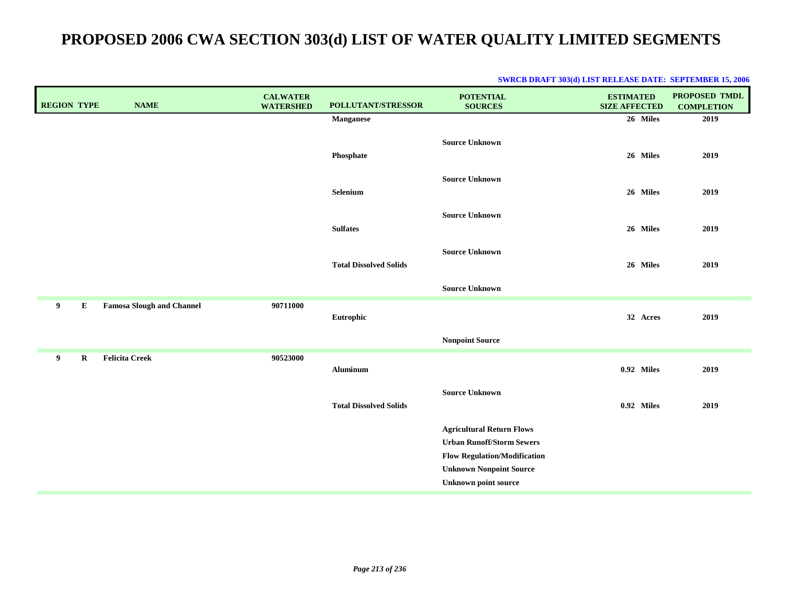| <b>REGION TYPE</b> | <b>NAME</b>                      | <b>CALWATER</b><br><b>WATERSHED</b> | POLLUTANT/STRESSOR            | <b>POTENTIAL</b><br><b>SOURCES</b>                                                                                                                                           | <b>ESTIMATED</b><br><b>SIZE AFFECTED</b> | PROPOSED TMDL<br><b>COMPLETION</b> |
|--------------------|----------------------------------|-------------------------------------|-------------------------------|------------------------------------------------------------------------------------------------------------------------------------------------------------------------------|------------------------------------------|------------------------------------|
|                    |                                  |                                     | <b>Manganese</b>              |                                                                                                                                                                              | 26 Miles                                 | 2019                               |
|                    |                                  |                                     | Phosphate                     | <b>Source Unknown</b>                                                                                                                                                        | 26 Miles                                 | 2019                               |
|                    |                                  |                                     | Selenium                      | <b>Source Unknown</b>                                                                                                                                                        | 26 Miles                                 | 2019                               |
|                    |                                  |                                     | <b>Sulfates</b>               | <b>Source Unknown</b>                                                                                                                                                        | 26 Miles                                 | 2019                               |
|                    |                                  |                                     | <b>Total Dissolved Solids</b> | <b>Source Unknown</b>                                                                                                                                                        | 26 Miles                                 | 2019                               |
|                    |                                  |                                     |                               | <b>Source Unknown</b>                                                                                                                                                        |                                          |                                    |
| 9<br>E             | <b>Famosa Slough and Channel</b> | 90711000                            | Eutrophic                     |                                                                                                                                                                              | 32 Acres                                 | 2019                               |
|                    |                                  |                                     |                               | <b>Nonpoint Source</b>                                                                                                                                                       |                                          |                                    |
| 9<br>R             | <b>Felicita Creek</b>            | 90523000                            | Aluminum                      |                                                                                                                                                                              | 0.92 Miles                               | 2019                               |
|                    |                                  |                                     | <b>Total Dissolved Solids</b> | <b>Source Unknown</b>                                                                                                                                                        | 0.92 Miles                               | 2019                               |
|                    |                                  |                                     |                               | <b>Agricultural Return Flows</b><br><b>Urban Runoff/Storm Sewers</b><br><b>Flow Regulation/Modification</b><br><b>Unknown Nonpoint Source</b><br><b>Unknown point source</b> |                                          |                                    |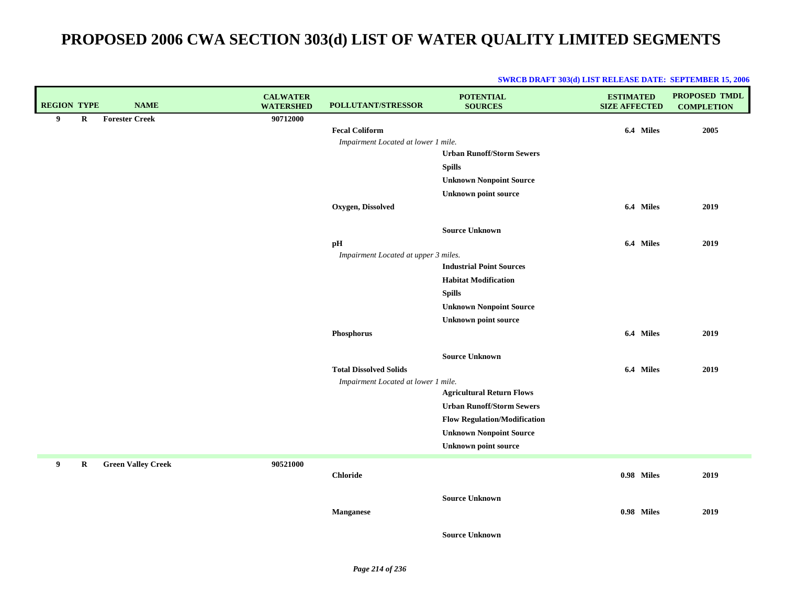| <b>REGION TYPE</b> |         | <b>NAME</b>               | <b>CALWATER</b><br><b>WATERSHED</b> | <b>POLLUTANT/STRESSOR</b>            | <b>POTENTIAL</b><br><b>SOURCES</b>  | <b>ESTIMATED</b><br><b>SIZE AFFECTED</b> | PROPOSED TMDL<br><b>COMPLETION</b> |
|--------------------|---------|---------------------------|-------------------------------------|--------------------------------------|-------------------------------------|------------------------------------------|------------------------------------|
| 9                  | $\bf R$ | <b>Forester Creek</b>     | 90712000                            |                                      |                                     |                                          |                                    |
|                    |         |                           |                                     | <b>Fecal Coliform</b>                |                                     | 6.4 Miles                                | 2005                               |
|                    |         |                           |                                     | Impairment Located at lower 1 mile.  |                                     |                                          |                                    |
|                    |         |                           |                                     |                                      | <b>Urban Runoff/Storm Sewers</b>    |                                          |                                    |
|                    |         |                           |                                     |                                      | <b>Spills</b>                       |                                          |                                    |
|                    |         |                           |                                     |                                      | <b>Unknown Nonpoint Source</b>      |                                          |                                    |
|                    |         |                           |                                     |                                      | <b>Unknown point source</b>         |                                          |                                    |
|                    |         |                           |                                     | Oxygen, Dissolved                    |                                     | 6.4 Miles                                | 2019                               |
|                    |         |                           |                                     |                                      | <b>Source Unknown</b>               |                                          |                                    |
|                    |         |                           |                                     | рH                                   |                                     | 6.4 Miles                                | 2019                               |
|                    |         |                           |                                     | Impairment Located at upper 3 miles. |                                     |                                          |                                    |
|                    |         |                           |                                     |                                      | <b>Industrial Point Sources</b>     |                                          |                                    |
|                    |         |                           |                                     |                                      | <b>Habitat Modification</b>         |                                          |                                    |
|                    |         |                           |                                     |                                      | <b>Spills</b>                       |                                          |                                    |
|                    |         |                           |                                     |                                      | <b>Unknown Nonpoint Source</b>      |                                          |                                    |
|                    |         |                           |                                     |                                      | <b>Unknown point source</b>         |                                          |                                    |
|                    |         |                           |                                     | Phosphorus                           |                                     | 6.4 Miles                                | 2019                               |
|                    |         |                           |                                     |                                      | <b>Source Unknown</b>               |                                          |                                    |
|                    |         |                           |                                     | <b>Total Dissolved Solids</b>        |                                     | 6.4 Miles                                | 2019                               |
|                    |         |                           |                                     | Impairment Located at lower 1 mile.  |                                     |                                          |                                    |
|                    |         |                           |                                     |                                      | <b>Agricultural Return Flows</b>    |                                          |                                    |
|                    |         |                           |                                     |                                      | <b>Urban Runoff/Storm Sewers</b>    |                                          |                                    |
|                    |         |                           |                                     |                                      | <b>Flow Regulation/Modification</b> |                                          |                                    |
|                    |         |                           |                                     |                                      | <b>Unknown Nonpoint Source</b>      |                                          |                                    |
|                    |         |                           |                                     |                                      | <b>Unknown point source</b>         |                                          |                                    |
| 9                  | R       | <b>Green Valley Creek</b> | 90521000                            | <b>Chloride</b>                      |                                     | 0.98 Miles                               | 2019                               |
|                    |         |                           |                                     |                                      |                                     |                                          |                                    |
|                    |         |                           |                                     |                                      | <b>Source Unknown</b>               |                                          |                                    |
|                    |         |                           |                                     | <b>Manganese</b>                     |                                     | 0.98 Miles                               | 2019                               |
|                    |         |                           |                                     |                                      |                                     |                                          |                                    |
|                    |         |                           |                                     |                                      | <b>Source Unknown</b>               |                                          |                                    |
|                    |         |                           |                                     |                                      |                                     |                                          |                                    |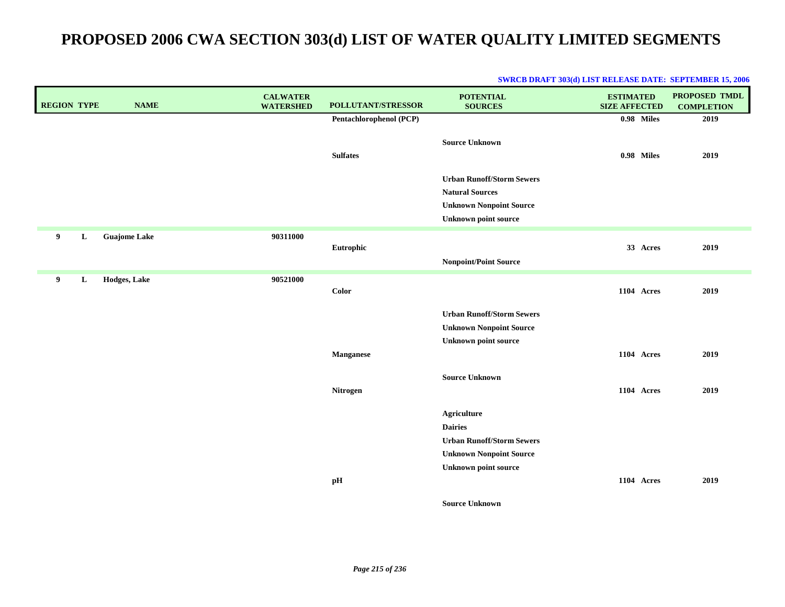| <b>REGION TYPE</b>  | <b>NAME</b>         | <b>CALWATER</b><br><b>WATERSHED</b> | POLLUTANT/STRESSOR      | <b>POTENTIAL</b><br><b>SOURCES</b>                                                                                                        | <b>ESTIMATED</b><br><b>SIZE AFFECTED</b> | <b>PROPOSED TMDL</b><br><b>COMPLETION</b> |
|---------------------|---------------------|-------------------------------------|-------------------------|-------------------------------------------------------------------------------------------------------------------------------------------|------------------------------------------|-------------------------------------------|
|                     |                     |                                     | Pentachlorophenol (PCP) |                                                                                                                                           | 0.98 Miles                               | 2019                                      |
|                     |                     |                                     | <b>Sulfates</b>         | <b>Source Unknown</b>                                                                                                                     | 0.98 Miles                               | 2019                                      |
|                     |                     |                                     |                         | <b>Urban Runoff/Storm Sewers</b><br><b>Natural Sources</b><br><b>Unknown Nonpoint Source</b><br><b>Unknown point source</b>               |                                          |                                           |
| 9 <sup>°</sup><br>L | <b>Guajome Lake</b> | 90311000                            | Eutrophic               | <b>Nonpoint/Point Source</b>                                                                                                              | 33 Acres                                 | 2019                                      |
| 9<br>L              | Hodges, Lake        | 90521000                            | <b>Color</b>            |                                                                                                                                           | <b>1104 Acres</b>                        | 2019                                      |
|                     |                     |                                     |                         | <b>Urban Runoff/Storm Sewers</b>                                                                                                          |                                          |                                           |
|                     |                     |                                     |                         | <b>Unknown Nonpoint Source</b>                                                                                                            |                                          |                                           |
|                     |                     |                                     |                         | <b>Unknown point source</b>                                                                                                               |                                          |                                           |
|                     |                     |                                     | <b>Manganese</b>        |                                                                                                                                           | <b>1104 Acres</b>                        | 2019                                      |
|                     |                     |                                     | Nitrogen                | <b>Source Unknown</b>                                                                                                                     | 1104 Acres                               | 2019                                      |
|                     |                     |                                     |                         | <b>Agriculture</b><br><b>Dairies</b><br><b>Urban Runoff/Storm Sewers</b><br><b>Unknown Nonpoint Source</b><br><b>Unknown point source</b> |                                          |                                           |
|                     |                     |                                     | pH                      |                                                                                                                                           | 1104 Acres                               | 2019                                      |
|                     |                     |                                     |                         | <b>Source Unknown</b>                                                                                                                     |                                          |                                           |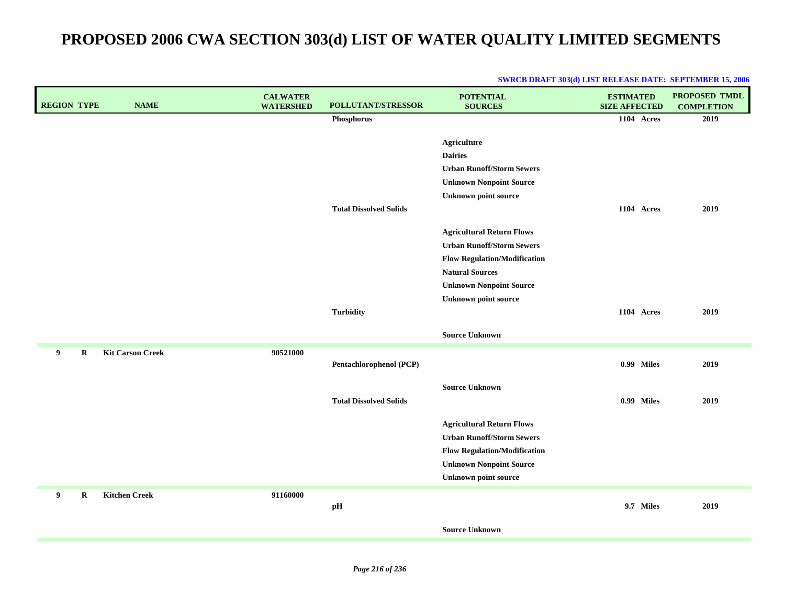| <b>REGION TYPE</b> |             | <b>NAME</b>             | <b>CALWATER</b><br><b>WATERSHED</b> | POLLUTANT/STRESSOR            | <b>POTENTIAL</b><br><b>SOURCES</b>                                   | <b>ESTIMATED</b><br><b>SIZE AFFECTED</b> | <b>PROPOSED TMDL</b><br><b>COMPLETION</b> |
|--------------------|-------------|-------------------------|-------------------------------------|-------------------------------|----------------------------------------------------------------------|------------------------------------------|-------------------------------------------|
|                    |             |                         |                                     | Phosphorus                    |                                                                      | 1104 Acres                               | 2019                                      |
|                    |             |                         |                                     |                               | Agriculture<br><b>Dairies</b><br><b>Urban Runoff/Storm Sewers</b>    |                                          |                                           |
|                    |             |                         |                                     |                               | <b>Unknown Nonpoint Source</b><br><b>Unknown point source</b>        |                                          |                                           |
|                    |             |                         |                                     | <b>Total Dissolved Solids</b> |                                                                      | 1104 Acres                               | 2019                                      |
|                    |             |                         |                                     |                               | <b>Agricultural Return Flows</b><br><b>Urban Runoff/Storm Sewers</b> |                                          |                                           |
|                    |             |                         |                                     |                               | <b>Flow Regulation/Modification</b>                                  |                                          |                                           |
|                    |             |                         |                                     |                               | <b>Natural Sources</b>                                               |                                          |                                           |
|                    |             |                         |                                     |                               | <b>Unknown Nonpoint Source</b>                                       |                                          |                                           |
|                    |             |                         |                                     |                               | <b>Unknown point source</b>                                          |                                          |                                           |
|                    |             |                         |                                     | <b>Turbidity</b>              |                                                                      | 1104 Acres                               | 2019                                      |
|                    |             |                         |                                     |                               | <b>Source Unknown</b>                                                |                                          |                                           |
| 9                  | $\mathbf R$ | <b>Kit Carson Creek</b> | 90521000                            | Pentachlorophenol (PCP)       |                                                                      | 0.99 Miles                               | 2019                                      |
|                    |             |                         |                                     | <b>Total Dissolved Solids</b> | <b>Source Unknown</b>                                                | 0.99 Miles                               | 2019                                      |
|                    |             |                         |                                     |                               | <b>Agricultural Return Flows</b>                                     |                                          |                                           |
|                    |             |                         |                                     |                               | <b>Urban Runoff/Storm Sewers</b>                                     |                                          |                                           |
|                    |             |                         |                                     |                               | <b>Flow Regulation/Modification</b>                                  |                                          |                                           |
|                    |             |                         |                                     |                               | <b>Unknown Nonpoint Source</b>                                       |                                          |                                           |
|                    |             |                         |                                     |                               | <b>Unknown point source</b>                                          |                                          |                                           |
| 9                  | $\mathbf R$ | <b>Kitchen Creek</b>    | 91160000                            | pH                            |                                                                      | 9.7 Miles                                | 2019                                      |
|                    |             |                         |                                     |                               | <b>Source Unknown</b>                                                |                                          |                                           |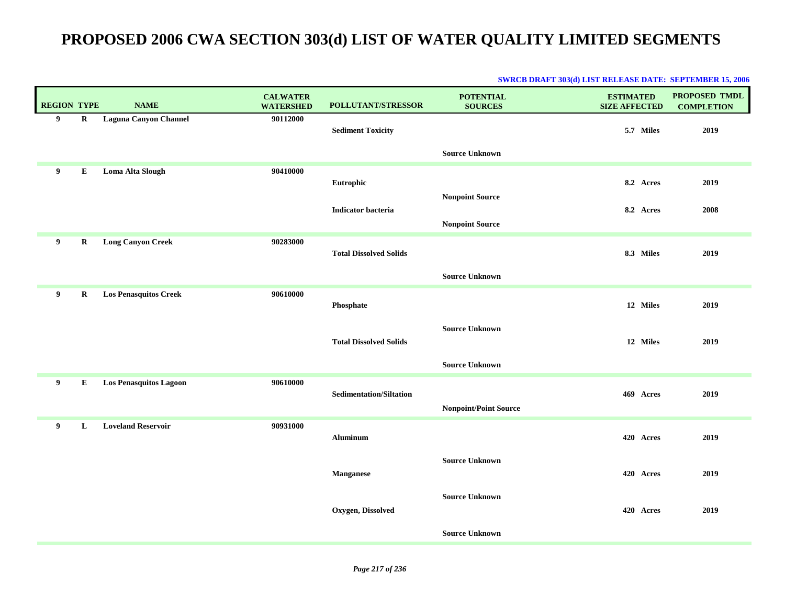| <b>REGION TYPE</b> |             | <b>NAME</b>                   | <b>CALWATER</b><br><b>WATERSHED</b> | POLLUTANT/STRESSOR             | <b>POTENTIAL</b><br><b>SOURCES</b> | <b>ESTIMATED</b><br><b>SIZE AFFECTED</b> | <b>PROPOSED TMDL</b><br><b>COMPLETION</b> |
|--------------------|-------------|-------------------------------|-------------------------------------|--------------------------------|------------------------------------|------------------------------------------|-------------------------------------------|
| 9                  | $\mathbf R$ | <b>Laguna Canyon Channel</b>  | 90112000                            | <b>Sediment Toxicity</b>       |                                    | 5.7 Miles                                | 2019                                      |
|                    |             |                               |                                     |                                | <b>Source Unknown</b>              |                                          |                                           |
| 9                  | ${\bf E}$   | Loma Alta Slough              | 90410000                            | Eutrophic                      |                                    | 8.2 Acres                                | 2019                                      |
|                    |             |                               |                                     | <b>Indicator bacteria</b>      | <b>Nonpoint Source</b>             | 8.2 Acres                                | 2008                                      |
| 9                  | R           | <b>Long Canyon Creek</b>      | 90283000                            |                                | <b>Nonpoint Source</b>             |                                          |                                           |
|                    |             |                               |                                     | <b>Total Dissolved Solids</b>  |                                    | 8.3 Miles                                | 2019                                      |
|                    |             |                               |                                     |                                | <b>Source Unknown</b>              |                                          |                                           |
| 9                  | $\bf R$     | <b>Los Penasquitos Creek</b>  | 90610000                            | Phosphate                      |                                    | 12 Miles                                 | 2019                                      |
|                    |             |                               |                                     | <b>Total Dissolved Solids</b>  | <b>Source Unknown</b>              | 12 Miles                                 | 2019                                      |
|                    |             |                               |                                     |                                | <b>Source Unknown</b>              |                                          |                                           |
| 9                  | ${\bf E}$   | <b>Los Penasquitos Lagoon</b> | 90610000                            | <b>Sedimentation/Siltation</b> | <b>Nonpoint/Point Source</b>       | 469 Acres                                | 2019                                      |
| 9                  | L           | <b>Loveland Reservoir</b>     | 90931000                            | <b>Aluminum</b>                |                                    | 420 Acres                                | 2019                                      |
|                    |             |                               |                                     | Manganese                      | <b>Source Unknown</b>              | 420 Acres                                | 2019                                      |
|                    |             |                               |                                     | Oxygen, Dissolved              | <b>Source Unknown</b>              | 420 Acres                                | 2019                                      |
|                    |             |                               |                                     |                                | <b>Source Unknown</b>              |                                          |                                           |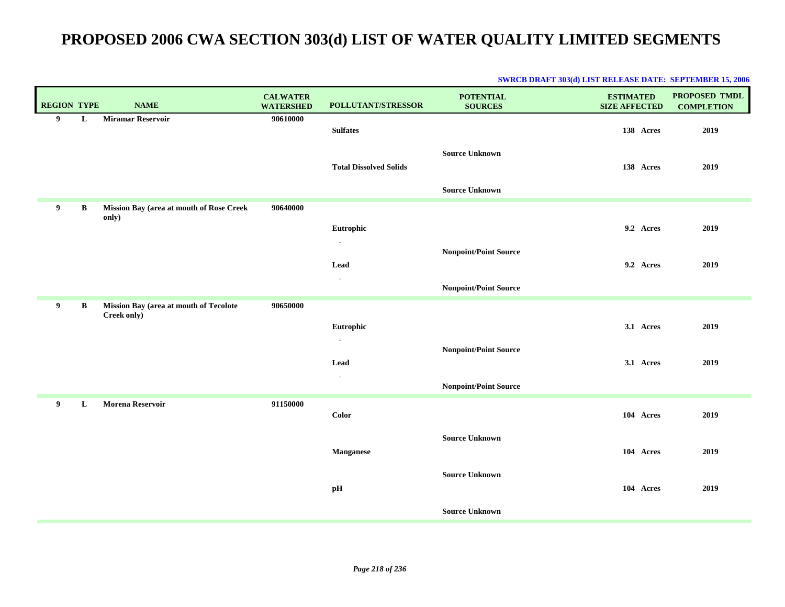| <b>REGION TYPE</b> |              | <b>NAME</b>                                           | <b>CALWATER</b><br><b>WATERSHED</b> | POLLUTANT/STRESSOR            | <b>POTENTIAL</b><br><b>SOURCES</b> | <b>ESTIMATED</b><br><b>SIZE AFFECTED</b> | <b>PROPOSED TMDL</b><br><b>COMPLETION</b> |
|--------------------|--------------|-------------------------------------------------------|-------------------------------------|-------------------------------|------------------------------------|------------------------------------------|-------------------------------------------|
| 9                  | L            | <b>Miramar Reservoir</b>                              | 90610000                            | <b>Sulfates</b>               |                                    | 138 Acres                                | 2019                                      |
|                    |              |                                                       |                                     | <b>Total Dissolved Solids</b> | <b>Source Unknown</b>              | 138 Acres                                | 2019                                      |
|                    |              |                                                       |                                     |                               | <b>Source Unknown</b>              |                                          |                                           |
| 9                  | $\, {\bf B}$ | Mission Bay (area at mouth of Rose Creek<br>only)     | 90640000                            |                               |                                    |                                          |                                           |
|                    |              |                                                       |                                     | Eutrophic<br>$\cdot$          |                                    | 9.2 Acres                                | 2019                                      |
|                    |              |                                                       |                                     | Lead                          | <b>Nonpoint/Point Source</b>       | 9.2 Acres                                | 2019                                      |
|                    |              |                                                       |                                     | $\cdot$                       | <b>Nonpoint/Point Source</b>       |                                          |                                           |
| 9                  | B            | Mission Bay (area at mouth of Tecolote<br>Creek only) | 90650000                            |                               |                                    |                                          |                                           |
|                    |              |                                                       |                                     | Eutrophic<br>$\cdot$          |                                    | 3.1 Acres                                | 2019                                      |
|                    |              |                                                       |                                     | Lead                          | <b>Nonpoint/Point Source</b>       | 3.1 Acres                                | 2019                                      |
|                    |              |                                                       |                                     | $\cdot$                       | <b>Nonpoint/Point Source</b>       |                                          |                                           |
| 9                  | L            | <b>Morena Reservoir</b>                               | 91150000                            | Color                         |                                    | 104 Acres                                | 2019                                      |
|                    |              |                                                       |                                     | <b>Manganese</b>              | <b>Source Unknown</b>              | 104 Acres                                | 2019                                      |
|                    |              |                                                       |                                     | pH                            | <b>Source Unknown</b>              | 104 Acres                                | 2019                                      |
|                    |              |                                                       |                                     |                               | <b>Source Unknown</b>              |                                          |                                           |
|                    |              |                                                       |                                     |                               |                                    |                                          |                                           |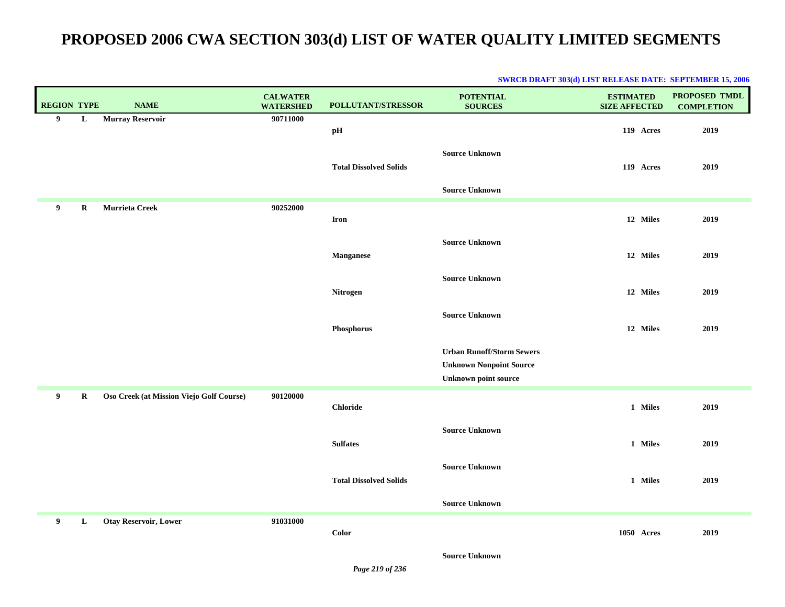| <b>REGION TYPE</b>      |         | <b>NAME</b>                              | <b>CALWATER</b><br><b>WATERSHED</b> | POLLUTANT/STRESSOR            | <b>POTENTIAL</b><br><b>SOURCES</b>                                                                | <b>ESTIMATED</b><br><b>SIZE AFFECTED</b> | <b>PROPOSED TMDL</b><br><b>COMPLETION</b> |
|-------------------------|---------|------------------------------------------|-------------------------------------|-------------------------------|---------------------------------------------------------------------------------------------------|------------------------------------------|-------------------------------------------|
| 9                       | L       | <b>Murray Reservoir</b>                  | 90711000                            | pH                            |                                                                                                   | 119 Acres                                | 2019                                      |
|                         |         |                                          |                                     | <b>Total Dissolved Solids</b> | <b>Source Unknown</b>                                                                             | 119 Acres                                | 2019                                      |
|                         |         |                                          |                                     |                               | <b>Source Unknown</b>                                                                             |                                          |                                           |
| 9                       | $\bf R$ | Murrieta Creek                           | 90252000                            | <b>Iron</b>                   |                                                                                                   | 12 Miles                                 | 2019                                      |
|                         |         |                                          |                                     | Manganese                     | <b>Source Unknown</b>                                                                             | 12 Miles                                 | 2019                                      |
|                         |         |                                          |                                     |                               | <b>Source Unknown</b>                                                                             |                                          |                                           |
|                         |         |                                          |                                     | Nitrogen                      |                                                                                                   | 12 Miles                                 | 2019                                      |
|                         |         |                                          |                                     | Phosphorus                    | <b>Source Unknown</b>                                                                             | 12 Miles                                 | 2019                                      |
|                         |         |                                          |                                     |                               | <b>Urban Runoff/Storm Sewers</b><br><b>Unknown Nonpoint Source</b><br><b>Unknown point source</b> |                                          |                                           |
| 9                       | $\bf R$ | Oso Creek (at Mission Viejo Golf Course) | 90120000                            |                               |                                                                                                   |                                          |                                           |
|                         |         |                                          |                                     | <b>Chloride</b>               |                                                                                                   | 1 Miles                                  | 2019                                      |
|                         |         |                                          |                                     | <b>Sulfates</b>               | <b>Source Unknown</b>                                                                             | 1 Miles                                  | 2019                                      |
|                         |         |                                          |                                     | <b>Total Dissolved Solids</b> | <b>Source Unknown</b>                                                                             | 1 Miles                                  | 2019                                      |
|                         |         |                                          |                                     |                               | <b>Source Unknown</b>                                                                             |                                          |                                           |
| $\overline{\mathbf{9}}$ | L       | <b>Otay Reservoir, Lower</b>             | 91031000                            | Color                         |                                                                                                   | 1050 Acres                               | 2019                                      |
|                         |         |                                          |                                     |                               | <b>Source Unknown</b>                                                                             |                                          |                                           |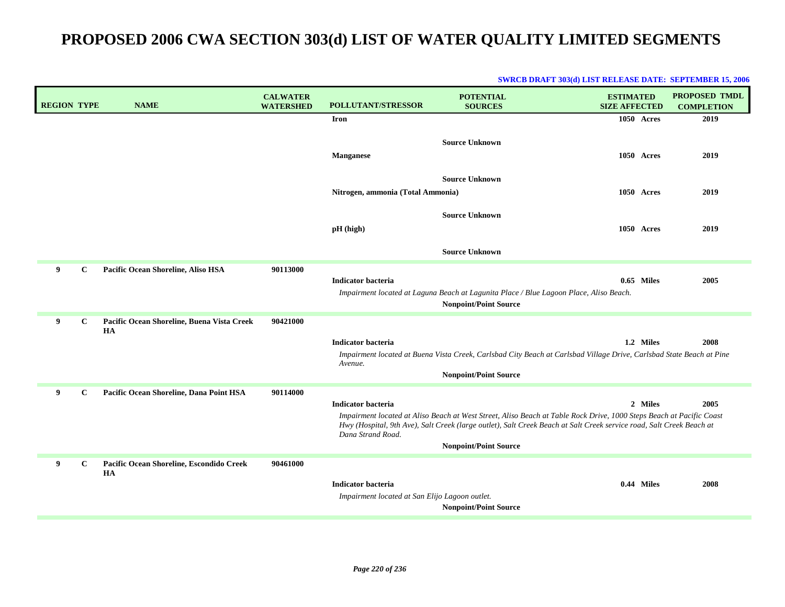| <b>REGION TYPE</b> | <b>NAME</b>                                      | <b>CALWATER</b><br><b>WATERSHED</b> | <b>POLLUTANT/STRESSOR</b>                                                   | <b>POTENTIAL</b><br><b>SOURCES</b>                                                                                                                                                                                                                                           | <b>ESTIMATED</b><br><b>SIZE AFFECTED</b> | <b>PROPOSED TMDL</b><br><b>COMPLETION</b> |
|--------------------|--------------------------------------------------|-------------------------------------|-----------------------------------------------------------------------------|------------------------------------------------------------------------------------------------------------------------------------------------------------------------------------------------------------------------------------------------------------------------------|------------------------------------------|-------------------------------------------|
|                    |                                                  |                                     | Iron                                                                        |                                                                                                                                                                                                                                                                              | 1050 Acres                               | 2019                                      |
|                    |                                                  |                                     | <b>Manganese</b>                                                            | <b>Source Unknown</b>                                                                                                                                                                                                                                                        | 1050 Acres                               | 2019                                      |
|                    |                                                  |                                     | Nitrogen, ammonia (Total Ammonia)                                           | <b>Source Unknown</b>                                                                                                                                                                                                                                                        | 1050 Acres                               | 2019                                      |
|                    |                                                  |                                     | $pH$ (high)                                                                 | <b>Source Unknown</b>                                                                                                                                                                                                                                                        | 1050 Acres                               | 2019                                      |
|                    |                                                  |                                     |                                                                             | <b>Source Unknown</b>                                                                                                                                                                                                                                                        |                                          |                                           |
| 9<br>$\mathbf{C}$  | Pacific Ocean Shoreline, Aliso HSA               | 90113000                            | <b>Indicator bacteria</b>                                                   | Impairment located at Laguna Beach at Lagunita Place / Blue Lagoon Place, Aliso Beach.<br><b>Nonpoint/Point Source</b>                                                                                                                                                       | $0.65$ Miles                             | 2005                                      |
| 9<br>$\mathbf C$   | Pacific Ocean Shoreline, Buena Vista Creek<br>HA | 90421000                            | <b>Indicator bacteria</b><br>Avenue.                                        | Impairment located at Buena Vista Creek, Carlsbad City Beach at Carlsbad Village Drive, Carlsbad State Beach at Pine<br><b>Nonpoint/Point Source</b>                                                                                                                         | 1.2 Miles                                | 2008                                      |
| 9<br>C             | Pacific Ocean Shoreline, Dana Point HSA          | 90114000                            | <b>Indicator bacteria</b><br>Dana Strand Road.                              | Impairment located at Aliso Beach at West Street, Aliso Beach at Table Rock Drive, 1000 Steps Beach at Pacific Coast<br>Hwy (Hospital, 9th Ave), Salt Creek (large outlet), Salt Creek Beach at Salt Creek service road, Salt Creek Beach at<br><b>Nonpoint/Point Source</b> | 2 Miles                                  | 2005                                      |
| 9<br>$\mathbf{C}$  | Pacific Ocean Shoreline, Escondido Creek<br>HA   | 90461000                            | <b>Indicator bacteria</b><br>Impairment located at San Elijo Lagoon outlet. | <b>Nonpoint/Point Source</b>                                                                                                                                                                                                                                                 | 0.44 Miles                               | 2008                                      |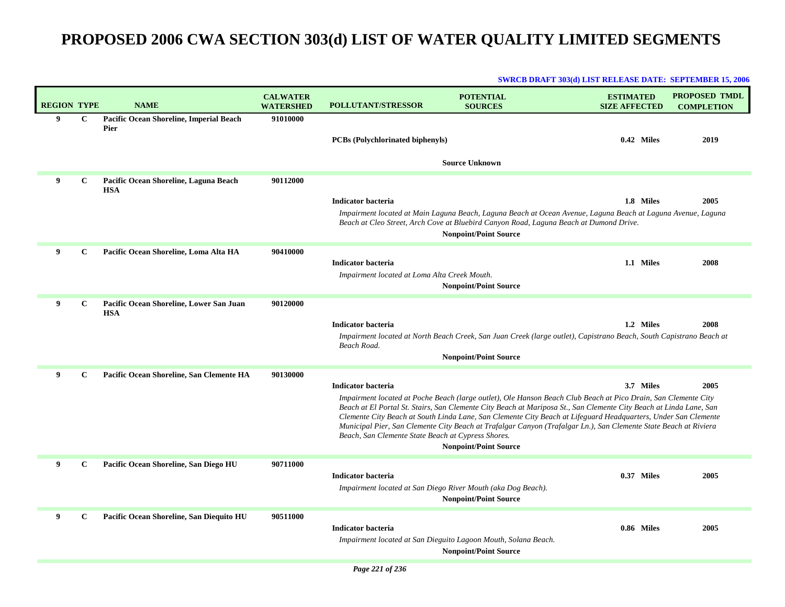| <b>REGION TYPE</b> |              | <b>NAME</b>                                            | <b>CALWATER</b><br><b>WATERSHED</b> | <b>POLLUTANT/STRESSOR</b>                                                       | <b>POTENTIAL</b><br><b>SOURCES</b>                                                                                                                                                                                                                                                                                                                                                                                                                                                                         | <b>ESTIMATED</b><br><b>SIZE AFFECTED</b> | <b>PROPOSED TMDL</b><br><b>COMPLETION</b> |
|--------------------|--------------|--------------------------------------------------------|-------------------------------------|---------------------------------------------------------------------------------|------------------------------------------------------------------------------------------------------------------------------------------------------------------------------------------------------------------------------------------------------------------------------------------------------------------------------------------------------------------------------------------------------------------------------------------------------------------------------------------------------------|------------------------------------------|-------------------------------------------|
| 9                  | $\mathbf{C}$ | Pacific Ocean Shoreline, Imperial Beach<br><b>Pier</b> | 91010000                            | <b>PCBs</b> (Polychlorinated biphenyls)                                         | <b>Source Unknown</b>                                                                                                                                                                                                                                                                                                                                                                                                                                                                                      | 0.42 Miles                               | 2019                                      |
| 9                  | C            | Pacific Ocean Shoreline, Laguna Beach<br><b>HSA</b>    | 90112000                            | <b>Indicator bacteria</b>                                                       | Impairment located at Main Laguna Beach, Laguna Beach at Ocean Avenue, Laguna Beach at Laguna Avenue, Laguna<br>Beach at Cleo Street, Arch Cove at Bluebird Canyon Road, Laguna Beach at Dumond Drive.<br><b>Nonpoint/Point Source</b>                                                                                                                                                                                                                                                                     | 1.8 Miles                                | 2005                                      |
| 9                  | C            | Pacific Ocean Shoreline, Loma Alta HA                  | 90410000                            | <b>Indicator bacteria</b><br>Impairment located at Loma Alta Creek Mouth.       | <b>Nonpoint/Point Source</b>                                                                                                                                                                                                                                                                                                                                                                                                                                                                               | 1.1 Miles                                | 2008                                      |
| 9                  | $\mathbf{C}$ | Pacific Ocean Shoreline, Lower San Juan<br><b>HSA</b>  | 90120000                            | <b>Indicator bacteria</b><br>Beach Road.                                        | Impairment located at North Beach Creek, San Juan Creek (large outlet), Capistrano Beach, South Capistrano Beach at<br><b>Nonpoint/Point Source</b>                                                                                                                                                                                                                                                                                                                                                        | 1.2 Miles                                | 2008                                      |
| 9                  | C            | Pacific Ocean Shoreline, San Clemente HA               | 90130000                            | <b>Indicator bacteria</b><br>Beach, San Clemente State Beach at Cypress Shores. | Impairment located at Poche Beach (large outlet), Ole Hanson Beach Club Beach at Pico Drain, San Clemente City<br>Beach at El Portal St. Stairs, San Clemente City Beach at Mariposa St., San Clemente City Beach at Linda Lane, San<br>Clemente City Beach at South Linda Lane, San Clemente City Beach at Lifeguard Headquarters, Under San Clemente<br>Municipal Pier, San Clemente City Beach at Trafalgar Canyon (Trafalgar Ln.), San Clemente State Beach at Riviera<br><b>Nonpoint/Point Source</b> | 3.7 Miles                                | 2005                                      |
| 9                  | $\mathbf{C}$ | Pacific Ocean Shoreline, San Diego HU                  | 90711000                            | <b>Indicator bacteria</b>                                                       | Impairment located at San Diego River Mouth (aka Dog Beach).<br><b>Nonpoint/Point Source</b>                                                                                                                                                                                                                                                                                                                                                                                                               | 0.37 Miles                               | 2005                                      |
| 9                  | C            | Pacific Ocean Shoreline, San Diequito HU               | 90511000                            | Indicator bacteria                                                              | Impairment located at San Dieguito Lagoon Mouth, Solana Beach.<br><b>Nonpoint/Point Source</b>                                                                                                                                                                                                                                                                                                                                                                                                             | 0.86 Miles                               | 2005                                      |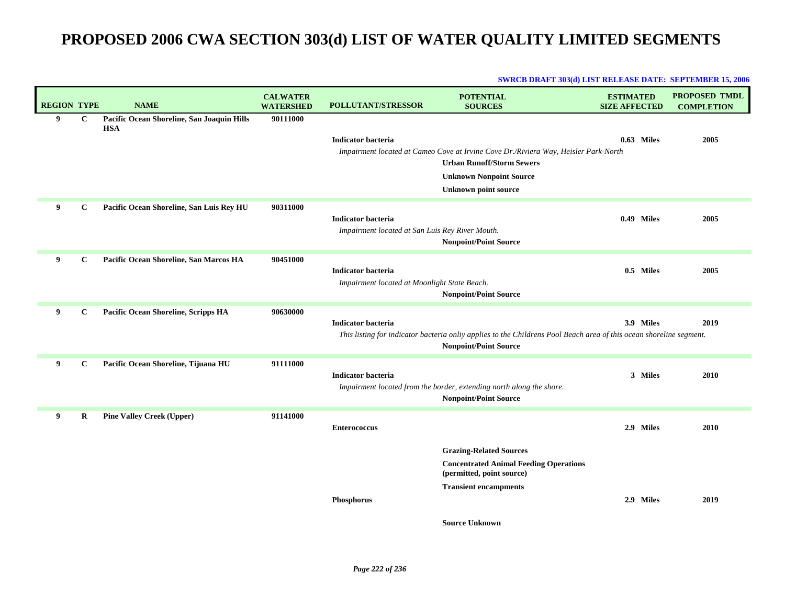### **SWRCB DRAFT 303(d) LIST RELEASE DATE: SEPTEMBER 15, 2006**

| <b>REGION TYPE</b> |              | <b>NAME</b>                                              | <b>CALWATER</b><br><b>WATERSHED</b> | <b>POLLUTANT/STRESSOR</b>                                          | <b>POTENTIAL</b><br><b>SOURCES</b>                                                                                                                  | <b>ESTIMATED</b><br><b>SIZE AFFECTED</b> | PROPOSED TMDL<br><b>COMPLETION</b> |
|--------------------|--------------|----------------------------------------------------------|-------------------------------------|--------------------------------------------------------------------|-----------------------------------------------------------------------------------------------------------------------------------------------------|------------------------------------------|------------------------------------|
| 9                  | $\mathbf{C}$ | Pacific Ocean Shoreline, San Joaquin Hills<br><b>HSA</b> | 90111000                            |                                                                    |                                                                                                                                                     |                                          |                                    |
|                    |              |                                                          |                                     | <b>Indicator bacteria</b>                                          |                                                                                                                                                     | 0.63 Miles                               | 2005                               |
|                    |              |                                                          |                                     |                                                                    | Impairment located at Cameo Cove at Irvine Cove Dr./Riviera Way, Heisler Park-North                                                                 |                                          |                                    |
|                    |              |                                                          |                                     |                                                                    | <b>Urban Runoff/Storm Sewers</b>                                                                                                                    |                                          |                                    |
|                    |              |                                                          |                                     |                                                                    | <b>Unknown Nonpoint Source</b><br><b>Unknown point source</b>                                                                                       |                                          |                                    |
|                    |              |                                                          |                                     |                                                                    |                                                                                                                                                     |                                          |                                    |
| 9                  | $\mathbf{C}$ | Pacific Ocean Shoreline, San Luis Rey HU                 | 90311000                            | <b>Indicator bacteria</b>                                          |                                                                                                                                                     | 0.49 Miles                               | 2005                               |
|                    |              |                                                          |                                     | Impairment located at San Luis Rey River Mouth.                    |                                                                                                                                                     |                                          |                                    |
|                    |              |                                                          |                                     |                                                                    | <b>Nonpoint/Point Source</b>                                                                                                                        |                                          |                                    |
| 9                  | $\mathbf{C}$ | Pacific Ocean Shoreline, San Marcos HA                   | 90451000                            |                                                                    |                                                                                                                                                     |                                          |                                    |
|                    |              |                                                          |                                     | Indicator bacteria<br>Impairment located at Moonlight State Beach. |                                                                                                                                                     | 0.5 Miles                                | 2005                               |
|                    |              |                                                          |                                     |                                                                    | <b>Nonpoint/Point Source</b>                                                                                                                        |                                          |                                    |
| 9                  | C            | Pacific Ocean Shoreline, Scripps HA                      | 90630000                            |                                                                    |                                                                                                                                                     |                                          |                                    |
|                    |              |                                                          |                                     | <b>Indicator bacteria</b>                                          |                                                                                                                                                     | 3.9 Miles                                | 2019                               |
|                    |              |                                                          |                                     |                                                                    | This listing for indicator bacteria onliy applies to the Childrens Pool Beach area of this ocean shoreline segment.<br><b>Nonpoint/Point Source</b> |                                          |                                    |
|                    |              |                                                          |                                     |                                                                    |                                                                                                                                                     |                                          |                                    |
| 9                  | C            | Pacific Ocean Shoreline, Tijuana HU                      | 91111000                            | <b>Indicator bacteria</b>                                          |                                                                                                                                                     | 3 Miles                                  | 2010                               |
|                    |              |                                                          |                                     |                                                                    | Impairment located from the border, extending north along the shore.                                                                                |                                          |                                    |
|                    |              |                                                          |                                     |                                                                    | <b>Nonpoint/Point Source</b>                                                                                                                        |                                          |                                    |
| 9                  | R            | <b>Pine Valley Creek (Upper)</b>                         | 91141000                            |                                                                    |                                                                                                                                                     |                                          |                                    |
|                    |              |                                                          |                                     | <b>Enterococcus</b>                                                |                                                                                                                                                     | 2.9 Miles                                | 2010                               |
|                    |              |                                                          |                                     |                                                                    | <b>Grazing-Related Sources</b>                                                                                                                      |                                          |                                    |
|                    |              |                                                          |                                     |                                                                    | <b>Concentrated Animal Feeding Operations</b><br>(permitted, point source)                                                                          |                                          |                                    |
|                    |              |                                                          |                                     |                                                                    | <b>Transient encampments</b>                                                                                                                        |                                          |                                    |
|                    |              |                                                          |                                     | Phosphorus                                                         |                                                                                                                                                     | 2.9 Miles                                | 2019                               |
|                    |              |                                                          |                                     |                                                                    |                                                                                                                                                     |                                          |                                    |

**Source Unknown**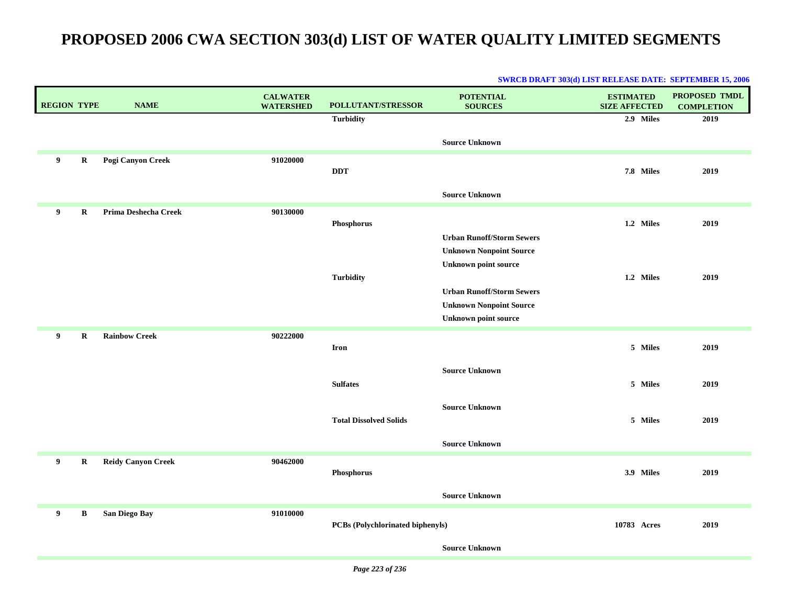| <b>REGION TYPE</b> |             | <b>NAME</b>               | <b>CALWATER</b><br><b>WATERSHED</b> | <b>POLLUTANT/STRESSOR</b>               | <b>POTENTIAL</b><br><b>SOURCES</b>                            | <b>ESTIMATED</b><br><b>SIZE AFFECTED</b> | PROPOSED TMDL<br><b>COMPLETION</b> |
|--------------------|-------------|---------------------------|-------------------------------------|-----------------------------------------|---------------------------------------------------------------|------------------------------------------|------------------------------------|
|                    |             |                           |                                     | <b>Turbidity</b>                        |                                                               | 2.9 Miles                                | 2019                               |
|                    |             |                           |                                     |                                         | <b>Source Unknown</b>                                         |                                          |                                    |
| 9                  | R           | Pogi Canyon Creek         | 91020000                            |                                         |                                                               |                                          |                                    |
|                    |             |                           |                                     | <b>DDT</b>                              |                                                               | 7.8 Miles                                | 2019                               |
|                    |             |                           |                                     |                                         | <b>Source Unknown</b>                                         |                                          |                                    |
| 9                  | $\bf R$     | Prima Deshecha Creek      | 90130000                            |                                         |                                                               |                                          |                                    |
|                    |             |                           |                                     | Phosphorus                              |                                                               | 1.2 Miles                                | 2019                               |
|                    |             |                           |                                     |                                         | <b>Urban Runoff/Storm Sewers</b>                              |                                          |                                    |
|                    |             |                           |                                     |                                         | <b>Unknown Nonpoint Source</b><br><b>Unknown point source</b> |                                          |                                    |
|                    |             |                           |                                     | <b>Turbidity</b>                        |                                                               | 1.2 Miles                                | 2019                               |
|                    |             |                           |                                     |                                         | <b>Urban Runoff/Storm Sewers</b>                              |                                          |                                    |
|                    |             |                           |                                     |                                         | <b>Unknown Nonpoint Source</b>                                |                                          |                                    |
|                    |             |                           |                                     |                                         | <b>Unknown point source</b>                                   |                                          |                                    |
| 9                  | $\mathbf R$ | <b>Rainbow Creek</b>      | 90222000                            |                                         |                                                               |                                          |                                    |
|                    |             |                           |                                     | <b>Iron</b>                             |                                                               | 5 Miles                                  | 2019                               |
|                    |             |                           |                                     |                                         | <b>Source Unknown</b>                                         |                                          |                                    |
|                    |             |                           |                                     | <b>Sulfates</b>                         |                                                               | 5 Miles                                  | 2019                               |
|                    |             |                           |                                     |                                         | <b>Source Unknown</b>                                         |                                          |                                    |
|                    |             |                           |                                     | <b>Total Dissolved Solids</b>           |                                                               | 5 Miles                                  | 2019                               |
|                    |             |                           |                                     |                                         |                                                               |                                          |                                    |
|                    |             |                           |                                     |                                         | <b>Source Unknown</b>                                         |                                          |                                    |
| 9                  | R           | <b>Reidy Canyon Creek</b> | 90462000                            | Phosphorus                              |                                                               | 3.9 Miles                                | 2019                               |
|                    |             |                           |                                     |                                         |                                                               |                                          |                                    |
|                    |             |                           |                                     |                                         | <b>Source Unknown</b>                                         |                                          |                                    |
| 9                  | B           | San Diego Bay             | 91010000                            |                                         |                                                               |                                          |                                    |
|                    |             |                           |                                     | <b>PCBs (Polychlorinated biphenyls)</b> |                                                               | 10783 Acres                              | 2019                               |
|                    |             |                           |                                     |                                         | <b>Source Unknown</b>                                         |                                          |                                    |
|                    |             |                           |                                     |                                         |                                                               |                                          |                                    |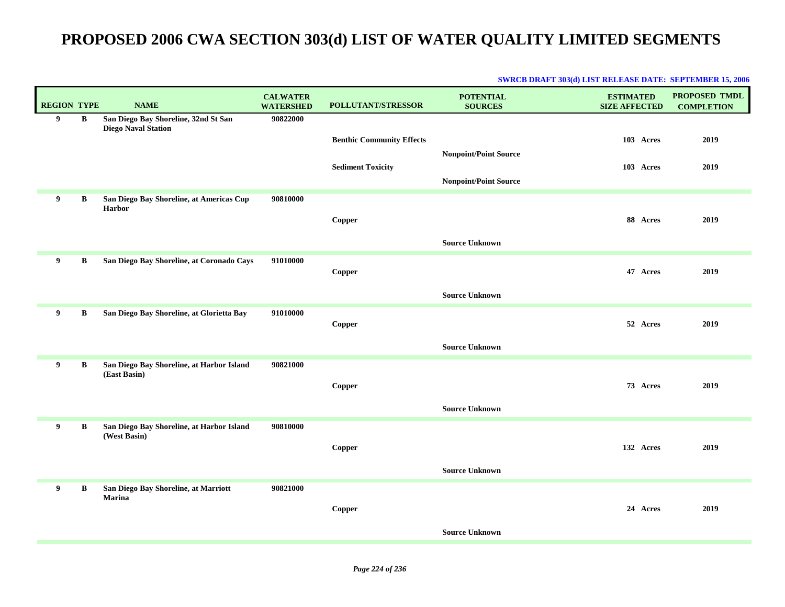| <b>REGION TYPE</b> |   | <b>NAME</b>                                                        | <b>CALWATER</b><br><b>WATERSHED</b> | POLLUTANT/STRESSOR                                           | <b>POTENTIAL</b><br><b>SOURCES</b> | <b>ESTIMATED</b><br><b>SIZE AFFECTED</b> | PROPOSED TMDL<br><b>COMPLETION</b> |
|--------------------|---|--------------------------------------------------------------------|-------------------------------------|--------------------------------------------------------------|------------------------------------|------------------------------------------|------------------------------------|
| 9                  | B | San Diego Bay Shoreline, 32nd St San<br><b>Diego Naval Station</b> | 90822000                            | <b>Benthic Community Effects</b><br><b>Sediment Toxicity</b> | <b>Nonpoint/Point Source</b>       | 103 Acres<br>103 Acres                   | 2019<br>2019                       |
|                    |   |                                                                    |                                     |                                                              | <b>Nonpoint/Point Source</b>       |                                          |                                    |
| 9                  | B | San Diego Bay Shoreline, at Americas Cup<br><b>Harbor</b>          | 90810000                            | Copper                                                       |                                    | 88 Acres                                 | 2019                               |
|                    |   |                                                                    |                                     |                                                              | <b>Source Unknown</b>              |                                          |                                    |
| 9                  | B | San Diego Bay Shoreline, at Coronado Cays                          | 91010000                            | Copper                                                       |                                    | 47 Acres                                 | 2019                               |
|                    |   |                                                                    |                                     |                                                              | <b>Source Unknown</b>              |                                          |                                    |
| 9                  | B | San Diego Bay Shoreline, at Glorietta Bay                          | 91010000                            | Copper                                                       |                                    | 52 Acres                                 | 2019                               |
|                    |   |                                                                    |                                     |                                                              | <b>Source Unknown</b>              |                                          |                                    |
| 9                  | B | San Diego Bay Shoreline, at Harbor Island<br>(East Basin)          | 90821000                            | Copper                                                       |                                    | 73 Acres                                 | 2019                               |
|                    |   |                                                                    |                                     |                                                              | <b>Source Unknown</b>              |                                          |                                    |
| 9                  | B | San Diego Bay Shoreline, at Harbor Island<br>(West Basin)          | 90810000                            | Copper                                                       |                                    | 132 Acres                                | 2019                               |
|                    |   |                                                                    |                                     |                                                              | <b>Source Unknown</b>              |                                          |                                    |
| 9                  | B | San Diego Bay Shoreline, at Marriott<br><b>Marina</b>              | 90821000                            | Copper                                                       |                                    | 24 Acres                                 | 2019                               |
|                    |   |                                                                    |                                     |                                                              | <b>Source Unknown</b>              |                                          |                                    |
|                    |   |                                                                    |                                     |                                                              |                                    |                                          |                                    |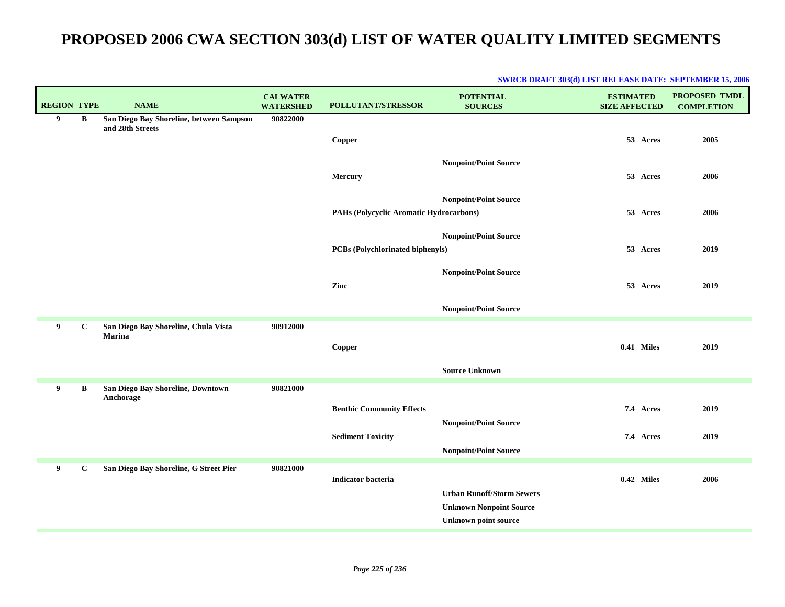| <b>REGION TYPE</b> |              | <b>NAME</b>                                                  | <b>CALWATER</b><br><b>WATERSHED</b> | POLLUTANT/STRESSOR                      | <b>POTENTIAL</b><br><b>SOURCES</b>                                 | <b>ESTIMATED</b><br><b>SIZE AFFECTED</b> | PROPOSED TMDL<br><b>COMPLETION</b> |
|--------------------|--------------|--------------------------------------------------------------|-------------------------------------|-----------------------------------------|--------------------------------------------------------------------|------------------------------------------|------------------------------------|
| 9                  | В            | San Diego Bay Shoreline, between Sampson<br>and 28th Streets | 90822000                            | Copper                                  |                                                                    | 53 Acres                                 | 2005                               |
|                    |              |                                                              |                                     | Mercury                                 | <b>Nonpoint/Point Source</b>                                       | 53 Acres                                 | 2006                               |
|                    |              |                                                              |                                     | PAHs (Polycyclic Aromatic Hydrocarbons) | <b>Nonpoint/Point Source</b>                                       | 53 Acres                                 | 2006                               |
|                    |              |                                                              |                                     | PCBs (Polychlorinated biphenyls)        | <b>Nonpoint/Point Source</b>                                       | 53 Acres                                 | 2019                               |
|                    |              |                                                              |                                     | Zinc                                    | <b>Nonpoint/Point Source</b>                                       | 53 Acres                                 | 2019                               |
|                    |              |                                                              |                                     |                                         | <b>Nonpoint/Point Source</b>                                       |                                          |                                    |
| 9                  | $\mathbf{C}$ | San Diego Bay Shoreline, Chula Vista<br>Marina               | 90912000                            | Copper                                  | <b>Source Unknown</b>                                              | 0.41 Miles                               | 2019                               |
| 9                  | B            | San Diego Bay Shoreline, Downtown                            | 90821000                            |                                         |                                                                    |                                          |                                    |
|                    |              | Anchorage                                                    |                                     | <b>Benthic Community Effects</b>        | <b>Nonpoint/Point Source</b>                                       | 7.4 Acres                                | 2019                               |
|                    |              |                                                              |                                     | <b>Sediment Toxicity</b>                | <b>Nonpoint/Point Source</b>                                       | 7.4 Acres                                | 2019                               |
| 9                  | $\mathbf{C}$ | San Diego Bay Shoreline, G Street Pier                       | 90821000                            | <b>Indicator bacteria</b>               | <b>Urban Runoff/Storm Sewers</b><br><b>Unknown Nonpoint Source</b> | 0.42 Miles                               | 2006                               |
|                    |              |                                                              |                                     |                                         | <b>Unknown point source</b>                                        |                                          |                                    |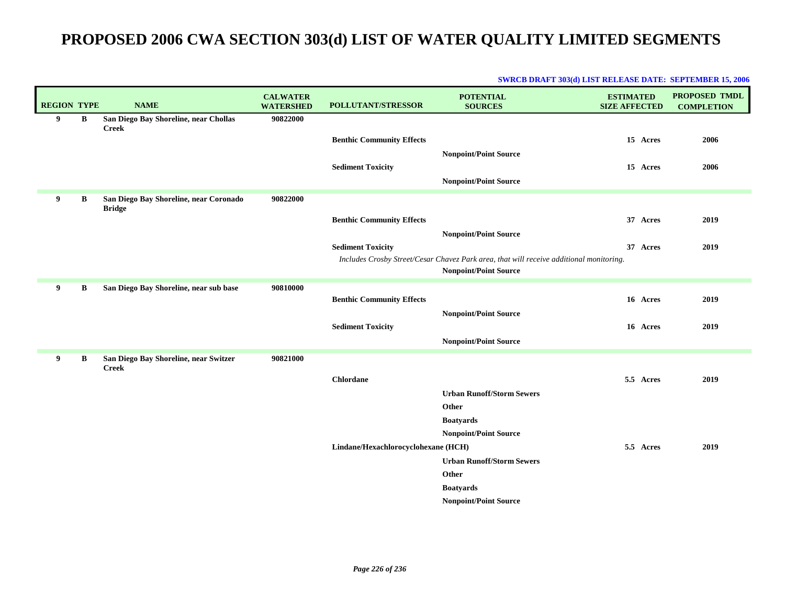| <b>REGION TYPE</b> |   | <b>NAME</b>                                             | <b>CALWATER</b><br><b>WATERSHED</b> | POLLUTANT/STRESSOR                  | <b>POTENTIAL</b><br><b>SOURCES</b>                                                                                      | <b>ESTIMATED</b><br><b>SIZE AFFECTED</b> | PROPOSED TMDL<br><b>COMPLETION</b> |
|--------------------|---|---------------------------------------------------------|-------------------------------------|-------------------------------------|-------------------------------------------------------------------------------------------------------------------------|------------------------------------------|------------------------------------|
| 9                  | B | San Diego Bay Shoreline, near Chollas<br><b>Creek</b>   | 90822000                            |                                     |                                                                                                                         |                                          |                                    |
|                    |   |                                                         |                                     | <b>Benthic Community Effects</b>    |                                                                                                                         | 15 Acres                                 | 2006                               |
|                    |   |                                                         |                                     |                                     | <b>Nonpoint/Point Source</b>                                                                                            |                                          |                                    |
|                    |   |                                                         |                                     | <b>Sediment Toxicity</b>            |                                                                                                                         | 15 Acres                                 | 2006                               |
|                    |   |                                                         |                                     |                                     | <b>Nonpoint/Point Source</b>                                                                                            |                                          |                                    |
| 9                  | B | San Diego Bay Shoreline, near Coronado<br><b>Bridge</b> | 90822000                            |                                     |                                                                                                                         |                                          |                                    |
|                    |   |                                                         |                                     | <b>Benthic Community Effects</b>    |                                                                                                                         | 37 Acres                                 | 2019                               |
|                    |   |                                                         |                                     |                                     | <b>Nonpoint/Point Source</b>                                                                                            |                                          |                                    |
|                    |   |                                                         |                                     | <b>Sediment Toxicity</b>            |                                                                                                                         | 37 Acres                                 | 2019                               |
|                    |   |                                                         |                                     |                                     | Includes Crosby Street/Cesar Chavez Park area, that will receive additional monitoring.<br><b>Nonpoint/Point Source</b> |                                          |                                    |
| 9                  | B | San Diego Bay Shoreline, near sub base                  | 90810000                            |                                     |                                                                                                                         |                                          |                                    |
|                    |   |                                                         |                                     | <b>Benthic Community Effects</b>    |                                                                                                                         | 16 Acres                                 | 2019                               |
|                    |   |                                                         |                                     |                                     | <b>Nonpoint/Point Source</b>                                                                                            |                                          |                                    |
|                    |   |                                                         |                                     | <b>Sediment Toxicity</b>            |                                                                                                                         | 16 Acres                                 | 2019                               |
|                    |   |                                                         |                                     |                                     | <b>Nonpoint/Point Source</b>                                                                                            |                                          |                                    |
| 9                  | B | San Diego Bay Shoreline, near Switzer<br><b>Creek</b>   | 90821000                            |                                     |                                                                                                                         |                                          |                                    |
|                    |   |                                                         |                                     | <b>Chlordane</b>                    |                                                                                                                         | 5.5 Acres                                | 2019                               |
|                    |   |                                                         |                                     |                                     | <b>Urban Runoff/Storm Sewers</b>                                                                                        |                                          |                                    |
|                    |   |                                                         |                                     |                                     | Other                                                                                                                   |                                          |                                    |
|                    |   |                                                         |                                     |                                     | <b>Boatyards</b>                                                                                                        |                                          |                                    |
|                    |   |                                                         |                                     |                                     | <b>Nonpoint/Point Source</b>                                                                                            |                                          |                                    |
|                    |   |                                                         |                                     | Lindane/Hexachlorocyclohexane (HCH) |                                                                                                                         | 5.5 Acres                                | 2019                               |
|                    |   |                                                         |                                     |                                     | <b>Urban Runoff/Storm Sewers</b>                                                                                        |                                          |                                    |
|                    |   |                                                         |                                     |                                     | Other                                                                                                                   |                                          |                                    |
|                    |   |                                                         |                                     |                                     | <b>Boatyards</b>                                                                                                        |                                          |                                    |
|                    |   |                                                         |                                     |                                     | <b>Nonpoint/Point Source</b>                                                                                            |                                          |                                    |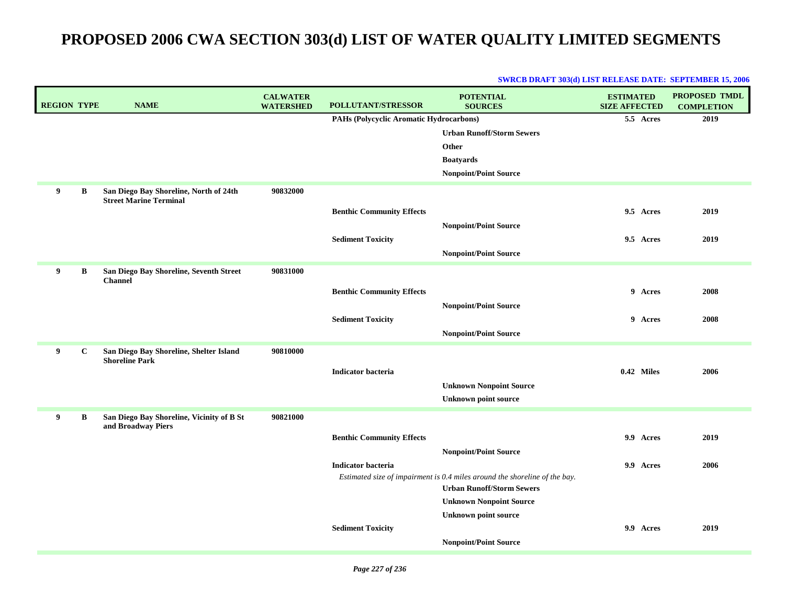| <b>REGION TYPE</b> |             | <b>NAME</b>                                                      | <b>CALWATER</b><br><b>WATERSHED</b> | <b>POLLUTANT/STRESSOR</b>               | <b>POTENTIAL</b><br><b>SOURCES</b>                                                                             | <b>ESTIMATED</b><br><b>SIZE AFFECTED</b> |         | PROPOSED TMDL<br><b>COMPLETION</b> |
|--------------------|-------------|------------------------------------------------------------------|-------------------------------------|-----------------------------------------|----------------------------------------------------------------------------------------------------------------|------------------------------------------|---------|------------------------------------|
|                    |             |                                                                  |                                     | PAHs (Polycyclic Aromatic Hydrocarbons) |                                                                                                                | 5.5 Acres                                |         | 2019                               |
|                    |             |                                                                  |                                     |                                         | <b>Urban Runoff/Storm Sewers</b>                                                                               |                                          |         |                                    |
|                    |             |                                                                  |                                     |                                         | Other                                                                                                          |                                          |         |                                    |
|                    |             |                                                                  |                                     |                                         | <b>Boatyards</b>                                                                                               |                                          |         |                                    |
|                    |             |                                                                  |                                     |                                         | <b>Nonpoint/Point Source</b>                                                                                   |                                          |         |                                    |
| 9                  | B           | San Diego Bay Shoreline, North of 24th                           | 90832000                            |                                         |                                                                                                                |                                          |         |                                    |
|                    |             | <b>Street Marine Terminal</b>                                    |                                     | <b>Benthic Community Effects</b>        |                                                                                                                | 9.5 Acres                                |         | 2019                               |
|                    |             |                                                                  |                                     |                                         | <b>Nonpoint/Point Source</b>                                                                                   |                                          |         |                                    |
|                    |             |                                                                  |                                     | <b>Sediment Toxicity</b>                |                                                                                                                | 9.5 Acres                                |         | 2019                               |
|                    |             |                                                                  |                                     |                                         | <b>Nonpoint/Point Source</b>                                                                                   |                                          |         |                                    |
| 9                  | B           | San Diego Bay Shoreline, Seventh Street                          | 90831000                            |                                         |                                                                                                                |                                          |         |                                    |
|                    |             | <b>Channel</b>                                                   |                                     |                                         |                                                                                                                |                                          |         |                                    |
|                    |             |                                                                  |                                     | <b>Benthic Community Effects</b>        |                                                                                                                |                                          | 9 Acres | 2008                               |
|                    |             |                                                                  |                                     |                                         | <b>Nonpoint/Point Source</b>                                                                                   |                                          |         |                                    |
|                    |             |                                                                  |                                     | <b>Sediment Toxicity</b>                |                                                                                                                |                                          | 9 Acres | 2008                               |
|                    |             |                                                                  |                                     |                                         | <b>Nonpoint/Point Source</b>                                                                                   |                                          |         |                                    |
| 9                  | $\mathbf C$ | San Diego Bay Shoreline, Shelter Island<br><b>Shoreline Park</b> | 90810000                            |                                         |                                                                                                                |                                          |         |                                    |
|                    |             |                                                                  |                                     | <b>Indicator bacteria</b>               |                                                                                                                | 0.42 Miles                               |         | 2006                               |
|                    |             |                                                                  |                                     |                                         | <b>Unknown Nonpoint Source</b>                                                                                 |                                          |         |                                    |
|                    |             |                                                                  |                                     |                                         | <b>Unknown point source</b>                                                                                    |                                          |         |                                    |
| 9                  | B           | San Diego Bay Shoreline, Vicinity of B St                        | 90821000                            |                                         |                                                                                                                |                                          |         |                                    |
|                    |             | and Broadway Piers                                               |                                     |                                         |                                                                                                                |                                          |         |                                    |
|                    |             |                                                                  |                                     | <b>Benthic Community Effects</b>        |                                                                                                                | 9.9 Acres                                |         | 2019                               |
|                    |             |                                                                  |                                     |                                         | <b>Nonpoint/Point Source</b>                                                                                   |                                          |         |                                    |
|                    |             |                                                                  |                                     | <b>Indicator bacteria</b>               |                                                                                                                | 9.9 Acres                                |         | 2006                               |
|                    |             |                                                                  |                                     |                                         | Estimated size of impairment is 0.4 miles around the shoreline of the bay.<br><b>Urban Runoff/Storm Sewers</b> |                                          |         |                                    |
|                    |             |                                                                  |                                     |                                         | <b>Unknown Nonpoint Source</b>                                                                                 |                                          |         |                                    |
|                    |             |                                                                  |                                     |                                         | <b>Unknown point source</b>                                                                                    |                                          |         |                                    |
|                    |             |                                                                  |                                     | <b>Sediment Toxicity</b>                |                                                                                                                | 9.9 Acres                                |         | 2019                               |
|                    |             |                                                                  |                                     |                                         | <b>Nonpoint/Point Source</b>                                                                                   |                                          |         |                                    |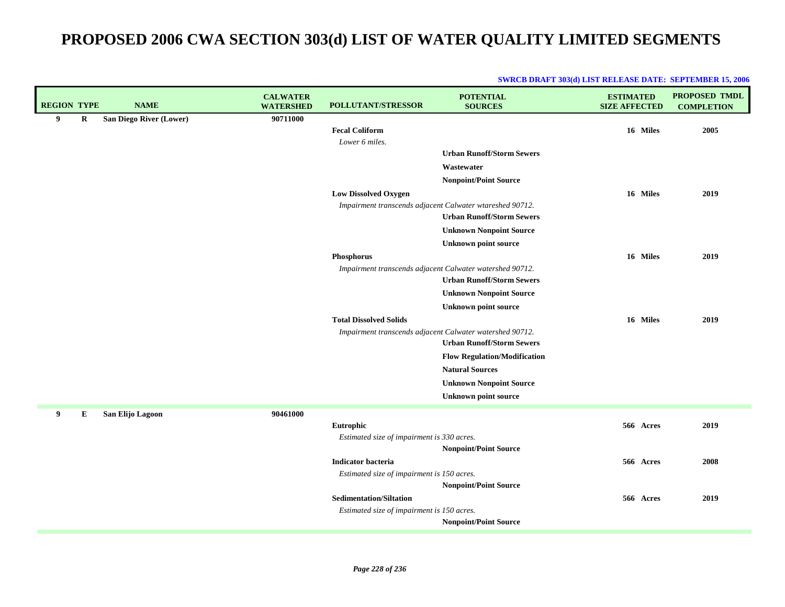| <b>REGION TYPE</b> |   | <b>NAME</b>             | <b>CALWATER</b><br><b>WATERSHED</b> | <b>POLLUTANT/STRESSOR</b>                                                                 | <b>POTENTIAL</b><br><b>SOURCES</b>                                                                                                                          | <b>ESTIMATED</b><br><b>SIZE AFFECTED</b> | <b>PROPOSED TMDL</b><br><b>COMPLETION</b> |
|--------------------|---|-------------------------|-------------------------------------|-------------------------------------------------------------------------------------------|-------------------------------------------------------------------------------------------------------------------------------------------------------------|------------------------------------------|-------------------------------------------|
| 9                  | R | San Diego River (Lower) | 90711000                            | <b>Fecal Coliform</b><br>Lower 6 miles.                                                   |                                                                                                                                                             | 16 Miles                                 | 2005                                      |
|                    |   |                         |                                     |                                                                                           | <b>Urban Runoff/Storm Sewers</b><br>Wastewater                                                                                                              |                                          |                                           |
|                    |   |                         |                                     | <b>Low Dissolved Oxygen</b>                                                               | <b>Nonpoint/Point Source</b>                                                                                                                                | 16 Miles                                 | 2019                                      |
|                    |   |                         |                                     | Impairment transcends adjacent Calwater wtareshed 90712.                                  | <b>Urban Runoff/Storm Sewers</b>                                                                                                                            |                                          |                                           |
|                    |   |                         |                                     |                                                                                           | <b>Unknown Nonpoint Source</b><br><b>Unknown point source</b>                                                                                               |                                          |                                           |
|                    |   |                         |                                     | Phosphorus<br>Impairment transcends adjacent Calwater watershed 90712.                    | <b>Urban Runoff/Storm Sewers</b>                                                                                                                            | 16 Miles                                 | 2019                                      |
|                    |   |                         |                                     |                                                                                           | <b>Unknown Nonpoint Source</b><br><b>Unknown point source</b>                                                                                               |                                          |                                           |
|                    |   |                         |                                     | <b>Total Dissolved Solids</b><br>Impairment transcends adjacent Calwater watershed 90712. | <b>Urban Runoff/Storm Sewers</b><br><b>Flow Regulation/Modification</b><br><b>Natural Sources</b><br><b>Unknown Nonpoint Source</b><br>Unknown point source | 16 Miles                                 | 2019                                      |
| 9                  | Е | San Elijo Lagoon        | 90461000                            | Eutrophic<br>Estimated size of impairment is 330 acres.                                   | <b>Nonpoint/Point Source</b>                                                                                                                                | 566 Acres                                | 2019                                      |
|                    |   |                         |                                     | <b>Indicator bacteria</b><br>Estimated size of impairment is 150 acres.                   | <b>Nonpoint/Point Source</b>                                                                                                                                | 566 Acres                                | 2008                                      |
|                    |   |                         |                                     | <b>Sedimentation/Siltation</b><br>Estimated size of impairment is 150 acres.              | <b>Nonpoint/Point Source</b>                                                                                                                                | 566 Acres                                | 2019                                      |
|                    |   |                         |                                     |                                                                                           |                                                                                                                                                             |                                          |                                           |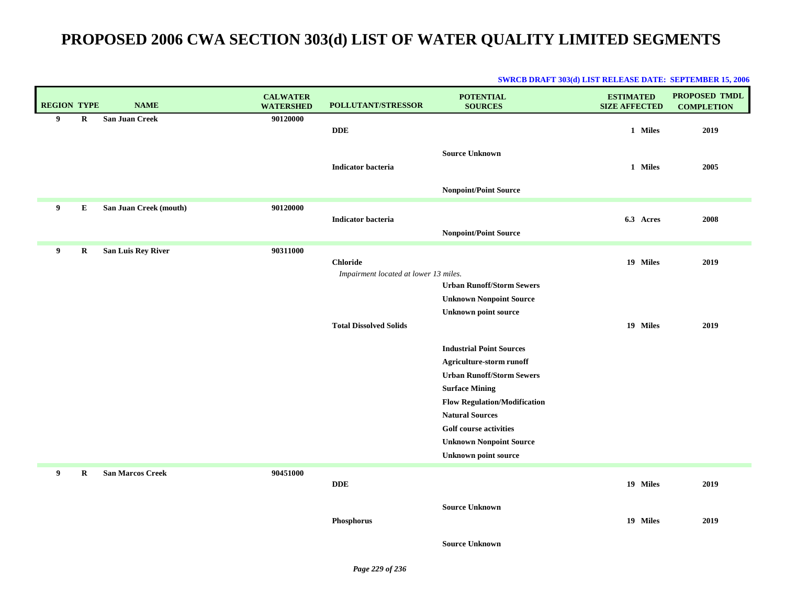| <b>REGION TYPE</b> |             | <b>NAME</b>               | <b>CALWATER</b><br><b>WATERSHED</b> | POLLUTANT/STRESSOR                    | <b>POTENTIAL</b><br><b>SOURCES</b>                                 | <b>ESTIMATED</b><br><b>SIZE AFFECTED</b> | <b>PROPOSED TMDL</b><br><b>COMPLETION</b> |
|--------------------|-------------|---------------------------|-------------------------------------|---------------------------------------|--------------------------------------------------------------------|------------------------------------------|-------------------------------------------|
| 9                  | $\mathbf R$ | <b>San Juan Creek</b>     | 90120000                            | <b>DDE</b>                            |                                                                    | 1 Miles                                  | 2019                                      |
|                    |             |                           |                                     | <b>Indicator bacteria</b>             | <b>Source Unknown</b>                                              | 1 Miles                                  | 2005                                      |
|                    |             |                           |                                     |                                       | <b>Nonpoint/Point Source</b>                                       |                                          |                                           |
| 9                  | E           | San Juan Creek (mouth)    | 90120000                            | <b>Indicator bacteria</b>             |                                                                    | 6.3 Acres                                | 2008                                      |
|                    |             |                           |                                     |                                       | <b>Nonpoint/Point Source</b>                                       |                                          |                                           |
| 9                  | R           | <b>San Luis Rey River</b> | 90311000                            | <b>Chloride</b>                       |                                                                    | 19 Miles                                 | 2019                                      |
|                    |             |                           |                                     | Impairment located at lower 13 miles. |                                                                    |                                          |                                           |
|                    |             |                           |                                     |                                       | <b>Urban Runoff/Storm Sewers</b><br><b>Unknown Nonpoint Source</b> |                                          |                                           |
|                    |             |                           |                                     |                                       | <b>Unknown point source</b>                                        |                                          |                                           |
|                    |             |                           |                                     | <b>Total Dissolved Solids</b>         |                                                                    | 19 Miles                                 | 2019                                      |
|                    |             |                           |                                     |                                       | <b>Industrial Point Sources</b>                                    |                                          |                                           |
|                    |             |                           |                                     |                                       | Agriculture-storm runoff                                           |                                          |                                           |
|                    |             |                           |                                     |                                       | <b>Urban Runoff/Storm Sewers</b><br><b>Surface Mining</b>          |                                          |                                           |
|                    |             |                           |                                     |                                       | <b>Flow Regulation/Modification</b>                                |                                          |                                           |
|                    |             |                           |                                     |                                       | <b>Natural Sources</b>                                             |                                          |                                           |
|                    |             |                           |                                     |                                       | <b>Golf course activities</b>                                      |                                          |                                           |
|                    |             |                           |                                     |                                       | <b>Unknown Nonpoint Source</b>                                     |                                          |                                           |
|                    |             |                           |                                     |                                       | <b>Unknown point source</b>                                        |                                          |                                           |
| 9                  | $\bf R$     | <b>San Marcos Creek</b>   | 90451000                            | <b>DDE</b>                            |                                                                    | 19 Miles                                 | 2019                                      |
|                    |             |                           |                                     | Phosphorus                            | <b>Source Unknown</b>                                              | 19 Miles                                 | 2019                                      |
|                    |             |                           |                                     |                                       | <b>Source Unknown</b>                                              |                                          |                                           |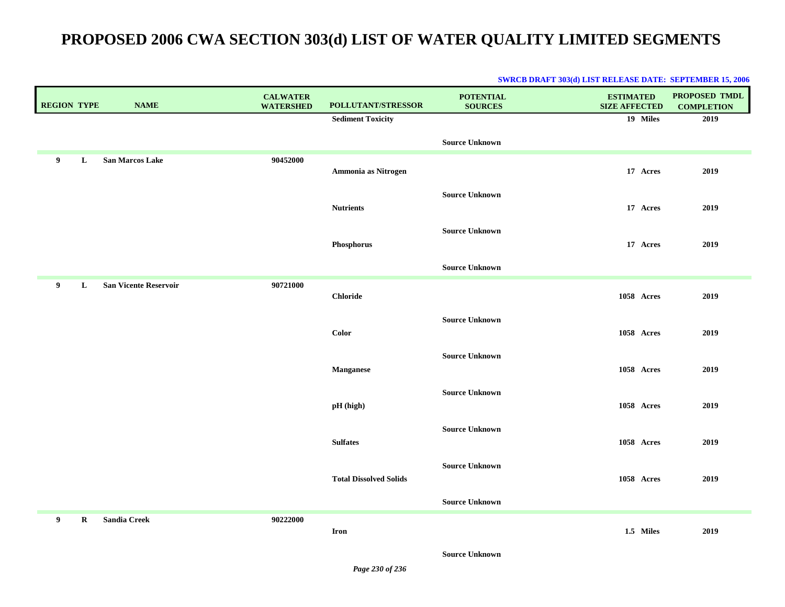| <b>REGION TYPE</b> | <b>NAME</b>                  | <b>CALWATER</b><br><b>WATERSHED</b> | POLLUTANT/STRESSOR            | <b>POTENTIAL</b><br><b>SOURCES</b> | <b>ESTIMATED</b><br><b>SIZE AFFECTED</b> | <b>PROPOSED TMDL</b><br><b>COMPLETION</b> |
|--------------------|------------------------------|-------------------------------------|-------------------------------|------------------------------------|------------------------------------------|-------------------------------------------|
|                    |                              |                                     | <b>Sediment Toxicity</b>      |                                    | 19 Miles                                 | 2019                                      |
|                    |                              |                                     |                               | <b>Source Unknown</b>              |                                          |                                           |
| 9<br>L             | <b>San Marcos Lake</b>       | 90452000                            | Ammonia as Nitrogen           |                                    | 17 Acres                                 | 2019                                      |
|                    |                              |                                     | <b>Nutrients</b>              | <b>Source Unknown</b>              | 17 Acres                                 | 2019                                      |
|                    |                              |                                     | Phosphorus                    | <b>Source Unknown</b>              | 17 Acres                                 | 2019                                      |
|                    |                              |                                     |                               | <b>Source Unknown</b>              |                                          |                                           |
| 9<br>L             | <b>San Vicente Reservoir</b> | 90721000                            | <b>Chloride</b>               |                                    | 1058 Acres                               | 2019                                      |
|                    |                              |                                     | Color                         | <b>Source Unknown</b>              | 1058 Acres                               | 2019                                      |
|                    |                              |                                     | <b>Manganese</b>              | <b>Source Unknown</b>              | 1058 Acres                               | 2019                                      |
|                    |                              |                                     | pH (high)                     | <b>Source Unknown</b>              | 1058 Acres                               | 2019                                      |
|                    |                              |                                     | <b>Sulfates</b>               | <b>Source Unknown</b>              | 1058 Acres                               | 2019                                      |
|                    |                              |                                     | <b>Total Dissolved Solids</b> | <b>Source Unknown</b>              | 1058 Acres                               | 2019                                      |
|                    |                              |                                     |                               | <b>Source Unknown</b>              |                                          |                                           |
| 9<br>$\bf R$       | <b>Sandia Creek</b>          | 90222000                            | Iron                          |                                    | 1.5 Miles                                | 2019                                      |
|                    |                              |                                     |                               | <b>Source Unknown</b>              |                                          |                                           |

#### **SWRCB DRAFT 303(d) LIST RELEASE DATE: SEPTEMBER 15, 2006**

*Page 230 of 236*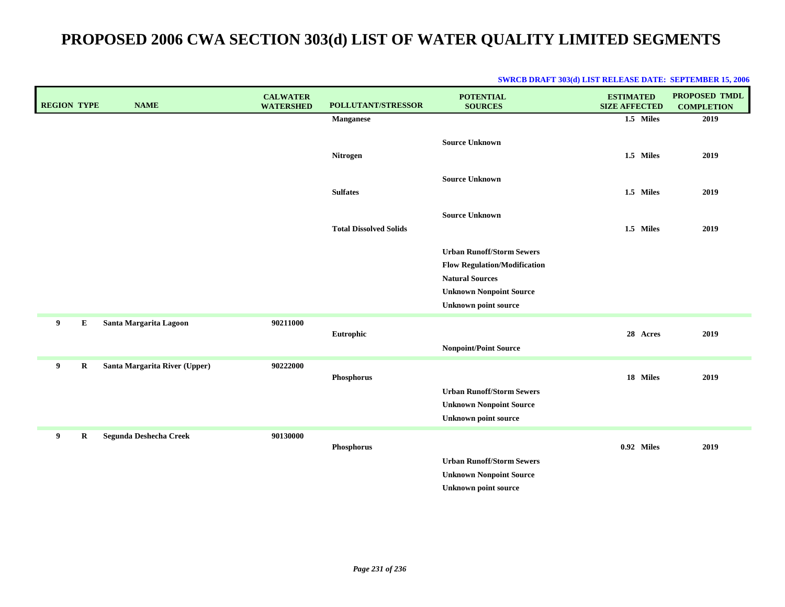| <b>REGION TYPE</b> | <b>NAME</b>                   | <b>CALWATER</b><br><b>WATERSHED</b> | POLLUTANT/STRESSOR            | <b>POTENTIAL</b><br><b>SOURCES</b>                                 | <b>ESTIMATED</b><br><b>SIZE AFFECTED</b> | PROPOSED TMDL<br><b>COMPLETION</b> |
|--------------------|-------------------------------|-------------------------------------|-------------------------------|--------------------------------------------------------------------|------------------------------------------|------------------------------------|
|                    |                               |                                     | <b>Manganese</b>              |                                                                    | 1.5 Miles                                | 2019                               |
|                    |                               |                                     | <b>Nitrogen</b>               | <b>Source Unknown</b>                                              | 1.5 Miles                                | 2019                               |
|                    |                               |                                     |                               |                                                                    |                                          |                                    |
|                    |                               |                                     |                               | <b>Source Unknown</b>                                              |                                          |                                    |
|                    |                               |                                     | <b>Sulfates</b>               |                                                                    | 1.5 Miles                                | 2019                               |
|                    |                               |                                     |                               | <b>Source Unknown</b>                                              |                                          |                                    |
|                    |                               |                                     | <b>Total Dissolved Solids</b> |                                                                    | 1.5 Miles                                | 2019                               |
|                    |                               |                                     |                               | <b>Urban Runoff/Storm Sewers</b>                                   |                                          |                                    |
|                    |                               |                                     |                               | <b>Flow Regulation/Modification</b>                                |                                          |                                    |
|                    |                               |                                     |                               | <b>Natural Sources</b>                                             |                                          |                                    |
|                    |                               |                                     |                               | <b>Unknown Nonpoint Source</b>                                     |                                          |                                    |
|                    |                               |                                     |                               | <b>Unknown point source</b>                                        |                                          |                                    |
| 9<br>E             | Santa Margarita Lagoon        | 90211000                            | Eutrophic                     |                                                                    | 28 Acres                                 | 2019                               |
|                    |                               |                                     |                               | <b>Nonpoint/Point Source</b>                                       |                                          |                                    |
| 9<br>R             | Santa Margarita River (Upper) | 90222000                            |                               |                                                                    |                                          |                                    |
|                    |                               |                                     | Phosphorus                    |                                                                    | 18 Miles                                 | 2019                               |
|                    |                               |                                     |                               | <b>Urban Runoff/Storm Sewers</b>                                   |                                          |                                    |
|                    |                               |                                     |                               | <b>Unknown Nonpoint Source</b>                                     |                                          |                                    |
|                    |                               |                                     |                               | <b>Unknown point source</b>                                        |                                          |                                    |
| 9<br>$\bf R$       | Segunda Deshecha Creek        | 90130000                            |                               |                                                                    |                                          |                                    |
|                    |                               |                                     | Phosphorus                    |                                                                    | 0.92 Miles                               | 2019                               |
|                    |                               |                                     |                               | <b>Urban Runoff/Storm Sewers</b><br><b>Unknown Nonpoint Source</b> |                                          |                                    |
|                    |                               |                                     |                               | <b>Unknown point source</b>                                        |                                          |                                    |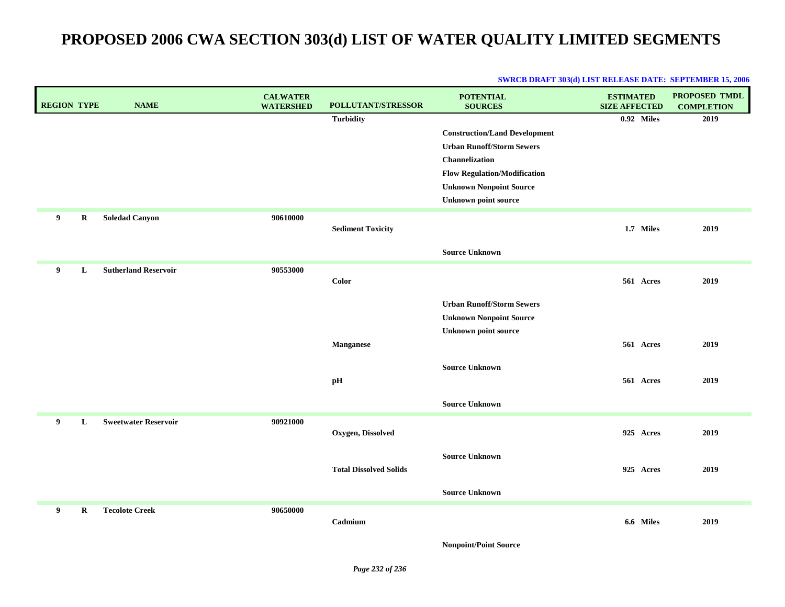| <b>REGION TYPE</b> | <b>NAME</b>                 | <b>CALWATER</b><br><b>WATERSHED</b> | POLLUTANT/STRESSOR            | <b>POTENTIAL</b><br><b>SOURCES</b>                            | <b>ESTIMATED</b><br><b>SIZE AFFECTED</b> | PROPOSED TMDL<br><b>COMPLETION</b> |
|--------------------|-----------------------------|-------------------------------------|-------------------------------|---------------------------------------------------------------|------------------------------------------|------------------------------------|
|                    |                             |                                     | <b>Turbidity</b>              |                                                               | 0.92 Miles                               | 2019                               |
|                    |                             |                                     |                               | <b>Construction/Land Development</b>                          |                                          |                                    |
|                    |                             |                                     |                               | <b>Urban Runoff/Storm Sewers</b>                              |                                          |                                    |
|                    |                             |                                     |                               | <b>Channelization</b>                                         |                                          |                                    |
|                    |                             |                                     |                               | <b>Flow Regulation/Modification</b>                           |                                          |                                    |
|                    |                             |                                     |                               | <b>Unknown Nonpoint Source</b>                                |                                          |                                    |
|                    |                             |                                     |                               | <b>Unknown point source</b>                                   |                                          |                                    |
| 9<br>$\bf R$       | <b>Soledad Canyon</b>       | 90610000                            |                               |                                                               |                                          |                                    |
|                    |                             |                                     | <b>Sediment Toxicity</b>      |                                                               | 1.7 Miles                                | 2019                               |
|                    |                             |                                     |                               | <b>Source Unknown</b>                                         |                                          |                                    |
| 9<br>L             | <b>Sutherland Reservoir</b> | 90553000                            |                               |                                                               |                                          |                                    |
|                    |                             |                                     | Color                         |                                                               | 561 Acres                                | 2019                               |
|                    |                             |                                     |                               |                                                               |                                          |                                    |
|                    |                             |                                     |                               | <b>Urban Runoff/Storm Sewers</b>                              |                                          |                                    |
|                    |                             |                                     |                               | <b>Unknown Nonpoint Source</b><br><b>Unknown point source</b> |                                          |                                    |
|                    |                             |                                     | <b>Manganese</b>              |                                                               | 561 Acres                                | 2019                               |
|                    |                             |                                     |                               |                                                               |                                          |                                    |
|                    |                             |                                     |                               | <b>Source Unknown</b>                                         |                                          |                                    |
|                    |                             |                                     | pH                            |                                                               | 561 Acres                                | 2019                               |
|                    |                             |                                     |                               |                                                               |                                          |                                    |
|                    |                             |                                     |                               | <b>Source Unknown</b>                                         |                                          |                                    |
| 9<br>L             | <b>Sweetwater Reservoir</b> | 90921000                            |                               |                                                               |                                          |                                    |
|                    |                             |                                     | Oxygen, Dissolved             |                                                               | 925 Acres                                | 2019                               |
|                    |                             |                                     |                               | <b>Source Unknown</b>                                         |                                          |                                    |
|                    |                             |                                     | <b>Total Dissolved Solids</b> |                                                               | 925 Acres                                | 2019                               |
|                    |                             |                                     |                               |                                                               |                                          |                                    |
|                    |                             |                                     |                               | <b>Source Unknown</b>                                         |                                          |                                    |
| 9<br>R             | <b>Tecolote Creek</b>       | 90650000                            |                               |                                                               |                                          |                                    |
|                    |                             |                                     | Cadmium                       |                                                               | 6.6 Miles                                | 2019                               |
|                    |                             |                                     |                               | <b>Nonpoint/Point Source</b>                                  |                                          |                                    |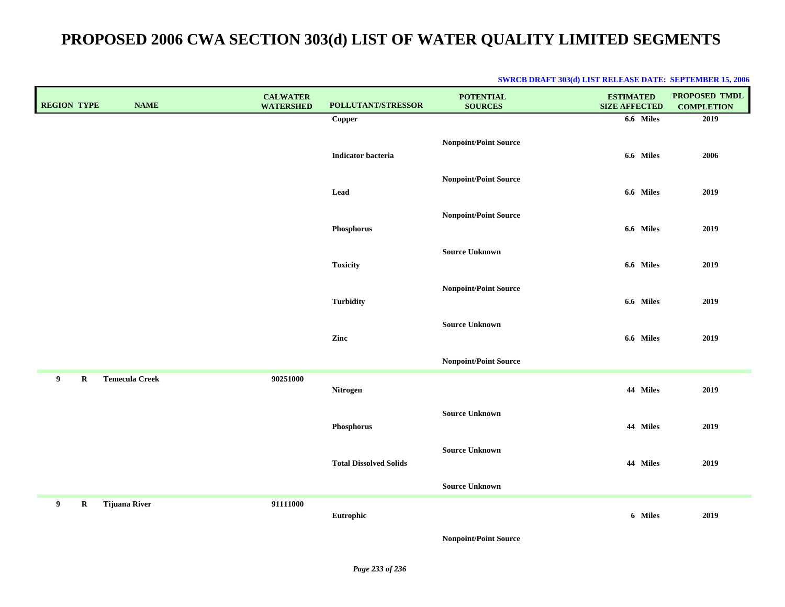| <b>REGION TYPE</b> | <b>NAME</b>           | <b>CALWATER</b><br><b>WATERSHED</b> | POLLUTANT/STRESSOR            | <b>POTENTIAL</b><br><b>SOURCES</b> | <b>ESTIMATED</b><br><b>SIZE AFFECTED</b> | PROPOSED TMDL<br><b>COMPLETION</b> |
|--------------------|-----------------------|-------------------------------------|-------------------------------|------------------------------------|------------------------------------------|------------------------------------|
|                    |                       |                                     | Copper                        |                                    | 6.6 Miles                                | 2019                               |
|                    |                       |                                     | <b>Indicator bacteria</b>     | <b>Nonpoint/Point Source</b>       | 6.6 Miles                                | 2006                               |
|                    |                       |                                     | Lead                          | <b>Nonpoint/Point Source</b>       | 6.6 Miles                                | 2019                               |
|                    |                       |                                     | Phosphorus                    | <b>Nonpoint/Point Source</b>       | 6.6 Miles                                | 2019                               |
|                    |                       |                                     | <b>Toxicity</b>               | <b>Source Unknown</b>              | 6.6 Miles                                | 2019                               |
|                    |                       |                                     | <b>Turbidity</b>              | <b>Nonpoint/Point Source</b>       | 6.6 Miles                                | 2019                               |
|                    |                       |                                     | Zinc                          | <b>Source Unknown</b>              | 6.6 Miles                                | 2019                               |
|                    |                       |                                     |                               | <b>Nonpoint/Point Source</b>       |                                          |                                    |
| 9<br>$\bf R$       | <b>Temecula Creek</b> | 90251000                            | Nitrogen                      |                                    | 44 Miles                                 | 2019                               |
|                    |                       |                                     | Phosphorus                    | <b>Source Unknown</b>              | 44 Miles                                 | 2019                               |
|                    |                       |                                     | <b>Total Dissolved Solids</b> | <b>Source Unknown</b>              | 44 Miles                                 | 2019                               |
|                    |                       |                                     |                               | <b>Source Unknown</b>              |                                          |                                    |
| 9<br>$\mathbf R$   | <b>Tijuana River</b>  | 91111000                            | Eutrophic                     |                                    | 6 Miles                                  | 2019                               |
|                    |                       |                                     |                               | <b>Nonpoint/Point Source</b>       |                                          |                                    |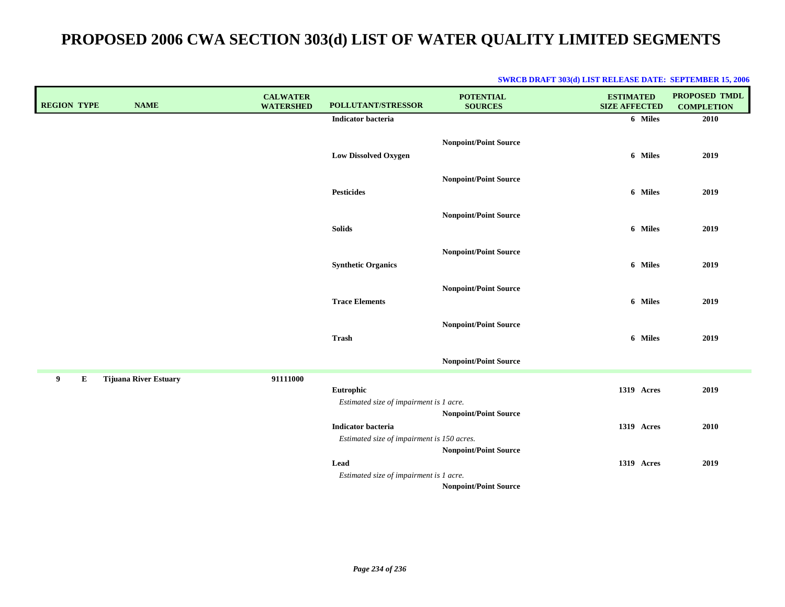| <b>REGION TYPE</b> | <b>NAME</b>                  | <b>CALWATER</b><br><b>WATERSHED</b> | POLLUTANT/STRESSOR                                                      | <b>POTENTIAL</b><br><b>SOURCES</b> | <b>ESTIMATED</b><br><b>SIZE AFFECTED</b> | <b>PROPOSED TMDL</b><br><b>COMPLETION</b> |
|--------------------|------------------------------|-------------------------------------|-------------------------------------------------------------------------|------------------------------------|------------------------------------------|-------------------------------------------|
|                    |                              |                                     | <b>Indicator bacteria</b>                                               |                                    | 6 Miles                                  | 2010                                      |
|                    |                              |                                     | <b>Low Dissolved Oxygen</b>                                             | <b>Nonpoint/Point Source</b>       | 6 Miles                                  | 2019                                      |
|                    |                              |                                     | <b>Pesticides</b>                                                       | <b>Nonpoint/Point Source</b>       | 6 Miles                                  | 2019                                      |
|                    |                              |                                     | <b>Solids</b>                                                           | <b>Nonpoint/Point Source</b>       | 6 Miles                                  | 2019                                      |
|                    |                              |                                     | <b>Synthetic Organics</b>                                               | <b>Nonpoint/Point Source</b>       | 6 Miles                                  | 2019                                      |
|                    |                              |                                     | <b>Trace Elements</b>                                                   | <b>Nonpoint/Point Source</b>       | 6 Miles                                  | 2019                                      |
|                    |                              |                                     | Trash                                                                   | Nonpoint/Point Source              | 6 Miles                                  | 2019                                      |
|                    |                              |                                     |                                                                         | <b>Nonpoint/Point Source</b>       |                                          |                                           |
| 9<br>E             | <b>Tijuana River Estuary</b> | 91111000                            | Eutrophic<br>Estimated size of impairment is 1 acre.                    | <b>Nonpoint/Point Source</b>       | 1319 Acres                               | 2019                                      |
|                    |                              |                                     | <b>Indicator bacteria</b><br>Estimated size of impairment is 150 acres. | <b>Nonpoint/Point Source</b>       | 1319 Acres                               | 2010                                      |
|                    |                              |                                     | Lead<br>Estimated size of impairment is 1 acre.                         | <b>Nonpoint/Point Source</b>       | 1319 Acres                               | 2019                                      |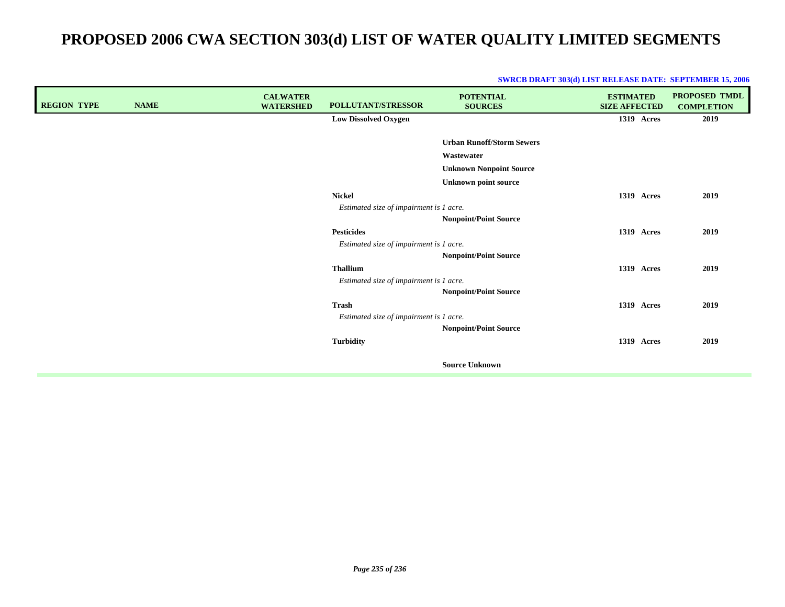| <b>REGION TYPE</b> | <b>NAME</b> | <b>CALWATER</b><br><b>WATERSHED</b> | POLLUTANT/STRESSOR                      | <b>POTENTIAL</b><br><b>SOURCES</b> | <b>ESTIMATED</b><br><b>SIZE AFFECTED</b> | <b>PROPOSED TMDL</b><br><b>COMPLETION</b> |
|--------------------|-------------|-------------------------------------|-----------------------------------------|------------------------------------|------------------------------------------|-------------------------------------------|
|                    |             |                                     | <b>Low Dissolved Oxygen</b>             |                                    | 1319 Acres                               | 2019                                      |
|                    |             |                                     |                                         |                                    |                                          |                                           |
|                    |             |                                     |                                         | <b>Urban Runoff/Storm Sewers</b>   |                                          |                                           |
|                    |             |                                     |                                         | Wastewater                         |                                          |                                           |
|                    |             |                                     |                                         | <b>Unknown Nonpoint Source</b>     |                                          |                                           |
|                    |             |                                     |                                         | <b>Unknown point source</b>        |                                          |                                           |
|                    |             |                                     | <b>Nickel</b>                           |                                    | 1319 Acres                               | 2019                                      |
|                    |             |                                     | Estimated size of impairment is 1 acre. |                                    |                                          |                                           |
|                    |             |                                     |                                         | <b>Nonpoint/Point Source</b>       |                                          |                                           |
|                    |             |                                     | <b>Pesticides</b>                       |                                    | 1319 Acres                               | 2019                                      |
|                    |             |                                     | Estimated size of impairment is 1 acre. |                                    |                                          |                                           |
|                    |             |                                     |                                         | <b>Nonpoint/Point Source</b>       |                                          |                                           |
|                    |             |                                     | <b>Thallium</b>                         |                                    | 1319 Acres                               | 2019                                      |
|                    |             |                                     | Estimated size of impairment is 1 acre. |                                    |                                          |                                           |
|                    |             |                                     |                                         | <b>Nonpoint/Point Source</b>       |                                          |                                           |
|                    |             |                                     | <b>Trash</b>                            |                                    | 1319 Acres                               | 2019                                      |
|                    |             |                                     | Estimated size of impairment is 1 acre. |                                    |                                          |                                           |
|                    |             |                                     |                                         | <b>Nonpoint/Point Source</b>       |                                          |                                           |
|                    |             |                                     | <b>Turbidity</b>                        |                                    | 1319 Acres                               | 2019                                      |
|                    |             |                                     |                                         | <b>Source Unknown</b>              |                                          |                                           |